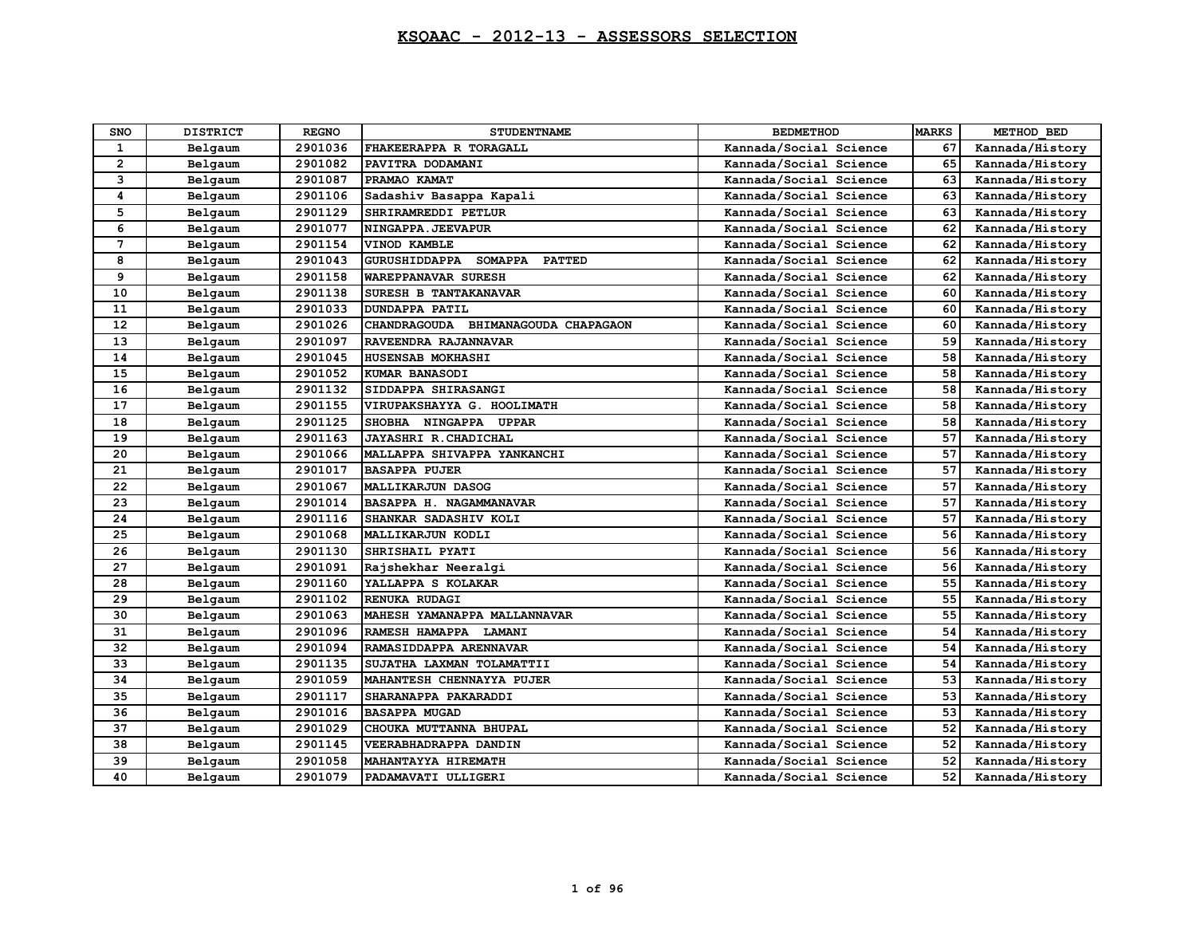| <b>SNO</b>   | <b>DISTRICT</b> | <b>REGNO</b> | <b>STUDENTNAME</b>                                      | <b>BEDMETHOD</b>       | <b>MARKS</b> | METHOD BED      |
|--------------|-----------------|--------------|---------------------------------------------------------|------------------------|--------------|-----------------|
| $\mathbf{1}$ | Belgaum         | 2901036      | FHAKEERAPPA R TORAGALL                                  | Kannada/Social Science | 67           | Kannada/History |
| $\mathbf{2}$ | Belgaum         | 2901082      | PAVITRA DODAMANI                                        | Kannada/Social Science | 65           | Kannada/History |
| 3            | Belgaum         | 2901087      | PRAMAO KAMAT                                            | Kannada/Social Science | 63           | Kannada/History |
| 4            | Belgaum         | 2901106      | Sadashiv Basappa Kapali                                 | Kannada/Social Science | 63           | Kannada/History |
| 5            | Belgaum         | 2901129      | SHRIRAMREDDI PETLUR                                     | Kannada/Social Science | 63           | Kannada/History |
| 6            | Belgaum         | 2901077      | NINGAPPA. JEEVAPUR                                      | Kannada/Social Science | 62           | Kannada/History |
| 7            | Belgaum         | 2901154      | VINOD KAMBLE                                            | Kannada/Social Science | 62           | Kannada/History |
| 8            | Belgaum         | 2901043      | <b>GURUSHIDDAPPA</b><br><b>SOMAPPA</b><br><b>PATTED</b> | Kannada/Social Science | 62           | Kannada/History |
| 9            | Belgaum         | 2901158      | WAREPPANAVAR SURESH                                     | Kannada/Social Science | 62           | Kannada/History |
| 10           | Belgaum         | 2901138      | SURESH B TANTAKANAVAR                                   | Kannada/Social Science | 60           | Kannada/History |
| 11           | Belgaum         | 2901033      | <b>DUNDAPPA PATIL</b>                                   | Kannada/Social Science | 60           | Kannada/History |
| $12 \,$      | Belgaum         | 2901026      | CHANDRAGOUDA BHIMANAGOUDA CHAPAGAON                     | Kannada/Social Science | 60           | Kannada/History |
| 13           | Belgaum         | 2901097      | RAVEENDRA RAJANNAVAR                                    | Kannada/Social Science | 59           | Kannada/History |
| 14           | Belgaum         | 2901045      | HUSENSAB MOKHASHI                                       | Kannada/Social Science | 58           | Kannada/History |
| 15           | Belgaum         | 2901052      | KUMAR BANASODI                                          | Kannada/Social Science | 58           | Kannada/History |
| 16           | Belgaum         | 2901132      | SIDDAPPA SHIRASANGI                                     | Kannada/Social Science | 58           | Kannada/History |
| 17           | Belgaum         | 2901155      | VIRUPAKSHAYYA G. HOOLIMATH                              | Kannada/Social Science | 58           | Kannada/History |
| 18           | Belgaum         | 2901125      | SHOBHA NINGAPPA UPPAR                                   | Kannada/Social Science | 58           | Kannada/History |
| 19           | Belgaum         | 2901163      | JAYASHRI R. CHADICHAL                                   | Kannada/Social Science | 57           | Kannada/History |
| 20           | Belgaum         | 2901066      | MALLAPPA SHIVAPPA YANKANCHI                             | Kannada/Social Science | 57           | Kannada/History |
| 21           | Belgaum         | 2901017      | <b>BASAPPA PUJER</b>                                    | Kannada/Social Science | 57           | Kannada/History |
| 22           | Belgaum         | 2901067      | <b>MALLIKARJUN DASOG</b>                                | Kannada/Social Science | 57           | Kannada/History |
| 23           | Belgaum         | 2901014      | BASAPPA H. NAGAMMANAVAR                                 | Kannada/Social Science | 57           | Kannada/History |
| 24           | Belgaum         | 2901116      | SHANKAR SADASHIV KOLI                                   | Kannada/Social Science | 57           | Kannada/History |
| 25           | Belgaum         | 2901068      | MALLIKARJUN KODLI                                       | Kannada/Social Science | 56           | Kannada/History |
| 26           | Belgaum         | 2901130      | SHRISHAIL PYATI                                         | Kannada/Social Science | 56           | Kannada/History |
| 27           | Belgaum         | 2901091      | Rajshekhar Neeralgi                                     | Kannada/Social Science | 56           | Kannada/History |
| 28           | Belgaum         | 2901160      | YALLAPPA S KOLAKAR                                      | Kannada/Social Science | 55           | Kannada/History |
| 29           | Belgaum         | 2901102      | RENUKA RUDAGI                                           | Kannada/Social Science | 55           | Kannada/History |
| 30           | Belgaum         | 2901063      | MAHESH YAMANAPPA MALLANNAVAR                            | Kannada/Social Science | 55           | Kannada/History |
| 31           | Belgaum         | 2901096      | RAMESH HAMAPPA LAMANI                                   | Kannada/Social Science | 54           | Kannada/History |
| 32           | Belgaum         | 2901094      | RAMASIDDAPPA ARENNAVAR                                  | Kannada/Social Science | 54           | Kannada/History |
| 33           | Belgaum         | 2901135      | SUJATHA LAXMAN TOLAMATTII                               | Kannada/Social Science | 54           | Kannada/History |
| 34           | Belgaum         | 2901059      | MAHANTESH CHENNAYYA PUJER                               | Kannada/Social Science | 53           | Kannada/History |
| 35           | Belgaum         | 2901117      | SHARANAPPA PAKARADDI                                    | Kannada/Social Science | 53           | Kannada/History |
| 36           | Belgaum         | 2901016      | <b>BASAPPA MUGAD</b>                                    | Kannada/Social Science | 53           | Kannada/History |
| 37           | Belgaum         | 2901029      | CHOUKA MUTTANNA BHUPAL                                  | Kannada/Social Science | 52           | Kannada/History |
| 38           | Belgaum         | 2901145      | VEERABHADRAPPA DANDIN                                   | Kannada/Social Science | 52           | Kannada/History |
| 39           | Belgaum         | 2901058      | MAHANTAYYA HIREMATH                                     | Kannada/Social Science | 52           | Kannada/History |
| 40           | Belgaum         | 2901079      | PADAMAVATI ULLIGERI                                     | Kannada/Social Science | 52           | Kannada/History |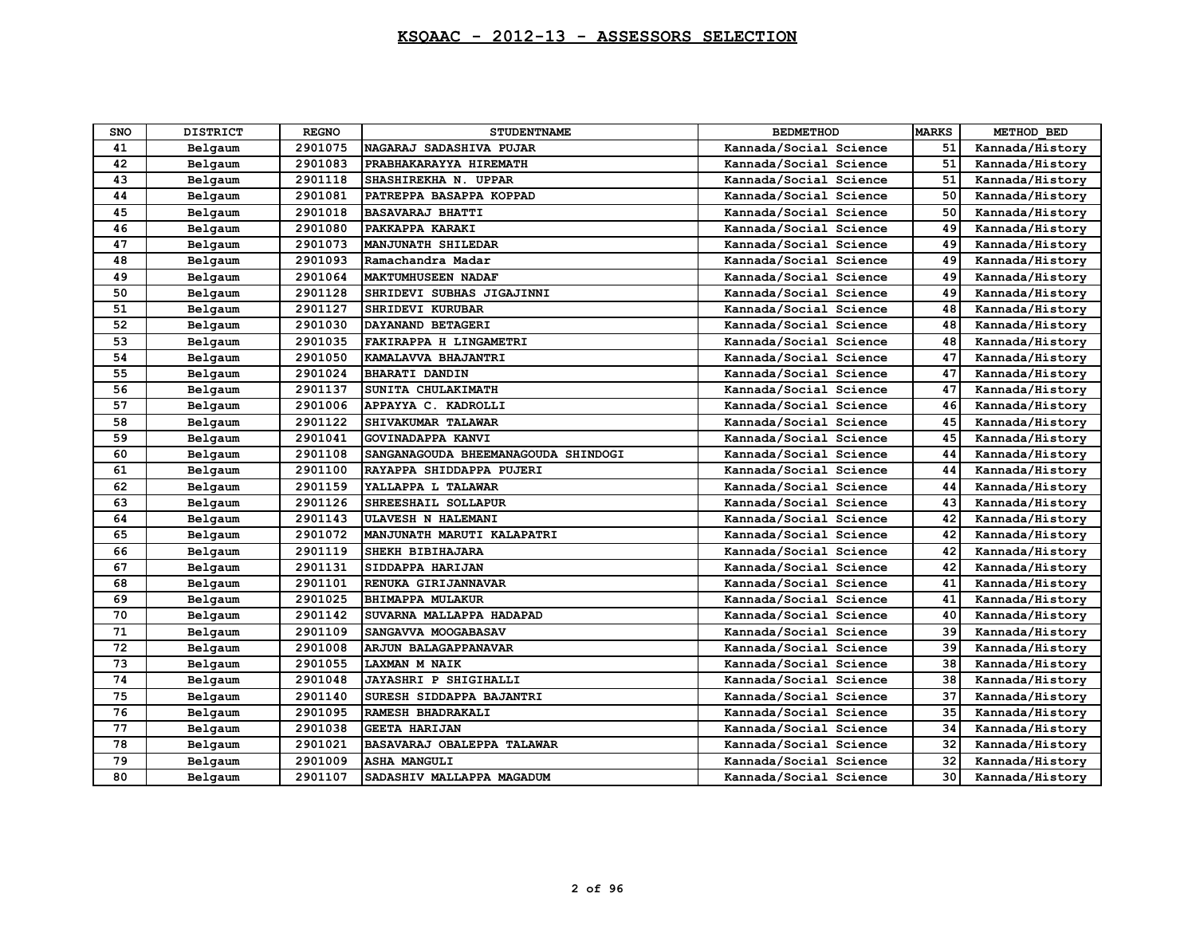| <b>SNO</b> | <b>DISTRICT</b> | <b>REGNO</b> | <b>STUDENTNAME</b>                  | <b>BEDMETHOD</b>       | <b>MARKS</b> | METHOD BED      |
|------------|-----------------|--------------|-------------------------------------|------------------------|--------------|-----------------|
| 41         | Belgaum         | 2901075      | NAGARAJ SADASHIVA PUJAR             | Kannada/Social Science | 51           | Kannada/History |
| 42         | Belgaum         | 2901083      | PRABHAKARAYYA HIREMATH              | Kannada/Social Science | 51           | Kannada/History |
| 43         | Belgaum         | 2901118      | SHASHIREKHA N. UPPAR                | Kannada/Social Science | 51           | Kannada/History |
| 44         | Belgaum         | 2901081      | PATREPPA BASAPPA KOPPAD             | Kannada/Social Science | 50           | Kannada/History |
| 45         | Belgaum         | 2901018      | <b>BASAVARAJ BHATTI</b>             | Kannada/Social Science | 50           | Kannada/History |
| 46         | Belgaum         | 2901080      | PAKKAPPA KARAKI                     | Kannada/Social Science | 49           | Kannada/History |
| 47         | Belgaum         | 2901073      | MANJUNATH SHILEDAR                  | Kannada/Social Science | 49           | Kannada/History |
| 48         | Belgaum         | 2901093      | Ramachandra Madar                   | Kannada/Social Science | 49           | Kannada/History |
| 49         | Belgaum         | 2901064      | <b>MAKTUMHUSEEN NADAF</b>           | Kannada/Social Science | 49           | Kannada/History |
| 50         | Belgaum         | 2901128      | SHRIDEVI SUBHAS JIGAJINNI           | Kannada/Social Science | 49           | Kannada/History |
| 51         | Belgaum         | 2901127      | SHRIDEVI KURUBAR                    | Kannada/Social Science | 48           | Kannada/History |
| 52         | Belgaum         | 2901030      | DAYANAND BETAGERI                   | Kannada/Social Science | 48           | Kannada/History |
| 53         | Belgaum         | 2901035      | FAKIRAPPA H LINGAMETRI              | Kannada/Social Science | 48           | Kannada/History |
| 54         | Belgaum         | 2901050      | KAMALAVVA BHAJANTRI                 | Kannada/Social Science | 47           | Kannada/History |
| 55         | Belgaum         | 2901024      | <b>BHARATI DANDIN</b>               | Kannada/Social Science | 47           | Kannada/History |
| 56         | Belgaum         | 2901137      | SUNITA CHULAKIMATH                  | Kannada/Social Science | 47           | Kannada/History |
| 57         | Belgaum         | 2901006      | APPAYYA C. KADROLLI                 | Kannada/Social Science | 46           | Kannada/History |
| 58         | Belgaum         | 2901122      | SHIVAKUMAR TALAWAR                  | Kannada/Social Science | 45           | Kannada/History |
| 59         | Belgaum         | 2901041      | GOVINADAPPA KANVI                   | Kannada/Social Science | 45           | Kannada/History |
| 60         | Belgaum         | 2901108      | SANGANAGOUDA BHEEMANAGOUDA SHINDOGI | Kannada/Social Science | 44           | Kannada/History |
| 61         | Belgaum         | 2901100      | RAYAPPA SHIDDAPPA PUJERI            | Kannada/Social Science | 44           | Kannada/History |
| 62         | Belgaum         | 2901159      | YALLAPPA L TALAWAR                  | Kannada/Social Science | 44           | Kannada/History |
| 63         | Belgaum         | 2901126      | SHREESHAIL SOLLAPUR                 | Kannada/Social Science | 43           | Kannada/History |
| 64         | Belgaum         | 2901143      | ULAVESH N HALEMANI                  | Kannada/Social Science | 42           | Kannada/History |
| 65         | Belgaum         | 2901072      | MANJUNATH MARUTI KALAPATRI          | Kannada/Social Science | 42           | Kannada/History |
| 66         | Belgaum         | 2901119      | SHEKH BIBIHAJARA                    | Kannada/Social Science | 42           | Kannada/History |
| 67         | Belgaum         | 2901131      | SIDDAPPA HARIJAN                    | Kannada/Social Science | 42           | Kannada/History |
| 68         | Belgaum         | 2901101      | RENUKA GIRIJANNAVAR                 | Kannada/Social Science | 41           | Kannada/History |
| 69         | Belgaum         | 2901025      | <b>BHIMAPPA MULAKUR</b>             | Kannada/Social Science | 41           | Kannada/History |
| 70         | Belgaum         | 2901142      | SUVARNA MALLAPPA HADAPAD            | Kannada/Social Science | 40           | Kannada/History |
| 71         | Belgaum         | 2901109      | SANGAVVA MOOGABASAV                 | Kannada/Social Science | 39           | Kannada/History |
| 72         | Belgaum         | 2901008      | <b>ARJUN BALAGAPPANAVAR</b>         | Kannada/Social Science | 39           | Kannada/History |
| 73         | Belgaum         | 2901055      | LAXMAN M NAIK                       | Kannada/Social Science | 38           | Kannada/History |
| 74         | Belgaum         | 2901048      | JAYASHRI P SHIGIHALLI               | Kannada/Social Science | 38           | Kannada/History |
| 75         | Belgaum         | 2901140      | SURESH SIDDAPPA BAJANTRI            | Kannada/Social Science | 37           | Kannada/History |
| 76         | Belgaum         | 2901095      | RAMESH BHADRAKALI                   | Kannada/Social Science | 35           | Kannada/History |
| 77         | Belgaum         | 2901038      | <b>GEETA HARIJAN</b>                | Kannada/Social Science | 34           | Kannada/History |
| 78         | Belgaum         | 2901021      | BASAVARAJ OBALEPPA TALAWAR          | Kannada/Social Science | 32           | Kannada/History |
| 79         | Belgaum         | 2901009      | <b>ASHA MANGULI</b>                 | Kannada/Social Science | 32           | Kannada/History |
| 80         | Belgaum         | 2901107      | SADASHIV MALLAPPA MAGADUM           | Kannada/Social Science | 30           | Kannada/History |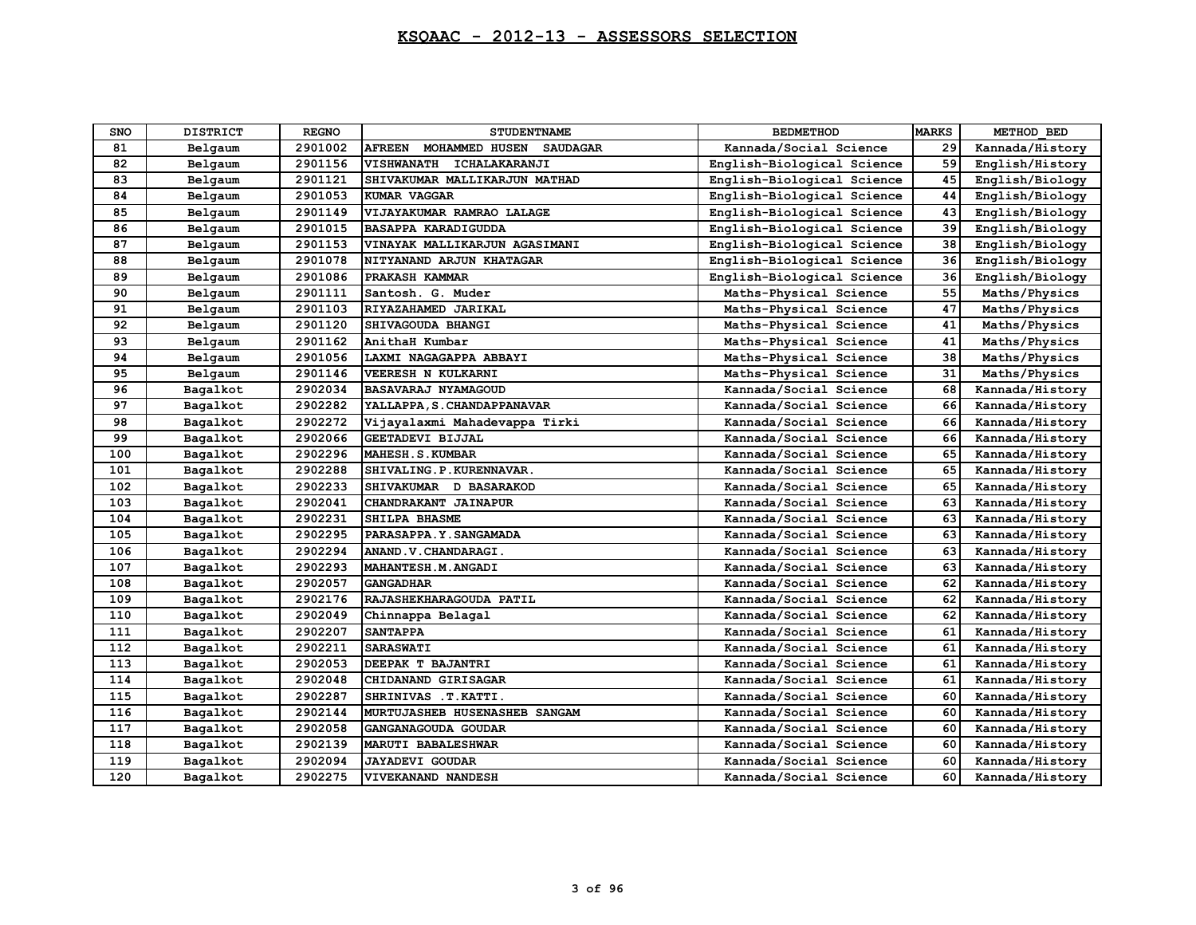| <b>SNO</b> | <b>DISTRICT</b> | <b>REGNO</b> | <b>STUDENTNAME</b>                                        | <b>BEDMETHOD</b>           | <b>MARKS</b> | METHOD BED      |
|------------|-----------------|--------------|-----------------------------------------------------------|----------------------------|--------------|-----------------|
| 81         | Belgaum         | 2901002      | <b>AFREEN</b><br><b>MOHAMMED HUSEN</b><br><b>SAUDAGAR</b> | Kannada/Social Science     | 29           | Kannada/History |
| 82         | Belgaum         | 2901156      | VISHWANATH ICHALAKARANJI                                  | English-Biological Science | 59           | English/History |
| 83         | Belgaum         | 2901121      | SHIVAKUMAR MALLIKARJUN MATHAD                             | English-Biological Science | 45           | English/Biology |
| 84         | Belgaum         | 2901053      | KUMAR VAGGAR                                              | English-Biological Science | 44           | English/Biology |
| 85         | Belgaum         | 2901149      | VIJAYAKUMAR RAMRAO LALAGE                                 | English-Biological Science | 43           | English/Biology |
| 86         | Belgaum         | 2901015      | <b>BASAPPA KARADIGUDDA</b>                                | English-Biological Science | 39           | English/Biology |
| 87         | Belgaum         | 2901153      | VINAYAK MALLIKARJUN AGASIMANI                             | English-Biological Science | 38           | English/Biology |
| 88         | Belgaum         | 2901078      | NITYANAND ARJUN KHATAGAR                                  | English-Biological Science | 36           | English/Biology |
| 89         | Belgaum         | 2901086      | PRAKASH KAMMAR                                            | English-Biological Science | 36           | English/Biology |
| 90         | Belgaum         | 2901111      | Santosh. G. Muder                                         | Maths-Physical Science     | 55           | Maths/Physics   |
| 91         | Belgaum         | 2901103      | RIYAZAHAMED JARIKAL                                       | Maths-Physical Science     | 47           | Maths/Physics   |
| 92         | Belgaum         | 2901120      | <b>SHIVAGOUDA BHANGI</b>                                  | Maths-Physical Science     | 41           | Maths/Physics   |
| 93         | Belgaum         | 2901162      | AnithaH Kumbar                                            | Maths-Physical Science     | 41           | Maths/Physics   |
| 94         | Belgaum         | 2901056      | LAXMI NAGAGAPPA ABBAYI                                    | Maths-Physical Science     | 38           | Maths/Physics   |
| 95         | Belgaum         | 2901146      | <b>VEERESH N KULKARNI</b>                                 | Maths-Physical Science     | 31           | Maths/Physics   |
| 96         | Bagalkot        | 2902034      | <b>BASAVARAJ NYAMAGOUD</b>                                | Kannada/Social Science     | 68           | Kannada/History |
| 97         | Bagalkot        | 2902282      | YALLAPPA, S. CHANDAPPANAVAR                               | Kannada/Social Science     | 66           | Kannada/History |
| 98         | Bagalkot        | 2902272      | Vijayalaxmi Mahadevappa Tirki                             | Kannada/Social Science     | 66           | Kannada/History |
| 99         | Bagalkot        | 2902066      | GEETADEVI BIJJAL                                          | Kannada/Social Science     | 66           | Kannada/History |
| 100        | Bagalkot        | 2902296      | MAHESH.S.KUMBAR                                           | Kannada/Social Science     | 65           | Kannada/History |
| 101        | Bagalkot        | 2902288      | SHIVALING. P. KURENNAVAR.                                 | Kannada/Social Science     | 65           | Kannada/History |
| 102        | Bagalkot        | 2902233      | SHIVAKUMAR D BASARAKOD                                    | Kannada/Social Science     | 65           | Kannada/History |
| 103        | Bagalkot        | 2902041      | CHANDRAKANT JAINAPUR                                      | Kannada/Social Science     | 63           | Kannada/History |
| 104        | Bagalkot        | 2902231      | <b>SHILPA BHASME</b>                                      | Kannada/Social Science     | 63           | Kannada/History |
| 105        | Bagalkot        | 2902295      | PARASAPPA.Y. SANGAMADA                                    | Kannada/Social Science     | 63           | Kannada/History |
| 106        | Bagalkot        | 2902294      | ANAND.V.CHANDARAGI.                                       | Kannada/Social Science     | 63           | Kannada/History |
| 107        | Bagalkot        | 2902293      | MAHANTESH.M.ANGADI                                        | Kannada/Social Science     | 63           | Kannada/History |
| 108        | Bagalkot        | 2902057      | <b>GANGADHAR</b>                                          | Kannada/Social Science     | 62           | Kannada/History |
| 109        | Bagalkot        | 2902176      | RAJASHEKHARAGOUDA PATIL                                   | Kannada/Social Science     | 62           | Kannada/History |
| 110        | Bagalkot        | 2902049      | Chinnappa Belagal                                         | Kannada/Social Science     | 62           | Kannada/History |
| 111        | Bagalkot        | 2902207      | <b>SANTAPPA</b>                                           | Kannada/Social Science     | 61           | Kannada/History |
| 112        | Bagalkot        | 2902211      | <b>SARASWATI</b>                                          | Kannada/Social Science     | 61           | Kannada/History |
| 113        | Bagalkot        | 2902053      | DEEPAK T BAJANTRI                                         | Kannada/Social Science     | 61           | Kannada/History |
| 114        | Bagalkot        | 2902048      | CHIDANAND GIRISAGAR                                       | Kannada/Social Science     | 61           | Kannada/History |
| 115        | Bagalkot        | 2902287      | SHRINIVAS . T. KATTI.                                     | Kannada/Social Science     | 60           | Kannada/History |
| 116        | Bagalkot        | 2902144      | MURTUJASHEB HUSENASHEB SANGAM                             | Kannada/Social Science     | 60           | Kannada/History |
| 117        | Bagalkot        | 2902058      | GANGANAGOUDA GOUDAR                                       | Kannada/Social Science     | 60           | Kannada/History |
| 118        | Bagalkot        | 2902139      | MARUTI BABALESHWAR                                        | Kannada/Social Science     | 60           | Kannada/History |
| 119        | Bagalkot        | 2902094      | <b>JAYADEVI GOUDAR</b>                                    | Kannada/Social Science     | 60           | Kannada/History |
| 120        | Bagalkot        | 2902275      | <b>VIVEKANAND NANDESH</b>                                 | Kannada/Social Science     | 60           | Kannada/History |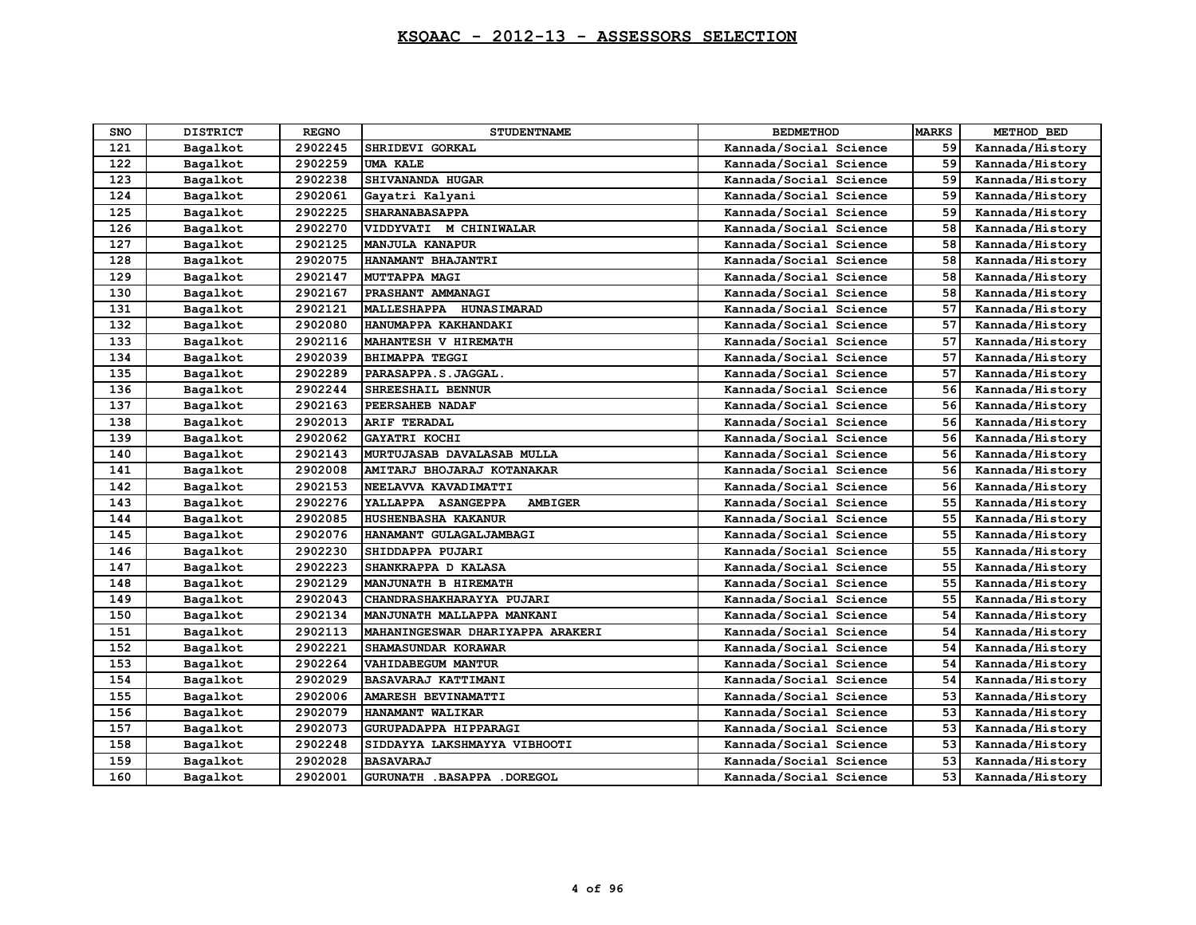| SNO | <b>DISTRICT</b> | <b>REGNO</b> | <b>STUDENTNAME</b>               | <b>BEDMETHOD</b>       | <b>MARKS</b> | METHOD BED      |
|-----|-----------------|--------------|----------------------------------|------------------------|--------------|-----------------|
| 121 | Bagalkot        | 2902245      | SHRIDEVI GORKAL                  | Kannada/Social Science | 59           | Kannada/History |
| 122 | Bagalkot        | 2902259      | <b>UMA KALE</b>                  | Kannada/Social Science | 59           | Kannada/History |
| 123 | Bagalkot        | 2902238      | SHIVANANDA HUGAR                 | Kannada/Social Science | 59           | Kannada/History |
| 124 | Bagalkot        | 2902061      | Gayatri Kalyani                  | Kannada/Social Science | 59           | Kannada/History |
| 125 | Bagalkot        | 2902225      | <b>SHARANABASAPPA</b>            | Kannada/Social Science | 59           | Kannada/History |
| 126 | Bagalkot        | 2902270      | VIDDYVATI M CHINIWALAR           | Kannada/Social Science | 58           | Kannada/History |
| 127 | Bagalkot        | 2902125      | <b>MANJULA KANAPUR</b>           | Kannada/Social Science | 58           | Kannada/History |
| 128 | Bagalkot        | 2902075      | HANAMANT BHAJANTRI               | Kannada/Social Science | 58           | Kannada/History |
| 129 | Bagalkot        | 2902147      | MUTTAPPA MAGI                    | Kannada/Social Science | 58           | Kannada/History |
| 130 | Bagalkot        | 2902167      | PRASHANT AMMANAGI                | Kannada/Social Science | 58           | Kannada/History |
| 131 | Bagalkot        | 2902121      | MALLESHAPPA HUNASIMARAD          | Kannada/Social Science | 57           | Kannada/History |
| 132 | Bagalkot        | 2902080      | HANUMAPPA KAKHANDAKI             | Kannada/Social Science | 57           | Kannada/History |
| 133 | Bagalkot        | 2902116      | MAHANTESH V HIREMATH             | Kannada/Social Science | 57           | Kannada/History |
| 134 | Bagalkot        | 2902039      | <b>BHIMAPPA TEGGI</b>            | Kannada/Social Science | 57           | Kannada/History |
| 135 | Bagalkot        | 2902289      | PARASAPPA.S.JAGGAL.              | Kannada/Social Science | 57           | Kannada/History |
| 136 | Bagalkot        | 2902244      | SHREESHAIL BENNUR                | Kannada/Social Science | 56           | Kannada/History |
| 137 | Bagalkot        | 2902163      | PEERSAHEB NADAF                  | Kannada/Social Science | 56           | Kannada/History |
| 138 | Bagalkot        | 2902013      | ARIF TERADAL                     | Kannada/Social Science | 56           | Kannada/History |
| 139 | Bagalkot        | 2902062      | GAYATRI KOCHI                    | Kannada/Social Science | 56           | Kannada/History |
| 140 | Bagalkot        | 2902143      | MURTUJASAB DAVALASAB MULLA       | Kannada/Social Science | 56           | Kannada/History |
| 141 | Bagalkot        | 2902008      | AMITARJ BHOJARAJ KOTANAKAR       | Kannada/Social Science | 56           | Kannada/History |
| 142 | Bagalkot        | 2902153      | NEELAVVA KAVADIMATTI             | Kannada/Social Science | 56           | Kannada/History |
| 143 | Bagalkot        | 2902276      | YALLAPPA ASANGEPPA<br>AMBIGER    | Kannada/Social Science | 55           | Kannada/History |
| 144 | Bagalkot        | 2902085      | <b>HUSHENBASHA KAKANUR</b>       | Kannada/Social Science | 55           | Kannada/History |
| 145 | Bagalkot        | 2902076      | HANAMANT GULAGALJAMBAGI          | Kannada/Social Science | 55           | Kannada/History |
| 146 | Bagalkot        | 2902230      | SHIDDAPPA PUJARI                 | Kannada/Social Science | 55           | Kannada/History |
| 147 | Bagalkot        | 2902223      | SHANKRAPPA D KALASA              | Kannada/Social Science | 55           | Kannada/History |
| 148 | Bagalkot        | 2902129      | MANJUNATH B HIREMATH             | Kannada/Social Science | 55           | Kannada/History |
| 149 | Bagalkot        | 2902043      | CHANDRASHAKHARAYYA PUJARI        | Kannada/Social Science | 55           | Kannada/History |
| 150 | Bagalkot        | 2902134      | MANJUNATH MALLAPPA MANKANI       | Kannada/Social Science | 54           | Kannada/History |
| 151 | Bagalkot        | 2902113      | MAHANINGESWAR DHARIYAPPA ARAKERI | Kannada/Social Science | 54           | Kannada/History |
| 152 | Bagalkot        | 2902221      | SHAMASUNDAR KORAWAR              | Kannada/Social Science | 54           | Kannada/History |
| 153 | Bagalkot        | 2902264      | <b>VAHIDABEGUM MANTUR</b>        | Kannada/Social Science | 54           | Kannada/History |
| 154 | Bagalkot        | 2902029      | <b>BASAVARAJ KATTIMANI</b>       | Kannada/Social Science | 54           | Kannada/History |
| 155 | Bagalkot        | 2902006      | AMARESH BEVINAMATTI              | Kannada/Social Science | 53           | Kannada/History |
| 156 | Bagalkot        | 2902079      | HANAMANT WALIKAR                 | Kannada/Social Science | 53           | Kannada/History |
| 157 | Bagalkot        | 2902073      | GURUPADAPPA HIPPARAGI            | Kannada/Social Science | 53           | Kannada/History |
| 158 | Bagalkot        | 2902248      | SIDDAYYA LAKSHMAYYA VIBHOOTI     | Kannada/Social Science | 53           | Kannada/History |
| 159 | Bagalkot        | 2902028      | <b>BASAVARAJ</b>                 | Kannada/Social Science | 53           | Kannada/History |
| 160 | Bagalkot        | 2902001      | GURUNATH . BASAPPA . DOREGOL     | Kannada/Social Science | 53           | Kannada/History |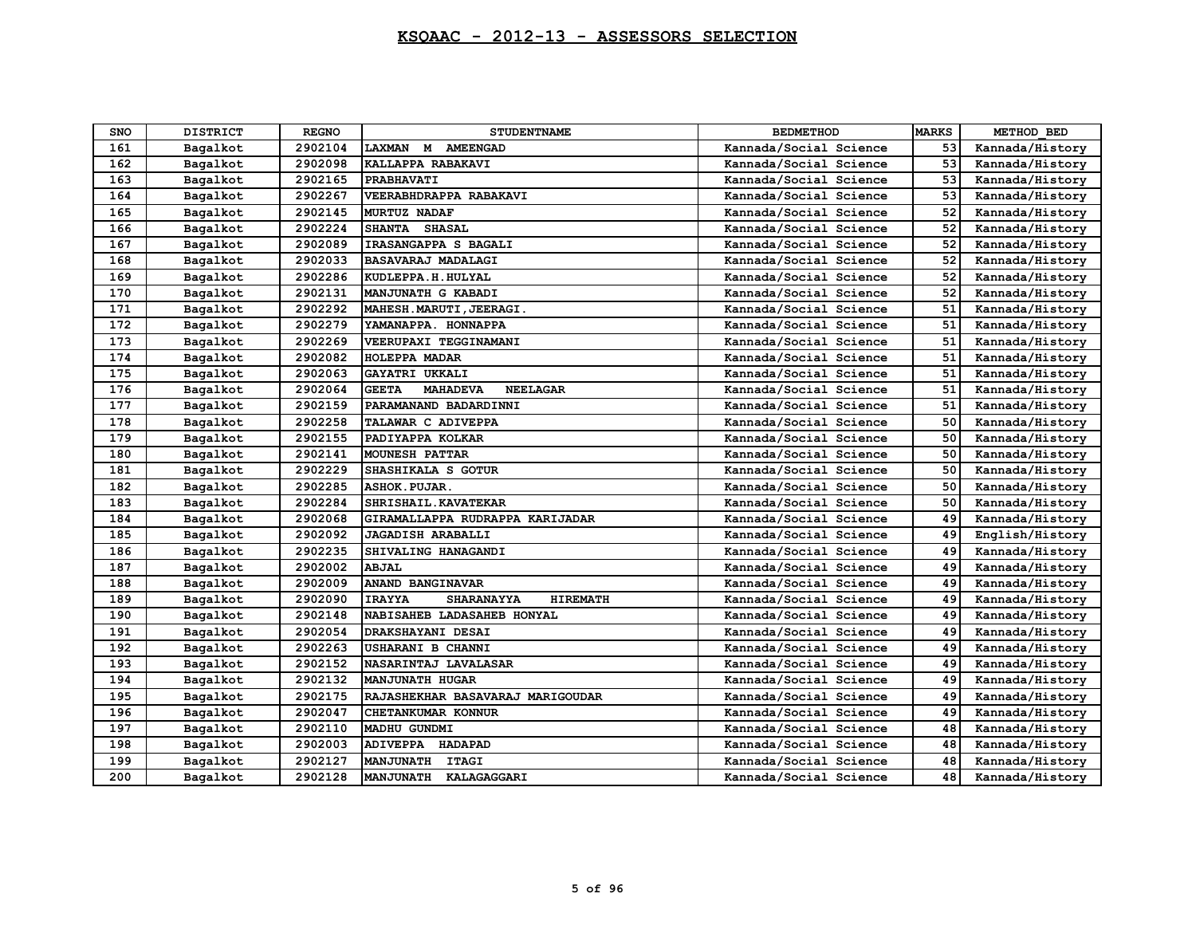## **KSQAAC - 2012-13 - ASSESSORS SELECTION**

| SNO | <b>DISTRICT</b> | <b>REGNO</b> | <b>STUDENTNAME</b>                                    | <b>BEDMETHOD</b>       | <b>MARKS</b> | METHOD BED      |
|-----|-----------------|--------------|-------------------------------------------------------|------------------------|--------------|-----------------|
| 161 | Bagalkot        | 2902104      | M AMEENGAD<br><b>LAXMAN</b>                           | Kannada/Social Science | 53           | Kannada/History |
| 162 | Bagalkot        | 2902098      | KALLAPPA RABAKAVI                                     | Kannada/Social Science | 53           | Kannada/History |
| 163 | Bagalkot        | 2902165      | <b>PRABHAVATI</b>                                     | Kannada/Social Science | 53           | Kannada/History |
| 164 | Bagalkot        | 2902267      | VEERABHDRAPPA RABAKAVI                                | Kannada/Social Science | 53           | Kannada/History |
| 165 | Bagalkot        | 2902145      | <b>MURTUZ NADAF</b>                                   | Kannada/Social Science | 52           | Kannada/History |
| 166 | Bagalkot        | 2902224      | SHANTA SHASAL                                         | Kannada/Social Science | 52           | Kannada/History |
| 167 | Bagalkot        | 2902089      | IRASANGAPPA S BAGALI                                  | Kannada/Social Science | 52           | Kannada/History |
| 168 | Bagalkot        | 2902033      | <b>BASAVARAJ MADALAGI</b>                             | Kannada/Social Science | 52           | Kannada/History |
| 169 | Bagalkot        | 2902286      | KUDLEPPA.H. HULYAL                                    | Kannada/Social Science | 52           | Kannada/History |
| 170 | Bagalkot        | 2902131      | MANJUNATH G KABADI                                    | Kannada/Social Science | 52           | Kannada/History |
| 171 | Bagalkot        | 2902292      | MAHESH. MARUTI, JEERAGI.                              | Kannada/Social Science | 51           | Kannada/History |
| 172 | Bagalkot        | 2902279      | YAMANAPPA. HONNAPPA                                   | Kannada/Social Science | 51           | Kannada/History |
| 173 | Bagalkot        | 2902269      | VEERUPAXI TEGGINAMANI                                 | Kannada/Social Science | 51           | Kannada/History |
| 174 | Bagalkot        | 2902082      | <b>HOLEPPA MADAR</b>                                  | Kannada/Social Science | 51           | Kannada/History |
| 175 | Bagalkot        | 2902063      | GAYATRI UKKALI                                        | Kannada/Social Science | 51           | Kannada/History |
| 176 | Bagalkot        | 2902064      | <b>GEETA</b><br><b>MAHADEVA</b><br><b>NEELAGAR</b>    | Kannada/Social Science | 51           | Kannada/History |
| 177 | Bagalkot        | 2902159      | PARAMANAND BADARDINNI                                 | Kannada/Social Science | 51           | Kannada/History |
| 178 | Bagalkot        | 2902258      | TALAWAR C ADIVEPPA                                    | Kannada/Social Science | 50           | Kannada/History |
| 179 | Bagalkot        | 2902155      | PADIYAPPA KOLKAR                                      | Kannada/Social Science | 50           | Kannada/History |
| 180 | Bagalkot        | 2902141      | <b>MOUNESH PATTAR</b>                                 | Kannada/Social Science | 50           | Kannada/History |
| 181 | Bagalkot        | 2902229      | SHASHIKALA S GOTUR                                    | Kannada/Social Science | 50           | Kannada/History |
| 182 | Bagalkot        | 2902285      | <b>ASHOK. PUJAR.</b>                                  | Kannada/Social Science | 50           | Kannada/History |
| 183 | Bagalkot        | 2902284      | SHRISHAIL. KAVATEKAR                                  | Kannada/Social Science | 50           | Kannada/History |
| 184 | Bagalkot        | 2902068      | GIRAMALLAPPA RUDRAPPA KARIJADAR                       | Kannada/Social Science | 49           | Kannada/History |
| 185 | Bagalkot        | 2902092      | <b>JAGADISH ARABALLI</b>                              | Kannada/Social Science | 49           | English/History |
| 186 | Bagalkot        | 2902235      | SHIVALING HANAGANDI                                   | Kannada/Social Science | 49           | Kannada/History |
| 187 | Bagalkot        | 2902002      | <b>ABJAL</b>                                          | Kannada/Social Science | 49           | Kannada/History |
| 188 | Bagalkot        | 2902009      | ANAND BANGINAVAR                                      | Kannada/Social Science | 49           | Kannada/History |
| 189 | Bagalkot        | 2902090      | <b>IRAYYA</b><br><b>SHARANAYYA</b><br><b>HIREMATH</b> | Kannada/Social Science | 49           | Kannada/History |
| 190 | Bagalkot        | 2902148      | NABISAHEB LADASAHEB HONYAL                            | Kannada/Social Science | 49           | Kannada/History |
| 191 | Bagalkot        | 2902054      | DRAKSHAYANI DESAI                                     | Kannada/Social Science | 49           | Kannada/History |
| 192 | Bagalkot        | 2902263      | USHARANI B CHANNI                                     | Kannada/Social Science | 49           | Kannada/History |
| 193 | Bagalkot        | 2902152      | NASARINTAJ LAVALASAR                                  | Kannada/Social Science | 49           | Kannada/History |
| 194 | Bagalkot        | 2902132      | <b>MANJUNATH HUGAR</b>                                | Kannada/Social Science | 49           | Kannada/History |
| 195 | Bagalkot        | 2902175      | RAJASHEKHAR BASAVARAJ MARIGOUDAR                      | Kannada/Social Science | 49           | Kannada/History |
| 196 | Bagalkot        | 2902047      | CHETANKUMAR KONNUR                                    | Kannada/Social Science | 49           | Kannada/History |
| 197 | Bagalkot        | 2902110      | <b>MADHU GUNDMI</b>                                   | Kannada/Social Science | 48           | Kannada/History |
| 198 | Bagalkot        | 2902003      | <b>ADIVEPPA</b><br><b>HADAPAD</b>                     | Kannada/Social Science | 48           | Kannada/History |
| 199 | Bagalkot        | 2902127      | <b>MANJUNATH</b><br><b>ITAGI</b>                      | Kannada/Social Science | 48           | Kannada/History |
| 200 | Bagalkot        | 2902128      | MANJUNATH KALAGAGGARI                                 | Kannada/Social Science | 48           | Kannada/History |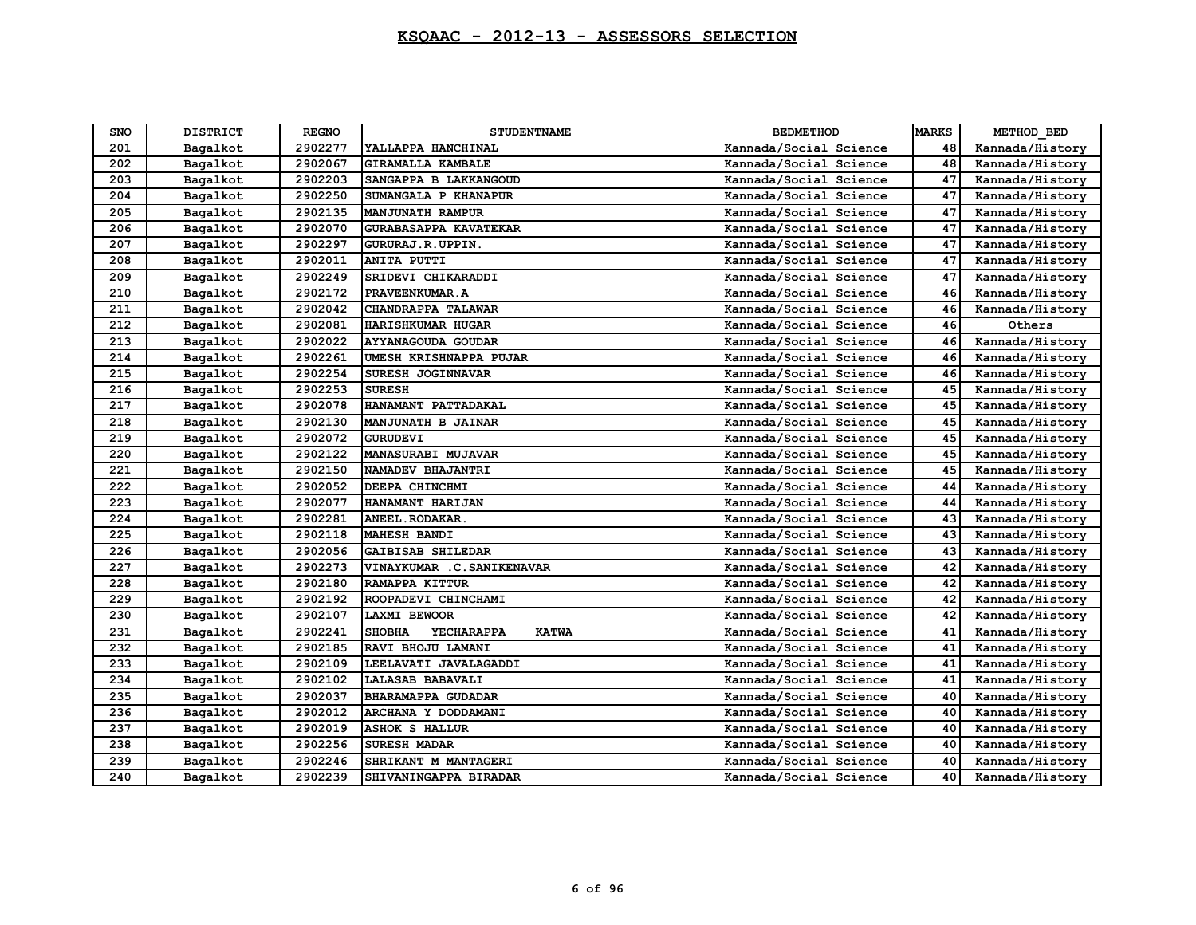## **KSQAAC - 2012-13 - ASSESSORS SELECTION**

| SNO | <b>DISTRICT</b> | <b>REGNO</b> | <b>STUDENTNAME</b>                          | <b>BEDMETHOD</b>       | <b>MARKS</b> | METHOD BED      |
|-----|-----------------|--------------|---------------------------------------------|------------------------|--------------|-----------------|
| 201 | Bagalkot        | 2902277      | YALLAPPA HANCHINAL                          | Kannada/Social Science | 48           | Kannada/History |
| 202 | Bagalkot        | 2902067      | <b>GIRAMALLA KAMBALE</b>                    | Kannada/Social Science | 48           | Kannada/History |
| 203 | Bagalkot        | 2902203      | SANGAPPA B LAKKANGOUD                       | Kannada/Social Science | 47           | Kannada/History |
| 204 | Bagalkot        | 2902250      | SUMANGALA P KHANAPUR                        | Kannada/Social Science | 47           | Kannada/History |
| 205 | Bagalkot        | 2902135      | <b>MANJUNATH RAMPUR</b>                     | Kannada/Social Science | 47           | Kannada/History |
| 206 | Bagalkot        | 2902070      | <b>GURABASAPPA KAVATEKAR</b>                | Kannada/Social Science | 47           | Kannada/History |
| 207 | Bagalkot        | 2902297      | GURURAJ.R.UPPIN.                            | Kannada/Social Science | 47           | Kannada/History |
| 208 | Bagalkot        | 2902011      | <b>ANITA PUTTI</b>                          | Kannada/Social Science | 47           | Kannada/History |
| 209 | Bagalkot        | 2902249      | SRIDEVI CHIKARADDI                          | Kannada/Social Science | 47           | Kannada/History |
| 210 | Bagalkot        | 2902172      | PRAVEENKUMAR.A                              | Kannada/Social Science | 46           | Kannada/History |
| 211 | Bagalkot        | 2902042      | CHANDRAPPA TALAWAR                          | Kannada/Social Science | 46           | Kannada/History |
| 212 | Bagalkot        | 2902081      | HARISHKUMAR HUGAR                           | Kannada/Social Science | 46           | Others          |
| 213 | Bagalkot        | 2902022      | <b>AYYANAGOUDA GOUDAR</b>                   | Kannada/Social Science | 46           | Kannada/History |
| 214 | Bagalkot        | 2902261      | UMESH KRISHNAPPA PUJAR                      | Kannada/Social Science | 46           | Kannada/History |
| 215 | Bagalkot        | 2902254      | SURESH JOGINNAVAR                           | Kannada/Social Science | 46           | Kannada/History |
| 216 | Bagalkot        | 2902253      | <b>SURESH</b>                               | Kannada/Social Science | 45           | Kannada/History |
| 217 | Bagalkot        | 2902078      | HANAMANT PATTADAKAL                         | Kannada/Social Science | 45           | Kannada/History |
| 218 | Bagalkot        | 2902130      | MANJUNATH B JAINAR                          | Kannada/Social Science | 45           | Kannada/History |
| 219 | Bagalkot        | 2902072      | <b>GURUDEVI</b>                             | Kannada/Social Science | 45           | Kannada/History |
| 220 | Bagalkot        | 2902122      | <b>MANASURABI MUJAVAR</b>                   | Kannada/Social Science | 45           | Kannada/History |
| 221 | Bagalkot        | 2902150      | NAMADEV BHAJANTRI                           | Kannada/Social Science | 45           | Kannada/History |
| 222 | Bagalkot        | 2902052      | DEEPA CHINCHMI                              | Kannada/Social Science | 44           | Kannada/History |
| 223 | Bagalkot        | 2902077      | HANAMANT HARIJAN                            | Kannada/Social Science | 44           | Kannada/History |
| 224 | Bagalkot        | 2902281      | ANEEL. RODAKAR.                             | Kannada/Social Science | 43           | Kannada/History |
| 225 | Bagalkot        | 2902118      | <b>MAHESH BANDI</b>                         | Kannada/Social Science | 43           | Kannada/History |
| 226 | Bagalkot        | 2902056      | GAIBISAB SHILEDAR                           | Kannada/Social Science | 43           | Kannada/History |
| 227 | Bagalkot        | 2902273      | VINAYKUMAR .C. SANIKENAVAR                  | Kannada/Social Science | 42           | Kannada/History |
| 228 | Bagalkot        | 2902180      | RAMAPPA KITTUR                              | Kannada/Social Science | 42           | Kannada/History |
| 229 | Bagalkot        | 2902192      | ROOPADEVI CHINCHAMI                         | Kannada/Social Science | 42           | Kannada/History |
| 230 | Bagalkot        | 2902107      | <b>LAXMI BEWOOR</b>                         | Kannada/Social Science | 42           | Kannada/History |
| 231 | Bagalkot        | 2902241      | <b>SHOBHA</b><br>YECHARAPPA<br><b>KATWA</b> | Kannada/Social Science | 41           | Kannada/History |
| 232 | Bagalkot        | 2902185      | RAVI BHOJU LAMANI                           | Kannada/Social Science | 41           | Kannada/History |
| 233 | Bagalkot        | 2902109      | LEELAVATI JAVALAGADDI                       | Kannada/Social Science | 41           | Kannada/History |
| 234 | Bagalkot        | 2902102      | LALASAB BABAVALI                            | Kannada/Social Science | 41           | Kannada/History |
| 235 | Bagalkot        | 2902037      | <b>BHARAMAPPA GUDADAR</b>                   | Kannada/Social Science | 40           | Kannada/History |
| 236 | Bagalkot        | 2902012      | ARCHANA Y DODDAMANI                         | Kannada/Social Science | 40           | Kannada/History |
| 237 | Bagalkot        | 2902019      | <b>ASHOK S HALLUR</b>                       | Kannada/Social Science | 40           | Kannada/History |
| 238 | Bagalkot        | 2902256      | <b>SURESH MADAR</b>                         | Kannada/Social Science | 40           | Kannada/History |
| 239 | Bagalkot        | 2902246      | SHRIKANT M MANTAGERI                        | Kannada/Social Science | 40           | Kannada/History |
| 240 | Bagalkot        | 2902239      | SHIVANINGAPPA BIRADAR                       | Kannada/Social Science | 40           | Kannada/History |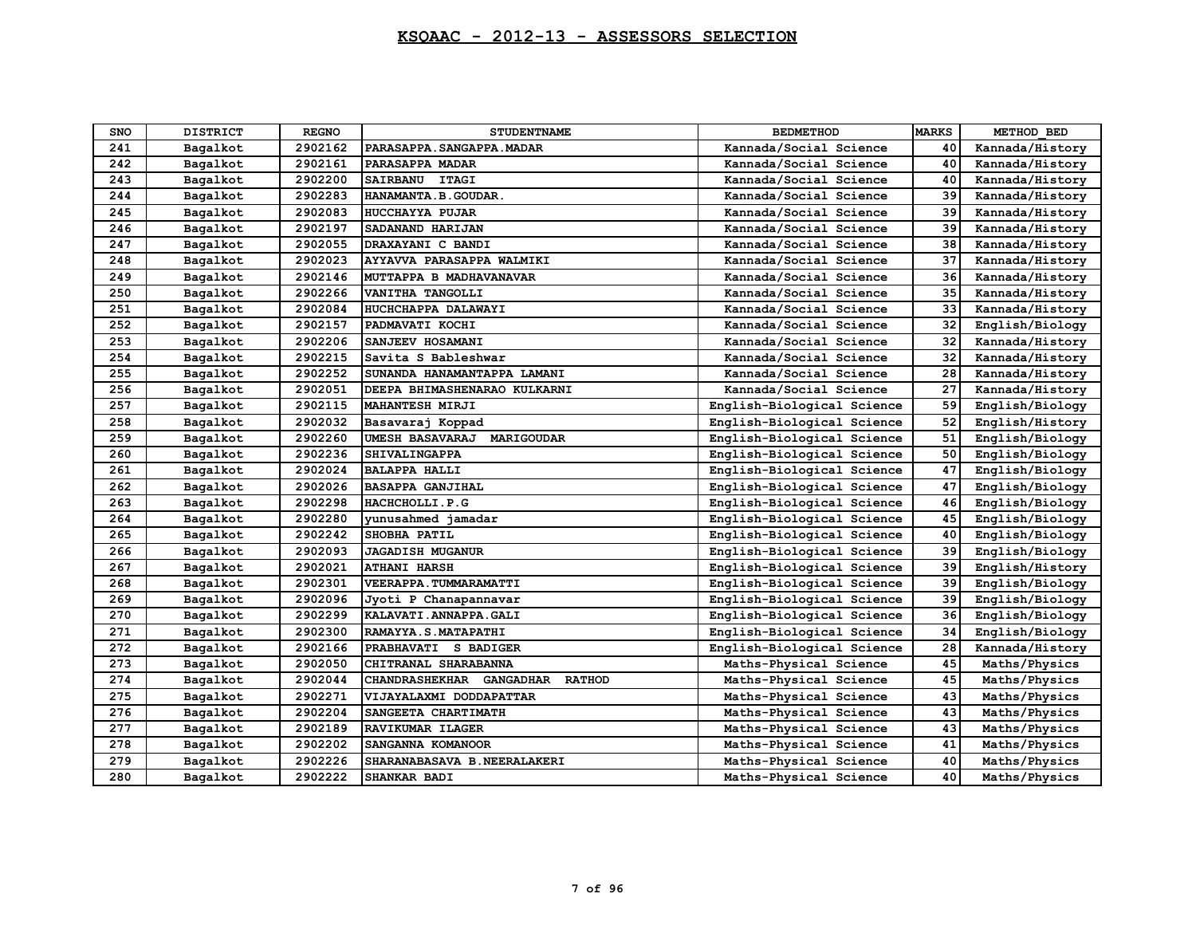| <b>SNO</b> | <b>DISTRICT</b> | <b>REGNO</b> | <b>STUDENTNAME</b>                        | <b>BEDMETHOD</b>           | <b>MARKS</b> | METHOD BED      |
|------------|-----------------|--------------|-------------------------------------------|----------------------------|--------------|-----------------|
| 241        | Bagalkot        | 2902162      | PARASAPPA. SANGAPPA. MADAR                | Kannada/Social Science     | 40           | Kannada/History |
| 242        | Bagalkot        | 2902161      | PARASAPPA MADAR                           | Kannada/Social Science     | 40           | Kannada/History |
| 243        | Bagalkot        | 2902200      | SAIRBANU ITAGI                            | Kannada/Social Science     | 40           | Kannada/History |
| 244        | Bagalkot        | 2902283      | HANAMANTA.B.GOUDAR.                       | Kannada/Social Science     | 39           | Kannada/History |
| 245        | Bagalkot        | 2902083      | <b>HUCCHAYYA PUJAR</b>                    | Kannada/Social Science     | 39           | Kannada/History |
| 246        | Bagalkot        | 2902197      | SADANAND HARIJAN                          | Kannada/Social Science     | 39           | Kannada/History |
| 247        | Bagalkot        | 2902055      | DRAXAYANI C BANDI                         | Kannada/Social Science     | 38           | Kannada/History |
| 248        | Bagalkot        | 2902023      | AYYAVVA PARASAPPA WALMIKI                 | Kannada/Social Science     | 37           | Kannada/History |
| 249        | Bagalkot        | 2902146      | MUTTAPPA B MADHAVANAVAR                   | Kannada/Social Science     | 36           | Kannada/History |
| 250        | Bagalkot        | 2902266      | VANITHA TANGOLLI                          | Kannada/Social Science     | 35           | Kannada/History |
| 251        | Bagalkot        | 2902084      | HUCHCHAPPA DALAWAYI                       | Kannada/Social Science     | 33           | Kannada/History |
| 252        | Bagalkot        | 2902157      | PADMAVATI KOCHI                           | Kannada/Social Science     | 32           | English/Biology |
| 253        | Bagalkot        | 2902206      | SANJEEV HOSAMANI                          | Kannada/Social Science     | 32           | Kannada/History |
| 254        | Bagalkot        | 2902215      | Savita S Bableshwar                       | Kannada/Social Science     | 32           | Kannada/History |
| 255        | Bagalkot        | 2902252      | SUNANDA HANAMANTAPPA LAMANI               | Kannada/Social Science     | 28           | Kannada/History |
| 256        | Bagalkot        | 2902051      | DEEPA BHIMASHENARAO KULKARNI              | Kannada/Social Science     | 27           | Kannada/History |
| 257        | Bagalkot        | 2902115      | <b>MAHANTESH MIRJI</b>                    | English-Biological Science | 59           | English/Biology |
| 258        | Bagalkot        | 2902032      | Basavaraj Koppad                          | English-Biological Science | 52           | English/History |
| 259        | Bagalkot        | 2902260      | UMESH BASAVARAJ MARIGOUDAR                | English-Biological Science | 51           | English/Biology |
| 260        | Bagalkot        | 2902236      | SHIVALINGAPPA                             | English-Biological Science | 50           | English/Biology |
| 261        | Bagalkot        | 2902024      | <b>BALAPPA HALLI</b>                      | English-Biological Science | 47           | English/Biology |
| 262        | Bagalkot        | 2902026      | <b>BASAPPA GANJIHAL</b>                   | English-Biological Science | 47           | English/Biology |
| 263        | Bagalkot        | 2902298      | HACHCHOLLI.P.G                            | English-Biological Science | 46           | English/Biology |
| 264        | Bagalkot        | 2902280      | vunusahmed jamadar                        | English-Biological Science | 45           | English/Biology |
| 265        | Bagalkot        | 2902242      | SHOBHA PATIL                              | English-Biological Science | 40           | English/Biology |
| 266        | Bagalkot        | 2902093      | <b>JAGADISH MUGANUR</b>                   | English-Biological Science | 39           | English/Biology |
| 267        | Bagalkot        | 2902021      | <b>ATHANI HARSH</b>                       | English-Biological Science | 39           | English/History |
| 268        | Bagalkot        | 2902301      | VEERAPPA. TUMMARAMATTI                    | English-Biological Science | 39           | English/Biology |
| 269        | Bagalkot        | 2902096      | Jyoti P Chanapannavar                     | English-Biological Science | 39           | English/Biology |
| 270        | Bagalkot        | 2902299      | KALAVATI.ANNAPPA.GALI                     | English-Biological Science | 36           | English/Biology |
| 271        | Bagalkot        | 2902300      | RAMAYYA.S.MATAPATHI                       | English-Biological Science | 34           | English/Biology |
| 272        | Bagalkot        | 2902166      | PRABHAVATI S BADIGER                      | English-Biological Science | 28           | Kannada/History |
| 273        | Bagalkot        | 2902050      | CHITRANAL SHARABANNA                      | Maths-Physical Science     | 45           | Maths/Physics   |
| 274        | Bagalkot        | 2902044      | CHANDRASHEKHAR GANGADHAR<br><b>RATHOD</b> | Maths-Physical Science     | 45           | Maths/Physics   |
| 275        | Bagalkot        | 2902271      | VIJAYALAXMI DODDAPATTAR                   | Maths-Physical Science     | 43           | Maths/Physics   |
| 276        | Bagalkot        | 2902204      | SANGEETA CHARTIMATH                       | Maths-Physical Science     | 43           | Maths/Physics   |
| 277        | Bagalkot        | 2902189      | RAVIKUMAR ILAGER                          | Maths-Physical Science     | 43           | Maths/Physics   |
| 278        | Bagalkot        | 2902202      | SANGANNA KOMANOOR                         | Maths-Physical Science     | 41           | Maths/Physics   |
| 279        | Bagalkot        | 2902226      | SHARANABASAVA B.NEERALAKERI               | Maths-Physical Science     | 40           | Maths/Physics   |
| 280        | Bagalkot        | 2902222      | SHANKAR BADI                              | Maths-Physical Science     | 40           | Maths/Physics   |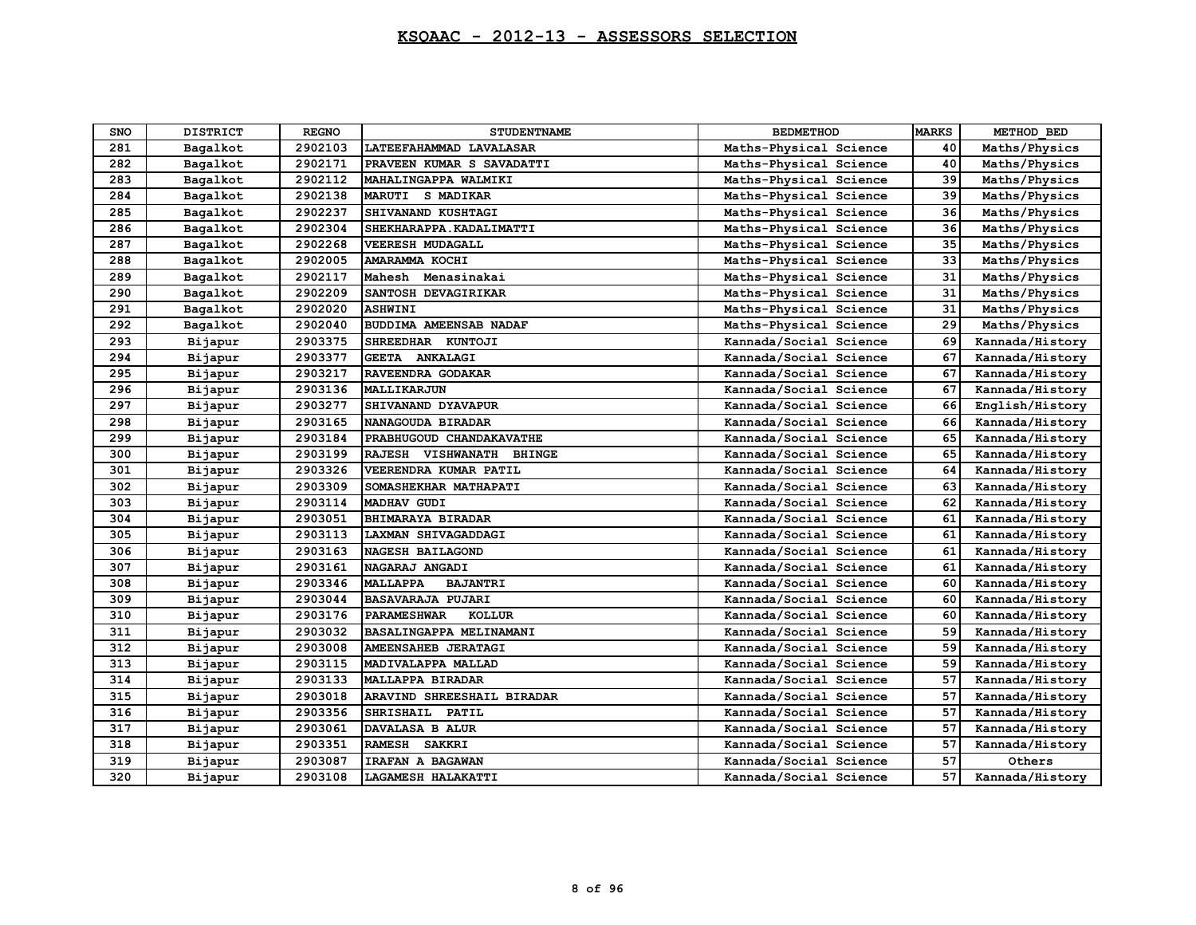## **KSQAAC - 2012-13 - ASSESSORS SELECTION**

| <b>SNO</b> | <b>DISTRICT</b> | <b>REGNO</b> | <b>STUDENTNAME</b>                  | <b>BEDMETHOD</b>       | <b>MARKS</b> | METHOD BED      |
|------------|-----------------|--------------|-------------------------------------|------------------------|--------------|-----------------|
| 281        | Bagalkot        | 2902103      | LATEEFAHAMMAD LAVALASAR             | Maths-Physical Science | 40           | Maths/Physics   |
| 282        | Bagalkot        | 2902171      | PRAVEEN KUMAR S SAVADATTI           | Maths-Physical Science | 40           | Maths/Physics   |
| 283        | Bagalkot        | 2902112      | MAHALINGAPPA WALMIKI                | Maths-Physical Science | 39           | Maths/Physics   |
| 284        | Bagalkot        | 2902138      | MARUTI S MADIKAR                    | Maths-Physical Science | 39           | Maths/Physics   |
| 285        | Bagalkot        | 2902237      | SHIVANAND KUSHTAGI                  | Maths-Physical Science | 36           | Maths/Physics   |
| 286        | Bagalkot        | 2902304      | SHEKHARAPPA. KADALIMATTI            | Maths-Physical Science | 36           | Maths/Physics   |
| 287        | Bagalkot        | 2902268      | <b>VEERESH MUDAGALL</b>             | Maths-Physical Science | 35           | Maths/Physics   |
| 288        | Bagalkot        | 2902005      | AMARAMMA KOCHI                      | Maths-Physical Science | 33           | Maths/Physics   |
| 289        | Bagalkot        | 2902117      | Mahesh Menasinakai                  | Maths-Physical Science | 31           | Maths/Physics   |
| 290        | Bagalkot        | 2902209      | SANTOSH DEVAGIRIKAR                 | Maths-Physical Science | 31           | Maths/Physics   |
| 291        | Bagalkot        | 2902020      | <b>ASHWINI</b>                      | Maths-Physical Science | 31           | Maths/Physics   |
| 292        | Bagalkot        | 2902040      | BUDDIMA AMEENSAB NADAF              | Maths-Physical Science | 29           | Maths/Physics   |
| 293        | Bijapur         | 2903375      | SHREEDHAR KUNTOJI                   | Kannada/Social Science | 69           | Kannada/History |
| 294        | Bijapur         | 2903377      | GEETA ANKALAGI                      | Kannada/Social Science | 67           | Kannada/History |
| 295        | Bijapur         | 2903217      | RAVEENDRA GODAKAR                   | Kannada/Social Science | 67           | Kannada/History |
| 296        | Bijapur         | 2903136      | MALLIKARJUN                         | Kannada/Social Science | 67           | Kannada/History |
| 297        | Bijapur         | 2903277      | SHIVANAND DYAVAPUR                  | Kannada/Social Science | 66           | English/History |
| 298        | Bijapur         | 2903165      | NANAGOUDA BIRADAR                   | Kannada/Social Science | 66           | Kannada/History |
| 299        | Bijapur         | 2903184      | PRABHUGOUD CHANDAKAVATHE            | Kannada/Social Science | 65           | Kannada/History |
| 300        | Bijapur         | 2903199      | RAJESH VISHWANATH BHINGE            | Kannada/Social Science | 65           | Kannada/History |
| 301        | Bijapur         | 2903326      | VEERENDRA KUMAR PATIL               | Kannada/Social Science | 64           | Kannada/History |
| 302        | Bijapur         | 2903309      | SOMASHEKHAR MATHAPATI               | Kannada/Social Science | 63           | Kannada/History |
| 303        | Bijapur         | 2903114      | MADHAV GUDI                         | Kannada/Social Science | 62           | Kannada/History |
| 304        | Bijapur         | 2903051      | BHIMARAYA BIRADAR                   | Kannada/Social Science | 61           | Kannada/History |
| 305        | Bijapur         | 2903113      | LAXMAN SHIVAGADDAGI                 | Kannada/Social Science | 61           | Kannada/History |
| 306        | Bijapur         | 2903163      | <b>NAGESH BAILAGOND</b>             | Kannada/Social Science | 61           | Kannada/History |
| 307        | Bijapur         | 2903161      | NAGARAJ ANGADI                      | Kannada/Social Science | 61           | Kannada/History |
| 308        | Bijapur         | 2903346      | <b>MALLAPPA</b><br><b>BAJANTRI</b>  | Kannada/Social Science | 60           | Kannada/History |
| 309        | Bijapur         | 2903044      | <b>BASAVARAJA PUJARI</b>            | Kannada/Social Science | 60           | Kannada/History |
| 310        | Bijapur         | 2903176      | <b>PARAMESHWAR</b><br><b>KOLLUR</b> | Kannada/Social Science | 60           | Kannada/History |
| 311        | Bijapur         | 2903032      | BASALINGAPPA MELINAMANI             | Kannada/Social Science | 59           | Kannada/History |
| 312        | Bijapur         | 2903008      | AMEENSAHEB JERATAGI                 | Kannada/Social Science | 59           | Kannada/History |
| 313        | Bijapur         | 2903115      | MADIVALAPPA MALLAD                  | Kannada/Social Science | 59           | Kannada/History |
| 314        | Bijapur         | 2903133      | MALLAPPA BIRADAR                    | Kannada/Social Science | 57           | Kannada/History |
| 315        | Bijapur         | 2903018      | ARAVIND SHREESHAIL BIRADAR          | Kannada/Social Science | 57           | Kannada/History |
| 316        | Bijapur         | 2903356      | SHRISHAIL PATIL                     | Kannada/Social Science | 57           | Kannada/History |
| 317        | Bijapur         | 2903061      | DAVALASA B ALUR                     | Kannada/Social Science | 57           | Kannada/History |
| 318        | Bijapur         | 2903351      | RAMESH SAKKRI                       | Kannada/Social Science | 57           | Kannada/History |
| 319        | Bijapur         | 2903087      | IRAFAN A BAGAWAN                    | Kannada/Social Science | 57           | Others          |
| 320        | Bijapur         | 2903108      | LAGAMESH HALAKATTI                  | Kannada/Social Science | 57           | Kannada/History |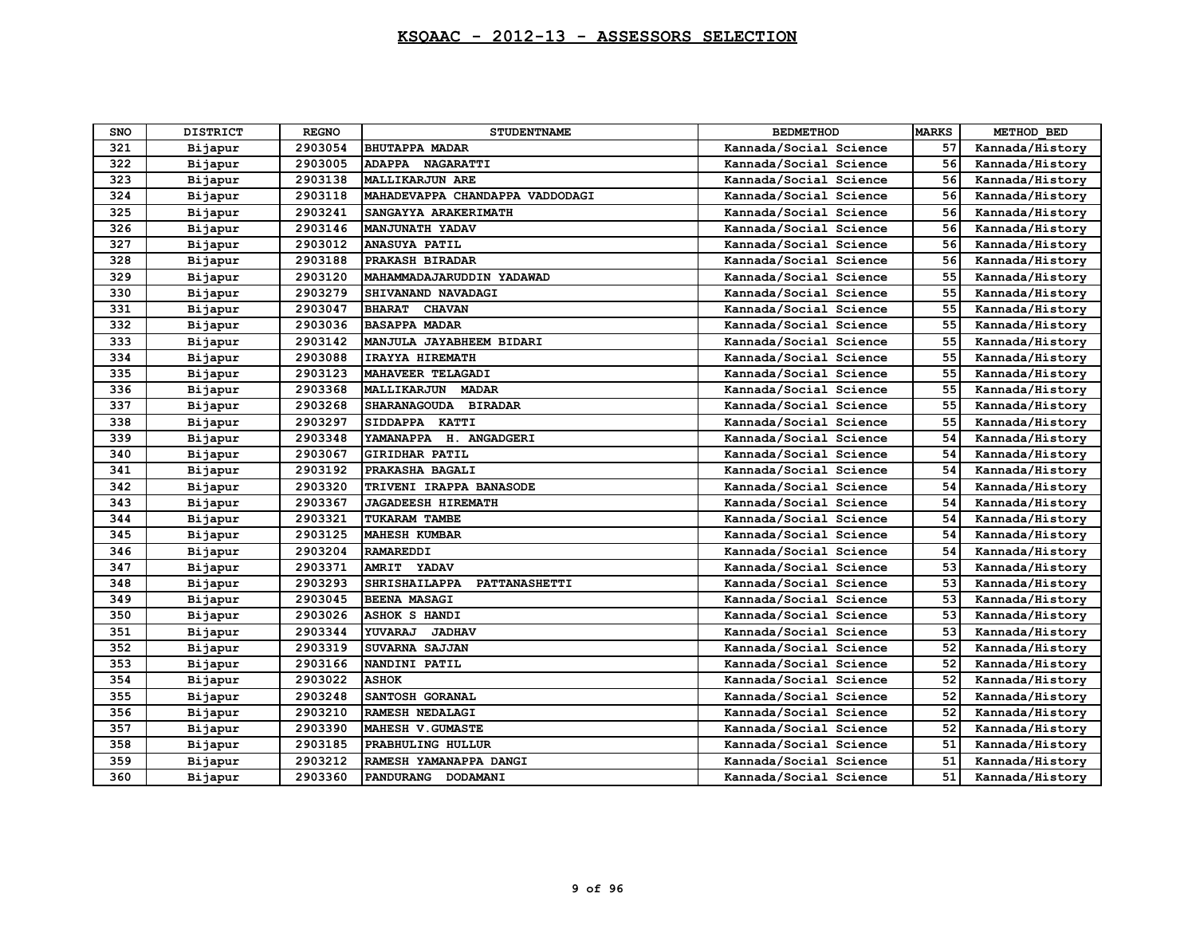| <b>SNO</b> | <b>DISTRICT</b> | <b>REGNO</b> | <b>STUDENTNAME</b>              | <b>BEDMETHOD</b>       | <b>MARKS</b> | METHOD BED      |
|------------|-----------------|--------------|---------------------------------|------------------------|--------------|-----------------|
| 321        | Bijapur         | 2903054      | <b>BHUTAPPA MADAR</b>           | Kannada/Social Science | 57           | Kannada/History |
| 322        | Bijapur         | 2903005      | ADAPPA NAGARATTI                | Kannada/Social Science | 56           | Kannada/History |
| 323        | Bijapur         | 2903138      | <b>MALLIKARJUN ARE</b>          | Kannada/Social Science | 56           | Kannada/History |
| 324        | Bijapur         | 2903118      | MAHADEVAPPA CHANDAPPA VADDODAGI | Kannada/Social Science | 56           | Kannada/History |
| 325        | Bijapur         | 2903241      | SANGAYYA ARAKERIMATH            | Kannada/Social Science | 56           | Kannada/History |
| 326        | Bijapur         | 2903146      | MANJUNATH YADAV                 | Kannada/Social Science | 56           | Kannada/History |
| 327        | Bijapur         | 2903012      | <b>ANASUYA PATIL</b>            | Kannada/Social Science | 56           | Kannada/History |
| 328        | Bijapur         | 2903188      | PRAKASH BIRADAR                 | Kannada/Social Science | 56           | Kannada/History |
| 329        | Bijapur         | 2903120      | MAHAMMADAJARUDDIN YADAWAD       | Kannada/Social Science | 55           | Kannada/History |
| 330        | Bijapur         | 2903279      | SHIVANAND NAVADAGI              | Kannada/Social Science | 55           | Kannada/History |
| 331        | Bijapur         | 2903047      | BHARAT CHAVAN                   | Kannada/Social Science | 55           | Kannada/History |
| 332        | Bijapur         | 2903036      | <b>BASAPPA MADAR</b>            | Kannada/Social Science | 55           | Kannada/History |
| 333        | Bijapur         | 2903142      | MANJULA JAYABHEEM BIDARI        | Kannada/Social Science | 55           | Kannada/History |
| 334        | Bijapur         | 2903088      | IRAYYA HIREMATH                 | Kannada/Social Science | 55           | Kannada/History |
| 335        | Bijapur         | 2903123      | MAHAVEER TELAGADI               | Kannada/Social Science | 55           | Kannada/History |
| 336        | Bijapur         | 2903368      | MALLIKARJUN<br><b>MADAR</b>     | Kannada/Social Science | 55           | Kannada/History |
| 337        | Bijapur         | 2903268      | SHARANAGOUDA BIRADAR            | Kannada/Social Science | 55           | Kannada/History |
| 338        | Bijapur         | 2903297      | SIDDAPPA KATTI                  | Kannada/Social Science | 55           | Kannada/History |
| 339        | Bijapur         | 2903348      | YAMANAPPA H. ANGADGERI          | Kannada/Social Science | 54           | Kannada/History |
| 340        | Bijapur         | 2903067      | <b>GIRIDHAR PATIL</b>           | Kannada/Social Science | 54           | Kannada/History |
| 341        | Bijapur         | 2903192      | PRAKASHA BAGALI                 | Kannada/Social Science | 54           | Kannada/History |
| 342        | Bijapur         | 2903320      | TRIVENI IRAPPA BANASODE         | Kannada/Social Science | 54           | Kannada/History |
| 343        | Bijapur         | 2903367      | <b>JAGADEESH HIREMATH</b>       | Kannada/Social Science | 54           | Kannada/History |
| 344        | Bijapur         | 2903321      | TUKARAM TAMBE                   | Kannada/Social Science | 54           | Kannada/History |
| 345        | Bijapur         | 2903125      | <b>MAHESH KUMBAR</b>            | Kannada/Social Science | 54           | Kannada/History |
| 346        | Bijapur         | 2903204      | <b>RAMAREDDI</b>                | Kannada/Social Science | 54           | Kannada/History |
| 347        | Bijapur         | 2903371      | <b>AMRIT</b><br>YADAV           | Kannada/Social Science | 53           | Kannada/History |
| 348        | Bijapur         | 2903293      | SHRISHAILAPPA<br>PATTANASHETTI  | Kannada/Social Science | 53           | Kannada/History |
| 349        | Bijapur         | 2903045      | <b>BEENA MASAGI</b>             | Kannada/Social Science | 53           | Kannada/History |
| 350        | Bijapur         | 2903026      | <b>ASHOK S HANDI</b>            | Kannada/Social Science | 53           | Kannada/History |
| 351        | Bijapur         | 2903344      | YUVARAJ<br><b>JADHAV</b>        | Kannada/Social Science | 53           | Kannada/History |
| 352        | Bijapur         | 2903319      | SUVARNA SAJJAN                  | Kannada/Social Science | 52           | Kannada/History |
| 353        | Bijapur         | 2903166      | NANDINI PATIL                   | Kannada/Social Science | 52           | Kannada/History |
| 354        | Bijapur         | 2903022      | <b>ASHOK</b>                    | Kannada/Social Science | 52           | Kannada/History |
| 355        | Bijapur         | 2903248      | SANTOSH GORANAL                 | Kannada/Social Science | 52           | Kannada/History |
| 356        | Bijapur         | 2903210      | RAMESH NEDALAGI                 | Kannada/Social Science | 52           | Kannada/History |
| 357        | Bijapur         | 2903390      | MAHESH V. GUMASTE               | Kannada/Social Science | 52           | Kannada/History |
| 358        | Bijapur         | 2903185      | PRABHULING HULLUR               | Kannada/Social Science | 51           | Kannada/History |
| 359        | Bijapur         | 2903212      | RAMESH YAMANAPPA DANGI          | Kannada/Social Science | 51           | Kannada/History |
| 360        | Bijapur         | 2903360      | PANDURANG DODAMANI              | Kannada/Social Science | 51           | Kannada/History |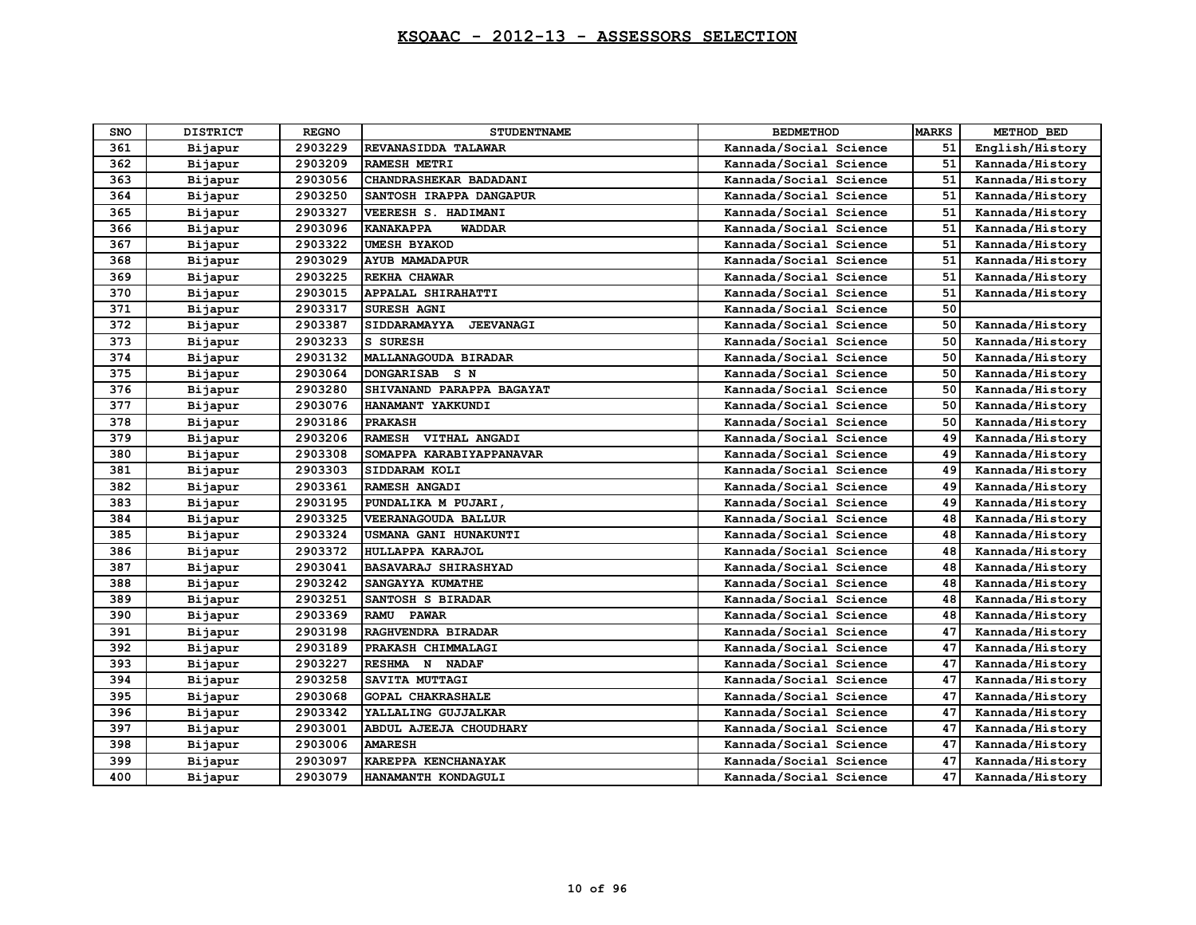| <b>SNO</b> | <b>DISTRICT</b> | <b>REGNO</b> | <b>STUDENTNAME</b>                | <b>BEDMETHOD</b>       | <b>MARKS</b> | METHOD BED      |
|------------|-----------------|--------------|-----------------------------------|------------------------|--------------|-----------------|
| 361        | Bijapur         | 2903229      | REVANASIDDA TALAWAR               | Kannada/Social Science | 51           | English/History |
| 362        | Bijapur         | 2903209      | <b>RAMESH METRI</b>               | Kannada/Social Science | 51           | Kannada/History |
| 363        | Bijapur         | 2903056      | CHANDRASHEKAR BADADANI            | Kannada/Social Science | 51           | Kannada/History |
| 364        | Bijapur         | 2903250      | SANTOSH IRAPPA DANGAPUR           | Kannada/Social Science | 51           | Kannada/History |
| 365        | Bijapur         | 2903327      | VEERESH S. HADIMANI               | Kannada/Social Science | 51           | Kannada/History |
| 366        | Bijapur         | 2903096      | <b>KANAKAPPA</b><br><b>WADDAR</b> | Kannada/Social Science | 51           | Kannada/History |
| 367        | Bijapur         | 2903322      | <b>UMESH BYAKOD</b>               | Kannada/Social Science | 51           | Kannada/History |
| 368        | Bijapur         | 2903029      | <b>AYUB MAMADAPUR</b>             | Kannada/Social Science | 51           | Kannada/History |
| 369        | Bijapur         | 2903225      | REKHA CHAWAR                      | Kannada/Social Science | 51           | Kannada/History |
| 370        | Bijapur         | 2903015      | APPALAL SHIRAHATTI                | Kannada/Social Science | 51           | Kannada/History |
| 371        | Bijapur         | 2903317      | <b>SURESH AGNI</b>                | Kannada/Social Science | 50           |                 |
| 372        | Bijapur         | 2903387      | SIDDARAMAYYA<br><b>JEEVANAGI</b>  | Kannada/Social Science | 50           | Kannada/History |
| 373        | Bijapur         | 2903233      | S SURESH                          | Kannada/Social Science | 50           | Kannada/History |
| 374        | Bijapur         | 2903132      | <b>MALLANAGOUDA BIRADAR</b>       | Kannada/Social Science | 50           | Kannada/History |
| 375        | Bijapur         | 2903064      | DONGARISAB S N                    | Kannada/Social Science | 50           | Kannada/History |
| 376        | Bijapur         | 2903280      | SHIVANAND PARAPPA BAGAYAT         | Kannada/Social Science | 50           | Kannada/History |
| 377        | Bijapur         | 2903076      | HANAMANT YAKKUNDI                 | Kannada/Social Science | 50           | Kannada/History |
| 378        | Bijapur         | 2903186      | <b>PRAKASH</b>                    | Kannada/Social Science | 50           | Kannada/History |
| 379        | Bijapur         | 2903206      | RAMESH VITHAL ANGADI              | Kannada/Social Science | 49           | Kannada/History |
| 380        | Bijapur         | 2903308      | SOMAPPA KARABIYAPPANAVAR          | Kannada/Social Science | 49           | Kannada/History |
| 381        | Bijapur         | 2903303      | SIDDARAM KOLI                     | Kannada/Social Science | 49           | Kannada/History |
| 382        | Bijapur         | 2903361      | RAMESH ANGADI                     | Kannada/Social Science | 49           | Kannada/History |
| 383        | Bijapur         | 2903195      | PUNDALIKA M PUJARI,               | Kannada/Social Science | 49           | Kannada/History |
| 384        | Bijapur         | 2903325      | VEERANAGOUDA BALLUR               | Kannada/Social Science | 48           | Kannada/History |
| 385        | Bijapur         | 2903324      | USMANA GANI HUNAKUNTI             | Kannada/Social Science | 48           | Kannada/History |
| 386        | Bijapur         | 2903372      | HULLAPPA KARAJOL                  | Kannada/Social Science | 48           | Kannada/History |
| 387        | Bijapur         | 2903041      | BASAVARAJ SHIRASHYAD              | Kannada/Social Science | 48           | Kannada/History |
| 388        | Bijapur         | 2903242      | SANGAYYA KUMATHE                  | Kannada/Social Science | 48           | Kannada/History |
| 389        | Bijapur         | 2903251      | SANTOSH S BIRADAR                 | Kannada/Social Science | 48           | Kannada/History |
| 390        | Bijapur         | 2903369      | <b>RAMU</b><br><b>PAWAR</b>       | Kannada/Social Science | 48           | Kannada/History |
| 391        | Bijapur         | 2903198      | RAGHVENDRA BIRADAR                | Kannada/Social Science | 47           | Kannada/History |
| 392        | Bijapur         | 2903189      | PRAKASH CHIMMALAGI                | Kannada/Social Science | 47           | Kannada/History |
| 393        | Bijapur         | 2903227      | RESHMA N NADAF                    | Kannada/Social Science | 47           | Kannada/History |
| 394        | Bijapur         | 2903258      | SAVITA MUTTAGI                    | Kannada/Social Science | 47           | Kannada/History |
| 395        | Bijapur         | 2903068      | <b>GOPAL CHAKRASHALE</b>          | Kannada/Social Science | 47           | Kannada/History |
| 396        | Bijapur         | 2903342      | YALLALING GUJJALKAR               | Kannada/Social Science | 47           | Kannada/History |
| 397        | Bijapur         | 2903001      | ABDUL AJEEJA CHOUDHARY            | Kannada/Social Science | 47           | Kannada/History |
| 398        | Bijapur         | 2903006      | <b>AMARESH</b>                    | Kannada/Social Science | 47           | Kannada/History |
| 399        | Bijapur         | 2903097      | KAREPPA KENCHANAYAK               | Kannada/Social Science | 47           | Kannada/History |
| 400        | Bijapur         | 2903079      | HANAMANTH KONDAGULI               | Kannada/Social Science | 47           | Kannada/History |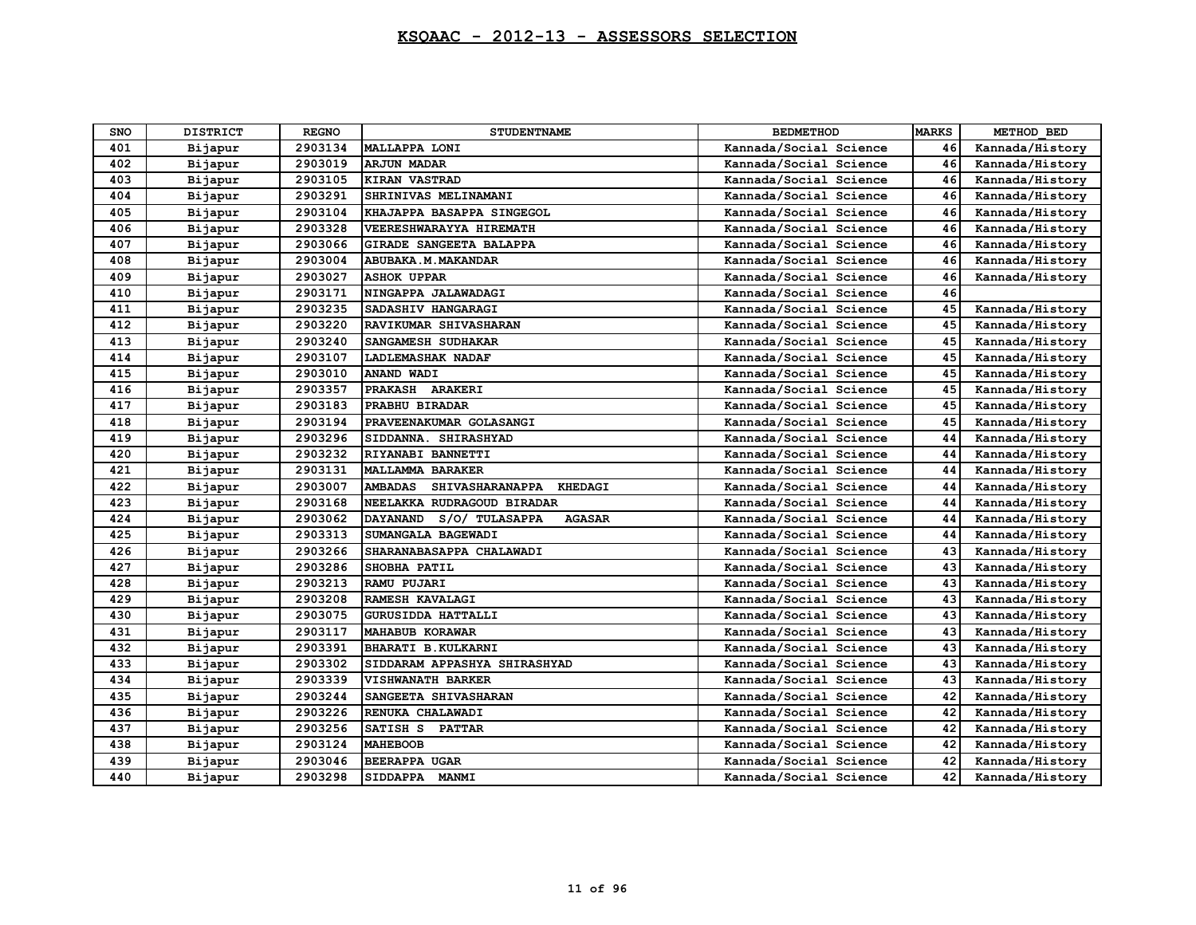| SNO | <b>DISTRICT</b> | <b>REGNO</b> | <b>STUDENTNAME</b>                                         | <b>BEDMETHOD</b>       | <b>MARKS</b> | METHOD BED      |
|-----|-----------------|--------------|------------------------------------------------------------|------------------------|--------------|-----------------|
| 401 | Bijapur         | 2903134      | MALLAPPA LONI                                              | Kannada/Social Science | 46           | Kannada/History |
| 402 | Bijapur         | 2903019      | <b>ARJUN MADAR</b>                                         | Kannada/Social Science | 46           | Kannada/History |
| 403 | Bijapur         | 2903105      | <b>KIRAN VASTRAD</b>                                       | Kannada/Social Science | 46           | Kannada/History |
| 404 | Bijapur         | 2903291      | SHRINIVAS MELINAMANI                                       | Kannada/Social Science | 46           | Kannada/History |
| 405 | Bijapur         | 2903104      | KHAJAPPA BASAPPA SINGEGOL                                  | Kannada/Social Science | 46           | Kannada/History |
| 406 | Bijapur         | 2903328      | VEERESHWARAYYA HIREMATH                                    | Kannada/Social Science | 46           | Kannada/History |
| 407 | Bijapur         | 2903066      | <b>GIRADE SANGEETA BALAPPA</b>                             | Kannada/Social Science | 46           | Kannada/History |
| 408 | Bijapur         | 2903004      | ABUBAKA.M. MAKANDAR                                        | Kannada/Social Science | 46           | Kannada/History |
| 409 | Bijapur         | 2903027      | <b>ASHOK UPPAR</b>                                         | Kannada/Social Science | 46           | Kannada/History |
| 410 | Bijapur         | 2903171      | NINGAPPA JALAWADAGI                                        | Kannada/Social Science | 46           |                 |
| 411 | Bijapur         | 2903235      | SADASHIV HANGARAGI                                         | Kannada/Social Science | 45           | Kannada/History |
| 412 | Bijapur         | 2903220      | RAVIKUMAR SHIVASHARAN                                      | Kannada/Social Science | 45           | Kannada/History |
| 413 | Bijapur         | 2903240      | SANGAMESH SUDHAKAR                                         | Kannada/Social Science | 45           | Kannada/History |
| 414 | Bijapur         | 2903107      | <b>LADLEMASHAK NADAF</b>                                   | Kannada/Social Science | 45           | Kannada/History |
| 415 | Bijapur         | 2903010      | ANAND WADI                                                 | Kannada/Social Science | 45           | Kannada/History |
| 416 | Bijapur         | 2903357      | PRAKASH ARAKERI                                            | Kannada/Social Science | 45           | Kannada/History |
| 417 | Bijapur         | 2903183      | PRABHU BIRADAR                                             | Kannada/Social Science | 45           | Kannada/History |
| 418 | Bijapur         | 2903194      | PRAVEENAKUMAR GOLASANGI                                    | Kannada/Social Science | 45           | Kannada/History |
| 419 | Bijapur         | 2903296      | SIDDANNA. SHIRASHYAD                                       | Kannada/Social Science | 44           | Kannada/History |
| 420 | Bijapur         | 2903232      | RIYANABI BANNETTI                                          | Kannada/Social Science | 44           | Kannada/History |
| 421 | Bijapur         | 2903131      | <b>MALLAMMA BARAKER</b>                                    | Kannada/Social Science | 44           | Kannada/History |
| 422 | Bijapur         | 2903007      | <b>AMBADAS</b><br><b>SHIVASHARANAPPA</b><br><b>KHEDAGI</b> | Kannada/Social Science | 44           | Kannada/History |
| 423 | Bijapur         | 2903168      | NEELAKKA RUDRAGOUD BIRADAR                                 | Kannada/Social Science | 44           | Kannada/History |
| 424 | Bijapur         | 2903062      | <b>AGASAR</b><br><b>DAYANAND</b><br>S/O/ TULASAPPA         | Kannada/Social Science | 44           | Kannada/History |
| 425 | Bijapur         | 2903313      | SUMANGALA BAGEWADI                                         | Kannada/Social Science | 44           | Kannada/History |
| 426 | Bijapur         | 2903266      | SHARANABASAPPA CHALAWADI                                   | Kannada/Social Science | 43           | Kannada/History |
| 427 | Bijapur         | 2903286      | SHOBHA PATIL                                               | Kannada/Social Science | 43           | Kannada/History |
| 428 | Bijapur         | 2903213      | <b>RAMU PUJARI</b>                                         | Kannada/Social Science | 43           | Kannada/History |
| 429 | Bijapur         | 2903208      | RAMESH KAVALAGI                                            | Kannada/Social Science | 43           | Kannada/History |
| 430 | Bijapur         | 2903075      | GURUSIDDA HATTALLI                                         | Kannada/Social Science | 43           | Kannada/History |
| 431 | Bijapur         | 2903117      | <b>MAHABUB KORAWAR</b>                                     | Kannada/Social Science | 43           | Kannada/History |
| 432 | Bijapur         | 2903391      | BHARATI B. KULKARNI                                        | Kannada/Social Science | 43           | Kannada/History |
| 433 | Bijapur         | 2903302      | SIDDARAM APPASHYA SHIRASHYAD                               | Kannada/Social Science | 43           | Kannada/History |
| 434 | Bijapur         | 2903339      | <b>VISHWANATH BARKER</b>                                   | Kannada/Social Science | 43           | Kannada/History |
| 435 | Bijapur         | 2903244      | SANGEETA SHIVASHARAN                                       | Kannada/Social Science | 42           | Kannada/History |
| 436 | Bijapur         | 2903226      | RENUKA CHALAWADI                                           | Kannada/Social Science | 42           | Kannada/History |
| 437 | Bijapur         | 2903256      | SATISH S PATTAR                                            | Kannada/Social Science | 42           | Kannada/History |
| 438 | Bijapur         | 2903124      | <b>MAHEBOOB</b>                                            | Kannada/Social Science | 42           | Kannada/History |
| 439 | Bijapur         | 2903046      | <b>BEERAPPA UGAR</b>                                       | Kannada/Social Science | 42           | Kannada/History |
| 440 | Bijapur         | 2903298      | SIDDAPPA MANMI                                             | Kannada/Social Science | 42           | Kannada/History |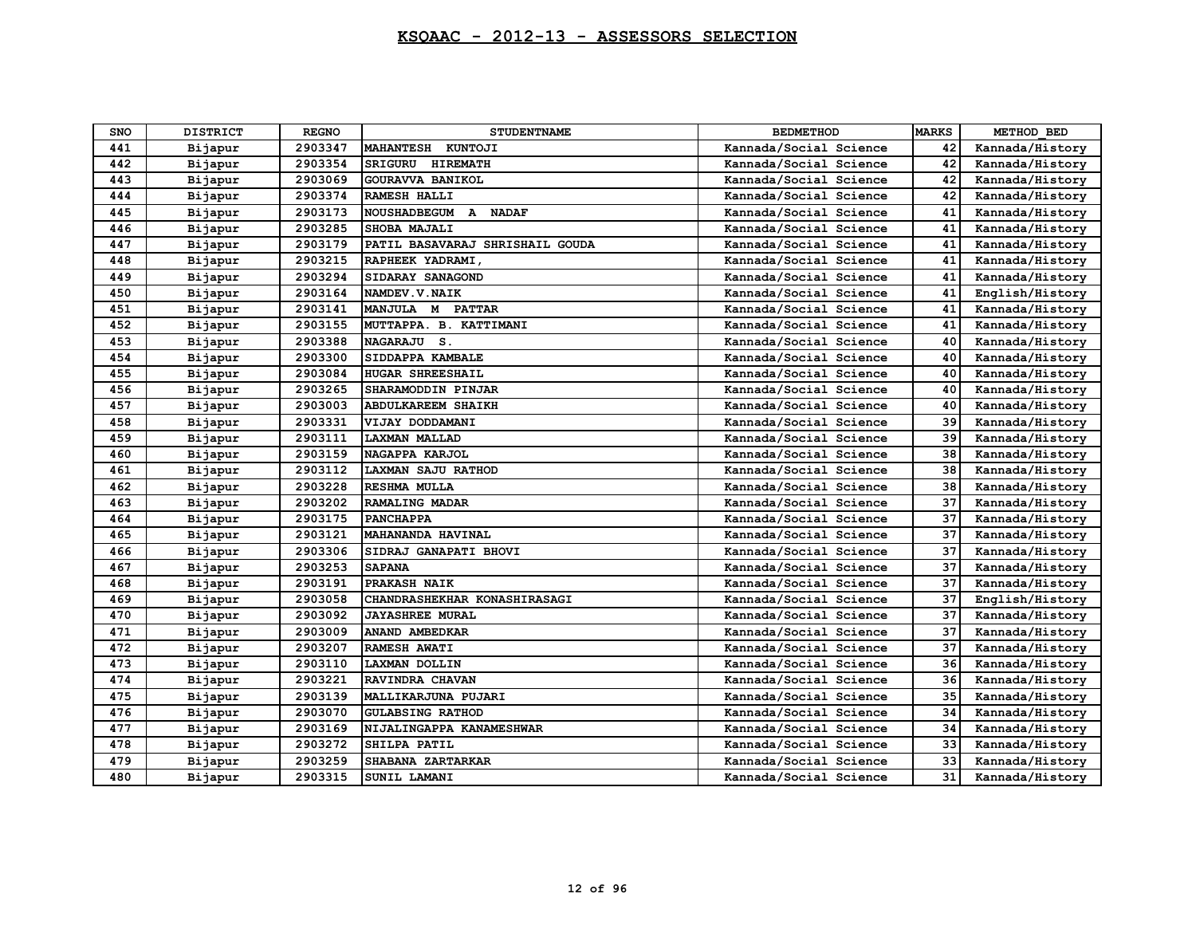| SNO | <b>DISTRICT</b> | <b>REGNO</b> | <b>STUDENTNAME</b>                | <b>BEDMETHOD</b>       | <b>MARKS</b> | METHOD BED      |
|-----|-----------------|--------------|-----------------------------------|------------------------|--------------|-----------------|
| 441 | Bijapur         | 2903347      | MAHANTESH KUNTOJI                 | Kannada/Social Science | 42           | Kannada/History |
| 442 | Bijapur         | 2903354      | <b>SRIGURU</b><br><b>HIREMATH</b> | Kannada/Social Science | 42           | Kannada/History |
| 443 | Bijapur         | 2903069      | GOURAVVA BANIKOL                  | Kannada/Social Science | 42           | Kannada/History |
| 444 | Bijapur         | 2903374      | RAMESH HALLI                      | Kannada/Social Science | 42           | Kannada/History |
| 445 | Bijapur         | 2903173      | <b>NOUSHADBEGUM</b><br>A NADAF    | Kannada/Social Science | 41           | Kannada/History |
| 446 | Bijapur         | 2903285      | SHOBA MAJALI                      | Kannada/Social Science | 41           | Kannada/History |
| 447 | Bijapur         | 2903179      | PATIL BASAVARAJ SHRISHAIL GOUDA   | Kannada/Social Science | 41           | Kannada/History |
| 448 | Bijapur         | 2903215      | RAPHEEK YADRAMI,                  | Kannada/Social Science | 41           | Kannada/History |
| 449 | Bijapur         | 2903294      | SIDARAY SANAGOND                  | Kannada/Social Science | 41           | Kannada/History |
| 450 | Bijapur         | 2903164      | NAMDEV.V.NAIK                     | Kannada/Social Science | 41           | English/History |
| 451 | Bijapur         | 2903141      | MANJULA M PATTAR                  | Kannada/Social Science | 41           | Kannada/History |
| 452 | Bijapur         | 2903155      | MUTTAPPA. B. KATTIMANI            | Kannada/Social Science | 41           | Kannada/History |
| 453 | Bijapur         | 2903388      | NAGARAJU S.                       | Kannada/Social Science | 40           | Kannada/History |
| 454 | Bijapur         | 2903300      | SIDDAPPA KAMBALE                  | Kannada/Social Science | 40           | Kannada/History |
| 455 | Bijapur         | 2903084      | <b>HUGAR SHREESHAIL</b>           | Kannada/Social Science | 40           | Kannada/History |
| 456 | Bijapur         | 2903265      | SHARAMODDIN PINJAR                | Kannada/Social Science | 40           | Kannada/History |
| 457 | Bijapur         | 2903003      | <b>ABDULKAREEM SHAIKH</b>         | Kannada/Social Science | 40           | Kannada/History |
| 458 | Bijapur         | 2903331      | VIJAY DODDAMANI                   | Kannada/Social Science | 39           | Kannada/History |
| 459 | Bijapur         | 2903111      | <b>LAXMAN MALLAD</b>              | Kannada/Social Science | 39           | Kannada/History |
| 460 | Bijapur         | 2903159      | NAGAPPA KARJOL                    | Kannada/Social Science | 38           | Kannada/History |
| 461 | Bijapur         | 2903112      | LAXMAN SAJU RATHOD                | Kannada/Social Science | 38           | Kannada/History |
| 462 | Bijapur         | 2903228      | RESHMA MULLA                      | Kannada/Social Science | 38           | Kannada/History |
| 463 | Bijapur         | 2903202      | <b>RAMALING MADAR</b>             | Kannada/Social Science | 37           | Kannada/History |
| 464 | Bijapur         | 2903175      | <b>PANCHAPPA</b>                  | Kannada/Social Science | 37           | Kannada/History |
| 465 | Bijapur         | 2903121      | MAHANANDA HAVINAL                 | Kannada/Social Science | 37           | Kannada/History |
| 466 | Bijapur         | 2903306      | SIDRAJ GANAPATI BHOVI             | Kannada/Social Science | 37           | Kannada/History |
| 467 | Bijapur         | 2903253      | <b>SAPANA</b>                     | Kannada/Social Science | 37           | Kannada/History |
| 468 | Bijapur         | 2903191      | PRAKASH NAIK                      | Kannada/Social Science | 37           | Kannada/History |
| 469 | Bijapur         | 2903058      | CHANDRASHEKHAR KONASHIRASAGI      | Kannada/Social Science | 37           | English/History |
| 470 | Bijapur         | 2903092      | <b>JAYASHREE MURAL</b>            | Kannada/Social Science | 37           | Kannada/History |
| 471 | Bijapur         | 2903009      | ANAND AMBEDKAR                    | Kannada/Social Science | 37           | Kannada/History |
| 472 | Bijapur         | 2903207      | RAMESH AWATI                      | Kannada/Social Science | 37           | Kannada/History |
| 473 | Bijapur         | 2903110      | LAXMAN DOLLIN                     | Kannada/Social Science | 36           | Kannada/History |
| 474 | Bijapur         | 2903221      | RAVINDRA CHAVAN                   | Kannada/Social Science | 36           | Kannada/History |
| 475 | Bijapur         | 2903139      | MALLIKARJUNA PUJARI               | Kannada/Social Science | 35           | Kannada/History |
| 476 | Bijapur         | 2903070      | <b>GULABSING RATHOD</b>           | Kannada/Social Science | 34           | Kannada/History |
| 477 | Bijapur         | 2903169      | NIJALINGAPPA KANAMESHWAR          | Kannada/Social Science | 34           | Kannada/History |
| 478 | Bijapur         | 2903272      | SHILPA PATIL                      | Kannada/Social Science | 33           | Kannada/History |
| 479 | Bijapur         | 2903259      | SHABANA ZARTARKAR                 | Kannada/Social Science | 33           | Kannada/History |
| 480 | Bijapur         | 2903315      | SUNIL LAMANI                      | Kannada/Social Science | 31           | Kannada/History |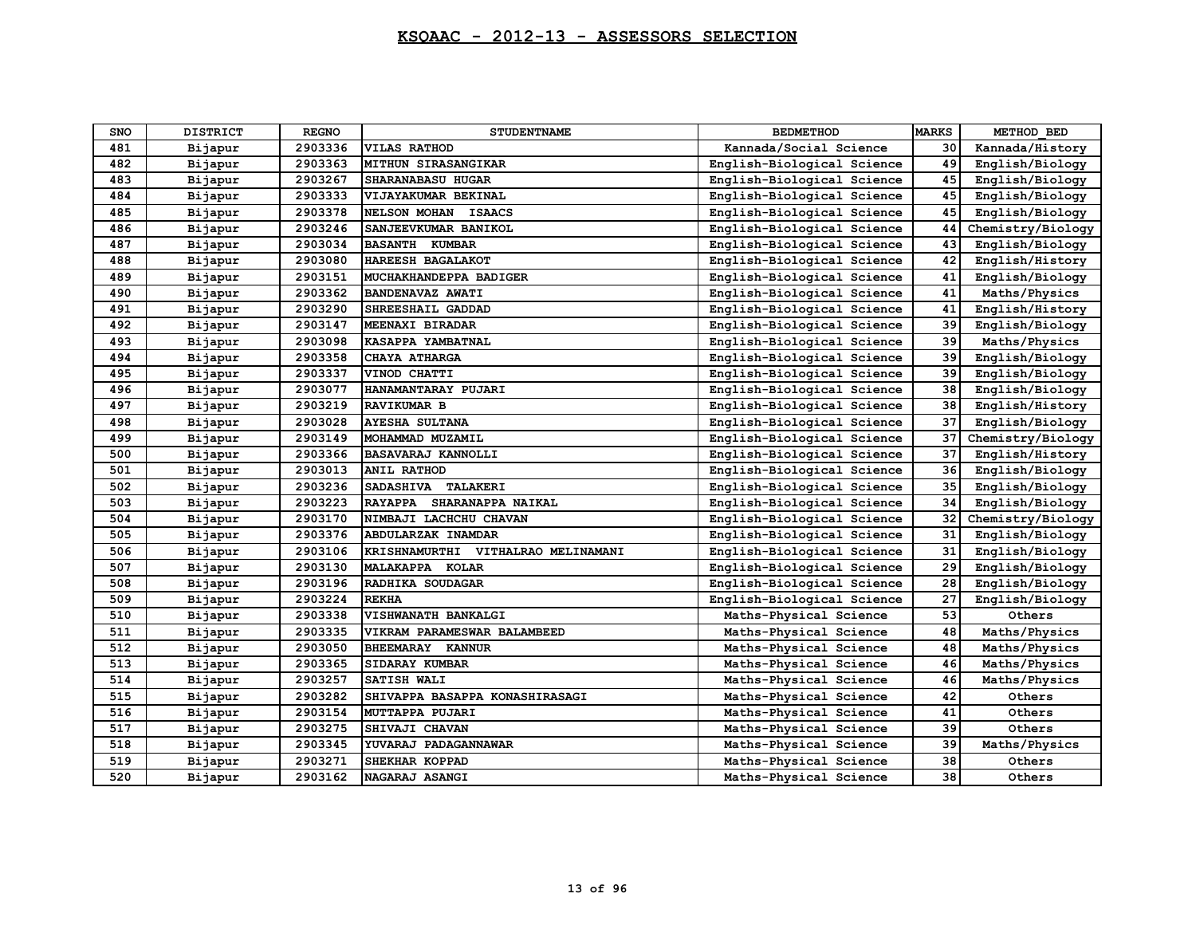| <b>SNO</b> | <b>DISTRICT</b> | <b>REGNO</b> | <b>STUDENTNAME</b>                 | <b>BEDMETHOD</b>           | <b>MARKS</b> | METHOD BED        |
|------------|-----------------|--------------|------------------------------------|----------------------------|--------------|-------------------|
| 481        | Bijapur         | 2903336      | <b>VILAS RATHOD</b>                | Kannada/Social Science     | 30           | Kannada/History   |
| 482        | Bijapur         | 2903363      | MITHUN SIRASANGIKAR                | English-Biological Science | 49           | English/Biology   |
| 483        | Bijapur         | 2903267      | SHARANABASU HUGAR                  | English-Biological Science | 45           | English/Biology   |
| 484        | Bijapur         | 2903333      | VIJAYAKUMAR BEKINAL                | English-Biological Science | 45           | English/Biology   |
| 485        | Bijapur         | 2903378      | NELSON MOHAN ISAACS                | English-Biological Science | 45           | English/Biology   |
| 486        | Bijapur         | 2903246      | SANJEEVKUMAR BANIKOL               | English-Biological Science | 44           | Chemistry/Biology |
| 487        | Bijapur         | 2903034      | <b>BASANTH KUMBAR</b>              | English-Biological Science | 43           | English/Biology   |
| 488        | Bijapur         | 2903080      | HAREESH BAGALAKOT                  | English-Biological Science | 42           | English/History   |
| 489        | Bijapur         | 2903151      | MUCHAKHANDEPPA BADIGER             | English-Biological Science | 41           | English/Biology   |
| 490        | Bijapur         | 2903362      | <b>BANDENAVAZ AWATI</b>            | English-Biological Science | 41           | Maths/Physics     |
| 491        | Bijapur         | 2903290      | SHREESHAIL GADDAD                  | English-Biological Science | 41           | English/History   |
| 492        | Bijapur         | 2903147      | MEENAXI BIRADAR                    | English-Biological Science | 39           | English/Biology   |
| 493        | Bijapur         | 2903098      | KASAPPA YAMBATNAL                  | English-Biological Science | 39           | Maths/Physics     |
| 494        | Bijapur         | 2903358      | CHAYA ATHARGA                      | English-Biological Science | 39           | English/Biology   |
| 495        | Bijapur         | 2903337      | VINOD CHATTI                       | English-Biological Science | 39           | English/Biology   |
| 496        | Bijapur         | 2903077      | HANAMANTARAY PUJARI                | English-Biological Science | 38           | English/Biology   |
| 497        | Bijapur         | 2903219      | RAVIKUMAR B                        | English-Biological Science | 38           | English/History   |
| 498        | Bijapur         | 2903028      | <b>AYESHA SULTANA</b>              | English-Biological Science | 37           | English/Biology   |
| 499        | Bijapur         | 2903149      | MOHAMMAD MUZAMIL                   | English-Biological Science | 37           | Chemistry/Biology |
| 500        | Bijapur         | 2903366      | <b>BASAVARAJ KANNOLLI</b>          | English-Biological Science | 37           | English/History   |
| 501        | Bijapur         | 2903013      | ANIL RATHOD                        | English-Biological Science | 36           | English/Biology   |
| 502        | Bijapur         | 2903236      | SADASHIVA TALAKERI                 | English-Biological Science | 35           | English/Biology   |
| 503        | Bijapur         | 2903223      | RAYAPPA SHARANAPPA NAIKAL          | English-Biological Science | 34           | English/Biology   |
| 504        | Bijapur         | 2903170      | NIMBAJI LACHCHU CHAVAN             | English-Biological Science | 32           | Chemistry/Biology |
| 505        | Bijapur         | 2903376      | ABDULARZAK INAMDAR                 | English-Biological Science | 31           | English/Biology   |
| 506        | Bijapur         | 2903106      | KRISHNAMURTHI VITHALRAO MELINAMANI | English-Biological Science | 31           | English/Biology   |
| 507        | Bijapur         | 2903130      | MALAKAPPA KOLAR                    | English-Biological Science | 29           | English/Biology   |
| 508        | Bijapur         | 2903196      | RADHIKA SOUDAGAR                   | English-Biological Science | 28           | English/Biology   |
| 509        | Bijapur         | 2903224      | <b>REKHA</b>                       | English-Biological Science | 27           | English/Biology   |
| 510        | Bijapur         | 2903338      | VISHWANATH BANKALGI                | Maths-Physical Science     | 53           | Others            |
| 511        | Bijapur         | 2903335      | VIKRAM PARAMESWAR BALAMBEED        | Maths-Physical Science     | 48           | Maths/Physics     |
| 512        | Bijapur         | 2903050      | BHEEMARAY KANNUR                   | Maths-Physical Science     | 48           | Maths/Physics     |
| 513        | Bijapur         | 2903365      | SIDARAY KUMBAR                     | Maths-Physical Science     | 46           | Maths/Physics     |
| 514        | Bijapur         | 2903257      | SATISH WALI                        | Maths-Physical Science     | 46           | Maths/Physics     |
| 515        | Bijapur         | 2903282      | SHIVAPPA BASAPPA KONASHIRASAGI     | Maths-Physical Science     | 42           | Others            |
| 516        | Bijapur         | 2903154      | MUTTAPPA PUJARI                    | Maths-Physical Science     | 41           | Others            |
| 517        | Bijapur         | 2903275      | SHIVAJI CHAVAN                     | Maths-Physical Science     | 39           | Others            |
| 518        | Bijapur         | 2903345      | YUVARAJ PADAGANNAWAR               | Maths-Physical Science     | 39           | Maths/Physics     |
| 519        | Bijapur         | 2903271      | SHEKHAR KOPPAD                     | Maths-Physical Science     | 38           | Others            |
| 520        | Bijapur         | 2903162      | NAGARAJ ASANGI                     | Maths-Physical Science     | 38           | Others            |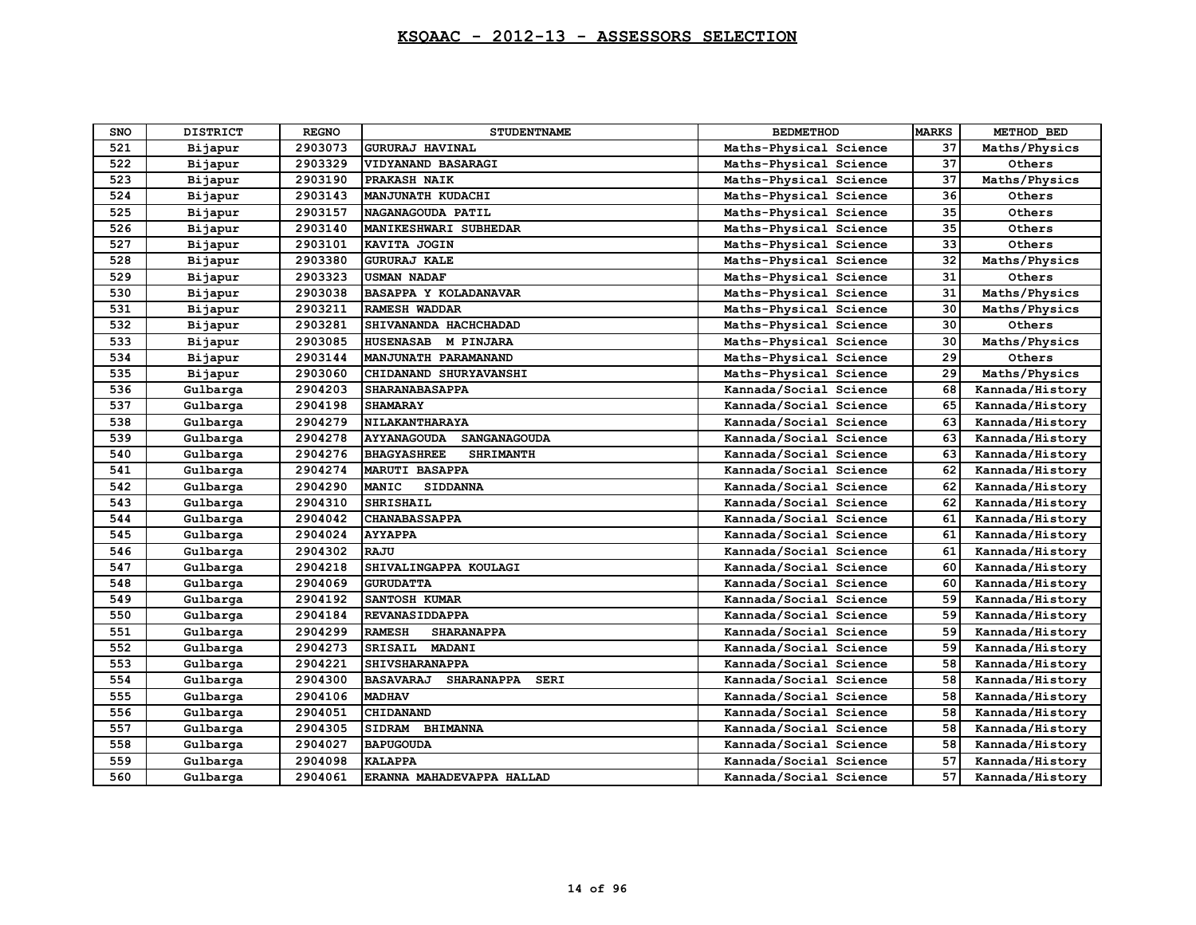| SNO | <b>DISTRICT</b> | <b>REGNO</b> | <b>STUDENTNAME</b>                            | <b>BEDMETHOD</b>       | <b>MARKS</b> | METHOD BED      |
|-----|-----------------|--------------|-----------------------------------------------|------------------------|--------------|-----------------|
| 521 | Bijapur         | 2903073      | <b>GURURAJ HAVINAL</b>                        | Maths-Physical Science | 37           | Maths/Physics   |
| 522 | Bijapur         | 2903329      | <b>VIDYANAND BASARAGI</b>                     | Maths-Physical Science | 37           | Others          |
| 523 | Bijapur         | 2903190      | PRAKASH NAIK                                  | Maths-Physical Science | 37           | Maths/Physics   |
| 524 | Bijapur         | 2903143      | MANJUNATH KUDACHI                             | Maths-Physical Science | 36           | Others          |
| 525 | Bijapur         | 2903157      | NAGANAGOUDA PATIL                             | Maths-Physical Science | 35           | Others          |
| 526 | Bijapur         | 2903140      | MANIKESHWARI SUBHEDAR                         | Maths-Physical Science | 35           | Others          |
| 527 | Bijapur         | 2903101      | KAVITA JOGIN                                  | Maths-Physical Science | 33           | Others          |
| 528 | Bijapur         | 2903380      | <b>GURURAJ KALE</b>                           | Maths-Physical Science | 32           | Maths/Physics   |
| 529 | Bijapur         | 2903323      | <b>USMAN NADAF</b>                            | Maths-Physical Science | 31           | Others          |
| 530 | Bijapur         | 2903038      | BASAPPA Y KOLADANAVAR                         | Maths-Physical Science | 31           | Maths/Physics   |
| 531 | Bijapur         | 2903211      | <b>RAMESH WADDAR</b>                          | Maths-Physical Science | 30           | Maths/Physics   |
| 532 | Bijapur         | 2903281      | SHIVANANDA HACHCHADAD                         | Maths-Physical Science | 30           | Others          |
| 533 | Bijapur         | 2903085      | HUSENASAB M PINJARA                           | Maths-Physical Science | 30           | Maths/Physics   |
| 534 | Bijapur         | 2903144      | MANJUNATH PARAMANAND                          | Maths-Physical Science | 29           | Others          |
| 535 | Bijapur         | 2903060      | CHIDANAND SHURYAVANSHI                        | Maths-Physical Science | 29           | Maths/Physics   |
| 536 | Gulbarga        | 2904203      | SHARANABASAPPA                                | Kannada/Social Science | 68           | Kannada/History |
| 537 | Gulbarga        | 2904198      | <b>SHAMARAY</b>                               | Kannada/Social Science | 65           | Kannada/History |
| 538 | Gulbarga        | 2904279      | NILAKANTHARAYA                                | Kannada/Social Science | 63           | Kannada/History |
| 539 | Gulbarga        | 2904278      | AYYANAGOUDA SANGANAGOUDA                      | Kannada/Social Science | 63           | Kannada/History |
| 540 | Gulbarga        | 2904276      | <b>BHAGYASHREE</b><br><b>SHRIMANTH</b>        | Kannada/Social Science | 63           | Kannada/History |
| 541 | Gulbarga        | 2904274      | <b>MARUTI BASAPPA</b>                         | Kannada/Social Science | 62           | Kannada/History |
| 542 | Gulbarga        | 2904290      | <b>MANIC</b><br><b>SIDDANNA</b>               | Kannada/Social Science | 62           | Kannada/History |
| 543 | Gulbarga        | 2904310      | <b>SHRISHAIL</b>                              | Kannada/Social Science | 62           | Kannada/History |
| 544 | Gulbarga        | 2904042      | <b>CHANABASSAPPA</b>                          | Kannada/Social Science | 61           | Kannada/History |
| 545 | Gulbarga        | 2904024      | <b>AYYAPPA</b>                                | Kannada/Social Science | 61           | Kannada/History |
| 546 | Gulbarga        | 2904302      | RAJU                                          | Kannada/Social Science | 61           | Kannada/History |
| 547 | Gulbarga        | 2904218      | SHIVALINGAPPA KOULAGI                         | Kannada/Social Science | 60           | Kannada/History |
| 548 | Gulbarga        | 2904069      | <b>GURUDATTA</b>                              | Kannada/Social Science | 60           | Kannada/History |
| 549 | Gulbarga        | 2904192      | <b>SANTOSH KUMAR</b>                          | Kannada/Social Science | 59           | Kannada/History |
| 550 | Gulbarga        | 2904184      | <b>REVANASIDDAPPA</b>                         | Kannada/Social Science | 59           | Kannada/History |
| 551 | Gulbarga        | 2904299      | <b>RAMESH</b><br><b>SHARANAPPA</b>            | Kannada/Social Science | 59           | Kannada/History |
| 552 | Gulbarga        | 2904273      | SRISAIL MADANI                                | Kannada/Social Science | 59           | Kannada/History |
| 553 | Gulbarga        | 2904221      | <b>SHIVSHARANAPPA</b>                         | Kannada/Social Science | 58           | Kannada/History |
| 554 | Gulbarga        | 2904300      | <b>BASAVARAJ</b><br><b>SHARANAPPA</b><br>SERI | Kannada/Social Science | 58           | Kannada/History |
| 555 | Gulbarga        | 2904106      | <b>MADHAV</b>                                 | Kannada/Social Science | 58           | Kannada/History |
| 556 | Gulbarga        | 2904051      | <b>CHIDANAND</b>                              | Kannada/Social Science | 58           | Kannada/History |
| 557 | Gulbarga        | 2904305      | SIDRAM BHIMANNA                               | Kannada/Social Science | 58           | Kannada/History |
| 558 | Gulbarga        | 2904027      | <b>BAPUGOUDA</b>                              | Kannada/Social Science | 58           | Kannada/History |
| 559 | Gulbarga        | 2904098      | <b>KALAPPA</b>                                | Kannada/Social Science | 57           | Kannada/History |
| 560 | Gulbarga        | 2904061      | ERANNA MAHADEVAPPA HALLAD                     | Kannada/Social Science | 57           | Kannada/History |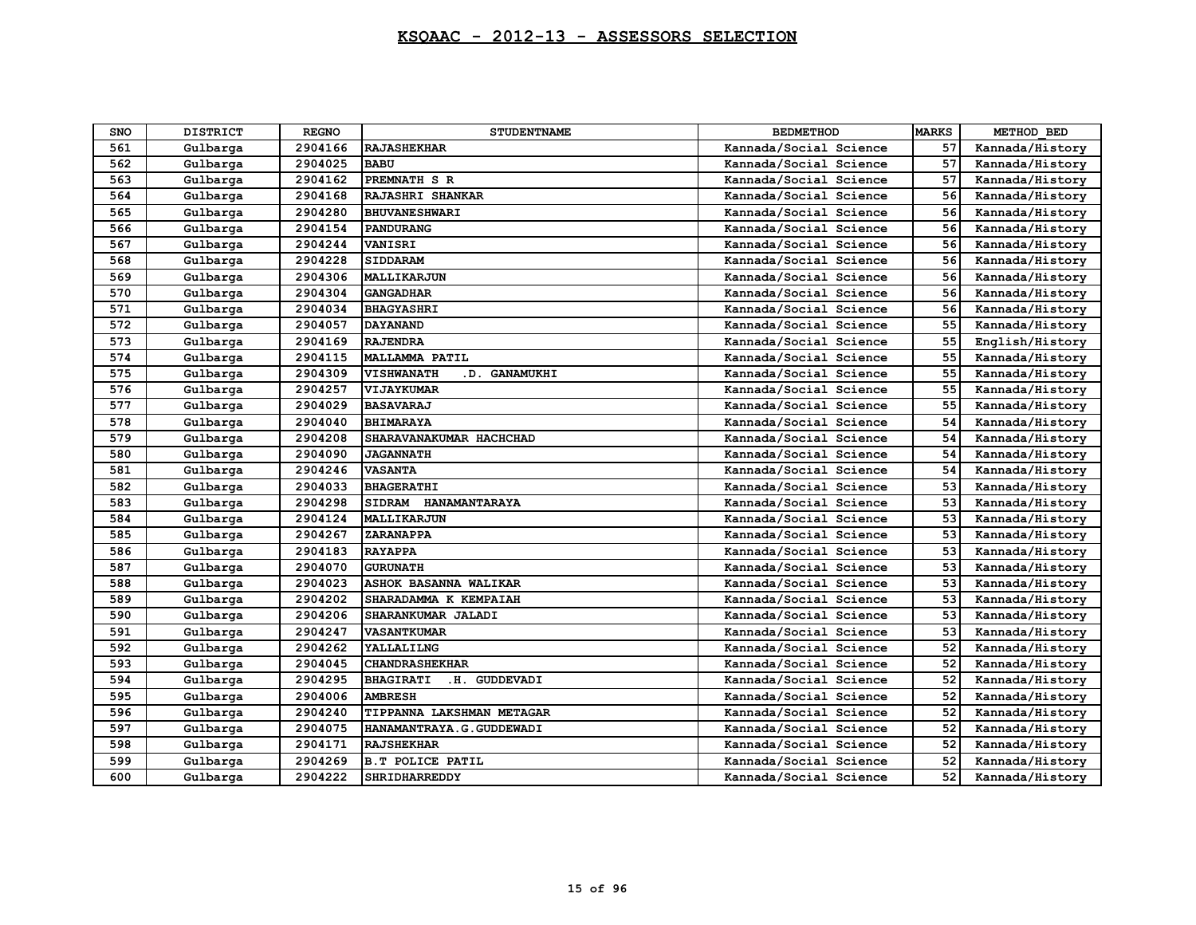| SNO | <b>DISTRICT</b> | <b>REGNO</b> | <b>STUDENTNAME</b>                | <b>BEDMETHOD</b>       | <b>MARKS</b> | METHOD BED      |
|-----|-----------------|--------------|-----------------------------------|------------------------|--------------|-----------------|
| 561 | Gulbarga        | 2904166      | <b>RAJASHEKHAR</b>                | Kannada/Social Science | 57           | Kannada/History |
| 562 | Gulbarga        | 2904025      | <b>BABU</b>                       | Kannada/Social Science | 57           | Kannada/History |
| 563 | Gulbarga        | 2904162      | PREMNATH S R                      | Kannada/Social Science | 57           | Kannada/History |
| 564 | Gulbarga        | 2904168      | RAJASHRI SHANKAR                  | Kannada/Social Science | 56           | Kannada/History |
| 565 | Gulbarga        | 2904280      | <b>BHUVANESHWARI</b>              | Kannada/Social Science | 56           | Kannada/History |
| 566 | Gulbarga        | 2904154      | PANDURANG                         | Kannada/Social Science | 56           | Kannada/History |
| 567 | Gulbarga        | 2904244      | VANISRI                           | Kannada/Social Science | 56           | Kannada/History |
| 568 | Gulbarga        | 2904228      | <b>SIDDARAM</b>                   | Kannada/Social Science | 56           | Kannada/History |
| 569 | Gulbarga        | 2904306      | <b>MALLIKARJUN</b>                | Kannada/Social Science | 56           | Kannada/History |
| 570 | Gulbarga        | 2904304      | <b>GANGADHAR</b>                  | Kannada/Social Science | 56           | Kannada/History |
| 571 | Gulbarga        | 2904034      | <b>BHAGYASHRI</b>                 | Kannada/Social Science | 56           | Kannada/History |
| 572 | Gulbarga        | 2904057      | <b>DAYANAND</b>                   | Kannada/Social Science | 55           | Kannada/History |
| 573 | Gulbarga        | 2904169      | <b>RAJENDRA</b>                   | Kannada/Social Science | 55           | English/History |
| 574 | Gulbarga        | 2904115      | MALLAMMA PATIL                    | Kannada/Social Science | 55           | Kannada/History |
| 575 | Gulbarga        | 2904309      | VISHWANATH<br>.D. GANAMUKHI       | Kannada/Social Science | 55           | Kannada/History |
| 576 | Gulbarga        | 2904257      | VIJAYKUMAR                        | Kannada/Social Science | 55           | Kannada/History |
| 577 | Gulbarga        | 2904029      | <b>BASAVARAJ</b>                  | Kannada/Social Science | 55           | Kannada/History |
| 578 | Gulbarga        | 2904040      | <b>BHIMARAYA</b>                  | Kannada/Social Science | 54           | Kannada/History |
| 579 | Gulbarga        | 2904208      | SHARAVANAKUMAR HACHCHAD           | Kannada/Social Science | 54           | Kannada/History |
| 580 | Gulbarga        | 2904090      | <b>JAGANNATH</b>                  | Kannada/Social Science | 54           | Kannada/History |
| 581 | Gulbarga        | 2904246      | <b>VASANTA</b>                    | Kannada/Social Science | 54           | Kannada/History |
| 582 | Gulbarga        | 2904033      | <b>BHAGERATHI</b>                 | Kannada/Social Science | 53           | Kannada/History |
| 583 | Gulbarga        | 2904298      | SIDRAM HANAMANTARAYA              | Kannada/Social Science | 53           | Kannada/History |
| 584 | Gulbarga        | 2904124      | MALLIKARJUN                       | Kannada/Social Science | 53           | Kannada/History |
| 585 | Gulbarga        | 2904267      | ZARANAPPA                         | Kannada/Social Science | 53           | Kannada/History |
| 586 | Gulbarga        | 2904183      | <b>RAYAPPA</b>                    | Kannada/Social Science | 53           | Kannada/History |
| 587 | Gulbarga        | 2904070      | <b>GURUNATH</b>                   | Kannada/Social Science | 53           | Kannada/History |
| 588 | Gulbarga        | 2904023      | ASHOK BASANNA WALIKAR             | Kannada/Social Science | 53           | Kannada/History |
| 589 | Gulbarga        | 2904202      | SHARADAMMA K KEMPAIAH             | Kannada/Social Science | 53           | Kannada/History |
| 590 | Gulbarga        | 2904206      | SHARANKUMAR JALADI                | Kannada/Social Science | 53           | Kannada/History |
| 591 | Gulbarga        | 2904247      | <b>VASANTKUMAR</b>                | Kannada/Social Science | 53           | Kannada/History |
| 592 | Gulbarga        | 2904262      | YALLALILNG                        | Kannada/Social Science | 52           | Kannada/History |
| 593 | Gulbarga        | 2904045      | <b>CHANDRASHEKHAR</b>             | Kannada/Social Science | 52           | Kannada/History |
| 594 | Gulbarga        | 2904295      | <b>BHAGIRATI</b><br>.H. GUDDEVADI | Kannada/Social Science | 52           | Kannada/History |
| 595 | Gulbarga        | 2904006      | <b>AMBRESH</b>                    | Kannada/Social Science | 52           | Kannada/History |
| 596 | Gulbarga        | 2904240      | TIPPANNA LAKSHMAN METAGAR         | Kannada/Social Science | 52           | Kannada/History |
| 597 | Gulbarga        | 2904075      | HANAMANTRAYA.G.GUDDEWADI          | Kannada/Social Science | 52           | Kannada/History |
| 598 | Gulbarga        | 2904171      | <b>RAJSHEKHAR</b>                 | Kannada/Social Science | 52           | Kannada/History |
| 599 | Gulbarga        | 2904269      | <b>B.T POLICE PATIL</b>           | Kannada/Social Science | 52           | Kannada/History |
| 600 | Gulbarga        | 2904222      | SHRIDHARREDDY                     | Kannada/Social Science | 52           | Kannada/History |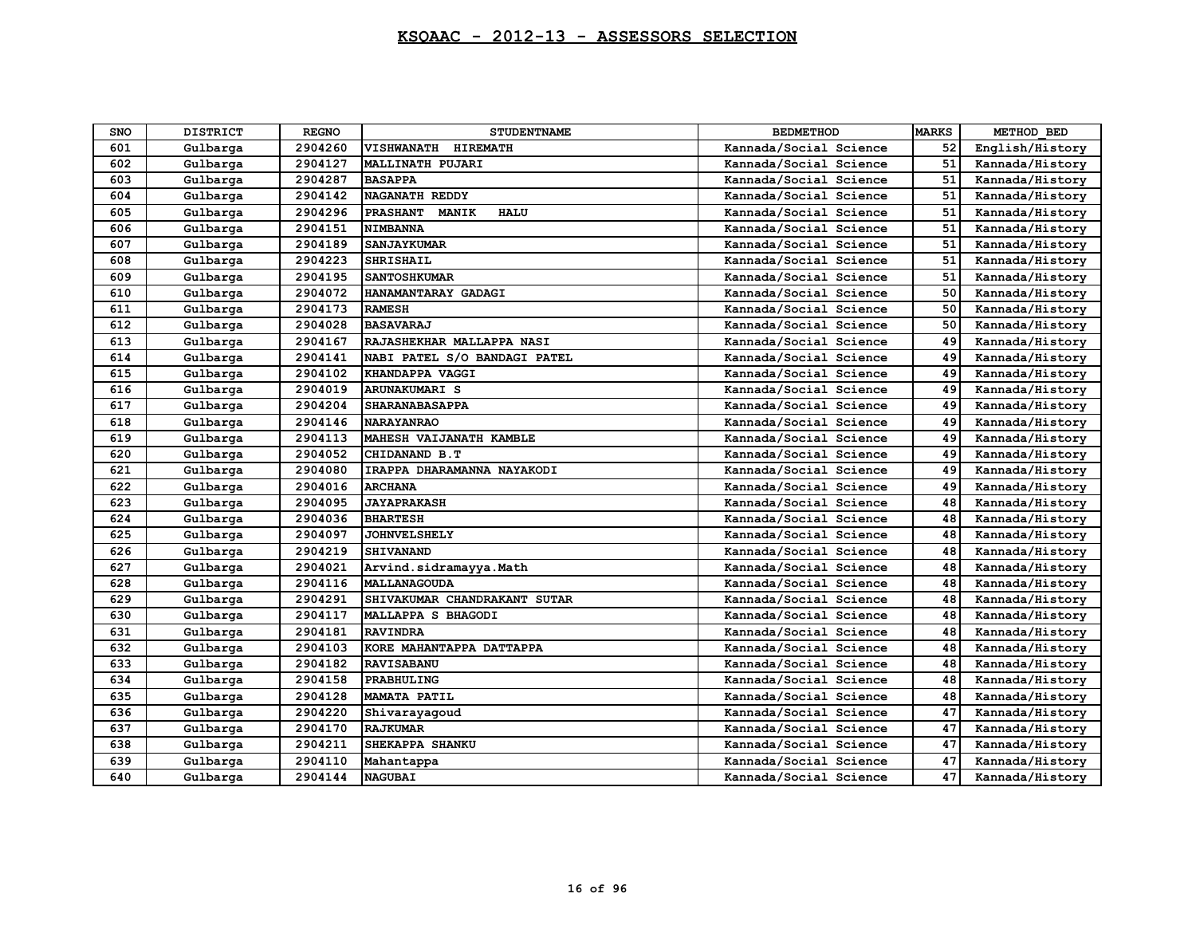| SNO | <b>DISTRICT</b> | <b>REGNO</b> | <b>STUDENTNAME</b>                      | <b>BEDMETHOD</b>       | <b>MARKS</b> | METHOD BED      |
|-----|-----------------|--------------|-----------------------------------------|------------------------|--------------|-----------------|
| 601 | Gulbarga        | 2904260      | <b>HIREMATH</b><br><b>VISHWANATH</b>    | Kannada/Social Science | 52           | English/History |
| 602 | Gulbarga        | 2904127      | MALLINATH PUJARI                        | Kannada/Social Science | 51           | Kannada/History |
| 603 | Gulbarga        | 2904287      | <b>BASAPPA</b>                          | Kannada/Social Science | 51           | Kannada/History |
| 604 | Gulbarga        | 2904142      | NAGANATH REDDY                          | Kannada/Social Science | 51           | Kannada/History |
| 605 | Gulbarga        | 2904296      | <b>PRASHANT</b><br>MANIK<br><b>HALU</b> | Kannada/Social Science | 51           | Kannada/History |
| 606 | Gulbarga        | 2904151      | <b>NIMBANNA</b>                         | Kannada/Social Science | 51           | Kannada/History |
| 607 | Gulbarga        | 2904189      | <b>SANJAYKUMAR</b>                      | Kannada/Social Science | 51           | Kannada/History |
| 608 | Gulbarga        | 2904223      | <b>SHRISHAIL</b>                        | Kannada/Social Science | 51           | Kannada/History |
| 609 | Gulbarga        | 2904195      | <b>SANTOSHKUMAR</b>                     | Kannada/Social Science | 51           | Kannada/History |
| 610 | Gulbarga        | 2904072      | HANAMANTARAY GADAGI                     | Kannada/Social Science | 50           | Kannada/History |
| 611 | Gulbarga        | 2904173      | <b>RAMESH</b>                           | Kannada/Social Science | 50           | Kannada/History |
| 612 | Gulbarga        | 2904028      | <b>BASAVARAJ</b>                        | Kannada/Social Science | 50           | Kannada/History |
| 613 | Gulbarga        | 2904167      | RAJASHEKHAR MALLAPPA NASI               | Kannada/Social Science | 49           | Kannada/History |
| 614 | Gulbarga        | 2904141      | NABI PATEL S/O BANDAGI PATEL            | Kannada/Social Science | 49           | Kannada/History |
| 615 | Gulbarga        | 2904102      | KHANDAPPA VAGGI                         | Kannada/Social Science | 49           | Kannada/History |
| 616 | Gulbarga        | 2904019      | <b>ARUNAKUMARI S</b>                    | Kannada/Social Science | 49           | Kannada/History |
| 617 | Gulbarga        | 2904204      | <b>SHARANABASAPPA</b>                   | Kannada/Social Science | 49           | Kannada/History |
| 618 | Gulbarga        | 2904146      | <b>NARAYANRAO</b>                       | Kannada/Social Science | 49           | Kannada/History |
| 619 | Gulbarga        | 2904113      | MAHESH VAIJANATH KAMBLE                 | Kannada/Social Science | 49           | Kannada/History |
| 620 | Gulbarga        | 2904052      | CHIDANAND B.T                           | Kannada/Social Science | 49           | Kannada/History |
| 621 | Gulbarga        | 2904080      | IRAPPA DHARAMANNA NAYAKODI              | Kannada/Social Science | 49           | Kannada/History |
| 622 | Gulbarga        | 2904016      | <b>ARCHANA</b>                          | Kannada/Social Science | 49           | Kannada/History |
| 623 | Gulbarga        | 2904095      | <b>JAYAPRAKASH</b>                      | Kannada/Social Science | 48           | Kannada/History |
| 624 | Gulbarga        | 2904036      | <b>BHARTESH</b>                         | Kannada/Social Science | 48           | Kannada/History |
| 625 | Gulbarga        | 2904097      | <b>JOHNVELSHELY</b>                     | Kannada/Social Science | 48           | Kannada/History |
| 626 | Gulbarga        | 2904219      | <b>SHIVANAND</b>                        | Kannada/Social Science | 48           | Kannada/History |
| 627 | Gulbarga        | 2904021      | Arvind.sidramayya.Math                  | Kannada/Social Science | 48           | Kannada/History |
| 628 | Gulbarga        | 2904116      | <b>MALLANAGOUDA</b>                     | Kannada/Social Science | 48           | Kannada/History |
| 629 | Gulbarga        | 2904291      | SHIVAKUMAR CHANDRAKANT SUTAR            | Kannada/Social Science | 48           | Kannada/History |
| 630 | Gulbarga        | 2904117      | MALLAPPA S BHAGODI                      | Kannada/Social Science | 48           | Kannada/History |
| 631 | Gulbarga        | 2904181      | <b>RAVINDRA</b>                         | Kannada/Social Science | 48           | Kannada/History |
| 632 | Gulbarga        | 2904103      | KORE MAHANTAPPA DATTAPPA                | Kannada/Social Science | 48           | Kannada/History |
| 633 | Gulbarga        | 2904182      | <b>RAVISABANU</b>                       | Kannada/Social Science | 48           | Kannada/History |
| 634 | Gulbarga        | 2904158      | PRABHULING                              | Kannada/Social Science | 48           | Kannada/History |
| 635 | Gulbarga        | 2904128      | MAMATA PATIL                            | Kannada/Social Science | 48           | Kannada/History |
| 636 | Gulbarga        | 2904220      | Shivarayagoud                           | Kannada/Social Science | 47           | Kannada/History |
| 637 | Gulbarga        | 2904170      | <b>RAJKUMAR</b>                         | Kannada/Social Science | 47           | Kannada/History |
| 638 | Gulbarga        | 2904211      | <b>SHEKAPPA SHANKU</b>                  | Kannada/Social Science | 47           | Kannada/History |
| 639 | Gulbarga        | 2904110      | Mahantappa                              | Kannada/Social Science | 47           | Kannada/History |
| 640 | Gulbarga        | 2904144      | <b>NAGUBAI</b>                          | Kannada/Social Science | 47           | Kannada/History |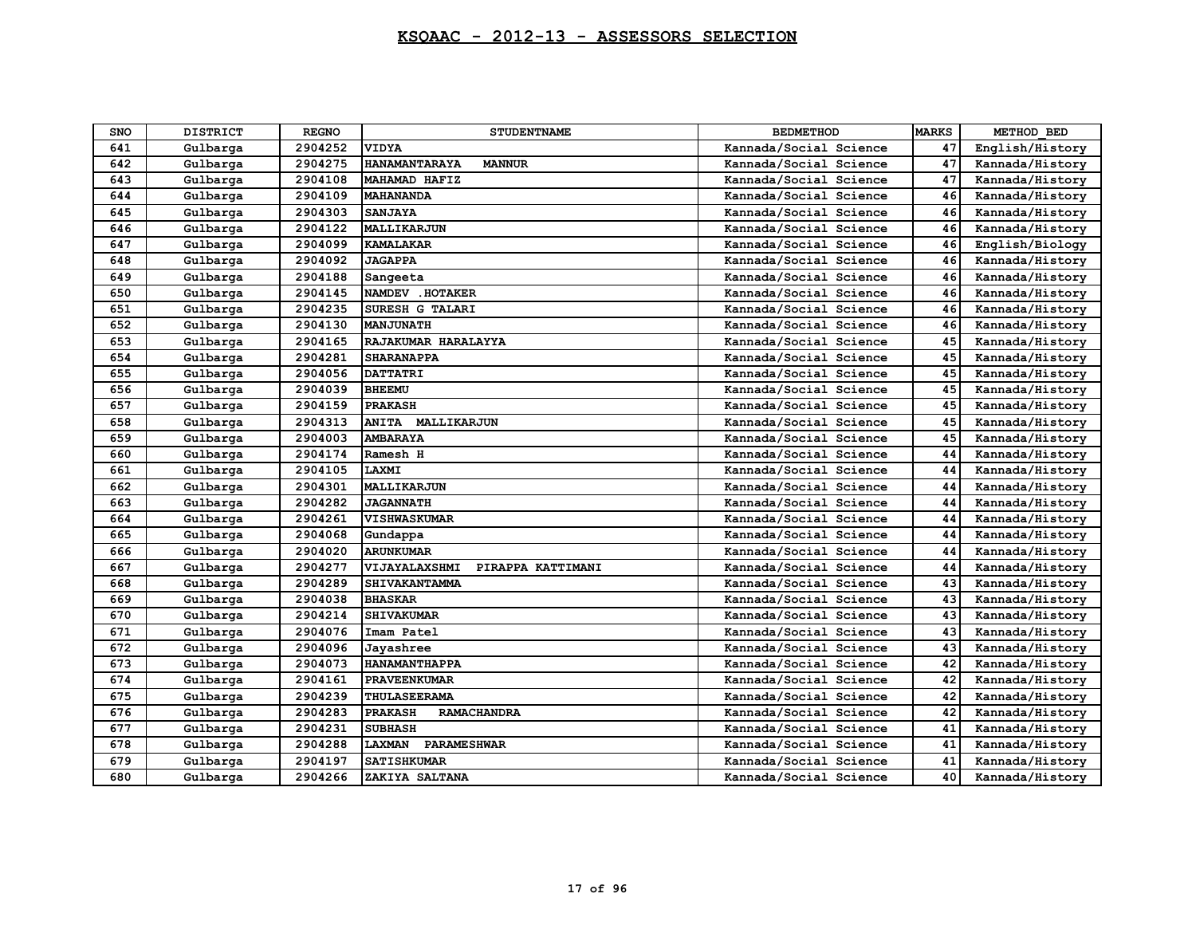| SNO | <b>DISTRICT</b> | <b>REGNO</b> | <b>STUDENTNAME</b>                    | <b>BEDMETHOD</b>       | <b>MARKS</b> | METHOD BED      |
|-----|-----------------|--------------|---------------------------------------|------------------------|--------------|-----------------|
| 641 | Gulbarga        | 2904252      | <b>VIDYA</b>                          | Kannada/Social Science | 47           | English/History |
| 642 | Gulbarga        | 2904275      | <b>HANAMANTARAYA</b><br><b>MANNUR</b> | Kannada/Social Science | 47           | Kannada/History |
| 643 | Gulbarga        | 2904108      | MAHAMAD HAFIZ                         | Kannada/Social Science | 47           | Kannada/History |
| 644 | Gulbarga        | 2904109      | <b>MAHANANDA</b>                      | Kannada/Social Science | 46           | Kannada/History |
| 645 | Gulbarga        | 2904303      | <b>SANJAYA</b>                        | Kannada/Social Science | 46           | Kannada/History |
| 646 | Gulbarga        | 2904122      | <b>MALLIKARJUN</b>                    | Kannada/Social Science | 46           | Kannada/History |
| 647 | Gulbarga        | 2904099      | <b>KAMALAKAR</b>                      | Kannada/Social Science | 46           | English/Biology |
| 648 | Gulbarga        | 2904092      | <b>JAGAPPA</b>                        | Kannada/Social Science | 46           | Kannada/History |
| 649 | Gulbarga        | 2904188      | Sangeeta                              | Kannada/Social Science | 46           | Kannada/History |
| 650 | Gulbarga        | 2904145      | NAMDEV . HOTAKER                      | Kannada/Social Science | 46           | Kannada/History |
| 651 | Gulbarga        | 2904235      | SURESH G TALARI                       | Kannada/Social Science | 46           | Kannada/History |
| 652 | Gulbarga        | 2904130      | <b>MANJUNATH</b>                      | Kannada/Social Science | 46           | Kannada/History |
| 653 | Gulbarga        | 2904165      | RAJAKUMAR HARALAYYA                   | Kannada/Social Science | 45           | Kannada/History |
| 654 | Gulbarga        | 2904281      | <b>SHARANAPPA</b>                     | Kannada/Social Science | 45           | Kannada/History |
| 655 | Gulbarga        | 2904056      | <b>DATTATRI</b>                       | Kannada/Social Science | 45           | Kannada/History |
| 656 | Gulbarga        | 2904039      | <b>BHEEMU</b>                         | Kannada/Social Science | 45           | Kannada/History |
| 657 | Gulbarga        | 2904159      | <b>PRAKASH</b>                        | Kannada/Social Science | 45           | Kannada/History |
| 658 | Gulbarga        | 2904313      | ANITA MALLIKARJUN                     | Kannada/Social Science | 45           | Kannada/History |
| 659 | Gulbarga        | 2904003      | <b>AMBARAYA</b>                       | Kannada/Social Science | 45           | Kannada/History |
| 660 | Gulbarga        | 2904174      | Ramesh H                              | Kannada/Social Science | 44           | Kannada/History |
| 661 | Gulbarga        | 2904105      | LAXMI                                 | Kannada/Social Science | 44           | Kannada/History |
| 662 | Gulbarga        | 2904301      | <b>MALLIKARJUN</b>                    | Kannada/Social Science | 44           | Kannada/History |
| 663 | Gulbarga        | 2904282      | <b>JAGANNATH</b>                      | Kannada/Social Science | 44           | Kannada/History |
| 664 | Gulbarga        | 2904261      | <b>VISHWASKUMAR</b>                   | Kannada/Social Science | 44           | Kannada/History |
| 665 | Gulbarga        | 2904068      | Gundappa                              | Kannada/Social Science | 44           | Kannada/History |
| 666 | Gulbarga        | 2904020      | <b>ARUNKUMAR</b>                      | Kannada/Social Science | 44           | Kannada/History |
| 667 | Gulbarga        | 2904277      | VIJAYALAXSHMI<br>PIRAPPA KATTIMANI    | Kannada/Social Science | 44           | Kannada/History |
| 668 | Gulbarga        | 2904289      | SHIVAKANTAMMA                         | Kannada/Social Science | 43           | Kannada/History |
| 669 | Gulbarga        | 2904038      | <b>BHASKAR</b>                        | Kannada/Social Science | 43           | Kannada/History |
| 670 | Gulbarga        | 2904214      | <b>SHIVAKUMAR</b>                     | Kannada/Social Science | 43           | Kannada/History |
| 671 | Gulbarga        | 2904076      | Imam Patel                            | Kannada/Social Science | 43           | Kannada/History |
| 672 | Gulbarga        | 2904096      | Jayashree                             | Kannada/Social Science | 43           | Kannada/History |
| 673 | Gulbarga        | 2904073      | HANAMANTHAPPA                         | Kannada/Social Science | 42           | Kannada/History |
| 674 | Gulbarga        | 2904161      | <b>PRAVEENKUMAR</b>                   | Kannada/Social Science | 42           | Kannada/History |
| 675 | Gulbarga        | 2904239      | THULASEERAMA                          | Kannada/Social Science | 42           | Kannada/History |
| 676 | Gulbarga        | 2904283      | <b>PRAKASH</b><br><b>RAMACHANDRA</b>  | Kannada/Social Science | 42           | Kannada/History |
| 677 | Gulbarga        | 2904231      | <b>SUBHASH</b>                        | Kannada/Social Science | 41           | Kannada/History |
| 678 | Gulbarga        | 2904288      | LAXMAN<br>PARAMESHWAR                 | Kannada/Social Science | 41           | Kannada/History |
| 679 | Gulbarga        | 2904197      | <b>SATISHKUMAR</b>                    | Kannada/Social Science | 41           | Kannada/History |
| 680 | Gulbarga        | 2904266      | ZAKIYA SALTANA                        | Kannada/Social Science | 40           | Kannada/History |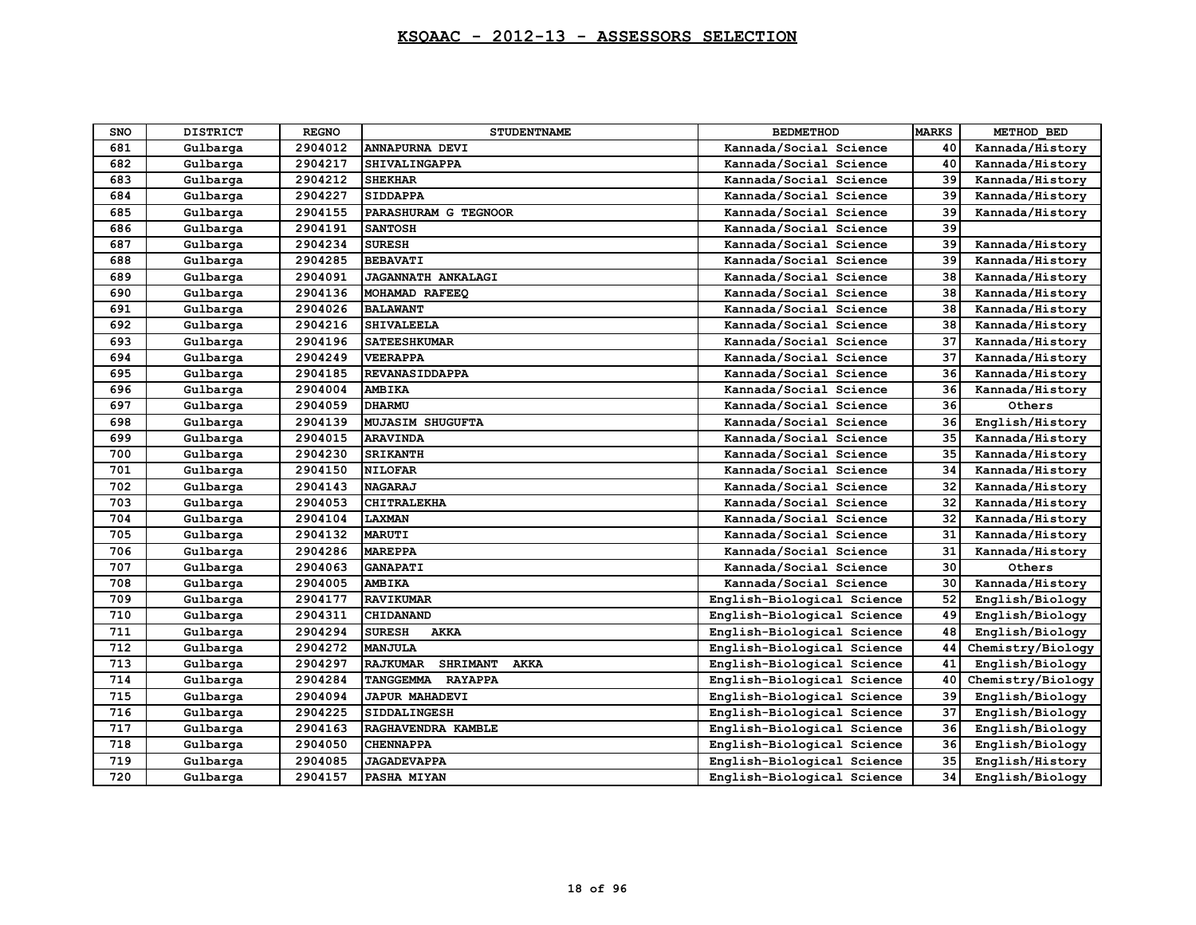| <b>SNO</b> | <b>DISTRICT</b> | <b>REGNO</b> | <b>STUDENTNAME</b>                         | <b>BEDMETHOD</b>           | <b>MARKS</b> | METHOD BED        |
|------------|-----------------|--------------|--------------------------------------------|----------------------------|--------------|-------------------|
| 681        | Gulbarga        | 2904012      | <b>ANNAPURNA DEVI</b>                      | Kannada/Social Science     | 40           | Kannada/History   |
| 682        | Gulbarga        | 2904217      | SHIVALINGAPPA                              | Kannada/Social Science     | 40           | Kannada/History   |
| 683        | Gulbarga        | 2904212      | <b>SHEKHAR</b>                             | Kannada/Social Science     | 39           | Kannada/History   |
| 684        | Gulbarga        | 2904227      | <b>SIDDAPPA</b>                            | Kannada/Social Science     | 39           | Kannada/History   |
| 685        | Gulbarga        | 2904155      | PARASHURAM G TEGNOOR                       | Kannada/Social Science     | 39           | Kannada/History   |
| 686        | Gulbarga        | 2904191      | <b>SANTOSH</b>                             | Kannada/Social Science     | 39           |                   |
| 687        | Gulbarga        | 2904234      | <b>SURESH</b>                              | Kannada/Social Science     | 39           | Kannada/History   |
| 688        | Gulbarga        | 2904285      | <b>BEBAVATI</b>                            | Kannada/Social Science     | 39           | Kannada/History   |
| 689        | Gulbarga        | 2904091      | <b>JAGANNATH ANKALAGI</b>                  | Kannada/Social Science     | 38           | Kannada/History   |
| 690        | Gulbarga        | 2904136      | MOHAMAD RAFEEQ                             | Kannada/Social Science     | 38           | Kannada/History   |
| 691        | Gulbarga        | 2904026      | <b>BALAWANT</b>                            | Kannada/Social Science     | 38           | Kannada/History   |
| 692        | Gulbarga        | 2904216      | <b>SHIVALEELA</b>                          | Kannada/Social Science     | 38           | Kannada/History   |
| 693        | Gulbarga        | 2904196      | <b>SATEESHKUMAR</b>                        | Kannada/Social Science     | 37           | Kannada/History   |
| 694        | Gulbarga        | 2904249      | <b>VEERAPPA</b>                            | Kannada/Social Science     | 37           | Kannada/History   |
| 695        | Gulbarga        | 2904185      | <b>REVANASIDDAPPA</b>                      | Kannada/Social Science     | 36           | Kannada/History   |
| 696        | Gulbarga        | 2904004      | <b>AMBIKA</b>                              | Kannada/Social Science     | 36           | Kannada/History   |
| 697        | Gulbarga        | 2904059      | <b>DHARMU</b>                              | Kannada/Social Science     | 36           | Others            |
| 698        | Gulbarga        | 2904139      | <b>MUJASIM SHUGUFTA</b>                    | Kannada/Social Science     | 36           | English/History   |
| 699        | Gulbarga        | 2904015      | <b>ARAVINDA</b>                            | Kannada/Social Science     | 35           | Kannada/History   |
| 700        | Gulbarga        | 2904230      | <b>SRIKANTH</b>                            | Kannada/Social Science     | 35           | Kannada/History   |
| 701        | Gulbarga        | 2904150      | <b>NILOFAR</b>                             | Kannada/Social Science     | 34           | Kannada/History   |
| 702        | Gulbarga        | 2904143      | <b>NAGARAJ</b>                             | Kannada/Social Science     | 32           | Kannada/History   |
| 703        | Gulbarga        | 2904053      | <b>CHITRALEKHA</b>                         | Kannada/Social Science     | 32           | Kannada/History   |
| 704        | Gulbarga        | 2904104      | <b>LAXMAN</b>                              | Kannada/Social Science     | 32           | Kannada/History   |
| 705        | Gulbarga        | 2904132      | <b>MARUTI</b>                              | Kannada/Social Science     | 31           | Kannada/History   |
| 706        | Gulbarga        | 2904286      | <b>MAREPPA</b>                             | Kannada/Social Science     | 31           | Kannada/History   |
| 707        | Gulbarga        | 2904063      | <b>GANAPATI</b>                            | Kannada/Social Science     | 30           | Others            |
| 708        | Gulbarga        | 2904005      | <b>AMBIKA</b>                              | Kannada/Social Science     | 30           | Kannada/History   |
| 709        | Gulbarga        | 2904177      | <b>RAVIKUMAR</b>                           | English-Biological Science | 52           | English/Biology   |
| 710        | Gulbarga        | 2904311      | <b>CHIDANAND</b>                           | English-Biological Science | 49           | English/Biology   |
| 711        | Gulbarga        | 2904294      | <b>SURESH</b><br><b>AKKA</b>               | English-Biological Science | 48           | English/Biology   |
| 712        | Gulbarga        | 2904272      | <b>MANJULA</b>                             | English-Biological Science | 44           | Chemistry/Biology |
| 713        | Gulbarga        | 2904297      | <b>SHRIMANT</b><br><b>RAJKUMAR</b><br>AKKA | English-Biological Science | 41           | English/Biology   |
| 714        | Gulbarga        | 2904284      | TANGGEMMA RAYAPPA                          | English-Biological Science | 40           | Chemistry/Biology |
| 715        | Gulbarga        | 2904094      | <b>JAPUR MAHADEVI</b>                      | English-Biological Science | 39           | English/Biology   |
| 716        | Gulbarga        | 2904225      | <b>SIDDALINGESH</b>                        | English-Biological Science | 37           | English/Biology   |
| 717        | Gulbarga        | 2904163      | RAGHAVENDRA KAMBLE                         | English-Biological Science | 36           | English/Biology   |
| 718        | Gulbarga        | 2904050      | <b>CHENNAPPA</b>                           | English-Biological Science | 36           | English/Biology   |
| 719        | Gulbarga        | 2904085      | <b>JAGADEVAPPA</b>                         | English-Biological Science | 35           | English/History   |
| 720        | Gulbarga        | 2904157      | PASHA MIYAN                                | English-Biological Science | 34           | English/Biology   |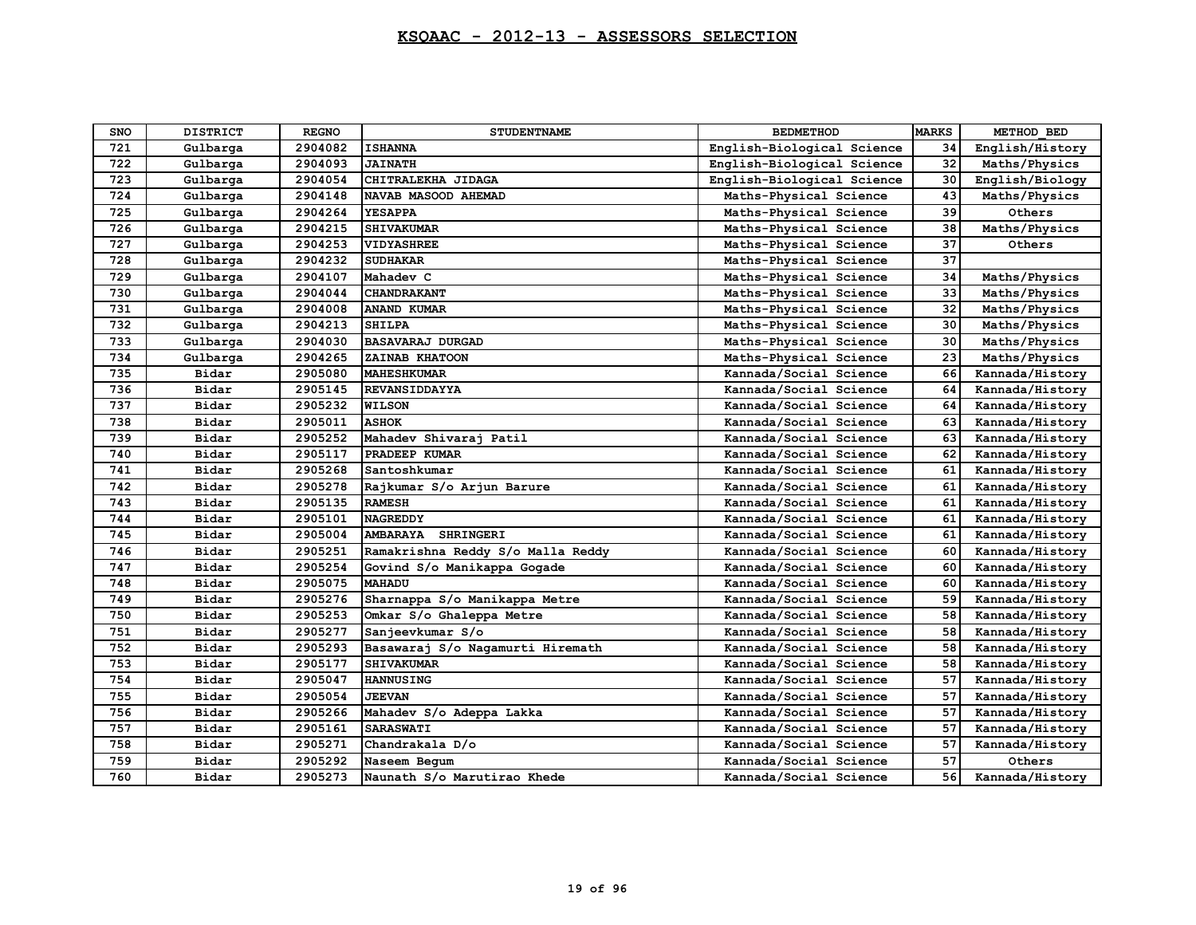| <b>SNO</b> | <b>DISTRICT</b> | <b>REGNO</b> | <b>STUDENTNAME</b>                  | <b>BEDMETHOD</b>           | <b>MARKS</b> | METHOD BED      |
|------------|-----------------|--------------|-------------------------------------|----------------------------|--------------|-----------------|
| 721        | Gulbarga        | 2904082      | <b>ISHANNA</b>                      | English-Biological Science | 34           | English/History |
| 722        | Gulbarga        | 2904093      | <b>JAINATH</b>                      | English-Biological Science | 32           | Maths/Physics   |
| 723        | Gulbarga        | 2904054      | CHITRALEKHA JIDAGA                  | English-Biological Science | 30           | English/Biology |
| 724        | Gulbarga        | 2904148      | NAVAB MASOOD AHEMAD                 | Maths-Physical Science     | 43           | Maths/Physics   |
| 725        | Gulbarga        | 2904264      | <b>YESAPPA</b>                      | Maths-Physical Science     | 39           | Others          |
| 726        | Gulbarga        | 2904215      | <b>SHIVAKUMAR</b>                   | Maths-Physical Science     | 38           | Maths/Physics   |
| 727        | Gulbarga        | 2904253      | <b>VIDYASHREE</b>                   | Maths-Physical Science     | 37           | Others          |
| 728        | Gulbarga        | 2904232      | <b>SUDHAKAR</b>                     | Maths-Physical Science     | 37           |                 |
| 729        | Gulbarga        | 2904107      | Mahadev C                           | Maths-Physical Science     | 34           | Maths/Physics   |
| 730        | Gulbarga        | 2904044      | <b>CHANDRAKANT</b>                  | Maths-Physical Science     | 33           | Maths/Physics   |
| 731        | Gulbarga        | 2904008      | <b>ANAND KUMAR</b>                  | Maths-Physical Science     | 32           | Maths/Physics   |
| 732        | Gulbarga        | 2904213      | <b>SHILPA</b>                       | Maths-Physical Science     | 30           | Maths/Physics   |
| 733        | Gulbarga        | 2904030      | <b>BASAVARAJ DURGAD</b>             | Maths-Physical Science     | 30           | Maths/Physics   |
| 734        | Gulbarga        | 2904265      | ZAINAB KHATOON                      | Maths-Physical Science     | 23           | Maths/Physics   |
| 735        | Bidar           | 2905080      | <b>MAHESHKUMAR</b>                  | Kannada/Social Science     | 66           | Kannada/History |
| 736        | Bidar           | 2905145      | <b>REVANSIDDAYYA</b>                | Kannada/Social Science     | 64           | Kannada/History |
| 737        | Bidar           | 2905232      | <b>WILSON</b>                       | Kannada/Social Science     | 64           | Kannada/History |
| 738        | Bidar           | 2905011      | <b>ASHOK</b>                        | Kannada/Social Science     | 63           | Kannada/History |
| 739        | Bidar           | 2905252      | Mahadev Shivaraj Patil              | Kannada/Social Science     | 63           | Kannada/History |
| 740        | Bidar           | 2905117      | PRADEEP KUMAR                       | Kannada/Social Science     | 62           | Kannada/History |
| 741        | Bidar           | 2905268      | Santoshkumar                        | Kannada/Social Science     | 61           | Kannada/History |
| 742        | Bidar           | 2905278      | Rajkumar S/o Arjun Barure           | Kannada/Social Science     | 61           | Kannada/History |
| 743        | Bidar           | 2905135      | <b>RAMESH</b>                       | Kannada/Social Science     | 61           | Kannada/History |
| 744        | Bidar           | 2905101      | <b>NAGREDDY</b>                     | Kannada/Social Science     | 61           | Kannada/History |
| 745        | Bidar           | 2905004      | <b>AMBARAYA</b><br><b>SHRINGERI</b> | Kannada/Social Science     | 61           | Kannada/History |
| 746        | Bidar           | 2905251      | Ramakrishna Reddy S/o Malla Reddy   | Kannada/Social Science     | 60           | Kannada/History |
| 747        | Bidar           | 2905254      | Govind S/o Manikappa Gogade         | Kannada/Social Science     | 60           | Kannada/History |
| 748        | Bidar           | 2905075      | <b>MAHADU</b>                       | Kannada/Social Science     | 60           | Kannada/History |
| 749        | Bidar           | 2905276      | Sharnappa S/o Manikappa Metre       | Kannada/Social Science     | 59           | Kannada/History |
| 750        | Bidar           | 2905253      | Omkar S/o Ghaleppa Metre            | Kannada/Social Science     | 58           | Kannada/History |
| 751        | Bidar           | 2905277      | Sanjeevkumar S/o                    | Kannada/Social Science     | 58           | Kannada/History |
| 752        | Bidar           | 2905293      | Basawaraj S/o Nagamurti Hiremath    | Kannada/Social Science     | 58           | Kannada/History |
| 753        | Bidar           | 2905177      | <b>SHIVAKUMAR</b>                   | Kannada/Social Science     | 58           | Kannada/History |
| 754        | Bidar           | 2905047      | <b>HANNUSING</b>                    | Kannada/Social Science     | 57           | Kannada/History |
| 755        | Bidar           | 2905054      | <b>JEEVAN</b>                       | Kannada/Social Science     | 57           | Kannada/History |
| 756        | Bidar           | 2905266      | Mahadev S/o Adeppa Lakka            | Kannada/Social Science     | 57           | Kannada/History |
| 757        | Bidar           | 2905161      | <b>SARASWATI</b>                    | Kannada/Social Science     | 57           | Kannada/History |
| 758        | Bidar           | 2905271      | Chandrakala D/o                     | Kannada/Social Science     | 57           | Kannada/History |
| 759        | Bidar           | 2905292      | Naseem Bequm                        | Kannada/Social Science     | 57           | Others          |
| 760        | Bidar           | 2905273      | Naunath S/o Marutirao Khede         | Kannada/Social Science     | 56           | Kannada/History |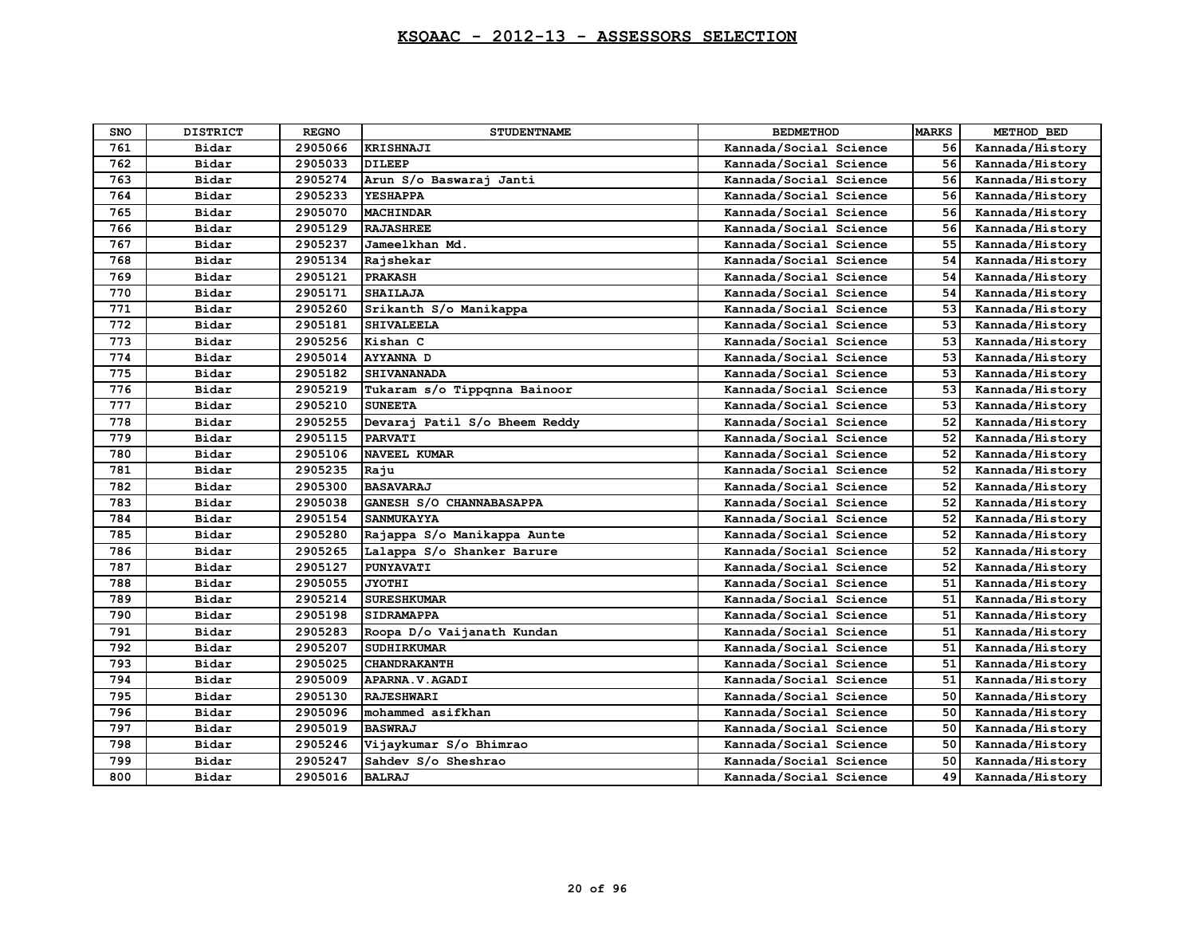| <b>SNO</b> | <b>DISTRICT</b> | <b>REGNO</b> | <b>STUDENTNAME</b>            | <b>BEDMETHOD</b>       | <b>MARKS</b> | METHOD BED      |
|------------|-----------------|--------------|-------------------------------|------------------------|--------------|-----------------|
| 761        | Bidar           | 2905066      | <b>KRISHNAJI</b>              | Kannada/Social Science | 56           | Kannada/History |
| 762        | Bidar           | 2905033      | <b>DILEEP</b>                 | Kannada/Social Science | 56           | Kannada/History |
| 763        | Bidar           | 2905274      | Arun S/o Baswaraj Janti       | Kannada/Social Science | 56           | Kannada/History |
| 764        | Bidar           | 2905233      | <b>YESHAPPA</b>               | Kannada/Social Science | 56           | Kannada/History |
| 765        | Bidar           | 2905070      | <b>MACHINDAR</b>              | Kannada/Social Science | 56           | Kannada/History |
| 766        | Bidar           | 2905129      | <b>RAJASHREE</b>              | Kannada/Social Science | 56           | Kannada/History |
| 767        | Bidar           | 2905237      | Jameelkhan Md.                | Kannada/Social Science | 55           | Kannada/History |
| 768        | Bidar           | 2905134      | Rajshekar                     | Kannada/Social Science | 54           | Kannada/History |
| 769        | Bidar           | 2905121      | <b>PRAKASH</b>                | Kannada/Social Science | 54           | Kannada/History |
| 770        | Bidar           | 2905171      | <b>SHAILAJA</b>               | Kannada/Social Science | 54           | Kannada/History |
| 771        | Bidar           | 2905260      | Srikanth S/o Manikappa        | Kannada/Social Science | 53           | Kannada/History |
| 772        | Bidar           | 2905181      | <b>SHIVALEELA</b>             | Kannada/Social Science | 53           | Kannada/History |
| 773        | Bidar           | 2905256      | Kishan C                      | Kannada/Social Science | 53           | Kannada/History |
| 774        | Bidar           | 2905014      | <b>AYYANNA D</b>              | Kannada/Social Science | 53           | Kannada/History |
| 775        | Bidar           | 2905182      | <b>SHIVANANADA</b>            | Kannada/Social Science | 53           | Kannada/History |
| 776        | Bidar           | 2905219      | Tukaram s/o Tippqnna Bainoor  | Kannada/Social Science | 53           | Kannada/History |
| 777        | Bidar           | 2905210      | <b>SUNEETA</b>                | Kannada/Social Science | 53           | Kannada/History |
| 778        | Bidar           | 2905255      | Devaraj Patil S/o Bheem Reddy | Kannada/Social Science | 52           | Kannada/History |
| 779        | Bidar           | 2905115      | <b>PARVATI</b>                | Kannada/Social Science | 52           | Kannada/History |
| 780        | Bidar           | 2905106      | <b>NAVEEL KUMAR</b>           | Kannada/Social Science | 52           | Kannada/History |
| 781        | Bidar           | 2905235      | Raju                          | Kannada/Social Science | 52           | Kannada/History |
| 782        | Bidar           | 2905300      | <b>BASAVARAJ</b>              | Kannada/Social Science | 52           | Kannada/History |
| 783        | Bidar           | 2905038      | GANESH S/O CHANNABASAPPA      | Kannada/Social Science | 52           | Kannada/History |
| 784        | Bidar           | 2905154      | <b>SANMUKAYYA</b>             | Kannada/Social Science | 52           | Kannada/History |
| 785        | Bidar           | 2905280      | Rajappa S/o Manikappa Aunte   | Kannada/Social Science | 52           | Kannada/History |
| 786        | Bidar           | 2905265      | Lalappa S/o Shanker Barure    | Kannada/Social Science | 52           | Kannada/History |
| 787        | Bidar           | 2905127      | <b>PUNYAVATI</b>              | Kannada/Social Science | 52           | Kannada/History |
| 788        | Bidar           | 2905055      | <b>JYOTHI</b>                 | Kannada/Social Science | 51           | Kannada/History |
| 789        | Bidar           | 2905214      | <b>SURESHKUMAR</b>            | Kannada/Social Science | 51           | Kannada/History |
| 790        | Bidar           | 2905198      | <b>SIDRAMAPPA</b>             | Kannada/Social Science | 51           | Kannada/History |
| 791        | Bidar           | 2905283      | Roopa D/o Vaijanath Kundan    | Kannada/Social Science | 51           | Kannada/History |
| 792        | Bidar           | 2905207      | <b>SUDHIRKUMAR</b>            | Kannada/Social Science | 51           | Kannada/History |
| 793        | Bidar           | 2905025      | <b>CHANDRAKANTH</b>           | Kannada/Social Science | 51           | Kannada/History |
| 794        | Bidar           | 2905009      | APARNA.V.AGADI                | Kannada/Social Science | 51           | Kannada/History |
| 795        | Bidar           | 2905130      | <b>RAJESHWARI</b>             | Kannada/Social Science | 50           | Kannada/History |
| 796        | Bidar           | 2905096      | mohammed asifkhan             | Kannada/Social Science | 50           | Kannada/History |
| 797        | Bidar           | 2905019      | <b>BASWRAJ</b>                | Kannada/Social Science | 50           | Kannada/History |
| 798        | Bidar           | 2905246      | Vijaykumar S/o Bhimrao        | Kannada/Social Science | 50           | Kannada/History |
| 799        | Bidar           | 2905247      | Sahdey S/o Sheshrao           | Kannada/Social Science | 50           | Kannada/History |
| 800        | Bidar           | 2905016      | <b>BALRAJ</b>                 | Kannada/Social Science | 49           | Kannada/History |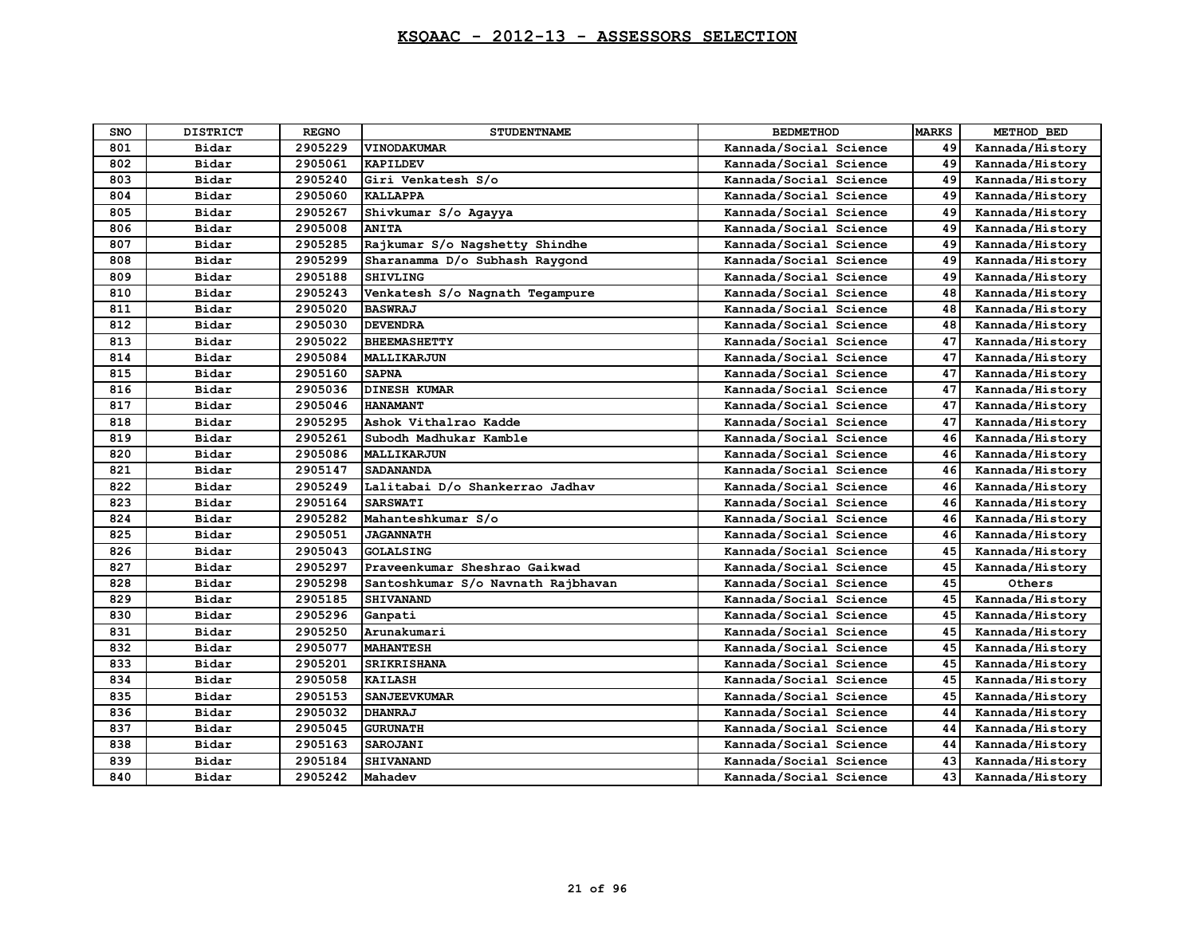| <b>SNO</b> | <b>DISTRICT</b> | <b>REGNO</b> | <b>STUDENTNAME</b>                 | <b>BEDMETHOD</b>       | <b>MARKS</b> | METHOD BED      |
|------------|-----------------|--------------|------------------------------------|------------------------|--------------|-----------------|
| 801        | Bidar           | 2905229      | <b>VINODAKUMAR</b>                 | Kannada/Social Science | 49           | Kannada/History |
| 802        | Bidar           | 2905061      | <b>KAPILDEV</b>                    | Kannada/Social Science | 49           | Kannada/History |
| 803        | Bidar           | 2905240      | Giri Venkatesh S/o                 | Kannada/Social Science | 49           | Kannada/History |
| 804        | Bidar           | 2905060      | <b>KALLAPPA</b>                    | Kannada/Social Science | 49           | Kannada/History |
| 805        | Bidar           | 2905267      | Shivkumar S/o Agayya               | Kannada/Social Science | 49           | Kannada/History |
| 806        | Bidar           | 2905008      | <b>ANITA</b>                       | Kannada/Social Science | 49           | Kannada/History |
| 807        | Bidar           | 2905285      | Rajkumar S/o Nagshetty Shindhe     | Kannada/Social Science | 49           | Kannada/History |
| 808        | Bidar           | 2905299      | Sharanamma D/o Subhash Raygond     | Kannada/Social Science | 49           | Kannada/History |
| 809        | Bidar           | 2905188      | <b>SHIVLING</b>                    | Kannada/Social Science | 49           | Kannada/History |
| 810        | Bidar           | 2905243      | Venkatesh S/o Nagnath Tegampure    | Kannada/Social Science | 48           | Kannada/History |
| 811        | Bidar           | 2905020      | <b>BASWRAJ</b>                     | Kannada/Social Science | 48           | Kannada/History |
| 812        | Bidar           | 2905030      | <b>DEVENDRA</b>                    | Kannada/Social Science | 48           | Kannada/History |
| 813        | Bidar           | 2905022      | <b>BHEEMASHETTY</b>                | Kannada/Social Science | 47           | Kannada/History |
| 814        | Bidar           | 2905084      | MALLIKARJUN                        | Kannada/Social Science | 47           | Kannada/History |
| 815        | Bidar           | 2905160      | <b>SAPNA</b>                       | Kannada/Social Science | 47           | Kannada/History |
| 816        | Bidar           | 2905036      | <b>DINESH KUMAR</b>                | Kannada/Social Science | 47           | Kannada/History |
| 817        | Bidar           | 2905046      | <b>HANAMANT</b>                    | Kannada/Social Science | 47           | Kannada/History |
| 818        | Bidar           | 2905295      | Ashok Vithalrao Kadde              | Kannada/Social Science | 47           | Kannada/History |
| 819        | Bidar           | 2905261      | Subodh Madhukar Kamble             | Kannada/Social Science | 46           | Kannada/History |
| 820        | Bidar           | 2905086      | <b>MALLIKARJUN</b>                 | Kannada/Social Science | 46           | Kannada/History |
| 821        | Bidar           | 2905147      | <b>SADANANDA</b>                   | Kannada/Social Science | 46           | Kannada/History |
| 822        | Bidar           | 2905249      | Lalitabai D/o Shankerrao Jadhav    | Kannada/Social Science | 46           | Kannada/History |
| 823        | Bidar           | 2905164      | <b>SARSWATI</b>                    | Kannada/Social Science | 46           | Kannada/History |
| 824        | Bidar           | 2905282      | Mahanteshkumar S/o                 | Kannada/Social Science | 46           | Kannada/History |
| 825        | Bidar           | 2905051      | <b>JAGANNATH</b>                   | Kannada/Social Science | 46           | Kannada/History |
| 826        | Bidar           | 2905043      | <b>GOLALSING</b>                   | Kannada/Social Science | 45           | Kannada/History |
| 827        | Bidar           | 2905297      | Praveenkumar Sheshrao Gaikwad      | Kannada/Social Science | 45           | Kannada/History |
| 828        | Bidar           | 2905298      | Santoshkumar S/o Navnath Rajbhavan | Kannada/Social Science | 45           | Others          |
| 829        | Bidar           | 2905185      | <b>SHIVANAND</b>                   | Kannada/Social Science | 45           | Kannada/History |
| 830        | Bidar           | 2905296      | Ganpati                            | Kannada/Social Science | 45           | Kannada/History |
| 831        | Bidar           | 2905250      | Arunakumari                        | Kannada/Social Science | 45           | Kannada/History |
| 832        | Bidar           | 2905077      | <b>MAHANTESH</b>                   | Kannada/Social Science | 45           | Kannada/History |
| 833        | Bidar           | 2905201      | <b>SRIKRISHANA</b>                 | Kannada/Social Science | 45           | Kannada/History |
| 834        | Bidar           | 2905058      | <b>KAILASH</b>                     | Kannada/Social Science | 45           | Kannada/History |
| 835        | Bidar           | 2905153      | <b>SANJEEVKUMAR</b>                | Kannada/Social Science | 45           | Kannada/History |
| 836        | Bidar           | 2905032      | <b>DHANRAJ</b>                     | Kannada/Social Science | 44           | Kannada/History |
| 837        | Bidar           | 2905045      | <b>GURUNATH</b>                    | Kannada/Social Science | 44           | Kannada/History |
| 838        | Bidar           | 2905163      | SAROJANI                           | Kannada/Social Science | 44           | Kannada/History |
| 839        | Bidar           | 2905184      | <b>SHIVANAND</b>                   | Kannada/Social Science | 43           | Kannada/History |
| 840        | Bidar           | 2905242      | Mahadev                            | Kannada/Social Science | 43           | Kannada/History |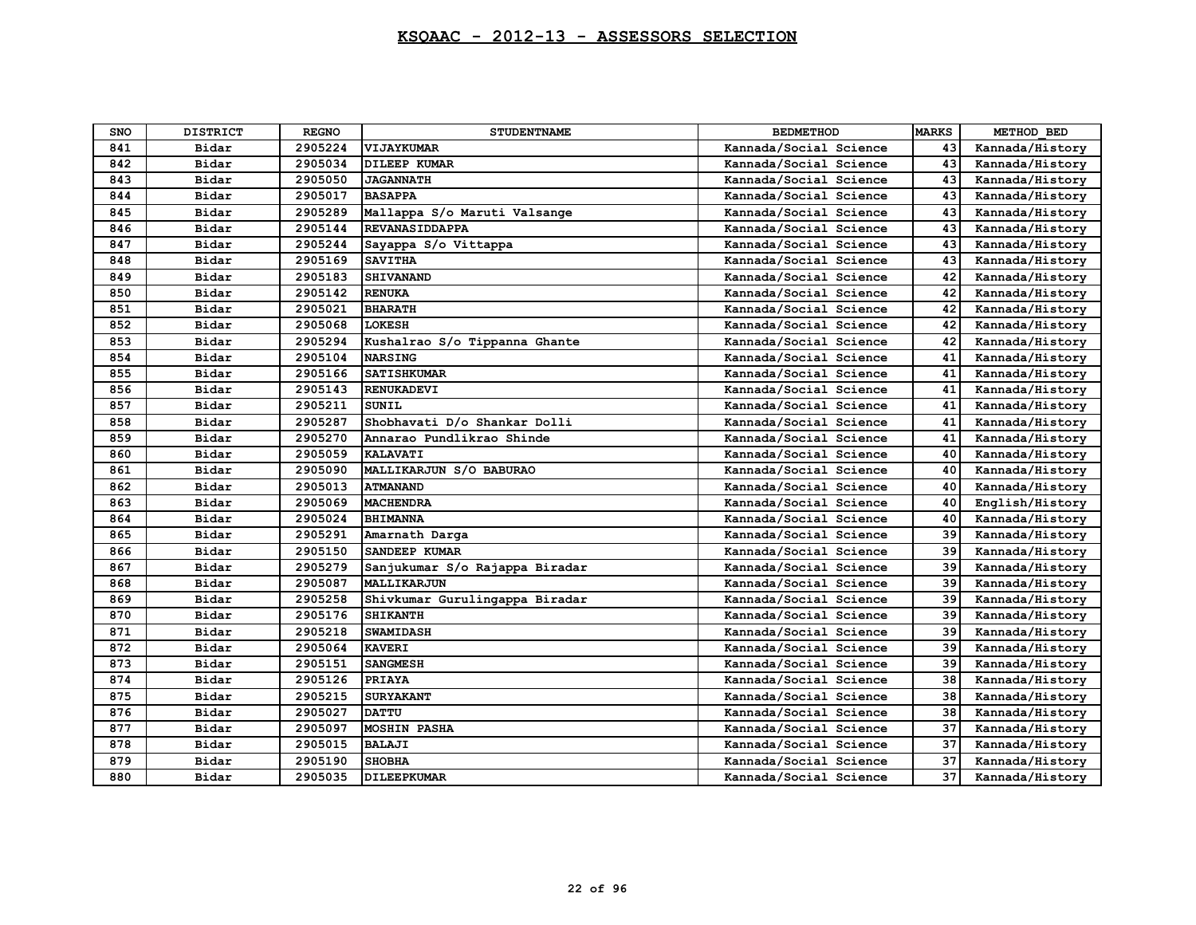| <b>SNO</b> | <b>DISTRICT</b> | <b>REGNO</b> | <b>STUDENTNAME</b>             | <b>BEDMETHOD</b>       | <b>MARKS</b> | METHOD BED      |
|------------|-----------------|--------------|--------------------------------|------------------------|--------------|-----------------|
| 841        | Bidar           | 2905224      | VIJAYKUMAR                     | Kannada/Social Science | 43           | Kannada/History |
| 842        | Bidar           | 2905034      | <b>DILEEP KUMAR</b>            | Kannada/Social Science | 43           | Kannada/History |
| 843        | Bidar           | 2905050      | <b>JAGANNATH</b>               | Kannada/Social Science | 43           | Kannada/History |
| 844        | Bidar           | 2905017      | <b>BASAPPA</b>                 | Kannada/Social Science | 43           | Kannada/History |
| 845        | Bidar           | 2905289      | Mallappa S/o Maruti Valsange   | Kannada/Social Science | 43           | Kannada/History |
| 846        | Bidar           | 2905144      | <b>REVANASIDDAPPA</b>          | Kannada/Social Science | 43           | Kannada/History |
| 847        | Bidar           | 2905244      | Sayappa S/o Vittappa           | Kannada/Social Science | 43           | Kannada/History |
| 848        | Bidar           | 2905169      | <b>SAVITHA</b>                 | Kannada/Social Science | 43           | Kannada/History |
| 849        | Bidar           | 2905183      | <b>SHIVANAND</b>               | Kannada/Social Science | 42           | Kannada/History |
| 850        | Bidar           | 2905142      | <b>RENUKA</b>                  | Kannada/Social Science | 42           | Kannada/History |
| 851        | Bidar           | 2905021      | <b>BHARATH</b>                 | Kannada/Social Science | 42           | Kannada/History |
| 852        | Bidar           | 2905068      | <b>LOKESH</b>                  | Kannada/Social Science | 42           | Kannada/History |
| 853        | Bidar           | 2905294      | Kushalrao S/o Tippanna Ghante  | Kannada/Social Science | 42           | Kannada/History |
| 854        | Bidar           | 2905104      | <b>NARSING</b>                 | Kannada/Social Science | 41           | Kannada/History |
| 855        | Bidar           | 2905166      | <b>SATISHKUMAR</b>             | Kannada/Social Science | 41           | Kannada/History |
| 856        | Bidar           | 2905143      | <b>RENUKADEVI</b>              | Kannada/Social Science | 41           | Kannada/History |
| 857        | Bidar           | 2905211      | SUNIL                          | Kannada/Social Science | 41           | Kannada/History |
| 858        | Bidar           | 2905287      | Shobhavati D/o Shankar Dolli   | Kannada/Social Science | 41           | Kannada/History |
| 859        | Bidar           | 2905270      | Annarao Pundlikrao Shinde      | Kannada/Social Science | 41           | Kannada/History |
| 860        | Bidar           | 2905059      | <b>KALAVATI</b>                | Kannada/Social Science | 40           | Kannada/History |
| 861        | Bidar           | 2905090      | MALLIKARJUN S/O BABURAO        | Kannada/Social Science | 40           | Kannada/History |
| 862        | Bidar           | 2905013      | <b>ATMANAND</b>                | Kannada/Social Science | 40           | Kannada/History |
| 863        | Bidar           | 2905069      | <b>MACHENDRA</b>               | Kannada/Social Science | 40           | English/History |
| 864        | Bidar           | 2905024      | <b>BHIMANNA</b>                | Kannada/Social Science | 40           | Kannada/History |
| 865        | Bidar           | 2905291      | Amarnath Darga                 | Kannada/Social Science | 39           | Kannada/History |
| 866        | Bidar           | 2905150      | SANDEEP KUMAR                  | Kannada/Social Science | 39           | Kannada/History |
| 867        | Bidar           | 2905279      | Sanjukumar S/o Rajappa Biradar | Kannada/Social Science | 39           | Kannada/History |
| 868        | Bidar           | 2905087      | MALLIKARJUN                    | Kannada/Social Science | 39           | Kannada/History |
| 869        | Bidar           | 2905258      | Shivkumar Gurulingappa Biradar | Kannada/Social Science | 39           | Kannada/History |
| 870        | Bidar           | 2905176      | <b>SHIKANTH</b>                | Kannada/Social Science | 39           | Kannada/History |
| 871        | Bidar           | 2905218      | <b>SWAMIDASH</b>               | Kannada/Social Science | 39           | Kannada/History |
| 872        | Bidar           | 2905064      | <b>KAVERI</b>                  | Kannada/Social Science | 39           | Kannada/History |
| 873        | Bidar           | 2905151      | <b>SANGMESH</b>                | Kannada/Social Science | 39           | Kannada/History |
| 874        | Bidar           | 2905126      | <b>PRIAYA</b>                  | Kannada/Social Science | 38           | Kannada/History |
| 875        | Bidar           | 2905215      | <b>SURYAKANT</b>               | Kannada/Social Science | 38           | Kannada/History |
| 876        | Bidar           | 2905027      | <b>DATTU</b>                   | Kannada/Social Science | 38           | Kannada/History |
| 877        | Bidar           | 2905097      | <b>MOSHIN PASHA</b>            | Kannada/Social Science | 37           | Kannada/History |
| 878        | Bidar           | 2905015      | <b>BALAJI</b>                  | Kannada/Social Science | 37           | Kannada/History |
| 879        | Bidar           | 2905190      | <b>SHOBHA</b>                  | Kannada/Social Science | 37           | Kannada/History |
| 880        | Bidar           | 2905035      | <b>DILEEPKUMAR</b>             | Kannada/Social Science | 37           | Kannada/History |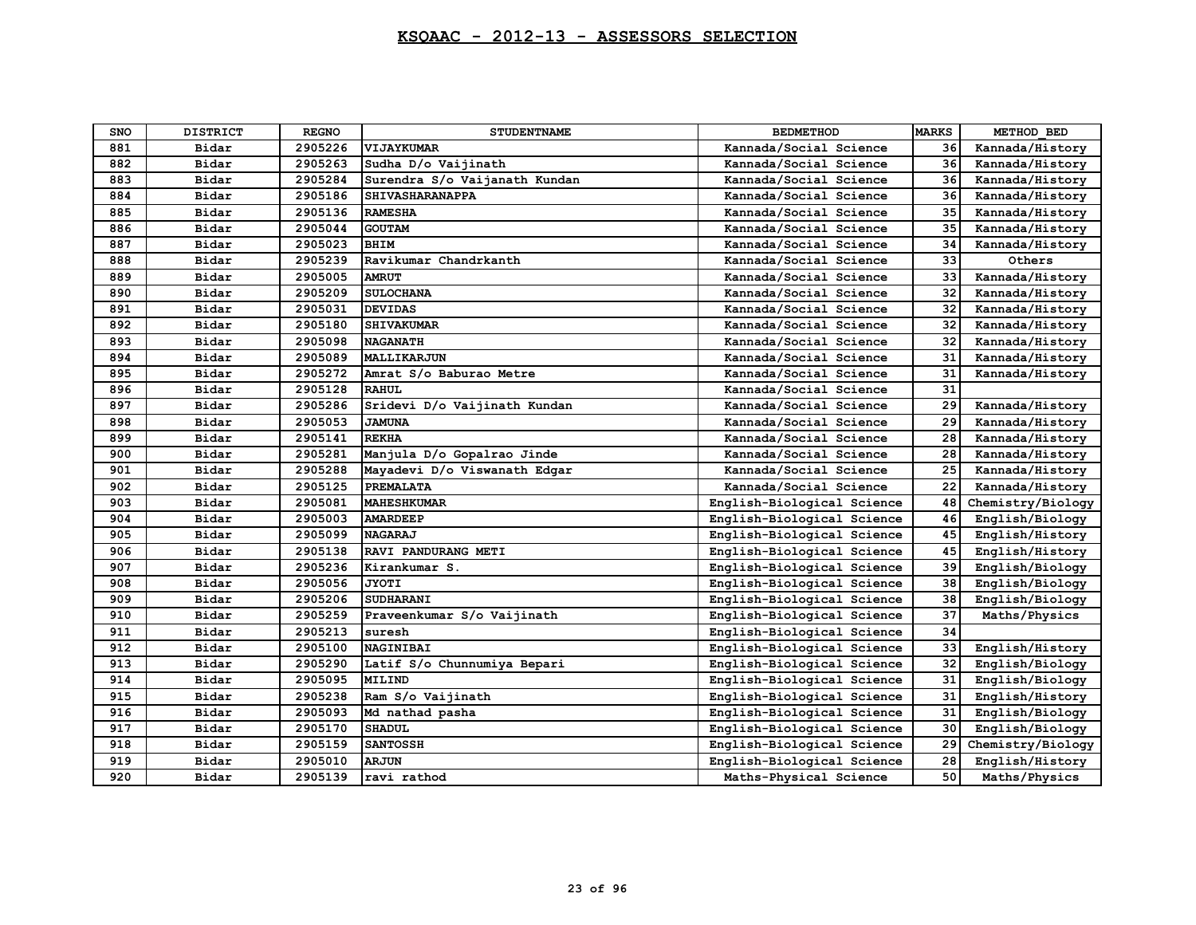| <b>SNO</b> | <b>DISTRICT</b> | <b>REGNO</b> | <b>STUDENTNAME</b>            | <b>BEDMETHOD</b>           | <b>MARKS</b> | METHOD BED        |
|------------|-----------------|--------------|-------------------------------|----------------------------|--------------|-------------------|
| 881        | Bidar           | 2905226      | VIJAYKUMAR                    | Kannada/Social Science     | 36           | Kannada/History   |
| 882        | Bidar           | 2905263      | Sudha D/o Vaijinath           | Kannada/Social Science     | 36           | Kannada/History   |
| 883        | Bidar           | 2905284      | Surendra S/o Vaijanath Kundan | Kannada/Social Science     | 36           | Kannada/History   |
| 884        | Bidar           | 2905186      | <b>SHIVASHARANAPPA</b>        | Kannada/Social Science     | 36           | Kannada/History   |
| 885        | Bidar           | 2905136      | <b>RAMESHA</b>                | Kannada/Social Science     | 35           | Kannada/History   |
| 886        | Bidar           | 2905044      | <b>GOUTAM</b>                 | Kannada/Social Science     | 35           | Kannada/History   |
| 887        | Bidar           | 2905023      | <b>BHIM</b>                   | Kannada/Social Science     | 34           | Kannada/History   |
| 888        | Bidar           | 2905239      | Ravikumar Chandrkanth         | Kannada/Social Science     | 33           | Others            |
| 889        | Bidar           | 2905005      | <b>AMRUT</b>                  | Kannada/Social Science     | 33           | Kannada/History   |
| 890        | Bidar           | 2905209      | <b>SULOCHANA</b>              | Kannada/Social Science     | 32           | Kannada/History   |
| 891        | Bidar           | 2905031      | <b>DEVIDAS</b>                | Kannada/Social Science     | 32           | Kannada/History   |
| 892        | Bidar           | 2905180      | <b>SHIVAKUMAR</b>             | Kannada/Social Science     | 32           | Kannada/History   |
| 893        | Bidar           | 2905098      | <b>NAGANATH</b>               | Kannada/Social Science     | 32           | Kannada/History   |
| 894        | Bidar           | 2905089      | <b>MALLIKARJUN</b>            | Kannada/Social Science     | 31           | Kannada/History   |
| 895        | Bidar           | 2905272      | Amrat S/o Baburao Metre       | Kannada/Social Science     | 31           | Kannada/History   |
| 896        | Bidar           | 2905128      | <b>RAHUL</b>                  | Kannada/Social Science     | 31           |                   |
| 897        | Bidar           | 2905286      | Sridevi D/o Vaijinath Kundan  | Kannada/Social Science     | 29           | Kannada/History   |
| 898        | Bidar           | 2905053      | <b>JAMUNA</b>                 | Kannada/Social Science     | 29           | Kannada/History   |
| 899        | Bidar           | 2905141      | <b>REKHA</b>                  | Kannada/Social Science     | 28           | Kannada/History   |
| 900        | Bidar           | 2905281      | Manjula D/o Gopalrao Jinde    | Kannada/Social Science     | 28           | Kannada/History   |
| 901        | Bidar           | 2905288      | Mayadevi D/o Viswanath Edgar  | Kannada/Social Science     | 25           | Kannada/History   |
| 902        | Bidar           | 2905125      | <b>PREMALATA</b>              | Kannada/Social Science     | 22           | Kannada/History   |
| 903        | Bidar           | 2905081      | <b>MAHESHKUMAR</b>            | English-Biological Science | 48           | Chemistry/Biology |
| 904        | Bidar           | 2905003      | <b>AMARDEEP</b>               | English-Biological Science | 46           | English/Biology   |
| 905        | Bidar           | 2905099      | <b>NAGARAJ</b>                | English-Biological Science | 45           | English/History   |
| 906        | Bidar           | 2905138      | RAVI PANDURANG METI           | English-Biological Science | 45           | English/History   |
| 907        | Bidar           | 2905236      | Kirankumar S.                 | English-Biological Science | 39           | English/Biology   |
| 908        | Bidar           | 2905056      | JYOTI                         | English-Biological Science | 38           | English/Biology   |
| 909        | Bidar           | 2905206      | <b>SUDHARANI</b>              | English-Biological Science | 38           | English/Biology   |
| 910        | Bidar           | 2905259      | Praveenkumar S/o Vaijinath    | English-Biological Science | 37           | Maths/Physics     |
| 911        | Bidar           | 2905213      | suresh                        | English-Biological Science | 34           |                   |
| 912        | Bidar           | 2905100      | <b>NAGINIBAI</b>              | English-Biological Science | 33           | English/History   |
| 913        | Bidar           | 2905290      | Latif S/o Chunnumiya Bepari   | English-Biological Science | 32           | English/Biology   |
| 914        | Bidar           | 2905095      | <b>MILIND</b>                 | English-Biological Science | 31           | English/Biology   |
| 915        | Bidar           | 2905238      | Ram S/o Vaijinath             | English-Biological Science | 31           | English/History   |
| 916        | Bidar           | 2905093      | Md nathad pasha               | English-Biological Science | 31           | English/Biology   |
| 917        | Bidar           | 2905170      | <b>SHADUL</b>                 | English-Biological Science | 30           | English/Biology   |
| 918        | Bidar           | 2905159      | <b>SANTOSSH</b>               | English-Biological Science | 29           | Chemistry/Biology |
| 919        | Bidar           | 2905010      | ARJUN                         | English-Biological Science | 28           | English/History   |
| 920        | Bidar           | 2905139      | ravi rathod                   | Maths-Physical Science     | 50           | Maths/Physics     |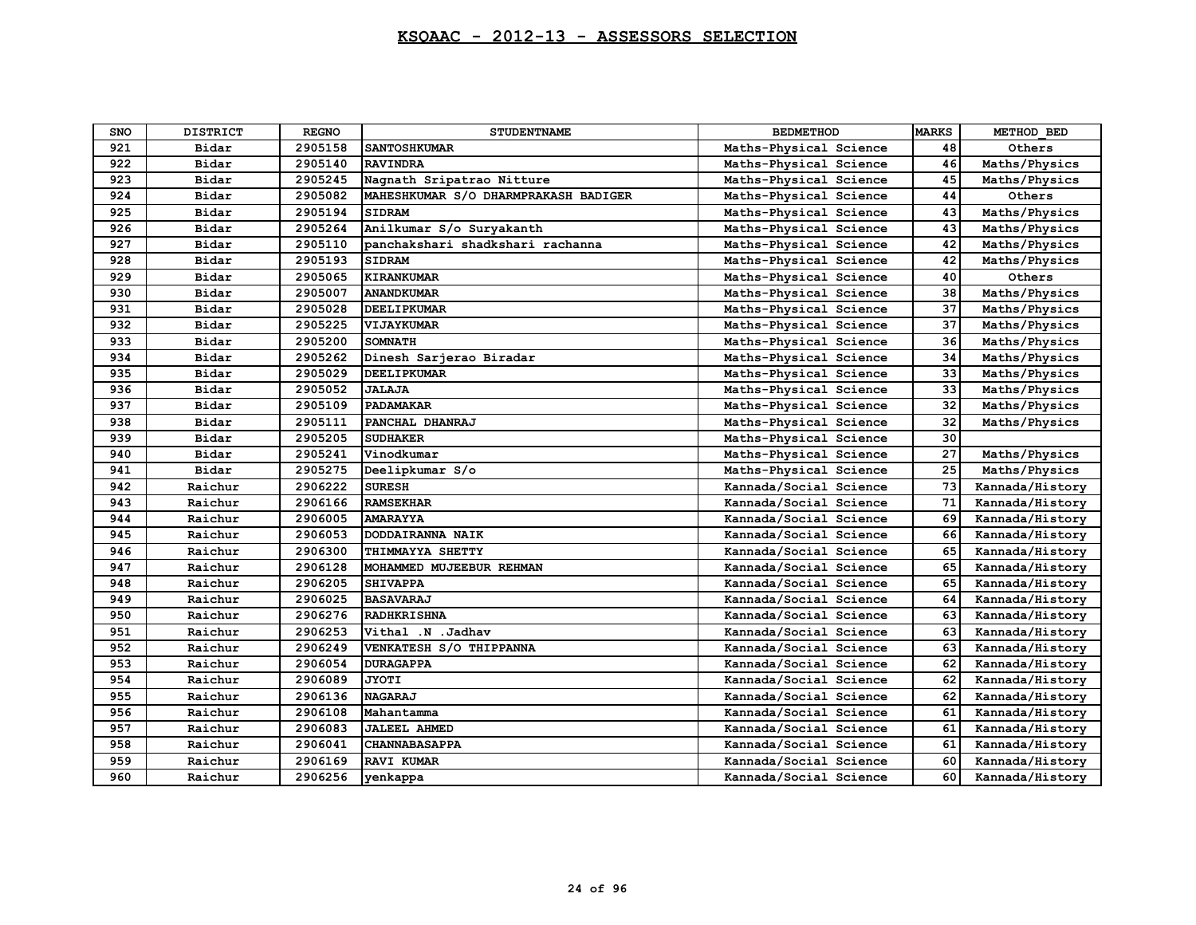| <b>SNO</b> | <b>DISTRICT</b> | <b>REGNO</b> | <b>STUDENTNAME</b>                   | <b>BEDMETHOD</b>       | <b>MARKS</b> | METHOD BED      |
|------------|-----------------|--------------|--------------------------------------|------------------------|--------------|-----------------|
| 921        | Bidar           | 2905158      | <b>SANTOSHKUMAR</b>                  | Maths-Physical Science | 48           | Others          |
| 922        | Bidar           | 2905140      | <b>RAVINDRA</b>                      | Maths-Physical Science | 46           | Maths/Physics   |
| 923        | Bidar           | 2905245      | Nagnath Sripatrao Nitture            | Maths-Physical Science | 45           | Maths/Physics   |
| 924        | Bidar           | 2905082      | MAHESHKUMAR S/O DHARMPRAKASH BADIGER | Maths-Physical Science | 44           | Others          |
| 925        | Bidar           | 2905194      | <b>SIDRAM</b>                        | Maths-Physical Science | 43           | Maths/Physics   |
| 926        | Bidar           | 2905264      | Anilkumar S/o Suryakanth             | Maths-Physical Science | 43           | Maths/Physics   |
| 927        | Bidar           | 2905110      | panchakshari shadkshari rachanna     | Maths-Physical Science | 42           | Maths/Physics   |
| 928        | Bidar           | 2905193      | <b>SIDRAM</b>                        | Maths-Physical Science | 42           | Maths/Physics   |
| 929        | Bidar           | 2905065      | <b>KIRANKUMAR</b>                    | Maths-Physical Science | 40           | Others          |
| 930        | Bidar           | 2905007      | <b>ANANDKUMAR</b>                    | Maths-Physical Science | 38           | Maths/Physics   |
| 931        | Bidar           | 2905028      | <b>DEELIPKUMAR</b>                   | Maths-Physical Science | 37           | Maths/Physics   |
| 932        | Bidar           | 2905225      | VIJAYKUMAR                           | Maths-Physical Science | 37           | Maths/Physics   |
| 933        | Bidar           | 2905200      | <b>SOMNATH</b>                       | Maths-Physical Science | 36           | Maths/Physics   |
| 934        | Bidar           | 2905262      | Dinesh Sarjerao Biradar              | Maths-Physical Science | 34           | Maths/Physics   |
| 935        | Bidar           | 2905029      | <b>DEELIPKUMAR</b>                   | Maths-Physical Science | 33           | Maths/Physics   |
| 936        | Bidar           | 2905052      | <b>JALAJA</b>                        | Maths-Physical Science | 33           | Maths/Physics   |
| 937        | Bidar           | 2905109      | <b>PADAMAKAR</b>                     | Maths-Physical Science | 32           | Maths/Physics   |
| 938        | Bidar           | 2905111      | PANCHAL DHANRAJ                      | Maths-Physical Science | 32           | Maths/Physics   |
| 939        | Bidar           | 2905205      | <b>SUDHAKER</b>                      | Maths-Physical Science | 30           |                 |
| 940        | Bidar           | 2905241      | Vinodkumar                           | Maths-Physical Science | 27           | Maths/Physics   |
| 941        | Bidar           | 2905275      | Deelipkumar S/o                      | Maths-Physical Science | 25           | Maths/Physics   |
| 942        | Raichur         | 2906222      | <b>SURESH</b>                        | Kannada/Social Science | 73           | Kannada/History |
| 943        | Raichur         | 2906166      | <b>RAMSEKHAR</b>                     | Kannada/Social Science | 71           | Kannada/History |
| 944        | Raichur         | 2906005      | <b>AMARAYYA</b>                      | Kannada/Social Science | 69           | Kannada/History |
| 945        | Raichur         | 2906053      | DODDAIRANNA NAIK                     | Kannada/Social Science | 66           | Kannada/History |
| 946        | Raichur         | 2906300      | THIMMAYYA SHETTY                     | Kannada/Social Science | 65           | Kannada/History |
| 947        | Raichur         | 2906128      | MOHAMMED MUJEEBUR REHMAN             | Kannada/Social Science | 65           | Kannada/History |
| 948        | Raichur         | 2906205      | <b>SHIVAPPA</b>                      | Kannada/Social Science | 65           | Kannada/History |
| 949        | Raichur         | 2906025      | <b>BASAVARAJ</b>                     | Kannada/Social Science | 64           | Kannada/History |
| 950        | Raichur         | 2906276      | <b>RADHKRISHNA</b>                   | Kannada/Social Science | 63           | Kannada/History |
| 951        | Raichur         | 2906253      | Vithal .N .Jadhav                    | Kannada/Social Science | 63           | Kannada/History |
| 952        | Raichur         | 2906249      | VENKATESH S/O THIPPANNA              | Kannada/Social Science | 63           | Kannada/History |
| 953        | Raichur         | 2906054      | <b>DURAGAPPA</b>                     | Kannada/Social Science | 62           | Kannada/History |
| 954        | Raichur         | 2906089      | <b>JYOTI</b>                         | Kannada/Social Science | 62           | Kannada/History |
| 955        | Raichur         | 2906136      | <b>NAGARAJ</b>                       | Kannada/Social Science | 62           | Kannada/History |
| 956        | Raichur         | 2906108      | Mahantamma                           | Kannada/Social Science | 61           | Kannada/History |
| 957        | Raichur         | 2906083      | <b>JALEEL AHMED</b>                  | Kannada/Social Science | 61           | Kannada/History |
| 958        | Raichur         | 2906041      | <b>CHANNABASAPPA</b>                 | Kannada/Social Science | 61           | Kannada/History |
| 959        | Raichur         | 2906169      | <b>RAVI KUMAR</b>                    | Kannada/Social Science | 60           | Kannada/History |
| 960        | Raichur         | 2906256      | venkappa                             | Kannada/Social Science | 60           | Kannada/History |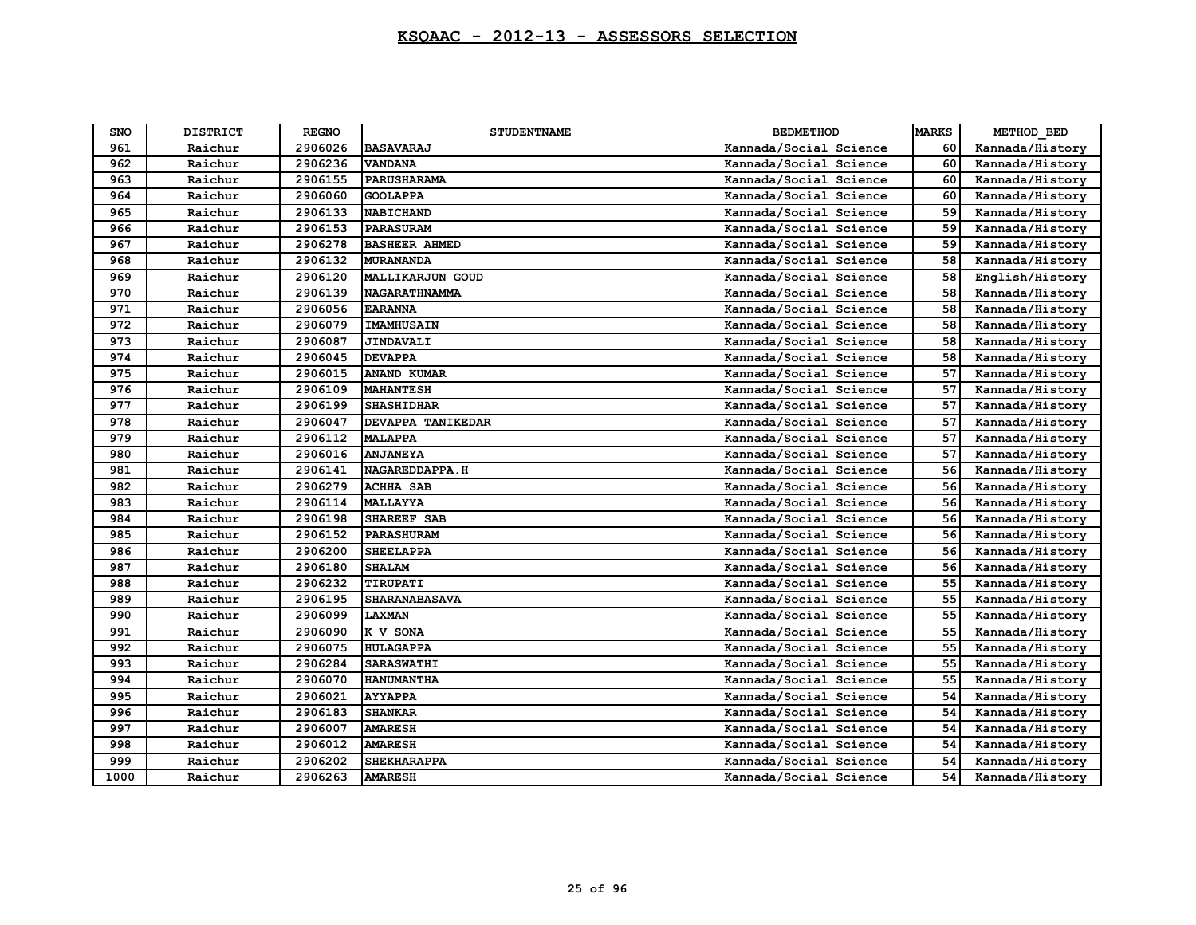| <b>SNO</b> | <b>DISTRICT</b> | <b>REGNO</b> | <b>STUDENTNAME</b>      | <b>BEDMETHOD</b>       | <b>MARKS</b> | METHOD BED      |
|------------|-----------------|--------------|-------------------------|------------------------|--------------|-----------------|
| 961        | Raichur         | 2906026      | <b>BASAVARAJ</b>        | Kannada/Social Science | 60           | Kannada/History |
| 962        | Raichur         | 2906236      | <b>VANDANA</b>          | Kannada/Social Science | 60           | Kannada/History |
| 963        | Raichur         | 2906155      | <b>PARUSHARAMA</b>      | Kannada/Social Science | 60           | Kannada/History |
| 964        | Raichur         | 2906060      | <b>GOOLAPPA</b>         | Kannada/Social Science | 60           | Kannada/History |
| 965        | Raichur         | 2906133      | <b>NABICHAND</b>        | Kannada/Social Science | 59           | Kannada/History |
| 966        | Raichur         | 2906153      | <b>PARASURAM</b>        | Kannada/Social Science | 59           | Kannada/History |
| 967        | Raichur         | 2906278      | <b>BASHEER AHMED</b>    | Kannada/Social Science | 59           | Kannada/History |
| 968        | Raichur         | 2906132      | <b>MURANANDA</b>        | Kannada/Social Science | 58           | Kannada/History |
| 969        | Raichur         | 2906120      | <b>MALLIKARJUN GOUD</b> | Kannada/Social Science | 58           | English/History |
| 970        | Raichur         | 2906139      | <b>NAGARATHNAMMA</b>    | Kannada/Social Science | 58           | Kannada/History |
| 971        | Raichur         | 2906056      | <b>EARANNA</b>          | Kannada/Social Science | 58           | Kannada/History |
| 972        | Raichur         | 2906079      | <b>IMAMHUSAIN</b>       | Kannada/Social Science | 58           | Kannada/History |
| 973        | Raichur         | 2906087      | <b>JINDAVALI</b>        | Kannada/Social Science | 58           | Kannada/History |
| 974        | Raichur         | 2906045      | <b>DEVAPPA</b>          | Kannada/Social Science | 58           | Kannada/History |
| 975        | Raichur         | 2906015      | <b>ANAND KUMAR</b>      | Kannada/Social Science | 57           | Kannada/History |
| 976        | Raichur         | 2906109      | <b>MAHANTESH</b>        | Kannada/Social Science | 57           | Kannada/History |
| 977        | Raichur         | 2906199      | <b>SHASHIDHAR</b>       | Kannada/Social Science | 57           | Kannada/History |
| 978        | Raichur         | 2906047      | DEVAPPA TANIKEDAR       | Kannada/Social Science | 57           | Kannada/History |
| 979        | Raichur         | 2906112      | <b>MALAPPA</b>          | Kannada/Social Science | 57           | Kannada/History |
| 980        | Raichur         | 2906016      | <b>ANJANEYA</b>         | Kannada/Social Science | 57           | Kannada/History |
| 981        | Raichur         | 2906141      | NAGAREDDAPPA.H          | Kannada/Social Science | 56           | Kannada/History |
| 982        | Raichur         | 2906279      | <b>ACHHA SAB</b>        | Kannada/Social Science | 56           | Kannada/History |
| 983        | Raichur         | 2906114      | <b>MALLAYYA</b>         | Kannada/Social Science | 56           | Kannada/History |
| 984        | Raichur         | 2906198      | SHAREEF SAB             | Kannada/Social Science | 56           | Kannada/History |
| 985        | Raichur         | 2906152      | <b>PARASHURAM</b>       | Kannada/Social Science | 56           | Kannada/History |
| 986        | Raichur         | 2906200      | <b>SHEELAPPA</b>        | Kannada/Social Science | 56           | Kannada/History |
| 987        | Raichur         | 2906180      | <b>SHALAM</b>           | Kannada/Social Science | 56           | Kannada/History |
| 988        | Raichur         | 2906232      | TIRUPATI                | Kannada/Social Science | 55           | Kannada/History |
| 989        | Raichur         | 2906195      | <b>SHARANABASAVA</b>    | Kannada/Social Science | 55           | Kannada/History |
| 990        | Raichur         | 2906099      | LAXMAN                  | Kannada/Social Science | 55           | Kannada/History |
| 991        | Raichur         | 2906090      | K V SONA                | Kannada/Social Science | 55           | Kannada/History |
| 992        | Raichur         | 2906075      | <b>HULAGAPPA</b>        | Kannada/Social Science | 55           | Kannada/History |
| 993        | Raichur         | 2906284      | <b>SARASWATHI</b>       | Kannada/Social Science | 55           | Kannada/History |
| 994        | Raichur         | 2906070      | <b>HANUMANTHA</b>       | Kannada/Social Science | 55           | Kannada/History |
| 995        | Raichur         | 2906021      | <b>AYYAPPA</b>          | Kannada/Social Science | 54           | Kannada/History |
| 996        | Raichur         | 2906183      | <b>SHANKAR</b>          | Kannada/Social Science | 54           | Kannada/History |
| 997        | Raichur         | 2906007      | <b>AMARESH</b>          | Kannada/Social Science | 54           | Kannada/History |
| 998        | Raichur         | 2906012      | <b>AMARESH</b>          | Kannada/Social Science | 54           | Kannada/History |
| 999        | Raichur         | 2906202      | <b>SHEKHARAPPA</b>      | Kannada/Social Science | 54           | Kannada/History |
| 1000       | Raichur         | 2906263      | <b>AMARESH</b>          | Kannada/Social Science | 54           | Kannada/History |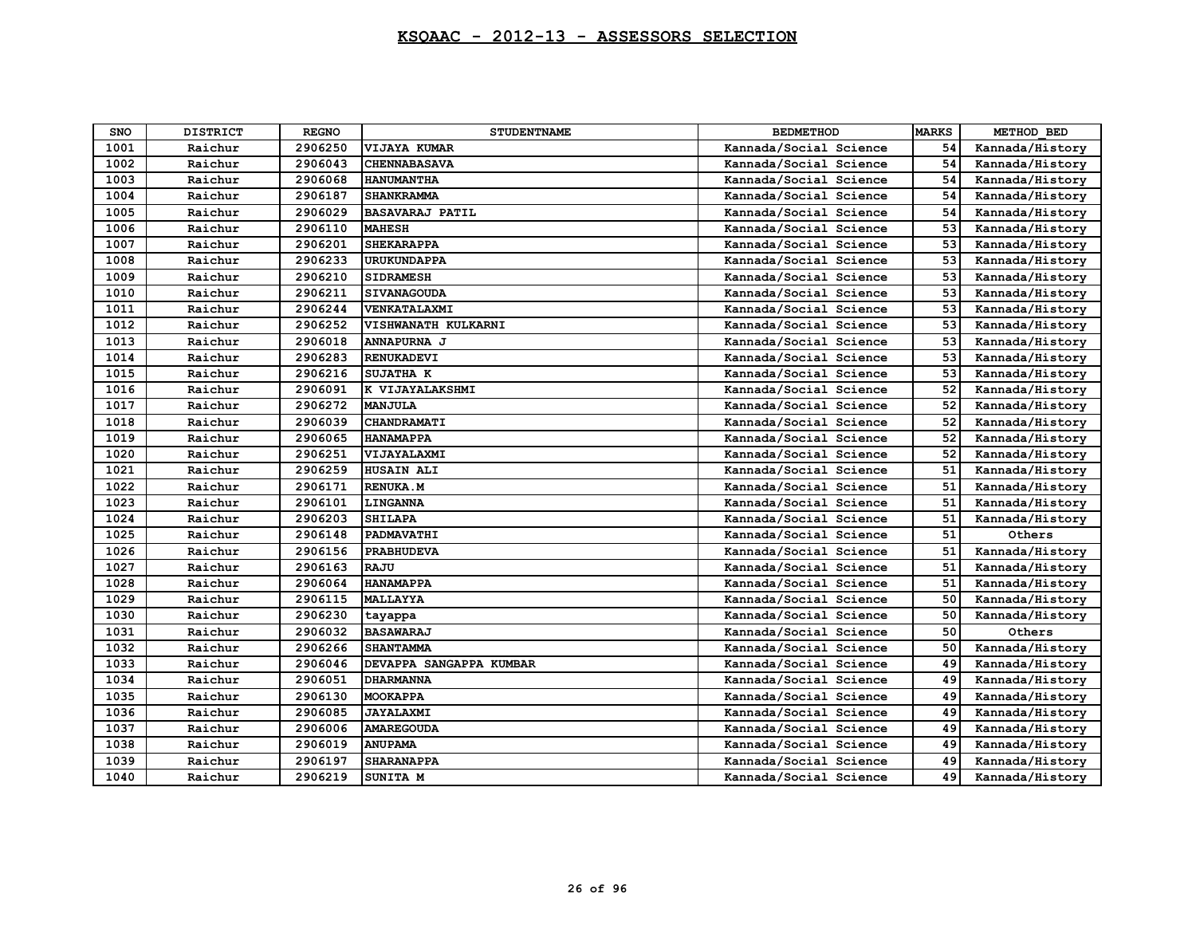| <b>SNO</b> | <b>DISTRICT</b> | <b>REGNO</b> | <b>STUDENTNAME</b>      | <b>BEDMETHOD</b>       | <b>MARKS</b> | METHOD BED      |
|------------|-----------------|--------------|-------------------------|------------------------|--------------|-----------------|
| 1001       | Raichur         | 2906250      | VIJAYA KUMAR            | Kannada/Social Science | 54           | Kannada/History |
| 1002       | Raichur         | 2906043      | <b>CHENNABASAVA</b>     | Kannada/Social Science | 54           | Kannada/History |
| 1003       | Raichur         | 2906068      | <b>HANUMANTHA</b>       | Kannada/Social Science | 54           | Kannada/History |
| 1004       | Raichur         | 2906187      | <b>SHANKRAMMA</b>       | Kannada/Social Science | 54           | Kannada/History |
| 1005       | Raichur         | 2906029      | <b>BASAVARAJ PATIL</b>  | Kannada/Social Science | 54           | Kannada/History |
| 1006       | Raichur         | 2906110      | <b>MAHESH</b>           | Kannada/Social Science | 53           | Kannada/History |
| 1007       | Raichur         | 2906201      | <b>SHEKARAPPA</b>       | Kannada/Social Science | 53           | Kannada/History |
| 1008       | Raichur         | 2906233      | <b>URUKUNDAPPA</b>      | Kannada/Social Science | 53           | Kannada/History |
| 1009       | Raichur         | 2906210      | <b>SIDRAMESH</b>        | Kannada/Social Science | 53           | Kannada/History |
| 1010       | Raichur         | 2906211      | <b>SIVANAGOUDA</b>      | Kannada/Social Science | 53           | Kannada/History |
| 1011       | Raichur         | 2906244      | VENKATALAXMI            | Kannada/Social Science | 53           | Kannada/History |
| 1012       | Raichur         | 2906252      | VISHWANATH KULKARNI     | Kannada/Social Science | 53           | Kannada/History |
| 1013       | Raichur         | 2906018      | ANNAPURNA J             | Kannada/Social Science | 53           | Kannada/History |
| 1014       | Raichur         | 2906283      | <b>RENUKADEVI</b>       | Kannada/Social Science | 53           | Kannada/History |
| 1015       | Raichur         | 2906216      | SUJATHA K               | Kannada/Social Science | 53           | Kannada/History |
| 1016       | Raichur         | 2906091      | K VIJAYALAKSHMI         | Kannada/Social Science | 52           | Kannada/History |
| 1017       | Raichur         | 2906272      | <b>MANJULA</b>          | Kannada/Social Science | 52           | Kannada/History |
| 1018       | Raichur         | 2906039      | CHANDRAMATI             | Kannada/Social Science | 52           | Kannada/History |
| 1019       | Raichur         | 2906065      | <b>HANAMAPPA</b>        | Kannada/Social Science | 52           | Kannada/History |
| 1020       | Raichur         | 2906251      | VIJAYALAXMI             | Kannada/Social Science | 52           | Kannada/History |
| 1021       | Raichur         | 2906259      | <b>HUSAIN ALI</b>       | Kannada/Social Science | 51           | Kannada/History |
| 1022       | Raichur         | 2906171      | <b>RENUKA.M</b>         | Kannada/Social Science | 51           | Kannada/History |
| 1023       | Raichur         | 2906101      | LINGANNA                | Kannada/Social Science | 51           | Kannada/History |
| 1024       | Raichur         | 2906203      | <b>SHILAPA</b>          | Kannada/Social Science | 51           | Kannada/History |
| 1025       | Raichur         | 2906148      | PADMAVATHI              | Kannada/Social Science | 51           | Others          |
| 1026       | Raichur         | 2906156      | <b>PRABHUDEVA</b>       | Kannada/Social Science | 51           | Kannada/History |
| 1027       | Raichur         | 2906163      | <b>RAJU</b>             | Kannada/Social Science | 51           | Kannada/History |
| 1028       | Raichur         | 2906064      | <b>HANAMAPPA</b>        | Kannada/Social Science | 51           | Kannada/History |
| 1029       | Raichur         | 2906115      | <b>MALLAYYA</b>         | Kannada/Social Science | 50           | Kannada/History |
| 1030       | Raichur         | 2906230      | tayappa                 | Kannada/Social Science | 50           | Kannada/History |
| 1031       | Raichur         | 2906032      | <b>BASAWARAJ</b>        | Kannada/Social Science | 50           | Others          |
| 1032       | Raichur         | 2906266      | <b>SHANTAMMA</b>        | Kannada/Social Science | 50           | Kannada/History |
| 1033       | Raichur         | 2906046      | DEVAPPA SANGAPPA KUMBAR | Kannada/Social Science | 49           | Kannada/History |
| 1034       | Raichur         | 2906051      | <b>DHARMANNA</b>        | Kannada/Social Science | 49           | Kannada/History |
| 1035       | Raichur         | 2906130      | <b>MOOKAPPA</b>         | Kannada/Social Science | 49           | Kannada/History |
| 1036       | Raichur         | 2906085      | <b>JAYALAXMI</b>        | Kannada/Social Science | 49           | Kannada/History |
| 1037       | Raichur         | 2906006      | <b>AMAREGOUDA</b>       | Kannada/Social Science | 49           | Kannada/History |
| 1038       | Raichur         | 2906019      | <b>ANUPAMA</b>          | Kannada/Social Science | 49           | Kannada/History |
| 1039       | Raichur         | 2906197      | <b>SHARANAPPA</b>       | Kannada/Social Science | 49           | Kannada/History |
| 1040       | Raichur         | 2906219      | SUNITA M                | Kannada/Social Science | 49           | Kannada/History |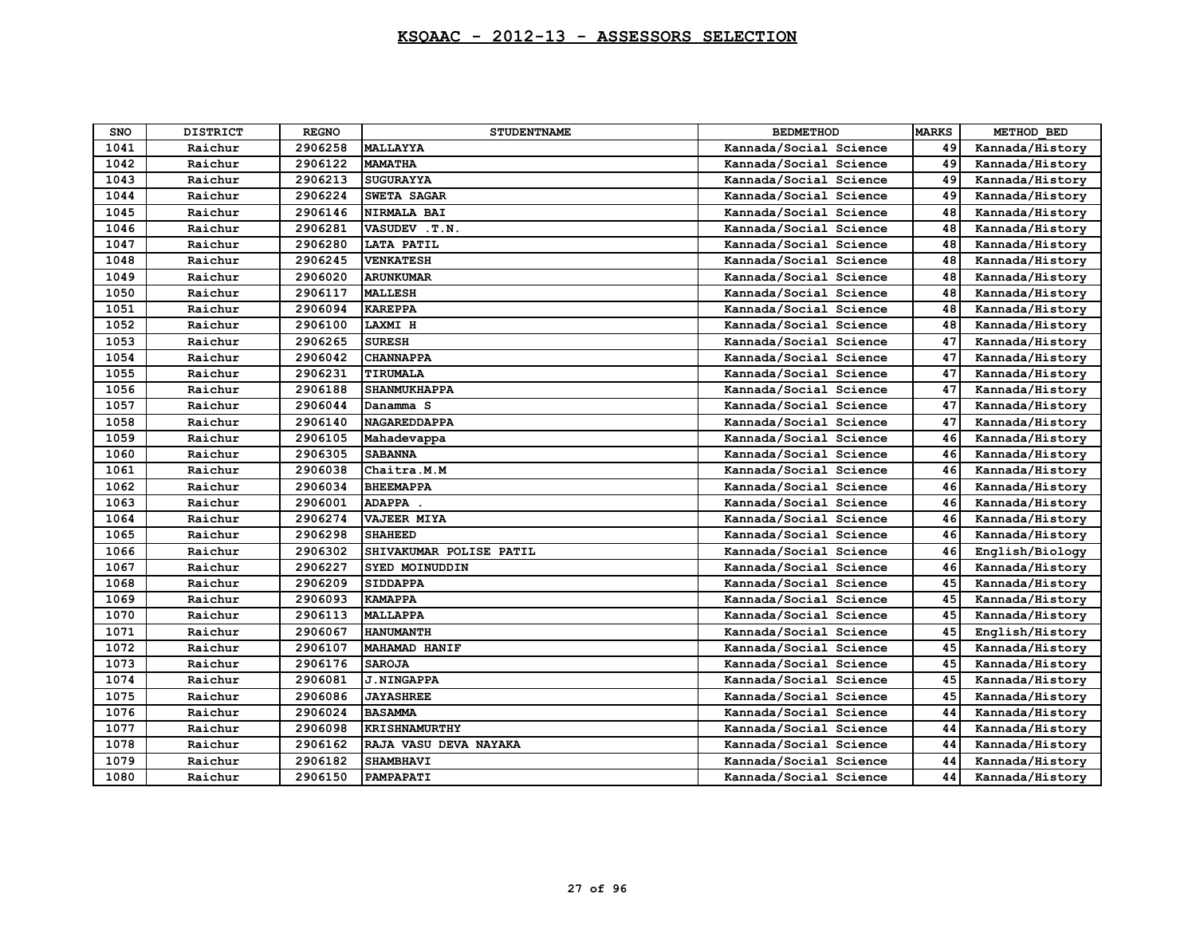| <b>SNO</b> | <b>DISTRICT</b> | <b>REGNO</b> | <b>STUDENTNAME</b>      | <b>BEDMETHOD</b>       | <b>MARKS</b> | METHOD BED      |
|------------|-----------------|--------------|-------------------------|------------------------|--------------|-----------------|
| 1041       | Raichur         | 2906258      | <b>MALLAYYA</b>         | Kannada/Social Science | 49           | Kannada/History |
| 1042       | Raichur         | 2906122      | <b>MAMATHA</b>          | Kannada/Social Science | 49           | Kannada/History |
| 1043       | Raichur         | 2906213      | <b>SUGURAYYA</b>        | Kannada/Social Science | 49           | Kannada/History |
| 1044       | Raichur         | 2906224      | SWETA SAGAR             | Kannada/Social Science | 49           | Kannada/History |
| 1045       | Raichur         | 2906146      | NIRMALA BAI             | Kannada/Social Science | 48           | Kannada/History |
| 1046       | Raichur         | 2906281      | VASUDEV . T.N.          | Kannada/Social Science | 48           | Kannada/History |
| 1047       | Raichur         | 2906280      | <b>LATA PATIL</b>       | Kannada/Social Science | 48           | Kannada/History |
| 1048       | Raichur         | 2906245      | <b>VENKATESH</b>        | Kannada/Social Science | 48           | Kannada/History |
| 1049       | Raichur         | 2906020      | <b>ARUNKUMAR</b>        | Kannada/Social Science | 48           | Kannada/History |
| 1050       | Raichur         | 2906117      | <b>MALLESH</b>          | Kannada/Social Science | 48           | Kannada/History |
| 1051       | Raichur         | 2906094      | <b>KAREPPA</b>          | Kannada/Social Science | 48           | Kannada/History |
| 1052       | Raichur         | 2906100      | LAXMI H                 | Kannada/Social Science | 48           | Kannada/History |
| 1053       | Raichur         | 2906265      | <b>SURESH</b>           | Kannada/Social Science | 47           | Kannada/History |
| 1054       | Raichur         | 2906042      | <b>CHANNAPPA</b>        | Kannada/Social Science | 47           | Kannada/History |
| 1055       | Raichur         | 2906231      | TIRUMALA                | Kannada/Social Science | 47           | Kannada/History |
| 1056       | Raichur         | 2906188      | <b>SHANMUKHAPPA</b>     | Kannada/Social Science | 47           | Kannada/History |
| 1057       | Raichur         | 2906044      | Danamma <sub>S</sub>    | Kannada/Social Science | 47           | Kannada/History |
| 1058       | Raichur         | 2906140      | <b>NAGAREDDAPPA</b>     | Kannada/Social Science | 47           | Kannada/History |
| 1059       | Raichur         | 2906105      | Mahadevappa             | Kannada/Social Science | 46           | Kannada/History |
| 1060       | Raichur         | 2906305      | <b>SABANNA</b>          | Kannada/Social Science | 46           | Kannada/History |
| 1061       | Raichur         | 2906038      | Chaitra.M.M             | Kannada/Social Science | 46           | Kannada/History |
| 1062       | Raichur         | 2906034      | <b>BHEEMAPPA</b>        | Kannada/Social Science | 46           | Kannada/History |
| 1063       | Raichur         | 2906001      | ADAPPA .                | Kannada/Social Science | 46           | Kannada/History |
| 1064       | Raichur         | 2906274      | <b>VAJEER MIYA</b>      | Kannada/Social Science | 46           | Kannada/History |
| 1065       | Raichur         | 2906298      | <b>SHAHEED</b>          | Kannada/Social Science | 46           | Kannada/History |
| 1066       | Raichur         | 2906302      | SHIVAKUMAR POLISE PATIL | Kannada/Social Science | 46           | English/Biology |
| 1067       | Raichur         | 2906227      | SYED MOINUDDIN          | Kannada/Social Science | 46           | Kannada/History |
| 1068       | Raichur         | 2906209      | <b>SIDDAPPA</b>         | Kannada/Social Science | 45           | Kannada/History |
| 1069       | Raichur         | 2906093      | <b>KAMAPPA</b>          | Kannada/Social Science | 45           | Kannada/History |
| 1070       | Raichur         | 2906113      | <b>MALLAPPA</b>         | Kannada/Social Science | 45           | Kannada/History |
| 1071       | Raichur         | 2906067      | <b>HANUMANTH</b>        | Kannada/Social Science | 45           | English/History |
| 1072       | Raichur         | 2906107      | <b>MAHAMAD HANIF</b>    | Kannada/Social Science | 45           | Kannada/History |
| 1073       | Raichur         | 2906176      | <b>SAROJA</b>           | Kannada/Social Science | 45           | Kannada/History |
| 1074       | Raichur         | 2906081      | <b>J.NINGAPPA</b>       | Kannada/Social Science | 45           | Kannada/History |
| 1075       | Raichur         | 2906086      | <b><i>JAYASHREE</i></b> | Kannada/Social Science | 45           | Kannada/History |
| 1076       | Raichur         | 2906024      | <b>BASAMMA</b>          | Kannada/Social Science | 44           | Kannada/History |
| 1077       | Raichur         | 2906098      | <b>KRISHNAMURTHY</b>    | Kannada/Social Science | 44           | Kannada/History |
| 1078       | Raichur         | 2906162      | RAJA VASU DEVA NAYAKA   | Kannada/Social Science | 44           | Kannada/History |
| 1079       | Raichur         | 2906182      | <b>SHAMBHAVI</b>        | Kannada/Social Science | 44           | Kannada/History |
| 1080       | Raichur         | 2906150      | PAMPAPATI               | Kannada/Social Science | 44           | Kannada/History |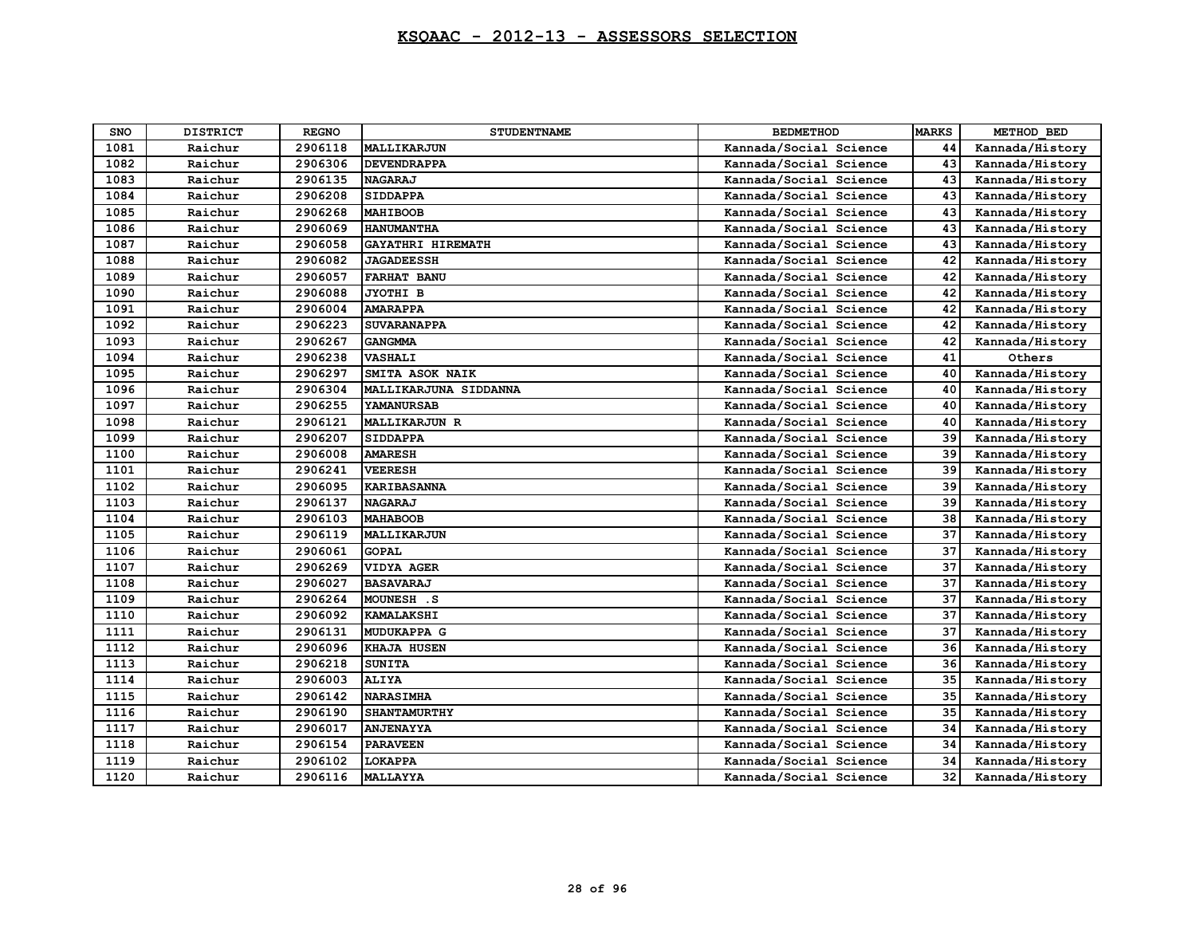| <b>SNO</b> | <b>DISTRICT</b> | <b>REGNO</b> | <b>STUDENTNAME</b>    | <b>BEDMETHOD</b>       | <b>MARKS</b> | METHOD BED      |
|------------|-----------------|--------------|-----------------------|------------------------|--------------|-----------------|
| 1081       | Raichur         | 2906118      | MALLIKARJUN           | Kannada/Social Science | 44           | Kannada/History |
| 1082       | Raichur         | 2906306      | <b>DEVENDRAPPA</b>    | Kannada/Social Science | 43           | Kannada/History |
| 1083       | Raichur         | 2906135      | <b>NAGARAJ</b>        | Kannada/Social Science | 43           | Kannada/History |
| 1084       | Raichur         | 2906208      | <b>SIDDAPPA</b>       | Kannada/Social Science | 43           | Kannada/History |
| 1085       | Raichur         | 2906268      | <b>MAHIBOOB</b>       | Kannada/Social Science | 43           | Kannada/History |
| 1086       | Raichur         | 2906069      | <b>HANUMANTHA</b>     | Kannada/Social Science | 43           | Kannada/History |
| 1087       | Raichur         | 2906058      | GAYATHRI HIREMATH     | Kannada/Social Science | 43           | Kannada/History |
| 1088       | Raichur         | 2906082      | <b>JAGADEESSH</b>     | Kannada/Social Science | 42           | Kannada/History |
| 1089       | Raichur         | 2906057      | <b>FARHAT BANU</b>    | Kannada/Social Science | 42           | Kannada/History |
| 1090       | Raichur         | 2906088      | JYOTHI B              | Kannada/Social Science | 42           | Kannada/History |
| 1091       | Raichur         | 2906004      | <b>AMARAPPA</b>       | Kannada/Social Science | 42           | Kannada/History |
| 1092       | Raichur         | 2906223      | <b>SUVARANAPPA</b>    | Kannada/Social Science | 42           | Kannada/History |
| 1093       | Raichur         | 2906267      | <b>GANGMMA</b>        | Kannada/Social Science | 42           | Kannada/History |
| 1094       | Raichur         | 2906238      | <b>VASHALI</b>        | Kannada/Social Science | 41           | Others          |
| 1095       | Raichur         | 2906297      | SMITA ASOK NAIK       | Kannada/Social Science | 40           | Kannada/History |
| 1096       | Raichur         | 2906304      | MALLIKARJUNA SIDDANNA | Kannada/Social Science | 40           | Kannada/History |
| 1097       | Raichur         | 2906255      | <b>YAMANURSAB</b>     | Kannada/Social Science | 40           | Kannada/History |
| 1098       | Raichur         | 2906121      | <b>MALLIKARJUN R</b>  | Kannada/Social Science | 40           | Kannada/History |
| 1099       | Raichur         | 2906207      | <b>SIDDAPPA</b>       | Kannada/Social Science | 39           | Kannada/History |
| 1100       | Raichur         | 2906008      | <b>AMARESH</b>        | Kannada/Social Science | 39           | Kannada/History |
| 1101       | Raichur         | 2906241      | <b>VEERESH</b>        | Kannada/Social Science | 39           | Kannada/History |
| 1102       | Raichur         | 2906095      | <b>KARIBASANNA</b>    | Kannada/Social Science | 39           | Kannada/History |
| 1103       | Raichur         | 2906137      | <b>NAGARAJ</b>        | Kannada/Social Science | 39           | Kannada/History |
| 1104       | Raichur         | 2906103      | <b>MAHABOOB</b>       | Kannada/Social Science | 38           | Kannada/History |
| 1105       | Raichur         | 2906119      | MALLIKARJUN           | Kannada/Social Science | 37           | Kannada/History |
| 1106       | Raichur         | 2906061      | <b>GOPAL</b>          | Kannada/Social Science | 37           | Kannada/History |
| 1107       | Raichur         | 2906269      | <b>VIDYA AGER</b>     | Kannada/Social Science | 37           | Kannada/History |
| 1108       | Raichur         | 2906027      | <b>BASAVARAJ</b>      | Kannada/Social Science | 37           | Kannada/History |
| 1109       | Raichur         | 2906264      | MOUNESH .S            | Kannada/Social Science | 37           | Kannada/History |
| 1110       | Raichur         | 2906092      | <b>KAMALAKSHI</b>     | Kannada/Social Science | 37           | Kannada/History |
| 1111       | Raichur         | 2906131      | <b>MUDUKAPPA G</b>    | Kannada/Social Science | 37           | Kannada/History |
| 1112       | Raichur         | 2906096      | KHAJA HUSEN           | Kannada/Social Science | 36           | Kannada/History |
| 1113       | Raichur         | 2906218      | <b>SUNITA</b>         | Kannada/Social Science | 36           | Kannada/History |
| 1114       | Raichur         | 2906003      | <b>ALIYA</b>          | Kannada/Social Science | 35           | Kannada/History |
| 1115       | Raichur         | 2906142      | <b>NARASIMHA</b>      | Kannada/Social Science | 35           | Kannada/History |
| 1116       | Raichur         | 2906190      | <b>SHANTAMURTHY</b>   | Kannada/Social Science | 35           | Kannada/History |
| 1117       | Raichur         | 2906017      | <b>ANJENAYYA</b>      | Kannada/Social Science | 34           | Kannada/History |
| 1118       | Raichur         | 2906154      | <b>PARAVEEN</b>       | Kannada/Social Science | 34           | Kannada/History |
| 1119       | Raichur         | 2906102      | LOKAPPA               | Kannada/Social Science | 34           | Kannada/History |
| 1120       | Raichur         | 2906116      | <b>MALLAYYA</b>       | Kannada/Social Science | 32           | Kannada/History |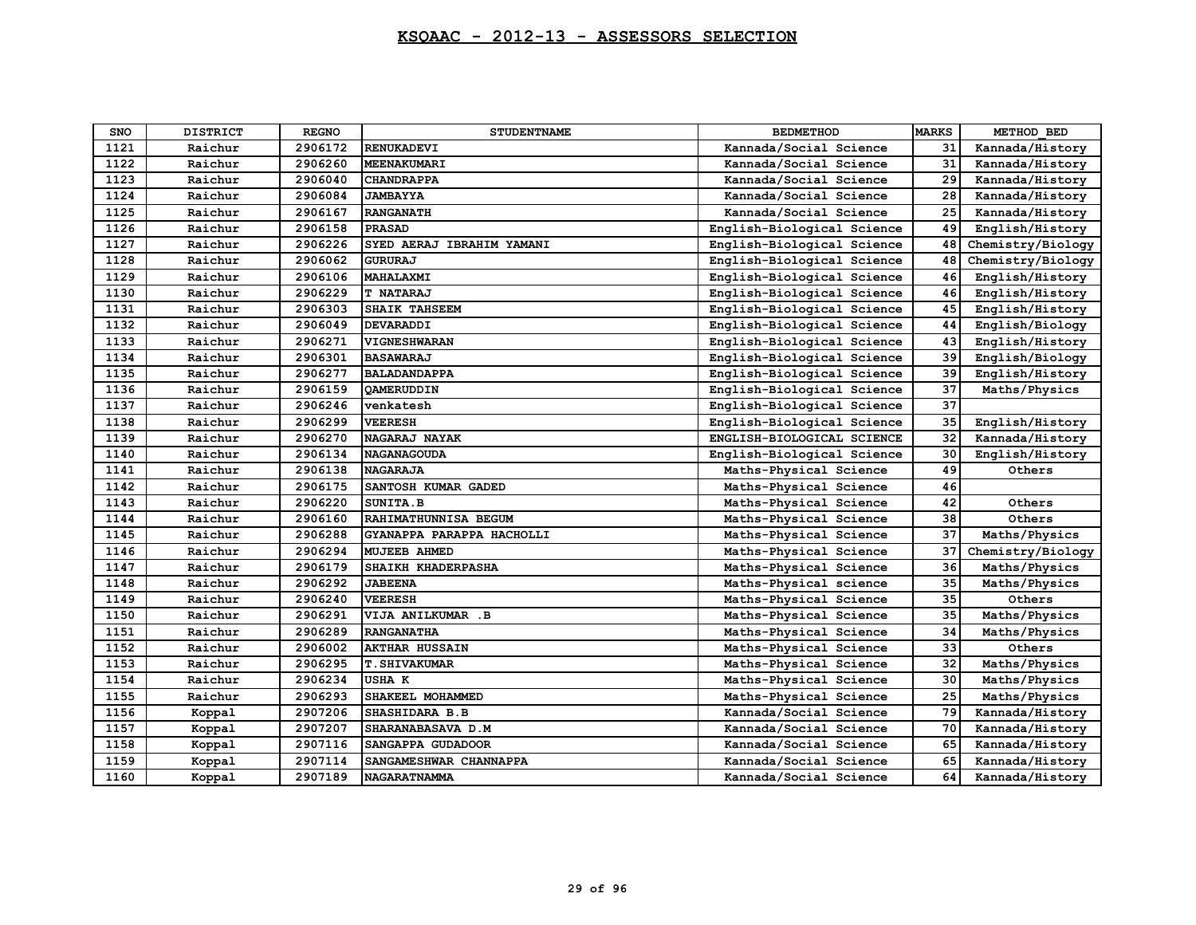| <b>SNO</b> | <b>DISTRICT</b> | <b>REGNO</b> | <b>STUDENTNAME</b>        | <b>BEDMETHOD</b>           | <b>MARKS</b> | METHOD BED        |
|------------|-----------------|--------------|---------------------------|----------------------------|--------------|-------------------|
| 1121       | Raichur         | 2906172      | <b>RENUKADEVI</b>         | Kannada/Social Science     | 31           | Kannada/History   |
| 1122       | Raichur         | 2906260      | <b>MEENAKUMARI</b>        | Kannada/Social Science     | 31           | Kannada/History   |
| 1123       | Raichur         | 2906040      | <b>CHANDRAPPA</b>         | Kannada/Social Science     | 29           | Kannada/History   |
| 1124       | Raichur         | 2906084      | <b>JAMBAYYA</b>           | Kannada/Social Science     | 28           | Kannada/History   |
| 1125       | Raichur         | 2906167      | <b>RANGANATH</b>          | Kannada/Social Science     | 25           | Kannada/History   |
| 1126       | Raichur         | 2906158      | <b>PRASAD</b>             | English-Biological Science | 49           | English/History   |
| 1127       | Raichur         | 2906226      | SYED AERAJ IBRAHIM YAMANI | English-Biological Science | 48           | Chemistry/Biology |
| 1128       | Raichur         | 2906062      | <b>GURURAJ</b>            | English-Biological Science | 48           | Chemistry/Biology |
| 1129       | Raichur         | 2906106      | MAHALAXMI                 | English-Biological Science | 46           | English/History   |
| 1130       | Raichur         | 2906229      | <b>T NATARAJ</b>          | English-Biological Science | 46           | English/History   |
| 1131       | Raichur         | 2906303      | SHAIK TAHSEEM             | English-Biological Science | 45           | English/History   |
| 1132       | Raichur         | 2906049      | <b>DEVARADDI</b>          | English-Biological Science | 44           | English/Biology   |
| 1133       | Raichur         | 2906271      | VIGNESHWARAN              | English-Biological Science | 43           | English/History   |
| 1134       | Raichur         | 2906301      | <b>BASAWARAJ</b>          | English-Biological Science | 39           | English/Biology   |
| 1135       | Raichur         | 2906277      | <b>BALADANDAPPA</b>       | English-Biological Science | 39           | English/History   |
| 1136       | Raichur         | 2906159      | <b>OAMERUDDIN</b>         | English-Biological Science | 37           | Maths/Physics     |
| 1137       | Raichur         | 2906246      | venkatesh                 | English-Biological Science | 37           |                   |
| 1138       | Raichur         | 2906299      | <b>VEERESH</b>            | English-Biological Science | 35           | English/History   |
| 1139       | Raichur         | 2906270      | NAGARAJ NAYAK             | ENGLISH-BIOLOGICAL SCIENCE | 32           | Kannada/History   |
| 1140       | Raichur         | 2906134      | <b>NAGANAGOUDA</b>        | English-Biological Science | 30           | English/History   |
| 1141       | Raichur         | 2906138      | <b>NAGARAJA</b>           | Maths-Physical Science     | 49           | Others            |
| 1142       | Raichur         | 2906175      | SANTOSH KUMAR GADED       | Maths-Physical Science     | 46           |                   |
| 1143       | Raichur         | 2906220      | SUNITA.B                  | Maths-Physical Science     | 42           | Others            |
| 1144       | Raichur         | 2906160      | RAHIMATHUNNISA BEGUM      | Maths-Physical Science     | 38           | Others            |
| 1145       | Raichur         | 2906288      | GYANAPPA PARAPPA HACHOLLI | Maths-Physical Science     | 37           | Maths/Physics     |
| 1146       | Raichur         | 2906294      | <b>MUJEEB AHMED</b>       | Maths-Physical Science     | 37           | Chemistry/Biology |
| 1147       | Raichur         | 2906179      | SHAIKH KHADERPASHA        | Maths-Physical Science     | 36           | Maths/Physics     |
| 1148       | Raichur         | 2906292      | <b>JABEENA</b>            | Maths-Physical science     | 35           | Maths/Physics     |
| 1149       | Raichur         | 2906240      | <b>VEERESH</b>            | Maths-Physical Science     | 35           | Others            |
| 1150       | Raichur         | 2906291      | VIJA ANILKUMAR .B         | Maths-Physical Science     | 35           | Maths/Physics     |
| 1151       | Raichur         | 2906289      | <b>RANGANATHA</b>         | Maths-Physical Science     | 34           | Maths/Physics     |
| 1152       | Raichur         | 2906002      | <b>AKTHAR HUSSAIN</b>     | Maths-Physical Science     | 33           | Others            |
| 1153       | Raichur         | 2906295      | <b>T. SHIVAKUMAR</b>      | Maths-Physical Science     | 32           | Maths/Physics     |
| 1154       | Raichur         | 2906234      | <b>USHA K</b>             | Maths-Physical Science     | 30           | Maths/Physics     |
| 1155       | Raichur         | 2906293      | SHAKEEL MOHAMMED          | Maths-Physical Science     | 25           | Maths/Physics     |
| 1156       | Koppal          | 2907206      | <b>SHASHIDARA B.B</b>     | Kannada/Social Science     | 79           | Kannada/History   |
| 1157       | Koppal          | 2907207      | SHARANABASAVA D.M         | Kannada/Social Science     | 70           | Kannada/History   |
| 1158       | Koppal          | 2907116      | SANGAPPA GUDADOOR         | Kannada/Social Science     | 65           | Kannada/History   |
| 1159       | Koppal          | 2907114      | SANGAMESHWAR CHANNAPPA    | Kannada/Social Science     | 65           | Kannada/History   |
| 1160       | Koppal          | 2907189      | <b>NAGARATNAMMA</b>       | Kannada/Social Science     | 64           | Kannada/History   |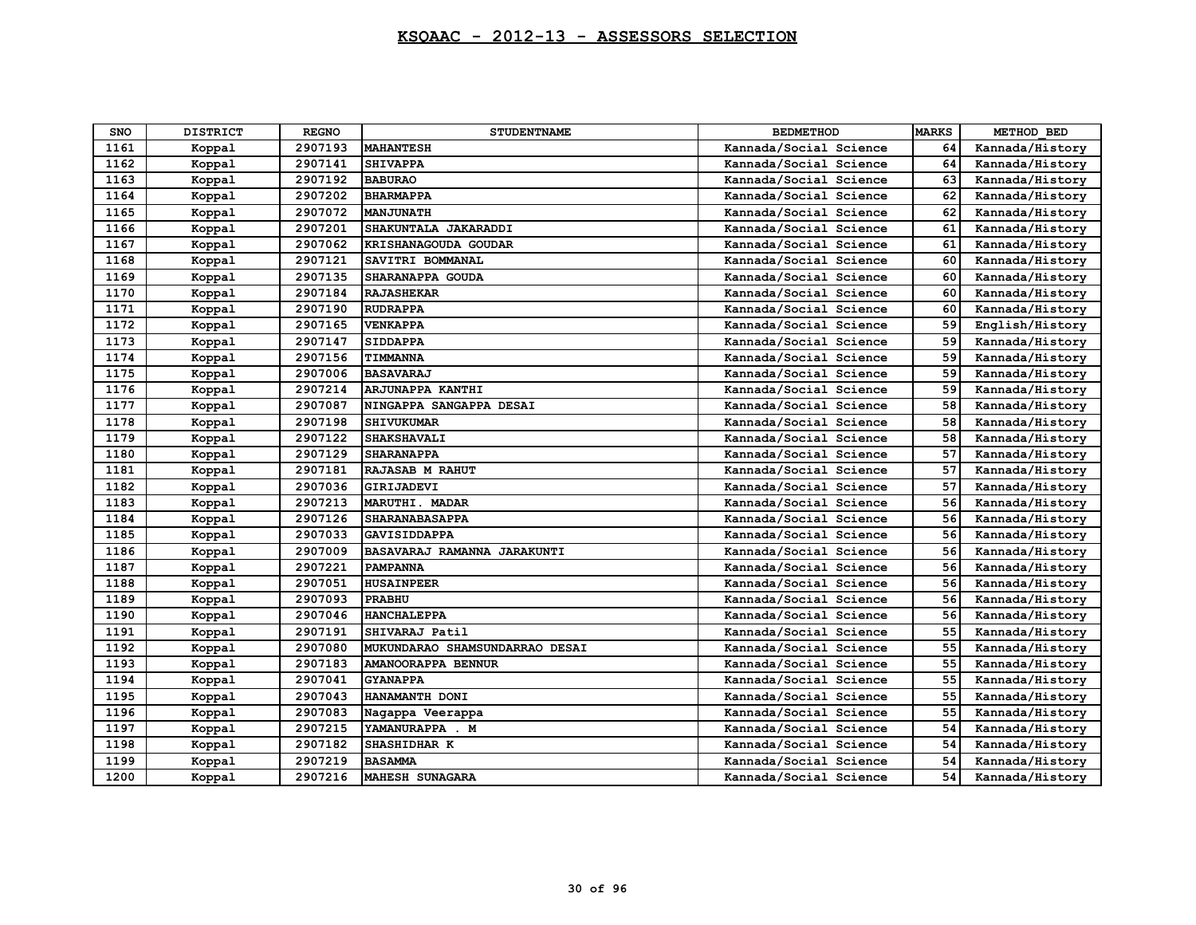| <b>SNO</b> | <b>DISTRICT</b> | <b>REGNO</b> | <b>STUDENTNAME</b>             | <b>BEDMETHOD</b>       | <b>MARKS</b> | METHOD BED      |
|------------|-----------------|--------------|--------------------------------|------------------------|--------------|-----------------|
| 1161       | Koppal          | 2907193      | <b>MAHANTESH</b>               | Kannada/Social Science | 64           | Kannada/History |
| 1162       | Koppal          | 2907141      | <b>SHIVAPPA</b>                | Kannada/Social Science | 64           | Kannada/History |
| 1163       | Koppal          | 2907192      | <b>BABURAO</b>                 | Kannada/Social Science | 63           | Kannada/History |
| 1164       | Koppal          | 2907202      | <b>BHARMAPPA</b>               | Kannada/Social Science | 62           | Kannada/History |
| 1165       | Koppal          | 2907072      | <b>MANJUNATH</b>               | Kannada/Social Science | 62           | Kannada/History |
| 1166       | Koppal          | 2907201      | SHAKUNTALA JAKARADDI           | Kannada/Social Science | 61           | Kannada/History |
| 1167       | Koppal          | 2907062      | KRISHANAGOUDA GOUDAR           | Kannada/Social Science | 61           | Kannada/History |
| 1168       | Koppal          | 2907121      | SAVITRI BOMMANAL               | Kannada/Social Science | 60           | Kannada/History |
| 1169       | Koppal          | 2907135      | SHARANAPPA GOUDA               | Kannada/Social Science | 60           | Kannada/History |
| 1170       | Koppal          | 2907184      | <b>RAJASHEKAR</b>              | Kannada/Social Science | 60           | Kannada/History |
| 1171       | Koppal          | 2907190      | <b>RUDRAPPA</b>                | Kannada/Social Science | 60           | Kannada/History |
| 1172       | Koppal          | 2907165      | <b>VENKAPPA</b>                | Kannada/Social Science | 59           | English/History |
| 1173       | Koppal          | 2907147      | <b>SIDDAPPA</b>                | Kannada/Social Science | 59           | Kannada/History |
| 1174       | Koppal          | 2907156      | TIMMANNA                       | Kannada/Social Science | 59           | Kannada/History |
| 1175       | Koppal          | 2907006      | <b>BASAVARAJ</b>               | Kannada/Social Science | 59           | Kannada/History |
| 1176       | Koppal          | 2907214      | ARJUNAPPA KANTHI               | Kannada/Social Science | 59           | Kannada/History |
| 1177       | Koppal          | 2907087      | NINGAPPA SANGAPPA DESAI        | Kannada/Social Science | 58           | Kannada/History |
| 1178       | Koppal          | 2907198      | <b>SHIVUKUMAR</b>              | Kannada/Social Science | 58           | Kannada/History |
| 1179       | Koppal          | 2907122      | <b>SHAKSHAVALI</b>             | Kannada/Social Science | 58           | Kannada/History |
| 1180       | Koppal          | 2907129      | <b>SHARANAPPA</b>              | Kannada/Social Science | 57           | Kannada/History |
| 1181       | Koppal          | 2907181      | RAJASAB M RAHUT                | Kannada/Social Science | 57           | Kannada/History |
| 1182       | Koppal          | 2907036      | GIRIJADEVI                     | Kannada/Social Science | 57           | Kannada/History |
| 1183       | Koppal          | 2907213      | <b>MARUTHI. MADAR</b>          | Kannada/Social Science | 56           | Kannada/History |
| 1184       | Koppal          | 2907126      | <b>SHARANABASAPPA</b>          | Kannada/Social Science | 56           | Kannada/History |
| 1185       | Koppal          | 2907033      | GAVISIDDAPPA                   | Kannada/Social Science | 56           | Kannada/History |
| 1186       | Koppal          | 2907009      | BASAVARAJ RAMANNA JARAKUNTI    | Kannada/Social Science | 56           | Kannada/History |
| 1187       | Koppal          | 2907221      | <b>PAMPANNA</b>                | Kannada/Social Science | 56           | Kannada/History |
| 1188       | Koppal          | 2907051      | <b>HUSAINPEER</b>              | Kannada/Social Science | 56           | Kannada/History |
| 1189       | Koppal          | 2907093      | <b>PRABHU</b>                  | Kannada/Social Science | 56           | Kannada/History |
| 1190       | Koppal          | 2907046      | <b>HANCHALEPPA</b>             | Kannada/Social Science | 56           | Kannada/History |
| 1191       | Koppal          | 2907191      | SHIVARAJ Patil                 | Kannada/Social Science | 55           | Kannada/History |
| 1192       | Koppal          | 2907080      | MUKUNDARAO SHAMSUNDARRAO DESAI | Kannada/Social Science | 55           | Kannada/History |
| 1193       | Koppal          | 2907183      | AMANOORAPPA BENNUR             | Kannada/Social Science | 55           | Kannada/History |
| 1194       | Koppal          | 2907041      | <b>GYANAPPA</b>                | Kannada/Social Science | 55           | Kannada/History |
| 1195       | Koppal          | 2907043      | HANAMANTH DONI                 | Kannada/Social Science | 55           | Kannada/History |
| 1196       | Koppal          | 2907083      | Nagappa Veerappa               | Kannada/Social Science | 55           | Kannada/History |
| 1197       | Koppal          | 2907215      | YAMANURAPPA . M                | Kannada/Social Science | 54           | Kannada/History |
| 1198       | Koppal          | 2907182      | SHASHIDHAR K                   | Kannada/Social Science | 54           | Kannada/History |
| 1199       | Koppal          | 2907219      | <b>BASAMMA</b>                 | Kannada/Social Science | 54           | Kannada/History |
| 1200       | Koppal          | 2907216      | <b>MAHESH SUNAGARA</b>         | Kannada/Social Science | 54           | Kannada/History |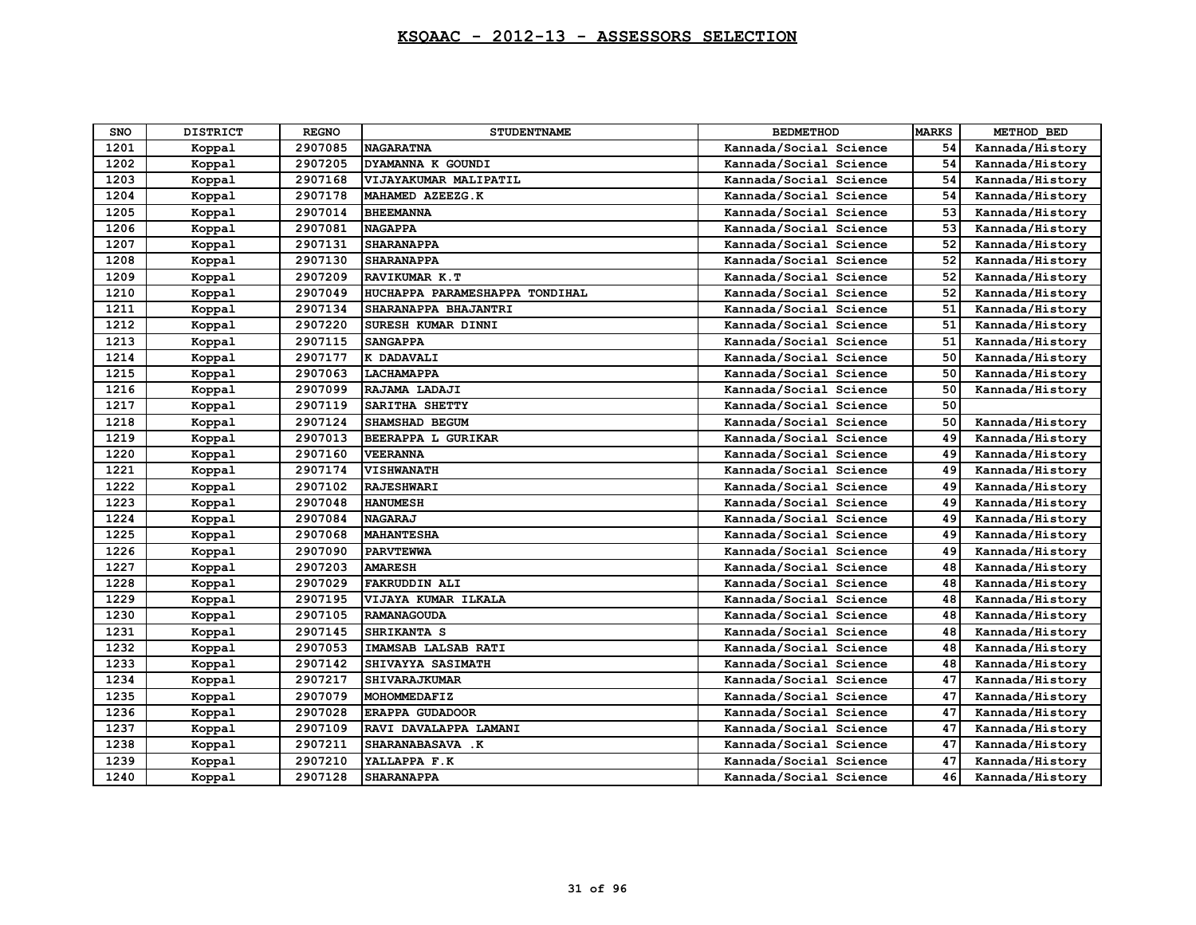| <b>SNO</b> | <b>DISTRICT</b> | <b>REGNO</b> | <b>STUDENTNAME</b>             | <b>BEDMETHOD</b>       | <b>MARKS</b> | METHOD BED      |
|------------|-----------------|--------------|--------------------------------|------------------------|--------------|-----------------|
| 1201       | Koppal          | 2907085      | <b>NAGARATNA</b>               | Kannada/Social Science | 54           | Kannada/History |
| 1202       | Koppal          | 2907205      | DYAMANNA K GOUNDI              | Kannada/Social Science | 54           | Kannada/History |
| 1203       | Koppal          | 2907168      | VIJAYAKUMAR MALIPATIL          | Kannada/Social Science | 54           | Kannada/History |
| 1204       | Koppal          | 2907178      | MAHAMED AZEEZG.K               | Kannada/Social Science | 54           | Kannada/History |
| 1205       | Koppal          | 2907014      | <b>BHEEMANNA</b>               | Kannada/Social Science | 53           | Kannada/History |
| 1206       | Koppal          | 2907081      | <b>NAGAPPA</b>                 | Kannada/Social Science | 53           | Kannada/History |
| 1207       | Koppal          | 2907131      | <b>SHARANAPPA</b>              | Kannada/Social Science | 52           | Kannada/History |
| 1208       | Koppal          | 2907130      | <b>SHARANAPPA</b>              | Kannada/Social Science | 52           | Kannada/History |
| 1209       | Koppal          | 2907209      | RAVIKUMAR K.T                  | Kannada/Social Science | 52           | Kannada/History |
| 1210       | Koppal          | 2907049      | HUCHAPPA PARAMESHAPPA TONDIHAL | Kannada/Social Science | 52           | Kannada/History |
| 1211       | Koppal          | 2907134      | SHARANAPPA BHAJANTRI           | Kannada/Social Science | 51           | Kannada/History |
| 1212       | Koppal          | 2907220      | SURESH KUMAR DINNI             | Kannada/Social Science | 51           | Kannada/History |
| 1213       | Koppal          | 2907115      | <b>SANGAPPA</b>                | Kannada/Social Science | 51           | Kannada/History |
| 1214       | Koppal          | 2907177      | K DADAVALI                     | Kannada/Social Science | 50           | Kannada/History |
| 1215       | Koppal          | 2907063      | <b>LACHAMAPPA</b>              | Kannada/Social Science | 50           | Kannada/History |
| 1216       | Koppal          | 2907099      | RAJAMA LADAJI                  | Kannada/Social Science | 50           | Kannada/History |
| 1217       | Koppal          | 2907119      | SARITHA SHETTY                 | Kannada/Social Science | 50           |                 |
| 1218       | Koppal          | 2907124      | <b>SHAMSHAD BEGUM</b>          | Kannada/Social Science | 50           | Kannada/History |
| 1219       | Koppal          | 2907013      | BEERAPPA L GURIKAR             | Kannada/Social Science | 49           | Kannada/History |
| 1220       | Koppal          | 2907160      | <b>VEERANNA</b>                | Kannada/Social Science | 49           | Kannada/History |
| 1221       | Koppal          | 2907174      | <b>VISHWANATH</b>              | Kannada/Social Science | 49           | Kannada/History |
| 1222       | Koppal          | 2907102      | <b>RAJESHWARI</b>              | Kannada/Social Science | 49           | Kannada/History |
| 1223       | Koppal          | 2907048      | <b>HANUMESH</b>                | Kannada/Social Science | 49           | Kannada/History |
| 1224       | Koppal          | 2907084      | <b>NAGARAJ</b>                 | Kannada/Social Science | 49           | Kannada/History |
| 1225       | Koppal          | 2907068      | <b>MAHANTESHA</b>              | Kannada/Social Science | 49           | Kannada/History |
| 1226       | Koppal          | 2907090      | <b>PARVTEWWA</b>               | Kannada/Social Science | 49           | Kannada/History |
| 1227       | Koppal          | 2907203      | <b>AMARESH</b>                 | Kannada/Social Science | 48           | Kannada/History |
| 1228       | Koppal          | 2907029      | <b>FAKRUDDIN ALI</b>           | Kannada/Social Science | 48           | Kannada/History |
| 1229       | Koppal          | 2907195      | VIJAYA KUMAR ILKALA            | Kannada/Social Science | 48           | Kannada/History |
| 1230       | Koppal          | 2907105      | <b>RAMANAGOUDA</b>             | Kannada/Social Science | 48           | Kannada/History |
| 1231       | Koppal          | 2907145      | SHRIKANTA S                    | Kannada/Social Science | 48           | Kannada/History |
| 1232       | Koppal          | 2907053      | IMAMSAB LALSAB RATI            | Kannada/Social Science | 48           | Kannada/History |
| 1233       | Koppal          | 2907142      | SHIVAYYA SASIMATH              | Kannada/Social Science | 48           | Kannada/History |
| 1234       | Koppal          | 2907217      | SHIVARAJKUMAR                  | Kannada/Social Science | 47           | Kannada/History |
| 1235       | Koppal          | 2907079      | MOHOMMEDAFIZ                   | Kannada/Social Science | 47           | Kannada/History |
| 1236       | Koppal          | 2907028      | <b>ERAPPA GUDADOOR</b>         | Kannada/Social Science | 47           | Kannada/History |
| 1237       | Koppal          | 2907109      | RAVI DAVALAPPA LAMANI          | Kannada/Social Science | 47           | Kannada/History |
| 1238       | Koppal          | 2907211      | SHARANABASAVA .K               | Kannada/Social Science | 47           | Kannada/History |
| 1239       | Koppal          | 2907210      | YALLAPPA F.K                   | Kannada/Social Science | 47           | Kannada/History |
| 1240       | Koppal          | 2907128      | <b>SHARANAPPA</b>              | Kannada/Social Science | 46           | Kannada/History |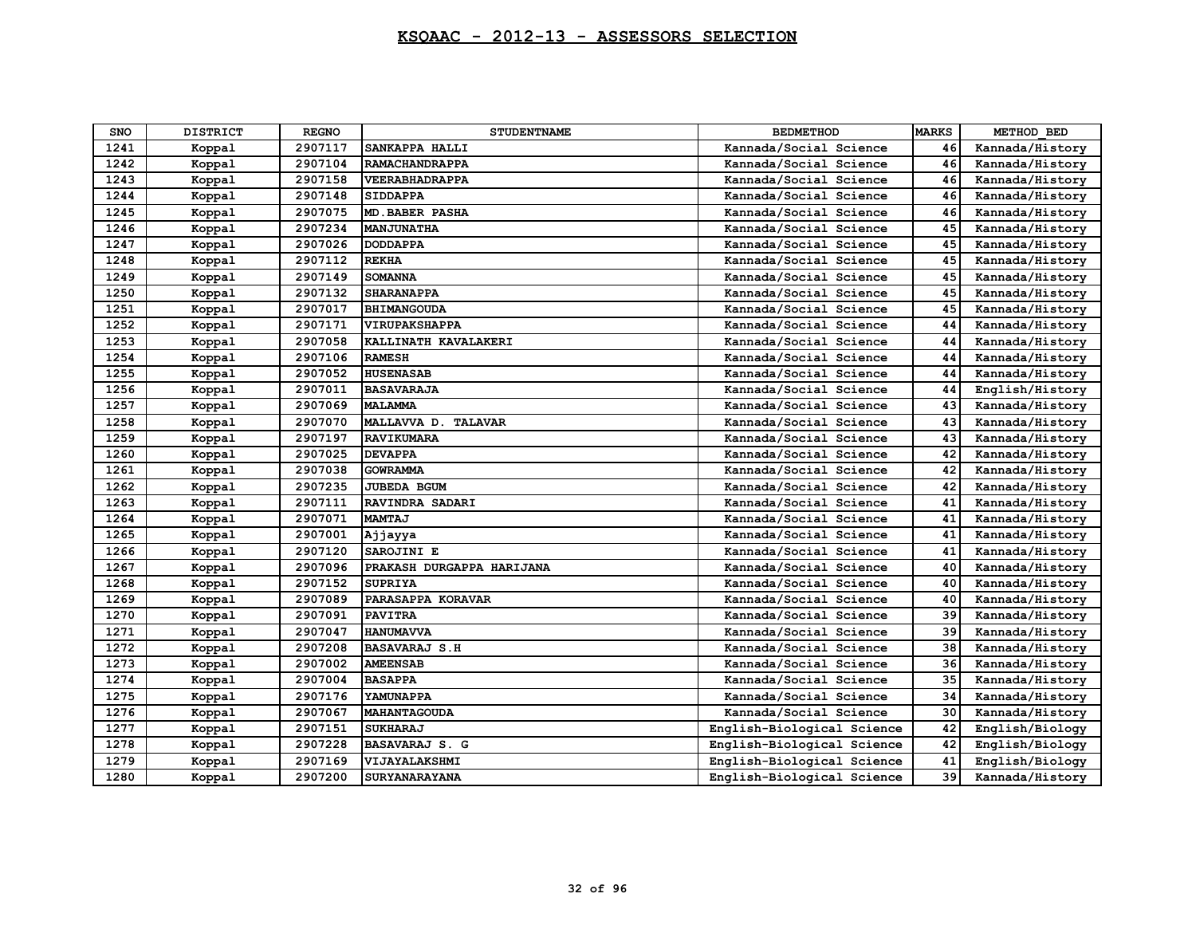| <b>SNO</b> | <b>DISTRICT</b> | <b>REGNO</b> | <b>STUDENTNAME</b>        | <b>BEDMETHOD</b>           | <b>MARKS</b> | METHOD BED      |
|------------|-----------------|--------------|---------------------------|----------------------------|--------------|-----------------|
| 1241       | Koppal          | 2907117      | SANKAPPA HALLI            | Kannada/Social Science     | 46           | Kannada/History |
| 1242       | Koppal          | 2907104      | <b>RAMACHANDRAPPA</b>     | Kannada/Social Science     | 46           | Kannada/History |
| 1243       | Koppal          | 2907158      | <b>VEERABHADRAPPA</b>     | Kannada/Social Science     | 46           | Kannada/History |
| 1244       | Koppal          | 2907148      | <b>SIDDAPPA</b>           | Kannada/Social Science     | 46           | Kannada/History |
| 1245       | Koppal          | 2907075      | <b>MD.BABER PASHA</b>     | Kannada/Social Science     | 46           | Kannada/History |
| 1246       | Koppal          | 2907234      | <b>MANJUNATHA</b>         | Kannada/Social Science     | 45           | Kannada/History |
| 1247       | Koppal          | 2907026      | <b>DODDAPPA</b>           | Kannada/Social Science     | 45           | Kannada/History |
| 1248       | Koppal          | 2907112      | <b>REKHA</b>              | Kannada/Social Science     | 45           | Kannada/History |
| 1249       | Koppal          | 2907149      | <b>SOMANNA</b>            | Kannada/Social Science     | 45           | Kannada/History |
| 1250       | Koppal          | 2907132      | <b>SHARANAPPA</b>         | Kannada/Social Science     | 45           | Kannada/History |
| 1251       | Koppal          | 2907017      | <b>BHIMANGOUDA</b>        | Kannada/Social Science     | 45           | Kannada/History |
| 1252       | Koppal          | 2907171      | <b>VIRUPAKSHAPPA</b>      | Kannada/Social Science     | 44           | Kannada/History |
| 1253       | Koppal          | 2907058      | KALLINATH KAVALAKERI      | Kannada/Social Science     | 44           | Kannada/History |
| 1254       | Koppal          | 2907106      | <b>RAMESH</b>             | Kannada/Social Science     | 44           | Kannada/History |
| 1255       | Koppal          | 2907052      | <b>HUSENASAB</b>          | Kannada/Social Science     | 44           | Kannada/History |
| 1256       | Koppal          | 2907011      | <b>BASAVARAJA</b>         | Kannada/Social Science     | 44           | English/History |
| 1257       | Koppal          | 2907069      | <b>MALAMMA</b>            | Kannada/Social Science     | 43           | Kannada/History |
| 1258       | Koppal          | 2907070      | MALLAVVA D. TALAVAR       | Kannada/Social Science     | 43           | Kannada/History |
| 1259       | Koppal          | 2907197      | <b>RAVIKUMARA</b>         | Kannada/Social Science     | 43           | Kannada/History |
| 1260       | Koppal          | 2907025      | <b>DEVAPPA</b>            | Kannada/Social Science     | 42           | Kannada/History |
| 1261       | Koppal          | 2907038      | <b>GOWRAMMA</b>           | Kannada/Social Science     | 42           | Kannada/History |
| 1262       | Koppal          | 2907235      | JUBEDA BGUM               | Kannada/Social Science     | 42           | Kannada/History |
| 1263       | Koppal          | 2907111      | RAVINDRA SADARI           | Kannada/Social Science     | 41           | Kannada/History |
| 1264       | Koppal          | 2907071      | <b>MAMTAJ</b>             | Kannada/Social Science     | 41           | Kannada/History |
| 1265       | Koppal          | 2907001      | Ajjayya                   | Kannada/Social Science     | 41           | Kannada/History |
| 1266       | Koppal          | 2907120      | SAROJINI E                | Kannada/Social Science     | 41           | Kannada/History |
| 1267       | Koppal          | 2907096      | PRAKASH DURGAPPA HARIJANA | Kannada/Social Science     | 40           | Kannada/History |
| 1268       | Koppal          | 2907152      | <b>SUPRIYA</b>            | Kannada/Social Science     | 40           | Kannada/History |
| 1269       | Koppal          | 2907089      | PARASAPPA KORAVAR         | Kannada/Social Science     | 40           | Kannada/History |
| 1270       | Koppal          | 2907091      | <b>PAVITRA</b>            | Kannada/Social Science     | 39           | Kannada/History |
| 1271       | Koppal          | 2907047      | <b>HANUMAVVA</b>          | Kannada/Social Science     | 39           | Kannada/History |
| 1272       | Koppal          | 2907208      | <b>BASAVARAJ S.H</b>      | Kannada/Social Science     | 38           | Kannada/History |
| 1273       | Koppal          | 2907002      | <b>AMEENSAB</b>           | Kannada/Social Science     | 36           | Kannada/History |
| 1274       | Koppal          | 2907004      | <b>BASAPPA</b>            | Kannada/Social Science     | 35           | Kannada/History |
| 1275       | Koppal          | 2907176      | YAMUNAPPA                 | Kannada/Social Science     | 34           | Kannada/History |
| 1276       | Koppal          | 2907067      | <b>MAHANTAGOUDA</b>       | Kannada/Social Science     | 30           | Kannada/History |
| 1277       | Koppal          | 2907151      | <b>SUKHARAJ</b>           | English-Biological Science | 42           | English/Biology |
| 1278       | Koppal          | 2907228      | BASAVARAJ S. G            | English-Biological Science | 42           | English/Biology |
| 1279       | Koppal          | 2907169      | VIJAYALAKSHMI             | English-Biological Science | 41           | English/Biology |
| 1280       | Koppal          | 2907200      | <b>SURYANARAYANA</b>      | English-Biological Science | 39           | Kannada/History |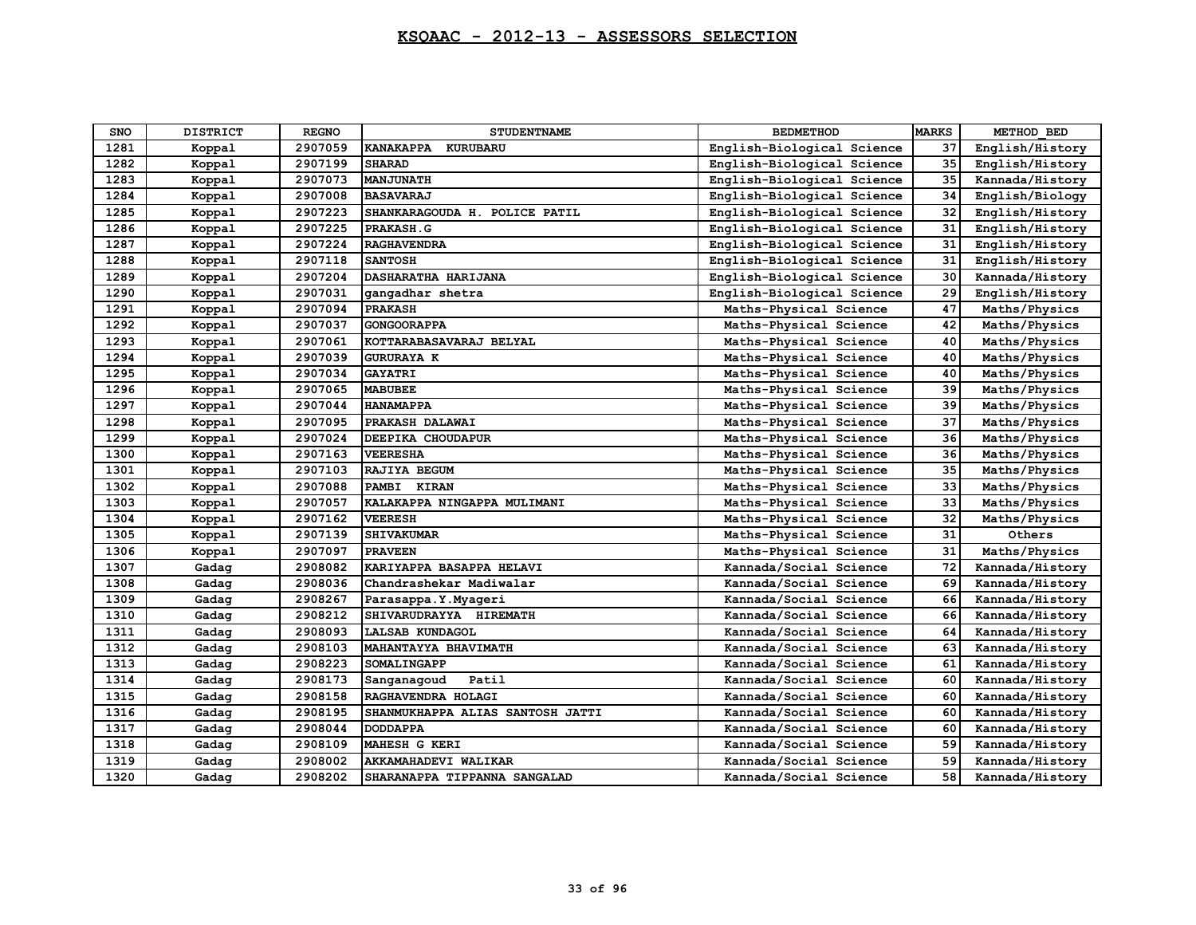| <b>SNO</b> | <b>DISTRICT</b> | <b>REGNO</b> | <b>STUDENTNAME</b>               | <b>BEDMETHOD</b>           | <b>MARKS</b> | METHOD BED      |
|------------|-----------------|--------------|----------------------------------|----------------------------|--------------|-----------------|
| 1281       | Koppal          | 2907059      | KANAKAPPA KURUBARU               | English-Biological Science | 37           | English/History |
| 1282       | Koppal          | 2907199      | <b>SHARAD</b>                    | English-Biological Science | 35           | English/History |
| 1283       | Koppal          | 2907073      | <b>MANJUNATH</b>                 | English-Biological Science | 35           | Kannada/History |
| 1284       | Koppal          | 2907008      | <b>BASAVARAJ</b>                 | English-Biological Science | 34           | English/Biology |
| 1285       | Koppal          | 2907223      | SHANKARAGOUDA H. POLICE PATIL    | English-Biological Science | 32           | English/History |
| 1286       | Koppal          | 2907225      | PRAKASH.G                        | English-Biological Science | 31           | English/History |
| 1287       | Koppal          | 2907224      | <b>RAGHAVENDRA</b>               | English-Biological Science | 31           | English/History |
| 1288       | Koppal          | 2907118      | <b>SANTOSH</b>                   | English-Biological Science | 31           | English/History |
| 1289       | Koppal          | 2907204      | DASHARATHA HARIJANA              | English-Biological Science | 30           | Kannada/History |
| 1290       | Koppal          | 2907031      | gangadhar shetra                 | English-Biological Science | 29           | English/History |
| 1291       | Koppal          | 2907094      | <b>PRAKASH</b>                   | Maths-Physical Science     | 47           | Maths/Physics   |
| 1292       | Koppal          | 2907037      | <b>GONGOORAPPA</b>               | Maths-Physical Science     | 42           | Maths/Physics   |
| 1293       | Koppal          | 2907061      | KOTTARABASAVARAJ BELYAL          | Maths-Physical Science     | 40           | Maths/Physics   |
| 1294       | Koppal          | 2907039      | <b>GURURAYA K</b>                | Maths-Physical Science     | 40           | Maths/Physics   |
| 1295       | Koppal          | 2907034      | <b>GAYATRI</b>                   | Maths-Physical Science     | 40           | Maths/Physics   |
| 1296       | Koppal          | 2907065      | <b>MABUBEE</b>                   | Maths-Physical Science     | 39           | Maths/Physics   |
| 1297       | Koppal          | 2907044      | <b>HANAMAPPA</b>                 | Maths-Physical Science     | 39           | Maths/Physics   |
| 1298       | Koppal          | 2907095      | PRAKASH DALAWAI                  | Maths-Physical Science     | 37           | Maths/Physics   |
| 1299       | Koppal          | 2907024      | DEEPIKA CHOUDAPUR                | Maths-Physical Science     | 36           | Maths/Physics   |
| 1300       | Koppal          | 2907163      | <b>VEERESHA</b>                  | Maths-Physical Science     | 36           | Maths/Physics   |
| 1301       | Koppal          | 2907103      | RAJIYA BEGUM                     | Maths-Physical Science     | 35           | Maths/Physics   |
| 1302       | Koppal          | 2907088      | <b>PAMBI</b><br><b>KIRAN</b>     | Maths-Physical Science     | 33           | Maths/Physics   |
| 1303       | Koppal          | 2907057      | KALAKAPPA NINGAPPA MULIMANI      | Maths-Physical Science     | 33           | Maths/Physics   |
| 1304       | Koppal          | 2907162      | <b>VEERESH</b>                   | Maths-Physical Science     | 32           | Maths/Physics   |
| 1305       | Koppal          | 2907139      | <b>SHIVAKUMAR</b>                | Maths-Physical Science     | 31           | Others          |
| 1306       | Koppal          | 2907097      | <b>PRAVEEN</b>                   | Maths-Physical Science     | 31           | Maths/Physics   |
| 1307       | Gadag           | 2908082      | KARIYAPPA BASAPPA HELAVI         | Kannada/Social Science     | 72           | Kannada/History |
| 1308       | Gadag           | 2908036      | Chandrashekar Madiwalar          | Kannada/Social Science     | 69           | Kannada/History |
| 1309       | Gadag           | 2908267      | Parasappa.Y.Myageri              | Kannada/Social Science     | 66           | Kannada/History |
| 1310       | Gadag           | 2908212      | SHIVARUDRAYYA HIREMATH           | Kannada/Social Science     | 66           | Kannada/History |
| 1311       | Gadag           | 2908093      | LALSAB KUNDAGOL                  | Kannada/Social Science     | 64           | Kannada/History |
| 1312       | Gadag           | 2908103      | MAHANTAYYA BHAVIMATH             | Kannada/Social Science     | 63           | Kannada/History |
| 1313       | Gadag           | 2908223      | SOMALINGAPP                      | Kannada/Social Science     | 61           | Kannada/History |
| 1314       | Gadag           | 2908173      | Patil<br>Sanganagoud             | Kannada/Social Science     | 60           | Kannada/History |
| 1315       | Gadag           | 2908158      | RAGHAVENDRA HOLAGI               | Kannada/Social Science     | 60           | Kannada/History |
| 1316       | Gadag           | 2908195      | SHANMUKHAPPA ALIAS SANTOSH JATTI | Kannada/Social Science     | 60           | Kannada/History |
| 1317       | Gadag           | 2908044      | <b>DODDAPPA</b>                  | Kannada/Social Science     | 60           | Kannada/History |
| 1318       | Gadag           | 2908109      | MAHESH G KERI                    | Kannada/Social Science     | 59           | Kannada/History |
| 1319       | Gadag           | 2908002      | AKKAMAHADEVI WALIKAR             | Kannada/Social Science     | 59           | Kannada/History |
| 1320       | Gadag           | 2908202      | SHARANAPPA TIPPANNA SANGALAD     | Kannada/Social Science     | 58           | Kannada/History |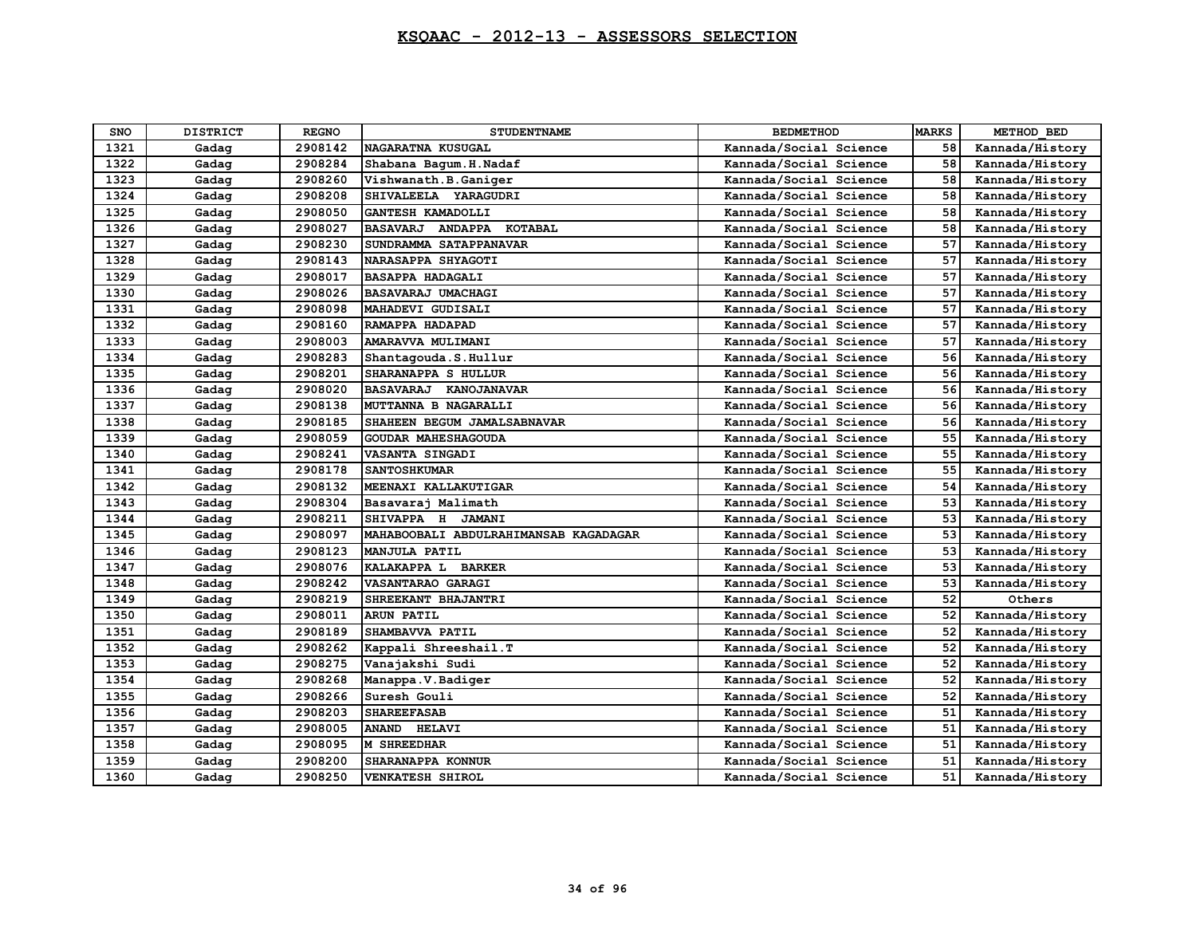| <b>SNO</b> | <b>DISTRICT</b> | <b>REGNO</b> | <b>STUDENTNAME</b>                    | <b>BEDMETHOD</b>       | <b>MARKS</b> | METHOD BED      |
|------------|-----------------|--------------|---------------------------------------|------------------------|--------------|-----------------|
| 1321       | Gadag           | 2908142      | NAGARATNA KUSUGAL                     | Kannada/Social Science | 58           | Kannada/History |
| 1322       | Gadag           | 2908284      | Shabana Bagum.H.Nadaf                 | Kannada/Social Science | 58           | Kannada/History |
| 1323       | Gadag           | 2908260      | Vishwanath.B.Ganiger                  | Kannada/Social Science | 58           | Kannada/History |
| 1324       | Gadag           | 2908208      | SHIVALEELA YARAGUDRI                  | Kannada/Social Science | 58           | Kannada/History |
| 1325       | Gadag           | 2908050      | GANTESH KAMADOLLI                     | Kannada/Social Science | 58           | Kannada/History |
| 1326       | Gadag           | 2908027      | BASAVARJ ANDAPPA KOTABAL              | Kannada/Social Science | 58           | Kannada/History |
| 1327       | Gadag           | 2908230      | SUNDRAMMA SATAPPANAVAR                | Kannada/Social Science | 57           | Kannada/History |
| 1328       | Gadag           | 2908143      | NARASAPPA SHYAGOTI                    | Kannada/Social Science | 57           | Kannada/History |
| 1329       | Gadag           | 2908017      | <b>BASAPPA HADAGALI</b>               | Kannada/Social Science | 57           | Kannada/History |
| 1330       | Gadag           | 2908026      | BASAVARAJ UMACHAGI                    | Kannada/Social Science | 57           | Kannada/History |
| 1331       | Gadag           | 2908098      | MAHADEVI GUDISALI                     | Kannada/Social Science | 57           | Kannada/History |
| 1332       | Gadag           | 2908160      | RAMAPPA HADAPAD                       | Kannada/Social Science | 57           | Kannada/History |
| 1333       | Gadag           | 2908003      | AMARAVVA MULIMANI                     | Kannada/Social Science | 57           | Kannada/History |
| 1334       | Gadag           | 2908283      | Shantagouda.S.Hullur                  | Kannada/Social Science | 56           | Kannada/History |
| 1335       | Gadag           | 2908201      | SHARANAPPA S HULLUR                   | Kannada/Social Science | 56           | Kannada/History |
| 1336       | Gadag           | 2908020      | BASAVARAJ KANOJANAVAR                 | Kannada/Social Science | 56           | Kannada/History |
| 1337       | Gadag           | 2908138      | MUTTANNA B NAGARALLI                  | Kannada/Social Science | 56           | Kannada/History |
| 1338       | Gadag           | 2908185      | SHAHEEN BEGUM JAMALSABNAVAR           | Kannada/Social Science | 56           | Kannada/History |
| 1339       | Gadag           | 2908059      | GOUDAR MAHESHAGOUDA                   | Kannada/Social Science | 55           | Kannada/History |
| 1340       | Gadag           | 2908241      | VASANTA SINGADI                       | Kannada/Social Science | 55           | Kannada/History |
| 1341       | Gadag           | 2908178      | <b>SANTOSHKUMAR</b>                   | Kannada/Social Science | 55           | Kannada/History |
| 1342       | Gadag           | 2908132      | MEENAXI KALLAKUTIGAR                  | Kannada/Social Science | 54           | Kannada/History |
| 1343       | Gadag           | 2908304      | Basavaraj Malimath                    | Kannada/Social Science | 53           | Kannada/History |
| 1344       | Gadag           | 2908211      | SHIVAPPA H JAMANI                     | Kannada/Social Science | 53           | Kannada/History |
| 1345       | Gadag           | 2908097      | MAHABOOBALI ABDULRAHIMANSAB KAGADAGAR | Kannada/Social Science | 53           | Kannada/History |
| 1346       | Gadag           | 2908123      | MANJULA PATIL                         | Kannada/Social Science | 53           | Kannada/History |
| 1347       | Gadag           | 2908076      | KALAKAPPA L BARKER                    | Kannada/Social Science | 53           | Kannada/History |
| 1348       | Gadag           | 2908242      | VASANTARAO GARAGI                     | Kannada/Social Science | 53           | Kannada/History |
| 1349       | Gadag           | 2908219      | SHREEKANT BHAJANTRI                   | Kannada/Social Science | 52           | Others          |
| 1350       | Gadag           | 2908011      | <b>ARUN PATIL</b>                     | Kannada/Social Science | 52           | Kannada/History |
| 1351       | Gadag           | 2908189      | SHAMBAVVA PATIL                       | Kannada/Social Science | 52           | Kannada/History |
| 1352       | Gadag           | 2908262      | Kappali Shreeshail.T                  | Kannada/Social Science | 52           | Kannada/History |
| 1353       | Gadag           | 2908275      | Vanajakshi Sudi                       | Kannada/Social Science | 52           | Kannada/History |
| 1354       | Gadag           | 2908268      | Manappa.V.Badiger                     | Kannada/Social Science | 52           | Kannada/History |
| 1355       | Gadag           | 2908266      | Suresh Gouli                          | Kannada/Social Science | 52           | Kannada/History |
| 1356       | Gadag           | 2908203      | <b>SHAREEFASAB</b>                    | Kannada/Social Science | 51           | Kannada/History |
| 1357       | Gadag           | 2908005      | <b>ANAND</b><br><b>HELAVI</b>         | Kannada/Social Science | 51           | Kannada/History |
| 1358       | Gadag           | 2908095      | <b>M SHREEDHAR</b>                    | Kannada/Social Science | 51           | Kannada/History |
| 1359       | Gadag           | 2908200      | SHARANAPPA KONNUR                     | Kannada/Social Science | 51           | Kannada/History |
| 1360       | Gadag           | 2908250      | <b>VENKATESH SHIROL</b>               | Kannada/Social Science | 51           | Kannada/History |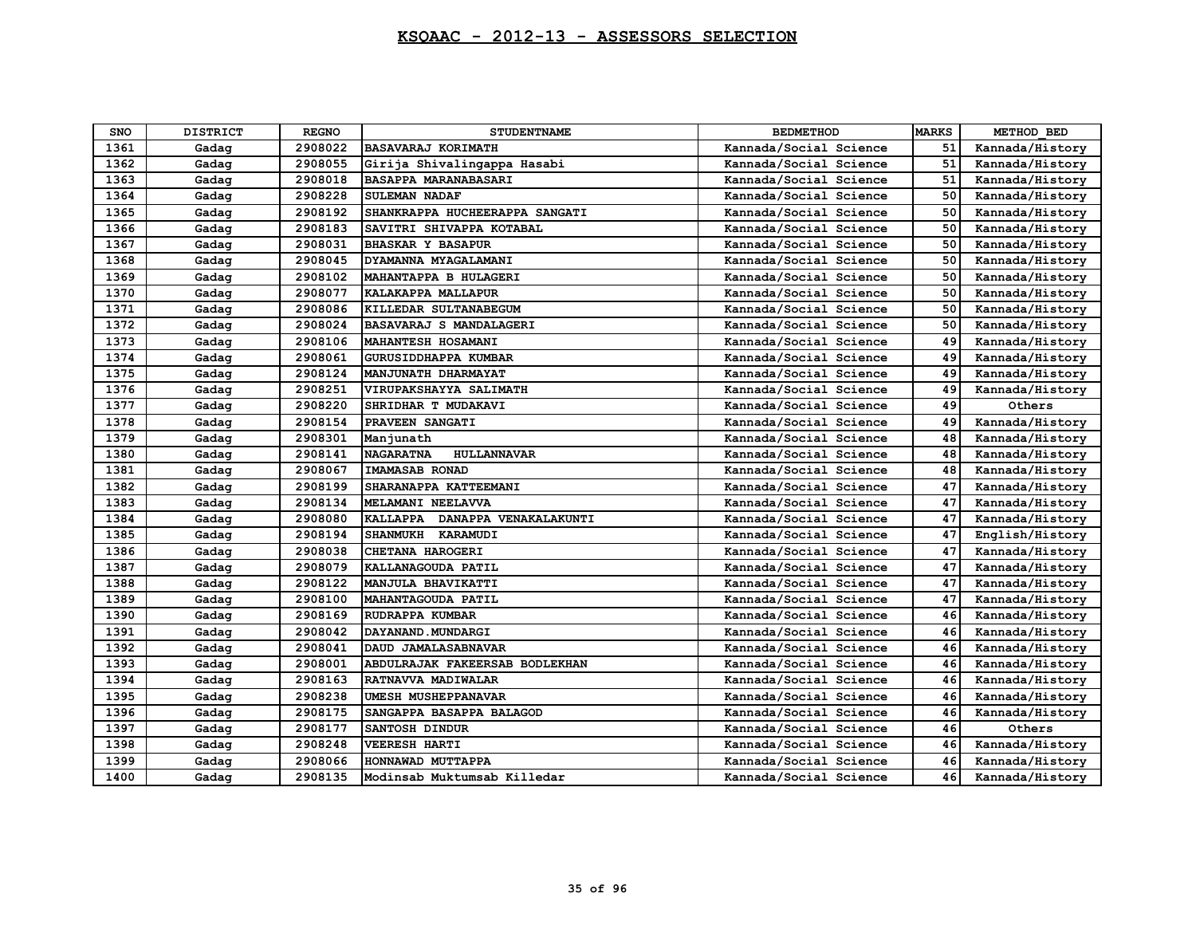| <b>SNO</b> | <b>DISTRICT</b> | <b>REGNO</b> | <b>STUDENTNAME</b>                     | <b>BEDMETHOD</b>       | <b>MARKS</b> | METHOD BED      |
|------------|-----------------|--------------|----------------------------------------|------------------------|--------------|-----------------|
| 1361       | Gadag           | 2908022      | <b>BASAVARAJ KORIMATH</b>              | Kannada/Social Science | 51           | Kannada/History |
| 1362       | Gadag           | 2908055      | Girija Shivalingappa Hasabi            | Kannada/Social Science | 51           | Kannada/History |
| 1363       | Gadag           | 2908018      | BASAPPA MARANABASARI                   | Kannada/Social Science | 51           | Kannada/History |
| 1364       | Gadag           | 2908228      | <b>SULEMAN NADAF</b>                   | Kannada/Social Science | 50           | Kannada/History |
| 1365       | Gadag           | 2908192      | SHANKRAPPA HUCHEERAPPA SANGATI         | Kannada/Social Science | 50           | Kannada/History |
| 1366       | Gadag           | 2908183      | SAVITRI SHIVAPPA KOTABAL               | Kannada/Social Science | 50           | Kannada/History |
| 1367       | Gadag           | 2908031      | <b>BHASKAR Y BASAPUR</b>               | Kannada/Social Science | 50           | Kannada/History |
| 1368       | Gadag           | 2908045      | DYAMANNA MYAGALAMANI                   | Kannada/Social Science | 50           | Kannada/History |
| 1369       | Gadag           | 2908102      | MAHANTAPPA B HULAGERI                  | Kannada/Social Science | 50           | Kannada/History |
| 1370       | Gadag           | 2908077      | KALAKAPPA MALLAPUR                     | Kannada/Social Science | 50           | Kannada/History |
| 1371       | Gadag           | 2908086      | KILLEDAR SULTANABEGUM                  | Kannada/Social Science | 50           | Kannada/History |
| 1372       | Gadag           | 2908024      | BASAVARAJ S MANDALAGERI                | Kannada/Social Science | 50           | Kannada/History |
| 1373       | Gadag           | 2908106      | MAHANTESH HOSAMANI                     | Kannada/Social Science | 49           | Kannada/History |
| 1374       | Gadag           | 2908061      | <b>GURUSIDDHAPPA KUMBAR</b>            | Kannada/Social Science | 49           | Kannada/History |
| 1375       | Gadag           | 2908124      | MANJUNATH DHARMAYAT                    | Kannada/Social Science | 49           | Kannada/History |
| 1376       | Gadag           | 2908251      | VIRUPAKSHAYYA SALIMATH                 | Kannada/Social Science | 49           | Kannada/History |
| 1377       | Gadag           | 2908220      | SHRIDHAR T MUDAKAVI                    | Kannada/Social Science | 49           | Others          |
| 1378       | Gadag           | 2908154      | PRAVEEN SANGATI                        | Kannada/Social Science | 49           | Kannada/History |
| 1379       | Gadag           | 2908301      | Manjunath                              | Kannada/Social Science | 48           | Kannada/History |
| 1380       | Gadag           | 2908141      | <b>NAGARATNA</b><br><b>HULLANNAVAR</b> | Kannada/Social Science | 48           | Kannada/History |
| 1381       | Gadag           | 2908067      | IMAMASAB RONAD                         | Kannada/Social Science | 48           | Kannada/History |
| 1382       | Gadag           | 2908199      | SHARANAPPA KATTEEMANI                  | Kannada/Social Science | 47           | Kannada/History |
| 1383       | Gadag           | 2908134      | MELAMANI NEELAVVA                      | Kannada/Social Science | 47           | Kannada/History |
| 1384       | Gadag           | 2908080      | KALLAPPA DANAPPA VENAKALAKUNTI         | Kannada/Social Science | 47           | Kannada/History |
| 1385       | Gadag           | 2908194      | <b>SHANMUKH</b><br>KARAMUDI            | Kannada/Social Science | 47           | English/History |
| 1386       | Gadag           | 2908038      | CHETANA HAROGERI                       | Kannada/Social Science | 47           | Kannada/History |
| 1387       | Gadag           | 2908079      | KALLANAGOUDA PATIL                     | Kannada/Social Science | 47           | Kannada/History |
| 1388       | Gadag           | 2908122      | MANJULA BHAVIKATTI                     | Kannada/Social Science | 47           | Kannada/History |
| 1389       | Gadag           | 2908100      | <b>MAHANTAGOUDA PATIL</b>              | Kannada/Social Science | 47           | Kannada/History |
| 1390       | Gadag           | 2908169      | RUDRAPPA KUMBAR                        | Kannada/Social Science | 46           | Kannada/History |
| 1391       | Gadag           | 2908042      | DAYANAND. MUNDARGI                     | Kannada/Social Science | 46           | Kannada/History |
| 1392       | Gadag           | 2908041      | DAUD JAMALASABNAVAR                    | Kannada/Social Science | 46           | Kannada/History |
| 1393       | Gadag           | 2908001      | ABDULRAJAK FAKEERSAB BODLEKHAN         | Kannada/Social Science | 46           | Kannada/History |
| 1394       | Gadag           | 2908163      | RATNAVVA MADIWALAR                     | Kannada/Social Science | 46           | Kannada/History |
| 1395       | Gadag           | 2908238      | <b>UMESH MUSHEPPANAVAR</b>             | Kannada/Social Science | 46           | Kannada/History |
| 1396       | Gadag           | 2908175      | <b>SANGAPPA BASAPPA BALAGOD</b>        | Kannada/Social Science | 46           | Kannada/History |
| 1397       | Gadag           | 2908177      | SANTOSH DINDUR                         | Kannada/Social Science | 46           | Others          |
| 1398       | Gadag           | 2908248      | <b>VEERESH HARTI</b>                   | Kannada/Social Science | 46           | Kannada/History |
| 1399       | Gadag           | 2908066      | HONNAWAD MUTTAPPA                      | Kannada/Social Science | 46           | Kannada/History |
| 1400       | Gadag           | 2908135      | Modinsab Muktumsab Killedar            | Kannada/Social Science | 46           | Kannada/History |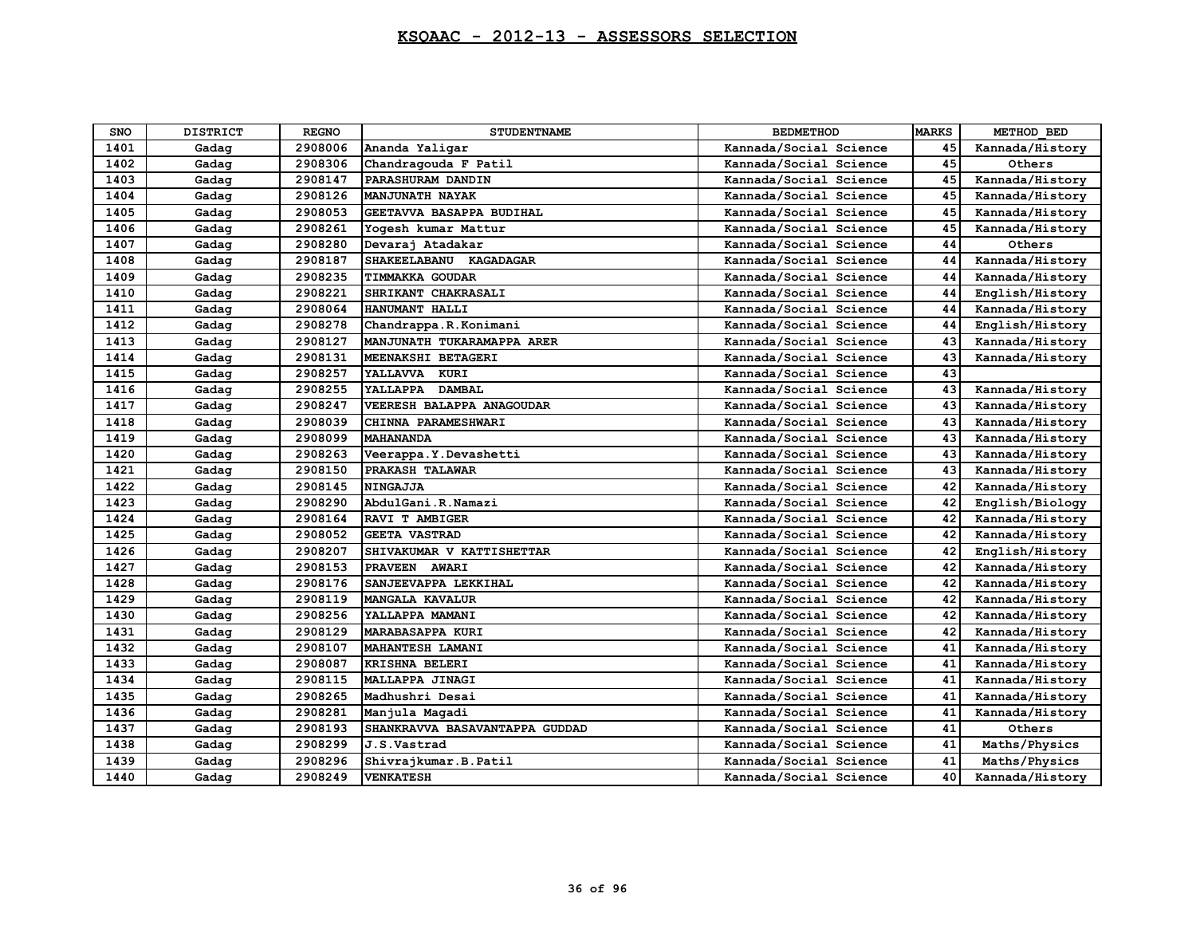| <b>SNO</b> | <b>DISTRICT</b> | <b>REGNO</b> | <b>STUDENTNAME</b>             | <b>BEDMETHOD</b>       | <b>MARKS</b> | METHOD BED      |
|------------|-----------------|--------------|--------------------------------|------------------------|--------------|-----------------|
| 1401       | Gadag           | 2908006      | Ananda Yaligar                 | Kannada/Social Science | 45           | Kannada/History |
| 1402       | Gadag           | 2908306      | Chandragouda F Patil           | Kannada/Social Science | 45           | Others          |
| 1403       | Gadag           | 2908147      | PARASHURAM DANDIN              | Kannada/Social Science | 45           | Kannada/History |
| 1404       | Gadag           | 2908126      | <b>MANJUNATH NAYAK</b>         | Kannada/Social Science | 45           | Kannada/History |
| 1405       | Gadag           | 2908053      | GEETAVVA BASAPPA BUDIHAL       | Kannada/Social Science | 45           | Kannada/History |
| 1406       | Gadag           | 2908261      | Yogesh kumar Mattur            | Kannada/Social Science | 45           | Kannada/History |
| 1407       | Gadag           | 2908280      | Devaraj Atadakar               | Kannada/Social Science | 44           | Others          |
| 1408       | Gadag           | 2908187      | SHAKEELABANU KAGADAGAR         | Kannada/Social Science | 44           | Kannada/History |
| 1409       | Gadag           | 2908235      | <b>TIMMAKKA GOUDAR</b>         | Kannada/Social Science | 44           | Kannada/History |
| 1410       | Gadag           | 2908221      | SHRIKANT CHAKRASALI            | Kannada/Social Science | 44           | English/History |
| 1411       | Gadag           | 2908064      | HANUMANT HALLI                 | Kannada/Social Science | 44           | Kannada/History |
| 1412       | Gadag           | 2908278      | Chandrappa.R.Konimani          | Kannada/Social Science | 44           | English/History |
| 1413       | Gadag           | 2908127      | MANJUNATH TUKARAMAPPA ARER     | Kannada/Social Science | 43           | Kannada/History |
| 1414       | Gadag           | 2908131      | MEENAKSHI BETAGERI             | Kannada/Social Science | 43           | Kannada/History |
| 1415       | Gadag           | 2908257      | YALLAVVA KURI                  | Kannada/Social Science | 43           |                 |
| 1416       | Gadag           | 2908255      | YALLAPPA DAMBAL                | Kannada/Social Science | 43           | Kannada/History |
| 1417       | Gadag           | 2908247      | VEERESH BALAPPA ANAGOUDAR      | Kannada/Social Science | 43           | Kannada/History |
| 1418       | Gadag           | 2908039      | CHINNA PARAMESHWARI            | Kannada/Social Science | 43           | Kannada/History |
| 1419       | Gadag           | 2908099      | <b>MAHANANDA</b>               | Kannada/Social Science | 43           | Kannada/History |
| 1420       | Gadag           | 2908263      | Veerappa. Y. Devashetti        | Kannada/Social Science | 43           | Kannada/History |
| 1421       | Gadag           | 2908150      | PRAKASH TALAWAR                | Kannada/Social Science | 43           | Kannada/History |
| 1422       | Gadag           | 2908145      | <b>NINGAJJA</b>                | Kannada/Social Science | 42           | Kannada/History |
| 1423       | Gadag           | 2908290      | AbdulGani.R.Namazi             | Kannada/Social Science | 42           | English/Biology |
| 1424       | Gadag           | 2908164      | RAVI T AMBIGER                 | Kannada/Social Science | 42           | Kannada/History |
| 1425       | Gadag           | 2908052      | <b>GEETA VASTRAD</b>           | Kannada/Social Science | 42           | Kannada/History |
| 1426       | Gadag           | 2908207      | SHIVAKUMAR V KATTISHETTAR      | Kannada/Social Science | 42           | English/History |
| 1427       | Gadag           | 2908153      | PRAVEEN AWARI                  | Kannada/Social Science | 42           | Kannada/History |
| 1428       | Gadag           | 2908176      | SANJEEVAPPA LEKKIHAL           | Kannada/Social Science | 42           | Kannada/History |
| 1429       | Gadag           | 2908119      | <b>MANGALA KAVALUR</b>         | Kannada/Social Science | 42           | Kannada/History |
| 1430       | Gadag           | 2908256      | YALLAPPA MAMANI                | Kannada/Social Science | 42           | Kannada/History |
| 1431       | Gadag           | 2908129      | <b>MARABASAPPA KURI</b>        | Kannada/Social Science | 42           | Kannada/History |
| 1432       | Gadag           | 2908107      | MAHANTESH LAMANI               | Kannada/Social Science | 41           | Kannada/History |
| 1433       | Gadag           | 2908087      | KRISHNA BELERI                 | Kannada/Social Science | 41           | Kannada/History |
| 1434       | Gadag           | 2908115      | MALLAPPA JINAGI                | Kannada/Social Science | 41           | Kannada/History |
| 1435       | Gadag           | 2908265      | Madhushri Desai                | Kannada/Social Science | 41           | Kannada/History |
| 1436       | Gadag           | 2908281      | Manjula Magadi                 | Kannada/Social Science | 41           | Kannada/History |
| 1437       | Gadag           | 2908193      | SHANKRAVVA BASAVANTAPPA GUDDAD | Kannada/Social Science | 41           | Others          |
| 1438       | Gadag           | 2908299      | J.S.Vastrad                    | Kannada/Social Science | 41           | Maths/Physics   |
| 1439       | Gadag           | 2908296      | Shivrajkumar.B.Patil           | Kannada/Social Science | 41           | Maths/Physics   |
| 1440       | Gadag           | 2908249      | <b>VENKATESH</b>               | Kannada/Social Science | 40           | Kannada/History |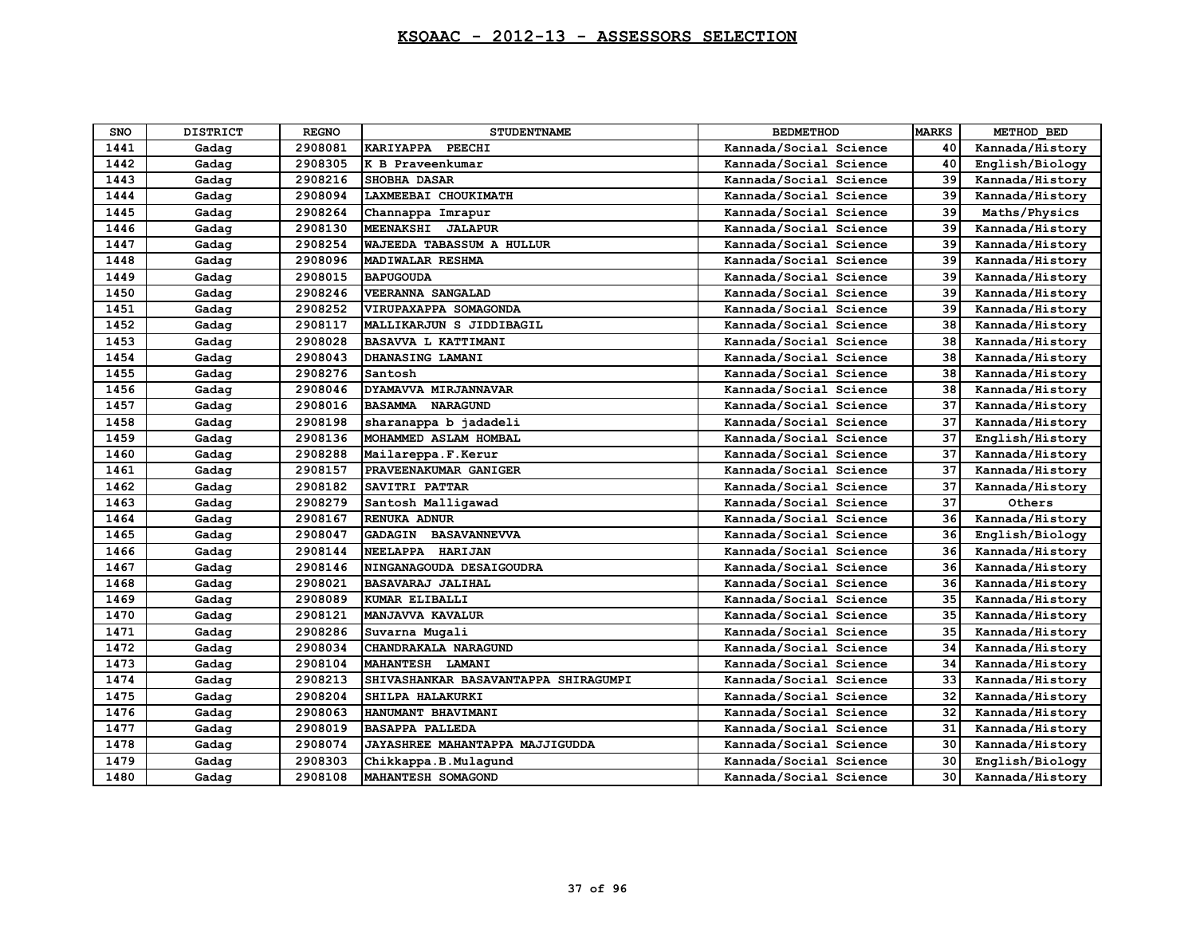| <b>SNO</b> | <b>DISTRICT</b> | <b>REGNO</b> | <b>STUDENTNAME</b>                   | <b>BEDMETHOD</b>       | <b>MARKS</b> | METHOD BED      |
|------------|-----------------|--------------|--------------------------------------|------------------------|--------------|-----------------|
| 1441       | Gadag           | 2908081      | KARIYAPPA PEECHI                     | Kannada/Social Science | 40           | Kannada/History |
| 1442       | Gadag           | 2908305      | K B Praveenkumar                     | Kannada/Social Science | 40           | English/Biology |
| 1443       | Gadag           | 2908216      | <b>SHOBHA DASAR</b>                  | Kannada/Social Science | 39           | Kannada/History |
| 1444       | Gadag           | 2908094      | LAXMEEBAI CHOUKIMATH                 | Kannada/Social Science | 39           | Kannada/History |
| 1445       | Gadag           | 2908264      | Channappa Imrapur                    | Kannada/Social Science | 39           | Maths/Physics   |
| 1446       | Gadag           | 2908130      | MEENAKSHI JALAPUR                    | Kannada/Social Science | 39           | Kannada/History |
| 1447       | Gadag           | 2908254      | <b>WAJEEDA TABASSUM A HULLUR</b>     | Kannada/Social Science | 39           | Kannada/History |
| 1448       | Gadag           | 2908096      | MADIWALAR RESHMA                     | Kannada/Social Science | 39           | Kannada/History |
| 1449       | Gadag           | 2908015      | <b>BAPUGOUDA</b>                     | Kannada/Social Science | 39           | Kannada/History |
| 1450       | Gadag           | 2908246      | VEERANNA SANGALAD                    | Kannada/Social Science | 39           | Kannada/History |
| 1451       | Gadag           | 2908252      | VIRUPAXAPPA SOMAGONDA                | Kannada/Social Science | 39           | Kannada/History |
| 1452       | Gadag           | 2908117      | MALLIKARJUN S JIDDIBAGIL             | Kannada/Social Science | 38           | Kannada/History |
| 1453       | Gadag           | 2908028      | BASAVVA L KATTIMANI                  | Kannada/Social Science | 38           | Kannada/History |
| 1454       | Gadag           | 2908043      | DHANASING LAMANI                     | Kannada/Social Science | 38           | Kannada/History |
| 1455       | Gadag           | 2908276      | Santosh                              | Kannada/Social Science | 38           | Kannada/History |
| 1456       | Gadag           | 2908046      | DYAMAVVA MIRJANNAVAR                 | Kannada/Social Science | 38           | Kannada/History |
| 1457       | Gadag           | 2908016      | <b>BASAMMA NARAGUND</b>              | Kannada/Social Science | 37           | Kannada/History |
| 1458       | Gadag           | 2908198      | sharanappa b jadadeli                | Kannada/Social Science | 37           | Kannada/History |
| 1459       | Gadag           | 2908136      | MOHAMMED ASLAM HOMBAL                | Kannada/Social Science | 37           | English/History |
| 1460       | Gadag           | 2908288      | Mailareppa.F.Kerur                   | Kannada/Social Science | 37           | Kannada/History |
| 1461       | Gadag           | 2908157      | PRAVEENAKUMAR GANIGER                | Kannada/Social Science | 37           | Kannada/History |
| 1462       | Gadag           | 2908182      | SAVITRI PATTAR                       | Kannada/Social Science | 37           | Kannada/History |
| 1463       | Gadag           | 2908279      | Santosh Malligawad                   | Kannada/Social Science | 37           | Others          |
| 1464       | Gadag           | 2908167      | RENUKA ADNUR                         | Kannada/Social Science | 36           | Kannada/History |
| 1465       | Gadag           | 2908047      | GADAGIN BASAVANNEVVA                 | Kannada/Social Science | 36           | English/Biology |
| 1466       | Gadag           | 2908144      | NEELAPPA HARIJAN                     | Kannada/Social Science | 36           | Kannada/History |
| 1467       | Gadag           | 2908146      | NINGANAGOUDA DESAIGOUDRA             | Kannada/Social Science | 36           | Kannada/History |
| 1468       | Gadag           | 2908021      | <b>BASAVARAJ JALIHAL</b>             | Kannada/Social Science | 36           | Kannada/History |
| 1469       | Gadag           | 2908089      | KUMAR ELIBALLI                       | Kannada/Social Science | 35           | Kannada/History |
| 1470       | Gadag           | 2908121      | MANJAVVA KAVALUR                     | Kannada/Social Science | 35           | Kannada/History |
| 1471       | Gadag           | 2908286      | Suvarna Mugali                       | Kannada/Social Science | 35           | Kannada/History |
| 1472       | Gadag           | 2908034      | CHANDRAKALA NARAGUND                 | Kannada/Social Science | 34           | Kannada/History |
| 1473       | Gadag           | 2908104      | MAHANTESH LAMANI                     | Kannada/Social Science | 34           | Kannada/History |
| 1474       | Gadag           | 2908213      | SHIVASHANKAR BASAVANTAPPA SHIRAGUMPI | Kannada/Social Science | 33           | Kannada/History |
| 1475       | Gadag           | 2908204      | SHILPA HALAKURKI                     | Kannada/Social Science | 32           | Kannada/History |
| 1476       | Gadag           | 2908063      | HANUMANT BHAVIMANI                   | Kannada/Social Science | 32           | Kannada/History |
| 1477       | Gadag           | 2908019      | <b>BASAPPA PALLEDA</b>               | Kannada/Social Science | 31           | Kannada/History |
| 1478       | Gadag           | 2908074      | JAYASHREE MAHANTAPPA MAJJIGUDDA      | Kannada/Social Science | 30           | Kannada/History |
| 1479       | Gadag           | 2908303      | Chikkappa.B.Mulaqund                 | Kannada/Social Science | 30           | English/Biology |
| 1480       | Gadag           | 2908108      | MAHANTESH SOMAGOND                   | Kannada/Social Science | 30           | Kannada/History |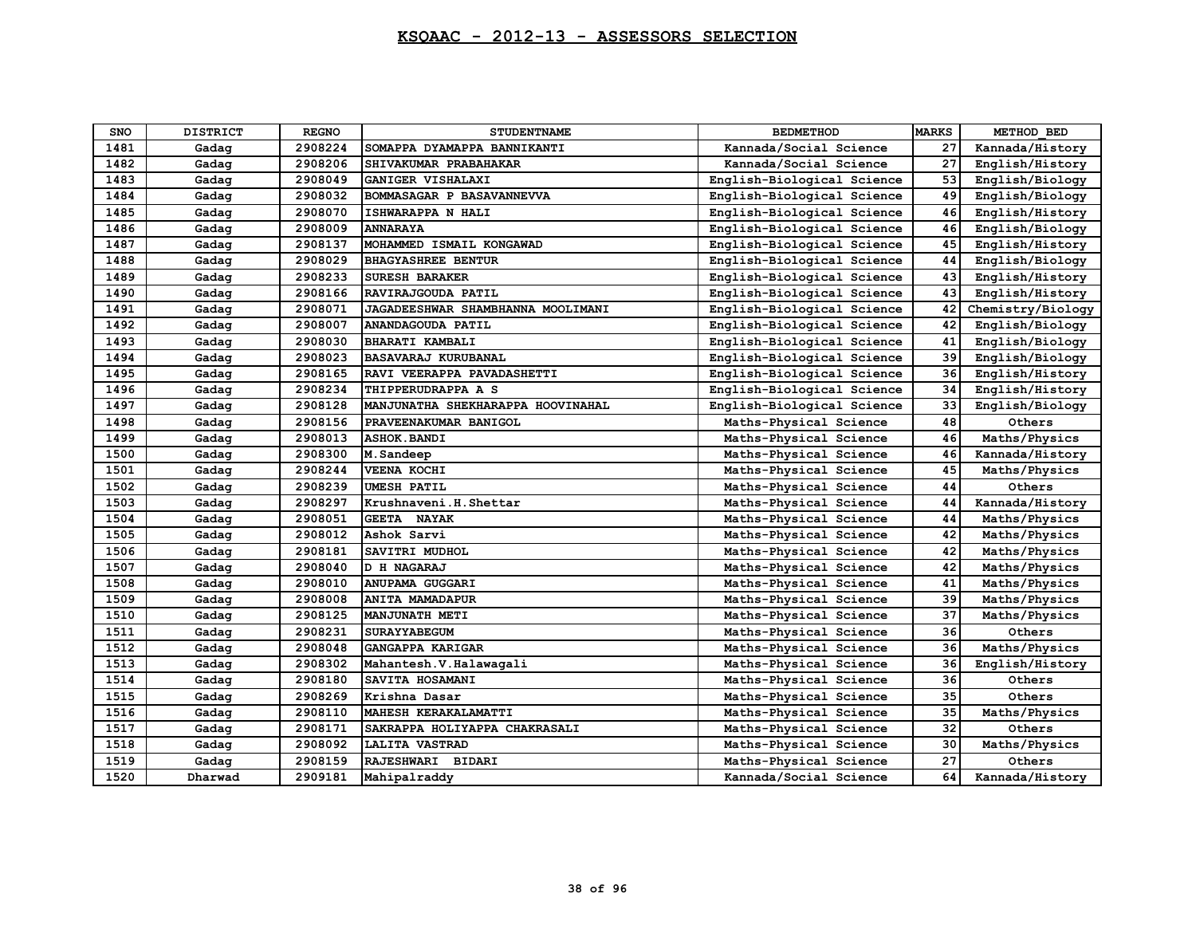| <b>SNO</b> | <b>DISTRICT</b> | <b>REGNO</b> | <b>STUDENTNAME</b>                | <b>BEDMETHOD</b>           | <b>MARKS</b> | METHOD BED        |
|------------|-----------------|--------------|-----------------------------------|----------------------------|--------------|-------------------|
| 1481       | Gadag           | 2908224      | SOMAPPA DYAMAPPA BANNIKANTI       | Kannada/Social Science     | 27           | Kannada/History   |
| 1482       | Gadag           | 2908206      | SHIVAKUMAR PRABAHAKAR             | Kannada/Social Science     | 27           | English/History   |
| 1483       | Gadag           | 2908049      | GANIGER VISHALAXI                 | English-Biological Science | 53           | English/Biology   |
| 1484       | Gadag           | 2908032      | BOMMASAGAR P BASAVANNEVVA         | English-Biological Science | 49           | English/Biology   |
| 1485       | Gadag           | 2908070      | ISHWARAPPA N HALI                 | English-Biological Science | 46           | English/History   |
| 1486       | Gadag           | 2908009      | <b>ANNARAYA</b>                   | English-Biological Science | 46           | English/Biology   |
| 1487       | Gadag           | 2908137      | MOHAMMED ISMAIL KONGAWAD          | English-Biological Science | 45           | English/History   |
| 1488       | Gadag           | 2908029      | <b>BHAGYASHREE BENTUR</b>         | English-Biological Science | 44           | English/Biology   |
| 1489       | Gadag           | 2908233      | SURESH BARAKER                    | English-Biological Science | 43           | English/History   |
| 1490       | Gadag           | 2908166      | RAVIRAJGOUDA PATIL                | English-Biological Science | 43           | English/History   |
| 1491       | Gadag           | 2908071      | JAGADEESHWAR SHAMBHANNA MOOLIMANI | English-Biological Science | 42           | Chemistry/Biology |
| 1492       | Gadag           | 2908007      | ANANDAGOUDA PATIL                 | English-Biological Science | 42           | English/Biology   |
| 1493       | Gadag           | 2908030      | BHARATI KAMBALI                   | English-Biological Science | 41           | English/Biology   |
| 1494       | Gadag           | 2908023      | <b>BASAVARAJ KURUBANAL</b>        | English-Biological Science | 39           | English/Biology   |
| 1495       | Gadag           | 2908165      | RAVI VEERAPPA PAVADASHETTI        | English-Biological Science | 36           | English/History   |
| 1496       | Gadag           | 2908234      | THIPPERUDRAPPA A S                | English-Biological Science | 34           | English/History   |
| 1497       | Gadag           | 2908128      | MANJUNATHA SHEKHARAPPA HOOVINAHAL | English-Biological Science | 33           | English/Biology   |
| 1498       | Gadag           | 2908156      | PRAVEENAKUMAR BANIGOL             | Maths-Physical Science     | 48           | Others            |
| 1499       | Gadag           | 2908013      | <b>ASHOK.BANDI</b>                | Maths-Physical Science     | 46           | Maths/Physics     |
| 1500       | Gadag           | 2908300      | M.Sandeep                         | Maths-Physical Science     | 46           | Kannada/History   |
| 1501       | Gadag           | 2908244      | <b>VEENA KOCHI</b>                | Maths-Physical Science     | 45           | Maths/Physics     |
| 1502       | Gadag           | 2908239      | <b>UMESH PATIL</b>                | Maths-Physical Science     | 44           | Others            |
| 1503       | Gadag           | 2908297      | Krushnaveni.H.Shettar             | Maths-Physical Science     | 44           | Kannada/History   |
| 1504       | Gadag           | 2908051      | GEETA NAYAK                       | Maths-Physical Science     | 44           | Maths/Physics     |
| 1505       | Gadag           | 2908012      | Ashok Sarvi                       | Maths-Physical Science     | 42           | Maths/Physics     |
| 1506       | Gadag           | 2908181      | SAVITRI MUDHOL                    | Maths-Physical Science     | 42           | Maths/Physics     |
| 1507       | Gadag           | 2908040      | <b>D H NAGARAJ</b>                | Maths-Physical Science     | 42           | Maths/Physics     |
| 1508       | Gadag           | 2908010      | <b>ANUPAMA GUGGARI</b>            | Maths-Physical Science     | 41           | Maths/Physics     |
| 1509       | Gadag           | 2908008      | <b>ANITA MAMADAPUR</b>            | Maths-Physical Science     | 39           | Maths/Physics     |
| 1510       | Gadag           | 2908125      | <b>MANJUNATH METI</b>             | Maths-Physical Science     | 37           | Maths/Physics     |
| 1511       | Gadag           | 2908231      | <b>SURAYYABEGUM</b>               | Maths-Physical Science     | 36           | Others            |
| 1512       | Gadag           | 2908048      | GANGAPPA KARIGAR                  | Maths-Physical Science     | 36           | Maths/Physics     |
| 1513       | Gadag           | 2908302      | Mahantesh. V. Halawagali          | Maths-Physical Science     | 36           | English/History   |
| 1514       | Gadag           | 2908180      | SAVITA HOSAMANI                   | Maths-Physical Science     | 36           | Others            |
| 1515       | Gadag           | 2908269      | Krishna Dasar                     | Maths-Physical Science     | 35           | Others            |
| 1516       | Gadag           | 2908110      | MAHESH KERAKALAMATTI              | Maths-Physical Science     | 35           | Maths/Physics     |
| 1517       | Gadag           | 2908171      | SAKRAPPA HOLIYAPPA CHAKRASALI     | Maths-Physical Science     | 32           | Others            |
| 1518       | Gadag           | 2908092      | LALITA VASTRAD                    | Maths-Physical Science     | 30           | Maths/Physics     |
| 1519       | Gadag           | 2908159      | RAJESHWARI BIDARI                 | Maths-Physical Science     | 27           | Others            |
| 1520       | Dharwad         | 2909181      | Mahipalraddy                      | Kannada/Social Science     | 64           | Kannada/History   |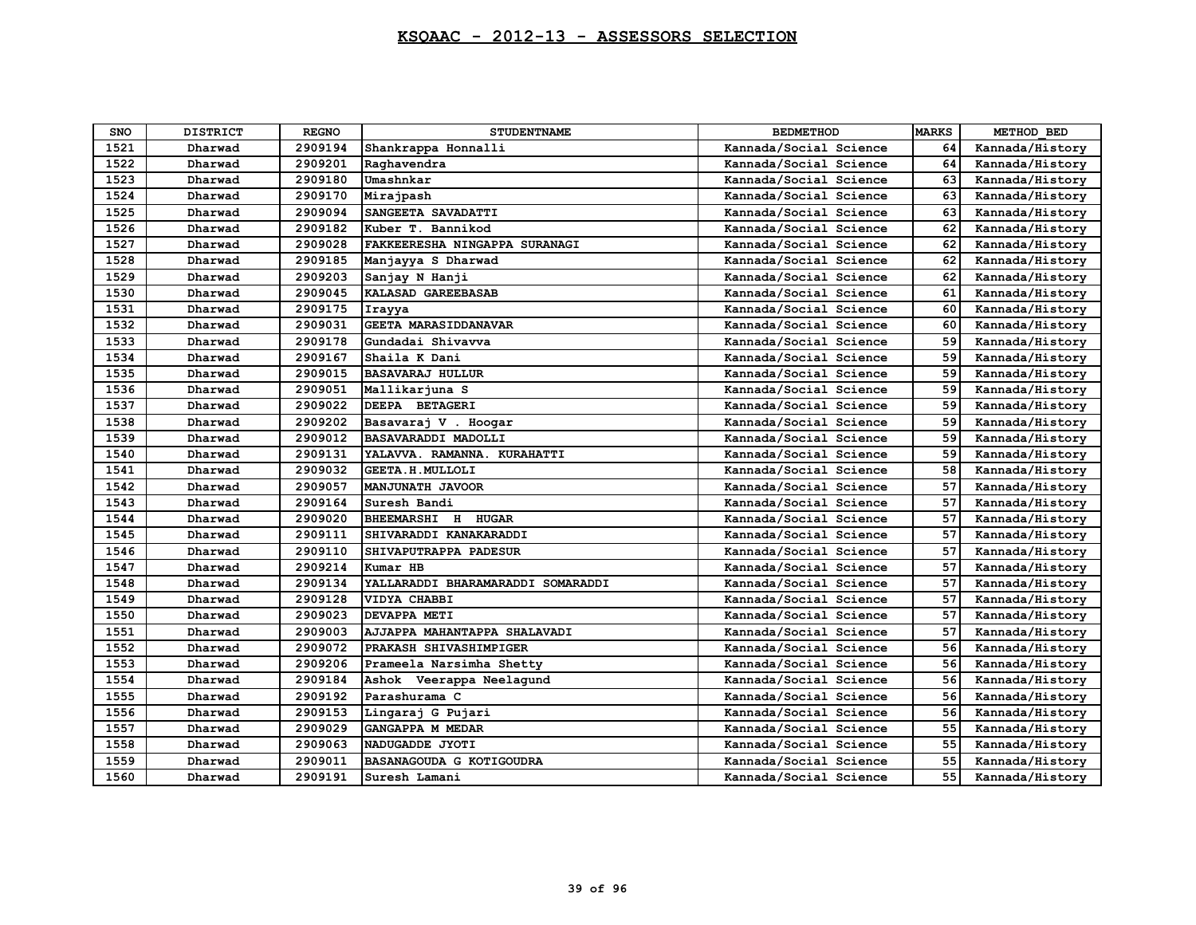| SNO  | <b>DISTRICT</b> | <b>REGNO</b> | <b>STUDENTNAME</b>                | <b>BEDMETHOD</b>       | <b>MARKS</b> | METHOD BED      |
|------|-----------------|--------------|-----------------------------------|------------------------|--------------|-----------------|
| 1521 | Dharwad         | 2909194      | Shankrappa Honnalli               | Kannada/Social Science | 64           | Kannada/History |
| 1522 | Dharwad         | 2909201      | Raghavendra                       | Kannada/Social Science | 64           | Kannada/History |
| 1523 | Dharwad         | 2909180      | Umashnkar                         | Kannada/Social Science | 63           | Kannada/History |
| 1524 | Dharwad         | 2909170      | Mirajpash                         | Kannada/Social Science | 63           | Kannada/History |
| 1525 | Dharwad         | 2909094      | SANGEETA SAVADATTI                | Kannada/Social Science | 63           | Kannada/History |
| 1526 | Dharwad         | 2909182      | Kuber T. Bannikod                 | Kannada/Social Science | 62           | Kannada/History |
| 1527 | Dharwad         | 2909028      | FAKKEERESHA NINGAPPA SURANAGI     | Kannada/Social Science | 62           | Kannada/History |
| 1528 | Dharwad         | 2909185      | Manjayya S Dharwad                | Kannada/Social Science | 62           | Kannada/History |
| 1529 | Dharwad         | 2909203      | Sanjay N Hanji                    | Kannada/Social Science | 62           | Kannada/History |
| 1530 | Dharwad         | 2909045      | KALASAD GAREEBASAB                | Kannada/Social Science | 61           | Kannada/History |
| 1531 | Dharwad         | 2909175      | Irayya                            | Kannada/Social Science | 60           | Kannada/History |
| 1532 | Dharwad         | 2909031      | <b>GEETA MARASIDDANAVAR</b>       | Kannada/Social Science | 60           | Kannada/History |
| 1533 | Dharwad         | 2909178      | Gundadai Shivavva                 | Kannada/Social Science | 59           | Kannada/History |
| 1534 | Dharwad         | 2909167      | Shaila K Dani                     | Kannada/Social Science | 59           | Kannada/History |
| 1535 | Dharwad         | 2909015      | <b>BASAVARAJ HULLUR</b>           | Kannada/Social Science | 59           | Kannada/History |
| 1536 | Dharwad         | 2909051      | Mallikarjuna S                    | Kannada/Social Science | 59           | Kannada/History |
| 1537 | Dharwad         | 2909022      | DEEPA BETAGERI                    | Kannada/Social Science | 59           | Kannada/History |
| 1538 | Dharwad         | 2909202      | Basavaraj V . Hoogar              | Kannada/Social Science | 59           | Kannada/History |
| 1539 | Dharwad         | 2909012      | <b>BASAVARADDI MADOLLI</b>        | Kannada/Social Science | 59           | Kannada/History |
| 1540 | Dharwad         | 2909131      | YALAVVA. RAMANNA. KURAHATTI       | Kannada/Social Science | 59           | Kannada/History |
| 1541 | Dharwad         | 2909032      | GEETA.H. MULLOLI                  | Kannada/Social Science | 58           | Kannada/History |
| 1542 | Dharwad         | 2909057      | <b>MANJUNATH JAVOOR</b>           | Kannada/Social Science | 57           | Kannada/History |
| 1543 | Dharwad         | 2909164      | Suresh Bandi                      | Kannada/Social Science | 57           | Kannada/History |
| 1544 | Dharwad         | 2909020      | BHEEMARSHI H HUGAR                | Kannada/Social Science | 57           | Kannada/History |
| 1545 | Dharwad         | 2909111      | SHIVARADDI KANAKARADDI            | Kannada/Social Science | 57           | Kannada/History |
| 1546 | Dharwad         | 2909110      | SHIVAPUTRAPPA PADESUR             | Kannada/Social Science | 57           | Kannada/History |
| 1547 | Dharwad         | 2909214      | Kumar HB                          | Kannada/Social Science | 57           | Kannada/History |
| 1548 | Dharwad         | 2909134      | YALLARADDI BHARAMARADDI SOMARADDI | Kannada/Social Science | 57           | Kannada/History |
| 1549 | Dharwad         | 2909128      | VIDYA CHABBI                      | Kannada/Social Science | 57           | Kannada/History |
| 1550 | Dharwad         | 2909023      | DEVAPPA METI                      | Kannada/Social Science | 57           | Kannada/History |
| 1551 | Dharwad         | 2909003      | AJJAPPA MAHANTAPPA SHALAVADI      | Kannada/Social Science | 57           | Kannada/History |
| 1552 | Dharwad         | 2909072      | PRAKASH SHIVASHIMPIGER            | Kannada/Social Science | 56           | Kannada/History |
| 1553 | Dharwad         | 2909206      | Prameela Narsimha Shetty          | Kannada/Social Science | 56           | Kannada/History |
| 1554 | Dharwad         | 2909184      | Ashok Veerappa Neelagund          | Kannada/Social Science | 56           | Kannada/History |
| 1555 | Dharwad         | 2909192      | Parashurama C                     | Kannada/Social Science | 56           | Kannada/History |
| 1556 | Dharwad         | 2909153      | Lingaraj G Pujari                 | Kannada/Social Science | 56           | Kannada/History |
| 1557 | Dharwad         | 2909029      | <b>GANGAPPA M MEDAR</b>           | Kannada/Social Science | 55           | Kannada/History |
| 1558 | Dharwad         | 2909063      | NADUGADDE JYOTI                   | Kannada/Social Science | 55           | Kannada/History |
| 1559 | Dharwad         | 2909011      | BASANAGOUDA G KOTIGOUDRA          | Kannada/Social Science | 55           | Kannada/History |
| 1560 | Dharwad         | 2909191      | Suresh Lamani                     | Kannada/Social Science | 55           | Kannada/History |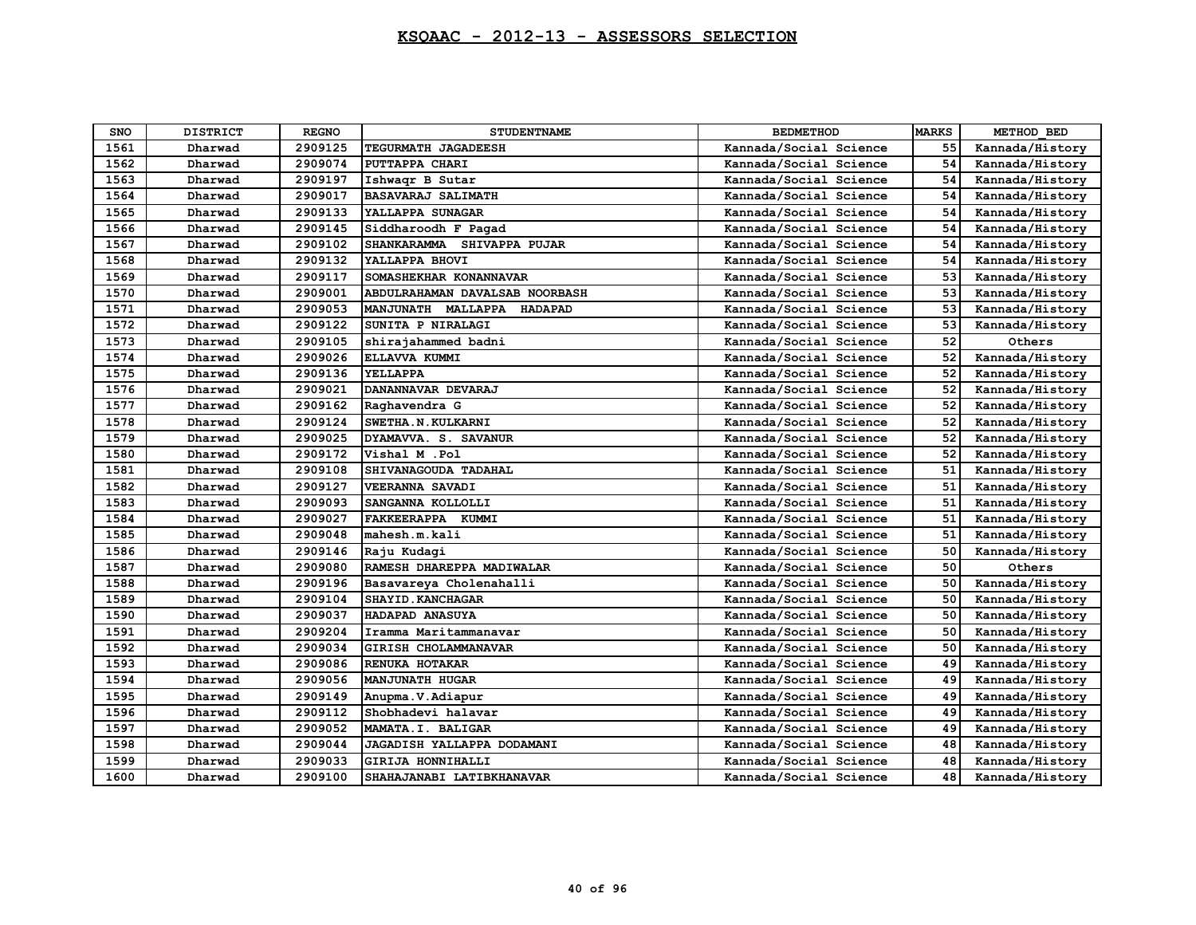| <b>SNO</b> | <b>DISTRICT</b> | <b>REGNO</b> | <b>STUDENTNAME</b>             | <b>BEDMETHOD</b>       | <b>MARKS</b> | METHOD BED      |
|------------|-----------------|--------------|--------------------------------|------------------------|--------------|-----------------|
| 1561       | Dharwad         | 2909125      | TEGURMATH JAGADEESH            | Kannada/Social Science | 55           | Kannada/History |
| 1562       | Dharwad         | 2909074      | PUTTAPPA CHARI                 | Kannada/Social Science | 54           | Kannada/History |
| 1563       | Dharwad         | 2909197      | Ishwaqr B Sutar                | Kannada/Social Science | 54           | Kannada/History |
| 1564       | Dharwad         | 2909017      | <b>BASAVARAJ SALIMATH</b>      | Kannada/Social Science | 54           | Kannada/History |
| 1565       | Dharwad         | 2909133      | YALLAPPA SUNAGAR               | Kannada/Social Science | 54           | Kannada/History |
| 1566       | Dharwad         | 2909145      | Siddharoodh F Pagad            | Kannada/Social Science | 54           | Kannada/History |
| 1567       | Dharwad         | 2909102      | SHANKARAMMA SHIVAPPA PUJAR     | Kannada/Social Science | 54           | Kannada/History |
| 1568       | Dharwad         | 2909132      | YALLAPPA BHOVI                 | Kannada/Social Science | 54           | Kannada/History |
| 1569       | Dharwad         | 2909117      | SOMASHEKHAR KONANNAVAR         | Kannada/Social Science | 53           | Kannada/History |
| 1570       | Dharwad         | 2909001      | ABDULRAHAMAN DAVALSAB NOORBASH | Kannada/Social Science | 53           | Kannada/History |
| 1571       | Dharwad         | 2909053      | MANJUNATH MALLAPPA HADAPAD     | Kannada/Social Science | 53           | Kannada/History |
| 1572       | Dharwad         | 2909122      | SUNITA P NIRALAGI              | Kannada/Social Science | 53           | Kannada/History |
| 1573       | Dharwad         | 2909105      | shirajahammed badni            | Kannada/Social Science | 52           | Others          |
| 1574       | Dharwad         | 2909026      | ELLAVVA KUMMI                  | Kannada/Social Science | 52           | Kannada/History |
| 1575       | Dharwad         | 2909136      | YELLAPPA                       | Kannada/Social Science | 52           | Kannada/History |
| 1576       | Dharwad         | 2909021      | DANANNAVAR DEVARAJ             | Kannada/Social Science | 52           | Kannada/History |
| 1577       | Dharwad         | 2909162      | Raghavendra G                  | Kannada/Social Science | 52           | Kannada/History |
| 1578       | Dharwad         | 2909124      | SWETHA. N. KULKARNI            | Kannada/Social Science | 52           | Kannada/History |
| 1579       | Dharwad         | 2909025      | DYAMAVVA. S. SAVANUR           | Kannada/Social Science | 52           | Kannada/History |
| 1580       | Dharwad         | 2909172      | Vishal M .Pol                  | Kannada/Social Science | 52           | Kannada/History |
| 1581       | Dharwad         | 2909108      | SHIVANAGOUDA TADAHAL           | Kannada/Social Science | 51           | Kannada/History |
| 1582       | Dharwad         | 2909127      | <b>VEERANNA SAVADI</b>         | Kannada/Social Science | 51           | Kannada/History |
| 1583       | Dharwad         | 2909093      | SANGANNA KOLLOLLI              | Kannada/Social Science | 51           | Kannada/History |
| 1584       | Dharwad         | 2909027      | FAKKEERAPPA KUMMI              | Kannada/Social Science | 51           | Kannada/History |
| 1585       | Dharwad         | 2909048      | mahesh.m.kali                  | Kannada/Social Science | 51           | Kannada/History |
| 1586       | Dharwad         | 2909146      | Raju Kudagi                    | Kannada/Social Science | 50           | Kannada/History |
| 1587       | Dharwad         | 2909080      | RAMESH DHAREPPA MADIWALAR      | Kannada/Social Science | 50           | Others          |
| 1588       | Dharwad         | 2909196      | Basavareya Cholenahalli        | Kannada/Social Science | 50           | Kannada/History |
| 1589       | Dharwad         | 2909104      | SHAYID. KANCHAGAR              | Kannada/Social Science | 50           | Kannada/History |
| 1590       | Dharwad         | 2909037      | HADAPAD ANASUYA                | Kannada/Social Science | 50           | Kannada/History |
| 1591       | Dharwad         | 2909204      | Iramma Maritammanavar          | Kannada/Social Science | 50           | Kannada/History |
| 1592       | Dharwad         | 2909034      | GIRISH CHOLAMMANAVAR           | Kannada/Social Science | 50           | Kannada/History |
| 1593       | Dharwad         | 2909086      | RENUKA HOTAKAR                 | Kannada/Social Science | 49           | Kannada/History |
| 1594       | Dharwad         | 2909056      | <b>MANJUNATH HUGAR</b>         | Kannada/Social Science | 49           | Kannada/History |
| 1595       | Dharwad         | 2909149      | Anupma.V.Adiapur               | Kannada/Social Science | 49           | Kannada/History |
| 1596       | Dharwad         | 2909112      | Shobhadevi halavar             | Kannada/Social Science | 49           | Kannada/History |
| 1597       | Dharwad         | 2909052      | MAMATA.I. BALIGAR              | Kannada/Social Science | 49           | Kannada/History |
| 1598       | Dharwad         | 2909044      | JAGADISH YALLAPPA DODAMANI     | Kannada/Social Science | 48           | Kannada/History |
| 1599       | Dharwad         | 2909033      | GIRIJA HONNIHALLI              | Kannada/Social Science | 48           | Kannada/History |
| 1600       | Dharwad         | 2909100      | SHAHAJANABI LATIBKHANAVAR      | Kannada/Social Science | 48           | Kannada/History |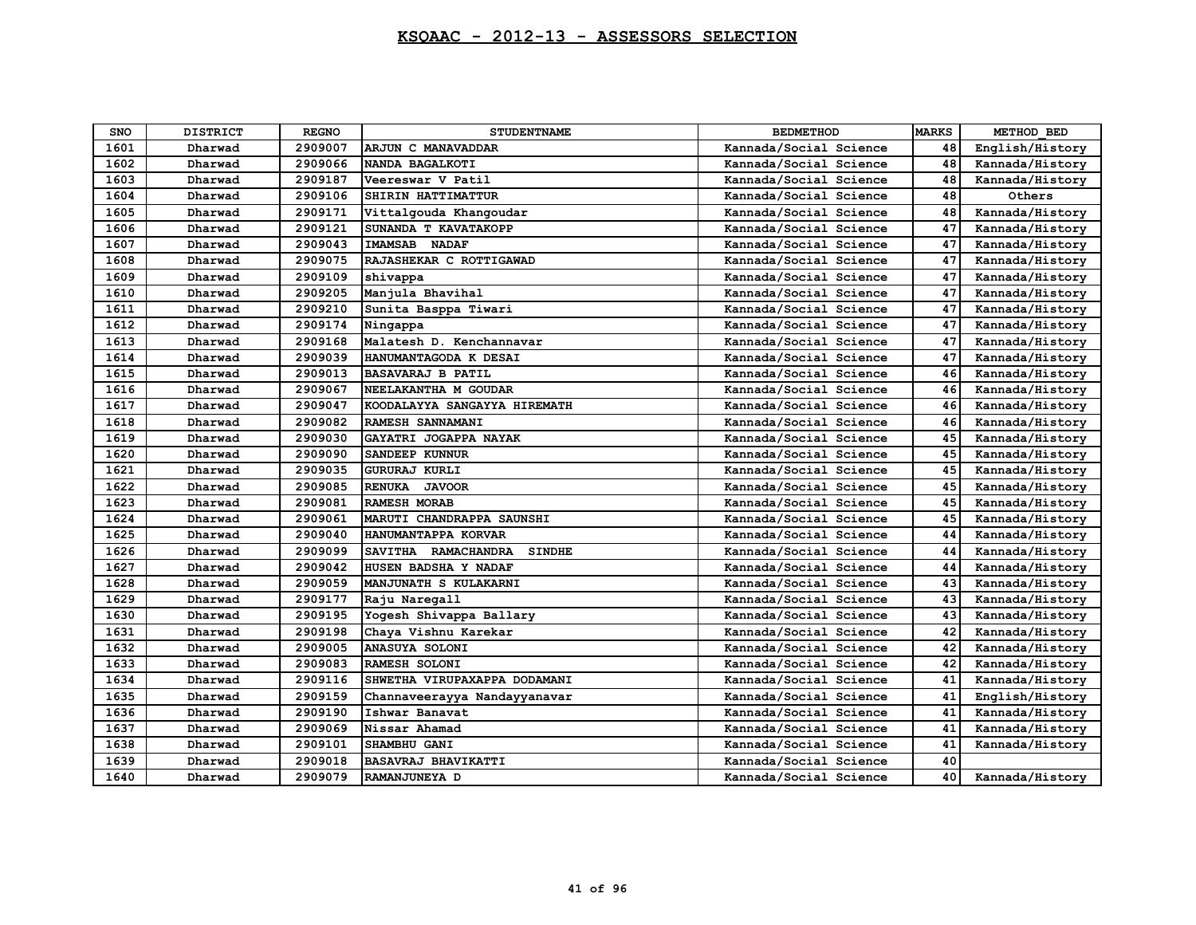| <b>SNO</b> | <b>DISTRICT</b> | <b>REGNO</b> | <b>STUDENTNAME</b>                   | <b>BEDMETHOD</b>       | <b>MARKS</b> | METHOD BED      |
|------------|-----------------|--------------|--------------------------------------|------------------------|--------------|-----------------|
| 1601       | Dharwad         | 2909007      | ARJUN C MANAVADDAR                   | Kannada/Social Science | 48           | English/History |
| 1602       | Dharwad         | 2909066      | NANDA BAGALKOTI                      | Kannada/Social Science | 48           | Kannada/History |
| 1603       | Dharwad         | 2909187      | Veereswar V Patil                    | Kannada/Social Science | 48           | Kannada/History |
| 1604       | Dharwad         | 2909106      | SHIRIN HATTIMATTUR                   | Kannada/Social Science | 48           | Others          |
| 1605       | Dharwad         | 2909171      | Vittalgouda Khangoudar               | Kannada/Social Science | 48           | Kannada/History |
| 1606       | Dharwad         | 2909121      | SUNANDA T KAVATAKOPP                 | Kannada/Social Science | 47           | Kannada/History |
| 1607       | Dharwad         | 2909043      | <b>IMAMSAB NADAF</b>                 | Kannada/Social Science | 47           | Kannada/History |
| 1608       | Dharwad         | 2909075      | RAJASHEKAR C ROTTIGAWAD              | Kannada/Social Science | 47           | Kannada/History |
| 1609       | Dharwad         | 2909109      | shivappa                             | Kannada/Social Science | 47           | Kannada/History |
| 1610       | Dharwad         | 2909205      | Manjula Bhavihal                     | Kannada/Social Science | 47           | Kannada/History |
| 1611       | Dharwad         | 2909210      | Sunita Basppa Tiwari                 | Kannada/Social Science | 47           | Kannada/History |
| 1612       | Dharwad         | 2909174      | Ningappa                             | Kannada/Social Science | 47           | Kannada/History |
| 1613       | Dharwad         | 2909168      | Malatesh D. Kenchannavar             | Kannada/Social Science | 47           | Kannada/History |
| 1614       | Dharwad         | 2909039      | HANUMANTAGODA K DESAI                | Kannada/Social Science | 47           | Kannada/History |
| 1615       | Dharwad         | 2909013      | <b>BASAVARAJ B PATIL</b>             | Kannada/Social Science | 46           | Kannada/History |
| 1616       | Dharwad         | 2909067      | NEELAKANTHA M GOUDAR                 | Kannada/Social Science | 46           | Kannada/History |
| 1617       | Dharwad         | 2909047      | KOODALAYYA SANGAYYA HIREMATH         | Kannada/Social Science | 46           | Kannada/History |
| 1618       | Dharwad         | 2909082      | RAMESH SANNAMANI                     | Kannada/Social Science | 46           | Kannada/History |
| 1619       | Dharwad         | 2909030      | GAYATRI JOGAPPA NAYAK                | Kannada/Social Science | 45           | Kannada/History |
| 1620       | Dharwad         | 2909090      | <b>SANDEEP KUNNUR</b>                | Kannada/Social Science | 45           | Kannada/History |
| 1621       | Dharwad         | 2909035      | <b>GURURAJ KURLI</b>                 | Kannada/Social Science | 45           | Kannada/History |
| 1622       | Dharwad         | 2909085      | <b>RENUKA</b><br><b>JAVOOR</b>       | Kannada/Social Science | 45           | Kannada/History |
| 1623       | Dharwad         | 2909081      | <b>RAMESH MORAB</b>                  | Kannada/Social Science | 45           | Kannada/History |
| 1624       | Dharwad         | 2909061      | MARUTI CHANDRAPPA SAUNSHI            | Kannada/Social Science | 45           | Kannada/History |
| 1625       | Dharwad         | 2909040      | HANUMANTAPPA KORVAR                  | Kannada/Social Science | 44           | Kannada/History |
| 1626       | Dharwad         | 2909099      | SAVITHA RAMACHANDRA<br><b>SINDHE</b> | Kannada/Social Science | 44           | Kannada/History |
| 1627       | Dharwad         | 2909042      | HUSEN BADSHA Y NADAF                 | Kannada/Social Science | 44           | Kannada/History |
| 1628       | Dharwad         | 2909059      | MANJUNATH S KULAKARNI                | Kannada/Social Science | 43           | Kannada/History |
| 1629       | Dharwad         | 2909177      | Raju Naregall                        | Kannada/Social Science | 43           | Kannada/History |
| 1630       | Dharwad         | 2909195      | Yogesh Shivappa Ballary              | Kannada/Social Science | 43           | Kannada/History |
| 1631       | Dharwad         | 2909198      | Chaya Vishnu Karekar                 | Kannada/Social Science | 42           | Kannada/History |
| 1632       | Dharwad         | 2909005      | <b>ANASUYA SOLONI</b>                | Kannada/Social Science | 42           | Kannada/History |
| 1633       | Dharwad         | 2909083      | RAMESH SOLONI                        | Kannada/Social Science | 42           | Kannada/History |
| 1634       | Dharwad         | 2909116      | SHWETHA VIRUPAXAPPA DODAMANI         | Kannada/Social Science | 41           | Kannada/History |
| 1635       | Dharwad         | 2909159      | Channaveerayya Nandayyanavar         | Kannada/Social Science | 41           | English/History |
| 1636       | Dharwad         | 2909190      | Ishwar Banavat                       | Kannada/Social Science | 41           | Kannada/History |
| 1637       | Dharwad         | 2909069      | Nissar Ahamad                        | Kannada/Social Science | 41           | Kannada/History |
| 1638       | Dharwad         | 2909101      | SHAMBHU GANI                         | Kannada/Social Science | 41           | Kannada/History |
| 1639       | Dharwad         | 2909018      | <b>BASAVRAJ BHAVIKATTI</b>           | Kannada/Social Science | 40           |                 |
| 1640       | Dharwad         | 2909079      | RAMANJUNEYA D                        | Kannada/Social Science | 40           | Kannada/History |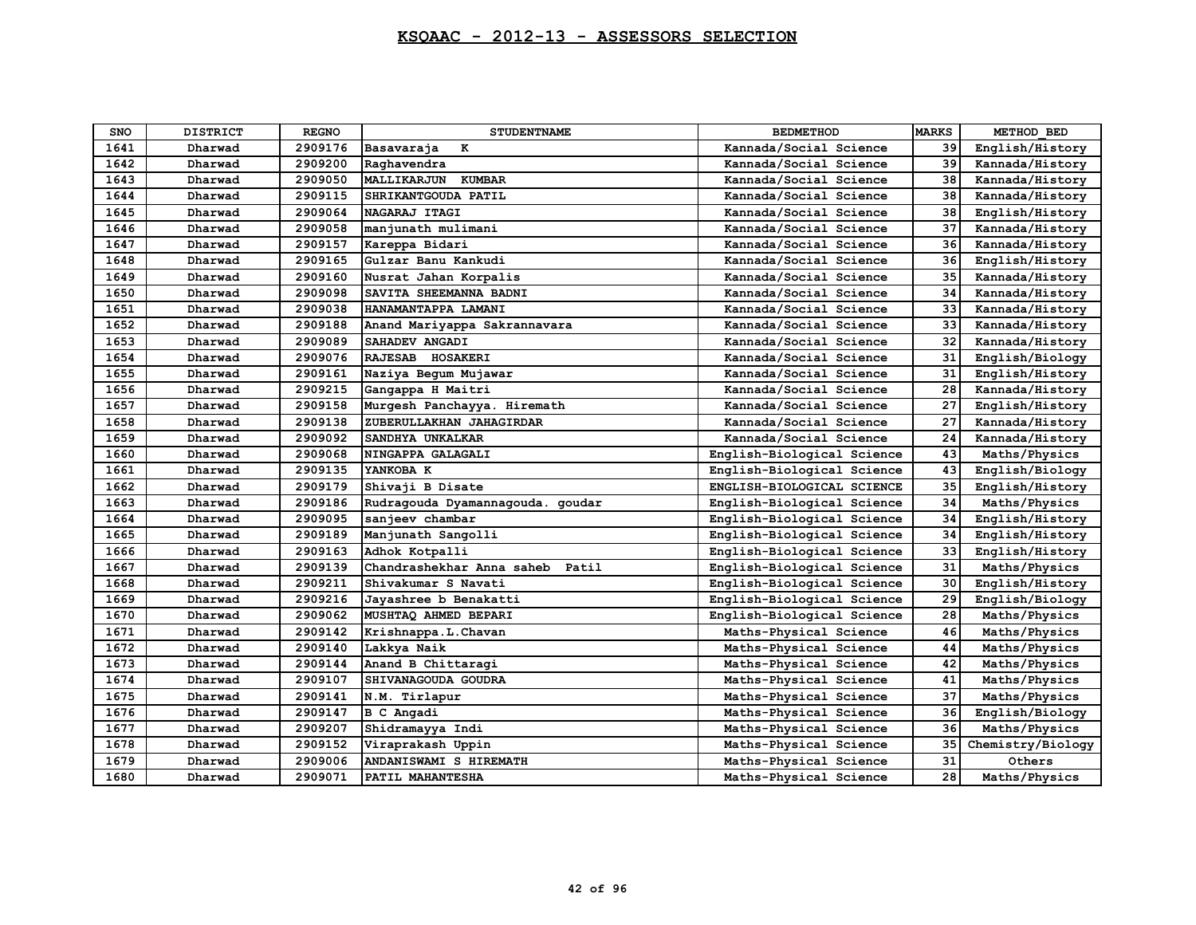| <b>SNO</b> | <b>DISTRICT</b> | <b>REGNO</b> | <b>STUDENTNAME</b>                 | <b>BEDMETHOD</b>           | <b>MARKS</b> | METHOD BED        |
|------------|-----------------|--------------|------------------------------------|----------------------------|--------------|-------------------|
| 1641       | Dharwad         | 2909176      | Basavaraja<br>к                    | Kannada/Social Science     | 39           | English/History   |
| 1642       | Dharwad         | 2909200      | Raghavendra                        | Kannada/Social Science     | 39           | Kannada/History   |
| 1643       | Dharwad         | 2909050      | <b>MALLIKARJUN KUMBAR</b>          | Kannada/Social Science     | 38           | Kannada/History   |
| 1644       | Dharwad         | 2909115      | SHRIKANTGOUDA PATIL                | Kannada/Social Science     | 38           | Kannada/History   |
| 1645       | Dharwad         | 2909064      | NAGARAJ ITAGI                      | Kannada/Social Science     | 38           | English/History   |
| 1646       | Dharwad         | 2909058      | manjunath mulimani                 | Kannada/Social Science     | 37           | Kannada/History   |
| 1647       | Dharwad         | 2909157      | Kareppa Bidari                     | Kannada/Social Science     | 36           | Kannada/History   |
| 1648       | Dharwad         | 2909165      | Gulzar Banu Kankudi                | Kannada/Social Science     | 36           | English/History   |
| 1649       | Dharwad         | 2909160      | Nusrat Jahan Korpalis              | Kannada/Social Science     | 35           | Kannada/History   |
| 1650       | Dharwad         | 2909098      | SAVITA SHEEMANNA BADNI             | Kannada/Social Science     | 34           | Kannada/History   |
| 1651       | Dharwad         | 2909038      | HANAMANTAPPA LAMANI                | Kannada/Social Science     | 33           | Kannada/History   |
| 1652       | Dharwad         | 2909188      | Anand Mariyappa Sakrannavara       | Kannada/Social Science     | 33           | Kannada/History   |
| 1653       | Dharwad         | 2909089      | SAHADEV ANGADI                     | Kannada/Social Science     | 32           | Kannada/History   |
| 1654       | Dharwad         | 2909076      | RAJESAB HOSAKERI                   | Kannada/Social Science     | 31           | English/Biology   |
| 1655       | Dharwad         | 2909161      | Naziya Begum Mujawar               | Kannada/Social Science     | 31           | English/History   |
| 1656       | Dharwad         | 2909215      | Gangappa H Maitri                  | Kannada/Social Science     | 28           | Kannada/History   |
| 1657       | Dharwad         | 2909158      | Murgesh Panchayya. Hiremath        | Kannada/Social Science     | 27           | English/History   |
| 1658       | Dharwad         | 2909138      | ZUBERULLAKHAN JAHAGIRDAR           | Kannada/Social Science     | 27           | Kannada/History   |
| 1659       | Dharwad         | 2909092      | SANDHYA UNKALKAR                   | Kannada/Social Science     | 24           | Kannada/History   |
| 1660       | Dharwad         | 2909068      | NINGAPPA GALAGALI                  | English-Biological Science | 43           | Maths/Physics     |
| 1661       | Dharwad         | 2909135      | YANKOBA K                          | English-Biological Science | 43           | English/Biology   |
| 1662       | Dharwad         | 2909179      | Shivaji B Disate                   | ENGLISH-BIOLOGICAL SCIENCE | 35           | English/History   |
| 1663       | Dharwad         | 2909186      | Rudragouda Dyamannagouda. goudar   | English-Biological Science | 34           | Maths/Physics     |
| 1664       | Dharwad         | 2909095      | sanjeev chambar                    | English-Biological Science | 34           | English/History   |
| 1665       | Dharwad         | 2909189      | Manjunath Sangolli                 | English-Biological Science | 34           | English/History   |
| 1666       | Dharwad         | 2909163      | Adhok Kotpalli                     | English-Biological Science | 33           | English/History   |
| 1667       | Dharwad         | 2909139      | Chandrashekhar Anna saheb<br>Patil | English-Biological Science | 31           | Maths/Physics     |
| 1668       | Dharwad         | 2909211      | Shivakumar S Navati                | English-Biological Science | 30           | English/History   |
| 1669       | Dharwad         | 2909216      | Jayashree b Benakatti              | English-Biological Science | 29           | English/Biology   |
| 1670       | Dharwad         | 2909062      | MUSHTAQ AHMED BEPARI               | English-Biological Science | 28           | Maths/Physics     |
| 1671       | Dharwad         | 2909142      | Krishnappa.L.Chavan                | Maths-Physical Science     | 46           | Maths/Physics     |
| 1672       | Dharwad         | 2909140      | Lakkya Naik                        | Maths-Physical Science     | 44           | Maths/Physics     |
| 1673       | Dharwad         | 2909144      | Anand B Chittaragi                 | Maths-Physical Science     | 42           | Maths/Physics     |
| 1674       | Dharwad         | 2909107      | SHIVANAGOUDA GOUDRA                | Maths-Physical Science     | 41           | Maths/Physics     |
| 1675       | Dharwad         | 2909141      | N.M. Tirlapur                      | Maths-Physical Science     | 37           | Maths/Physics     |
| 1676       | Dharwad         | 2909147      | <b>B</b> C Angadi                  | Maths-Physical Science     | 36           | English/Biology   |
| 1677       | Dharwad         | 2909207      | Shidramayya Indi                   | Maths-Physical Science     | 36           | Maths/Physics     |
| 1678       | Dharwad         | 2909152      | Viraprakash Uppin                  | Maths-Physical Science     | 35           | Chemistry/Biology |
| 1679       | Dharwad         | 2909006      | ANDANISWAMI S HIREMATH             | Maths-Physical Science     | 31           | Others            |
| 1680       | Dharwad         | 2909071      | PATIL MAHANTESHA                   | Maths-Physical Science     | 28           | Maths/Physics     |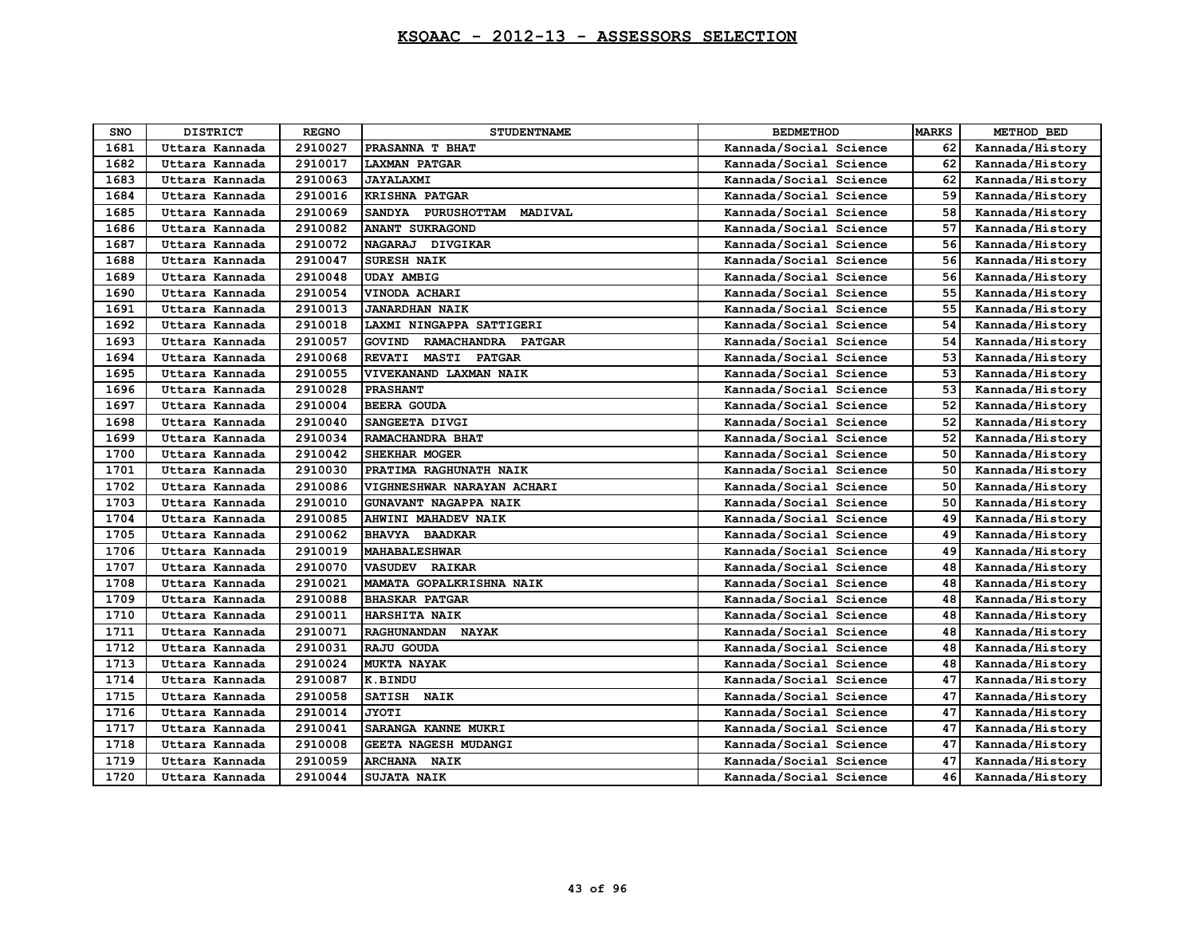| SNO  | <b>DISTRICT</b> | <b>REGNO</b> | <b>STUDENTNAME</b>                             | <b>BEDMETHOD</b>       | <b>MARKS</b> | METHOD BED      |
|------|-----------------|--------------|------------------------------------------------|------------------------|--------------|-----------------|
| 1681 | Uttara Kannada  | 2910027      | PRASANNA T BHAT                                | Kannada/Social Science | 62           | Kannada/History |
| 1682 | Uttara Kannada  | 2910017      | <b>LAXMAN PATGAR</b>                           | Kannada/Social Science | 62           | Kannada/History |
| 1683 | Uttara Kannada  | 2910063      | <b>JAYALAXMI</b>                               | Kannada/Social Science | 62           | Kannada/History |
| 1684 | Uttara Kannada  | 2910016      | <b>KRISHNA PATGAR</b>                          | Kannada/Social Science | 59           | Kannada/History |
| 1685 | Uttara Kannada  | 2910069      | SANDYA PURUSHOTTAM<br>MADIVAL                  | Kannada/Social Science | 58           | Kannada/History |
| 1686 | Uttara Kannada  | 2910082      | <b>ANANT SUKRAGOND</b>                         | Kannada/Social Science | 57           | Kannada/History |
| 1687 | Uttara Kannada  | 2910072      | <b>NAGARAJ</b><br><b>DIVGIKAR</b>              | Kannada/Social Science | 56           | Kannada/History |
| 1688 | Uttara Kannada  | 2910047      | <b>SURESH NAIK</b>                             | Kannada/Social Science | 56           | Kannada/History |
| 1689 | Uttara Kannada  | 2910048      | <b>UDAY AMBIG</b>                              | Kannada/Social Science | 56           | Kannada/History |
| 1690 | Uttara Kannada  | 2910054      | VINODA ACHARI                                  | Kannada/Social Science | 55           | Kannada/History |
| 1691 | Uttara Kannada  | 2910013      | <b>JANARDHAN NAIK</b>                          | Kannada/Social Science | 55           | Kannada/History |
| 1692 | Uttara Kannada  | 2910018      | LAXMI NINGAPPA SATTIGERI                       | Kannada/Social Science | 54           | Kannada/History |
| 1693 | Uttara Kannada  | 2910057      | <b>GOVIND</b><br>RAMACHANDRA PATGAR            | Kannada/Social Science | 54           | Kannada/History |
| 1694 | Uttara Kannada  | 2910068      | <b>REVATI</b><br><b>MASTI</b><br><b>PATGAR</b> | Kannada/Social Science | 53           | Kannada/History |
| 1695 | Uttara Kannada  | 2910055      | VIVEKANAND LAXMAN NAIK                         | Kannada/Social Science | 53           | Kannada/History |
| 1696 | Uttara Kannada  | 2910028      | <b>PRASHANT</b>                                | Kannada/Social Science | 53           | Kannada/History |
| 1697 | Uttara Kannada  | 2910004      | <b>BEERA GOUDA</b>                             | Kannada/Social Science | 52           | Kannada/History |
| 1698 | Uttara Kannada  | 2910040      | SANGEETA DIVGI                                 | Kannada/Social Science | 52           | Kannada/History |
| 1699 | Uttara Kannada  | 2910034      | RAMACHANDRA BHAT                               | Kannada/Social Science | 52           | Kannada/History |
| 1700 | Uttara Kannada  | 2910042      | <b>SHEKHAR MOGER</b>                           | Kannada/Social Science | 50           | Kannada/History |
| 1701 | Uttara Kannada  | 2910030      | PRATIMA RAGHUNATH NAIK                         | Kannada/Social Science | 50           | Kannada/History |
| 1702 | Uttara Kannada  | 2910086      | VIGHNESHWAR NARAYAN ACHARI                     | Kannada/Social Science | 50           | Kannada/History |
| 1703 | Uttara Kannada  | 2910010      | GUNAVANT NAGAPPA NAIK                          | Kannada/Social Science | 50           | Kannada/History |
| 1704 | Uttara Kannada  | 2910085      | AHWINI MAHADEV NAIK                            | Kannada/Social Science | 49           | Kannada/History |
| 1705 | Uttara Kannada  | 2910062      | BHAVYA BAADKAR                                 | Kannada/Social Science | 49           | Kannada/History |
| 1706 | Uttara Kannada  | 2910019      | <b>MAHABALESHWAR</b>                           | Kannada/Social Science | 49           | Kannada/History |
| 1707 | Uttara Kannada  | 2910070      | <b>VASUDEV RAIKAR</b>                          | Kannada/Social Science | 48           | Kannada/History |
| 1708 | Uttara Kannada  | 2910021      | MAMATA GOPALKRISHNA NAIK                       | Kannada/Social Science | 48           | Kannada/History |
| 1709 | Uttara Kannada  | 2910088      | <b>BHASKAR PATGAR</b>                          | Kannada/Social Science | 48           | Kannada/History |
| 1710 | Uttara Kannada  | 2910011      | <b>HARSHITA NAIK</b>                           | Kannada/Social Science | 48           | Kannada/History |
| 1711 | Uttara Kannada  | 2910071      | RAGHUNANDAN NAYAK                              | Kannada/Social Science | 48           | Kannada/History |
| 1712 | Uttara Kannada  | 2910031      | RAJU GOUDA                                     | Kannada/Social Science | 48           | Kannada/History |
| 1713 | Uttara Kannada  | 2910024      | <b>MUKTA NAYAK</b>                             | Kannada/Social Science | 48           | Kannada/History |
| 1714 | Uttara Kannada  | 2910087      | <b>K.BINDU</b>                                 | Kannada/Social Science | 47           | Kannada/History |
| 1715 | Uttara Kannada  | 2910058      | SATISH NAIK                                    | Kannada/Social Science | 47           | Kannada/History |
| 1716 | Uttara Kannada  | 2910014      | <b>JYOTI</b>                                   | Kannada/Social Science | 47           | Kannada/History |
| 1717 | Uttara Kannada  | 2910041      | SARANGA KANNE MUKRI                            | Kannada/Social Science | 47           | Kannada/History |
| 1718 | Uttara Kannada  | 2910008      | GEETA NAGESH MUDANGI                           | Kannada/Social Science | 47           | Kannada/History |
| 1719 | Uttara Kannada  | 2910059      | ARCHANA NAIK                                   | Kannada/Social Science | 47           | Kannada/History |
| 1720 | Uttara Kannada  | 2910044      | SUJATA NAIK                                    | Kannada/Social Science | 46           | Kannada/History |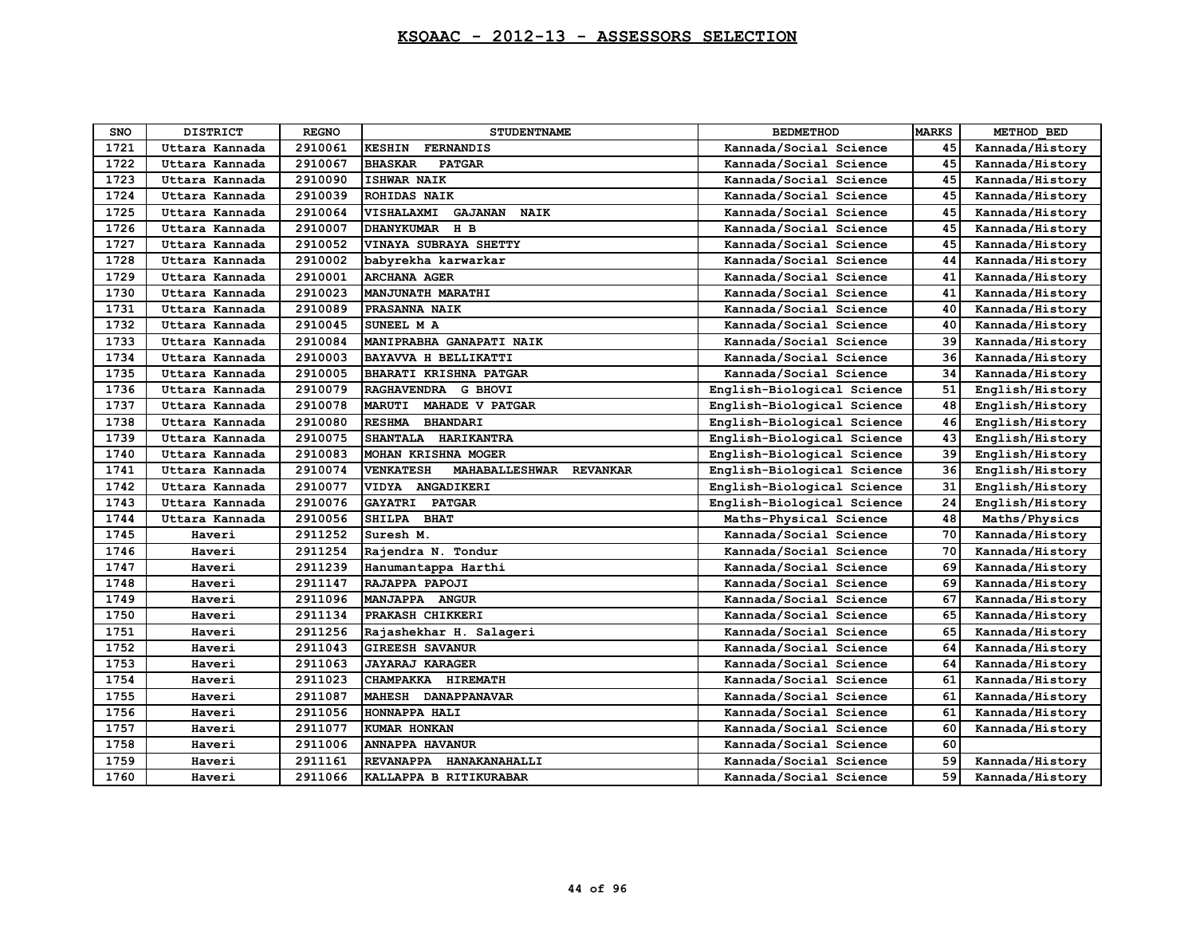| <b>SNO</b> | <b>DISTRICT</b> | <b>REGNO</b> | <b>STUDENTNAME</b>                          | <b>BEDMETHOD</b>           | <b>MARKS</b> | METHOD BED      |
|------------|-----------------|--------------|---------------------------------------------|----------------------------|--------------|-----------------|
| 1721       | Uttara Kannada  | 2910061      | <b>KESHIN</b><br><b>FERNANDIS</b>           | Kannada/Social Science     | 45           | Kannada/History |
| 1722       | Uttara Kannada  | 2910067      | <b>BHASKAR</b><br><b>PATGAR</b>             | Kannada/Social Science     | 45           | Kannada/History |
| 1723       | Uttara Kannada  | 2910090      | <b>ISHWAR NAIK</b>                          | Kannada/Social Science     | 45           | Kannada/History |
| 1724       | Uttara Kannada  | 2910039      | <b>ROHIDAS NAIK</b>                         | Kannada/Social Science     | 45           | Kannada/History |
| 1725       | Uttara Kannada  | 2910064      | VISHALAXMI<br><b>GAJANAN</b><br><b>NAIK</b> | Kannada/Social Science     | 45           | Kannada/History |
| 1726       | Uttara Kannada  | 2910007      | DHANYKUMAR H B                              | Kannada/Social Science     | 45           | Kannada/History |
| 1727       | Uttara Kannada  | 2910052      | VINAYA SUBRAYA SHETTY                       | Kannada/Social Science     | 45           | Kannada/History |
| 1728       | Uttara Kannada  | 2910002      | babyrekha karwarkar                         | Kannada/Social Science     | 44           | Kannada/History |
| 1729       | Uttara Kannada  | 2910001      | <b>ARCHANA AGER</b>                         | Kannada/Social Science     | 41           | Kannada/History |
| 1730       | Uttara Kannada  | 2910023      | MANJUNATH MARATHI                           | Kannada/Social Science     | 41           | Kannada/History |
| 1731       | Uttara Kannada  | 2910089      | PRASANNA NAIK                               | Kannada/Social Science     | 40           | Kannada/History |
| 1732       | Uttara Kannada  | 2910045      | SUNEEL M A                                  | Kannada/Social Science     | 40           | Kannada/History |
| 1733       | Uttara Kannada  | 2910084      | MANIPRABHA GANAPATI NAIK                    | Kannada/Social Science     | 39           | Kannada/History |
| 1734       | Uttara Kannada  | 2910003      | <b>BAYAVVA H BELLIKATTI</b>                 | Kannada/Social Science     | 36           | Kannada/History |
| 1735       | Uttara Kannada  | 2910005      | BHARATI KRISHNA PATGAR                      | Kannada/Social Science     | 34           | Kannada/History |
| 1736       | Uttara Kannada  | 2910079      | RAGHAVENDRA G BHOVI                         | English-Biological Science | 51           | English/History |
| 1737       | Uttara Kannada  | 2910078      | <b>MAHADE V PATGAR</b><br><b>MARUTI</b>     | English-Biological Science | 48           | English/History |
| 1738       | Uttara Kannada  | 2910080      | <b>RESHMA</b><br><b>BHANDARI</b>            | English-Biological Science | 46           | English/History |
| 1739       | Uttara Kannada  | 2910075      | SHANTALA HARIKANTRA                         | English-Biological Science | 43           | English/History |
| 1740       | Uttara Kannada  | 2910083      | MOHAN KRISHNA MOGER                         | English-Biological Science | 39           | English/History |
| 1741       | Uttara Kannada  | 2910074      | <b>VENKATESH</b><br>MAHABALLESHWAR REVANKAR | English-Biological Science | 36           | English/History |
| 1742       | Uttara Kannada  | 2910077      | VIDYA ANGADIKERI                            | English-Biological Science | 31           | English/History |
| 1743       | Uttara Kannada  | 2910076      | GAYATRI PATGAR                              | English-Biological Science | 24           | English/History |
| 1744       | Uttara Kannada  | 2910056      | SHILPA BHAT                                 | Maths-Physical Science     | 48           | Maths/Physics   |
| 1745       | Haveri          | 2911252      | Suresh M.                                   | Kannada/Social Science     | 70           | Kannada/History |
| 1746       | Haveri          | 2911254      | Rajendra N. Tondur                          | Kannada/Social Science     | 70           | Kannada/History |
| 1747       | Haveri          | 2911239      | Hanumantappa Harthi                         | Kannada/Social Science     | 69           | Kannada/History |
| 1748       | Haveri          | 2911147      | RAJAPPA PAPOJI                              | Kannada/Social Science     | 69           | Kannada/History |
| 1749       | Haveri          | 2911096      | MANJAPPA ANGUR                              | Kannada/Social Science     | 67           | Kannada/History |
| 1750       | Haveri          | 2911134      | PRAKASH CHIKKERI                            | Kannada/Social Science     | 65           | Kannada/History |
| 1751       | Haveri          | 2911256      | Rajashekhar H. Salageri                     | Kannada/Social Science     | 65           | Kannada/History |
| 1752       | Haveri          | 2911043      | <b>GIREESH SAVANUR</b>                      | Kannada/Social Science     | 64           | Kannada/History |
| 1753       | Haveri          | 2911063      | <b>JAYARAJ KARAGER</b>                      | Kannada/Social Science     | 64           | Kannada/History |
| 1754       | Haveri          | 2911023      | CHAMPAKKA HIREMATH                          | Kannada/Social Science     | 61           | Kannada/History |
| 1755       | Haveri          | 2911087      | MAHESH DANAPPANAVAR                         | Kannada/Social Science     | 61           | Kannada/History |
| 1756       | Haveri          | 2911056      | HONNAPPA HALI                               | Kannada/Social Science     | 61           | Kannada/History |
| 1757       | Haveri          | 2911077      | KUMAR HONKAN                                | Kannada/Social Science     | 60           | Kannada/History |
| 1758       | Haveri          | 2911006      | <b>ANNAPPA HAVANUR</b>                      | Kannada/Social Science     | 60           |                 |
| 1759       | Haveri          | 2911161      | REVANAPPA HANAKANAHALLI                     | Kannada/Social Science     | 59           | Kannada/History |
| 1760       | Haveri          | 2911066      | KALLAPPA B RITIKURABAR                      | Kannada/Social Science     | 59           | Kannada/History |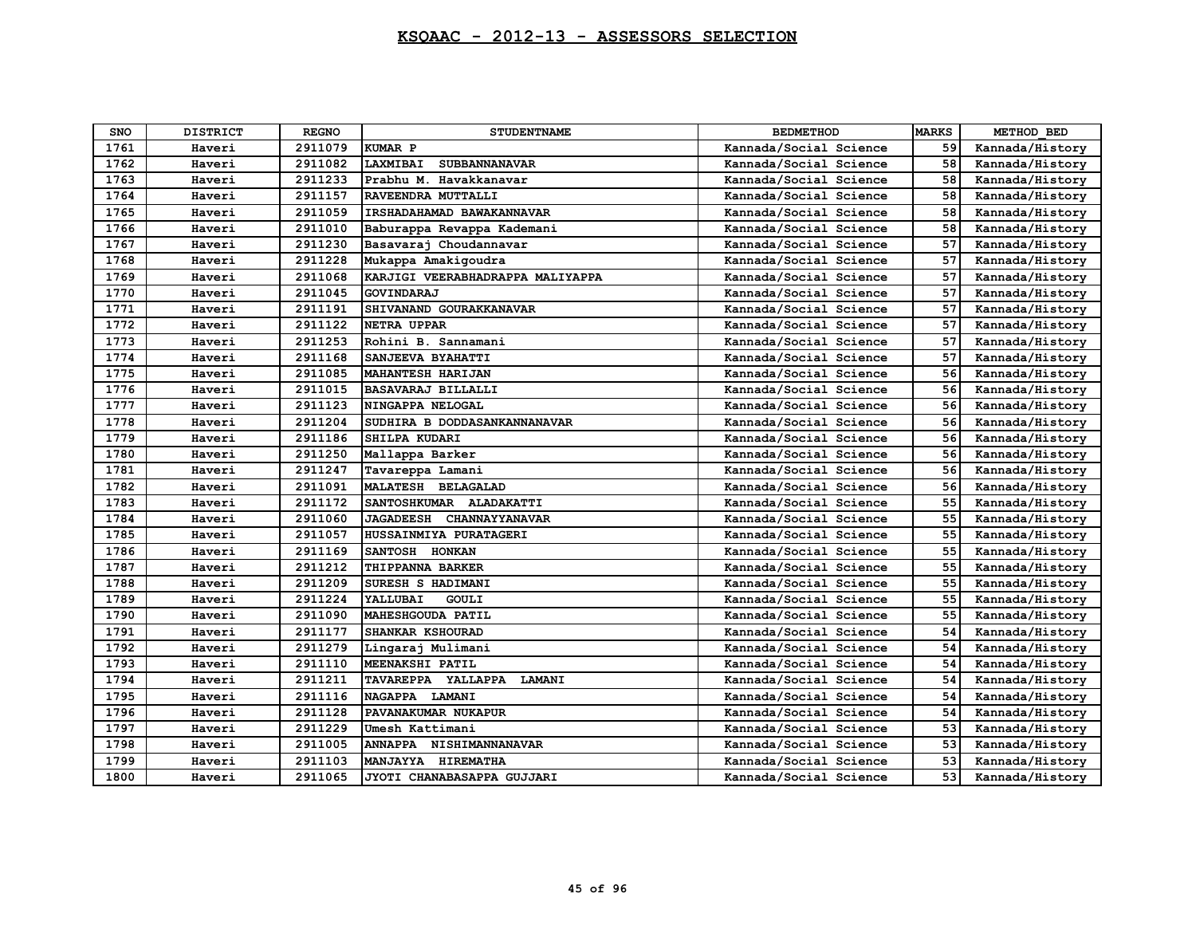| <b>SNO</b> | <b>DISTRICT</b> | <b>REGNO</b> | <b>STUDENTNAME</b>                        | <b>BEDMETHOD</b>       | <b>MARKS</b> | METHOD BED      |
|------------|-----------------|--------------|-------------------------------------------|------------------------|--------------|-----------------|
| 1761       | Haveri          | 2911079      | <b>KUMAR P</b>                            | Kannada/Social Science | 59           | Kannada/History |
| 1762       | Haveri          | 2911082      | LAXMIBAI<br><b>SUBBANNANAVAR</b>          | Kannada/Social Science | 58           | Kannada/History |
| 1763       | Haveri          | 2911233      | Prabhu M. Havakkanavar                    | Kannada/Social Science | 58           | Kannada/History |
| 1764       | Haveri          | 2911157      | RAVEENDRA MUTTALLI                        | Kannada/Social Science | 58           | Kannada/History |
| 1765       | Haveri          | 2911059      | IRSHADAHAMAD BAWAKANNAVAR                 | Kannada/Social Science | 58           | Kannada/History |
| 1766       | Haveri          | 2911010      | Baburappa Revappa Kademani                | Kannada/Social Science | 58           | Kannada/History |
| 1767       | Haveri          | 2911230      | Basavaraj Choudannavar                    | Kannada/Social Science | 57           | Kannada/History |
| 1768       | Haveri          | 2911228      | Mukappa Amakigoudra                       | Kannada/Social Science | 57           | Kannada/History |
| 1769       | Haveri          | 2911068      | KARJIGI VEERABHADRAPPA MALIYAPPA          | Kannada/Social Science | 57           | Kannada/History |
| 1770       | Haveri          | 2911045      | GOVINDARAJ                                | Kannada/Social Science | 57           | Kannada/History |
| 1771       | Haveri          | 2911191      | SHIVANAND GOURAKKANAVAR                   | Kannada/Social Science | 57           | Kannada/History |
| 1772       | Haveri          | 2911122      | <b>NETRA UPPAR</b>                        | Kannada/Social Science | 57           | Kannada/History |
| 1773       | Haveri          | 2911253      | Rohini B. Sannamani                       | Kannada/Social Science | 57           | Kannada/History |
| 1774       | Haveri          | 2911168      | SANJEEVA BYAHATTI                         | Kannada/Social Science | 57           | Kannada/History |
| 1775       | Haveri          | 2911085      | <b>MAHANTESH HARIJAN</b>                  | Kannada/Social Science | 56           | Kannada/History |
| 1776       | Haveri          | 2911015      | <b>BASAVARAJ BILLALLI</b>                 | Kannada/Social Science | 56           | Kannada/History |
| 1777       | Haveri          | 2911123      | NINGAPPA NELOGAL                          | Kannada/Social Science | 56           | Kannada/History |
| 1778       | Haveri          | 2911204      | SUDHIRA B DODDASANKANNANAVAR              | Kannada/Social Science | 56           | Kannada/History |
| 1779       | Haveri          | 2911186      | SHILPA KUDARI                             | Kannada/Social Science | 56           | Kannada/History |
| 1780       | Haveri          | 2911250      | Mallappa Barker                           | Kannada/Social Science | 56           | Kannada/History |
| 1781       | Haveri          | 2911247      | Tavareppa Lamani                          | Kannada/Social Science | 56           | Kannada/History |
| 1782       | Haveri          | 2911091      | MALATESH BELAGALAD                        | Kannada/Social Science | 56           | Kannada/History |
| 1783       | Haveri          | 2911172      | SANTOSHKUMAR ALADAKATTI                   | Kannada/Social Science | 55           | Kannada/History |
| 1784       | Haveri          | 2911060      | <b>JAGADEESH</b><br><b>CHANNAYYANAVAR</b> | Kannada/Social Science | 55           | Kannada/History |
| 1785       | Haveri          | 2911057      | HUSSAINMIYA PURATAGERI                    | Kannada/Social Science | 55           | Kannada/History |
| 1786       | Haveri          | 2911169      | SANTOSH HONKAN                            | Kannada/Social Science | 55           | Kannada/History |
| 1787       | Haveri          | 2911212      | THIPPANNA BARKER                          | Kannada/Social Science | 55           | Kannada/History |
| 1788       | Haveri          | 2911209      | SURESH S HADIMANI                         | Kannada/Social Science | 55           | Kannada/History |
| 1789       | Haveri          | 2911224      | YALLUBAI<br>GOULI                         | Kannada/Social Science | 55           | Kannada/History |
| 1790       | Haveri          | 2911090      | MAHESHGOUDA PATIL                         | Kannada/Social Science | 55           | Kannada/History |
| 1791       | Haveri          | 2911177      | SHANKAR KSHOURAD                          | Kannada/Social Science | 54           | Kannada/History |
| 1792       | Haveri          | 2911279      | Lingaraj Mulimani                         | Kannada/Social Science | 54           | Kannada/History |
| 1793       | Haveri          | 2911110      | MEENAKSHI PATIL                           | Kannada/Social Science | 54           | Kannada/History |
| 1794       | Haveri          | 2911211      | TAVAREPPA YALLAPPA<br><b>LAMANI</b>       | Kannada/Social Science | 54           | Kannada/History |
| 1795       | Haveri          | 2911116      | NAGAPPA LAMANI                            | Kannada/Social Science | 54           | Kannada/History |
| 1796       | Haveri          | 2911128      | PAVANAKUMAR NUKAPUR                       | Kannada/Social Science | 54           | Kannada/History |
| 1797       | Haveri          | 2911229      | Umesh Kattimani                           | Kannada/Social Science | 53           | Kannada/History |
| 1798       | Haveri          | 2911005      | ANNAPPA NISHIMANNANAVAR                   | Kannada/Social Science | 53           | Kannada/History |
| 1799       | Haveri          | 2911103      | MANJAYYA HIREMATHA                        | Kannada/Social Science | 53           | Kannada/History |
| 1800       | Haveri          | 2911065      | JYOTI CHANABASAPPA GUJJARI                | Kannada/Social Science | 53           | Kannada/History |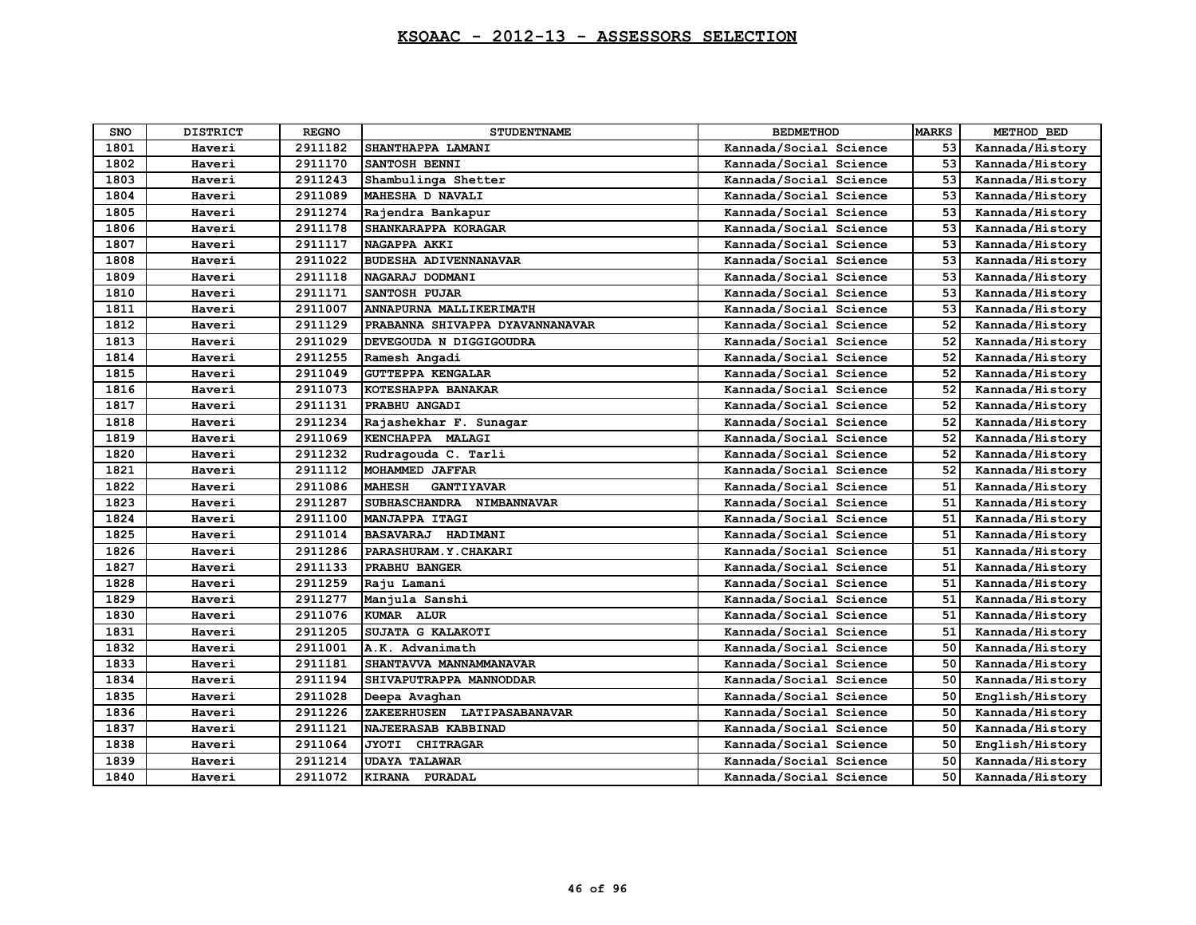| <b>SNO</b> | <b>DISTRICT</b> | <b>REGNO</b> | <b>STUDENTNAME</b>                 | <b>BEDMETHOD</b>       | <b>MARKS</b> | METHOD BED      |
|------------|-----------------|--------------|------------------------------------|------------------------|--------------|-----------------|
| 1801       | Haveri          | 2911182      | SHANTHAPPA LAMANI                  | Kannada/Social Science | 53           | Kannada/History |
| 1802       | Haveri          | 2911170      | SANTOSH BENNI                      | Kannada/Social Science | 53           | Kannada/History |
| 1803       | Haveri          | 2911243      | Shambulinga Shetter                | Kannada/Social Science | 53           | Kannada/History |
| 1804       | Haveri          | 2911089      | MAHESHA D NAVALI                   | Kannada/Social Science | 53           | Kannada/History |
| 1805       | Haveri          | 2911274      | Rajendra Bankapur                  | Kannada/Social Science | 53           | Kannada/History |
| 1806       | Haveri          | 2911178      | SHANKARAPPA KORAGAR                | Kannada/Social Science | 53           | Kannada/History |
| 1807       | Haveri          | 2911117      | NAGAPPA AKKI                       | Kannada/Social Science | 53           | Kannada/History |
| 1808       | Haveri          | 2911022      | <b>BUDESHA ADIVENNANAVAR</b>       | Kannada/Social Science | 53           | Kannada/History |
| 1809       | Haveri          | 2911118      | NAGARAJ DODMANI                    | Kannada/Social Science | 53           | Kannada/History |
| 1810       | Haveri          | 2911171      | SANTOSH PUJAR                      | Kannada/Social Science | 53           | Kannada/History |
| 1811       | Haveri          | 2911007      | ANNAPURNA MALLIKERIMATH            | Kannada/Social Science | 53           | Kannada/History |
| 1812       | Haveri          | 2911129      | PRABANNA SHIVAPPA DYAVANNANAVAR    | Kannada/Social Science | 52           | Kannada/History |
| 1813       | Haveri          | 2911029      | DEVEGOUDA N DIGGIGOUDRA            | Kannada/Social Science | 52           | Kannada/History |
| 1814       | Haveri          | 2911255      | Ramesh Angadi                      | Kannada/Social Science | 52           | Kannada/History |
| 1815       | Haveri          | 2911049      | <b>GUTTEPPA KENGALAR</b>           | Kannada/Social Science | 52           | Kannada/History |
| 1816       | Haveri          | 2911073      | KOTESHAPPA BANAKAR                 | Kannada/Social Science | 52           | Kannada/History |
| 1817       | Haveri          | 2911131      | PRABHU ANGADI                      | Kannada/Social Science | 52           | Kannada/History |
| 1818       | Haveri          | 2911234      | Rajashekhar F. Sunagar             | Kannada/Social Science | 52           | Kannada/History |
| 1819       | Haveri          | 2911069      | KENCHAPPA MALAGI                   | Kannada/Social Science | 52           | Kannada/History |
| 1820       | Haveri          | 2911232      | Rudragouda C. Tarli                | Kannada/Social Science | 52           | Kannada/History |
| 1821       | Haveri          | 2911112      | MOHAMMED JAFFAR                    | Kannada/Social Science | 52           | Kannada/History |
| 1822       | Haveri          | 2911086      | <b>MAHESH</b><br><b>GANTIYAVAR</b> | Kannada/Social Science | 51           | Kannada/History |
| 1823       | Haveri          | 2911287      | SUBHASCHANDRA NIMBANNAVAR          | Kannada/Social Science | 51           | Kannada/History |
| 1824       | Haveri          | 2911100      | MANJAPPA ITAGI                     | Kannada/Social Science | 51           | Kannada/History |
| 1825       | Haveri          | 2911014      | BASAVARAJ HADIMANI                 | Kannada/Social Science | 51           | Kannada/History |
| 1826       | Haveri          | 2911286      | PARASHURAM. Y. CHAKARI             | Kannada/Social Science | 51           | Kannada/History |
| 1827       | Haveri          | 2911133      | PRABHU BANGER                      | Kannada/Social Science | 51           | Kannada/History |
| 1828       | Haveri          | 2911259      | Raju Lamani                        | Kannada/Social Science | 51           | Kannada/History |
| 1829       | Haveri          | 2911277      | Manjula Sanshi                     | Kannada/Social Science | 51           | Kannada/History |
| 1830       | Haveri          | 2911076      | KUMAR ALUR                         | Kannada/Social Science | 51           | Kannada/History |
| 1831       | Haveri          | 2911205      | SUJATA G KALAKOTI                  | Kannada/Social Science | 51           | Kannada/History |
| 1832       | Haveri          | 2911001      | A.K. Advanimath                    | Kannada/Social Science | 50           | Kannada/History |
| 1833       | Haveri          | 2911181      | SHANTAVVA MANNAMMANAVAR            | Kannada/Social Science | 50           | Kannada/History |
| 1834       | Haveri          | 2911194      | SHIVAPUTRAPPA MANNODDAR            | Kannada/Social Science | 50           | Kannada/History |
| 1835       | Haveri          | 2911028      | Deepa Avaghan                      | Kannada/Social Science | 50           | English/History |
| 1836       | Haveri          | 2911226      | ZAKEERHUSEN LATIPASABANAVAR        | Kannada/Social Science | 50           | Kannada/History |
| 1837       | Haveri          | 2911121      | NAJEERASAB KABBINAD                | Kannada/Social Science | 50           | Kannada/History |
| 1838       | Haveri          | 2911064      | <b>JYOTI</b><br><b>CHITRAGAR</b>   | Kannada/Social Science | 50           | English/History |
| 1839       | Haveri          | 2911214      | <b>UDAYA TALAWAR</b>               | Kannada/Social Science | 50           | Kannada/History |
| 1840       | Haveri          | 2911072      | KIRANA PURADAL                     | Kannada/Social Science | 50           | Kannada/History |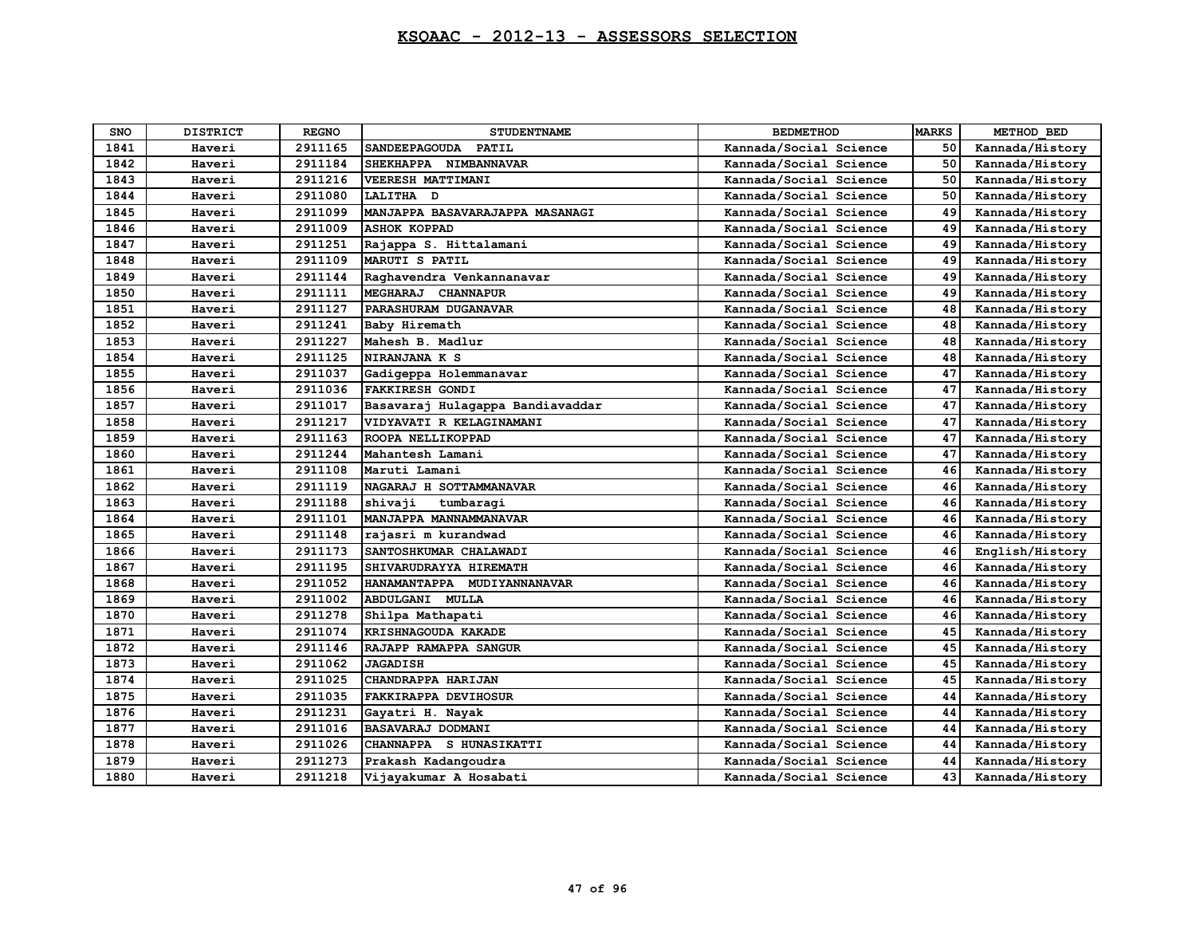| <b>SNO</b> | <b>DISTRICT</b> | <b>REGNO</b> | <b>STUDENTNAME</b>                   | <b>BEDMETHOD</b>       | <b>MARKS</b> | METHOD BED      |
|------------|-----------------|--------------|--------------------------------------|------------------------|--------------|-----------------|
| 1841       | Haveri          | 2911165      | <b>SANDEEPAGOUDA</b><br><b>PATIL</b> | Kannada/Social Science | 50           | Kannada/History |
| 1842       | Haveri          | 2911184      | SHEKHAPPA NIMBANNAVAR                | Kannada/Social Science | 50           | Kannada/History |
| 1843       | Haveri          | 2911216      | VEERESH MATTIMANI                    | Kannada/Social Science | 50           | Kannada/History |
| 1844       | Haveri          | 2911080      | LALITHA D                            | Kannada/Social Science | 50           | Kannada/History |
| 1845       | Haveri          | 2911099      | MANJAPPA BASAVARAJAPPA MASANAGI      | Kannada/Social Science | 49           | Kannada/History |
| 1846       | Haveri          | 2911009      | <b>ASHOK KOPPAD</b>                  | Kannada/Social Science | 49           | Kannada/History |
| 1847       | Haveri          | 2911251      | Rajappa S. Hittalamani               | Kannada/Social Science | 49           | Kannada/History |
| 1848       | Haveri          | 2911109      | <b>MARUTI S PATIL</b>                | Kannada/Social Science | 49           | Kannada/History |
| 1849       | Haveri          | 2911144      | Raghavendra Venkannanavar            | Kannada/Social Science | 49           | Kannada/History |
| 1850       | Haveri          | 2911111      | MEGHARAJ CHANNAPUR                   | Kannada/Social Science | 49           | Kannada/History |
| 1851       | Haveri          | 2911127      | PARASHURAM DUGANAVAR                 | Kannada/Social Science | 48           | Kannada/History |
| 1852       | Haveri          | 2911241      | Baby Hiremath                        | Kannada/Social Science | 48           | Kannada/History |
| 1853       | Haveri          | 2911227      | Mahesh B. Madlur                     | Kannada/Social Science | 48           | Kannada/History |
| 1854       | Haveri          | 2911125      | NIRANJANA K S                        | Kannada/Social Science | 48           | Kannada/History |
| 1855       | Haveri          | 2911037      | Gadigeppa Holemmanavar               | Kannada/Social Science | 47           | Kannada/History |
| 1856       | Haveri          | 2911036      | <b>FAKKIRESH GONDI</b>               | Kannada/Social Science | 47           | Kannada/History |
| 1857       | Haveri          | 2911017      | Basavaraj Hulagappa Bandiavaddar     | Kannada/Social Science | 47           | Kannada/History |
| 1858       | Haveri          | 2911217      | VIDYAVATI R KELAGINAMANI             | Kannada/Social Science | 47           | Kannada/History |
| 1859       | Haveri          | 2911163      | ROOPA NELLIKOPPAD                    | Kannada/Social Science | 47           | Kannada/History |
| 1860       | Haveri          | 2911244      | Mahantesh Lamani                     | Kannada/Social Science | 47           | Kannada/History |
| 1861       | Haveri          | 2911108      | Maruti Lamani                        | Kannada/Social Science | 46           | Kannada/History |
| 1862       | Haveri          | 2911119      | NAGARAJ H SOTTAMMANAVAR              | Kannada/Social Science | 46           | Kannada/History |
| 1863       | Haveri          | 2911188      | shivaji<br>tumbaragi                 | Kannada/Social Science | 46           | Kannada/History |
| 1864       | Haveri          | 2911101      | MANJAPPA MANNAMMANAVAR               | Kannada/Social Science | 46           | Kannada/History |
| 1865       | Haveri          | 2911148      | rajasri m kurandwad                  | Kannada/Social Science | 46           | Kannada/History |
| 1866       | Haveri          | 2911173      | SANTOSHKUMAR CHALAWADI               | Kannada/Social Science | 46           | English/History |
| 1867       | Haveri          | 2911195      | SHIVARUDRAYYA HIREMATH               | Kannada/Social Science | 46           | Kannada/History |
| 1868       | Haveri          | 2911052      | HANAMANTAPPA MUDIYANNANAVAR          | Kannada/Social Science | 46           | Kannada/History |
| 1869       | Haveri          | 2911002      | ABDULGANI MULLA                      | Kannada/Social Science | 46           | Kannada/History |
| 1870       | Haveri          | 2911278      | Shilpa Mathapati                     | Kannada/Social Science | 46           | Kannada/History |
| 1871       | Haveri          | 2911074      | KRISHNAGOUDA KAKADE                  | Kannada/Social Science | 45           | Kannada/History |
| 1872       | Haveri          | 2911146      | RAJAPP RAMAPPA SANGUR                | Kannada/Social Science | 45           | Kannada/History |
| 1873       | Haveri          | 2911062      | <b>JAGADISH</b>                      | Kannada/Social Science | 45           | Kannada/History |
| 1874       | Haveri          | 2911025      | CHANDRAPPA HARIJAN                   | Kannada/Social Science | 45           | Kannada/History |
| 1875       | Haveri          | 2911035      | <b>FAKKIRAPPA DEVIHOSUR</b>          | Kannada/Social Science | 44           | Kannada/History |
| 1876       | Haveri          | 2911231      | Gayatri H. Nayak                     | Kannada/Social Science | 44           | Kannada/History |
| 1877       | Haveri          | 2911016      | BASAVARAJ DODMANI                    | Kannada/Social Science | 44           | Kannada/History |
| 1878       | Haveri          | 2911026      | CHANNAPPA S HUNASIKATTI              | Kannada/Social Science | 44           | Kannada/History |
| 1879       | Haveri          | 2911273      | Prakash Kadangoudra                  | Kannada/Social Science | 44           | Kannada/History |
| 1880       | Haveri          | 2911218      | Vijayakumar A Hosabati               | Kannada/Social Science | 43           | Kannada/History |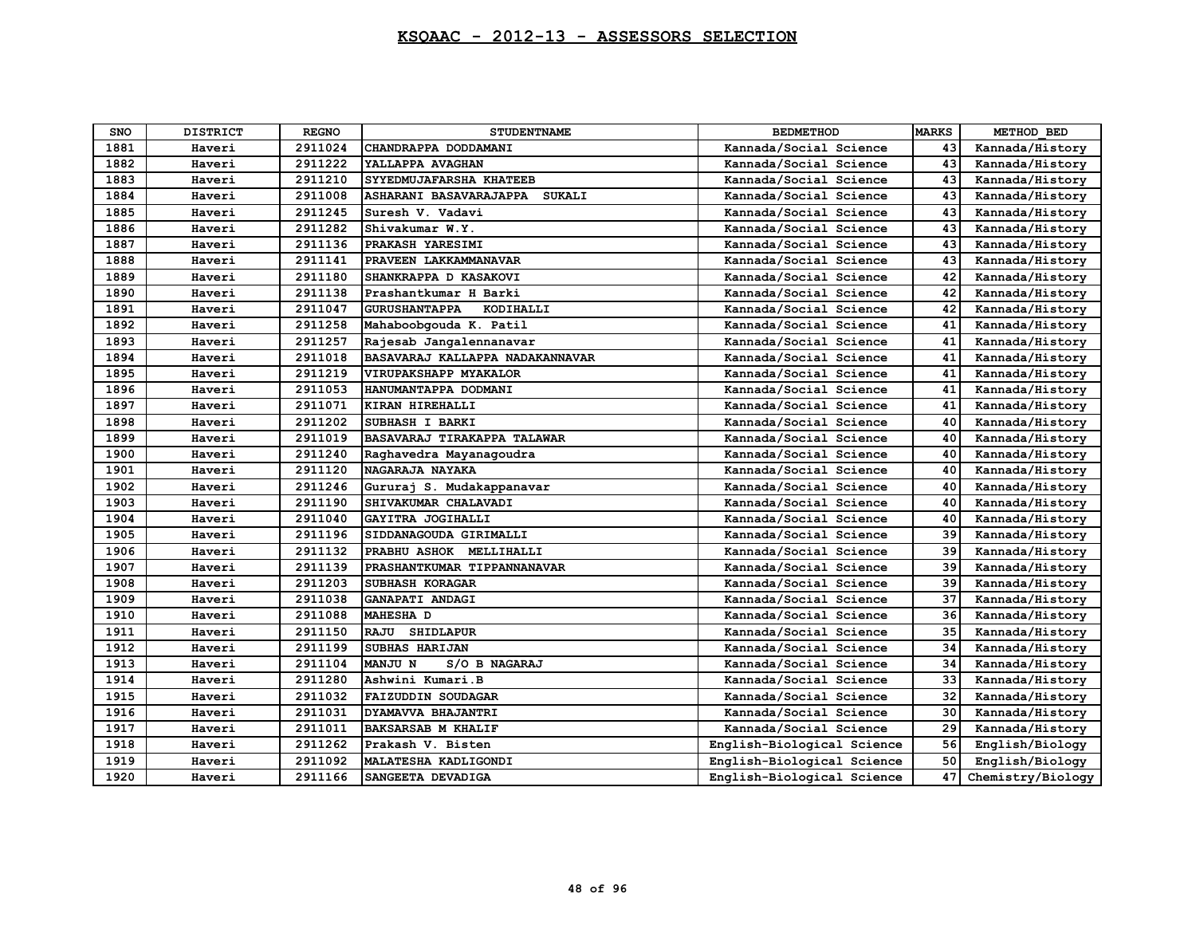| <b>SNO</b> | <b>DISTRICT</b> | <b>REGNO</b> | <b>STUDENTNAME</b>                | <b>BEDMETHOD</b>           | <b>MARKS</b> | METHOD BED        |
|------------|-----------------|--------------|-----------------------------------|----------------------------|--------------|-------------------|
| 1881       | Haveri          | 2911024      | CHANDRAPPA DODDAMANI              | Kannada/Social Science     | 43           | Kannada/History   |
| 1882       | Haveri          | 2911222      | YALLAPPA AVAGHAN                  | Kannada/Social Science     | 43           | Kannada/History   |
| 1883       | Haveri          | 2911210      | SYYEDMUJAFARSHA KHATEEB           | Kannada/Social Science     | 43           | Kannada/History   |
| 1884       | Haveri          | 2911008      | ASHARANI BASAVARAJAPPA SUKALI     | Kannada/Social Science     | 43           | Kannada/History   |
| 1885       | Haveri          | 2911245      | Suresh V. Vadavi                  | Kannada/Social Science     | 43           | Kannada/History   |
| 1886       | Haveri          | 2911282      | Shivakumar W.Y.                   | Kannada/Social Science     | 43           | Kannada/History   |
| 1887       | Haveri          | 2911136      | PRAKASH YARESIMI                  | Kannada/Social Science     | 43           | Kannada/History   |
| 1888       | Haveri          | 2911141      | PRAVEEN LAKKAMMANAVAR             | Kannada/Social Science     | 43           | Kannada/History   |
| 1889       | Haveri          | 2911180      | SHANKRAPPA D KASAKOVI             | Kannada/Social Science     | 42           | Kannada/History   |
| 1890       | Haveri          | 2911138      | Prashantkumar H Barki             | Kannada/Social Science     | 42           | Kannada/History   |
| 1891       | Haveri          | 2911047      | <b>GURUSHANTAPPA</b><br>KODIHALLI | Kannada/Social Science     | 42           | Kannada/History   |
| 1892       | Haveri          | 2911258      | Mahaboobgouda K. Patil            | Kannada/Social Science     | 41           | Kannada/History   |
| 1893       | Haveri          | 2911257      | Rajesab Jangalennanavar           | Kannada/Social Science     | 41           | Kannada/History   |
| 1894       | Haveri          | 2911018      | BASAVARAJ KALLAPPA NADAKANNAVAR   | Kannada/Social Science     | 41           | Kannada/History   |
| 1895       | Haveri          | 2911219      | <b>VIRUPAKSHAPP MYAKALOR</b>      | Kannada/Social Science     | 41           | Kannada/History   |
| 1896       | Haveri          | 2911053      | HANUMANTAPPA DODMANI              | Kannada/Social Science     | 41           | Kannada/History   |
| 1897       | Haveri          | 2911071      | KIRAN HIREHALLI                   | Kannada/Social Science     | 41           | Kannada/History   |
| 1898       | Haveri          | 2911202      | SUBHASH I BARKI                   | Kannada/Social Science     | 40           | Kannada/History   |
| 1899       | Haveri          | 2911019      | BASAVARAJ TIRAKAPPA TALAWAR       | Kannada/Social Science     | 40           | Kannada/History   |
| 1900       | Haveri          | 2911240      | Raghavedra Mayanagoudra           | Kannada/Social Science     | 40           | Kannada/History   |
| 1901       | Haveri          | 2911120      | NAGARAJA NAYAKA                   | Kannada/Social Science     | 40           | Kannada/History   |
| 1902       | Haveri          | 2911246      | Gururaj S. Mudakappanavar         | Kannada/Social Science     | 40           | Kannada/History   |
| 1903       | Haveri          | 2911190      | SHIVAKUMAR CHALAVADI              | Kannada/Social Science     | 40           | Kannada/History   |
| 1904       | Haveri          | 2911040      | GAYITRA JOGIHALLI                 | Kannada/Social Science     | 40           | Kannada/History   |
| 1905       | Haveri          | 2911196      | SIDDANAGOUDA GIRIMALLI            | Kannada/Social Science     | 39           | Kannada/History   |
| 1906       | Haveri          | 2911132      | PRABHU ASHOK MELLIHALLI           | Kannada/Social Science     | 39           | Kannada/History   |
| 1907       | Haveri          | 2911139      | PRASHANTKUMAR TIPPANNANAVAR       | Kannada/Social Science     | 39           | Kannada/History   |
| 1908       | Haveri          | 2911203      | SUBHASH KORAGAR                   | Kannada/Social Science     | 39           | Kannada/History   |
| 1909       | Haveri          | 2911038      | GANAPATI ANDAGI                   | Kannada/Social Science     | 37           | Kannada/History   |
| 1910       | Haveri          | 2911088      | <b>MAHESHA D</b>                  | Kannada/Social Science     | 36           | Kannada/History   |
| 1911       | Haveri          | 2911150      | SHIDLAPUR<br><b>RAJU</b>          | Kannada/Social Science     | 35           | Kannada/History   |
| 1912       | Haveri          | 2911199      | SUBHAS HARIJAN                    | Kannada/Social Science     | 34           | Kannada/History   |
| 1913       | Haveri          | 2911104      | <b>MANJU N</b><br>S/O B NAGARAJ   | Kannada/Social Science     | 34           | Kannada/History   |
| 1914       | Haveri          | 2911280      | Ashwini Kumari.B                  | Kannada/Social Science     | 33           | Kannada/History   |
| 1915       | Haveri          | 2911032      | <b>FAIZUDDIN SOUDAGAR</b>         | Kannada/Social Science     | 32           | Kannada/History   |
| 1916       | Haveri          | 2911031      | DYAMAVVA BHAJANTRI                | Kannada/Social Science     | 30           | Kannada/History   |
| 1917       | Haveri          | 2911011      | <b>BAKSARSAB M KHALIF</b>         | Kannada/Social Science     | 29           | Kannada/History   |
| 1918       | Haveri          | 2911262      | Prakash V. Bisten                 | English-Biological Science | 56           | English/Biology   |
| 1919       | Haveri          | 2911092      | MALATESHA KADLIGONDI              | English-Biological Science | 50           | English/Biology   |
| 1920       | Haveri          | 2911166      | SANGEETA DEVADIGA                 | English-Biological Science | 47           | Chemistry/Biology |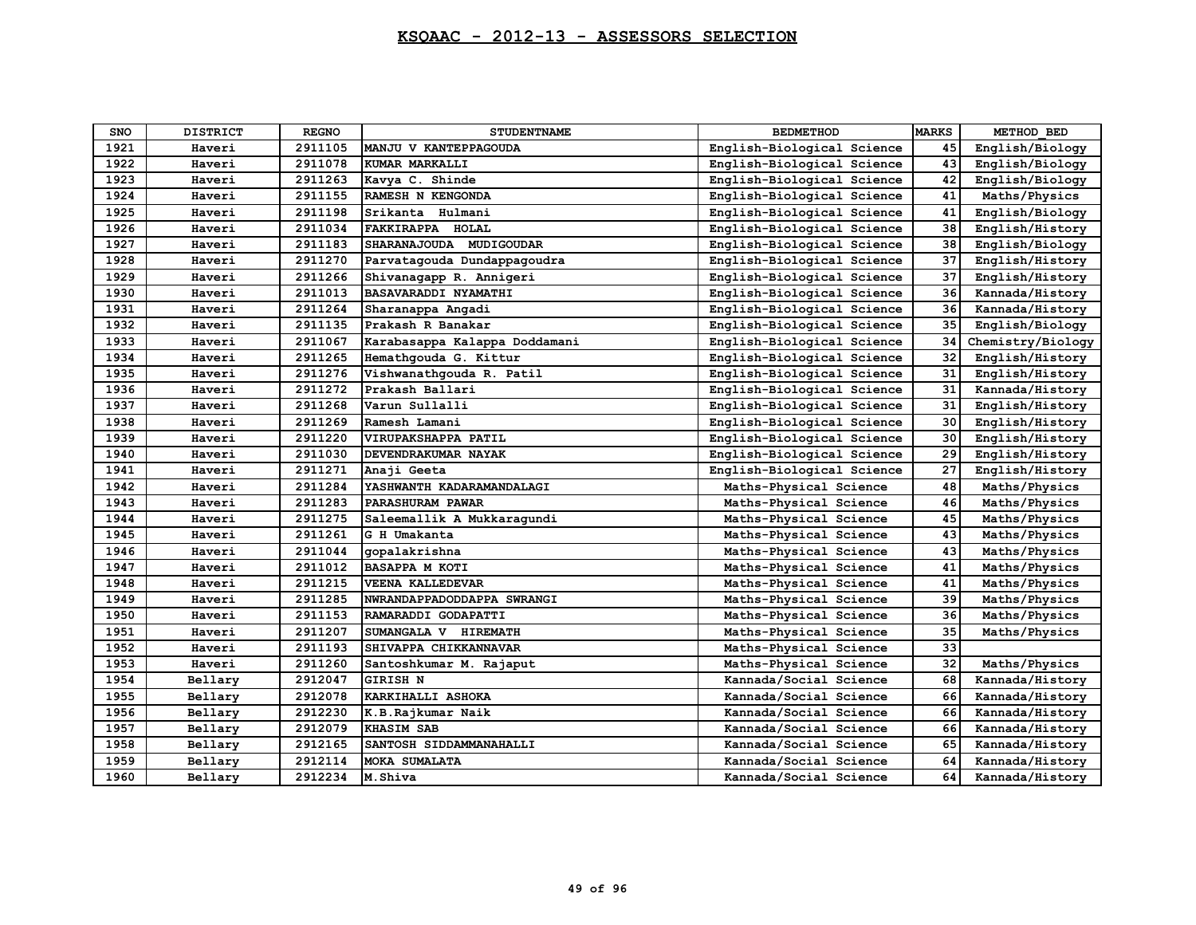| <b>SNO</b> | <b>DISTRICT</b> | <b>REGNO</b> | <b>STUDENTNAME</b>            | <b>BEDMETHOD</b>           | <b>MARKS</b> | METHOD BED        |
|------------|-----------------|--------------|-------------------------------|----------------------------|--------------|-------------------|
| 1921       | Haveri          | 2911105      | MANJU V KANTEPPAGOUDA         | English-Biological Science | 45           | English/Biology   |
| 1922       | Haveri          | 2911078      | KUMAR MARKALLI                | English-Biological Science | 43           | English/Biology   |
| 1923       | Haveri          | 2911263      | Kavya C. Shinde               | English-Biological Science | 42           | English/Biology   |
| 1924       | Haveri          | 2911155      | RAMESH N KENGONDA             | English-Biological Science | 41           | Maths/Physics     |
| 1925       | Haveri          | 2911198      | Srikanta Hulmani              | English-Biological Science | 41           | English/Biology   |
| 1926       | Haveri          | 2911034      | FAKKIRAPPA HOLAL              | English-Biological Science | 38           | English/History   |
| 1927       | Haveri          | 2911183      | SHARANAJOUDA MUDIGOUDAR       | English-Biological Science | 38           | English/Biology   |
| 1928       | Haveri          | 2911270      | Parvatagouda Dundappagoudra   | English-Biological Science | 37           | English/History   |
| 1929       | Haveri          | 2911266      | Shivanagapp R. Annigeri       | English-Biological Science | 37           | English/History   |
| 1930       | Haveri          | 2911013      | BASAVARADDI NYAMATHI          | English-Biological Science | 36           | Kannada/History   |
| 1931       | Haveri          | 2911264      | Sharanappa Angadi             | English-Biological Science | 36           | Kannada/History   |
| 1932       | Haveri          | 2911135      | Prakash R Banakar             | English-Biological Science | 35           | English/Biology   |
| 1933       | Haveri          | 2911067      | Karabasappa Kalappa Doddamani | English-Biological Science | 34           | Chemistry/Biology |
| 1934       | Haveri          | 2911265      | Hemathqouda G. Kittur         | English-Biological Science | 32           | English/History   |
| 1935       | Haveri          | 2911276      | Vishwanathqouda R. Patil      | English-Biological Science | 31           | English/History   |
| 1936       | Haveri          | 2911272      | Prakash Ballari               | English-Biological Science | 31           | Kannada/History   |
| 1937       | Haveri          | 2911268      | Varun Sullalli                | English-Biological Science | 31           | English/History   |
| 1938       | Haveri          | 2911269      | Ramesh Lamani                 | English-Biological Science | 30           | English/History   |
| 1939       | Haveri          | 2911220      | VIRUPAKSHAPPA PATIL           | English-Biological Science | 30           | English/History   |
| 1940       | Haveri          | 2911030      | DEVENDRAKUMAR NAYAK           | English-Biological Science | 29           | English/History   |
| 1941       | Haveri          | 2911271      | Anaji Geeta                   | English-Biological Science | 27           | English/History   |
| 1942       | Haveri          | 2911284      | YASHWANTH KADARAMANDALAGI     | Maths-Physical Science     | 48           | Maths/Physics     |
| 1943       | Haveri          | 2911283      | PARASHURAM PAWAR              | Maths-Physical Science     | 46           | Maths/Physics     |
| 1944       | Haveri          | 2911275      | Saleemallik A Mukkaragundi    | Maths-Physical Science     | 45           | Maths/Physics     |
| 1945       | Haveri          | 2911261      | G H Umakanta                  | Maths-Physical Science     | 43           | Maths/Physics     |
| 1946       | Haveri          | 2911044      | gopalakrishna                 | Maths-Physical Science     | 43           | Maths/Physics     |
| 1947       | Haveri          | 2911012      | <b>BASAPPA M KOTI</b>         | Maths-Physical Science     | 41           | Maths/Physics     |
| 1948       | Haveri          | 2911215      | <b>VEENA KALLEDEVAR</b>       | Maths-Physical Science     | 41           | Maths/Physics     |
| 1949       | Haveri          | 2911285      | NWRANDAPPADODDAPPA SWRANGI    | Maths-Physical Science     | 39           | Maths/Physics     |
| 1950       | Haveri          | 2911153      | RAMARADDI GODAPATTI           | Maths-Physical Science     | 36           | Maths/Physics     |
| 1951       | Haveri          | 2911207      | SUMANGALA V HIREMATH          | Maths-Physical Science     | 35           | Maths/Physics     |
| 1952       | Haveri          | 2911193      | SHIVAPPA CHIKKANNAVAR         | Maths-Physical Science     | 33           |                   |
| 1953       | Haveri          | 2911260      | Santoshkumar M. Rajaput       | Maths-Physical Science     | 32           | Maths/Physics     |
| 1954       | Bellary         | 2912047      | <b>GIRISH N</b>               | Kannada/Social Science     | 68           | Kannada/History   |
| 1955       | Bellary         | 2912078      | KARKIHALLI ASHOKA             | Kannada/Social Science     | 66           | Kannada/History   |
| 1956       | Bellary         | 2912230      | K.B.Rajkumar Naik             | Kannada/Social Science     | 66           | Kannada/History   |
| 1957       | Bellary         | 2912079      | <b>KHASIM SAB</b>             | Kannada/Social Science     | 66           | Kannada/History   |
| 1958       | Bellary         | 2912165      | SANTOSH SIDDAMMANAHALLI       | Kannada/Social Science     | 65           | Kannada/History   |
| 1959       | Bellary         | 2912114      | <b>MOKA SUMALATA</b>          | Kannada/Social Science     | 64           | Kannada/History   |
| 1960       | Bellary         | 2912234      | M.Shiva                       | Kannada/Social Science     | 64           | Kannada/History   |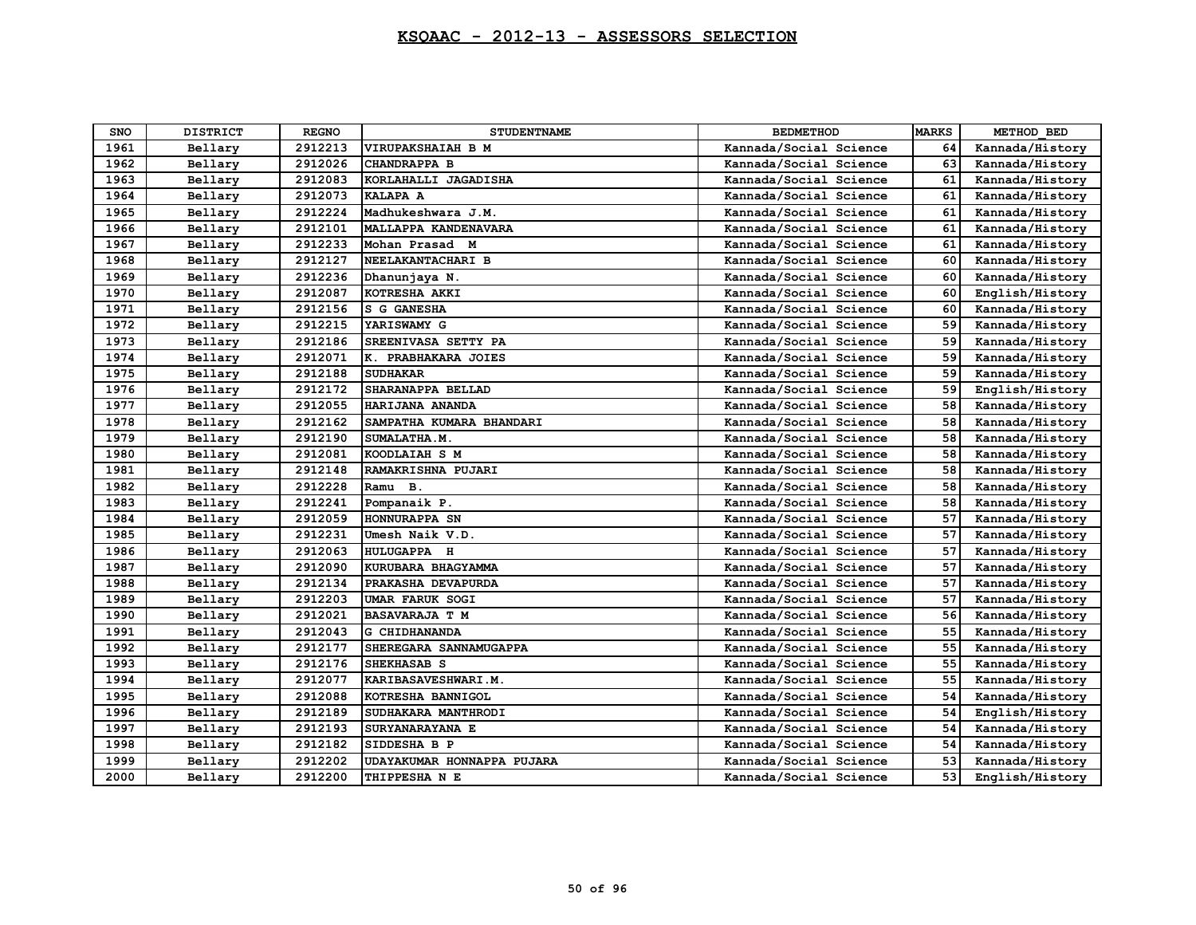| <b>SNO</b> | <b>DISTRICT</b> | <b>REGNO</b> | <b>STUDENTNAME</b>         | <b>BEDMETHOD</b>       | <b>MARKS</b> | METHOD BED      |
|------------|-----------------|--------------|----------------------------|------------------------|--------------|-----------------|
| 1961       | Bellary         | 2912213      | <b>VIRUPAKSHAIAH B M</b>   | Kannada/Social Science | 64           | Kannada/History |
| 1962       | Bellary         | 2912026      | <b>CHANDRAPPA B</b>        | Kannada/Social Science | 63           | Kannada/History |
| 1963       | Bellary         | 2912083      | KORLAHALLI JAGADISHA       | Kannada/Social Science | 61           | Kannada/History |
| 1964       | Bellary         | 2912073      | KALAPA A                   | Kannada/Social Science | 61           | Kannada/History |
| 1965       | Bellary         | 2912224      | Madhukeshwara J.M.         | Kannada/Social Science | 61           | Kannada/History |
| 1966       | Bellary         | 2912101      | MALLAPPA KANDENAVARA       | Kannada/Social Science | 61           | Kannada/History |
| 1967       | Bellary         | 2912233      | Mohan Prasad M             | Kannada/Social Science | 61           | Kannada/History |
| 1968       | Bellary         | 2912127      | NEELAKANTACHARI B          | Kannada/Social Science | 60           | Kannada/History |
| 1969       | Bellary         | 2912236      | Dhanunjaya N.              | Kannada/Social Science | 60           | Kannada/History |
| 1970       | Bellary         | 2912087      | KOTRESHA AKKI              | Kannada/Social Science | 60           | English/History |
| 1971       | Bellary         | 2912156      | S G GANESHA                | Kannada/Social Science | 60           | Kannada/History |
| 1972       | Bellary         | 2912215      | YARISWAMY G                | Kannada/Social Science | 59           | Kannada/History |
| 1973       | Bellary         | 2912186      | SREENIVASA SETTY PA        | Kannada/Social Science | 59           | Kannada/History |
| 1974       | Bellary         | 2912071      | K. PRABHAKARA JOIES        | Kannada/Social Science | 59           | Kannada/History |
| 1975       | Bellary         | 2912188      | <b>SUDHAKAR</b>            | Kannada/Social Science | 59           | Kannada/History |
| 1976       | Bellary         | 2912172      | SHARANAPPA BELLAD          | Kannada/Social Science | 59           | English/History |
| 1977       | Bellary         | 2912055      | HARIJANA ANANDA            | Kannada/Social Science | 58           | Kannada/History |
| 1978       | Bellary         | 2912162      | SAMPATHA KUMARA BHANDARI   | Kannada/Social Science | 58           | Kannada/History |
| 1979       | Bellary         | 2912190      | SUMALATHA.M.               | Kannada/Social Science | 58           | Kannada/History |
| 1980       | Bellary         | 2912081      | KOODLAIAH S M              | Kannada/Social Science | 58           | Kannada/History |
| 1981       | Bellary         | 2912148      | RAMAKRISHNA PUJARI         | Kannada/Social Science | 58           | Kannada/History |
| 1982       | Bellary         | 2912228      | Ramu B.                    | Kannada/Social Science | 58           | Kannada/History |
| 1983       | Bellary         | 2912241      | Pompanaik P.               | Kannada/Social Science | 58           | Kannada/History |
| 1984       | Bellary         | 2912059      | HONNURAPPA SN              | Kannada/Social Science | 57           | Kannada/History |
| 1985       | Bellary         | 2912231      | Umesh Naik V.D.            | Kannada/Social Science | 57           | Kannada/History |
| 1986       | Bellary         | 2912063      | <b>HULUGAPPA H</b>         | Kannada/Social Science | 57           | Kannada/History |
| 1987       | Bellary         | 2912090      | KURUBARA BHAGYAMMA         | Kannada/Social Science | 57           | Kannada/History |
| 1988       | Bellary         | 2912134      | PRAKASHA DEVAPURDA         | Kannada/Social Science | 57           | Kannada/History |
| 1989       | Bellary         | 2912203      | <b>UMAR FARUK SOGI</b>     | Kannada/Social Science | 57           | Kannada/History |
| 1990       | Bellary         | 2912021      | <b>BASAVARAJA T M</b>      | Kannada/Social Science | 56           | Kannada/History |
| 1991       | Bellary         | 2912043      | G CHIDHANANDA              | Kannada/Social Science | 55           | Kannada/History |
| 1992       | Bellary         | 2912177      | SHEREGARA SANNAMUGAPPA     | Kannada/Social Science | 55           | Kannada/History |
| 1993       | Bellary         | 2912176      | <b>SHEKHASAB S</b>         | Kannada/Social Science | 55           | Kannada/History |
| 1994       | Bellary         | 2912077      | KARIBASAVESHWARI.M.        | Kannada/Social Science | 55           | Kannada/History |
| 1995       | Bellary         | 2912088      | KOTRESHA BANNIGOL          | Kannada/Social Science | 54           | Kannada/History |
| 1996       | Bellary         | 2912189      | SUDHAKARA MANTHRODI        | Kannada/Social Science | 54           | English/History |
| 1997       | Bellary         | 2912193      | SURYANARAYANA E            | Kannada/Social Science | 54           | Kannada/History |
| 1998       | Bellary         | 2912182      | SIDDESHA B P               | Kannada/Social Science | 54           | Kannada/History |
| 1999       | Bellary         | 2912202      | UDAYAKUMAR HONNAPPA PUJARA | Kannada/Social Science | 53           | Kannada/History |
| 2000       | Bellary         | 2912200      | THIPPESHA N E              | Kannada/Social Science | 53           | English/History |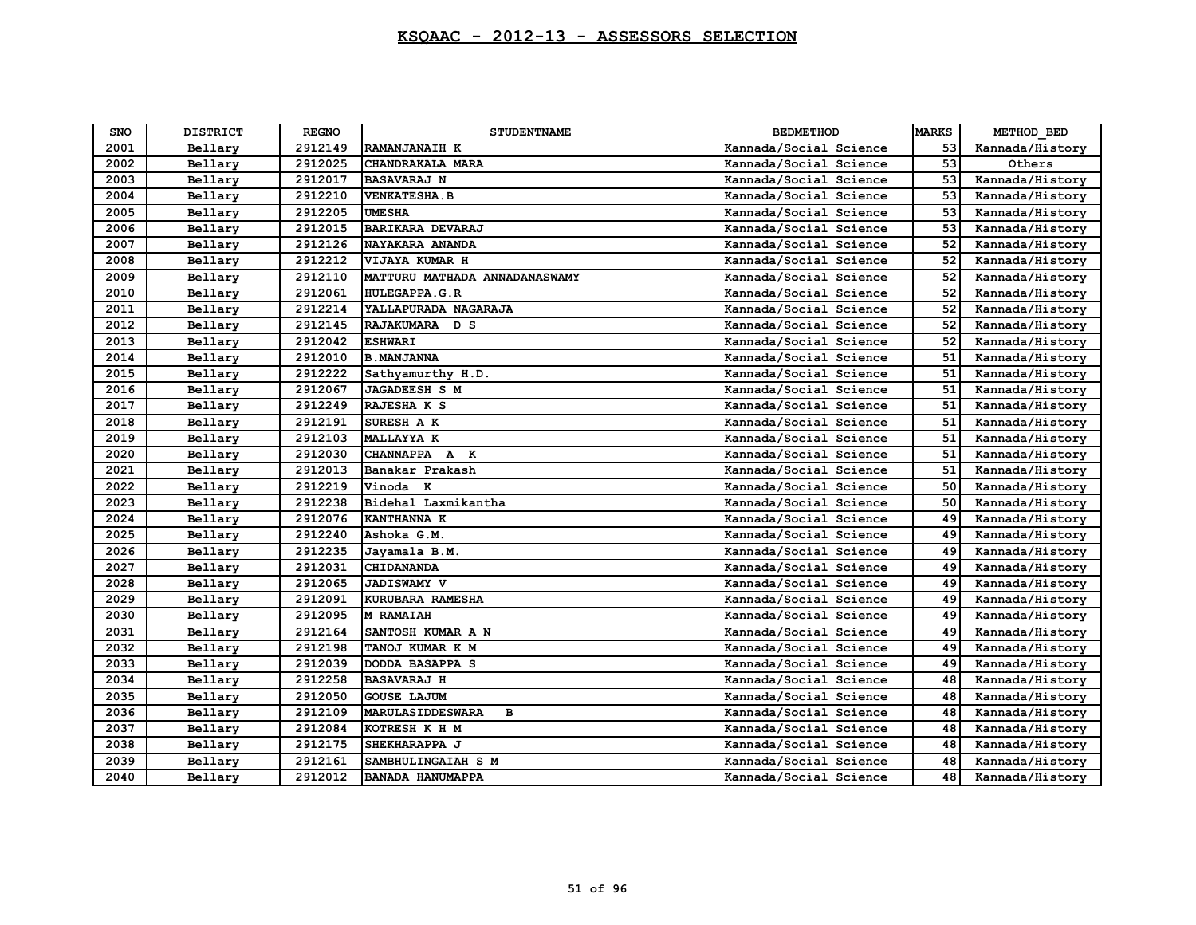| <b>SNO</b> | <b>DISTRICT</b> | <b>REGNO</b> | <b>STUDENTNAME</b>                      | <b>BEDMETHOD</b>       | <b>MARKS</b> | METHOD BED      |
|------------|-----------------|--------------|-----------------------------------------|------------------------|--------------|-----------------|
| 2001       | Bellary         | 2912149      | RAMANJANAIH K                           | Kannada/Social Science | 53           | Kannada/History |
| 2002       | Bellary         | 2912025      | CHANDRAKALA MARA                        | Kannada/Social Science | 53           | Others          |
| 2003       | Bellary         | 2912017      | <b>BASAVARAJ N</b>                      | Kannada/Social Science | 53           | Kannada/History |
| 2004       | Bellary         | 2912210      | <b>VENKATESHA.B</b>                     | Kannada/Social Science | 53           | Kannada/History |
| 2005       | Bellary         | 2912205      | <b>UMESHA</b>                           | Kannada/Social Science | 53           | Kannada/History |
| 2006       | Bellary         | 2912015      | <b>BARIKARA DEVARAJ</b>                 | Kannada/Social Science | 53           | Kannada/History |
| 2007       | Bellary         | 2912126      | NAYAKARA ANANDA                         | Kannada/Social Science | 52           | Kannada/History |
| 2008       | Bellary         | 2912212      | VIJAYA KUMAR H                          | Kannada/Social Science | 52           | Kannada/History |
| 2009       | Bellary         | 2912110      | MATTURU MATHADA ANNADANASWAMY           | Kannada/Social Science | 52           | Kannada/History |
| 2010       | Bellary         | 2912061      | <b>HULEGAPPA.G.R</b>                    | Kannada/Social Science | 52           | Kannada/History |
| 2011       | Bellary         | 2912214      | YALLAPURADA NAGARAJA                    | Kannada/Social Science | 52           | Kannada/History |
| 2012       | Bellary         | 2912145      | RAJAKUMARA D S                          | Kannada/Social Science | 52           | Kannada/History |
| 2013       | Bellary         | 2912042      | <b>ESHWARI</b>                          | Kannada/Social Science | 52           | Kannada/History |
| 2014       | Bellary         | 2912010      | <b>B. MANJANNA</b>                      | Kannada/Social Science | 51           | Kannada/History |
| 2015       | Bellary         | 2912222      | Sathyamurthy H.D.                       | Kannada/Social Science | 51           | Kannada/History |
| 2016       | Bellary         | 2912067      | <b>JAGADEESH S M</b>                    | Kannada/Social Science | 51           | Kannada/History |
| 2017       | Bellary         | 2912249      | RAJESHA K S                             | Kannada/Social Science | 51           | Kannada/History |
| 2018       | Bellary         | 2912191      | SURESH A K                              | Kannada/Social Science | 51           | Kannada/History |
| 2019       | Bellary         | 2912103      | <b>MALLAYYA K</b>                       | Kannada/Social Science | 51           | Kannada/History |
| 2020       | Bellary         | 2912030      | CHANNAPPA A K                           | Kannada/Social Science | 51           | Kannada/History |
| 2021       | Bellary         | 2912013      | Banakar Prakash                         | Kannada/Social Science | 51           | Kannada/History |
| 2022       | Bellary         | 2912219      | Vinoda K                                | Kannada/Social Science | 50           | Kannada/History |
| 2023       | Bellary         | 2912238      | Bidehal Laxmikantha                     | Kannada/Social Science | 50           | Kannada/History |
| 2024       | Bellary         | 2912076      | KANTHANNA K                             | Kannada/Social Science | 49           | Kannada/History |
| 2025       | Bellary         | 2912240      | Ashoka G.M.                             | Kannada/Social Science | 49           | Kannada/History |
| 2026       | Bellary         | 2912235      | Jayamala B.M.                           | Kannada/Social Science | 49           | Kannada/History |
| 2027       | Bellary         | 2912031      | CHIDANANDA                              | Kannada/Social Science | 49           | Kannada/History |
| 2028       | Bellary         | 2912065      | <b>JADISWAMY V</b>                      | Kannada/Social Science | 49           | Kannada/History |
| 2029       | Bellary         | 2912091      | KURUBARA RAMESHA                        | Kannada/Social Science | 49           | Kannada/History |
| 2030       | Bellary         | 2912095      | M RAMAIAH                               | Kannada/Social Science | 49           | Kannada/History |
| 2031       | Bellary         | 2912164      | SANTOSH KUMAR A N                       | Kannada/Social Science | 49           | Kannada/History |
| 2032       | Bellary         | 2912198      | TANOJ KUMAR K M                         | Kannada/Social Science | 49           | Kannada/History |
| 2033       | Bellary         | 2912039      | DODDA BASAPPA S                         | Kannada/Social Science | 49           | Kannada/History |
| 2034       | Bellary         | 2912258      | <b>BASAVARAJ H</b>                      | Kannada/Social Science | 48           | Kannada/History |
| 2035       | Bellary         | 2912050      | <b>GOUSE LAJUM</b>                      | Kannada/Social Science | 48           | Kannada/History |
| 2036       | Bellary         | 2912109      | <b>MARULASIDDESWARA</b><br>$\mathbf{B}$ | Kannada/Social Science | 48           | Kannada/History |
| 2037       | Bellary         | 2912084      | KOTRESH K H M                           | Kannada/Social Science | 48           | Kannada/History |
| 2038       | Bellary         | 2912175      | SHEKHARAPPA J                           | Kannada/Social Science | 48           | Kannada/History |
| 2039       | Bellary         | 2912161      | SAMBHULINGAIAH S M                      | Kannada/Social Science | 48           | Kannada/History |
| 2040       | Bellary         | 2912012      | <b>BANADA HANUMAPPA</b>                 | Kannada/Social Science | 48           | Kannada/History |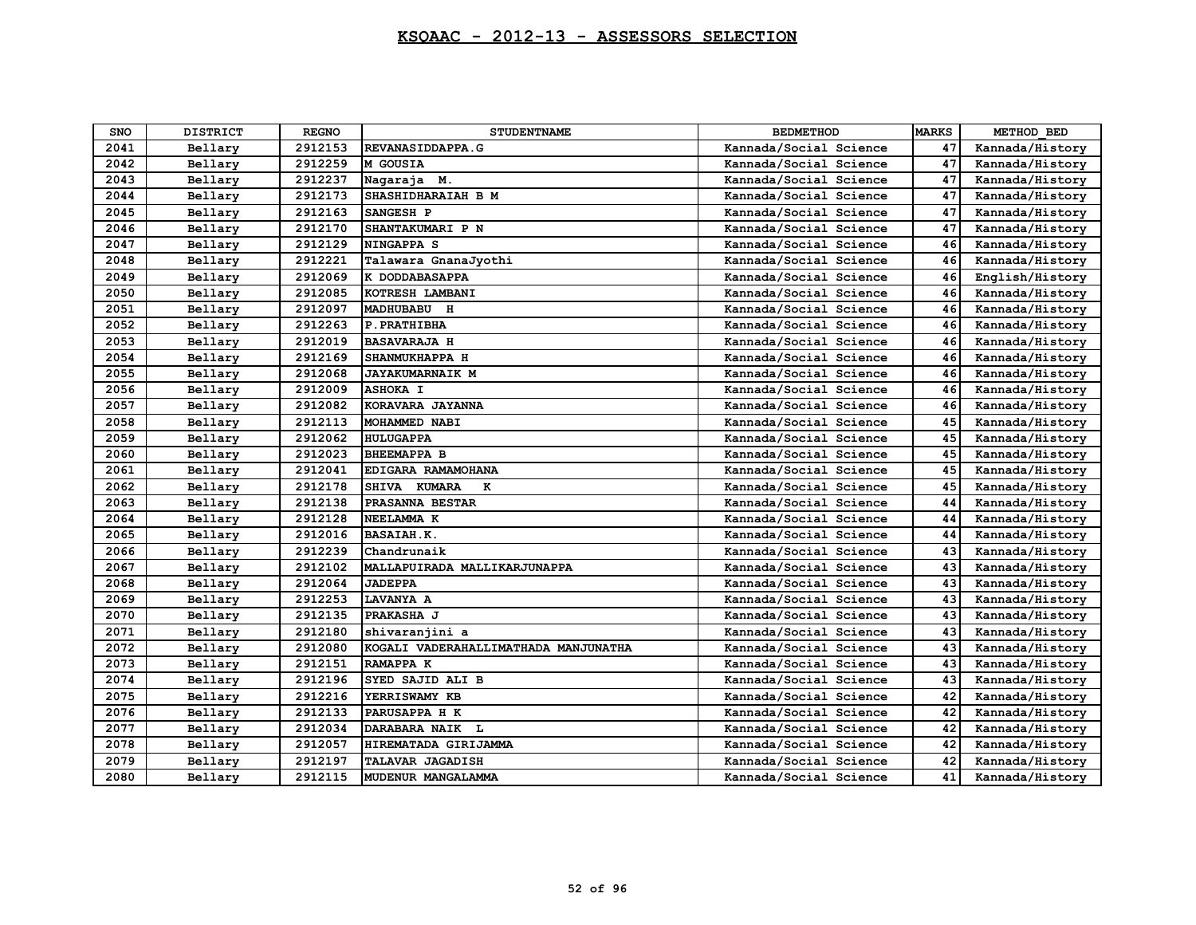| <b>SNO</b> | <b>DISTRICT</b> | <b>REGNO</b> | <b>STUDENTNAME</b>                   | <b>BEDMETHOD</b>       | <b>MARKS</b> | METHOD BED      |
|------------|-----------------|--------------|--------------------------------------|------------------------|--------------|-----------------|
| 2041       | Bellary         | 2912153      | REVANASIDDAPPA.G                     | Kannada/Social Science | 47           | Kannada/History |
| 2042       | Bellary         | 2912259      | M GOUSIA                             | Kannada/Social Science | 47           | Kannada/History |
| 2043       | Bellary         | 2912237      | Nagaraja M.                          | Kannada/Social Science | 47           | Kannada/History |
| 2044       | Bellary         | 2912173      | SHASHIDHARAIAH B M                   | Kannada/Social Science | 47           | Kannada/History |
| 2045       | Bellary         | 2912163      | SANGESH P                            | Kannada/Social Science | 47           | Kannada/History |
| 2046       | Bellary         | 2912170      | SHANTAKUMARI P N                     | Kannada/Social Science | 47           | Kannada/History |
| 2047       | Bellary         | 2912129      | <b>NINGAPPA S</b>                    | Kannada/Social Science | 46           | Kannada/History |
| 2048       | Bellary         | 2912221      | Talawara GnanaJyothi                 | Kannada/Social Science | 46           | Kannada/History |
| 2049       | Bellary         | 2912069      | K DODDABASAPPA                       | Kannada/Social Science | 46           | English/History |
| 2050       | Bellary         | 2912085      | KOTRESH LAMBANI                      | Kannada/Social Science | 46           | Kannada/History |
| 2051       | Bellary         | 2912097      | MADHUBABU H                          | Kannada/Social Science | 46           | Kannada/History |
| 2052       | Bellary         | 2912263      | P. PRATHIBHA                         | Kannada/Social Science | 46           | Kannada/History |
| 2053       | Bellary         | 2912019      | <b>BASAVARAJA H</b>                  | Kannada/Social Science | 46           | Kannada/History |
| 2054       | Bellary         | 2912169      | SHANMUKHAPPA H                       | Kannada/Social Science | 46           | Kannada/History |
| 2055       | Bellary         | 2912068      | <b>JAYAKUMARNAIK M</b>               | Kannada/Social Science | 46           | Kannada/History |
| 2056       | Bellary         | 2912009      | <b>ASHOKA I</b>                      | Kannada/Social Science | 46           | Kannada/History |
| 2057       | Bellary         | 2912082      | KORAVARA JAYANNA                     | Kannada/Social Science | 46           | Kannada/History |
| 2058       | Bellary         | 2912113      | MOHAMMED NABI                        | Kannada/Social Science | 45           | Kannada/History |
| 2059       | Bellary         | 2912062      | <b>HULUGAPPA</b>                     | Kannada/Social Science | 45           | Kannada/History |
| 2060       | Bellary         | 2912023      | <b>BHEEMAPPA B</b>                   | Kannada/Social Science | 45           | Kannada/History |
| 2061       | Bellary         | 2912041      | EDIGARA RAMAMOHANA                   | Kannada/Social Science | 45           | Kannada/History |
| 2062       | Bellary         | 2912178      | SHIVA KUMARA<br>к                    | Kannada/Social Science | 45           | Kannada/History |
| 2063       | Bellary         | 2912138      | PRASANNA BESTAR                      | Kannada/Social Science | 44           | Kannada/History |
| 2064       | Bellary         | 2912128      | NEELAMMA K                           | Kannada/Social Science | 44           | Kannada/History |
| 2065       | Bellary         | 2912016      | <b>BASAIAH.K.</b>                    | Kannada/Social Science | 44           | Kannada/History |
| 2066       | Bellary         | 2912239      | Chandrunaik                          | Kannada/Social Science | 43           | Kannada/History |
| 2067       | Bellary         | 2912102      | MALLAPUIRADA MALLIKARJUNAPPA         | Kannada/Social Science | 43           | Kannada/History |
| 2068       | Bellary         | 2912064      | <b>JADEPPA</b>                       | Kannada/Social Science | 43           | Kannada/History |
| 2069       | Bellary         | 2912253      | LAVANYA A                            | Kannada/Social Science | 43           | Kannada/History |
| 2070       | Bellary         | 2912135      | <b>PRAKASHA J</b>                    | Kannada/Social Science | 43           | Kannada/History |
| 2071       | Bellary         | 2912180      | shivaranjini a                       | Kannada/Social Science | 43           | Kannada/History |
| 2072       | Bellary         | 2912080      | KOGALI VADERAHALLIMATHADA MANJUNATHA | Kannada/Social Science | 43           | Kannada/History |
| 2073       | Bellary         | 2912151      | RAMAPPA K                            | Kannada/Social Science | 43           | Kannada/History |
| 2074       | Bellary         | 2912196      | SYED SAJID ALI B                     | Kannada/Social Science | 43           | Kannada/History |
| 2075       | Bellary         | 2912216      | YERRISWAMY KB                        | Kannada/Social Science | 42           | Kannada/History |
| 2076       | Bellary         | 2912133      | PARUSAPPA H K                        | Kannada/Social Science | 42           | Kannada/History |
| 2077       | Bellary         | 2912034      | DARABARA NAIK L                      | Kannada/Social Science | 42           | Kannada/History |
| 2078       | Bellary         | 2912057      | HIREMATADA GIRIJAMMA                 | Kannada/Social Science | 42           | Kannada/History |
| 2079       | Bellary         | 2912197      | TALAVAR JAGADISH                     | Kannada/Social Science | 42           | Kannada/History |
| 2080       | Bellary         | 2912115      | MUDENUR MANGALAMMA                   | Kannada/Social Science | 41           | Kannada/History |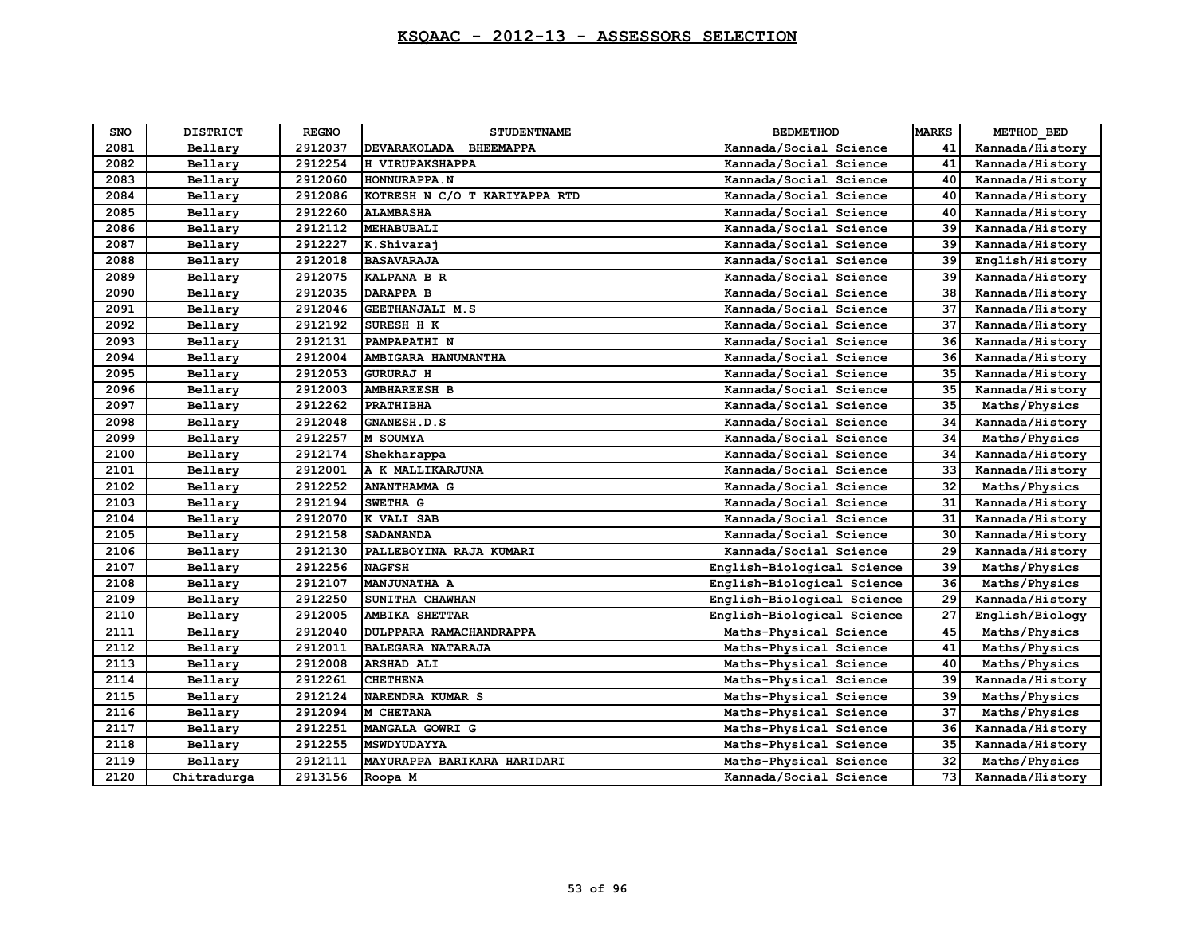| <b>SNO</b> | <b>DISTRICT</b> | <b>REGNO</b> | <b>STUDENTNAME</b>                      | <b>BEDMETHOD</b>           | <b>MARKS</b> | METHOD BED      |
|------------|-----------------|--------------|-----------------------------------------|----------------------------|--------------|-----------------|
| 2081       | Bellary         | 2912037      | <b>DEVARAKOLADA</b><br><b>BHEEMAPPA</b> | Kannada/Social Science     | 41           | Kannada/History |
| 2082       | Bellary         | 2912254      | H VIRUPAKSHAPPA                         | Kannada/Social Science     | 41           | Kannada/History |
| 2083       | Bellary         | 2912060      | HONNURAPPA.N                            | Kannada/Social Science     | 40           | Kannada/History |
| 2084       | Bellary         | 2912086      | KOTRESH N C/O T KARIYAPPA RTD           | Kannada/Social Science     | 40           | Kannada/History |
| 2085       | Bellarv         | 2912260      | <b>ALAMBASHA</b>                        | Kannada/Social Science     | 40           | Kannada/History |
| 2086       | Bellary         | 2912112      | <b>MEHABUBALI</b>                       | Kannada/Social Science     | 39           | Kannada/History |
| 2087       | Bellary         | 2912227      | K.Shivaraj                              | Kannada/Social Science     | 39           | Kannada/History |
| 2088       | Bellary         | 2912018      | <b>BASAVARAJA</b>                       | Kannada/Social Science     | 39           | English/History |
| 2089       | Bellary         | 2912075      | KALPANA B R                             | Kannada/Social Science     | 39           | Kannada/History |
| 2090       | Bellary         | 2912035      | <b>DARAPPA B</b>                        | Kannada/Social Science     | 38           | Kannada/History |
| 2091       | Bellary         | 2912046      | GEETHANJALI M.S                         | Kannada/Social Science     | 37           | Kannada/History |
| 2092       | Bellary         | 2912192      | SURESH H K                              | Kannada/Social Science     | 37           | Kannada/History |
| 2093       | Bellary         | 2912131      | PAMPAPATHI N                            | Kannada/Social Science     | 36           | Kannada/History |
| 2094       | Bellary         | 2912004      | AMBIGARA HANUMANTHA                     | Kannada/Social Science     | 36           | Kannada/History |
| 2095       | Bellary         | 2912053      | <b>GURURAJ H</b>                        | Kannada/Social Science     | 35           | Kannada/History |
| 2096       | Bellary         | 2912003      | <b>AMBHAREESH B</b>                     | Kannada/Social Science     | 35           | Kannada/History |
| 2097       | Bellary         | 2912262      | <b>PRATHIBHA</b>                        | Kannada/Social Science     | 35           | Maths/Physics   |
| 2098       | Bellary         | 2912048      | GNANESH.D.S                             | Kannada/Social Science     | 34           | Kannada/History |
| 2099       | Bellary         | 2912257      | M SOUMYA                                | Kannada/Social Science     | 34           | Maths/Physics   |
| 2100       | Bellary         | 2912174      | Shekharappa                             | Kannada/Social Science     | 34           | Kannada/History |
| 2101       | Bellary         | 2912001      | A K MALLIKARJUNA                        | Kannada/Social Science     | 33           | Kannada/History |
| 2102       | Bellary         | 2912252      | <b>ANANTHAMMA G</b>                     | Kannada/Social Science     | 32           | Maths/Physics   |
| 2103       | Bellary         | 2912194      | SWETHA G                                | Kannada/Social Science     | 31           | Kannada/History |
| 2104       | Bellary         | 2912070      | K VALI SAB                              | Kannada/Social Science     | 31           | Kannada/History |
| 2105       | Bellary         | 2912158      | <b>SADANANDA</b>                        | Kannada/Social Science     | 30           | Kannada/History |
| 2106       | Bellary         | 2912130      | PALLEBOYINA RAJA KUMARI                 | Kannada/Social Science     | 29           | Kannada/History |
| 2107       | Bellarv         | 2912256      | <b>NAGFSH</b>                           | English-Biological Science | 39           | Maths/Physics   |
| 2108       | Bellary         | 2912107      | <b>MANJUNATHA A</b>                     | English-Biological Science | 36           | Maths/Physics   |
| 2109       | Bellary         | 2912250      | SUNITHA CHAWHAN                         | English-Biological Science | 29           | Kannada/History |
| 2110       | Bellary         | 2912005      | AMBIKA SHETTAR                          | English-Biological Science | 27           | English/Biology |
| 2111       | Bellary         | 2912040      | DULPPARA RAMACHANDRAPPA                 | Maths-Physical Science     | 45           | Maths/Physics   |
| 2112       | Bellary         | 2912011      | <b>BALEGARA NATARAJA</b>                | Maths-Physical Science     | 41           | Maths/Physics   |
| 2113       | Bellary         | 2912008      | <b>ARSHAD ALI</b>                       | Maths-Physical Science     | 40           | Maths/Physics   |
| 2114       | Bellary         | 2912261      | <b>CHETHENA</b>                         | Maths-Physical Science     | 39           | Kannada/History |
| 2115       | Bellary         | 2912124      | NARENDRA KUMAR S                        | Maths-Physical Science     | 39           | Maths/Physics   |
| 2116       | Bellary         | 2912094      | M CHETANA                               | Maths-Physical Science     | 37           | Maths/Physics   |
| 2117       | Bellary         | 2912251      | MANGALA GOWRI G                         | Maths-Physical Science     | 36           | Kannada/History |
| 2118       | Bellary         | 2912255      | MSWDYUDAYYA                             | Maths-Physical Science     | 35           | Kannada/History |
| 2119       | Bellary         | 2912111      | MAYURAPPA BARIKARA HARIDARI             | Maths-Physical Science     | 32           | Maths/Physics   |
| 2120       | Chitradurga     | 2913156      | Roopa M                                 | Kannada/Social Science     | 73           | Kannada/History |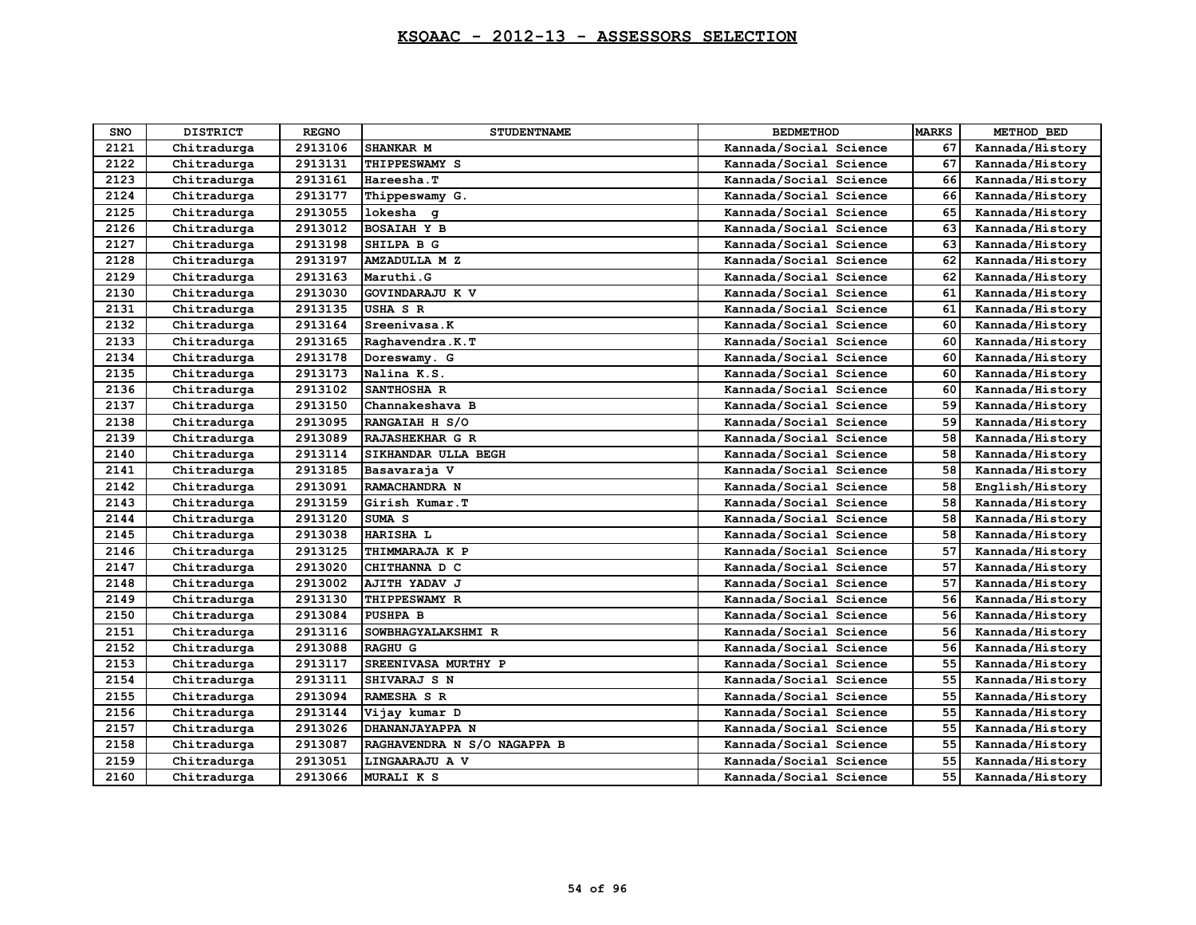| <b>SNO</b> | <b>DISTRICT</b> | <b>REGNO</b> | <b>STUDENTNAME</b>          | <b>BEDMETHOD</b>       | <b>MARKS</b> | METHOD BED      |
|------------|-----------------|--------------|-----------------------------|------------------------|--------------|-----------------|
| 2121       | Chitradurga     | 2913106      | SHANKAR M                   | Kannada/Social Science | 67           | Kannada/History |
| 2122       | Chitradurga     | 2913131      | THIPPESWAMY S               | Kannada/Social Science | 67           | Kannada/History |
| 2123       | Chitradurga     | 2913161      | Hareesha.T                  | Kannada/Social Science | 66           | Kannada/History |
| 2124       | Chitradurga     | 2913177      | Thippeswamy G.              | Kannada/Social Science | 66           | Kannada/History |
| 2125       | Chitradurga     | 2913055      | lokesha q                   | Kannada/Social Science | 65           | Kannada/History |
| 2126       | Chitradurga     | 2913012      | <b>BOSAIAH Y B</b>          | Kannada/Social Science | 63           | Kannada/History |
| 2127       | Chitradurga     | 2913198      | SHILPA B G                  | Kannada/Social Science | 63           | Kannada/History |
| 2128       | Chitradurga     | 2913197      | <b>AMZADULLA M Z</b>        | Kannada/Social Science | 62           | Kannada/History |
| 2129       | Chitradurga     | 2913163      | Maruthi.G                   | Kannada/Social Science | 62           | Kannada/History |
| 2130       | Chitradurga     | 2913030      | GOVINDARAJU K V             | Kannada/Social Science | 61           | Kannada/History |
| 2131       | Chitradurga     | 2913135      | USHA S R                    | Kannada/Social Science | 61           | Kannada/History |
| 2132       | Chitradurga     | 2913164      | Sreenivasa.K                | Kannada/Social Science | 60           | Kannada/History |
| 2133       | Chitradurga     | 2913165      | Raghavendra.K.T             | Kannada/Social Science | 60           | Kannada/History |
| 2134       | Chitradurga     | 2913178      | Doreswamy. G                | Kannada/Social Science | 60           | Kannada/History |
| 2135       | Chitradurga     | 2913173      | Nalina K.S.                 | Kannada/Social Science | 60           | Kannada/History |
| 2136       | Chitradurga     | 2913102      | SANTHOSHA R                 | Kannada/Social Science | 60           | Kannada/History |
| 2137       | Chitradurga     | 2913150      | Channakeshava B             | Kannada/Social Science | 59           | Kannada/History |
| 2138       | Chitradurga     | 2913095      | RANGAIAH H S/O              | Kannada/Social Science | 59           | Kannada/History |
| 2139       | Chitradurga     | 2913089      | RAJASHEKHAR G R             | Kannada/Social Science | 58           | Kannada/History |
| 2140       | Chitradurga     | 2913114      | SIKHANDAR ULLA BEGH         | Kannada/Social Science | 58           | Kannada/History |
| 2141       | Chitradurga     | 2913185      | Basavaraja V                | Kannada/Social Science | 58           | Kannada/History |
| 2142       | Chitradurga     | 2913091      | RAMACHANDRA N               | Kannada/Social Science | 58           | English/History |
| 2143       | Chitradurga     | 2913159      | Girish Kumar.T              | Kannada/Social Science | 58           | Kannada/History |
| 2144       | Chitradurga     | 2913120      | SUMA <sub>S</sub>           | Kannada/Social Science | 58           | Kannada/History |
| 2145       | Chitradurga     | 2913038      | <b>HARISHA L</b>            | Kannada/Social Science | 58           | Kannada/History |
| 2146       | Chitradurga     | 2913125      | THIMMARAJA K P              | Kannada/Social Science | 57           | Kannada/History |
| 2147       | Chitradurga     | 2913020      | CHITHANNA D C               | Kannada/Social Science | 57           | Kannada/History |
| 2148       | Chitradurga     | 2913002      | AJITH YADAV J               | Kannada/Social Science | 57           | Kannada/History |
| 2149       | Chitradurga     | 2913130      | THIPPESWAMY R               | Kannada/Social Science | 56           | Kannada/History |
| 2150       | Chitradurga     | 2913084      | <b>PUSHPA B</b>             | Kannada/Social Science | 56           | Kannada/History |
| 2151       | Chitradurga     | 2913116      | SOWBHAGYALAKSHMI R          | Kannada/Social Science | 56           | Kannada/History |
| 2152       | Chitradurga     | 2913088      | <b>RAGHU G</b>              | Kannada/Social Science | 56           | Kannada/History |
| 2153       | Chitradurga     | 2913117      | SREENIVASA MURTHY P         | Kannada/Social Science | 55           | Kannada/History |
| 2154       | Chitradurga     | 2913111      | SHIVARAJ S N                | Kannada/Social Science | 55           | Kannada/History |
| 2155       | Chitradurga     | 2913094      | RAMESHA S R                 | Kannada/Social Science | 55           | Kannada/History |
| 2156       | Chitradurga     | 2913144      | Vijay kumar D               | Kannada/Social Science | 55           | Kannada/History |
| 2157       | Chitradurga     | 2913026      | DHANANJAYAPPA N             | Kannada/Social Science | 55           | Kannada/History |
| 2158       | Chitradurga     | 2913087      | RAGHAVENDRA N S/O NAGAPPA B | Kannada/Social Science | 55           | Kannada/History |
| 2159       | Chitradurga     | 2913051      | LINGAARAJU A V              | Kannada/Social Science | 55           | Kannada/History |
| 2160       | Chitradurga     | 2913066      | <b>MURALI K S</b>           | Kannada/Social Science | 55           | Kannada/History |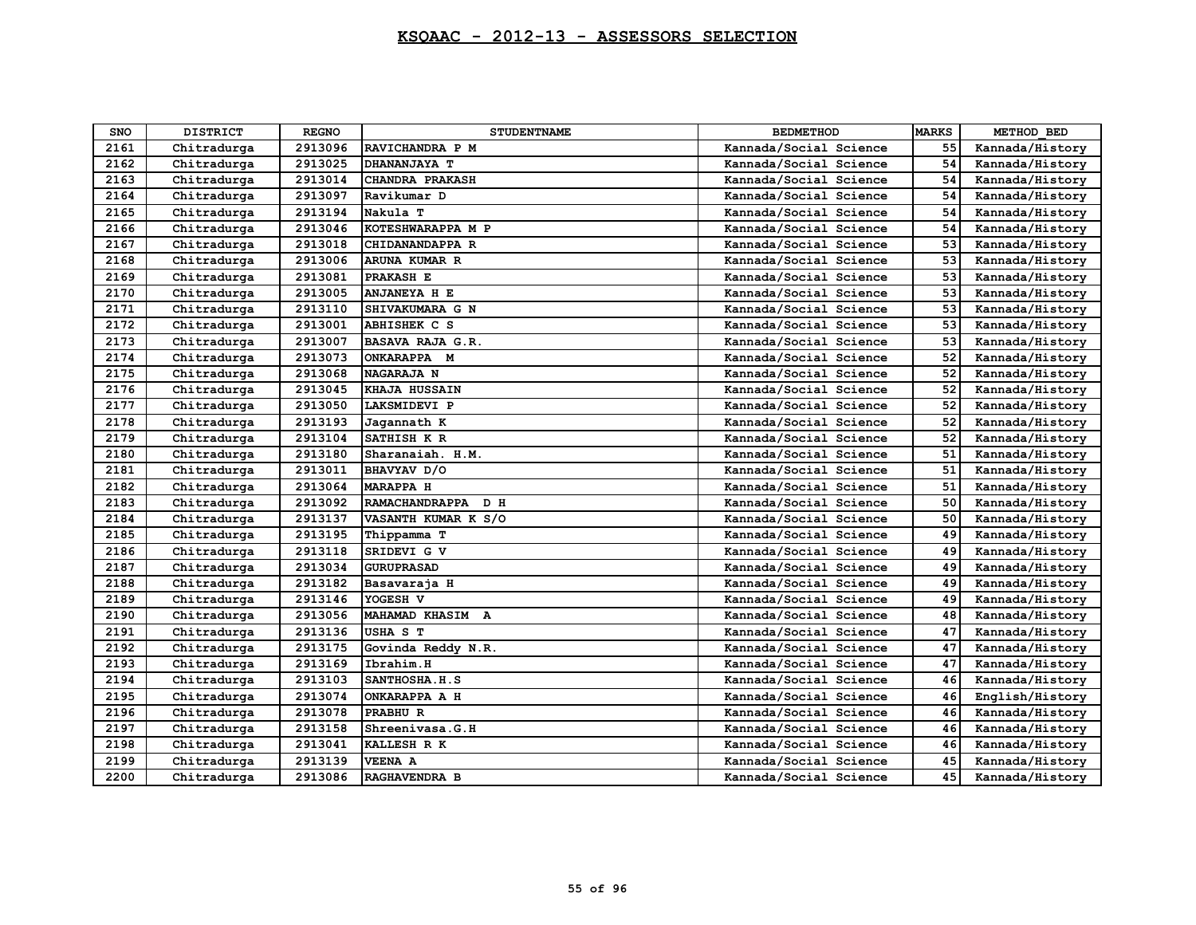| <b>SNO</b> | <b>DISTRICT</b> | <b>REGNO</b> | <b>STUDENTNAME</b>     | <b>BEDMETHOD</b>       | <b>MARKS</b> | METHOD BED      |
|------------|-----------------|--------------|------------------------|------------------------|--------------|-----------------|
| 2161       | Chitradurga     | 2913096      | RAVICHANDRA P M        | Kannada/Social Science | 55           | Kannada/History |
| 2162       | Chitradurga     | 2913025      | DHANANJAYA T           | Kannada/Social Science | 54           | Kannada/History |
| 2163       | Chitradurga     | 2913014      | <b>CHANDRA PRAKASH</b> | Kannada/Social Science | 54           | Kannada/History |
| 2164       | Chitradurga     | 2913097      | Ravikumar D            | Kannada/Social Science | 54           | Kannada/History |
| 2165       | Chitradurga     | 2913194      | Nakula T               | Kannada/Social Science | 54           | Kannada/History |
| 2166       | Chitradurga     | 2913046      | KOTESHWARAPPA M P      | Kannada/Social Science | 54           | Kannada/History |
| 2167       | Chitradurga     | 2913018      | CHIDANANDAPPA R        | Kannada/Social Science | 53           | Kannada/History |
| 2168       | Chitradurga     | 2913006      | ARUNA KUMAR R          | Kannada/Social Science | 53           | Kannada/History |
| 2169       | Chitradurga     | 2913081      | PRAKASH E              | Kannada/Social Science | 53           | Kannada/History |
| 2170       | Chitradurga     | 2913005      | <b>ANJANEYA H E</b>    | Kannada/Social Science | 53           | Kannada/History |
| 2171       | Chitradurga     | 2913110      | SHIVAKUMARA G N        | Kannada/Social Science | 53           | Kannada/History |
| 2172       | Chitradurga     | 2913001      | ABHISHEK C S           | Kannada/Social Science | 53           | Kannada/History |
| 2173       | Chitradurga     | 2913007      | BASAVA RAJA G.R.       | Kannada/Social Science | 53           | Kannada/History |
| 2174       | Chitradurga     | 2913073      | ONKARAPPA M            | Kannada/Social Science | 52           | Kannada/History |
| 2175       | Chitradurga     | 2913068      | <b>NAGARAJA N</b>      | Kannada/Social Science | 52           | Kannada/History |
| 2176       | Chitradurga     | 2913045      | <b>KHAJA HUSSAIN</b>   | Kannada/Social Science | 52           | Kannada/History |
| 2177       | Chitradurga     | 2913050      | LAKSMIDEVI P           | Kannada/Social Science | 52           | Kannada/History |
| 2178       | Chitradurga     | 2913193      | Jagannath K            | Kannada/Social Science | 52           | Kannada/History |
| 2179       | Chitradurga     | 2913104      | SATHISH K R            | Kannada/Social Science | 52           | Kannada/History |
| 2180       | Chitradurga     | 2913180      | Sharanaiah. H.M.       | Kannada/Social Science | 51           | Kannada/History |
| 2181       | Chitradurga     | 2913011      | BHAVYAV D/O            | Kannada/Social Science | 51           | Kannada/History |
| 2182       | Chitradurga     | 2913064      | <b>MARAPPA H</b>       | Kannada/Social Science | 51           | Kannada/History |
| 2183       | Chitradurga     | 2913092      | RAMACHANDRAPPA D H     | Kannada/Social Science | 50           | Kannada/History |
| 2184       | Chitradurga     | 2913137      | VASANTH KUMAR K S/O    | Kannada/Social Science | 50           | Kannada/History |
| 2185       | Chitradurga     | 2913195      | Thippamma T            | Kannada/Social Science | 49           | Kannada/History |
| 2186       | Chitradurga     | 2913118      | SRIDEVI G V            | Kannada/Social Science | 49           | Kannada/History |
| 2187       | Chitradurga     | 2913034      | <b>GURUPRASAD</b>      | Kannada/Social Science | 49           | Kannada/History |
| 2188       | Chitradurga     | 2913182      | Basavaraja H           | Kannada/Social Science | 49           | Kannada/History |
| 2189       | Chitradurga     | 2913146      | YOGESH V               | Kannada/Social Science | 49           | Kannada/History |
| 2190       | Chitradurga     | 2913056      | MAHAMAD KHASIM A       | Kannada/Social Science | 48           | Kannada/History |
| 2191       | Chitradurga     | 2913136      | USHA S T               | Kannada/Social Science | 47           | Kannada/History |
| 2192       | Chitradurga     | 2913175      | Govinda Reddy N.R.     | Kannada/Social Science | 47           | Kannada/History |
| 2193       | Chitradurga     | 2913169      | Ibrahim.H              | Kannada/Social Science | 47           | Kannada/History |
| 2194       | Chitradurga     | 2913103      | SANTHOSHA.H.S          | Kannada/Social Science | 46           | Kannada/History |
| 2195       | Chitradurga     | 2913074      | ONKARAPPA A H          | Kannada/Social Science | 46           | English/History |
| 2196       | Chitradurga     | 2913078      | PRABHU R               | Kannada/Social Science | 46           | Kannada/History |
| 2197       | Chitradurga     | 2913158      | Shreenivasa.G.H        | Kannada/Social Science | 46           | Kannada/History |
| 2198       | Chitradurga     | 2913041      | KALLESH R K            | Kannada/Social Science | 46           | Kannada/History |
| 2199       | Chitradurga     | 2913139      | <b>VEENA A</b>         | Kannada/Social Science | 45           | Kannada/History |
| 2200       | Chitradurga     | 2913086      | RAGHAVENDRA B          | Kannada/Social Science | 45           | Kannada/History |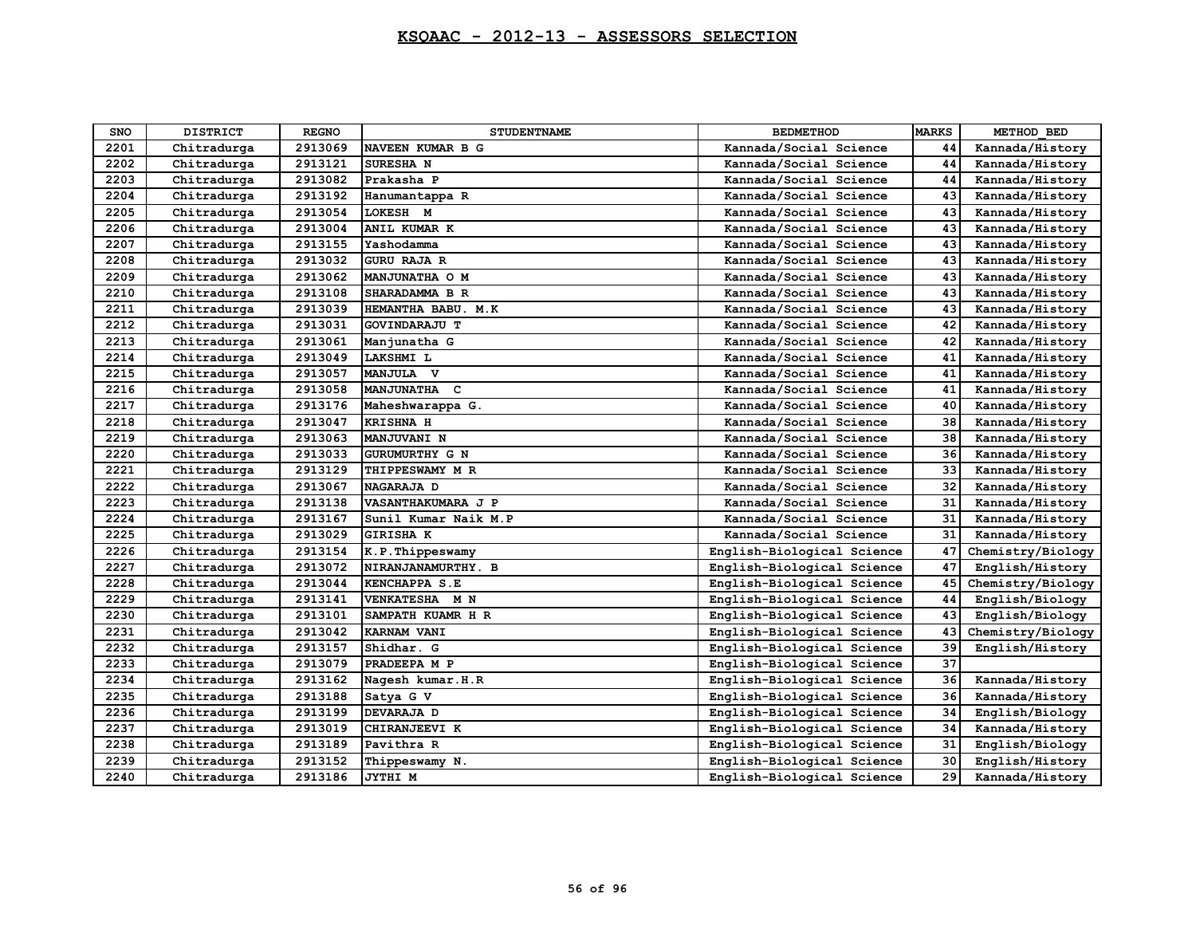| <b>SNO</b> | <b>DISTRICT</b> | <b>REGNO</b> | <b>STUDENTNAME</b>   | <b>BEDMETHOD</b>           | <b>MARKS</b> | METHOD BED        |
|------------|-----------------|--------------|----------------------|----------------------------|--------------|-------------------|
| 2201       | Chitradurga     | 2913069      | NAVEEN KUMAR B G     | Kannada/Social Science     | 44           | Kannada/History   |
| 2202       | Chitradurga     | 2913121      | SURESHA N            | Kannada/Social Science     | 44           | Kannada/History   |
| 2203       | Chitradurga     | 2913082      | Prakasha P           | Kannada/Social Science     | 44           | Kannada/History   |
| 2204       | Chitradurga     | 2913192      | Hanumantappa R       | Kannada/Social Science     | 43           | Kannada/History   |
| 2205       | Chitradurga     | 2913054      | LOKESH M             | Kannada/Social Science     | 43           | Kannada/History   |
| 2206       | Chitradurga     | 2913004      | ANIL KUMAR K         | Kannada/Social Science     | 43           | Kannada/History   |
| 2207       | Chitradurga     | 2913155      | Yashodamma           | Kannada/Social Science     | 43           | Kannada/History   |
| 2208       | Chitradurga     | 2913032      | <b>GURU RAJA R</b>   | Kannada/Social Science     | 43           | Kannada/History   |
| 2209       | Chitradurga     | 2913062      | MANJUNATHA O M       | Kannada/Social Science     | 43           | Kannada/History   |
| 2210       | Chitradurga     | 2913108      | SHARADAMMA B R       | Kannada/Social Science     | 43           | Kannada/History   |
| 2211       | Chitradurga     | 2913039      | HEMANTHA BABU. M.K   | Kannada/Social Science     | 43           | Kannada/History   |
| 2212       | Chitradurga     | 2913031      | GOVINDARAJU T        | Kannada/Social Science     | 42           | Kannada/History   |
| 2213       | Chitradurga     | 2913061      | Manjunatha G         | Kannada/Social Science     | 42           | Kannada/History   |
| 2214       | Chitradurga     | 2913049      | LAKSHMI L            | Kannada/Social Science     | 41           | Kannada/History   |
| 2215       | Chitradurga     | 2913057      | MANJULA V            | Kannada/Social Science     | 41           | Kannada/History   |
| 2216       | Chitradurga     | 2913058      | MANJUNATHA C         | Kannada/Social Science     | 41           | Kannada/History   |
| 2217       | Chitradurga     | 2913176      | Maheshwarappa G.     | Kannada/Social Science     | 40           | Kannada/History   |
| 2218       | Chitradurga     | 2913047      | <b>KRISHNA H</b>     | Kannada/Social Science     | 38           | Kannada/History   |
| 2219       | Chitradurga     | 2913063      | <b>MANJUVANI N</b>   | Kannada/Social Science     | 38           | Kannada/History   |
| 2220       | Chitradurga     | 2913033      | GURUMURTHY G N       | Kannada/Social Science     | 36           | Kannada/History   |
| 2221       | Chitradurga     | 2913129      | THIPPESWAMY M R      | Kannada/Social Science     | 33           | Kannada/History   |
| 2222       | Chitradurga     | 2913067      | NAGARAJA D           | Kannada/Social Science     | 32           | Kannada/History   |
| 2223       | Chitradurga     | 2913138      | VASANTHAKUMARA J P   | Kannada/Social Science     | 31           | Kannada/History   |
| 2224       | Chitradurga     | 2913167      | Sunil Kumar Naik M.P | Kannada/Social Science     | 31           | Kannada/History   |
| 2225       | Chitradurga     | 2913029      | <b>GIRISHA K</b>     | Kannada/Social Science     | 31           | Kannada/History   |
| 2226       | Chitradurga     | 2913154      | K.P.Thippeswamy      | English-Biological Science | 47           | Chemistry/Biology |
| 2227       | Chitradurga     | 2913072      | NIRANJANAMURTHY. B   | English-Biological Science | 47           | English/History   |
| 2228       | Chitradurga     | 2913044      | <b>KENCHAPPA S.E</b> | English-Biological Science | 45           | Chemistry/Biology |
| 2229       | Chitradurga     | 2913141      | VENKATESHA M N       | English-Biological Science | 44           | English/Biology   |
| 2230       | Chitradurga     | 2913101      | SAMPATH KUAMR H R    | English-Biological Science | 43           | English/Biology   |
| 2231       | Chitradurga     | 2913042      | KARNAM VANI          | English-Biological Science | 43           | Chemistry/Biology |
| 2232       | Chitradurga     | 2913157      | Shidhar. G           | English-Biological Science | 39           | English/History   |
| 2233       | Chitradurga     | 2913079      | PRADEEPA M P         | English-Biological Science | 37           |                   |
| 2234       | Chitradurga     | 2913162      | Nagesh kumar.H.R     | English-Biological Science | 36           | Kannada/History   |
| 2235       | Chitradurga     | 2913188      | Satya G V            | English-Biological Science | 36           | Kannada/History   |
| 2236       | Chitradurga     | 2913199      | DEVARAJA D           | English-Biological Science | 34           | English/Biology   |
| 2237       | Chitradurga     | 2913019      | CHIRANJEEVI K        | English-Biological Science | 34           | Kannada/History   |
| 2238       | Chitradurga     | 2913189      | Pavithra R           | English-Biological Science | 31           | English/Biology   |
| 2239       | Chitradurga     | 2913152      | Thippeswamy N.       | English-Biological Science | 30           | English/History   |
| 2240       | Chitradurga     | 2913186      | JYTHI M              | English-Biological Science | 29           | Kannada/History   |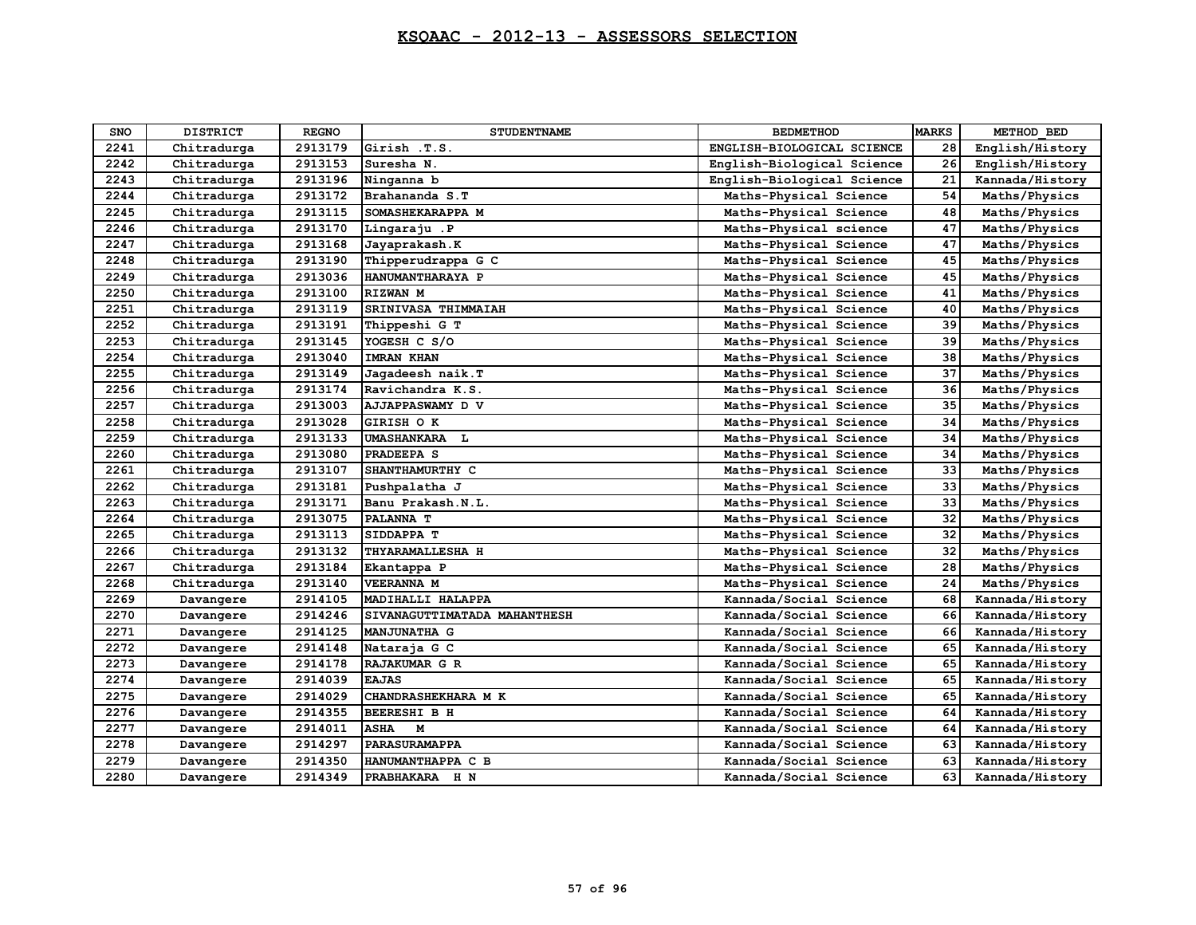| SNO  | <b>DISTRICT</b> | <b>REGNO</b> | <b>STUDENTNAME</b>           | <b>BEDMETHOD</b>           | <b>MARKS</b> | METHOD BED      |
|------|-----------------|--------------|------------------------------|----------------------------|--------------|-----------------|
| 2241 | Chitradurga     | 2913179      | Girish .T.S.                 | ENGLISH-BIOLOGICAL SCIENCE | 28           | English/History |
| 2242 | Chitradurga     | 2913153      | Suresha N.                   | English-Biological Science | 26           | English/History |
| 2243 | Chitradurga     | 2913196      | Ninganna b                   | English-Biological Science | 21           | Kannada/History |
| 2244 | Chitradurga     | 2913172      | Brahananda S.T               | Maths-Physical Science     | 54           | Maths/Physics   |
| 2245 | Chitradurga     | 2913115      | SOMASHEKARAPPA M             | Maths-Physical Science     | 48           | Maths/Physics   |
| 2246 | Chitradurga     | 2913170      | Lingaraju .P                 | Maths-Physical science     | 47           | Maths/Physics   |
| 2247 | Chitradurga     | 2913168      | Jayaprakash.K                | Maths-Physical Science     | 47           | Maths/Physics   |
| 2248 | Chitradurga     | 2913190      | Thipperudrappa G C           | Maths-Physical Science     | 45           | Maths/Physics   |
| 2249 | Chitradurga     | 2913036      | HANUMANTHARAYA P             | Maths-Physical Science     | 45           | Maths/Physics   |
| 2250 | Chitradurga     | 2913100      | RIZWAN M                     | Maths-Physical Science     | 41           | Maths/Physics   |
| 2251 | Chitradurga     | 2913119      | SRINIVASA THIMMAIAH          | Maths-Physical Science     | 40           | Maths/Physics   |
| 2252 | Chitradurga     | 2913191      | Thippeshi G T                | Maths-Physical Science     | 39           | Maths/Physics   |
| 2253 | Chitradurga     | 2913145      | YOGESH C S/O                 | Maths-Physical Science     | 39           | Maths/Physics   |
| 2254 | Chitradurga     | 2913040      | <b>IMRAN KHAN</b>            | Maths-Physical Science     | 38           | Maths/Physics   |
| 2255 | Chitradurga     | 2913149      | Jagadeesh naik. T            | Maths-Physical Science     | 37           | Maths/Physics   |
| 2256 | Chitradurga     | 2913174      | Ravichandra K.S.             | Maths-Physical Science     | 36           | Maths/Physics   |
| 2257 | Chitradurga     | 2913003      | AJJAPPASWAMY D V             | Maths-Physical Science     | 35           | Maths/Physics   |
| 2258 | Chitradurga     | 2913028      | <b>GIRISH OK</b>             | Maths-Physical Science     | 34           | Maths/Physics   |
| 2259 | Chitradurga     | 2913133      | UMASHANKARA L                | Maths-Physical Science     | 34           | Maths/Physics   |
| 2260 | Chitradurga     | 2913080      | PRADEEPA S                   | Maths-Physical Science     | 34           | Maths/Physics   |
| 2261 | Chitradurga     | 2913107      | SHANTHAMURTHY C              | Maths-Physical Science     | 33           | Maths/Physics   |
| 2262 | Chitradurga     | 2913181      | Pushpalatha J                | Maths-Physical Science     | 33           | Maths/Physics   |
| 2263 | Chitradurga     | 2913171      | Banu Prakash.N.L.            | Maths-Physical Science     | 33           | Maths/Physics   |
| 2264 | Chitradurga     | 2913075      | PALANNA T                    | Maths-Physical Science     | 32           | Maths/Physics   |
| 2265 | Chitradurga     | 2913113      | SIDDAPPA T                   | Maths-Physical Science     | 32           | Maths/Physics   |
| 2266 | Chitradurga     | 2913132      | THYARAMALLESHA H             | Maths-Physical Science     | 32           | Maths/Physics   |
| 2267 | Chitradurga     | 2913184      | Ekantappa P                  | Maths-Physical Science     | 28           | Maths/Physics   |
| 2268 | Chitradurga     | 2913140      | <b>VEERANNA M</b>            | Maths-Physical Science     | 24           | Maths/Physics   |
| 2269 | Davangere       | 2914105      | MADIHALLI HALAPPA            | Kannada/Social Science     | 68           | Kannada/History |
| 2270 | Davangere       | 2914246      | SIVANAGUTTIMATADA MAHANTHESH | Kannada/Social Science     | 66           | Kannada/History |
| 2271 | Davangere       | 2914125      | <b>MANJUNATHA G</b>          | Kannada/Social Science     | 66           | Kannada/History |
| 2272 | Davangere       | 2914148      | Nataraja G C                 | Kannada/Social Science     | 65           | Kannada/History |
| 2273 | Davangere       | 2914178      | RAJAKUMAR G R                | Kannada/Social Science     | 65           | Kannada/History |
| 2274 | Davangere       | 2914039      | <b>EAJAS</b>                 | Kannada/Social Science     | 65           | Kannada/History |
| 2275 | Davangere       | 2914029      | CHANDRASHEKHARA M K          | Kannada/Social Science     | 65           | Kannada/History |
| 2276 | Davangere       | 2914355      | BEERESHI B H                 | Kannada/Social Science     | 64           | Kannada/History |
| 2277 | Davangere       | 2914011      | <b>ASHA</b><br>M             | Kannada/Social Science     | 64           | Kannada/History |
| 2278 | Davangere       | 2914297      | PARASURAMAPPA                | Kannada/Social Science     | 63           | Kannada/History |
| 2279 | Davangere       | 2914350      | HANUMANTHAPPA C B            | Kannada/Social Science     | 63           | Kannada/History |
| 2280 | Davangere       | 2914349      | PRABHAKARA H N               | Kannada/Social Science     | 63           | Kannada/History |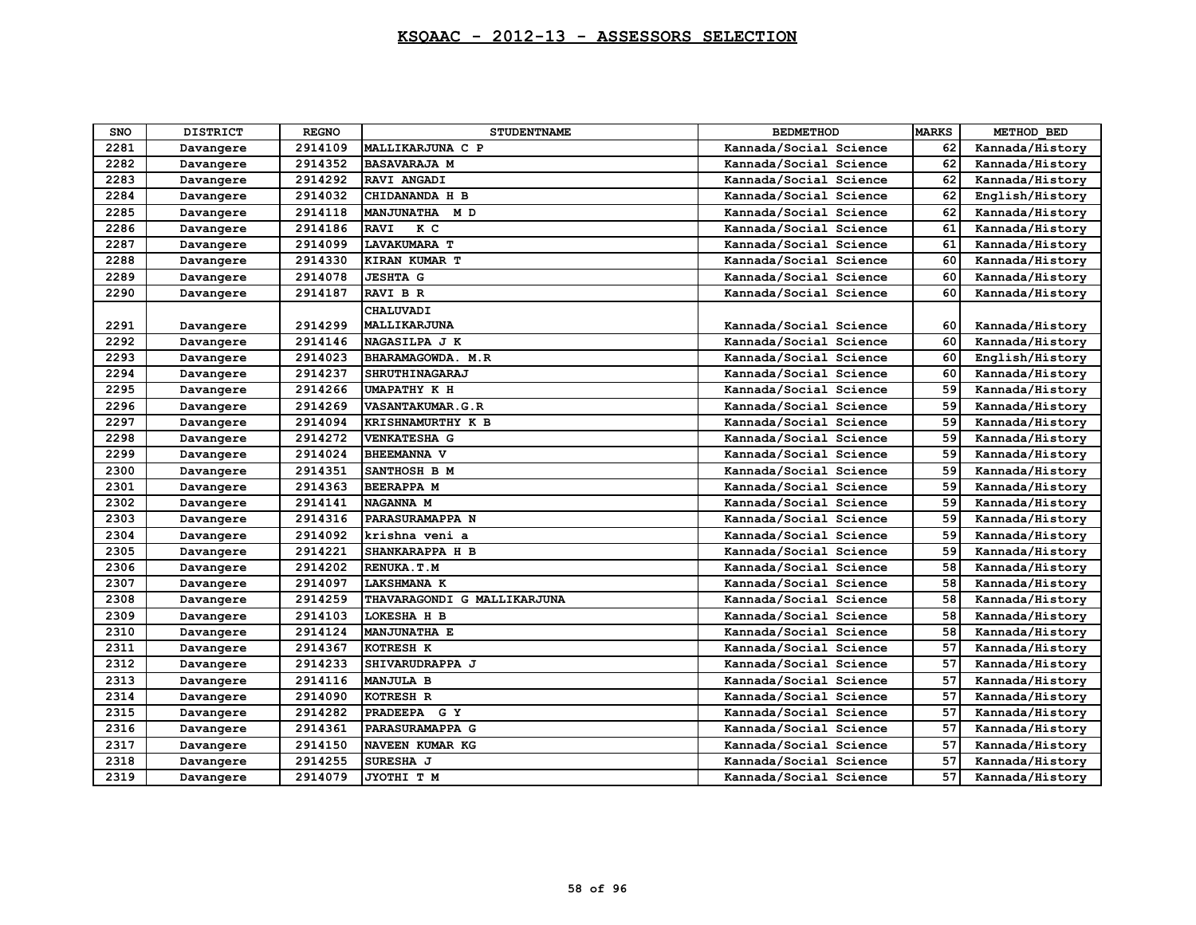| <b>SNO</b> | <b>DISTRICT</b> | <b>REGNO</b> | <b>STUDENTNAME</b>          | <b>BEDMETHOD</b>       | <b>MARKS</b> | METHOD BED      |
|------------|-----------------|--------------|-----------------------------|------------------------|--------------|-----------------|
| 2281       | Davangere       | 2914109      | MALLIKARJUNA C P            | Kannada/Social Science | 62           | Kannada/History |
| 2282       | Davangere       | 2914352      | <b>BASAVARAJA M</b>         | Kannada/Social Science | 62           | Kannada/History |
| 2283       | Davangere       | 2914292      | RAVI ANGADI                 | Kannada/Social Science | 62           | Kannada/History |
| 2284       | Davangere       | 2914032      | CHIDANANDA H B              | Kannada/Social Science | 62           | English/History |
| 2285       | Davangere       | 2914118      | <b>MANJUNATHA</b><br>M D    | Kannada/Social Science | 62           | Kannada/History |
| 2286       | Davangere       | 2914186      | K C<br><b>RAVI</b>          | Kannada/Social Science | 61           | Kannada/History |
| 2287       | Davangere       | 2914099      | <b>LAVAKUMARA T</b>         | Kannada/Social Science | 61           | Kannada/History |
| 2288       | Davangere       | 2914330      | KIRAN KUMAR T               | Kannada/Social Science | 60           | Kannada/History |
| 2289       | Davangere       | 2914078      | <b>JESHTA G</b>             | Kannada/Social Science | 60           | Kannada/History |
| 2290       | Davangere       | 2914187      | <b>RAVI B R</b>             | Kannada/Social Science | 60           | Kannada/History |
|            |                 |              | CHALUVADI                   |                        |              |                 |
| 2291       | Davangere       | 2914299      | MALLIKARJUNA                | Kannada/Social Science | 60           | Kannada/History |
| 2292       | Davangere       | 2914146      | NAGASILPA J K               | Kannada/Social Science | 60           | Kannada/History |
| 2293       | Davangere       | 2914023      | BHARAMAGOWDA. M.R           | Kannada/Social Science | 60           | English/History |
| 2294       | Davangere       | 2914237      | <b>SHRUTHINAGARAJ</b>       | Kannada/Social Science | 60           | Kannada/History |
| 2295       | Davangere       | 2914266      | <b>UMAPATHY K H</b>         | Kannada/Social Science | 59           | Kannada/History |
| 2296       | Davangere       | 2914269      | <b>VASANTAKUMAR.G.R</b>     | Kannada/Social Science | 59           | Kannada/History |
| 2297       | Davangere       | 2914094      | KRISHNAMURTHY K B           | Kannada/Social Science | 59           | Kannada/History |
| 2298       | Davangere       | 2914272      | <b>VENKATESHA G</b>         | Kannada/Social Science | 59           | Kannada/History |
| 2299       | Davangere       | 2914024      | <b>BHEEMANNA V</b>          | Kannada/Social Science | 59           | Kannada/History |
| 2300       | Davangere       | 2914351      | SANTHOSH B M                | Kannada/Social Science | 59           | Kannada/History |
| 2301       | Davangere       | 2914363      | <b>BEERAPPA M</b>           | Kannada/Social Science | 59           | Kannada/History |
| 2302       | Davangere       | 2914141      | NAGANNA M                   | Kannada/Social Science | 59           | Kannada/History |
| 2303       | Davangere       | 2914316      | PARASURAMAPPA N             | Kannada/Social Science | 59           | Kannada/History |
| 2304       | Davangere       | 2914092      | krishna veni a              | Kannada/Social Science | 59           | Kannada/History |
| 2305       | Davangere       | 2914221      | SHANKARAPPA H B             | Kannada/Social Science | 59           | Kannada/History |
| 2306       | Davangere       | 2914202      | RENUKA.T.M                  | Kannada/Social Science | 58           | Kannada/History |
| 2307       | Davangere       | 2914097      | <b>LAKSHMANA K</b>          | Kannada/Social Science | 58           | Kannada/History |
| 2308       | Davangere       | 2914259      | THAVARAGONDI G MALLIKARJUNA | Kannada/Social Science | 58           | Kannada/History |
| 2309       | Davangere       | 2914103      | LOKESHA H B                 | Kannada/Social Science | 58           | Kannada/History |
| 2310       | Davangere       | 2914124      | <b>MANJUNATHA E</b>         | Kannada/Social Science | 58           | Kannada/History |
| 2311       | Davangere       | 2914367      | KOTRESH K                   | Kannada/Social Science | 57           | Kannada/History |
| 2312       | Davangere       | 2914233      | SHIVARUDRAPPA J             | Kannada/Social Science | 57           | Kannada/History |
| 2313       | Davangere       | 2914116      | <b>MANJULA B</b>            | Kannada/Social Science | 57           | Kannada/History |
| 2314       | Davangere       | 2914090      | KOTRESH R                   | Kannada/Social Science | 57           | Kannada/History |
| 2315       | Davangere       | 2914282      | PRADEEPA G Y                | Kannada/Social Science | 57           | Kannada/History |
| 2316       | Davangere       | 2914361      | PARASURAMAPPA G             | Kannada/Social Science | 57           | Kannada/History |
| 2317       | Davangere       | 2914150      | NAVEEN KUMAR KG             | Kannada/Social Science | 57           | Kannada/History |
| 2318       | Davangere       | 2914255      | SURESHA J                   | Kannada/Social Science | 57           | Kannada/History |
| 2319       | Davangere       | 2914079      | JYOTHI T M                  | Kannada/Social Science | 57           | Kannada/History |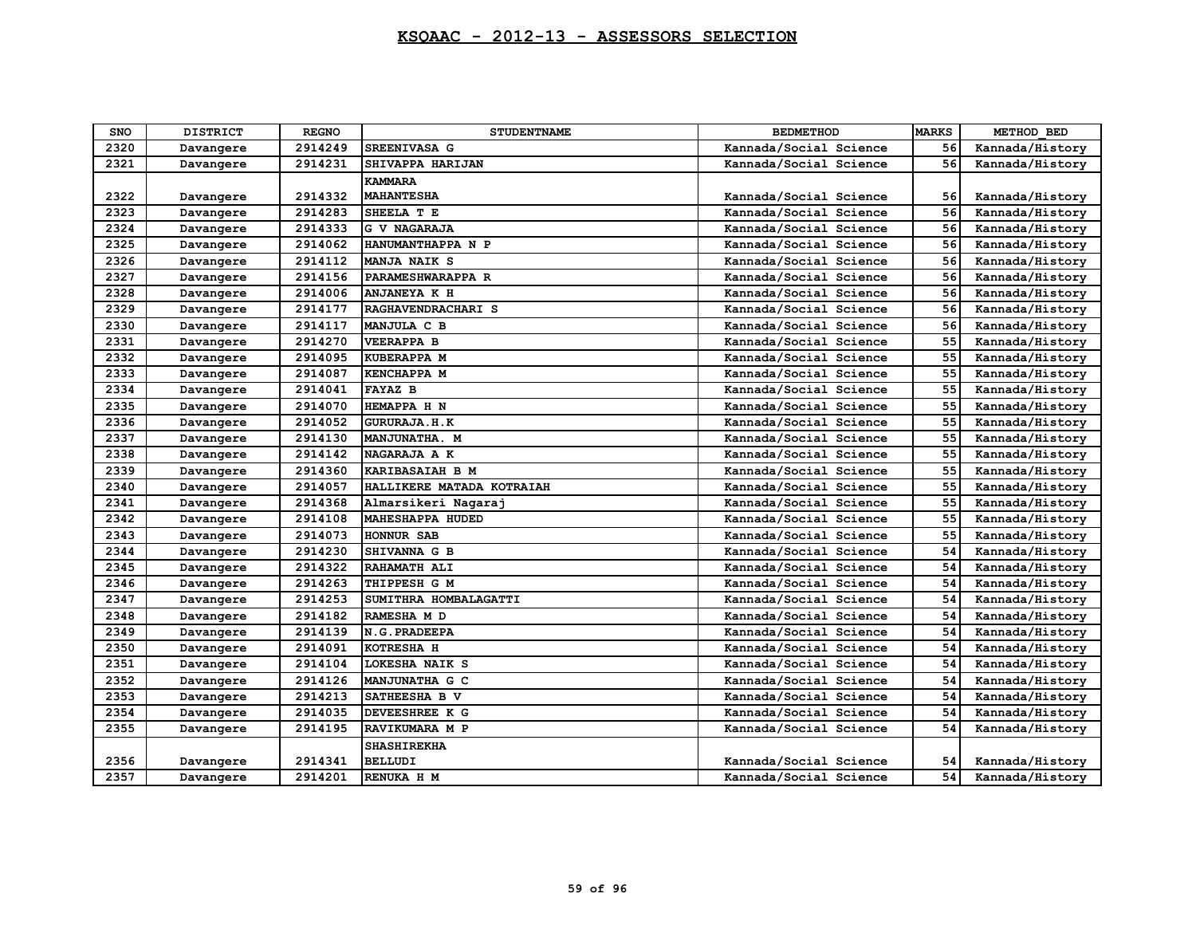| <b>SNO</b> | <b>DISTRICT</b> | <b>REGNO</b> | <b>STUDENTNAME</b>        | <b>BEDMETHOD</b>       | <b>MARKS</b> | METHOD BED      |
|------------|-----------------|--------------|---------------------------|------------------------|--------------|-----------------|
| 2320       | Davangere       | 2914249      | SREENIVASA G              | Kannada/Social Science | 56           | Kannada/History |
| 2321       | Davangere       | 2914231      | SHIVAPPA HARIJAN          | Kannada/Social Science | 56           | Kannada/History |
|            |                 |              | <b>KAMMARA</b>            |                        |              |                 |
| 2322       | Davangere       | 2914332      | <b>MAHANTESHA</b>         | Kannada/Social Science | 56           | Kannada/History |
| 2323       | Davangere       | 2914283      | SHEELA T E                | Kannada/Social Science | 56           | Kannada/History |
| 2324       | Davangere       | 2914333      | <b>G V NAGARAJA</b>       | Kannada/Social Science | 56           | Kannada/History |
| 2325       | Davangere       | 2914062      | HANUMANTHAPPA N P         | Kannada/Social Science | 56           | Kannada/History |
| 2326       | Davangere       | 2914112      | MANJA NAIK S              | Kannada/Social Science | 56           | Kannada/History |
| 2327       | Davangere       | 2914156      | PARAMESHWARAPPA R         | Kannada/Social Science | 56           | Kannada/History |
| 2328       | Davangere       | 2914006      | <b>ANJANEYA K H</b>       | Kannada/Social Science | 56           | Kannada/History |
| 2329       | Davangere       | 2914177      | RAGHAVENDRACHARI S        | Kannada/Social Science | 56           | Kannada/History |
| 2330       | Davangere       | 2914117      | MANJULA C B               | Kannada/Social Science | 56           | Kannada/History |
| 2331       | Davangere       | 2914270      | <b>VEERAPPA B</b>         | Kannada/Social Science | 55           | Kannada/History |
| 2332       | Davangere       | 2914095      | <b>KUBERAPPA M</b>        | Kannada/Social Science | 55           | Kannada/History |
| 2333       | Davangere       | 2914087      | <b>KENCHAPPA M</b>        | Kannada/Social Science | 55           | Kannada/History |
| 2334       | Davangere       | 2914041      | <b>FAYAZ B</b>            | Kannada/Social Science | 55           | Kannada/History |
| 2335       | Davangere       | 2914070      | HEMAPPA H N               | Kannada/Social Science | 55           | Kannada/History |
| 2336       | Davangere       | 2914052      | <b>GURURAJA.H.K</b>       | Kannada/Social Science | 55           | Kannada/History |
| 2337       | Davangere       | 2914130      | MANJUNATHA. M             | Kannada/Social Science | 55           | Kannada/History |
| 2338       | Davangere       | 2914142      | NAGARAJA A K              | Kannada/Social Science | 55           | Kannada/History |
| 2339       | Davangere       | 2914360      | KARIBASAIAH B M           | Kannada/Social Science | 55           | Kannada/History |
| 2340       | Davangere       | 2914057      | HALLIKERE MATADA KOTRAIAH | Kannada/Social Science | 55           | Kannada/History |
| 2341       | Davangere       | 2914368      | Almarsikeri Nagaraj       | Kannada/Social Science | 55           | Kannada/History |
| 2342       | Davangere       | 2914108      | <b>MAHESHAPPA HUDED</b>   | Kannada/Social Science | 55           | Kannada/History |
| 2343       | Davangere       | 2914073      | <b>HONNUR SAB</b>         | Kannada/Social Science | 55           | Kannada/History |
| 2344       | Davangere       | 2914230      | SHIVANNA G B              | Kannada/Social Science | 54           | Kannada/History |
| 2345       | Davangere       | 2914322      | RAHAMATH ALI              | Kannada/Social Science | 54           | Kannada/History |
| 2346       | Davangere       | 2914263      | THIPPESH G M              | Kannada/Social Science | 54           | Kannada/History |
| 2347       | Davangere       | 2914253      | SUMITHRA HOMBALAGATTI     | Kannada/Social Science | 54           | Kannada/History |
| 2348       | Davangere       | 2914182      | RAMESHA M D               | Kannada/Social Science | 54           | Kannada/History |
| 2349       | Davangere       | 2914139      | N.G. PRADEEPA             | Kannada/Social Science | 54           | Kannada/History |
| 2350       | Davangere       | 2914091      | KOTRESHA H                | Kannada/Social Science | 54           | Kannada/History |
| 2351       | Davangere       | 2914104      | LOKESHA NAIK S            | Kannada/Social Science | 54           | Kannada/History |
| 2352       | Davangere       | 2914126      | MANJUNATHA G C            | Kannada/Social Science | 54           | Kannada/History |
| 2353       | Davangere       | 2914213      | SATHEESHA B V             | Kannada/Social Science | 54           | Kannada/History |
| 2354       | Davangere       | 2914035      | DEVEESHREE K G            | Kannada/Social Science | 54           | Kannada/History |
| 2355       | Davangere       | 2914195      | RAVIKUMARA M P            | Kannada/Social Science | 54           | Kannada/History |
|            |                 |              | <b>SHASHIREKHA</b>        |                        |              |                 |
| 2356       | Davangere       | 2914341      | <b>BELLUDI</b>            | Kannada/Social Science | 54           | Kannada/History |
| 2357       | Davangere       | 2914201      | RENUKA H M                | Kannada/Social Science | 54           | Kannada/History |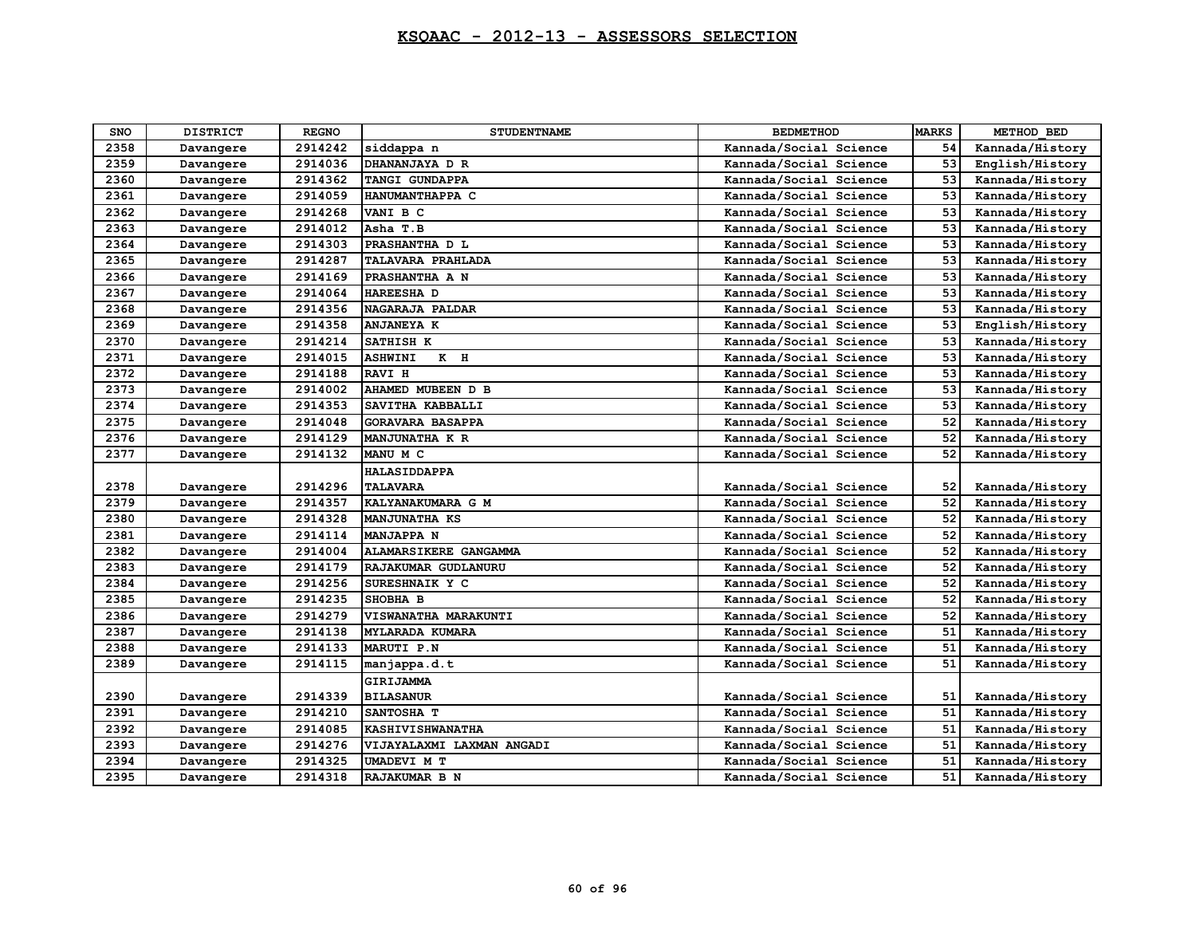| <b>SNO</b> | <b>DISTRICT</b> | <b>REGNO</b> | <b>STUDENTNAME</b>        | <b>BEDMETHOD</b>       | <b>MARKS</b> | METHOD BED      |
|------------|-----------------|--------------|---------------------------|------------------------|--------------|-----------------|
| 2358       | Davangere       | 2914242      | siddappa n                | Kannada/Social Science | 54           | Kannada/History |
| 2359       | Davangere       | 2914036      | DHANANJAYA D R            | Kannada/Social Science | 53           | English/History |
| 2360       | Davangere       | 2914362      | TANGI GUNDAPPA            | Kannada/Social Science | 53           | Kannada/History |
| 2361       | Davangere       | 2914059      | HANUMANTHAPPA C           | Kannada/Social Science | 53           | Kannada/History |
| 2362       | Davangere       | 2914268      | VANI B C                  | Kannada/Social Science | 53           | Kannada/History |
| 2363       | Davangere       | 2914012      | Asha T.B                  | Kannada/Social Science | 53           | Kannada/History |
| 2364       | Davangere       | 2914303      | PRASHANTHA D L            | Kannada/Social Science | 53           | Kannada/History |
| 2365       | Davangere       | 2914287      | TALAVARA PRAHLADA         | Kannada/Social Science | 53           | Kannada/History |
| 2366       | Davangere       | 2914169      | PRASHANTHA A N            | Kannada/Social Science | 53           | Kannada/History |
| 2367       | Davangere       | 2914064      | HAREESHA D                | Kannada/Social Science | 53           | Kannada/History |
| 2368       | Davangere       | 2914356      | <b>NAGARAJA PALDAR</b>    | Kannada/Social Science | 53           | Kannada/History |
| 2369       | Davangere       | 2914358      | <b>ANJANEYA K</b>         | Kannada/Social Science | 53           | English/History |
| 2370       | Davangere       | 2914214      | SATHISH K                 | Kannada/Social Science | 53           | Kannada/History |
| 2371       | Davangere       | 2914015      | $K$ H<br><b>ASHWINI</b>   | Kannada/Social Science | 53           | Kannada/History |
| 2372       | Davangere       | 2914188      | <b>RAVI H</b>             | Kannada/Social Science | 53           | Kannada/History |
| 2373       | Davangere       | 2914002      | AHAMED MUBEEN D B         | Kannada/Social Science | 53           | Kannada/History |
| 2374       | Davangere       | 2914353      | SAVITHA KABBALLI          | Kannada/Social Science | 53           | Kannada/History |
| 2375       | Davangere       | 2914048      | <b>GORAVARA BASAPPA</b>   | Kannada/Social Science | 52           | Kannada/History |
| 2376       | Davangere       | 2914129      | MANJUNATHA K R            | Kannada/Social Science | 52           | Kannada/History |
| 2377       | Davangere       | 2914132      | MANU M C                  | Kannada/Social Science | 52           | Kannada/History |
|            |                 |              | <b>HALASIDDAPPA</b>       |                        |              |                 |
| 2378       | Davangere       | 2914296      | <b>TALAVARA</b>           | Kannada/Social Science | 52           | Kannada/History |
| 2379       | Davangere       | 2914357      | KALYANAKUMARA G M         | Kannada/Social Science | 52           | Kannada/History |
| 2380       | Davangere       | 2914328      | MANJUNATHA KS             | Kannada/Social Science | 52           | Kannada/History |
| 2381       | Davangere       | 2914114      | MANJAPPA N                | Kannada/Social Science | 52           | Kannada/History |
| 2382       | Davangere       | 2914004      | ALAMARSIKERE GANGAMMA     | Kannada/Social Science | 52           | Kannada/History |
| 2383       | Davangere       | 2914179      | RAJAKUMAR GUDLANURU       | Kannada/Social Science | 52           | Kannada/History |
| 2384       | Davangere       | 2914256      | SURESHNAIK Y C            | Kannada/Social Science | 52           | Kannada/History |
| 2385       | Davangere       | 2914235      | SHOBHA B                  | Kannada/Social Science | 52           | Kannada/History |
| 2386       | Davangere       | 2914279      | VISWANATHA MARAKUNTI      | Kannada/Social Science | 52           | Kannada/History |
| 2387       | Davangere       | 2914138      | <b>MYLARADA KUMARA</b>    | Kannada/Social Science | 51           | Kannada/History |
| 2388       | Davangere       | 2914133      | MARUTI P.N                | Kannada/Social Science | 51           | Kannada/History |
| 2389       | Davangere       | 2914115      | manjappa.d.t              | Kannada/Social Science | 51           | Kannada/History |
|            |                 |              | <b>GIRIJAMMA</b>          |                        |              |                 |
| 2390       | Davangere       | 2914339      | <b>BILASANUR</b>          | Kannada/Social Science | 51           | Kannada/History |
| 2391       | Davangere       | 2914210      | SANTOSHA T                | Kannada/Social Science | 51           | Kannada/History |
| 2392       | Davangere       | 2914085      | <b>KASHIVISHWANATHA</b>   | Kannada/Social Science | 51           | Kannada/History |
| 2393       | Davangere       | 2914276      | VIJAYALAXMI LAXMAN ANGADI | Kannada/Social Science | 51           | Kannada/History |
| 2394       | Davangere       | 2914325      | UMADEVI M T               | Kannada/Social Science | 51           | Kannada/History |
| 2395       | Davangere       | 2914318      | RAJAKUMAR B N             | Kannada/Social Science | 51           | Kannada/History |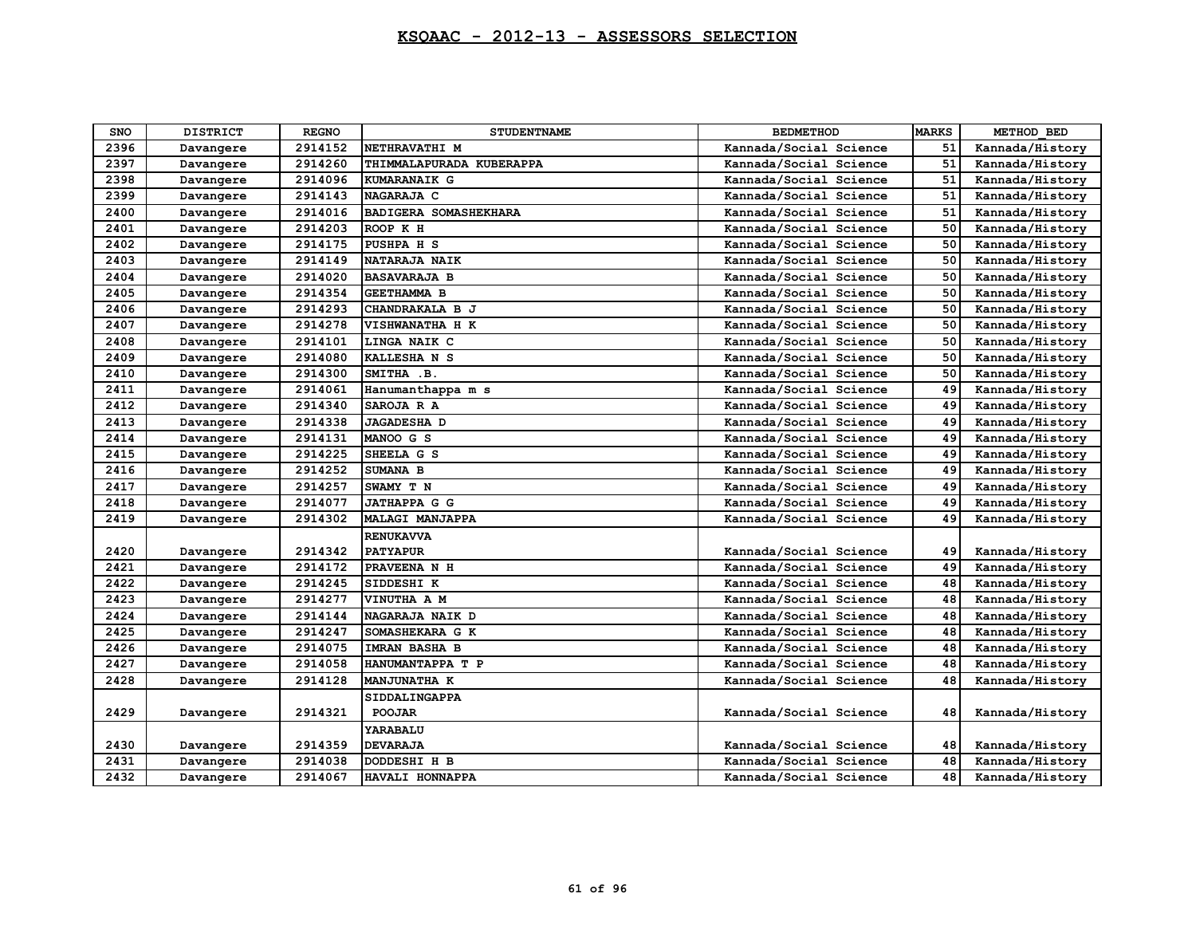| SNO  | <b>DISTRICT</b> | <b>REGNO</b> | <b>STUDENTNAME</b>       | <b>BEDMETHOD</b>       | <b>MARKS</b> | METHOD BED      |
|------|-----------------|--------------|--------------------------|------------------------|--------------|-----------------|
| 2396 | Davangere       | 2914152      | NETHRAVATHI M            | Kannada/Social Science | 51           | Kannada/History |
| 2397 | Davangere       | 2914260      | THIMMALAPURADA KUBERAPPA | Kannada/Social Science | 51           | Kannada/History |
| 2398 | Davangere       | 2914096      | KUMARANAIK G             | Kannada/Social Science | 51           | Kannada/History |
| 2399 | Davangere       | 2914143      | NAGARAJA C               | Kannada/Social Science | 51           | Kannada/History |
| 2400 | Davangere       | 2914016      | BADIGERA SOMASHEKHARA    | Kannada/Social Science | 51           | Kannada/History |
| 2401 | Davangere       | 2914203      | ROOP K H                 | Kannada/Social Science | 50           | Kannada/History |
| 2402 | Davangere       | 2914175      | PUSHPA H S               | Kannada/Social Science | 50           | Kannada/History |
| 2403 | Davangere       | 2914149      | NATARAJA NAIK            | Kannada/Social Science | 50           | Kannada/History |
| 2404 | Davangere       | 2914020      | <b>BASAVARAJA B</b>      | Kannada/Social Science | 50           | Kannada/History |
| 2405 | Davangere       | 2914354      | <b>GEETHAMMA B</b>       | Kannada/Social Science | 50           | Kannada/History |
| 2406 | Davangere       | 2914293      | CHANDRAKALA B J          | Kannada/Social Science | 50           | Kannada/History |
| 2407 | Davangere       | 2914278      | VISHWANATHA H K          | Kannada/Social Science | 50           | Kannada/History |
| 2408 | Davangere       | 2914101      | LINGA NAIK C             | Kannada/Social Science | 50           | Kannada/History |
| 2409 | Davangere       | 2914080      | KALLESHA N S             | Kannada/Social Science | 50           | Kannada/History |
| 2410 | Davangere       | 2914300      | SMITHA .B.               | Kannada/Social Science | 50           | Kannada/History |
| 2411 | Davangere       | 2914061      | Hanumanthappa m s        | Kannada/Social Science | 49           | Kannada/History |
| 2412 | Davangere       | 2914340      | SAROJA R A               | Kannada/Social Science | 49           | Kannada/History |
| 2413 | Davangere       | 2914338      | <b>JAGADESHA D</b>       | Kannada/Social Science | 49           | Kannada/History |
| 2414 | Davangere       | 2914131      | MANOO G S                | Kannada/Social Science | 49           | Kannada/History |
| 2415 | Davangere       | 2914225      | SHEELA G S               | Kannada/Social Science | 49           | Kannada/History |
| 2416 | Davangere       | 2914252      | SUMANA B                 | Kannada/Social Science | 49           | Kannada/History |
| 2417 | Davangere       | 2914257      | SWAMY T N                | Kannada/Social Science | 49           | Kannada/History |
| 2418 | Davangere       | 2914077      | JATHAPPA G G             | Kannada/Social Science | 49           | Kannada/History |
| 2419 | Davangere       | 2914302      | <b>MALAGI MANJAPPA</b>   | Kannada/Social Science | 49           | Kannada/History |
|      |                 |              | <b>RENUKAVVA</b>         |                        |              |                 |
| 2420 | Davangere       | 2914342      | <b>PATYAPUR</b>          | Kannada/Social Science | 49           | Kannada/History |
| 2421 | Davangere       | 2914172      | PRAVEENA N H             | Kannada/Social Science | 49           | Kannada/History |
| 2422 | Davangere       | 2914245      | SIDDESHI K               | Kannada/Social Science | 48           | Kannada/History |
| 2423 | Davangere       | 2914277      | VINUTHA A M              | Kannada/Social Science | 48           | Kannada/History |
| 2424 | Davangere       | 2914144      | NAGARAJA NAIK D          | Kannada/Social Science | 48           | Kannada/History |
| 2425 | Davangere       | 2914247      | SOMASHEKARA G K          | Kannada/Social Science | 48           | Kannada/History |
| 2426 | Davangere       | 2914075      | IMRAN BASHA B            | Kannada/Social Science | 48           | Kannada/History |
| 2427 | Davangere       | 2914058      | HANUMANTAPPA T P         | Kannada/Social Science | 48           | Kannada/History |
| 2428 | Davangere       | 2914128      | <b>MANJUNATHA K</b>      | Kannada/Social Science | 48           | Kannada/History |
|      |                 |              | SIDDALINGAPPA            |                        |              |                 |
| 2429 | Davangere       | 2914321      | <b>POOJAR</b>            | Kannada/Social Science | 48           | Kannada/History |
|      |                 |              | YARABALU                 |                        |              |                 |
| 2430 | Davangere       | 2914359      | <b>DEVARAJA</b>          | Kannada/Social Science | 48           | Kannada/History |
| 2431 | Davangere       | 2914038      | DODDESHI H B             | Kannada/Social Science | 48           | Kannada/History |
| 2432 | Davangere       | 2914067      | HAVALI HONNAPPA          | Kannada/Social Science | 48           | Kannada/History |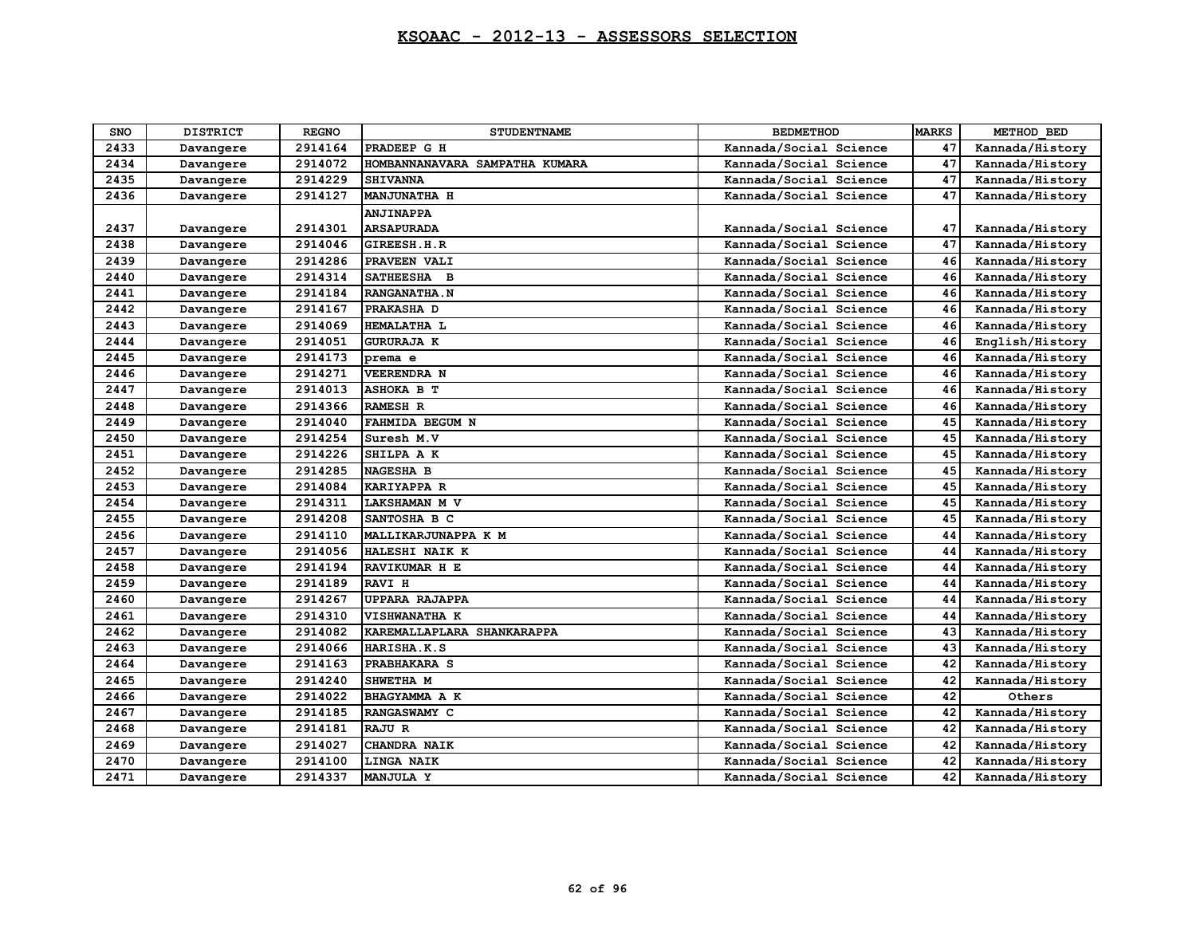| SNO  | <b>DISTRICT</b> | <b>REGNO</b> | <b>STUDENTNAME</b>             | <b>BEDMETHOD</b>       | <b>MARKS</b> | METHOD BED      |
|------|-----------------|--------------|--------------------------------|------------------------|--------------|-----------------|
| 2433 | Davangere       | 2914164      | PRADEEP G H                    | Kannada/Social Science | 47           | Kannada/History |
| 2434 | Davangere       | 2914072      | HOMBANNANAVARA SAMPATHA KUMARA | Kannada/Social Science | 47           | Kannada/History |
| 2435 | Davangere       | 2914229      | <b>SHIVANNA</b>                | Kannada/Social Science | 47           | Kannada/History |
| 2436 | Davangere       | 2914127      | <b>MANJUNATHA H</b>            | Kannada/Social Science | 47           | Kannada/History |
|      |                 |              | <b>ANJINAPPA</b>               |                        |              |                 |
| 2437 | Davangere       | 2914301      | <b>ARSAPURADA</b>              | Kannada/Social Science | 47           | Kannada/History |
| 2438 | Davangere       | 2914046      | GIREESH.H.R                    | Kannada/Social Science | 47           | Kannada/History |
| 2439 | Davangere       | 2914286      | PRAVEEN VALI                   | Kannada/Social Science | 46           | Kannada/History |
| 2440 | Davangere       | 2914314      | SATHEESHA B                    | Kannada/Social Science | 46           | Kannada/History |
| 2441 | Davangere       | 2914184      | <b>RANGANATHA.N</b>            | Kannada/Social Science | 46           | Kannada/History |
| 2442 | Davangere       | 2914167      | PRAKASHA D                     | Kannada/Social Science | 46           | Kannada/History |
| 2443 | Davangere       | 2914069      | HEMALATHA L                    | Kannada/Social Science | 46           | Kannada/History |
| 2444 | Davangere       | 2914051      | <b>GURURAJA K</b>              | Kannada/Social Science | 46           | English/History |
| 2445 | Davangere       | 2914173      | prema e                        | Kannada/Social Science | 46           | Kannada/History |
| 2446 | Davangere       | 2914271      | <b>VEERENDRA N</b>             | Kannada/Social Science | 46           | Kannada/History |
| 2447 | Davangere       | 2914013      | ASHOKA B T                     | Kannada/Social Science | 46           | Kannada/History |
| 2448 | Davangere       | 2914366      | <b>RAMESH R</b>                | Kannada/Social Science | 46           | Kannada/History |
| 2449 | Davangere       | 2914040      | FAHMIDA BEGUM N                | Kannada/Social Science | 45           | Kannada/History |
| 2450 | Davangere       | 2914254      | Suresh M.V                     | Kannada/Social Science | 45           | Kannada/History |
| 2451 | Davangere       | 2914226      | SHILPA A K                     | Kannada/Social Science | 45           | Kannada/History |
| 2452 | Davangere       | 2914285      | <b>NAGESHA B</b>               | Kannada/Social Science | 45           | Kannada/History |
| 2453 | Davangere       | 2914084      | KARIYAPPA R                    | Kannada/Social Science | 45           | Kannada/History |
| 2454 | Davangere       | 2914311      | LAKSHAMAN M V                  | Kannada/Social Science | 45           | Kannada/History |
| 2455 | Davangere       | 2914208      | SANTOSHA B C                   | Kannada/Social Science | 45           | Kannada/History |
| 2456 | Davangere       | 2914110      | MALLIKARJUNAPPA K M            | Kannada/Social Science | 44           | Kannada/History |
| 2457 | Davangere       | 2914056      | HALESHI NAIK K                 | Kannada/Social Science | 44           | Kannada/History |
| 2458 | Davangere       | 2914194      | RAVIKUMAR H E                  | Kannada/Social Science | 44           | Kannada/History |
| 2459 | Davangere       | 2914189      | <b>RAVI H</b>                  | Kannada/Social Science | 44           | Kannada/History |
| 2460 | Davangere       | 2914267      | <b>UPPARA RAJAPPA</b>          | Kannada/Social Science | 44           | Kannada/History |
| 2461 | Davangere       | 2914310      | VISHWANATHA K                  | Kannada/Social Science | 44           | Kannada/History |
| 2462 | Davangere       | 2914082      | KAREMALLAPLARA SHANKARAPPA     | Kannada/Social Science | 43           | Kannada/History |
| 2463 | Davangere       | 2914066      | HARISHA.K.S                    | Kannada/Social Science | 43           | Kannada/History |
| 2464 | Davangere       | 2914163      | PRABHAKARA S                   | Kannada/Social Science | 42           | Kannada/History |
| 2465 | Davangere       | 2914240      | SHWETHA M                      | Kannada/Social Science | 42           | Kannada/History |
| 2466 | Davangere       | 2914022      | BHAGYAMMA A K                  | Kannada/Social Science | 42           | Others          |
| 2467 | Davangere       | 2914185      | RANGASWAMY C                   | Kannada/Social Science | 42           | Kannada/History |
| 2468 | Davangere       | 2914181      | RAJU R                         | Kannada/Social Science | 42           | Kannada/History |
| 2469 | Davangere       | 2914027      | <b>CHANDRA NAIK</b>            | Kannada/Social Science | 42           | Kannada/History |
| 2470 | Davangere       | 2914100      | LINGA NAIK                     | Kannada/Social Science | 42           | Kannada/History |
| 2471 | Davangere       | 2914337      | MANJULA Y                      | Kannada/Social Science | 42           | Kannada/History |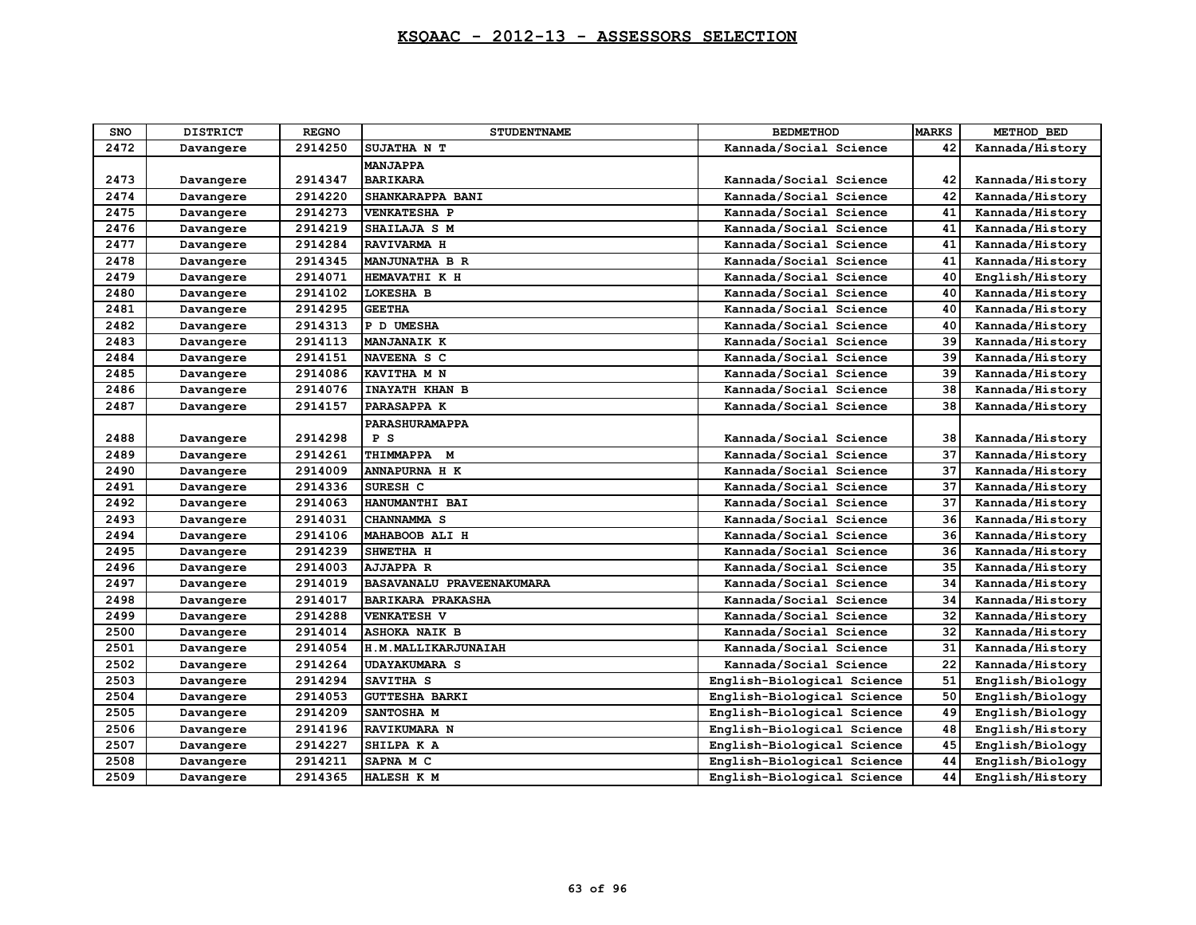| <b>SNO</b> | <b>DISTRICT</b> | <b>REGNO</b> | <b>STUDENTNAME</b>               | <b>BEDMETHOD</b>           | <b>MARKS</b> | METHOD BED      |
|------------|-----------------|--------------|----------------------------------|----------------------------|--------------|-----------------|
| 2472       | Davangere       | 2914250      | SUJATHA N T                      | Kannada/Social Science     | 42           | Kannada/History |
|            |                 |              | <b>MANJAPPA</b>                  |                            |              |                 |
| 2473       | Davangere       | 2914347      | <b>BARIKARA</b>                  | Kannada/Social Science     | 42           | Kannada/History |
| 2474       | Davangere       | 2914220      | SHANKARAPPA BANI                 | Kannada/Social Science     | 42           | Kannada/History |
| 2475       | Davangere       | 2914273      | <b>VENKATESHA P</b>              | Kannada/Social Science     | 41           | Kannada/History |
| 2476       | Davangere       | 2914219      | SHAILAJA S M                     | Kannada/Social Science     | 41           | Kannada/History |
| 2477       | Davangere       | 2914284      | RAVIVARMA H                      | Kannada/Social Science     | 41           | Kannada/History |
| 2478       | Davangere       | 2914345      | <b>MANJUNATHA B R</b>            | Kannada/Social Science     | 41           | Kannada/History |
| 2479       | Davangere       | 2914071      | HEMAVATHI K H                    | Kannada/Social Science     | 40           | English/History |
| 2480       | Davangere       | 2914102      | <b>LOKESHA B</b>                 | Kannada/Social Science     | 40           | Kannada/History |
| 2481       | Davangere       | 2914295      | <b>GEETHA</b>                    | Kannada/Social Science     | 40           | Kannada/History |
| 2482       | Davangere       | 2914313      | P D UMESHA                       | Kannada/Social Science     | 40           | Kannada/History |
| 2483       | Davangere       | 2914113      | <b>MANJANAIK K</b>               | Kannada/Social Science     | 39           | Kannada/History |
| 2484       | Davangere       | 2914151      | NAVEENA S C                      | Kannada/Social Science     | 39           | Kannada/History |
| 2485       | Davangere       | 2914086      | KAVITHA M N                      | Kannada/Social Science     | 39           | Kannada/History |
| 2486       | Davangere       | 2914076      | <b>INAYATH KHAN B</b>            | Kannada/Social Science     | 38           | Kannada/History |
| 2487       | Davangere       | 2914157      | PARASAPPA K                      | Kannada/Social Science     | 38           | Kannada/History |
|            |                 |              | <b>PARASHURAMAPPA</b>            |                            |              |                 |
| 2488       | Davangere       | 2914298      | P S                              | Kannada/Social Science     | 38           | Kannada/History |
| 2489       | Davangere       | 2914261      | THIMMAPPA M                      | Kannada/Social Science     | 37           | Kannada/History |
| 2490       | Davangere       | 2914009      | <b>ANNAPURNA H K</b>             | Kannada/Social Science     | 37           | Kannada/History |
| 2491       | Davangere       | 2914336      | SURESH C                         | Kannada/Social Science     | 37           | Kannada/History |
| 2492       | Davangere       | 2914063      | HANUMANTHI BAI                   | Kannada/Social Science     | 37           | Kannada/History |
| 2493       | Davangere       | 2914031      | CHANNAMMA <sub>S</sub>           | Kannada/Social Science     | 36           | Kannada/History |
| 2494       | Davangere       | 2914106      | MAHABOOB ALI H                   | Kannada/Social Science     | 36           | Kannada/History |
| 2495       | Davangere       | 2914239      | SHWETHA H                        | Kannada/Social Science     | 36           | Kannada/History |
| 2496       | Davangere       | 2914003      | <b>AJJAPPA R</b>                 | Kannada/Social Science     | 35           | Kannada/History |
| 2497       | Davangere       | 2914019      | <b>BASAVANALU PRAVEENAKUMARA</b> | Kannada/Social Science     | 34           | Kannada/History |
| 2498       | Davangere       | 2914017      | <b>BARIKARA PRAKASHA</b>         | Kannada/Social Science     | 34           | Kannada/History |
| 2499       | Davangere       | 2914288      | <b>VENKATESH V</b>               | Kannada/Social Science     | 32           | Kannada/History |
| 2500       | Davangere       | 2914014      | <b>ASHOKA NAIK B</b>             | Kannada/Social Science     | 32           | Kannada/History |
| 2501       | Davangere       | 2914054      | H.M.MALLIKARJUNAIAH              | Kannada/Social Science     | 31           | Kannada/History |
| 2502       | Davangere       | 2914264      | <b>UDAYAKUMARA S</b>             | Kannada/Social Science     | 22           | Kannada/History |
| 2503       | Davangere       | 2914294      | SAVITHA <sub>S</sub>             | English-Biological Science | 51           | English/Biology |
| 2504       | Davangere       | 2914053      | <b>GUTTESHA BARKI</b>            | English-Biological Science | 50           | English/Biology |
| 2505       | Davangere       | 2914209      | SANTOSHA M                       | English-Biological Science | 49           | English/Biology |
| 2506       | Davangere       | 2914196      | RAVIKUMARA N                     | English-Biological Science | 48           | English/History |
| 2507       | Davangere       | 2914227      | SHILPA K A                       | English-Biological Science | 45           | English/Biology |
| 2508       | Davangere       | 2914211      | SAPNA M C                        | English-Biological Science | 44           | English/Biology |
| 2509       | Davangere       | 2914365      | HALESH K M                       | English-Biological Science | 44           | English/History |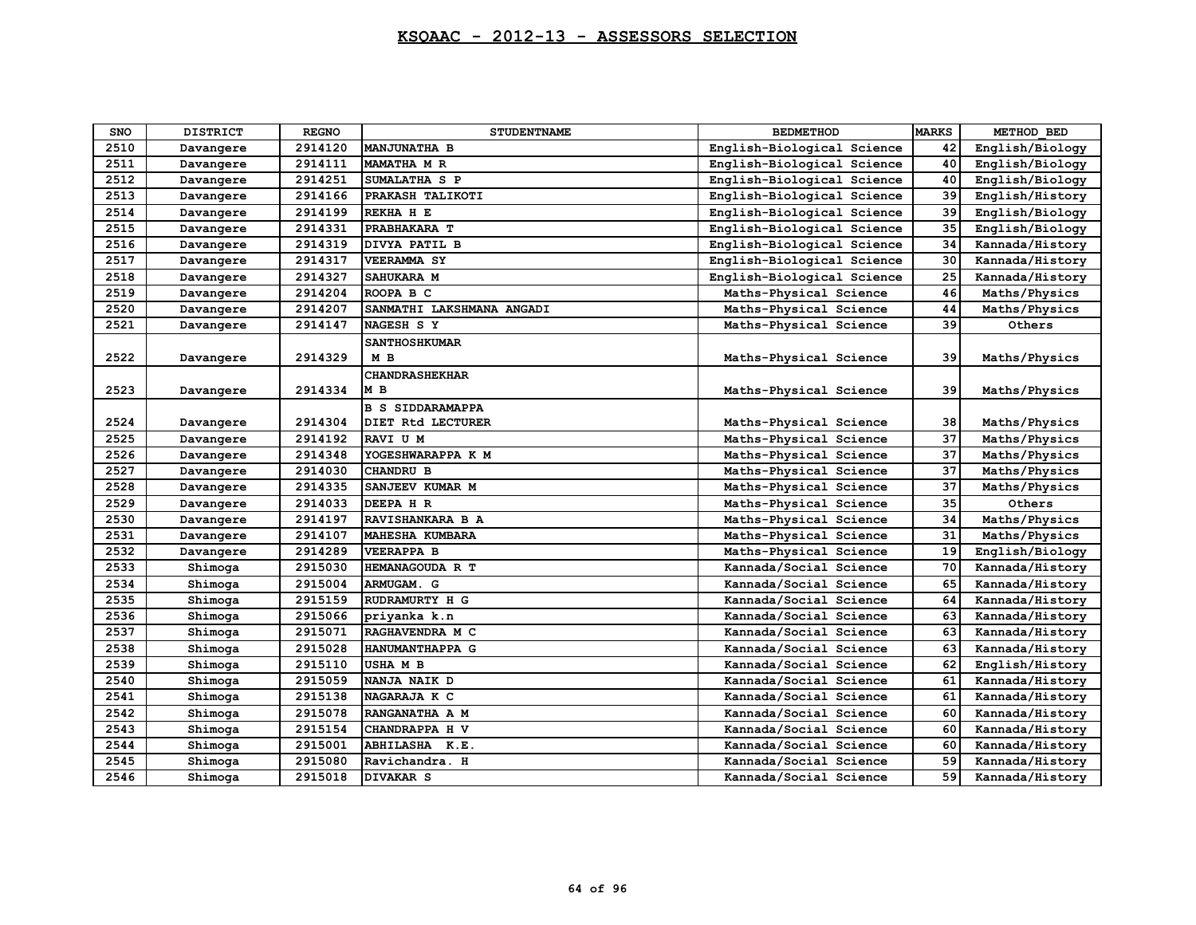| SNO  | <b>DISTRICT</b> | <b>REGNO</b> | <b>STUDENTNAME</b>        | <b>BEDMETHOD</b>           | <b>MARKS</b> | METHOD BED      |
|------|-----------------|--------------|---------------------------|----------------------------|--------------|-----------------|
| 2510 | Davangere       | 2914120      | <b>MANJUNATHA B</b>       | English-Biological Science | 42           | English/Biology |
| 2511 | Davangere       | 2914111      | MAMATHA M R               | English-Biological Science | 40           | English/Biology |
| 2512 | Davangere       | 2914251      | SUMALATHA S P             | English-Biological Science | 40           | English/Biology |
| 2513 | Davangere       | 2914166      | PRAKASH TALIKOTI          | English-Biological Science | 39           | English/History |
| 2514 | Davangere       | 2914199      | REKHA H E                 | English-Biological Science | 39           | English/Biology |
| 2515 | Davangere       | 2914331      | PRABHAKARA T              | English-Biological Science | 35           | English/Biology |
| 2516 | Davangere       | 2914319      | DIVYA PATIL B             | English-Biological Science | 34           | Kannada/History |
| 2517 | Davangere       | 2914317      | VEERAMMA SY               | English-Biological Science | 30           | Kannada/History |
| 2518 | Davangere       | 2914327      | SAHUKARA M                | English-Biological Science | 25           | Kannada/History |
| 2519 | Davangere       | 2914204      | ROOPA B C                 | Maths-Physical Science     | 46           | Maths/Physics   |
| 2520 | Davangere       | 2914207      | SANMATHI LAKSHMANA ANGADI | Maths-Physical Science     | 44           | Maths/Physics   |
| 2521 | Davangere       | 2914147      | NAGESH S Y                | Maths-Physical Science     | 39           | Others          |
|      |                 |              | <b>SANTHOSHKUMAR</b>      |                            |              |                 |
| 2522 | Davangere       | 2914329      | M <sub>B</sub>            | Maths-Physical Science     | 39           | Maths/Physics   |
|      |                 |              | <b>CHANDRASHEKHAR</b>     |                            |              |                 |
| 2523 | Davangere       | 2914334      | M B                       | Maths-Physical Science     | 39           | Maths/Physics   |
|      |                 |              | <b>B S SIDDARAMAPPA</b>   |                            |              |                 |
| 2524 | Davangere       | 2914304      | DIET Rtd LECTURER         | Maths-Physical Science     | 38           | Maths/Physics   |
| 2525 | Davangere       | 2914192      | RAVI U M                  | Maths-Physical Science     | 37           | Maths/Physics   |
| 2526 | Davangere       | 2914348      | YOGESHWARAPPA K M         | Maths-Physical Science     | 37           | Maths/Physics   |
| 2527 | Davangere       | 2914030      | <b>CHANDRU B</b>          | Maths-Physical Science     | 37           | Maths/Physics   |
| 2528 | Davangere       | 2914335      | SANJEEV KUMAR M           | Maths-Physical Science     | 37           | Maths/Physics   |
| 2529 | Davangere       | 2914033      | DEEPA H R                 | Maths-Physical Science     | 35           | Others          |
| 2530 | Davangere       | 2914197      | RAVISHANKARA B A          | Maths-Physical Science     | 34           | Maths/Physics   |
| 2531 | Davangere       | 2914107      | MAHESHA KUMBARA           | Maths-Physical Science     | 31           | Maths/Physics   |
| 2532 | Davangere       | 2914289      | <b>VEERAPPA B</b>         | Maths-Physical Science     | 19           | English/Biology |
| 2533 | Shimoga         | 2915030      | HEMANAGOUDA R T           | Kannada/Social Science     | 70           | Kannada/History |
| 2534 | Shimoga         | 2915004      | ARMUGAM. G                | Kannada/Social Science     | 65           | Kannada/History |
| 2535 | Shimoga         | 2915159      | RUDRAMURTY H G            | Kannada/Social Science     | 64           | Kannada/History |
| 2536 | Shimoga         | 2915066      | priyanka k.n              | Kannada/Social Science     | 63           | Kannada/History |
| 2537 | Shimoga         | 2915071      | RAGHAVENDRA M C           | Kannada/Social Science     | 63           | Kannada/History |
| 2538 | Shimoga         | 2915028      | HANUMANTHAPPA G           | Kannada/Social Science     | 63           | Kannada/History |
| 2539 | Shimoga         | 2915110      | <b>USHAMB</b>             | Kannada/Social Science     | 62           | English/History |
| 2540 | Shimoga         | 2915059      | NANJA NAIK D              | Kannada/Social Science     | 61           | Kannada/History |
| 2541 | Shimoga         | 2915138      | NAGARAJA K C              | Kannada/Social Science     | 61           | Kannada/History |
| 2542 | Shimoga         | 2915078      | RANGANATHA A M            | Kannada/Social Science     | 60           | Kannada/History |
| 2543 | Shimoga         | 2915154      | CHANDRAPPA H V            | Kannada/Social Science     | 60           | Kannada/History |
| 2544 | Shimoga         | 2915001      | ABHILASHA K.E.            | Kannada/Social Science     | 60           | Kannada/History |
| 2545 | Shimoga         | 2915080      | Ravichandra. H            | Kannada/Social Science     | 59           | Kannada/History |
| 2546 | Shimoga         | 2915018      | <b>DIVAKAR S</b>          | Kannada/Social Science     | 59           | Kannada/History |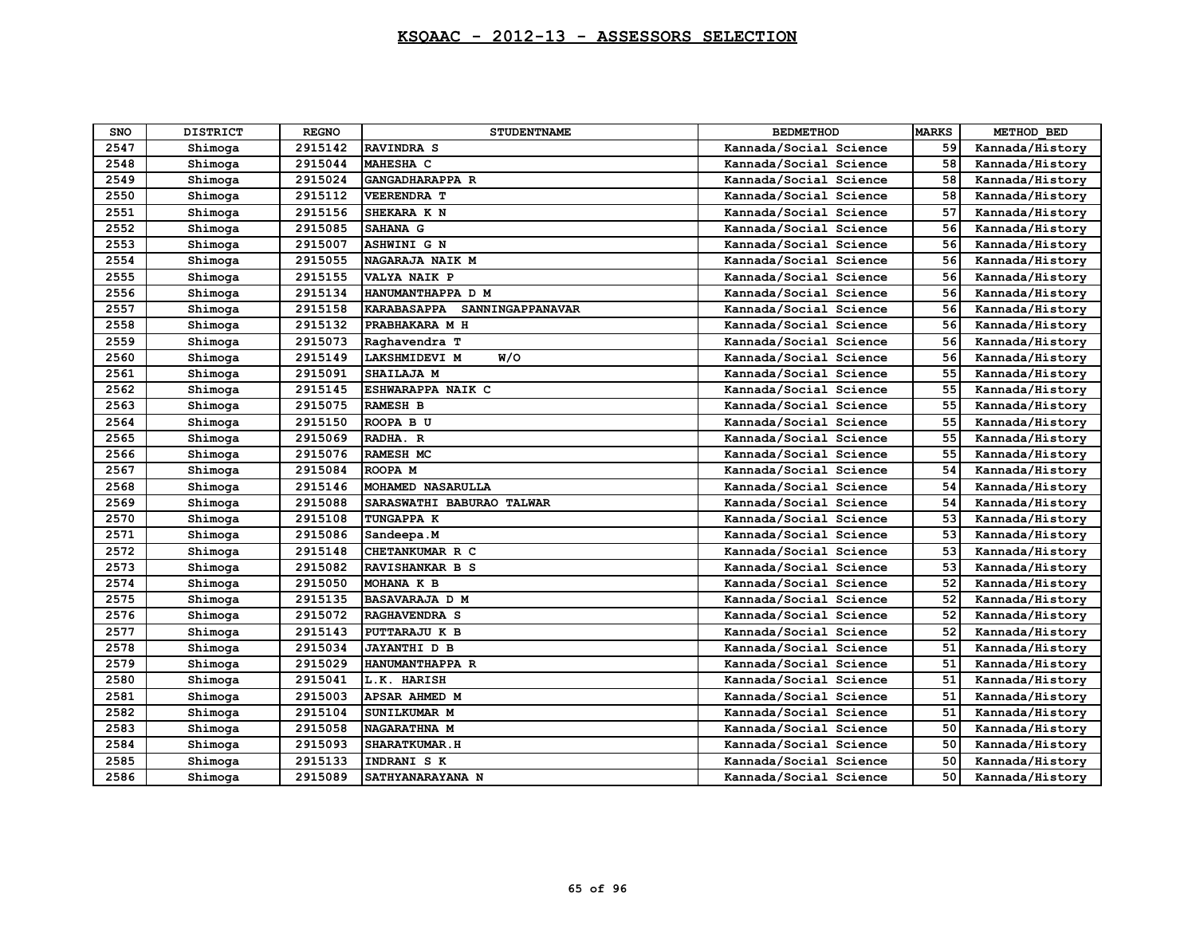| SNO  | <b>DISTRICT</b> | <b>REGNO</b> | <b>STUDENTNAME</b>                            | <b>BEDMETHOD</b>       | <b>MARKS</b> | METHOD BED      |
|------|-----------------|--------------|-----------------------------------------------|------------------------|--------------|-----------------|
| 2547 | Shimoga         | 2915142      | RAVINDRA S                                    | Kannada/Social Science | 59           | Kannada/History |
| 2548 | Shimoga         | 2915044      | MAHESHA C                                     | Kannada/Social Science | 58           | Kannada/History |
| 2549 | Shimoga         | 2915024      | GANGADHARAPPA R                               | Kannada/Social Science | 58           | Kannada/History |
| 2550 | Shimoga         | 2915112      | <b>VEERENDRA T</b>                            | Kannada/Social Science | 58           | Kannada/History |
| 2551 | Shimoga         | 2915156      | SHEKARA K N                                   | Kannada/Social Science | 57           | Kannada/History |
| 2552 | Shimoga         | 2915085      | SAHANA G                                      | Kannada/Social Science | 56           | Kannada/History |
| 2553 | Shimoga         | 2915007      | <b>ASHWINI G N</b>                            | Kannada/Social Science | 56           | Kannada/History |
| 2554 | Shimoga         | 2915055      | NAGARAJA NAIK M                               | Kannada/Social Science | 56           | Kannada/History |
| 2555 | Shimoga         | 2915155      | VALYA NAIK P                                  | Kannada/Social Science | 56           | Kannada/History |
| 2556 | Shimoga         | 2915134      | HANUMANTHAPPA D M                             | Kannada/Social Science | 56           | Kannada/History |
| 2557 | Shimoga         | 2915158      | <b><i>KARABASAPPA</i></b><br>SANNINGAPPANAVAR | Kannada/Social Science | 56           | Kannada/History |
| 2558 | Shimoga         | 2915132      | PRABHAKARA M H                                | Kannada/Social Science | 56           | Kannada/History |
| 2559 | Shimoga         | 2915073      | Raghavendra T                                 | Kannada/Social Science | 56           | Kannada/History |
| 2560 | Shimoga         | 2915149      | W/O<br><b>LAKSHMIDEVI M</b>                   | Kannada/Social Science | 56           | Kannada/History |
| 2561 | Shimoga         | 2915091      | SHAILAJA M                                    | Kannada/Social Science | 55           | Kannada/History |
| 2562 | Shimoga         | 2915145      | <b>ESHWARAPPA NAIK C</b>                      | Kannada/Social Science | 55           | Kannada/History |
| 2563 | Shimoga         | 2915075      | <b>RAMESH B</b>                               | Kannada/Social Science | 55           | Kannada/History |
| 2564 | Shimoga         | 2915150      | ROOPA B U                                     | Kannada/Social Science | 55           | Kannada/History |
| 2565 | Shimoga         | 2915069      | RADHA. R                                      | Kannada/Social Science | 55           | Kannada/History |
| 2566 | Shimoga         | 2915076      | <b>RAMESH MC</b>                              | Kannada/Social Science | 55           | Kannada/History |
| 2567 | Shimoga         | 2915084      | ROOPA M                                       | Kannada/Social Science | 54           | Kannada/History |
| 2568 | Shimoga         | 2915146      | MOHAMED NASARULLA                             | Kannada/Social Science | 54           | Kannada/History |
| 2569 | Shimoga         | 2915088      | SARASWATHI BABURAO TALWAR                     | Kannada/Social Science | 54           | Kannada/History |
| 2570 | Shimoga         | 2915108      | <b>TUNGAPPA K</b>                             | Kannada/Social Science | 53           | Kannada/History |
| 2571 | Shimoga         | 2915086      | Sandeepa.M                                    | Kannada/Social Science | 53           | Kannada/History |
| 2572 | Shimoga         | 2915148      | CHETANKUMAR R C                               | Kannada/Social Science | 53           | Kannada/History |
| 2573 | Shimoga         | 2915082      | RAVISHANKAR B S                               | Kannada/Social Science | 53           | Kannada/History |
| 2574 | Shimoga         | 2915050      | MOHANA K B                                    | Kannada/Social Science | 52           | Kannada/History |
| 2575 | Shimoga         | 2915135      | <b>BASAVARAJA D M</b>                         | Kannada/Social Science | 52           | Kannada/History |
| 2576 | Shimoga         | 2915072      | RAGHAVENDRA S                                 | Kannada/Social Science | 52           | Kannada/History |
| 2577 | Shimoga         | 2915143      | PUTTARAJU K B                                 | Kannada/Social Science | 52           | Kannada/History |
| 2578 | Shimoga         | 2915034      | <b>JAYANTHI D B</b>                           | Kannada/Social Science | 51           | Kannada/History |
| 2579 | Shimoga         | 2915029      | HANUMANTHAPPA R                               | Kannada/Social Science | 51           | Kannada/History |
| 2580 | Shimoga         | 2915041      | L.K. HARISH                                   | Kannada/Social Science | 51           | Kannada/History |
| 2581 | Shimoga         | 2915003      | APSAR AHMED M                                 | Kannada/Social Science | 51           | Kannada/History |
| 2582 | Shimoga         | 2915104      | SUNILKUMAR M                                  | Kannada/Social Science | 51           | Kannada/History |
| 2583 | Shimoga         | 2915058      | NAGARATHNA M                                  | Kannada/Social Science | 50           | Kannada/History |
| 2584 | Shimoga         | 2915093      | <b>SHARATKUMAR.H</b>                          | Kannada/Social Science | 50           | Kannada/History |
| 2585 | Shimoga         | 2915133      | INDRANI S K                                   | Kannada/Social Science | 50           | Kannada/History |
| 2586 | Shimoga         | 2915089      | SATHYANARAYANA N                              | Kannada/Social Science | 50           | Kannada/History |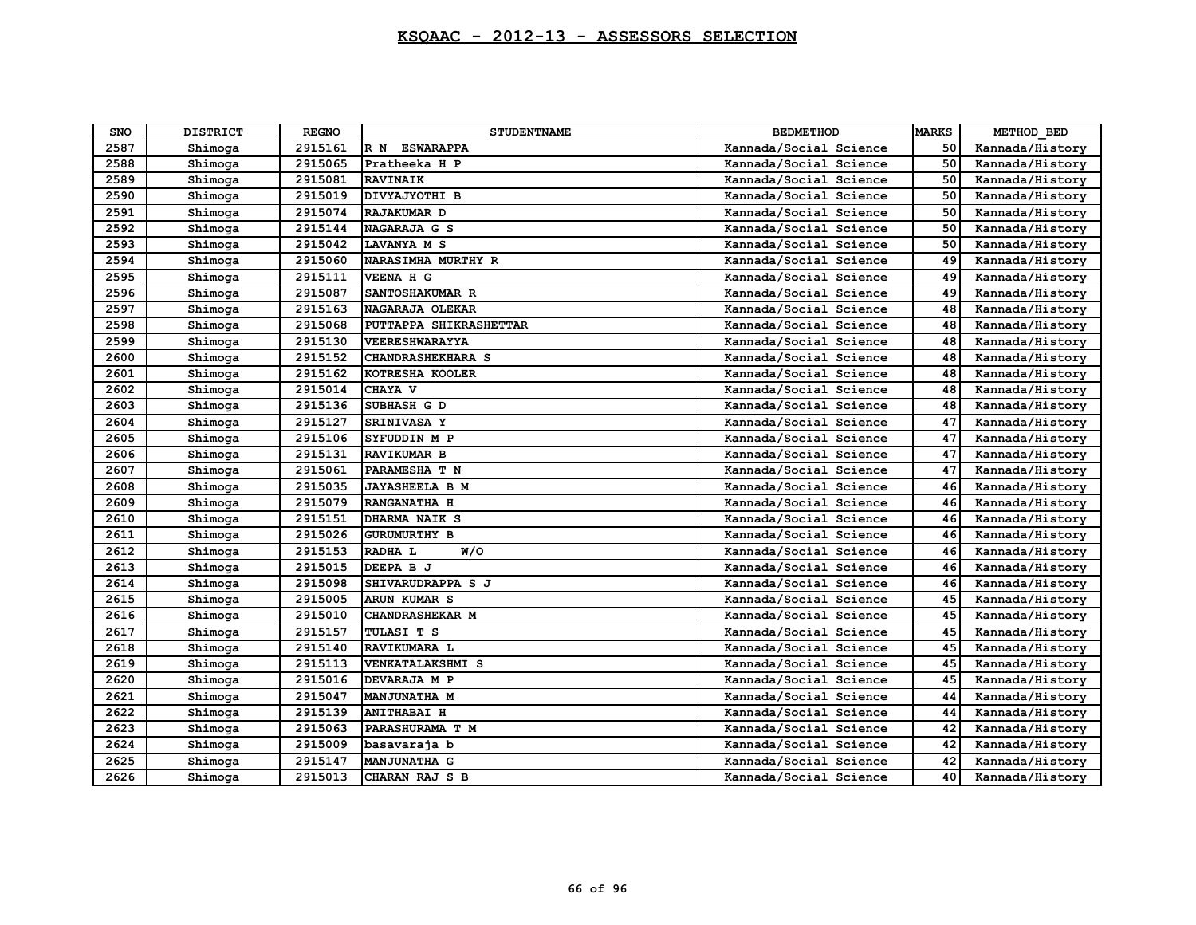| <b>SNO</b> | <b>DISTRICT</b> | <b>REGNO</b> | <b>STUDENTNAME</b>      | <b>BEDMETHOD</b>       | <b>MARKS</b> | METHOD BED      |
|------------|-----------------|--------------|-------------------------|------------------------|--------------|-----------------|
| 2587       | Shimoga         | 2915161      | <b>ESWARAPPA</b><br>R N | Kannada/Social Science | 50           | Kannada/History |
| 2588       | Shimoga         | 2915065      | Pratheeka H P           | Kannada/Social Science | 50           | Kannada/History |
| 2589       | Shimoga         | 2915081      | <b>RAVINAIK</b>         | Kannada/Social Science | 50           | Kannada/History |
| 2590       | Shimoga         | 2915019      | DIVYAJYOTHI B           | Kannada/Social Science | 50           | Kannada/History |
| 2591       | Shimoga         | 2915074      | RAJAKUMAR D             | Kannada/Social Science | 50           | Kannada/History |
| 2592       | Shimoga         | 2915144      | NAGARAJA G S            | Kannada/Social Science | 50           | Kannada/History |
| 2593       | Shimoga         | 2915042      | <b>LAVANYA M S</b>      | Kannada/Social Science | 50           | Kannada/History |
| 2594       | Shimoga         | 2915060      | NARASIMHA MURTHY R      | Kannada/Social Science | 49           | Kannada/History |
| 2595       | Shimoga         | 2915111      | VEENA H G               | Kannada/Social Science | 49           | Kannada/History |
| 2596       | Shimoga         | 2915087      | SANTOSHAKUMAR R         | Kannada/Social Science | 49           | Kannada/History |
| 2597       | Shimoga         | 2915163      | NAGARAJA OLEKAR         | Kannada/Social Science | 48           | Kannada/History |
| 2598       | Shimoga         | 2915068      | PUTTAPPA SHIKRASHETTAR  | Kannada/Social Science | 48           | Kannada/History |
| 2599       | Shimoga         | 2915130      | VEERESHWARAYYA          | Kannada/Social Science | 48           | Kannada/History |
| 2600       | Shimoga         | 2915152      | CHANDRASHEKHARA S       | Kannada/Social Science | 48           | Kannada/History |
| 2601       | Shimoga         | 2915162      | KOTRESHA KOOLER         | Kannada/Social Science | 48           | Kannada/History |
| 2602       | Shimoga         | 2915014      | CHAYA V                 | Kannada/Social Science | 48           | Kannada/History |
| 2603       | Shimoga         | 2915136      | SUBHASH G D             | Kannada/Social Science | 48           | Kannada/History |
| 2604       | Shimoga         | 2915127      | <b>SRINIVASA Y</b>      | Kannada/Social Science | 47           | Kannada/History |
| 2605       | Shimoga         | 2915106      | SYFUDDIN M P            | Kannada/Social Science | 47           | Kannada/History |
| 2606       | Shimoga         | 2915131      | RAVIKUMAR B             | Kannada/Social Science | 47           | Kannada/History |
| 2607       | Shimoga         | 2915061      | PARAMESHA T N           | Kannada/Social Science | 47           | Kannada/History |
| 2608       | Shimoga         | 2915035      | <b>JAYASHEELA B M</b>   | Kannada/Social Science | 46           | Kannada/History |
| 2609       | Shimoga         | 2915079      | RANGANATHA H            | Kannada/Social Science | 46           | Kannada/History |
| 2610       | Shimoga         | 2915151      | DHARMA NAIK S           | Kannada/Social Science | 46           | Kannada/History |
| 2611       | Shimoga         | 2915026      | <b>GURUMURTHY B</b>     | Kannada/Social Science | 46           | Kannada/History |
| 2612       | Shimoga         | 2915153      | W/O<br>RADHA L          | Kannada/Social Science | 46           | Kannada/History |
| 2613       | Shimoga         | 2915015      | DEEPA B J               | Kannada/Social Science | 46           | Kannada/History |
| 2614       | Shimoga         | 2915098      | SHIVARUDRAPPA S J       | Kannada/Social Science | 46           | Kannada/History |
| 2615       | Shimoga         | 2915005      | <b>ARUN KUMAR S</b>     | Kannada/Social Science | 45           | Kannada/History |
| 2616       | Shimoga         | 2915010      | <b>CHANDRASHEKAR M</b>  | Kannada/Social Science | 45           | Kannada/History |
| 2617       | Shimoga         | 2915157      | TULASI T S              | Kannada/Social Science | 45           | Kannada/History |
| 2618       | Shimoga         | 2915140      | RAVIKUMARA L            | Kannada/Social Science | 45           | Kannada/History |
| 2619       | Shimoga         | 2915113      | <b>VENKATALAKSHMI S</b> | Kannada/Social Science | 45           | Kannada/History |
| 2620       | Shimoga         | 2915016      | DEVARAJA M P            | Kannada/Social Science | 45           | Kannada/History |
| 2621       | Shimoga         | 2915047      | <b>MANJUNATHA M</b>     | Kannada/Social Science | 44           | Kannada/History |
| 2622       | Shimoga         | 2915139      | <b>ANITHABAI H</b>      | Kannada/Social Science | 44           | Kannada/History |
| 2623       | Shimoga         | 2915063      | PARASHURAMA T M         | Kannada/Social Science | 42           | Kannada/History |
| 2624       | Shimoga         | 2915009      | basavaraja b            | Kannada/Social Science | 42           | Kannada/History |
| 2625       | Shimoga         | 2915147      | <b>MANJUNATHA G</b>     | Kannada/Social Science | 42           | Kannada/History |
| 2626       | Shimoga         | 2915013      | CHARAN RAJ S B          | Kannada/Social Science | 40           | Kannada/History |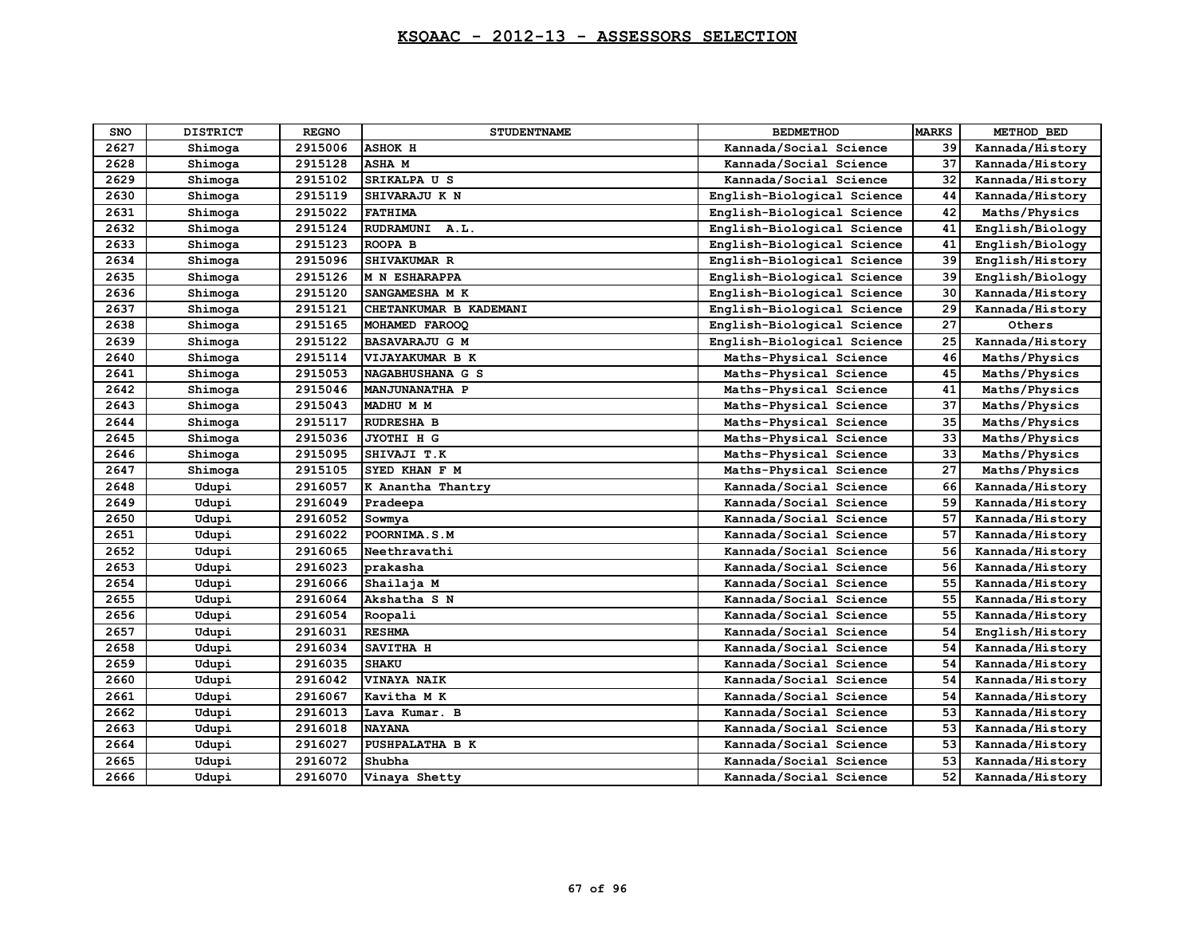| <b>SNO</b> | <b>DISTRICT</b> | <b>REGNO</b> | <b>STUDENTNAME</b>     | <b>BEDMETHOD</b>           | <b>MARKS</b> | METHOD BED      |
|------------|-----------------|--------------|------------------------|----------------------------|--------------|-----------------|
| 2627       | Shimoga         | 2915006      | <b>ASHOK H</b>         | Kannada/Social Science     | 39           | Kannada/History |
| 2628       | Shimoga         | 2915128      | <b>ASHAM</b>           | Kannada/Social Science     | 37           | Kannada/History |
| 2629       | Shimoga         | 2915102      | SRIKALPA U S           | Kannada/Social Science     | 32           | Kannada/History |
| 2630       | Shimoga         | 2915119      | SHIVARAJU K N          | English-Biological Science | 44           | Kannada/History |
| 2631       | Shimoga         | 2915022      | <b>FATHIMA</b>         | English-Biological Science | 42           | Maths/Physics   |
| 2632       | Shimoga         | 2915124      | RUDRAMUNI A.L.         | English-Biological Science | 41           | English/Biology |
| 2633       | Shimoga         | 2915123      | ROOPA B                | English-Biological Science | 41           | English/Biology |
| 2634       | Shimoga         | 2915096      | SHIVAKUMAR R           | English-Biological Science | 39           | English/History |
| 2635       | Shimoga         | 2915126      | M N ESHARAPPA          | English-Biological Science | 39           | English/Biology |
| 2636       | Shimoga         | 2915120      | SANGAMESHA M K         | English-Biological Science | 30           | Kannada/History |
| 2637       | Shimoga         | 2915121      | CHETANKUMAR B KADEMANI | English-Biological Science | 29           | Kannada/History |
| 2638       | Shimoga         | 2915165      | MOHAMED FAROOQ         | English-Biological Science | 27           | Others          |
| 2639       | Shimoga         | 2915122      | <b>BASAVARAJU G M</b>  | English-Biological Science | 25           | Kannada/History |
| 2640       | Shimoga         | 2915114      | VIJAYAKUMAR B K        | Maths-Physical Science     | 46           | Maths/Physics   |
| 2641       | Shimoga         | 2915053      | NAGABHUSHANA G S       | Maths-Physical Science     | 45           | Maths/Physics   |
| 2642       | Shimoga         | 2915046      | <b>MANJUNANATHA P</b>  | Maths-Physical Science     | 41           | Maths/Physics   |
| 2643       | Shimoga         | 2915043      | MADHU M M              | Maths-Physical Science     | 37           | Maths/Physics   |
| 2644       | Shimoga         | 2915117      | RUDRESHA B             | Maths-Physical Science     | 35           | Maths/Physics   |
| 2645       | Shimoga         | 2915036      | JYOTHI H G             | Maths-Physical Science     | 33           | Maths/Physics   |
| 2646       | Shimoga         | 2915095      | SHIVAJI T.K            | Maths-Physical Science     | 33           | Maths/Physics   |
| 2647       | Shimoga         | 2915105      | SYED KHAN F M          | Maths-Physical Science     | 27           | Maths/Physics   |
| 2648       | Udupi           | 2916057      | K Anantha Thantry      | Kannada/Social Science     | 66           | Kannada/History |
| 2649       | Udupi           | 2916049      | Pradeepa               | Kannada/Social Science     | 59           | Kannada/History |
| 2650       | Udupi           | 2916052      | Sowmya                 | Kannada/Social Science     | 57           | Kannada/History |
| 2651       | Udupi           | 2916022      | POORNIMA.S.M           | Kannada/Social Science     | 57           | Kannada/History |
| 2652       | Udupi           | 2916065      | Neethravathi           | Kannada/Social Science     | 56           | Kannada/History |
| 2653       | Udupi           | 2916023      | prakasha               | Kannada/Social Science     | 56           | Kannada/History |
| 2654       | Udupi           | 2916066      | Shailaja M             | Kannada/Social Science     | 55           | Kannada/History |
| 2655       | Udupi           | 2916064      | Akshatha S N           | Kannada/Social Science     | 55           | Kannada/History |
| 2656       | Udupi           | 2916054      | Roopali                | Kannada/Social Science     | 55           | Kannada/History |
| 2657       | Udupi           | 2916031      | <b>RESHMA</b>          | Kannada/Social Science     | 54           | English/History |
| 2658       | Udupi           | 2916034      | SAVITHA H              | Kannada/Social Science     | 54           | Kannada/History |
| 2659       | Udupi           | 2916035      | <b>SHAKU</b>           | Kannada/Social Science     | 54           | Kannada/History |
| 2660       | Udupi           | 2916042      | <b>VINAYA NAIK</b>     | Kannada/Social Science     | 54           | Kannada/History |
| 2661       | Udupi           | 2916067      | Kavitha M K            | Kannada/Social Science     | 54           | Kannada/History |
| 2662       | Udupi           | 2916013      | Lava Kumar. B          | Kannada/Social Science     | 53           | Kannada/History |
| 2663       | Udupi           | 2916018      | <b>NAYANA</b>          | Kannada/Social Science     | 53           | Kannada/History |
| 2664       | Udupi           | 2916027      | PUSHPALATHA B K        | Kannada/Social Science     | 53           | Kannada/History |
| 2665       | Udupi           | 2916072      | Shubha                 | Kannada/Social Science     | 53           | Kannada/History |
| 2666       | Udupi           | 2916070      | Vinaya Shetty          | Kannada/Social Science     | 52           | Kannada/History |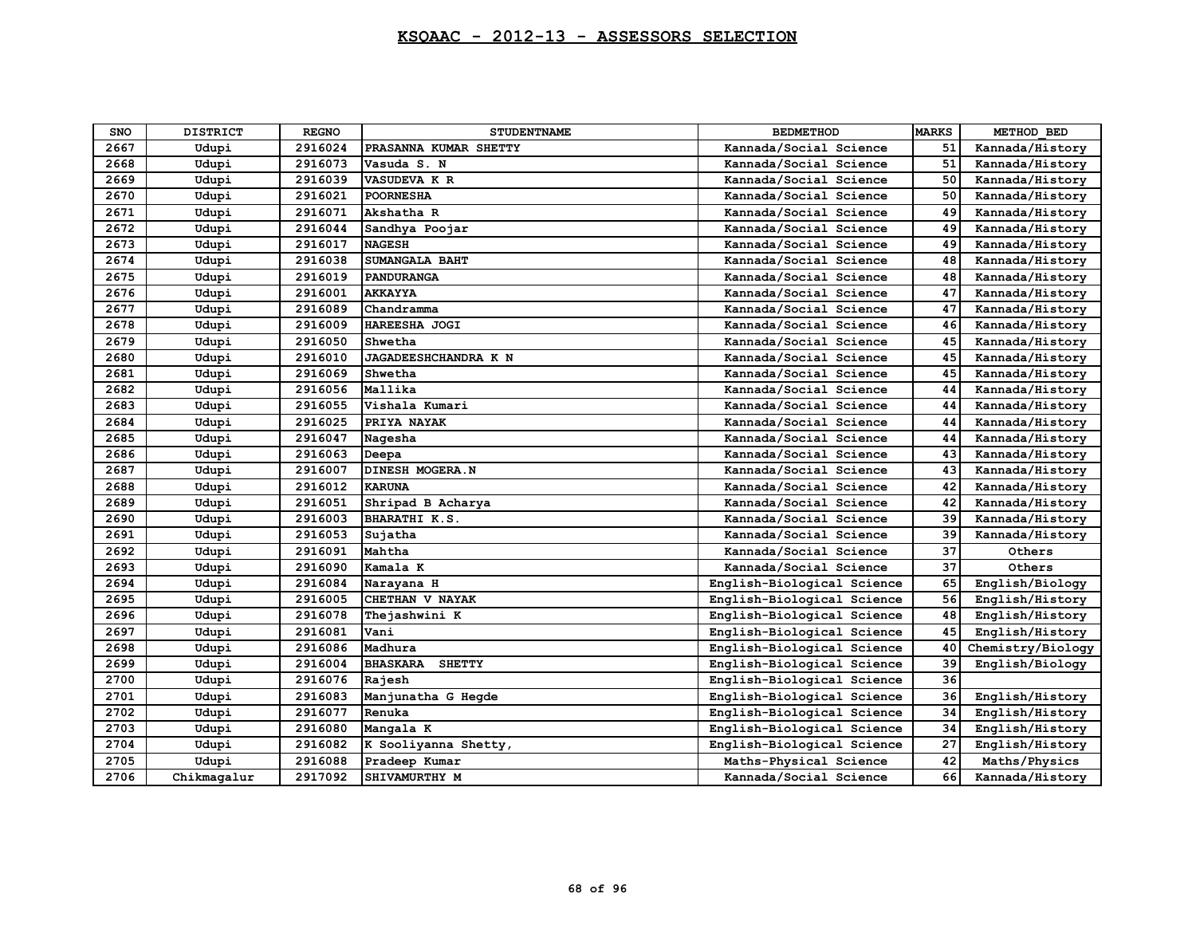| SNO  | <b>DISTRICT</b> | <b>REGNO</b> | <b>STUDENTNAME</b>               | <b>BEDMETHOD</b>           | <b>MARKS</b> | METHOD BED        |
|------|-----------------|--------------|----------------------------------|----------------------------|--------------|-------------------|
| 2667 | Udupi           | 2916024      | PRASANNA KUMAR SHETTY            | Kannada/Social Science     | 51           | Kannada/History   |
| 2668 | Udupi           | 2916073      | Vasuda S. N                      | Kannada/Social Science     | 51           | Kannada/History   |
| 2669 | Udupi           | 2916039      | VASUDEVA K R                     | Kannada/Social Science     | 50           | Kannada/History   |
| 2670 | Udupi           | 2916021      | <b>POORNESHA</b>                 | Kannada/Social Science     | 50           | Kannada/History   |
| 2671 | Udupi           | 2916071      | Akshatha R                       | Kannada/Social Science     | 49           | Kannada/History   |
| 2672 | Udupi           | 2916044      | Sandhya Poojar                   | Kannada/Social Science     | 49           | Kannada/History   |
| 2673 | Udupi           | 2916017      | <b>NAGESH</b>                    | Kannada/Social Science     | 49           | Kannada/History   |
| 2674 | Udupi           | 2916038      | SUMANGALA BAHT                   | Kannada/Social Science     | 48           | Kannada/History   |
| 2675 | Udupi           | 2916019      | <b>PANDURANGA</b>                | Kannada/Social Science     | 48           | Kannada/History   |
| 2676 | Udupi           | 2916001      | <b>AKKAYYA</b>                   | Kannada/Social Science     | 47           | Kannada/History   |
| 2677 | Udupi           | 2916089      | Chandramma                       | Kannada/Social Science     | 47           | Kannada/History   |
| 2678 | Udupi           | 2916009      | HAREESHA JOGI                    | Kannada/Social Science     | 46           | Kannada/History   |
| 2679 | Udupi           | 2916050      | Shwetha                          | Kannada/Social Science     | 45           | Kannada/History   |
| 2680 | Udupi           | 2916010      | JAGADEESHCHANDRA K N             | Kannada/Social Science     | 45           | Kannada/History   |
| 2681 | Udupi           | 2916069      | Shwetha                          | Kannada/Social Science     | 45           | Kannada/History   |
| 2682 | Udupi           | 2916056      | Mallika                          | Kannada/Social Science     | 44           | Kannada/History   |
| 2683 | Udupi           | 2916055      | Vishala Kumari                   | Kannada/Social Science     | 44           | Kannada/History   |
| 2684 | Udupi           | 2916025      | PRIYA NAYAK                      | Kannada/Social Science     | 44           | Kannada/History   |
| 2685 | Udupi           | 2916047      | Nagesha                          | Kannada/Social Science     | 44           | Kannada/History   |
| 2686 | Udupi           | 2916063      | Deepa                            | Kannada/Social Science     | 43           | Kannada/History   |
| 2687 | Udupi           | 2916007      | DINESH MOGERA.N                  | Kannada/Social Science     | 43           | Kannada/History   |
| 2688 | Udupi           | 2916012      | <b>KARUNA</b>                    | Kannada/Social Science     | 42           | Kannada/History   |
| 2689 | Udupi           | 2916051      | Shripad B Acharya                | Kannada/Social Science     | 42           | Kannada/History   |
| 2690 | Udupi           | 2916003      | BHARATHI K.S.                    | Kannada/Social Science     | 39           | Kannada/History   |
| 2691 | Udupi           | 2916053      | Sujatha                          | Kannada/Social Science     | 39           | Kannada/History   |
| 2692 | Udupi           | 2916091      | Mahtha                           | Kannada/Social Science     | 37           | Others            |
| 2693 | Udupi           | 2916090      | Kamala K                         | Kannada/Social Science     | 37           | Others            |
| 2694 | Udupi           | 2916084      | Narayana H                       | English-Biological Science | 65           | English/Biology   |
| 2695 | Udupi           | 2916005      | CHETHAN V NAYAK                  | English-Biological Science | 56           | English/History   |
| 2696 | Udupi           | 2916078      | Thejashwini K                    | English-Biological Science | 48           | English/History   |
| 2697 | Udupi           | 2916081      | Vani                             | English-Biological Science | 45           | English/History   |
| 2698 | Udupi           | 2916086      | Madhura                          | English-Biological Science | 40           | Chemistry/Biology |
| 2699 | Udupi           | 2916004      | <b>BHASKARA</b><br><b>SHETTY</b> | English-Biological Science | 39           | English/Biology   |
| 2700 | Udupi           | 2916076      | Rajesh                           | English-Biological Science | 36           |                   |
| 2701 | Udupi           | 2916083      | Manjunatha G Hegde               | English-Biological Science | 36           | English/History   |
| 2702 | Udupi           | 2916077      | Renuka                           | English-Biological Science | 34           | English/History   |
| 2703 | Udupi           | 2916080      | Mangala K                        | English-Biological Science | 34           | English/History   |
| 2704 | Udupi           | 2916082      | K Sooliyanna Shetty,             | English-Biological Science | 27           | English/History   |
| 2705 | Udupi           | 2916088      | Pradeep Kumar                    | Maths-Physical Science     | 42           | Maths/Physics     |
| 2706 | Chikmagalur     | 2917092      | SHIVAMURTHY M                    | Kannada/Social Science     | 66           | Kannada/History   |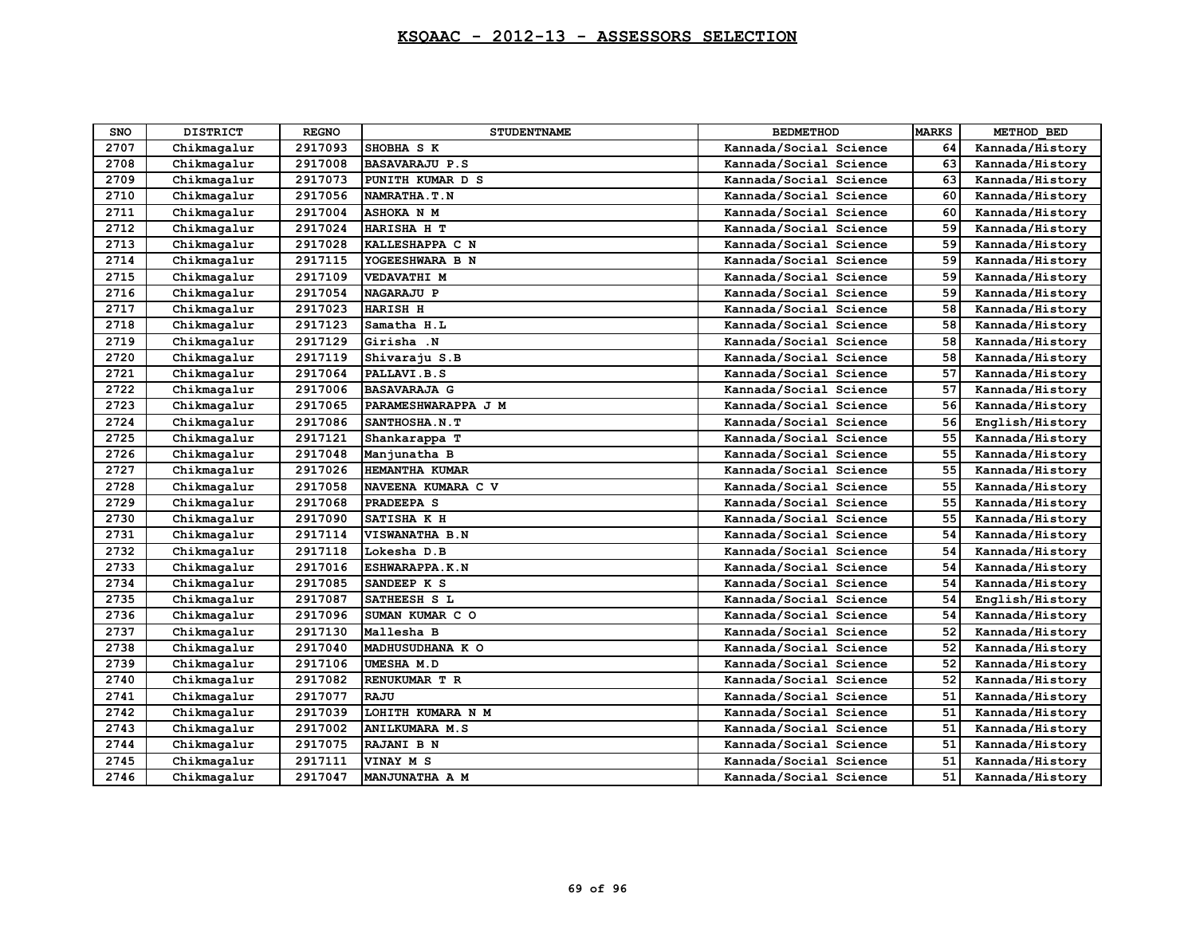| <b>SNO</b> | <b>DISTRICT</b> | <b>REGNO</b> | <b>STUDENTNAME</b>    | <b>BEDMETHOD</b>       | <b>MARKS</b> | METHOD BED      |
|------------|-----------------|--------------|-----------------------|------------------------|--------------|-----------------|
| 2707       | Chikmagalur     | 2917093      | SHOBHA S K            | Kannada/Social Science | 64           | Kannada/History |
| 2708       | Chikmagalur     | 2917008      | <b>BASAVARAJU P.S</b> | Kannada/Social Science | 63           | Kannada/History |
| 2709       | Chikmagalur     | 2917073      | PUNITH KUMAR D S      | Kannada/Social Science | 63           | Kannada/History |
| 2710       | Chikmagalur     | 2917056      | NAMRATHA.T.N          | Kannada/Social Science | 60           | Kannada/History |
| 2711       | Chikmagalur     | 2917004      | <b>ASHOKA N M</b>     | Kannada/Social Science | 60           | Kannada/History |
| 2712       | Chikmagalur     | 2917024      | HARISHA H T           | Kannada/Social Science | 59           | Kannada/History |
| 2713       | Chikmagalur     | 2917028      | KALLESHAPPA C N       | Kannada/Social Science | 59           | Kannada/History |
| 2714       | Chikmagalur     | 2917115      | YOGEESHWARA B N       | Kannada/Social Science | 59           | Kannada/History |
| 2715       | Chikmagalur     | 2917109      | <b>VEDAVATHI M</b>    | Kannada/Social Science | 59           | Kannada/History |
| 2716       | Chikmagalur     | 2917054      | <b>NAGARAJU P</b>     | Kannada/Social Science | 59           | Kannada/History |
| 2717       | Chikmagalur     | 2917023      | <b>HARISH H</b>       | Kannada/Social Science | 58           | Kannada/History |
| 2718       | Chikmagalur     | 2917123      | Samatha H.L           | Kannada/Social Science | 58           | Kannada/History |
| 2719       | Chikmagalur     | 2917129      | Girisha .N            | Kannada/Social Science | 58           | Kannada/History |
| 2720       | Chikmagalur     | 2917119      | Shivaraju S.B         | Kannada/Social Science | 58           | Kannada/History |
| 2721       | Chikmagalur     | 2917064      | PALLAVI.B.S           | Kannada/Social Science | 57           | Kannada/History |
| 2722       | Chikmagalur     | 2917006      | <b>BASAVARAJA G</b>   | Kannada/Social Science | 57           | Kannada/History |
| 2723       | Chikmagalur     | 2917065      | PARAMESHWARAPPA J M   | Kannada/Social Science | 56           | Kannada/History |
| 2724       | Chikmagalur     | 2917086      | SANTHOSHA.N.T         | Kannada/Social Science | 56           | English/History |
| 2725       | Chikmagalur     | 2917121      | Shankarappa T         | Kannada/Social Science | 55           | Kannada/History |
| 2726       | Chikmagalur     | 2917048      | Manjunatha B          | Kannada/Social Science | 55           | Kannada/History |
| 2727       | Chikmagalur     | 2917026      | HEMANTHA KUMAR        | Kannada/Social Science | 55           | Kannada/History |
| 2728       | Chikmagalur     | 2917058      | NAVEENA KUMARA C V    | Kannada/Social Science | 55           | Kannada/History |
| 2729       | Chikmagalur     | 2917068      | PRADEEPA S            | Kannada/Social Science | 55           | Kannada/History |
| 2730       | Chikmagalur     | 2917090      | SATISHA K H           | Kannada/Social Science | 55           | Kannada/History |
| 2731       | Chikmagalur     | 2917114      | VISWANATHA B.N        | Kannada/Social Science | 54           | Kannada/History |
| 2732       | Chikmagalur     | 2917118      | Lokesha D.B           | Kannada/Social Science | 54           | Kannada/History |
| 2733       | Chikmagalur     | 2917016      | ESHWARAPPA.K.N        | Kannada/Social Science | 54           | Kannada/History |
| 2734       | Chikmagalur     | 2917085      | SANDEEP K S           | Kannada/Social Science | 54           | Kannada/History |
| 2735       | Chikmagalur     | 2917087      | SATHEESH S L          | Kannada/Social Science | 54           | English/History |
| 2736       | Chikmagalur     | 2917096      | SUMAN KUMAR C O       | Kannada/Social Science | 54           | Kannada/History |
| 2737       | Chikmagalur     | 2917130      | Mallesha B            | Kannada/Social Science | 52           | Kannada/History |
| 2738       | Chikmagalur     | 2917040      | MADHUSUDHANA K O      | Kannada/Social Science | 52           | Kannada/History |
| 2739       | Chikmagalur     | 2917106      | UMESHA M.D            | Kannada/Social Science | 52           | Kannada/History |
| 2740       | Chikmagalur     | 2917082      | RENUKUMAR T R         | Kannada/Social Science | 52           | Kannada/History |
| 2741       | Chikmagalur     | 2917077      | <b>RAJU</b>           | Kannada/Social Science | 51           | Kannada/History |
| 2742       | Chikmagalur     | 2917039      | LOHITH KUMARA N M     | Kannada/Social Science | 51           | Kannada/History |
| 2743       | Chikmagalur     | 2917002      | <b>ANILKUMARA M.S</b> | Kannada/Social Science | 51           | Kannada/History |
| 2744       | Chikmagalur     | 2917075      | RAJANI B N            | Kannada/Social Science | 51           | Kannada/History |
| 2745       | Chikmagalur     | 2917111      | VINAY M S             | Kannada/Social Science | 51           | Kannada/History |
| 2746       | Chikmagalur     | 2917047      | MANJUNATHA A M        | Kannada/Social Science | 51           | Kannada/History |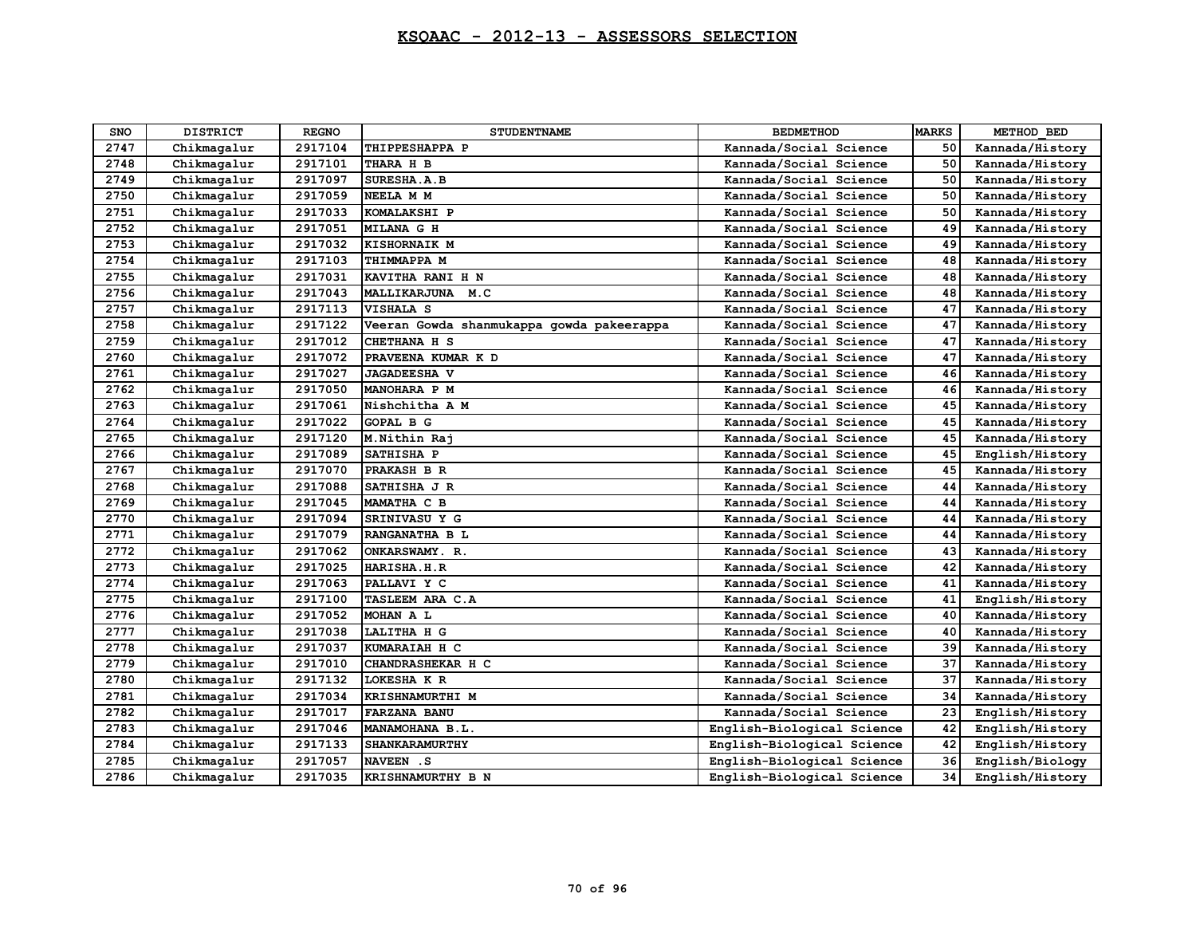| <b>SNO</b> | <b>DISTRICT</b> | <b>REGNO</b> | <b>STUDENTNAME</b>                        | <b>BEDMETHOD</b>           | <b>MARKS</b> | METHOD BED      |
|------------|-----------------|--------------|-------------------------------------------|----------------------------|--------------|-----------------|
| 2747       | Chikmagalur     | 2917104      | THIPPESHAPPA P                            | Kannada/Social Science     | 50           | Kannada/History |
| 2748       | Chikmagalur     | 2917101      | THARA H B                                 | Kannada/Social Science     | 50           | Kannada/History |
| 2749       | Chikmagalur     | 2917097      | SURESHA.A.B                               | Kannada/Social Science     | 50           | Kannada/History |
| 2750       | Chikmagalur     | 2917059      | NEELA M M                                 | Kannada/Social Science     | 50           | Kannada/History |
| 2751       | Chikmagalur     | 2917033      | KOMALAKSHI P                              | Kannada/Social Science     | 50           | Kannada/History |
| 2752       | Chikmagalur     | 2917051      | <b>MILANA G H</b>                         | Kannada/Social Science     | 49           | Kannada/History |
| 2753       | Chikmagalur     | 2917032      | KISHORNAIK M                              | Kannada/Social Science     | 49           | Kannada/History |
| 2754       | Chikmagalur     | 2917103      | THIMMAPPA M                               | Kannada/Social Science     | 48           | Kannada/History |
| 2755       | Chikmagalur     | 2917031      | KAVITHA RANI H N                          | Kannada/Social Science     | 48           | Kannada/History |
| 2756       | Chikmagalur     | 2917043      | MALLIKARJUNA<br>M.C                       | Kannada/Social Science     | 48           | Kannada/History |
| 2757       | Chikmagalur     | 2917113      | VISHALA S                                 | Kannada/Social Science     | 47           | Kannada/History |
| 2758       | Chikmagalur     | 2917122      | Veeran Gowda shanmukappa gowda pakeerappa | Kannada/Social Science     | 47           | Kannada/History |
| 2759       | Chikmagalur     | 2917012      | CHETHANA H S                              | Kannada/Social Science     | 47           | Kannada/History |
| 2760       | Chikmagalur     | 2917072      | PRAVEENA KUMAR K D                        | Kannada/Social Science     | 47           | Kannada/History |
| 2761       | Chikmagalur     | 2917027      | <b>JAGADEESHA V</b>                       | Kannada/Social Science     | 46           | Kannada/History |
| 2762       | Chikmagalur     | 2917050      | MANOHARA P M                              | Kannada/Social Science     | 46           | Kannada/History |
| 2763       | Chikmagalur     | 2917061      | Nishchitha A M                            | Kannada/Social Science     | 45           | Kannada/History |
| 2764       | Chikmagalur     | 2917022      | <b>GOPAL B G</b>                          | Kannada/Social Science     | 45           | Kannada/History |
| 2765       | Chikmagalur     | 2917120      | M. Nithin Raj                             | Kannada/Social Science     | 45           | Kannada/History |
| 2766       | Chikmagalur     | 2917089      | SATHISHA P                                | Kannada/Social Science     | 45           | English/History |
| 2767       | Chikmagalur     | 2917070      | PRAKASH B R                               | Kannada/Social Science     | 45           | Kannada/History |
| 2768       | Chikmagalur     | 2917088      | SATHISHA J R                              | Kannada/Social Science     | 44           | Kannada/History |
| 2769       | Chikmagalur     | 2917045      | MAMATHA C B                               | Kannada/Social Science     | 44           | Kannada/History |
| 2770       | Chikmagalur     | 2917094      | SRINIVASU Y G                             | Kannada/Social Science     | 44           | Kannada/History |
| 2771       | Chikmagalur     | 2917079      | RANGANATHA B L                            | Kannada/Social Science     | 44           | Kannada/History |
| 2772       | Chikmagalur     | 2917062      | ONKARSWAMY. R.                            | Kannada/Social Science     | 43           | Kannada/History |
| 2773       | Chikmagalur     | 2917025      | HARISHA.H.R                               | Kannada/Social Science     | 42           | Kannada/History |
| 2774       | Chikmagalur     | 2917063      | PALLAVI Y C                               | Kannada/Social Science     | 41           | Kannada/History |
| 2775       | Chikmagalur     | 2917100      | TASLEEM ARA C.A                           | Kannada/Social Science     | 41           | English/History |
| 2776       | Chikmagalur     | 2917052      | MOHAN A L                                 | Kannada/Social Science     | 40           | Kannada/History |
| 2777       | Chikmagalur     | 2917038      | LALITHA H G                               | Kannada/Social Science     | 40           | Kannada/History |
| 2778       | Chikmagalur     | 2917037      | KUMARAIAH H C                             | Kannada/Social Science     | 39           | Kannada/History |
| 2779       | Chikmagalur     | 2917010      | CHANDRASHEKAR H C                         | Kannada/Social Science     | 37           | Kannada/History |
| 2780       | Chikmagalur     | 2917132      | LOKESHA K R                               | Kannada/Social Science     | 37           | Kannada/History |
| 2781       | Chikmagalur     | 2917034      | KRISHNAMURTHI M                           | Kannada/Social Science     | 34           | Kannada/History |
| 2782       | Chikmagalur     | 2917017      | <b>FARZANA BANU</b>                       | Kannada/Social Science     | 23           | English/History |
| 2783       | Chikmagalur     | 2917046      | MANAMOHANA B.L.                           | English-Biological Science | 42           | English/History |
| 2784       | Chikmagalur     | 2917133      | <b>SHANKARAMURTHY</b>                     | English-Biological Science | 42           | English/History |
| 2785       | Chikmagalur     | 2917057      | NAVEEN .S                                 | English-Biological Science | 36           | English/Biology |
| 2786       | Chikmagalur     | 2917035      | KRISHNAMURTHY B N                         | English-Biological Science | 34           | English/History |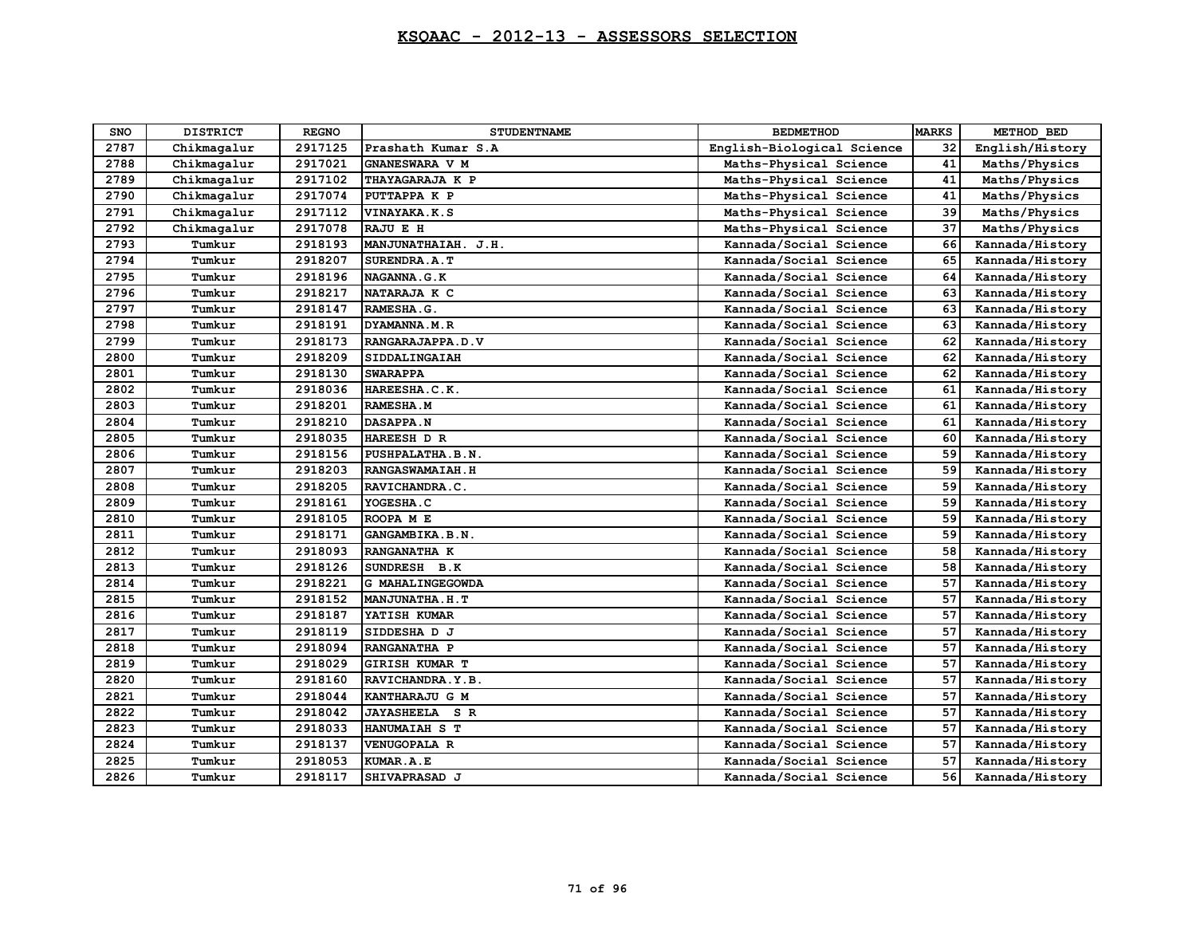| SNO  | <b>DISTRICT</b> | <b>REGNO</b> | <b>STUDENTNAME</b>       | <b>BEDMETHOD</b>           | <b>MARKS</b> | METHOD BED      |
|------|-----------------|--------------|--------------------------|----------------------------|--------------|-----------------|
| 2787 | Chikmagalur     | 2917125      | Prashath Kumar S.A       | English-Biological Science | 32           | English/History |
| 2788 | Chikmagalur     | 2917021      | GNANESWARA V M           | Maths-Physical Science     | 41           | Maths/Physics   |
| 2789 | Chikmagalur     | 2917102      | THAYAGARAJA K P          | Maths-Physical Science     | 41           | Maths/Physics   |
| 2790 | Chikmagalur     | 2917074      | PUTTAPPA K P             | Maths-Physical Science     | 41           | Maths/Physics   |
| 2791 | Chikmagalur     | 2917112      | VINAYAKA.K.S             | Maths-Physical Science     | 39           | Maths/Physics   |
| 2792 | Chikmagalur     | 2917078      | RAJU E H                 | Maths-Physical Science     | 37           | Maths/Physics   |
| 2793 | Tumkur          | 2918193      | MANJUNATHAIAH. J.H.      | Kannada/Social Science     | 66           | Kannada/History |
| 2794 | Tumkur          | 2918207      | SURENDRA.A.T             | Kannada/Social Science     | 65           | Kannada/History |
| 2795 | Tumkur          | 2918196      | NAGANNA.G.K              | Kannada/Social Science     | 64           | Kannada/History |
| 2796 | Tumkur          | 2918217      | NATARAJA K C             | Kannada/Social Science     | 63           | Kannada/History |
| 2797 | Tumkur          | 2918147      | RAMESHA.G.               | Kannada/Social Science     | 63           | Kannada/History |
| 2798 | Tumkur          | 2918191      | DYAMANNA.M.R             | Kannada/Social Science     | 63           | Kannada/History |
| 2799 | Tumkur          | 2918173      | RANGARAJAPPA.D.V         | Kannada/Social Science     | 62           | Kannada/History |
| 2800 | Tumkur          | 2918209      | SIDDALINGAIAH            | Kannada/Social Science     | 62           | Kannada/History |
| 2801 | Tumkur          | 2918130      | <b>SWARAPPA</b>          | Kannada/Social Science     | 62           | Kannada/History |
| 2802 | Tumkur          | 2918036      | HAREESHA.C.K.            | Kannada/Social Science     | 61           | Kannada/History |
| 2803 | Tumkur          | 2918201      | RAMESHA.M                | Kannada/Social Science     | 61           | Kannada/History |
| 2804 | Tumkur          | 2918210      | <b>DASAPPA.N</b>         | Kannada/Social Science     | 61           | Kannada/History |
| 2805 | Tumkur          | 2918035      | HAREESH D R              | Kannada/Social Science     | 60           | Kannada/History |
| 2806 | Tumkur          | 2918156      | PUSHPALATHA.B.N.         | Kannada/Social Science     | 59           | Kannada/History |
| 2807 | Tumkur          | 2918203      | RANGASWAMAIAH.H          | Kannada/Social Science     | 59           | Kannada/History |
| 2808 | Tumkur          | 2918205      | RAVICHANDRA.C.           | Kannada/Social Science     | 59           | Kannada/History |
| 2809 | Tumkur          | 2918161      | YOGESHA.C                | Kannada/Social Science     | 59           | Kannada/History |
| 2810 | Tumkur          | 2918105      | ROOPA ME                 | Kannada/Social Science     | 59           | Kannada/History |
| 2811 | Tumkur          | 2918171      | GANGAMBIKA.B.N.          | Kannada/Social Science     | 59           | Kannada/History |
| 2812 | Tumkur          | 2918093      | RANGANATHA K             | Kannada/Social Science     | 58           | Kannada/History |
| 2813 | Tumkur          | 2918126      | SUNDRESH B.K             | Kannada/Social Science     | 58           | Kannada/History |
| 2814 | Tumkur          | 2918221      | G MAHALINGEGOWDA         | Kannada/Social Science     | 57           | Kannada/History |
| 2815 | Tumkur          | 2918152      | <b>MANJUNATHA.H.T</b>    | Kannada/Social Science     | 57           | Kannada/History |
| 2816 | Tumkur          | 2918187      | YATISH KUMAR             | Kannada/Social Science     | 57           | Kannada/History |
| 2817 | Tumkur          | 2918119      | SIDDESHA D J             | Kannada/Social Science     | 57           | Kannada/History |
| 2818 | Tumkur          | 2918094      | RANGANATHA P             | Kannada/Social Science     | 57           | Kannada/History |
| 2819 | Tumkur          | 2918029      | <b>GIRISH KUMAR T</b>    | Kannada/Social Science     | 57           | Kannada/History |
| 2820 | Tumkur          | 2918160      | RAVICHANDRA.Y.B.         | Kannada/Social Science     | 57           | Kannada/History |
| 2821 | Tumkur          | 2918044      | KANTHARAJU G M           | Kannada/Social Science     | 57           | Kannada/History |
| 2822 | Tumkur          | 2918042      | S R<br><b>JAYASHEELA</b> | Kannada/Social Science     | 57           | Kannada/History |
| 2823 | Tumkur          | 2918033      | HANUMAIAH S T            | Kannada/Social Science     | 57           | Kannada/History |
| 2824 | Tumkur          | 2918137      | <b>VENUGOPALA R</b>      | Kannada/Social Science     | 57           | Kannada/History |
| 2825 | Tumkur          | 2918053      | KUMAR.A.E                | Kannada/Social Science     | 57           | Kannada/History |
| 2826 | Tumkur          | 2918117      | SHIVAPRASAD J            | Kannada/Social Science     | 56           | Kannada/History |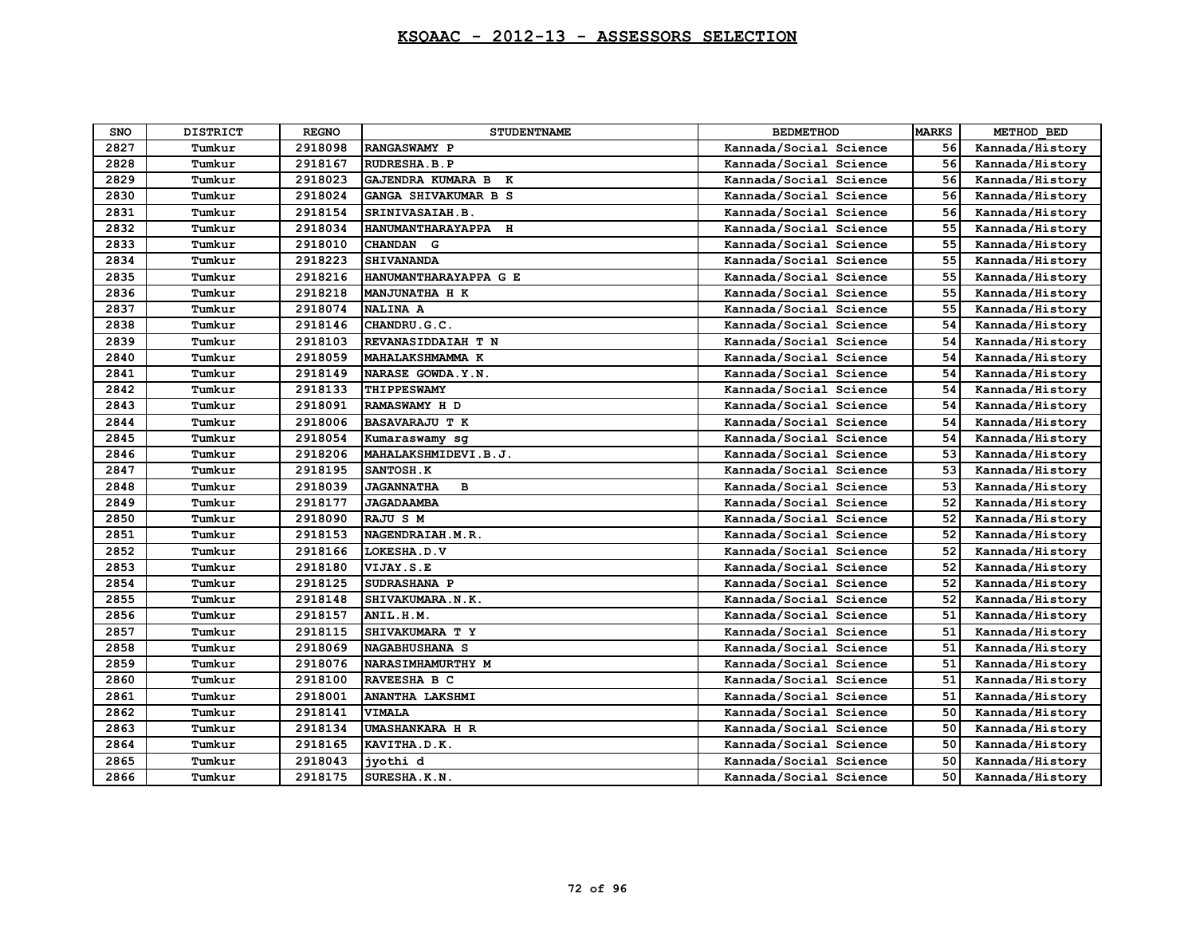| <b>SNO</b> | <b>DISTRICT</b> | <b>REGNO</b> | <b>STUDENTNAME</b>       | <b>BEDMETHOD</b>       | <b>MARKS</b> | METHOD BED      |
|------------|-----------------|--------------|--------------------------|------------------------|--------------|-----------------|
| 2827       | Tumkur          | 2918098      | RANGASWAMY P             | Kannada/Social Science | 56           | Kannada/History |
| 2828       | Tumkur          | 2918167      | RUDRESHA.B.P             | Kannada/Social Science | 56           | Kannada/History |
| 2829       | Tumkur          | 2918023      | GAJENDRA KUMARA B K      | Kannada/Social Science | 56           | Kannada/History |
| 2830       | Tumkur          | 2918024      | GANGA SHIVAKUMAR B S     | Kannada/Social Science | 56           | Kannada/History |
| 2831       | Tumkur          | 2918154      | SRINIVASAIAH.B.          | Kannada/Social Science | 56           | Kannada/History |
| 2832       | Tumkur          | 2918034      | HANUMANTHARAYAPPA H      | Kannada/Social Science | 55           | Kannada/History |
| 2833       | Tumkur          | 2918010      | CHANDAN G                | Kannada/Social Science | 55           | Kannada/History |
| 2834       | Tumkur          | 2918223      | <b>SHIVANANDA</b>        | Kannada/Social Science | 55           | Kannada/History |
| 2835       | Tumkur          | 2918216      | HANUMANTHARAYAPPA G E    | Kannada/Social Science | 55           | Kannada/History |
| 2836       | Tumkur          | 2918218      | MANJUNATHA H K           | Kannada/Social Science | 55           | Kannada/History |
| 2837       | Tumkur          | 2918074      | <b>NALINA A</b>          | Kannada/Social Science | 55           | Kannada/History |
| 2838       | Tumkur          | 2918146      | CHANDRU.G.C.             | Kannada/Social Science | 54           | Kannada/History |
| 2839       | Tumkur          | 2918103      | REVANASIDDAIAH T N       | Kannada/Social Science | 54           | Kannada/History |
| 2840       | Tumkur          | 2918059      | MAHALAKSHMAMMA K         | Kannada/Social Science | 54           | Kannada/History |
| 2841       | Tumkur          | 2918149      | NARASE GOWDA.Y.N.        | Kannada/Social Science | 54           | Kannada/History |
| 2842       | Tumkur          | 2918133      | THIPPESWAMY              | Kannada/Social Science | 54           | Kannada/History |
| 2843       | Tumkur          | 2918091      | RAMASWAMY H D            | Kannada/Social Science | 54           | Kannada/History |
| 2844       | Tumkur          | 2918006      | <b>BASAVARAJU T K</b>    | Kannada/Social Science | 54           | Kannada/History |
| 2845       | Tumkur          | 2918054      | Kumaraswamy sg           | Kannada/Social Science | 54           | Kannada/History |
| 2846       | Tumkur          | 2918206      | MAHALAKSHMIDEVI.B.J.     | Kannada/Social Science | 53           | Kannada/History |
| 2847       | Tumkur          | 2918195      | SANTOSH.K                | Kannada/Social Science | 53           | Kannada/History |
| 2848       | Tumkur          | 2918039      | <b>JAGANNATHA</b><br>в   | Kannada/Social Science | 53           | Kannada/History |
| 2849       | Tumkur          | 2918177      | <b>JAGADAAMBA</b>        | Kannada/Social Science | 52           | Kannada/History |
| 2850       | Tumkur          | 2918090      | RAJU S M                 | Kannada/Social Science | 52           | Kannada/History |
| 2851       | Tumkur          | 2918153      | NAGENDRAIAH.M.R.         | Kannada/Social Science | 52           | Kannada/History |
| 2852       | Tumkur          | 2918166      | LOKESHA.D.V              | Kannada/Social Science | 52           | Kannada/History |
| 2853       | Tumkur          | 2918180      | VIJAY.S.E                | Kannada/Social Science | 52           | Kannada/History |
| 2854       | Tumkur          | 2918125      | SUDRASHANA P             | Kannada/Social Science | 52           | Kannada/History |
| 2855       | Tumkur          | 2918148      | SHIVAKUMARA.N.K.         | Kannada/Social Science | 52           | Kannada/History |
| 2856       | Tumkur          | 2918157      | ANIL.H.M.                | Kannada/Social Science | 51           | Kannada/History |
| 2857       | Tumkur          | 2918115      | SHIVAKUMARA T Y          | Kannada/Social Science | 51           | Kannada/History |
| 2858       | Tumkur          | 2918069      | NAGABHUSHANA S           | Kannada/Social Science | 51           | Kannada/History |
| 2859       | Tumkur          | 2918076      | <b>NARASIMHAMURTHY M</b> | Kannada/Social Science | 51           | Kannada/History |
| 2860       | Tumkur          | 2918100      | RAVEESHA B C             | Kannada/Social Science | 51           | Kannada/History |
| 2861       | Tumkur          | 2918001      | <b>ANANTHA LAKSHMI</b>   | Kannada/Social Science | 51           | Kannada/History |
| 2862       | Tumkur          | 2918141      | <b>VIMALA</b>            | Kannada/Social Science | 50           | Kannada/History |
| 2863       | Tumkur          | 2918134      | <b>UMASHANKARA H R</b>   | Kannada/Social Science | 50           | Kannada/History |
| 2864       | Tumkur          | 2918165      | KAVITHA.D.K.             | Kannada/Social Science | 50           | Kannada/History |
| 2865       | Tumkur          | 2918043      | ivothi d                 | Kannada/Social Science | 50           | Kannada/History |
| 2866       | Tumkur          | 2918175      | SURESHA.K.N.             | Kannada/Social Science | 50           | Kannada/History |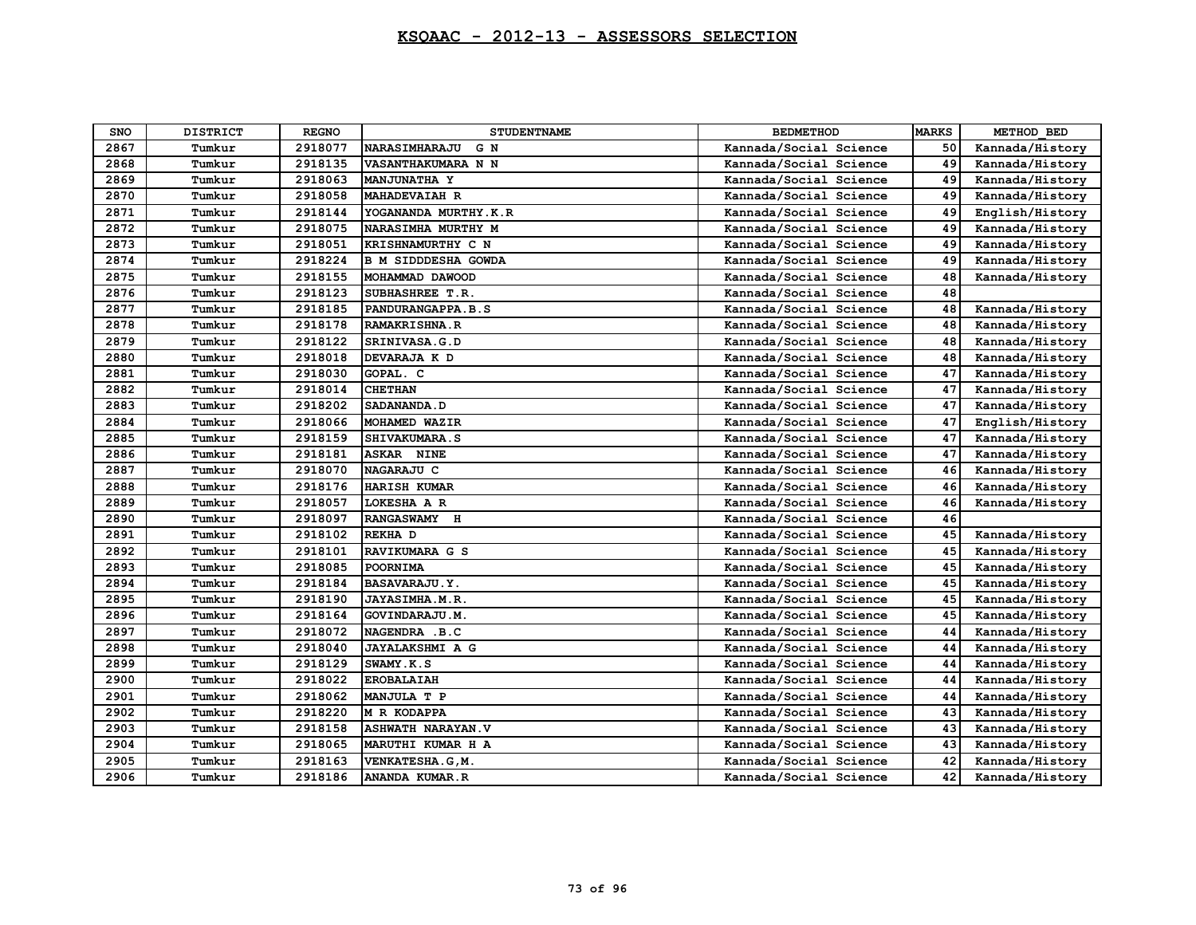| SNO  | <b>DISTRICT</b> | <b>REGNO</b> | <b>STUDENTNAME</b>          | <b>BEDMETHOD</b>       | <b>MARKS</b> | METHOD BED      |
|------|-----------------|--------------|-----------------------------|------------------------|--------------|-----------------|
| 2867 | Tumkur          | 2918077      | <b>NARASIMHARAJU</b><br>G N | Kannada/Social Science | 50           | Kannada/History |
| 2868 | Tumkur          | 2918135      | VASANTHAKUMARA N N          | Kannada/Social Science | 49           | Kannada/History |
| 2869 | Tumkur          | 2918063      | <b>MANJUNATHA Y</b>         | Kannada/Social Science | 49           | Kannada/History |
| 2870 | Tumkur          | 2918058      | <b>MAHADEVAIAH R</b>        | Kannada/Social Science | 49           | Kannada/History |
| 2871 | Tumkur          | 2918144      | YOGANANDA MURTHY.K.R        | Kannada/Social Science | 49           | English/History |
| 2872 | Tumkur          | 2918075      | NARASIMHA MURTHY M          | Kannada/Social Science | 49           | Kannada/History |
| 2873 | Tumkur          | 2918051      | KRISHNAMURTHY C N           | Kannada/Social Science | 49           | Kannada/History |
| 2874 | Tumkur          | 2918224      | B M SIDDDESHA GOWDA         | Kannada/Social Science | 49           | Kannada/History |
| 2875 | Tumkur          | 2918155      | MOHAMMAD DAWOOD             | Kannada/Social Science | 48           | Kannada/History |
| 2876 | Tumkur          | 2918123      | SUBHASHREE T.R.             | Kannada/Social Science | 48           |                 |
| 2877 | Tumkur          | 2918185      | PANDURANGAPPA.B.S           | Kannada/Social Science | 48           | Kannada/History |
| 2878 | Tumkur          | 2918178      | RAMAKRISHNA.R               | Kannada/Social Science | 48           | Kannada/History |
| 2879 | Tumkur          | 2918122      | SRINIVASA.G.D               | Kannada/Social Science | 48           | Kannada/History |
| 2880 | Tumkur          | 2918018      | DEVARAJA K D                | Kannada/Social Science | 48           | Kannada/History |
| 2881 | Tumkur          | 2918030      | GOPAL. C                    | Kannada/Social Science | 47           | Kannada/History |
| 2882 | Tumkur          | 2918014      | <b>CHETHAN</b>              | Kannada/Social Science | 47           | Kannada/History |
| 2883 | Tumkur          | 2918202      | <b>SADANANDA.D</b>          | Kannada/Social Science | 47           | Kannada/History |
| 2884 | Tumkur          | 2918066      | MOHAMED WAZIR               | Kannada/Social Science | 47           | English/History |
| 2885 | Tumkur          | 2918159      | SHIVAKUMARA.S               | Kannada/Social Science | 47           | Kannada/History |
| 2886 | Tumkur          | 2918181      | ASKAR NINE                  | Kannada/Social Science | 47           | Kannada/History |
| 2887 | Tumkur          | 2918070      | NAGARAJU C                  | Kannada/Social Science | 46           | Kannada/History |
| 2888 | Tumkur          | 2918176      | <b>HARISH KUMAR</b>         | Kannada/Social Science | 46           | Kannada/History |
| 2889 | Tumkur          | 2918057      | LOKESHA A R                 | Kannada/Social Science | 46           | Kannada/History |
| 2890 | Tumkur          | 2918097      | RANGASWAMY H                | Kannada/Social Science | 46           |                 |
| 2891 | Tumkur          | 2918102      | REKHA D                     | Kannada/Social Science | 45           | Kannada/History |
| 2892 | Tumkur          | 2918101      | RAVIKUMARA G S              | Kannada/Social Science | 45           | Kannada/History |
| 2893 | Tumkur          | 2918085      | POORNIMA                    | Kannada/Social Science | 45           | Kannada/History |
| 2894 | Tumkur          | 2918184      | <b>BASAVARAJU.Y.</b>        | Kannada/Social Science | 45           | Kannada/History |
| 2895 | Tumkur          | 2918190      | JAYASIMHA.M.R.              | Kannada/Social Science | 45           | Kannada/History |
| 2896 | Tumkur          | 2918164      | GOVINDARAJU.M.              | Kannada/Social Science | 45           | Kannada/History |
| 2897 | Tumkur          | 2918072      | NAGENDRA .B.C               | Kannada/Social Science | 44           | Kannada/History |
| 2898 | Tumkur          | 2918040      | <b>JAYALAKSHMI A G</b>      | Kannada/Social Science | 44           | Kannada/History |
| 2899 | Tumkur          | 2918129      | SWAMY.K.S                   | Kannada/Social Science | 44           | Kannada/History |
| 2900 | Tumkur          | 2918022      | <b>EROBALAIAH</b>           | Kannada/Social Science | 44           | Kannada/History |
| 2901 | Tumkur          | 2918062      | MANJULA T P                 | Kannada/Social Science | 44           | Kannada/History |
| 2902 | Tumkur          | 2918220      | M R KODAPPA                 | Kannada/Social Science | 43           | Kannada/History |
| 2903 | Tumkur          | 2918158      | <b>ASHWATH NARAYAN.V</b>    | Kannada/Social Science | 43           | Kannada/History |
| 2904 | Tumkur          | 2918065      | MARUTHI KUMAR H A           | Kannada/Social Science | 43           | Kannada/History |
| 2905 | Tumkur          | 2918163      | VENKATESHA.G, M.            | Kannada/Social Science | 42           | Kannada/History |
| 2906 | Tumkur          | 2918186      | ANANDA KUMAR.R              | Kannada/Social Science | 42           | Kannada/History |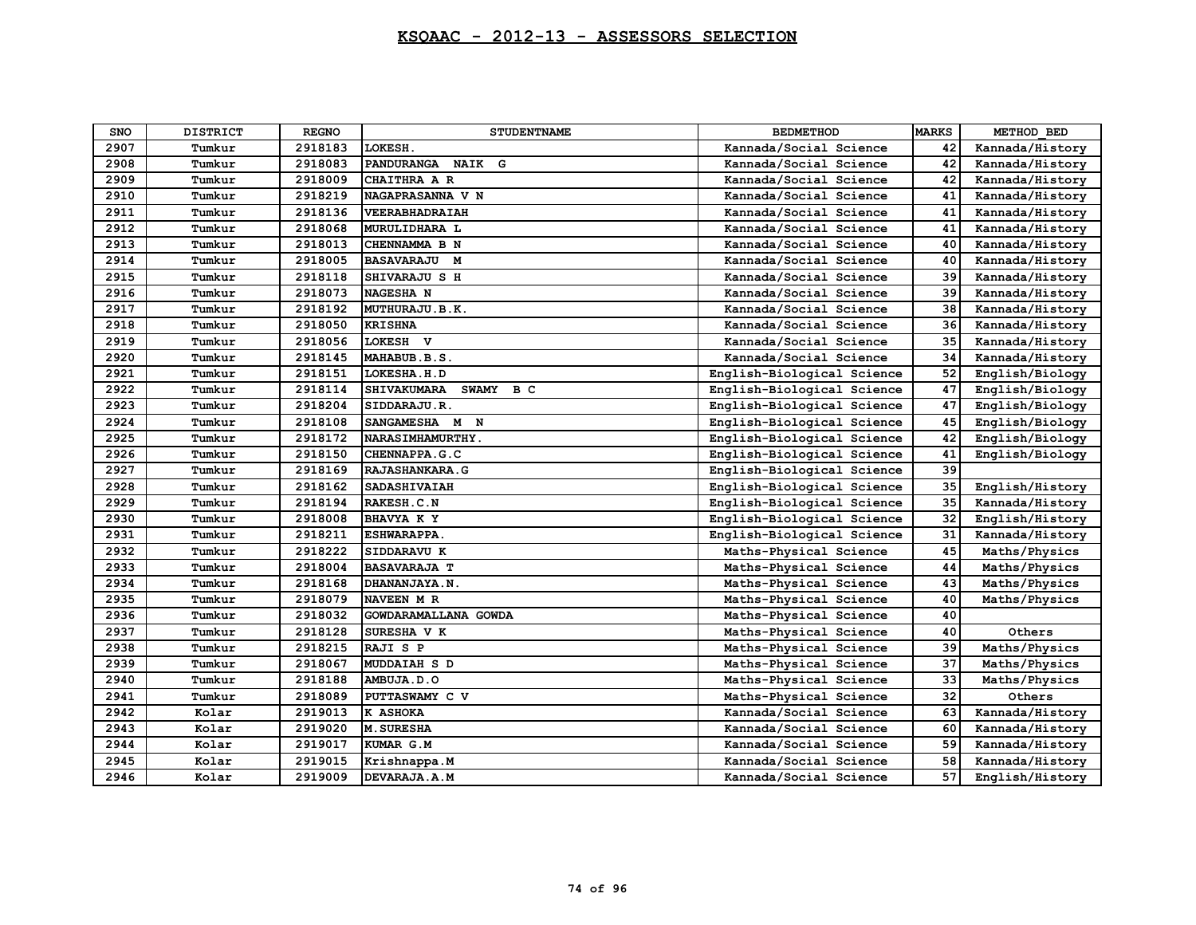| SNO  | <b>DISTRICT</b> | <b>REGNO</b> | <b>STUDENTNAME</b>                    | <b>BEDMETHOD</b>           | <b>MARKS</b> | METHOD BED      |
|------|-----------------|--------------|---------------------------------------|----------------------------|--------------|-----------------|
| 2907 | Tumkur          | 2918183      | LOKESH.                               | Kannada/Social Science     | 42           | Kannada/History |
| 2908 | Tumkur          | 2918083      | <b>NAIK</b><br>G<br><b>PANDURANGA</b> | Kannada/Social Science     | 42           | Kannada/History |
| 2909 | Tumkur          | 2918009      | CHAITHRA A R                          | Kannada/Social Science     | 42           | Kannada/History |
| 2910 | Tumkur          | 2918219      | NAGAPRASANNA V N                      | Kannada/Social Science     | 41           | Kannada/History |
| 2911 | Tumkur          | 2918136      | VEERABHADRAIAH                        | Kannada/Social Science     | 41           | Kannada/History |
| 2912 | Tumkur          | 2918068      | MURULIDHARA L                         | Kannada/Social Science     | 41           | Kannada/History |
| 2913 | Tumkur          | 2918013      | CHENNAMMA B N                         | Kannada/Social Science     | 40           | Kannada/History |
| 2914 | Tumkur          | 2918005      | <b>BASAVARAJU M</b>                   | Kannada/Social Science     | 40           | Kannada/History |
| 2915 | Tumkur          | 2918118      | SHIVARAJU S H                         | Kannada/Social Science     | 39           | Kannada/History |
| 2916 | Tumkur          | 2918073      | <b>NAGESHA N</b>                      | Kannada/Social Science     | 39           | Kannada/History |
| 2917 | Tumkur          | 2918192      | MUTHURAJU.B.K.                        | Kannada/Social Science     | 38           | Kannada/History |
| 2918 | Tumkur          | 2918050      | <b>KRISHNA</b>                        | Kannada/Social Science     | 36           | Kannada/History |
| 2919 | Tumkur          | 2918056      | LOKESH V                              | Kannada/Social Science     | 35           | Kannada/History |
| 2920 | Tumkur          | 2918145      | MAHABUB.B.S.                          | Kannada/Social Science     | 34           | Kannada/History |
| 2921 | Tumkur          | 2918151      | LOKESHA.H.D                           | English-Biological Science | 52           | English/Biology |
| 2922 | Tumkur          | 2918114      | <b>SHIVAKUMARA</b><br>SWAMY BC        | English-Biological Science | 47           | English/Biology |
| 2923 | Tumkur          | 2918204      | SIDDARAJU.R.                          | English-Biological Science | 47           | English/Biology |
| 2924 | Tumkur          | 2918108      | SANGAMESHA M N                        | English-Biological Science | 45           | English/Biology |
| 2925 | Tumkur          | 2918172      | NARASIMHAMURTHY.                      | English-Biological Science | 42           | English/Biology |
| 2926 | Tumkur          | 2918150      | CHENNAPPA.G.C                         | English-Biological Science | 41           | English/Biology |
| 2927 | Tumkur          | 2918169      | RAJASHANKARA.G                        | English-Biological Science | 39           |                 |
| 2928 | Tumkur          | 2918162      | <b>SADASHIVAIAH</b>                   | English-Biological Science | 35           | English/History |
| 2929 | Tumkur          | 2918194      | RAKESH.C.N                            | English-Biological Science | 35           | Kannada/History |
| 2930 | Tumkur          | 2918008      | <b>BHAVYA K Y</b>                     | English-Biological Science | 32           | English/History |
| 2931 | Tumkur          | 2918211      | <b>ESHWARAPPA.</b>                    | English-Biological Science | 31           | Kannada/History |
| 2932 | Tumkur          | 2918222      | SIDDARAVU K                           | Maths-Physical Science     | 45           | Maths/Physics   |
| 2933 | Tumkur          | 2918004      | <b>BASAVARAJA T</b>                   | Maths-Physical Science     | 44           | Maths/Physics   |
| 2934 | Tumkur          | 2918168      | DHANANJAYA.N.                         | Maths-Physical Science     | 43           | Maths/Physics   |
| 2935 | Tumkur          | 2918079      | NAVEEN M R                            | Maths-Physical Science     | 40           | Maths/Physics   |
| 2936 | Tumkur          | 2918032      | GOWDARAMALLANA GOWDA                  | Maths-Physical Science     | 40           |                 |
| 2937 | Tumkur          | 2918128      | SURESHA V K                           | Maths-Physical Science     | 40           | Others          |
| 2938 | Tumkur          | 2918215      | RAJI S P                              | Maths-Physical Science     | 39           | Maths/Physics   |
| 2939 | Tumkur          | 2918067      | <b>MUDDAIAH S D</b>                   | Maths-Physical Science     | 37           | Maths/Physics   |
| 2940 | Tumkur          | 2918188      | AMBUJA.D.O                            | Maths-Physical Science     | 33           | Maths/Physics   |
| 2941 | Tumkur          | 2918089      | PUTTASWAMY C V                        | Maths-Physical Science     | 32           | Others          |
| 2942 | Kolar           | 2919013      | K ASHOKA                              | Kannada/Social Science     | 63           | Kannada/History |
| 2943 | Kolar           | 2919020      | <b>M. SURESHA</b>                     | Kannada/Social Science     | 60           | Kannada/History |
| 2944 | Kolar           | 2919017      | KUMAR G.M                             | Kannada/Social Science     | 59           | Kannada/History |
| 2945 | Kolar           | 2919015      | Krishnappa.M                          | Kannada/Social Science     | 58           | Kannada/History |
| 2946 | Kolar           | 2919009      | DEVARAJA.A.M                          | Kannada/Social Science     | 57           | English/History |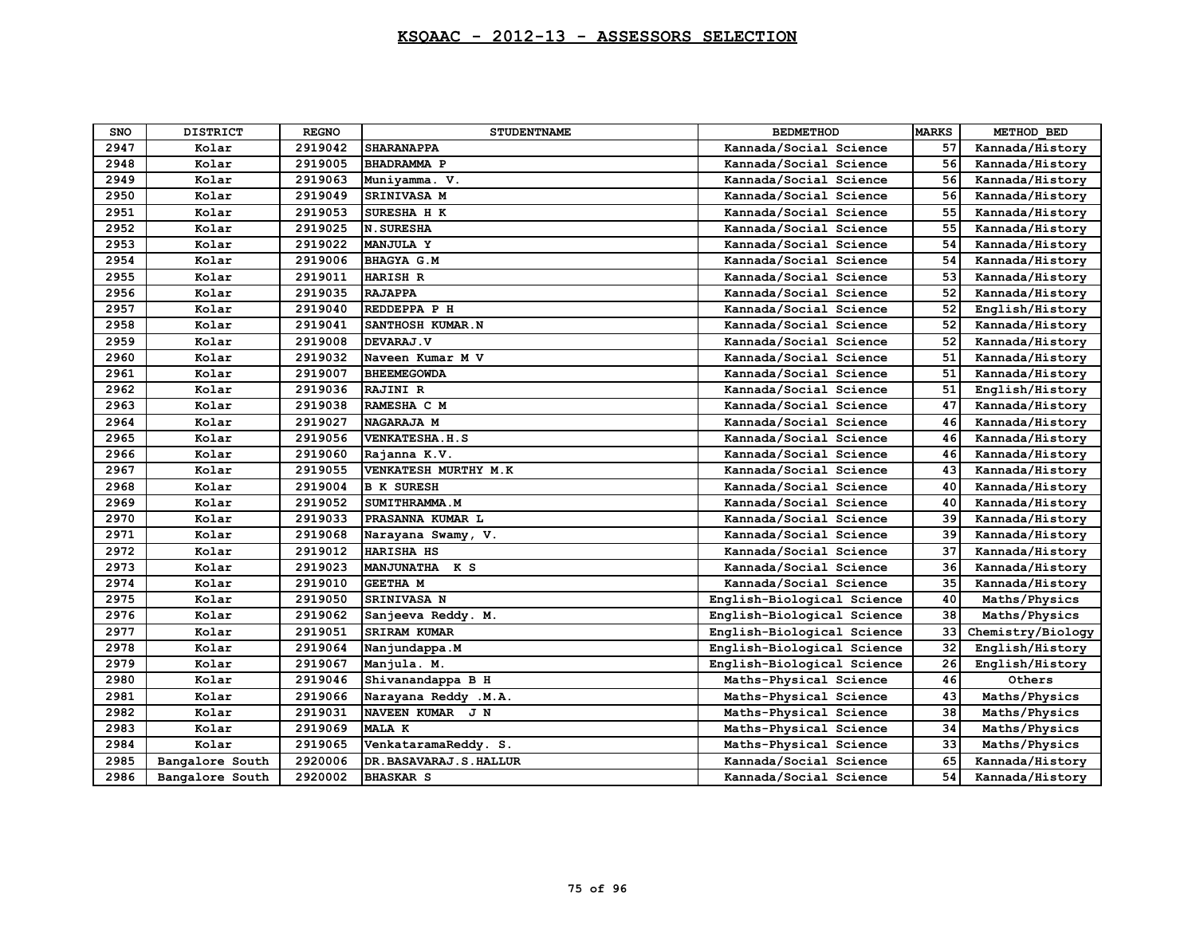| SNO  | <b>DISTRICT</b> | <b>REGNO</b> | <b>STUDENTNAME</b>       | <b>BEDMETHOD</b>           | <b>MARKS</b> | METHOD BED        |
|------|-----------------|--------------|--------------------------|----------------------------|--------------|-------------------|
| 2947 | Kolar           | 2919042      | <b>SHARANAPPA</b>        | Kannada/Social Science     | 57           | Kannada/History   |
| 2948 | Kolar           | 2919005      | BHADRAMMA P              | Kannada/Social Science     | 56           | Kannada/History   |
| 2949 | Kolar           | 2919063      | Muniyamma. V.            | Kannada/Social Science     | 56           | Kannada/History   |
| 2950 | Kolar           | 2919049      | SRINIVASA M              | Kannada/Social Science     | 56           | Kannada/History   |
| 2951 | Kolar           | 2919053      | SURESHA H K              | Kannada/Social Science     | 55           | Kannada/History   |
| 2952 | Kolar           | 2919025      | <b>N. SURESHA</b>        | Kannada/Social Science     | 55           | Kannada/History   |
| 2953 | Kolar           | 2919022      | MANJULA Y                | Kannada/Social Science     | 54           | Kannada/History   |
| 2954 | Kolar           | 2919006      | <b>BHAGYA G.M</b>        | Kannada/Social Science     | 54           | Kannada/History   |
| 2955 | Kolar           | 2919011      | <b>HARISH R</b>          | Kannada/Social Science     | 53           | Kannada/History   |
| 2956 | Kolar           | 2919035      | <b>RAJAPPA</b>           | Kannada/Social Science     | 52           | Kannada/History   |
| 2957 | Kolar           | 2919040      | REDDEPPA P H             | Kannada/Social Science     | 52           | English/History   |
| 2958 | Kolar           | 2919041      | SANTHOSH KUMAR.N         | Kannada/Social Science     | 52           | Kannada/History   |
| 2959 | Kolar           | 2919008      | DEVARAJ.V                | Kannada/Social Science     | 52           | Kannada/History   |
| 2960 | Kolar           | 2919032      | Naveen Kumar M V         | Kannada/Social Science     | 51           | Kannada/History   |
| 2961 | Kolar           | 2919007      | <b>BHEEMEGOWDA</b>       | Kannada/Social Science     | 51           | Kannada/History   |
| 2962 | Kolar           | 2919036      | <b>RAJINI R</b>          | Kannada/Social Science     | 51           | English/History   |
| 2963 | Kolar           | 2919038      | RAMESHA C M              | Kannada/Social Science     | 47           | Kannada/History   |
| 2964 | Kolar           | 2919027      | NAGARAJA M               | Kannada/Social Science     | 46           | Kannada/History   |
| 2965 | Kolar           | 2919056      | <b>VENKATESHA.H.S</b>    | Kannada/Social Science     | 46           | Kannada/History   |
| 2966 | Kolar           | 2919060      | Rajanna K.V.             | Kannada/Social Science     | 46           | Kannada/History   |
| 2967 | Kolar           | 2919055      | VENKATESH MURTHY M.K     | Kannada/Social Science     | 43           | Kannada/History   |
| 2968 | Kolar           | 2919004      | <b>B K SURESH</b>        | Kannada/Social Science     | 40           | Kannada/History   |
| 2969 | Kolar           | 2919052      | SUMITHRAMMA.M            | Kannada/Social Science     | 40           | Kannada/History   |
| 2970 | Kolar           | 2919033      | PRASANNA KUMAR L         | Kannada/Social Science     | 39           | Kannada/History   |
| 2971 | Kolar           | 2919068      | Narayana Swamy, V.       | Kannada/Social Science     | 39           | Kannada/History   |
| 2972 | Kolar           | 2919012      | <b>HARISHA HS</b>        | Kannada/Social Science     | 37           | Kannada/History   |
| 2973 | Kolar           | 2919023      | MANJUNATHA K S           | Kannada/Social Science     | 36           | Kannada/History   |
| 2974 | Kolar           | 2919010      | <b>GEETHA M</b>          | Kannada/Social Science     | 35           | Kannada/History   |
| 2975 | Kolar           | 2919050      | SRINIVASA N              | English-Biological Science | 40           | Maths/Physics     |
| 2976 | Kolar           | 2919062      | Sanjeeva Reddy. M.       | English-Biological Science | 38           | Maths/Physics     |
| 2977 | Kolar           | 2919051      | <b>SRIRAM KUMAR</b>      | English-Biological Science | 33           | Chemistry/Biology |
| 2978 | Kolar           | 2919064      | Nanjundappa.M            | English-Biological Science | 32           | English/History   |
| 2979 | Kolar           | 2919067      | Manjula. M.              | English-Biological Science | 26           | English/History   |
| 2980 | Kolar           | 2919046      | Shivanandappa B H        | Maths-Physical Science     | 46           | Others            |
| 2981 | Kolar           | 2919066      | Narayana Reddy .M.A.     | Maths-Physical Science     | 43           | Maths/Physics     |
| 2982 | Kolar           | 2919031      | NAVEEN KUMAR J N         | Maths-Physical Science     | 38           | Maths/Physics     |
| 2983 | Kolar           | 2919069      | <b>MALA K</b>            | Maths-Physical Science     | 34           | Maths/Physics     |
| 2984 | Kolar           | 2919065      | VenkataramaReddy. S.     | Maths-Physical Science     | 33           | Maths/Physics     |
| 2985 | Bangalore South | 2920006      | DR. BASAVARAJ. S. HALLUR | Kannada/Social Science     | 65           | Kannada/History   |
| 2986 | Bangalore South | 2920002      | <b>BHASKAR S</b>         | Kannada/Social Science     | 54           | Kannada/History   |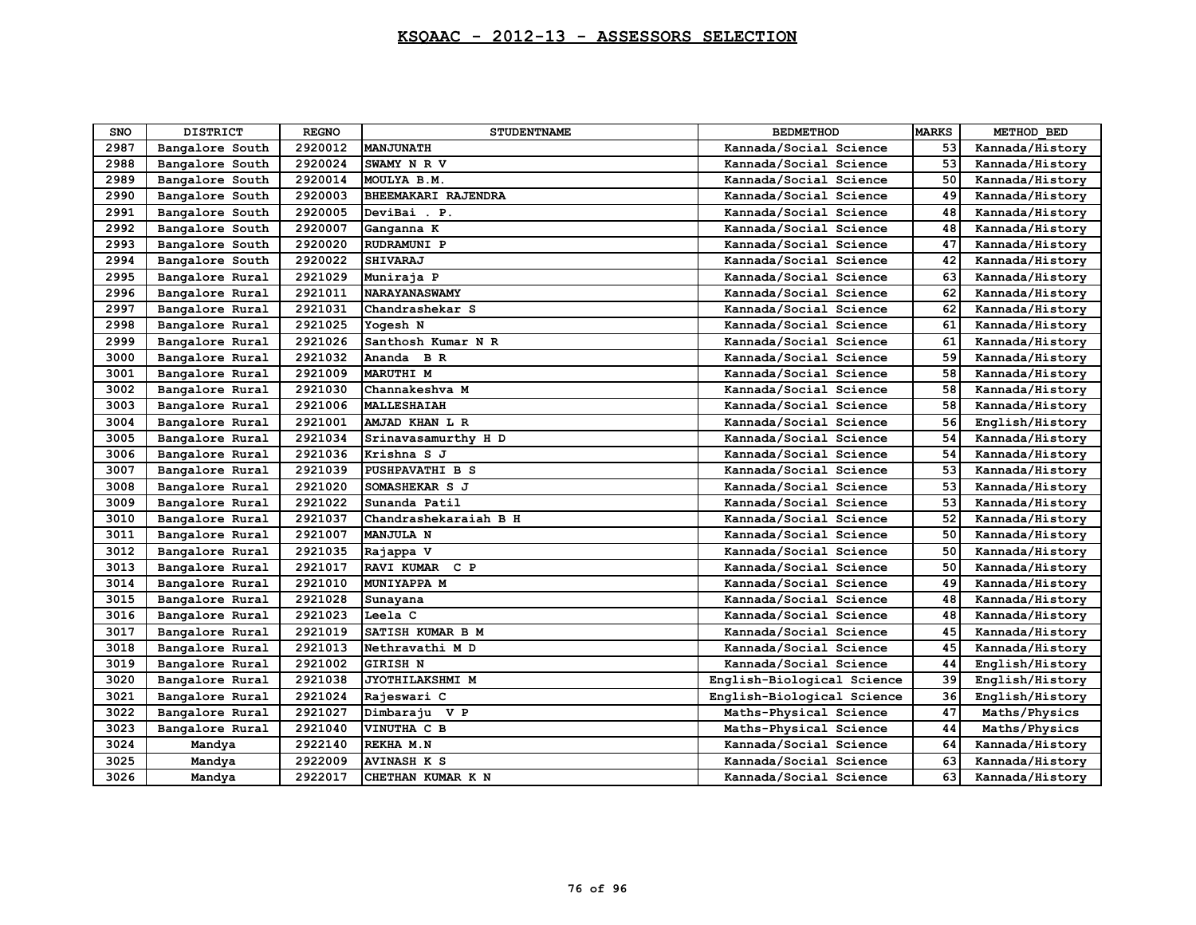| <b>SNO</b> | <b>DISTRICT</b> | <b>REGNO</b> | <b>STUDENTNAME</b>     | <b>BEDMETHOD</b>           | <b>MARKS</b> | METHOD BED      |
|------------|-----------------|--------------|------------------------|----------------------------|--------------|-----------------|
| 2987       | Bangalore South | 2920012      | <b>MANJUNATH</b>       | Kannada/Social Science     | 53           | Kannada/History |
| 2988       | Bangalore South | 2920024      | SWAMY N R V            | Kannada/Social Science     | 53           | Kannada/History |
| 2989       | Bangalore South | 2920014      | MOULYA B.M.            | Kannada/Social Science     | 50           | Kannada/History |
| 2990       | Bangalore South | 2920003      | BHEEMAKARI RAJENDRA    | Kannada/Social Science     | 49           | Kannada/History |
| 2991       | Bangalore South | 2920005      | DeviBai . P.           | Kannada/Social Science     | 48           | Kannada/History |
| 2992       | Bangalore South | 2920007      | Ganganna K             | Kannada/Social Science     | 48           | Kannada/History |
| 2993       | Bangalore South | 2920020      | RUDRAMUNI P            | Kannada/Social Science     | 47           | Kannada/History |
| 2994       | Bangalore South | 2920022      | <b>SHIVARAJ</b>        | Kannada/Social Science     | 42           | Kannada/History |
| 2995       | Bangalore Rural | 2921029      | Muniraja P             | Kannada/Social Science     | 63           | Kannada/History |
| 2996       | Bangalore Rural | 2921011      | <b>NARAYANASWAMY</b>   | Kannada/Social Science     | 62           | Kannada/History |
| 2997       | Bangalore Rural | 2921031      | Chandrashekar S        | Kannada/Social Science     | 62           | Kannada/History |
| 2998       | Bangalore Rural | 2921025      | Yogesh N               | Kannada/Social Science     | 61           | Kannada/History |
| 2999       | Bangalore Rural | 2921026      | Santhosh Kumar N R     | Kannada/Social Science     | 61           | Kannada/History |
| 3000       | Bangalore Rural | 2921032      | Ananda B R             | Kannada/Social Science     | 59           | Kannada/History |
| 3001       | Bangalore Rural | 2921009      | <b>MARUTHI M</b>       | Kannada/Social Science     | 58           | Kannada/History |
| 3002       | Bangalore Rural | 2921030      | Channakeshva M         | Kannada/Social Science     | 58           | Kannada/History |
| 3003       | Bangalore Rural | 2921006      | <b>MALLESHAIAH</b>     | Kannada/Social Science     | 58           | Kannada/History |
| 3004       | Bangalore Rural | 2921001      | AMJAD KHAN L R         | Kannada/Social Science     | 56           | English/History |
| 3005       | Bangalore Rural | 2921034      | Srinavasamurthy H D    | Kannada/Social Science     | 54           | Kannada/History |
| 3006       | Bangalore Rural | 2921036      | Krishna S J            | Kannada/Social Science     | 54           | Kannada/History |
| 3007       | Bangalore Rural | 2921039      | <b>PUSHPAVATHI B S</b> | Kannada/Social Science     | 53           | Kannada/History |
| 3008       | Bangalore Rural | 2921020      | SOMASHEKAR S J         | Kannada/Social Science     | 53           | Kannada/History |
| 3009       | Bangalore Rural | 2921022      | Sunanda Patil          | Kannada/Social Science     | 53           | Kannada/History |
| 3010       | Bangalore Rural | 2921037      | Chandrashekaraiah B H  | Kannada/Social Science     | 52           | Kannada/History |
| 3011       | Bangalore Rural | 2921007      | MANJULA N              | Kannada/Social Science     | 50           | Kannada/History |
| 3012       | Bangalore Rural | 2921035      | Rajappa V              | Kannada/Social Science     | 50           | Kannada/History |
| 3013       | Bangalore Rural | 2921017      | RAVI KUMAR C P         | Kannada/Social Science     | 50           | Kannada/History |
| 3014       | Bangalore Rural | 2921010      | MUNIYAPPA M            | Kannada/Social Science     | 49           | Kannada/History |
| 3015       | Bangalore Rural | 2921028      | Sunayana               | Kannada/Social Science     | 48           | Kannada/History |
| 3016       | Bangalore Rural | 2921023      | Leela C                | Kannada/Social Science     | 48           | Kannada/History |
| 3017       | Bangalore Rural | 2921019      | SATISH KUMAR B M       | Kannada/Social Science     | 45           | Kannada/History |
| 3018       | Bangalore Rural | 2921013      | Nethravathi M D        | Kannada/Social Science     | 45           | Kannada/History |
| 3019       | Bangalore Rural | 2921002      | <b>GIRISH N</b>        | Kannada/Social Science     | 44           | English/History |
| 3020       | Bangalore Rural | 2921038      | JYOTHILAKSHMI M        | English-Biological Science | 39           | English/History |
| 3021       | Bangalore Rural | 2921024      | Rajeswari C            | English-Biological Science | 36           | English/History |
| 3022       | Bangalore Rural | 2921027      | Dimbaraju V P          | Maths-Physical Science     | 47           | Maths/Physics   |
| 3023       | Bangalore Rural | 2921040      | VINUTHA C B            | Maths-Physical Science     | 44           | Maths/Physics   |
| 3024       | Mandya          | 2922140      | REKHA M.N              | Kannada/Social Science     | 64           | Kannada/History |
| 3025       | Mandya          | 2922009      | <b>AVINASH K S</b>     | Kannada/Social Science     | 63           | Kannada/History |
| 3026       | Mandya          | 2922017      | CHETHAN KUMAR K N      | Kannada/Social Science     | 63           | Kannada/History |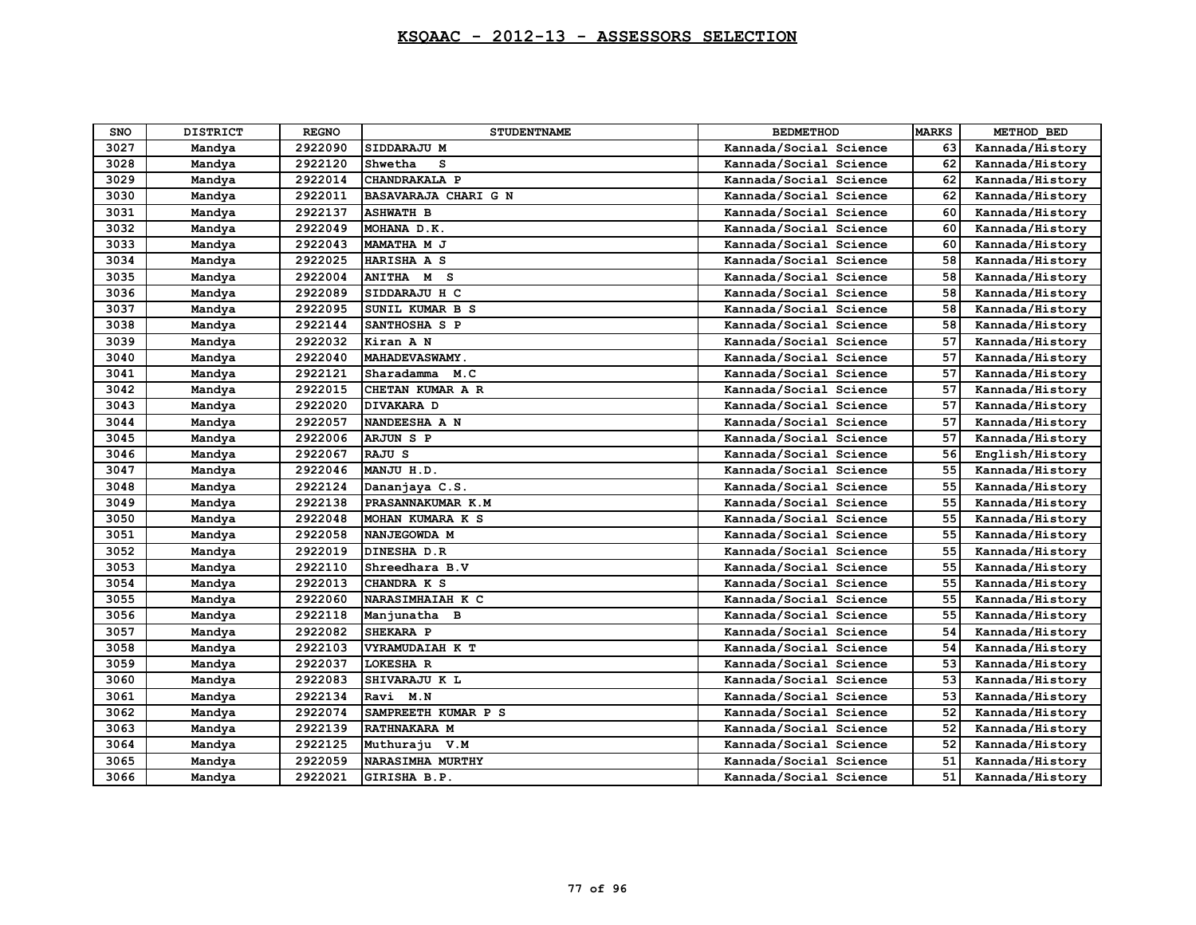| <b>SNO</b> | <b>DISTRICT</b> | <b>REGNO</b> | <b>STUDENTNAME</b>      | <b>BEDMETHOD</b>       | <b>MARKS</b> | METHOD BED      |
|------------|-----------------|--------------|-------------------------|------------------------|--------------|-----------------|
| 3027       | Mandya          | 2922090      | SIDDARAJU M             | Kannada/Social Science | 63           | Kannada/History |
| 3028       | Mandya          | 2922120      | s<br>Shwetha            | Kannada/Social Science | 62           | Kannada/History |
| 3029       | Mandya          | 2922014      | CHANDRAKALA P           | Kannada/Social Science | 62           | Kannada/History |
| 3030       | Mandya          | 2922011      | BASAVARAJA CHARI G N    | Kannada/Social Science | 62           | Kannada/History |
| 3031       | Mandya          | 2922137      | <b>ASHWATH B</b>        | Kannada/Social Science | 60           | Kannada/History |
| 3032       | Mandya          | 2922049      | MOHANA D.K.             | Kannada/Social Science | 60           | Kannada/History |
| 3033       | Mandya          | 2922043      | MAMATHA M J             | Kannada/Social Science | 60           | Kannada/History |
| 3034       | Mandya          | 2922025      | HARISHA A S             | Kannada/Social Science | 58           | Kannada/History |
| 3035       | Mandya          | 2922004      | ANITHA M S              | Kannada/Social Science | 58           | Kannada/History |
| 3036       | Mandya          | 2922089      | SIDDARAJU H C           | Kannada/Social Science | 58           | Kannada/History |
| 3037       | Mandya          | 2922095      | SUNIL KUMAR B S         | Kannada/Social Science | 58           | Kannada/History |
| 3038       | Mandya          | 2922144      | SANTHOSHA S P           | Kannada/Social Science | 58           | Kannada/History |
| 3039       | Mandya          | 2922032      | Kiran A N               | Kannada/Social Science | 57           | Kannada/History |
| 3040       | Mandya          | 2922040      | MAHADEVASWAMY.          | Kannada/Social Science | 57           | Kannada/History |
| 3041       | Mandya          | 2922121      | Sharadamma<br>M.C       | Kannada/Social Science | 57           | Kannada/History |
| 3042       | Mandya          | 2922015      | CHETAN KUMAR A R        | Kannada/Social Science | 57           | Kannada/History |
| 3043       | Mandya          | 2922020      | DIVAKARA D              | Kannada/Social Science | 57           | Kannada/History |
| 3044       | Mandya          | 2922057      | NANDEESHA A N           | Kannada/Social Science | 57           | Kannada/History |
| 3045       | Mandya          | 2922006      | <b>ARJUN S P</b>        | Kannada/Social Science | 57           | Kannada/History |
| 3046       | Mandya          | 2922067      | RAJU S                  | Kannada/Social Science | 56           | English/History |
| 3047       | Mandya          | 2922046      | MANJU H.D.              | Kannada/Social Science | 55           | Kannada/History |
| 3048       | Mandya          | 2922124      | Dananjaya C.S.          | Kannada/Social Science | 55           | Kannada/History |
| 3049       | Mandya          | 2922138      | PRASANNAKUMAR K.M       | Kannada/Social Science | 55           | Kannada/History |
| 3050       | Mandya          | 2922048      | MOHAN KUMARA K S        | Kannada/Social Science | 55           | Kannada/History |
| 3051       | Mandya          | 2922058      | NANJEGOWDA M            | Kannada/Social Science | 55           | Kannada/History |
| 3052       | Mandya          | 2922019      | DINESHA D.R             | Kannada/Social Science | 55           | Kannada/History |
| 3053       | Mandya          | 2922110      | Shreedhara B.V          | Kannada/Social Science | 55           | Kannada/History |
| 3054       | Mandya          | 2922013      | CHANDRA K S             | Kannada/Social Science | 55           | Kannada/History |
| 3055       | Mandya          | 2922060      | NARASIMHAIAH K C        | Kannada/Social Science | 55           | Kannada/History |
| 3056       | Mandya          | 2922118      | Manjunatha B            | Kannada/Social Science | 55           | Kannada/History |
| 3057       | Mandya          | 2922082      | SHEKARA P               | Kannada/Social Science | 54           | Kannada/History |
| 3058       | Mandya          | 2922103      | VYRAMUDAIAH K T         | Kannada/Social Science | 54           | Kannada/History |
| 3059       | Mandya          | 2922037      | <b>LOKESHA R</b>        | Kannada/Social Science | 53           | Kannada/History |
| 3060       | Mandya          | 2922083      | SHIVARAJU K L           | Kannada/Social Science | 53           | Kannada/History |
| 3061       | Mandya          | 2922134      | Ravi M.N                | Kannada/Social Science | 53           | Kannada/History |
| 3062       | Mandya          | 2922074      | SAMPREETH KUMAR P S     | Kannada/Social Science | 52           | Kannada/History |
| 3063       | Mandya          | 2922139      | RATHNAKARA M            | Kannada/Social Science | 52           | Kannada/History |
| 3064       | Mandya          | 2922125      | Muthuraju V.M           | Kannada/Social Science | 52           | Kannada/History |
| 3065       | Mandya          | 2922059      | <b>NARASIMHA MURTHY</b> | Kannada/Social Science | 51           | Kannada/History |
| 3066       | Mandya          | 2922021      | GIRISHA B.P.            | Kannada/Social Science | 51           | Kannada/History |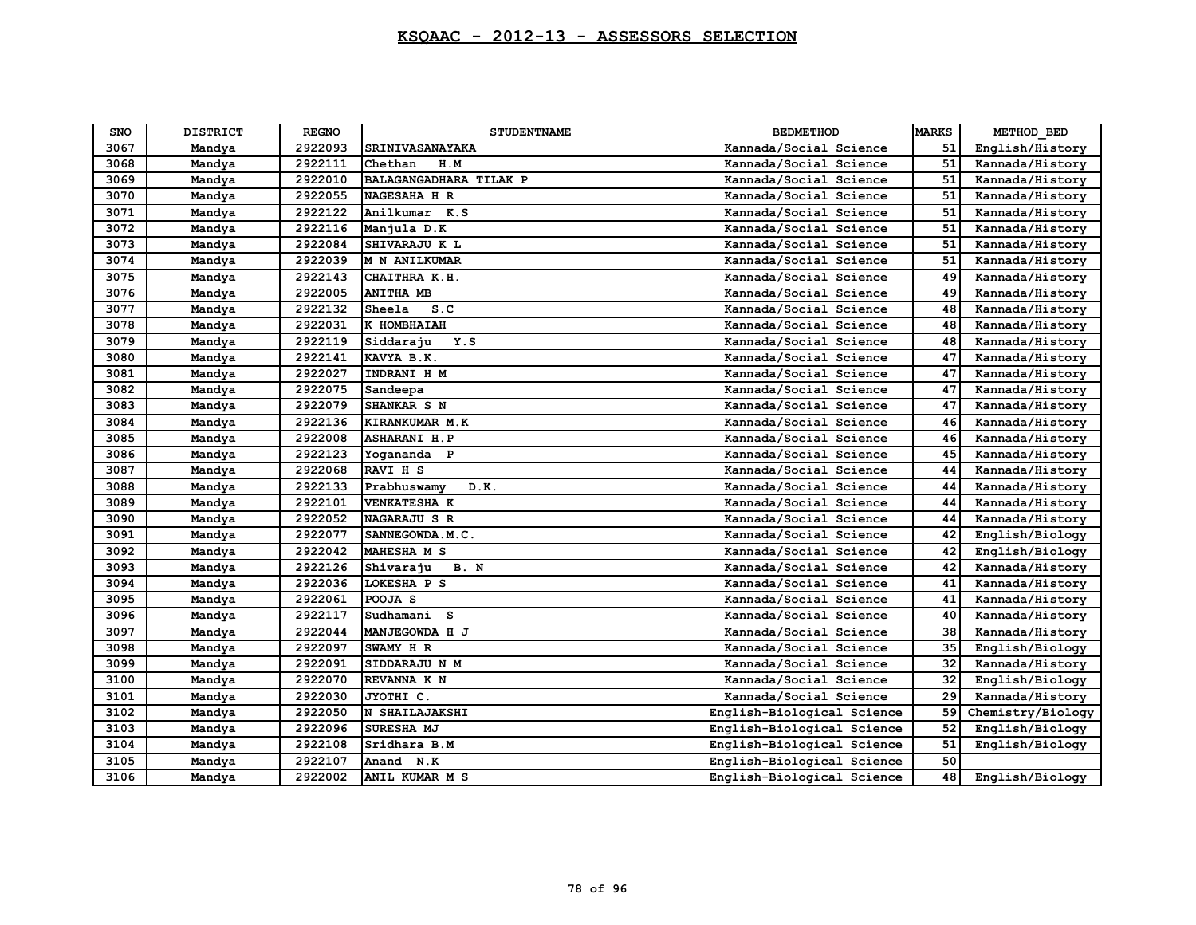| SNO  | <b>DISTRICT</b> | <b>REGNO</b> | <b>STUDENTNAME</b>     | <b>BEDMETHOD</b>           | <b>MARKS</b> | METHOD BED        |
|------|-----------------|--------------|------------------------|----------------------------|--------------|-------------------|
| 3067 | Mandya          | 2922093      | SRINIVASANAYAKA        | Kannada/Social Science     | 51           | English/History   |
| 3068 | Mandya          | 2922111      | Chethan<br>H.M         | Kannada/Social Science     | 51           | Kannada/History   |
| 3069 | Mandya          | 2922010      | BALAGANGADHARA TILAK P | Kannada/Social Science     | 51           | Kannada/History   |
| 3070 | Mandya          | 2922055      | NAGESAHA H R           | Kannada/Social Science     | 51           | Kannada/History   |
| 3071 | Mandya          | 2922122      | Anilkumar K.S          | Kannada/Social Science     | 51           | Kannada/History   |
| 3072 | Mandya          | 2922116      | Manjula D.K            | Kannada/Social Science     | 51           | Kannada/History   |
| 3073 | Mandya          | 2922084      | SHIVARAJU K L          | Kannada/Social Science     | 51           | Kannada/History   |
| 3074 | Mandya          | 2922039      | <b>M N ANILKUMAR</b>   | Kannada/Social Science     | 51           | Kannada/History   |
| 3075 | Mandya          | 2922143      | CHAITHRA K.H.          | Kannada/Social Science     | 49           | Kannada/History   |
| 3076 | Mandya          | 2922005      | <b>ANITHA MB</b>       | Kannada/Social Science     | 49           | Kannada/History   |
| 3077 | Mandya          | 2922132      | Sheela<br>S.C          | Kannada/Social Science     | 48           | Kannada/History   |
| 3078 | Mandya          | 2922031      | К НОМВНАІАН            | Kannada/Social Science     | 48           | Kannada/History   |
| 3079 | Mandya          | 2922119      | Y.S<br>Siddaraju       | Kannada/Social Science     | 48           | Kannada/History   |
| 3080 | Mandya          | 2922141      | KAVYA B.K.             | Kannada/Social Science     | 47           | Kannada/History   |
| 3081 | Mandya          | 2922027      | INDRANI H M            | Kannada/Social Science     | 47           | Kannada/History   |
| 3082 | Mandya          | 2922075      | Sandeepa               | Kannada/Social Science     | 47           | Kannada/History   |
| 3083 | Mandya          | 2922079      | SHANKAR S N            | Kannada/Social Science     | 47           | Kannada/History   |
| 3084 | Mandya          | 2922136      | KIRANKUMAR M.K         | Kannada/Social Science     | 46           | Kannada/History   |
| 3085 | Mandya          | 2922008      | <b>ASHARANI H.P</b>    | Kannada/Social Science     | 46           | Kannada/History   |
| 3086 | Mandya          | 2922123      | Yogananda P            | Kannada/Social Science     | 45           | Kannada/History   |
| 3087 | Mandya          | 2922068      | RAVI H S               | Kannada/Social Science     | 44           | Kannada/History   |
| 3088 | Mandya          | 2922133      | Prabhuswamy<br>D.K.    | Kannada/Social Science     | 44           | Kannada/History   |
| 3089 | Mandya          | 2922101      | <b>VENKATESHA K</b>    | Kannada/Social Science     | 44           | Kannada/History   |
| 3090 | Mandya          | 2922052      | NAGARAJU S R           | Kannada/Social Science     | 44           | Kannada/History   |
| 3091 | Mandya          | 2922077      | SANNEGOWDA.M.C.        | Kannada/Social Science     | 42           | English/Biology   |
| 3092 | Mandya          | 2922042      | MAHESHA M S            | Kannada/Social Science     | 42           | English/Biology   |
| 3093 | Mandya          | 2922126      | B. N<br>Shivaraju      | Kannada/Social Science     | 42           | Kannada/History   |
| 3094 | Mandya          | 2922036      | LOKESHA P S            | Kannada/Social Science     | 41           | Kannada/History   |
| 3095 | Mandya          | 2922061      | POOJA S                | Kannada/Social Science     | 41           | Kannada/History   |
| 3096 | Mandya          | 2922117      | Sudhamani<br>-S        | Kannada/Social Science     | 40           | Kannada/History   |
| 3097 | Mandya          | 2922044      | MANJEGOWDA H J         | Kannada/Social Science     | 38           | Kannada/History   |
| 3098 | Mandya          | 2922097      | SWAMY H R              | Kannada/Social Science     | 35           | English/Biology   |
| 3099 | Mandya          | 2922091      | SIDDARAJU N M          | Kannada/Social Science     | 32           | Kannada/History   |
| 3100 | Mandya          | 2922070      | REVANNA K N            | Kannada/Social Science     | 32           | English/Biology   |
| 3101 | Mandya          | 2922030      | JYOTHI C.              | Kannada/Social Science     | 29           | Kannada/History   |
| 3102 | Mandya          | 2922050      | N SHAILAJAKSHI         | English-Biological Science | 59           | Chemistry/Biology |
| 3103 | Mandya          | 2922096      | SURESHA MJ             | English-Biological Science | 52           | English/Biology   |
| 3104 | Mandya          | 2922108      | Sridhara B.M           | English-Biological Science | 51           | English/Biology   |
| 3105 | Mandya          | 2922107      | Anand N.K              | English-Biological Science | 50           |                   |
| 3106 | Mandya          | 2922002      | ANIL KUMAR M S         | English-Biological Science | 48           | English/Biology   |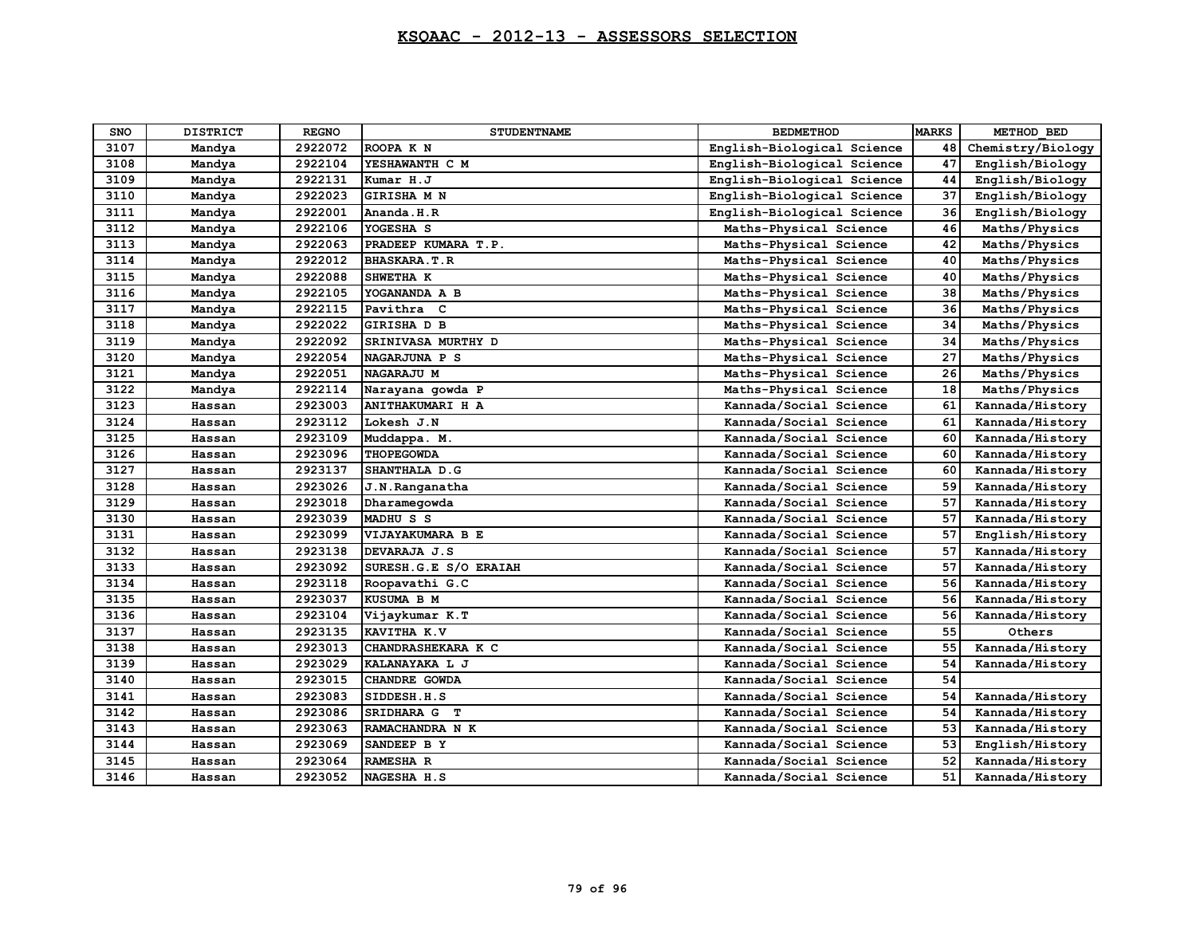| SNO  | <b>DISTRICT</b> | <b>REGNO</b> | <b>STUDENTNAME</b>    | <b>BEDMETHOD</b>           | <b>MARKS</b> | METHOD BED        |
|------|-----------------|--------------|-----------------------|----------------------------|--------------|-------------------|
| 3107 | Mandya          | 2922072      | ROOPA K N             | English-Biological Science | 48           | Chemistry/Biology |
| 3108 | Mandya          | 2922104      | YESHAWANTH C M        | English-Biological Science | 47           | English/Biology   |
| 3109 | Mandya          | 2922131      | Kumar H.J             | English-Biological Science | 44           | English/Biology   |
| 3110 | Mandya          | 2922023      | GIRISHA M N           | English-Biological Science | 37           | English/Biology   |
| 3111 | Mandya          | 2922001      | Ananda.H.R            | English-Biological Science | 36           | English/Biology   |
| 3112 | Mandya          | 2922106      | YOGESHA S             | Maths-Physical Science     | 46           | Maths/Physics     |
| 3113 | Mandya          | 2922063      | PRADEEP KUMARA T.P.   | Maths-Physical Science     | 42           | Maths/Physics     |
| 3114 | Mandya          | 2922012      | <b>BHASKARA.T.R</b>   | Maths-Physical Science     | 40           | Maths/Physics     |
| 3115 | Mandya          | 2922088      | SHWETHA K             | Maths-Physical Science     | 40           | Maths/Physics     |
| 3116 | Mandya          | 2922105      | YOGANANDA A B         | Maths-Physical Science     | 38           | Maths/Physics     |
| 3117 | Mandya          | 2922115      | Pavithra C            | Maths-Physical Science     | 36           | Maths/Physics     |
| 3118 | Mandya          | 2922022      | GIRISHA D B           | Maths-Physical Science     | 34           | Maths/Physics     |
| 3119 | Mandya          | 2922092      | SRINIVASA MURTHY D    | Maths-Physical Science     | 34           | Maths/Physics     |
| 3120 | Mandya          | 2922054      | NAGARJUNA P S         | Maths-Physical Science     | 27           | Maths/Physics     |
| 3121 | Mandya          | 2922051      | NAGARAJU M            | Maths-Physical Science     | 26           | Maths/Physics     |
| 3122 | Mandya          | 2922114      | Narayana gowda P      | Maths-Physical Science     | 18           | Maths/Physics     |
| 3123 | Hassan          | 2923003      | ANITHAKUMARI H A      | Kannada/Social Science     | 61           | Kannada/History   |
| 3124 | Hassan          | 2923112      | Lokesh J.N            | Kannada/Social Science     | 61           | Kannada/History   |
| 3125 | Hassan          | 2923109      | Muddappa. M.          | Kannada/Social Science     | 60           | Kannada/History   |
| 3126 | Hassan          | 2923096      | <b>THOPEGOWDA</b>     | Kannada/Social Science     | 60           | Kannada/History   |
| 3127 | Hassan          | 2923137      | SHANTHALA D.G         | Kannada/Social Science     | 60           | Kannada/History   |
| 3128 | Hassan          | 2923026      | J.N.Ranganatha        | Kannada/Social Science     | 59           | Kannada/History   |
| 3129 | Hassan          | 2923018      | Dharamegowda          | Kannada/Social Science     | 57           | Kannada/History   |
| 3130 | Hassan          | 2923039      | MADHUS S              | Kannada/Social Science     | 57           | Kannada/History   |
| 3131 | Hassan          | 2923099      | VIJAYAKUMARA B E      | Kannada/Social Science     | 57           | English/History   |
| 3132 | Hassan          | 2923138      | DEVARAJA J.S          | Kannada/Social Science     | 57           | Kannada/History   |
| 3133 | Hassan          | 2923092      | SURESH.G.E S/O ERAIAH | Kannada/Social Science     | 57           | Kannada/History   |
| 3134 | Hassan          | 2923118      | Roopavathi G.C        | Kannada/Social Science     | 56           | Kannada/History   |
| 3135 | Hassan          | 2923037      | KUSUMA B M            | Kannada/Social Science     | 56           | Kannada/History   |
| 3136 | Hassan          | 2923104      | Vijaykumar K.T        | Kannada/Social Science     | 56           | Kannada/History   |
| 3137 | Hassan          | 2923135      | KAVITHA K.V           | Kannada/Social Science     | 55           | Others            |
| 3138 | Hassan          | 2923013      | CHANDRASHEKARA K C    | Kannada/Social Science     | 55           | Kannada/History   |
| 3139 | Hassan          | 2923029      | KALANAYAKA L J        | Kannada/Social Science     | 54           | Kannada/History   |
| 3140 | Hassan          | 2923015      | CHANDRE GOWDA         | Kannada/Social Science     | 54           |                   |
| 3141 | Hassan          | 2923083      | SIDDESH.H.S           | Kannada/Social Science     | 54           | Kannada/History   |
| 3142 | Hassan          | 2923086      | SRIDHARA G T          | Kannada/Social Science     | 54           | Kannada/History   |
| 3143 | Hassan          | 2923063      | RAMACHANDRA N K       | Kannada/Social Science     | 53           | Kannada/History   |
| 3144 | Hassan          | 2923069      | SANDEEP B Y           | Kannada/Social Science     | 53           | English/History   |
| 3145 | Hassan          | 2923064      | RAMESHA R             | Kannada/Social Science     | 52           | Kannada/History   |
| 3146 | Hassan          | 2923052      | NAGESHA H.S           | Kannada/Social Science     | 51           | Kannada/History   |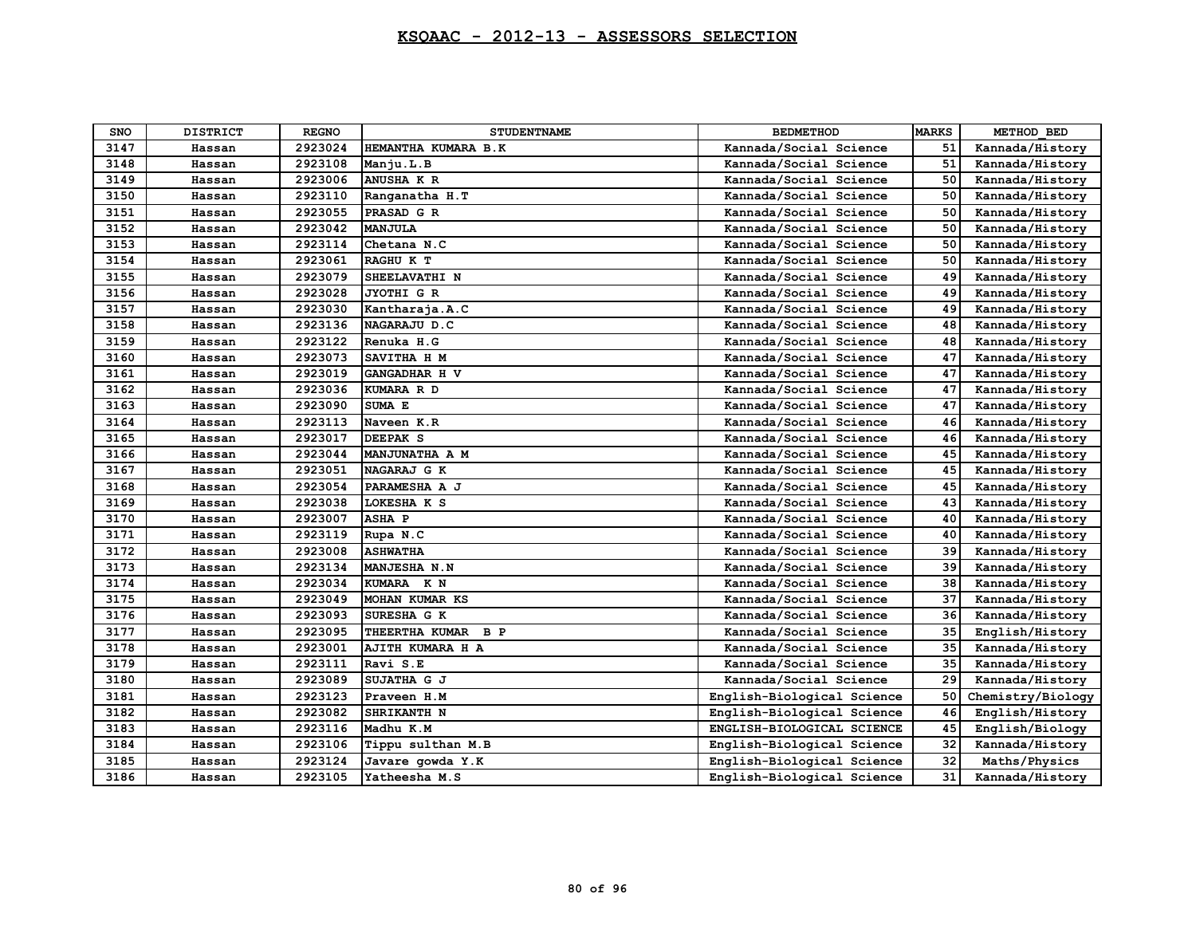| <b>SNO</b> | <b>DISTRICT</b> | <b>REGNO</b> | <b>STUDENTNAME</b>  | <b>BEDMETHOD</b>           | <b>MARKS</b> | METHOD BED        |
|------------|-----------------|--------------|---------------------|----------------------------|--------------|-------------------|
| 3147       | Hassan          | 2923024      | HEMANTHA KUMARA B.K | Kannada/Social Science     | 51           | Kannada/History   |
| 3148       | Hassan          | 2923108      | Manju.L.B           | Kannada/Social Science     | 51           | Kannada/History   |
| 3149       | Hassan          | 2923006      | ANUSHA K R          | Kannada/Social Science     | 50           | Kannada/History   |
| 3150       | Hassan          | 2923110      | Ranganatha H.T      | Kannada/Social Science     | 50           | Kannada/History   |
| 3151       | Hassan          | 2923055      | PRASAD G R          | Kannada/Social Science     | 50           | Kannada/History   |
| 3152       | Hassan          | 2923042      | <b>MANJULA</b>      | Kannada/Social Science     | 50           | Kannada/History   |
| 3153       | Hassan          | 2923114      | Chetana N.C         | Kannada/Social Science     | 50           | Kannada/History   |
| 3154       | Hassan          | 2923061      | RAGHU K T           | Kannada/Social Science     | 50           | Kannada/History   |
| 3155       | Hassan          | 2923079      | SHEELAVATHI N       | Kannada/Social Science     | 49           | Kannada/History   |
| 3156       | Hassan          | 2923028      | JYOTHI G R          | Kannada/Social Science     | 49           | Kannada/History   |
| 3157       | Hassan          | 2923030      | Kantharaja.A.C      | Kannada/Social Science     | 49           | Kannada/History   |
| 3158       | Hassan          | 2923136      | NAGARAJU D.C        | Kannada/Social Science     | 48           | Kannada/History   |
| 3159       | Hassan          | 2923122      | Renuka H.G          | Kannada/Social Science     | 48           | Kannada/History   |
| 3160       | Hassan          | 2923073      | SAVITHA H M         | Kannada/Social Science     | 47           | Kannada/History   |
| 3161       | Hassan          | 2923019      | GANGADHAR H V       | Kannada/Social Science     | 47           | Kannada/History   |
| 3162       | Hassan          | 2923036      | KUMARA R D          | Kannada/Social Science     | 47           | Kannada/History   |
| 3163       | Hassan          | 2923090      | SUMA E              | Kannada/Social Science     | 47           | Kannada/History   |
| 3164       | Hassan          | 2923113      | Naveen K.R          | Kannada/Social Science     | 46           | Kannada/History   |
| 3165       | Hassan          | 2923017      | <b>DEEPAK S</b>     | Kannada/Social Science     | 46           | Kannada/History   |
| 3166       | Hassan          | 2923044      | MANJUNATHA A M      | Kannada/Social Science     | 45           | Kannada/History   |
| 3167       | Hassan          | 2923051      | NAGARAJ G K         | Kannada/Social Science     | 45           | Kannada/History   |
| 3168       | Hassan          | 2923054      | PARAMESHA A J       | Kannada/Social Science     | 45           | Kannada/History   |
| 3169       | Hassan          | 2923038      | LOKESHA K S         | Kannada/Social Science     | 43           | Kannada/History   |
| 3170       | Hassan          | 2923007      | <b>ASHA P</b>       | Kannada/Social Science     | 40           | Kannada/History   |
| 3171       | Hassan          | 2923119      | Rupa N.C            | Kannada/Social Science     | 40           | Kannada/History   |
| 3172       | Hassan          | 2923008      | <b>ASHWATHA</b>     | Kannada/Social Science     | 39           | Kannada/History   |
| 3173       | Hassan          | 2923134      | MANJESHA N.N        | Kannada/Social Science     | 39           | Kannada/History   |
| 3174       | Hassan          | 2923034      | KUMARA K N          | Kannada/Social Science     | 38           | Kannada/History   |
| 3175       | Hassan          | 2923049      | MOHAN KUMAR KS      | Kannada/Social Science     | 37           | Kannada/History   |
| 3176       | Hassan          | 2923093      | SURESHA G K         | Kannada/Social Science     | 36           | Kannada/History   |
| 3177       | Hassan          | 2923095      | THEERTHA KUMAR B P  | Kannada/Social Science     | 35           | English/History   |
| 3178       | Hassan          | 2923001      | AJITH KUMARA H A    | Kannada/Social Science     | 35           | Kannada/History   |
| 3179       | Hassan          | 2923111      | Ravi S.E            | Kannada/Social Science     | 35           | Kannada/History   |
| 3180       | Hassan          | 2923089      | SUJATHA G J         | Kannada/Social Science     | 29           | Kannada/History   |
| 3181       | Hassan          | 2923123      | Praveen H.M         | English-Biological Science | 50           | Chemistry/Biology |
| 3182       | Hassan          | 2923082      | SHRIKANTH N         | English-Biological Science | 46           | English/History   |
| 3183       | Hassan          | 2923116      | Madhu K.M           | ENGLISH-BIOLOGICAL SCIENCE | 45           | English/Biology   |
| 3184       | Hassan          | 2923106      | Tippu sulthan M.B   | English-Biological Science | 32           | Kannada/History   |
| 3185       | Hassan          | 2923124      | Javare gowda Y.K    | English-Biological Science | 32           | Maths/Physics     |
| 3186       | Hassan          | 2923105      | Yatheesha M.S       | English-Biological Science | 31           | Kannada/History   |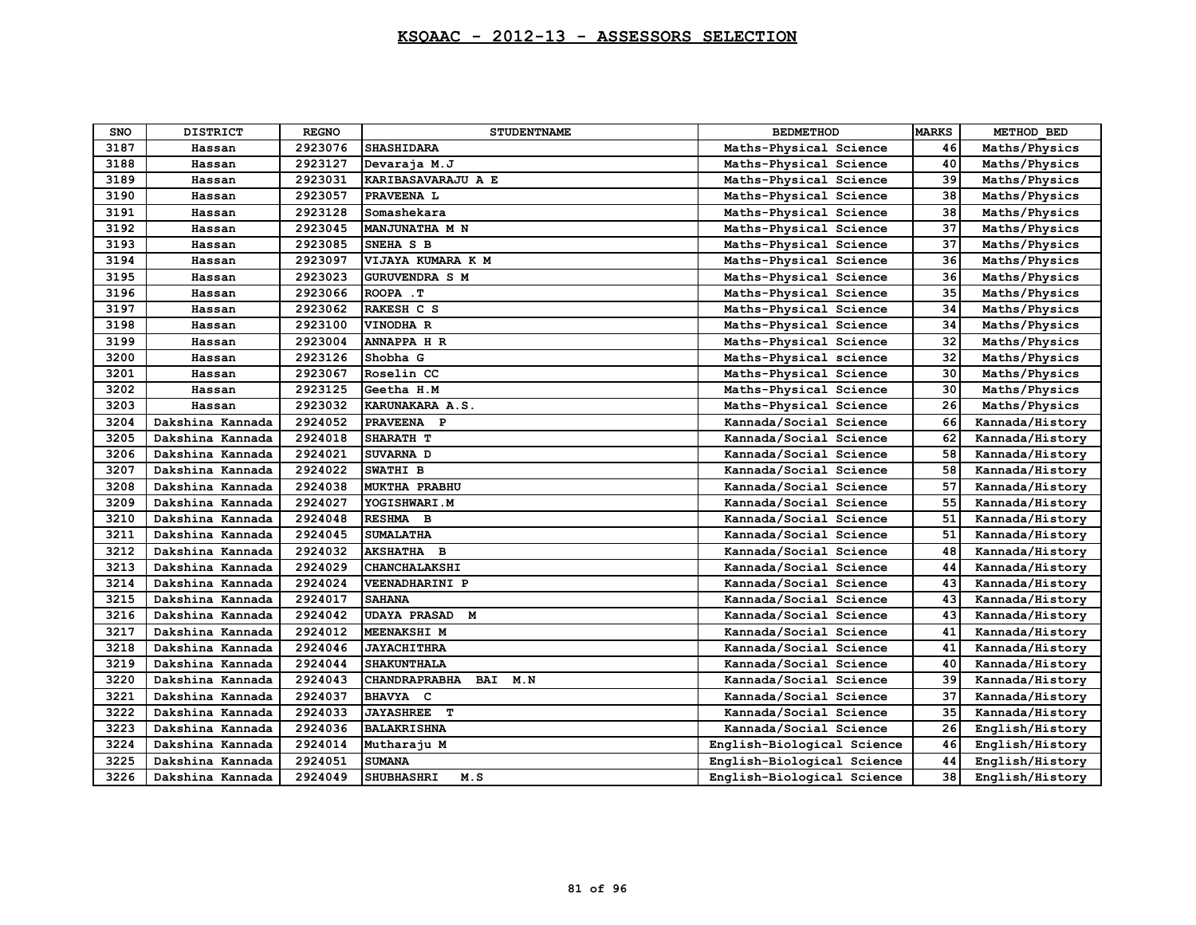| <b>SNO</b> | <b>DISTRICT</b>  | <b>REGNO</b> | <b>STUDENTNAME</b>       | <b>BEDMETHOD</b>           | <b>MARKS</b> | METHOD BED      |
|------------|------------------|--------------|--------------------------|----------------------------|--------------|-----------------|
| 3187       | Hassan           | 2923076      | <b>SHASHIDARA</b>        | Maths-Physical Science     | 46           | Maths/Physics   |
| 3188       | Hassan           | 2923127      | Devaraja M.J             | Maths-Physical Science     | 40           | Maths/Physics   |
| 3189       | Hassan           | 2923031      | KARIBASAVARAJU A E       | Maths-Physical Science     | 39           | Maths/Physics   |
| 3190       | Hassan           | 2923057      | PRAVEENA L               | Maths-Physical Science     | 38           | Maths/Physics   |
| 3191       | Hassan           | 2923128      | Somashekara              | Maths-Physical Science     | 38           | Maths/Physics   |
| 3192       | Hassan           | 2923045      | MANJUNATHA M N           | Maths-Physical Science     | 37           | Maths/Physics   |
| 3193       | Hassan           | 2923085      | SNEHA S B                | Maths-Physical Science     | 37           | Maths/Physics   |
| 3194       | Hassan           | 2923097      | VIJAYA KUMARA K M        | Maths-Physical Science     | 36           | Maths/Physics   |
| 3195       | Hassan           | 2923023      | <b>GURUVENDRA S M</b>    | Maths-Physical Science     | 36           | Maths/Physics   |
| 3196       | Hassan           | 2923066      | ROOPA . T                | Maths-Physical Science     | 35           | Maths/Physics   |
| 3197       | Hassan           | 2923062      | RAKESH C S               | Maths-Physical Science     | 34           | Maths/Physics   |
| 3198       | Hassan           | 2923100      | VINODHA R                | Maths-Physical Science     | 34           | Maths/Physics   |
| 3199       | Hassan           | 2923004      | <b>ANNAPPA H R</b>       | Maths-Physical Science     | 32           | Maths/Physics   |
| 3200       | Hassan           | 2923126      | Shobha G                 | Maths-Physical science     | 32           | Maths/Physics   |
| 3201       | Hassan           | 2923067      | Roselin CC               | Maths-Physical Science     | 30           | Maths/Physics   |
| 3202       | Hassan           | 2923125      | Geetha H.M               | Maths-Physical Science     | 30           | Maths/Physics   |
| 3203       | Hassan           | 2923032      | KARUNAKARA A.S.          | Maths-Physical Science     | 26           | Maths/Physics   |
| 3204       | Dakshina Kannada | 2924052      | PRAVEENA P               | Kannada/Social Science     | 66           | Kannada/History |
| 3205       | Dakshina Kannada | 2924018      | SHARATH T                | Kannada/Social Science     | 62           | Kannada/History |
| 3206       | Dakshina Kannada | 2924021      | SUVARNA D                | Kannada/Social Science     | 58           | Kannada/History |
| 3207       | Dakshina Kannada | 2924022      | SWATHI B                 | Kannada/Social Science     | 58           | Kannada/History |
| 3208       | Dakshina Kannada | 2924038      | <b>MUKTHA PRABHU</b>     | Kannada/Social Science     | 57           | Kannada/History |
| 3209       | Dakshina Kannada | 2924027      | YOGISHWARI.M             | Kannada/Social Science     | 55           | Kannada/History |
| 3210       | Dakshina Kannada | 2924048      | RESHMA B                 | Kannada/Social Science     | 51           | Kannada/History |
| 3211       | Dakshina Kannada | 2924045      | <b>SUMALATHA</b>         | Kannada/Social Science     | 51           | Kannada/History |
| 3212       | Dakshina Kannada | 2924032      | AKSHATHA B               | Kannada/Social Science     | 48           | Kannada/History |
| 3213       | Dakshina Kannada | 2924029      | CHANCHALAKSHI            | Kannada/Social Science     | 44           | Kannada/History |
| 3214       | Dakshina Kannada | 2924024      | <b>VEENADHARINI P</b>    | Kannada/Social Science     | 43           | Kannada/History |
| 3215       | Dakshina Kannada | 2924017      | <b>SAHANA</b>            | Kannada/Social Science     | 43           | Kannada/History |
| 3216       | Dakshina Kannada | 2924042      | <b>UDAYA PRASAD</b><br>M | Kannada/Social Science     | 43           | Kannada/History |
| 3217       | Dakshina Kannada | 2924012      | <b>MEENAKSHI M</b>       | Kannada/Social Science     | 41           | Kannada/History |
| 3218       | Dakshina Kannada | 2924046      | <b>JAYACHITHRA</b>       | Kannada/Social Science     | 41           | Kannada/History |
| 3219       | Dakshina Kannada | 2924044      | <b>SHAKUNTHALA</b>       | Kannada/Social Science     | 40           | Kannada/History |
| 3220       | Dakshina Kannada | 2924043      | CHANDRAPRABHA BAI<br>M.N | Kannada/Social Science     | 39           | Kannada/History |
| 3221       | Dakshina Kannada | 2924037      | <b>BHAVYA C</b>          | Kannada/Social Science     | 37           | Kannada/History |
| 3222       | Dakshina Kannada | 2924033      | <b>JAYASHREE</b> T       | Kannada/Social Science     | 35           | Kannada/History |
| 3223       | Dakshina Kannada | 2924036      | <b>BALAKRISHNA</b>       | Kannada/Social Science     | 26           | English/History |
| 3224       | Dakshina Kannada | 2924014      | Mutharaju M              | English-Biological Science | 46           | English/History |
| 3225       | Dakshina Kannada | 2924051      | <b>SUMANA</b>            | English-Biological Science | 44           | English/History |
| 3226       | Dakshina Kannada | 2924049      | <b>SHUBHASHRI</b><br>M.S | English-Biological Science | 38           | English/History |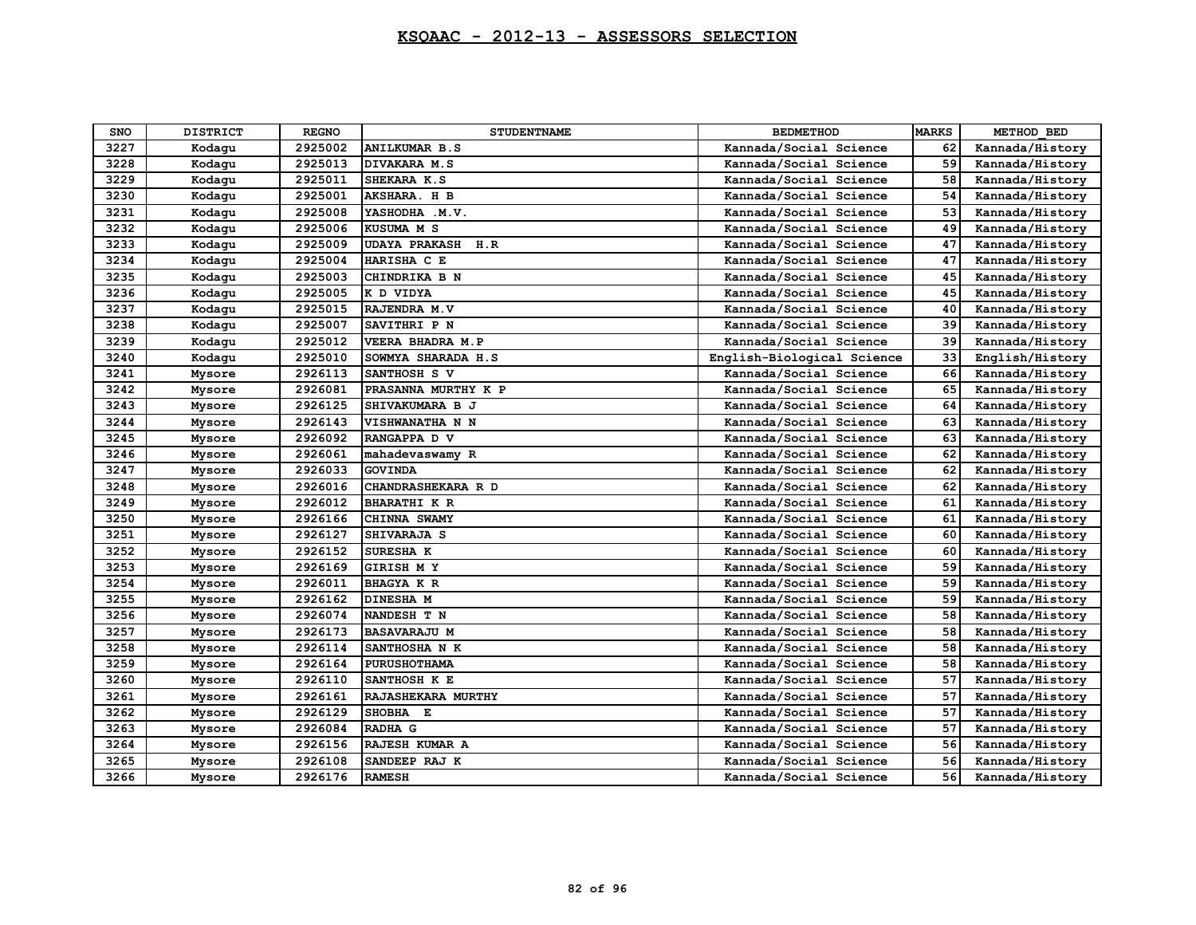| <b>SNO</b> | <b>DISTRICT</b> | <b>REGNO</b> | <b>STUDENTNAME</b>       | <b>BEDMETHOD</b>           | <b>MARKS</b> | METHOD BED      |
|------------|-----------------|--------------|--------------------------|----------------------------|--------------|-----------------|
| 3227       | Kodagu          | 2925002      | <b>ANILKUMAR B.S</b>     | Kannada/Social Science     | 62           | Kannada/History |
| 3228       | Kodagu          | 2925013      | DIVAKARA M.S             | Kannada/Social Science     | 59           | Kannada/History |
| 3229       | Kodagu          | 2925011      | SHEKARA K.S              | Kannada/Social Science     | 58           | Kannada/History |
| 3230       | Kodagu          | 2925001      | AKSHARA. H B             | Kannada/Social Science     | 54           | Kannada/History |
| 3231       | Kodagu          | 2925008      | YASHODHA .M.V.           | Kannada/Social Science     | 53           | Kannada/History |
| 3232       | Kodagu          | 2925006      | KUSUMA M S               | Kannada/Social Science     | 49           | Kannada/History |
| 3233       | Kodagu          | 2925009      | <b>UDAYA PRAKASH H.R</b> | Kannada/Social Science     | 47           | Kannada/History |
| 3234       | Kodagu          | 2925004      | HARISHA C E              | Kannada/Social Science     | 47           | Kannada/History |
| 3235       | Kodagu          | 2925003      | CHINDRIKA B N            | Kannada/Social Science     | 45           | Kannada/History |
| 3236       | Kodagu          | 2925005      | K D VIDYA                | Kannada/Social Science     | 45           | Kannada/History |
| 3237       | Kodagu          | 2925015      | RAJENDRA M.V             | Kannada/Social Science     | 40           | Kannada/History |
| 3238       | Kodagu          | 2925007      | <b>SAVITHRI P N</b>      | Kannada/Social Science     | 39           | Kannada/History |
| 3239       | Kodagu          | 2925012      | VEERA BHADRA M.P         | Kannada/Social Science     | 39           | Kannada/History |
| 3240       | Kodagu          | 2925010      | SOWMYA SHARADA H.S       | English-Biological Science | 33           | English/History |
| 3241       | Mysore          | 2926113      | SANTHOSH S V             | Kannada/Social Science     | 66           | Kannada/History |
| 3242       | Mysore          | 2926081      | PRASANNA MURTHY K P      | Kannada/Social Science     | 65           | Kannada/History |
| 3243       | Mysore          | 2926125      | SHIVAKUMARA B J          | Kannada/Social Science     | 64           | Kannada/History |
| 3244       | Mysore          | 2926143      | <b>VISHWANATHA N N</b>   | Kannada/Social Science     | 63           | Kannada/History |
| 3245       | Mysore          | 2926092      | RANGAPPA D V             | Kannada/Social Science     | 63           | Kannada/History |
| 3246       | Mysore          | 2926061      | mahadevaswamy R          | Kannada/Social Science     | 62           | Kannada/History |
| 3247       | Mysore          | 2926033      | <b>GOVINDA</b>           | Kannada/Social Science     | 62           | Kannada/History |
| 3248       | Mysore          | 2926016      | CHANDRASHEKARA R D       | Kannada/Social Science     | 62           | Kannada/History |
| 3249       | Mysore          | 2926012      | <b>BHARATHI K R</b>      | Kannada/Social Science     | 61           | Kannada/History |
| 3250       | Mysore          | 2926166      | CHINNA SWAMY             | Kannada/Social Science     | 61           | Kannada/History |
| 3251       | Mysore          | 2926127      | SHIVARAJA S              | Kannada/Social Science     | 60           | Kannada/History |
| 3252       | Mysore          | 2926152      | SURESHA K                | Kannada/Social Science     | 60           | Kannada/History |
| 3253       | Mysore          | 2926169      | <b>GIRISH MY</b>         | Kannada/Social Science     | 59           | Kannada/History |
| 3254       | Mysore          | 2926011      | <b>BHAGYA K R</b>        | Kannada/Social Science     | 59           | Kannada/History |
| 3255       | Mysore          | 2926162      | <b>DINESHA M</b>         | Kannada/Social Science     | 59           | Kannada/History |
| 3256       | Mysore          | 2926074      | NANDESH T N              | Kannada/Social Science     | 58           | Kannada/History |
| 3257       | Mysore          | 2926173      | <b>BASAVARAJU M</b>      | Kannada/Social Science     | 58           | Kannada/History |
| 3258       | Mysore          | 2926114      | SANTHOSHA N K            | Kannada/Social Science     | 58           | Kannada/History |
| 3259       | Mysore          | 2926164      | <b>PURUSHOTHAMA</b>      | Kannada/Social Science     | 58           | Kannada/History |
| 3260       | Mysore          | 2926110      | SANTHOSH K E             | Kannada/Social Science     | 57           | Kannada/History |
| 3261       | Mysore          | 2926161      | RAJASHEKARA MURTHY       | Kannada/Social Science     | 57           | Kannada/History |
| 3262       | Mysore          | 2926129      | SHOBHA E                 | Kannada/Social Science     | 57           | Kannada/History |
| 3263       | Mysore          | 2926084      | RADHA G                  | Kannada/Social Science     | 57           | Kannada/History |
| 3264       | Mysore          | 2926156      | RAJESH KUMAR A           | Kannada/Social Science     | 56           | Kannada/History |
| 3265       | Mysore          | 2926108      | SANDEEP RAJ K            | Kannada/Social Science     | 56           | Kannada/History |
| 3266       | Mysore          | 2926176      | <b>RAMESH</b>            | Kannada/Social Science     | 56           | Kannada/History |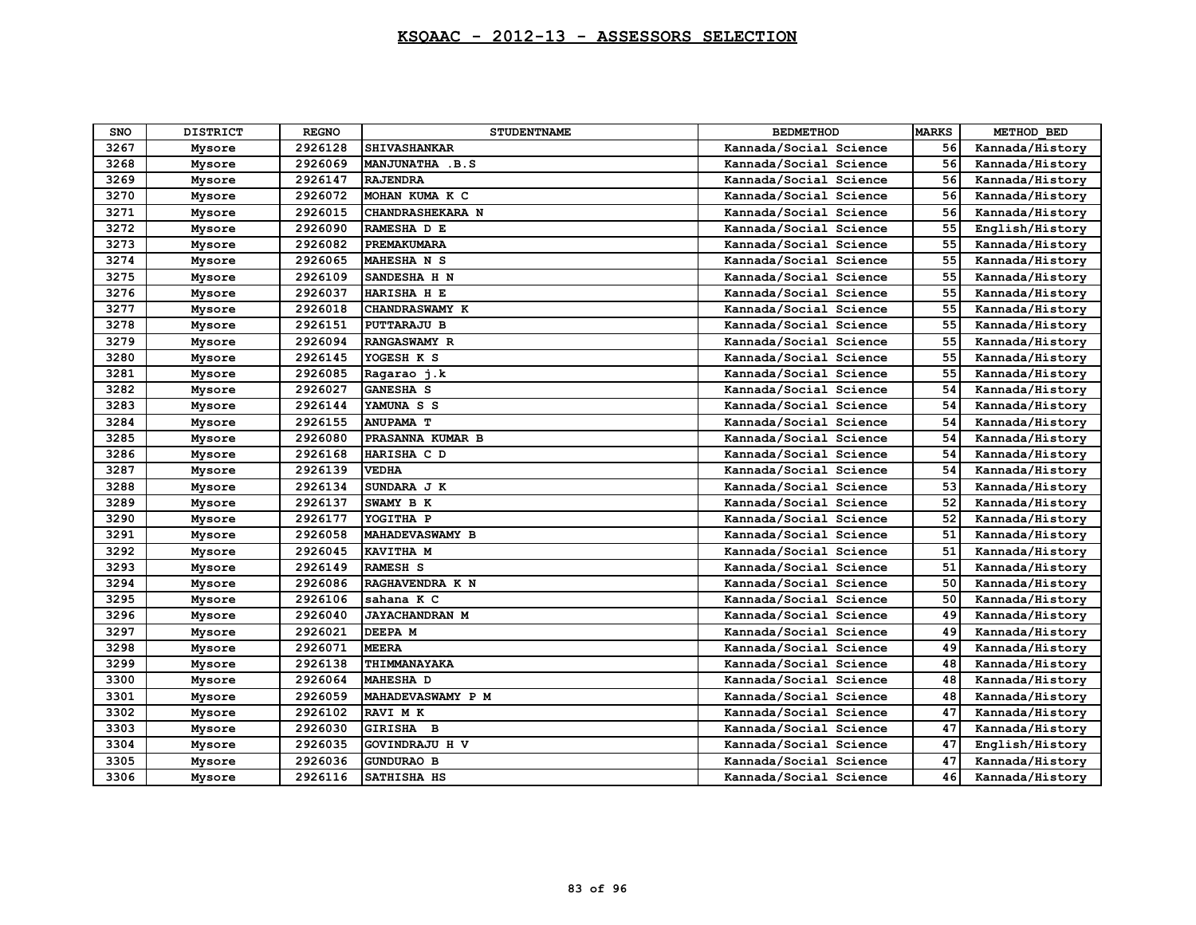| <b>SNO</b> | <b>DISTRICT</b> | <b>REGNO</b> | <b>STUDENTNAME</b>      | <b>BEDMETHOD</b>       | <b>MARKS</b> | METHOD BED      |
|------------|-----------------|--------------|-------------------------|------------------------|--------------|-----------------|
| 3267       | Mysore          | 2926128      | <b>SHIVASHANKAR</b>     | Kannada/Social Science | 56           | Kannada/History |
| 3268       | Mysore          | 2926069      | MANJUNATHA .B.S         | Kannada/Social Science | 56           | Kannada/History |
| 3269       | Mysore          | 2926147      | <b>RAJENDRA</b>         | Kannada/Social Science | 56           | Kannada/History |
| 3270       | Mysore          | 2926072      | MOHAN KUMA K C          | Kannada/Social Science | 56           | Kannada/History |
| 3271       | Mysore          | 2926015      | <b>CHANDRASHEKARA N</b> | Kannada/Social Science | 56           | Kannada/History |
| 3272       | Mysore          | 2926090      | RAMESHA D E             | Kannada/Social Science | 55           | English/History |
| 3273       | Mysore          | 2926082      | <b>PREMAKUMARA</b>      | Kannada/Social Science | 55           | Kannada/History |
| 3274       | Mysore          | 2926065      | MAHESHA N S             | Kannada/Social Science | 55           | Kannada/History |
| 3275       | Mysore          | 2926109      | SANDESHA H N            | Kannada/Social Science | 55           | Kannada/History |
| 3276       | Mysore          | 2926037      | HARISHA H E             | Kannada/Social Science | 55           | Kannada/History |
| 3277       | Mysore          | 2926018      | CHANDRASWAMY K          | Kannada/Social Science | 55           | Kannada/History |
| 3278       | Mysore          | 2926151      | <b>PUTTARAJU B</b>      | Kannada/Social Science | 55           | Kannada/History |
| 3279       | Mysore          | 2926094      | <b>RANGASWAMY R</b>     | Kannada/Social Science | 55           | Kannada/History |
| 3280       | Mysore          | 2926145      | YOGESH K S              | Kannada/Social Science | 55           | Kannada/History |
| 3281       | Mysore          | 2926085      | Ragarao j.k             | Kannada/Social Science | 55           | Kannada/History |
| 3282       | Mysore          | 2926027      | <b>GANESHA S</b>        | Kannada/Social Science | 54           | Kannada/History |
| 3283       | Mysore          | 2926144      | YAMUNA S S              | Kannada/Social Science | 54           | Kannada/History |
| 3284       | Mysore          | 2926155      | <b>ANUPAMA T</b>        | Kannada/Social Science | 54           | Kannada/History |
| 3285       | Mysore          | 2926080      | PRASANNA KUMAR B        | Kannada/Social Science | 54           | Kannada/History |
| 3286       | Mysore          | 2926168      | HARISHA C D             | Kannada/Social Science | 54           | Kannada/History |
| 3287       | Mysore          | 2926139      | <b>VEDHA</b>            | Kannada/Social Science | 54           | Kannada/History |
| 3288       | Mysore          | 2926134      | SUNDARA J K             | Kannada/Social Science | 53           | Kannada/History |
| 3289       | Mysore          | 2926137      | SWAMY B K               | Kannada/Social Science | 52           | Kannada/History |
| 3290       | Mysore          | 2926177      | YOGITHA P               | Kannada/Social Science | 52           | Kannada/History |
| 3291       | Mysore          | 2926058      | <b>MAHADEVASWAMY B</b>  | Kannada/Social Science | 51           | Kannada/History |
| 3292       | Mysore          | 2926045      | KAVITHA M               | Kannada/Social Science | 51           | Kannada/History |
| 3293       | Mysore          | 2926149      | RAMESH S                | Kannada/Social Science | 51           | Kannada/History |
| 3294       | Mysore          | 2926086      | RAGHAVENDRA K N         | Kannada/Social Science | 50           | Kannada/History |
| 3295       | Mysore          | 2926106      | sahana K C              | Kannada/Social Science | 50           | Kannada/History |
| 3296       | Mysore          | 2926040      | <b>JAYACHANDRAN M</b>   | Kannada/Social Science | 49           | Kannada/History |
| 3297       | Mysore          | 2926021      | DEEPA M                 | Kannada/Social Science | 49           | Kannada/History |
| 3298       | Mysore          | 2926071      | <b>MEERA</b>            | Kannada/Social Science | 49           | Kannada/History |
| 3299       | Mysore          | 2926138      | THIMMANAYAKA            | Kannada/Social Science | 48           | Kannada/History |
| 3300       | Mysore          | 2926064      | <b>MAHESHA D</b>        | Kannada/Social Science | 48           | Kannada/History |
| 3301       | Mysore          | 2926059      | MAHADEVASWAMY P M       | Kannada/Social Science | 48           | Kannada/History |
| 3302       | Mysore          | 2926102      | RAVI M K                | Kannada/Social Science | 47           | Kannada/History |
| 3303       | Mysore          | 2926030      | GIRISHA B               | Kannada/Social Science | 47           | Kannada/History |
| 3304       | Mysore          | 2926035      | GOVINDRAJU H V          | Kannada/Social Science | 47           | English/History |
| 3305       | Mysore          | 2926036      | <b>GUNDURAO B</b>       | Kannada/Social Science | 47           | Kannada/History |
| 3306       | Mysore          | 2926116      | SATHISHA HS             | Kannada/Social Science | 46           | Kannada/History |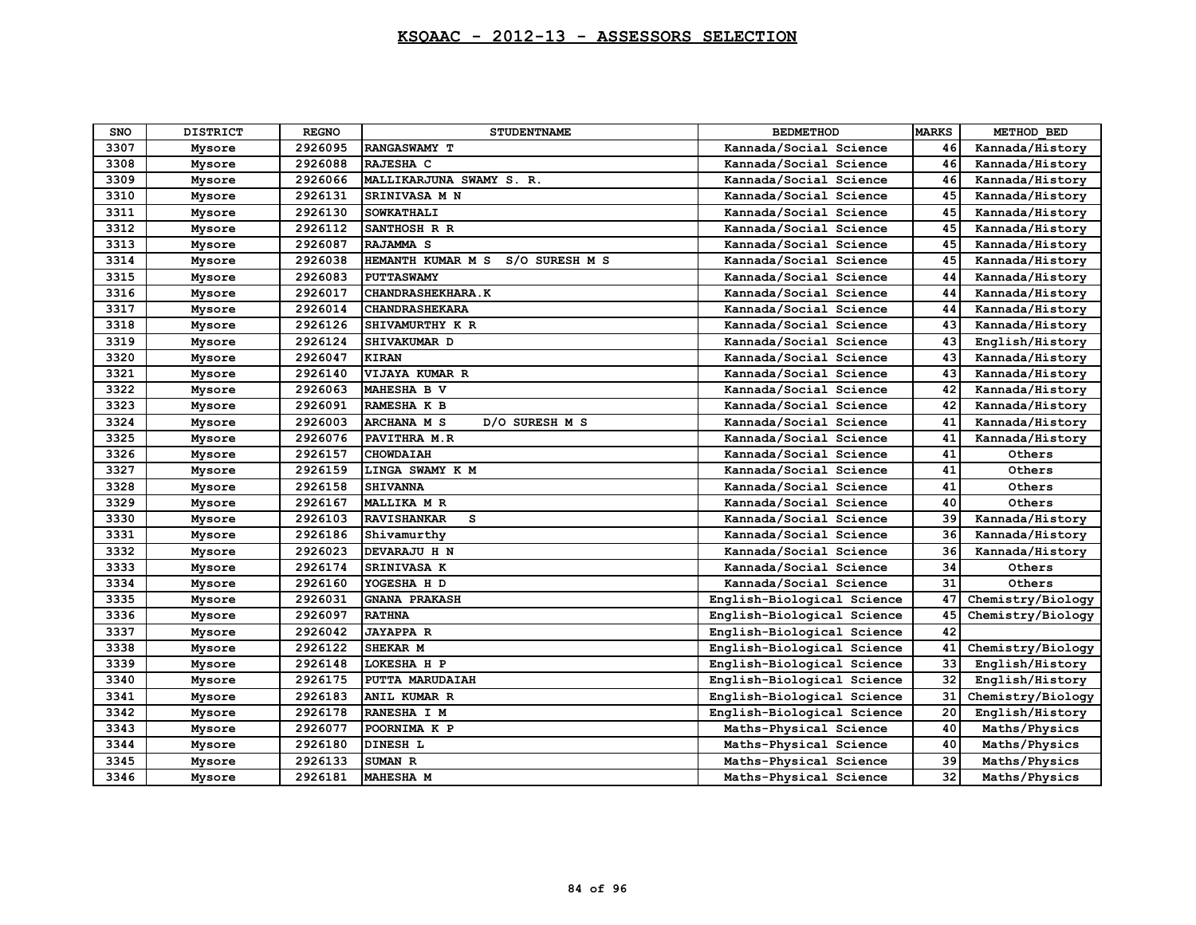| <b>SNO</b> | <b>DISTRICT</b> | <b>REGNO</b> | <b>STUDENTNAME</b>                   | <b>BEDMETHOD</b>           | <b>MARKS</b> | METHOD BED        |
|------------|-----------------|--------------|--------------------------------------|----------------------------|--------------|-------------------|
| 3307       | Mysore          | 2926095      | RANGASWAMY T                         | Kannada/Social Science     | 46           | Kannada/History   |
| 3308       | Mysore          | 2926088      | RAJESHA C                            | Kannada/Social Science     | 46           | Kannada/History   |
| 3309       | Mysore          | 2926066      | MALLIKARJUNA SWAMY S. R.             | Kannada/Social Science     | 46           | Kannada/History   |
| 3310       | Mysore          | 2926131      | SRINIVASA M N                        | Kannada/Social Science     | 45           | Kannada/History   |
| 3311       | Mysore          | 2926130      | <b>SOWKATHALI</b>                    | Kannada/Social Science     | 45           | Kannada/History   |
| 3312       | Mysore          | 2926112      | SANTHOSH R R                         | Kannada/Social Science     | 45           | Kannada/History   |
| 3313       | Mysore          | 2926087      | RAJAMMA <sub>S</sub>                 | Kannada/Social Science     | 45           | Kannada/History   |
| 3314       | Mysore          | 2926038      | HEMANTH KUMAR M S<br>S/O SURESH M S  | Kannada/Social Science     | 45           | Kannada/History   |
| 3315       | Mysore          | 2926083      | <b>PUTTASWAMY</b>                    | Kannada/Social Science     | 44           | Kannada/History   |
| 3316       | Mysore          | 2926017      | CHANDRASHEKHARA.K                    | Kannada/Social Science     | 44           | Kannada/History   |
| 3317       | Mysore          | 2926014      | <b>CHANDRASHEKARA</b>                | Kannada/Social Science     | 44           | Kannada/History   |
| 3318       | Mysore          | 2926126      | SHIVAMURTHY K R                      | Kannada/Social Science     | 43           | Kannada/History   |
| 3319       | Mysore          | 2926124      | SHIVAKUMAR D                         | Kannada/Social Science     | 43           | English/History   |
| 3320       | Mysore          | 2926047      | <b>KIRAN</b>                         | Kannada/Social Science     | 43           | Kannada/History   |
| 3321       | Mysore          | 2926140      | VIJAYA KUMAR R                       | Kannada/Social Science     | 43           | Kannada/History   |
| 3322       | Mysore          | 2926063      | MAHESHA B V                          | Kannada/Social Science     | 42           | Kannada/History   |
| 3323       | Mysore          | 2926091      | RAMESHA K B                          | Kannada/Social Science     | 42           | Kannada/History   |
| 3324       | Mysore          | 2926003      | <b>ARCHANA M S</b><br>D/O SURESH M S | Kannada/Social Science     | 41           | Kannada/History   |
| 3325       | Mysore          | 2926076      | PAVITHRA M.R                         | Kannada/Social Science     | 41           | Kannada/History   |
| 3326       | Mysore          | 2926157      | <b>CHOWDAIAH</b>                     | Kannada/Social Science     | 41           | Others            |
| 3327       | Mysore          | 2926159      | LINGA SWAMY K M                      | Kannada/Social Science     | 41           | Others            |
| 3328       | Mysore          | 2926158      | <b>SHIVANNA</b>                      | Kannada/Social Science     | 41           | Others            |
| 3329       | Mysore          | 2926167      | <b>MALLIKA M R</b>                   | Kannada/Social Science     | 40           | Others            |
| 3330       | Mysore          | 2926103      | <b>RAVISHANKAR</b><br>s              | Kannada/Social Science     | 39           | Kannada/History   |
| 3331       | Mysore          | 2926186      | Shivamurthy                          | Kannada/Social Science     | 36           | Kannada/History   |
| 3332       | Mysore          | 2926023      | DEVARAJU H N                         | Kannada/Social Science     | 36           | Kannada/History   |
| 3333       | Mysore          | 2926174      | SRINIVASA K                          | Kannada/Social Science     | 34           | Others            |
| 3334       | Mysore          | 2926160      | YOGESHA H D                          | Kannada/Social Science     | 31           | Others            |
| 3335       | Mysore          | 2926031      | <b>GNANA PRAKASH</b>                 | English-Biological Science | 47           | Chemistry/Biology |
| 3336       | Mysore          | 2926097      | <b>RATHNA</b>                        | English-Biological Science | 45           | Chemistry/Biology |
| 3337       | Mysore          | 2926042      | <b>JAYAPPA R</b>                     | English-Biological Science | 42           |                   |
| 3338       | Mysore          | 2926122      | SHEKAR M                             | English-Biological Science | 41           | Chemistry/Biology |
| 3339       | Mysore          | 2926148      | LOKESHA H P                          | English-Biological Science | 33           | English/History   |
| 3340       | Mysore          | 2926175      | PUTTA MARUDAIAH                      | English-Biological Science | 32           | English/History   |
| 3341       | Mysore          | 2926183      | ANIL KUMAR R                         | English-Biological Science | 31           | Chemistry/Biology |
| 3342       | Mysore          | 2926178      | RANESHA I M                          | English-Biological Science | 20           | English/History   |
| 3343       | Mysore          | 2926077      | POORNIMA K P                         | Maths-Physical Science     | 40           | Maths/Physics     |
| 3344       | Mysore          | 2926180      | <b>DINESH L</b>                      | Maths-Physical Science     | 40           | Maths/Physics     |
| 3345       | Mysore          | 2926133      | SUMAN R                              | Maths-Physical Science     | 39           | Maths/Physics     |
| 3346       | Mysore          | 2926181      | <b>MAHESHA M</b>                     | Maths-Physical Science     | 32           | Maths/Physics     |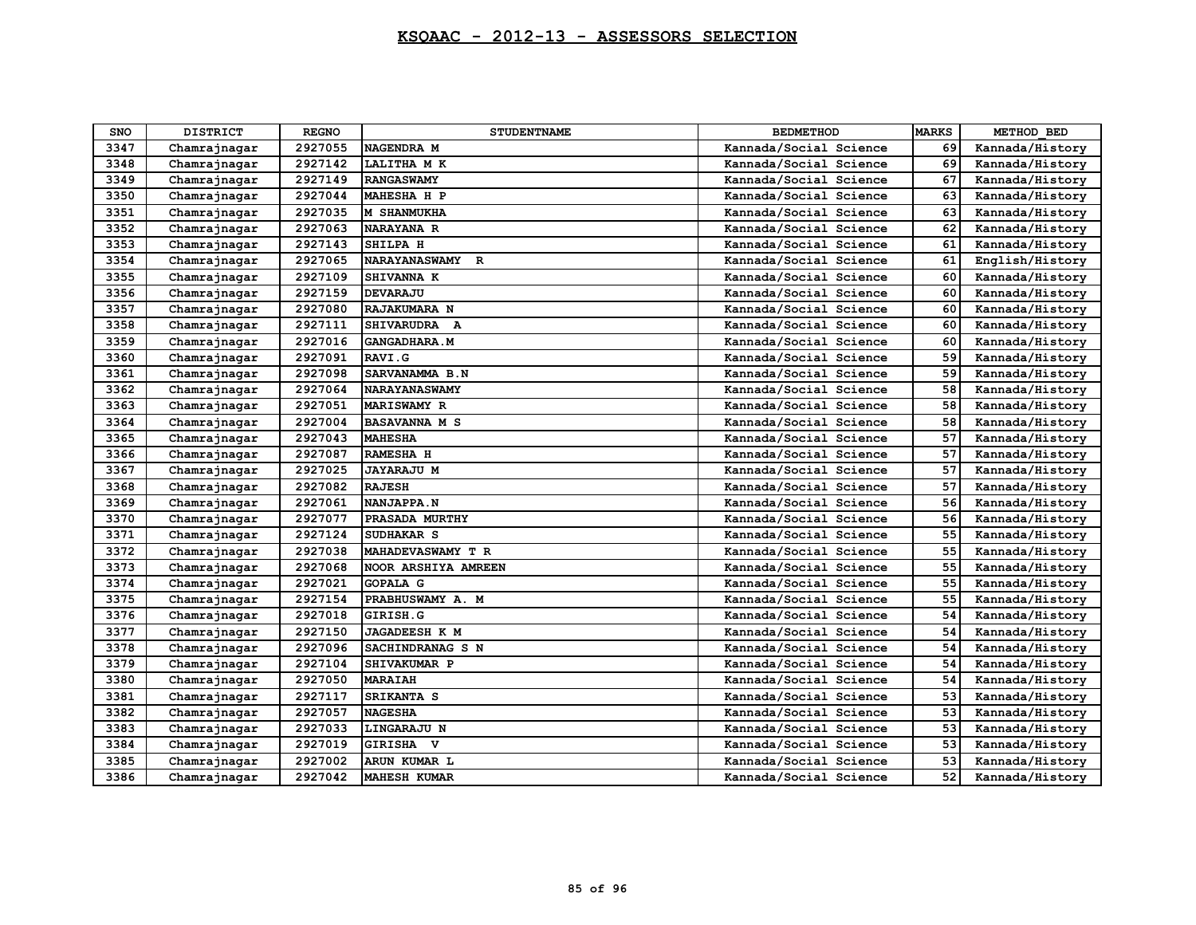| SNO  | <b>DISTRICT</b> | <b>REGNO</b> | <b>STUDENTNAME</b>   | <b>BEDMETHOD</b>       | <b>MARKS</b> | METHOD BED      |
|------|-----------------|--------------|----------------------|------------------------|--------------|-----------------|
| 3347 | Chamrajnagar    | 2927055      | NAGENDRA M           | Kannada/Social Science | 69           | Kannada/History |
| 3348 | Chamrajnagar    | 2927142      | LALITHA M K          | Kannada/Social Science | 69           | Kannada/History |
| 3349 | Chamrajnagar    | 2927149      | <b>RANGASWAMY</b>    | Kannada/Social Science | 67           | Kannada/History |
| 3350 | Chamrajnagar    | 2927044      | MAHESHA H P          | Kannada/Social Science | 63           | Kannada/History |
| 3351 | Chamrajnagar    | 2927035      | <b>M SHANMUKHA</b>   | Kannada/Social Science | 63           | Kannada/History |
| 3352 | Chamrajnagar    | 2927063      | <b>NARAYANA R</b>    | Kannada/Social Science | 62           | Kannada/History |
| 3353 | Chamrajnagar    | 2927143      | SHILPA H             | Kannada/Social Science | 61           | Kannada/History |
| 3354 | Chamrajnagar    | 2927065      | NARAYANASWAMY R      | Kannada/Social Science | 61           | English/History |
| 3355 | Chamrajnagar    | 2927109      | SHIVANNA K           | Kannada/Social Science | 60           | Kannada/History |
| 3356 | Chamrajnagar    | 2927159      | <b>DEVARAJU</b>      | Kannada/Social Science | 60           | Kannada/History |
| 3357 | Chamrajnagar    | 2927080      | RAJAKUMARA N         | Kannada/Social Science | 60           | Kannada/History |
| 3358 | Chamrajnagar    | 2927111      | SHIVARUDRA A         | Kannada/Social Science | 60           | Kannada/History |
| 3359 | Chamrajnagar    | 2927016      | <b>GANGADHARA.M</b>  | Kannada/Social Science | 60           | Kannada/History |
| 3360 | Chamrajnagar    | 2927091      | RAVI.G               | Kannada/Social Science | 59           | Kannada/History |
| 3361 | Chamrajnagar    | 2927098      | SARVANAMMA B.N       | Kannada/Social Science | 59           | Kannada/History |
| 3362 | Chamrajnagar    | 2927064      | <b>NARAYANASWAMY</b> | Kannada/Social Science | 58           | Kannada/History |
| 3363 | Chamrajnagar    | 2927051      | <b>MARISWAMY R</b>   | Kannada/Social Science | 58           | Kannada/History |
| 3364 | Chamrajnagar    | 2927004      | <b>BASAVANNA M S</b> | Kannada/Social Science | 58           | Kannada/History |
| 3365 | Chamrajnagar    | 2927043      | <b>MAHESHA</b>       | Kannada/Social Science | 57           | Kannada/History |
| 3366 | Chamrajnagar    | 2927087      | RAMESHA H            | Kannada/Social Science | 57           | Kannada/History |
| 3367 | Chamrajnagar    | 2927025      | <b>JAYARAJU M</b>    | Kannada/Social Science | 57           | Kannada/History |
| 3368 | Chamrajnagar    | 2927082      | <b>RAJESH</b>        | Kannada/Social Science | 57           | Kannada/History |
| 3369 | Chamrajnagar    | 2927061      | NANJAPPA.N           | Kannada/Social Science | 56           | Kannada/History |
| 3370 | Chamrajnagar    | 2927077      | PRASADA MURTHY       | Kannada/Social Science | 56           | Kannada/History |
| 3371 | Chamrajnagar    | 2927124      | SUDHAKAR S           | Kannada/Social Science | 55           | Kannada/History |
| 3372 | Chamrajnagar    | 2927038      | MAHADEVASWAMY T R    | Kannada/Social Science | 55           | Kannada/History |
| 3373 | Chamrajnagar    | 2927068      | NOOR ARSHIYA AMREEN  | Kannada/Social Science | 55           | Kannada/History |
| 3374 | Chamrajnagar    | 2927021      | <b>GOPALA G</b>      | Kannada/Social Science | 55           | Kannada/History |
| 3375 | Chamrajnagar    | 2927154      | PRABHUSWAMY A. M     | Kannada/Social Science | 55           | Kannada/History |
| 3376 | Chamrajnagar    | 2927018      | GIRISH.G             | Kannada/Social Science | 54           | Kannada/History |
| 3377 | Chamrajnagar    | 2927150      | <b>JAGADEESH K M</b> | Kannada/Social Science | 54           | Kannada/History |
| 3378 | Chamrajnagar    | 2927096      | SACHINDRANAG S N     | Kannada/Social Science | 54           | Kannada/History |
| 3379 | Chamrajnagar    | 2927104      | SHIVAKUMAR P         | Kannada/Social Science | 54           | Kannada/History |
| 3380 | Chamrajnagar    | 2927050      | <b>MARAIAH</b>       | Kannada/Social Science | 54           | Kannada/History |
| 3381 | Chamrajnagar    | 2927117      | SRIKANTA S           | Kannada/Social Science | 53           | Kannada/History |
| 3382 | Chamrajnagar    | 2927057      | <b>NAGESHA</b>       | Kannada/Social Science | 53           | Kannada/History |
| 3383 | Chamrajnagar    | 2927033      | <b>LINGARAJU N</b>   | Kannada/Social Science | 53           | Kannada/History |
| 3384 | Chamrajnagar    | 2927019      | GIRISHA V            | Kannada/Social Science | 53           | Kannada/History |
| 3385 | Chamrajnagar    | 2927002      | ARUN KUMAR L         | Kannada/Social Science | 53           | Kannada/History |
| 3386 | Chamrajnagar    | 2927042      | <b>MAHESH KUMAR</b>  | Kannada/Social Science | 52           | Kannada/History |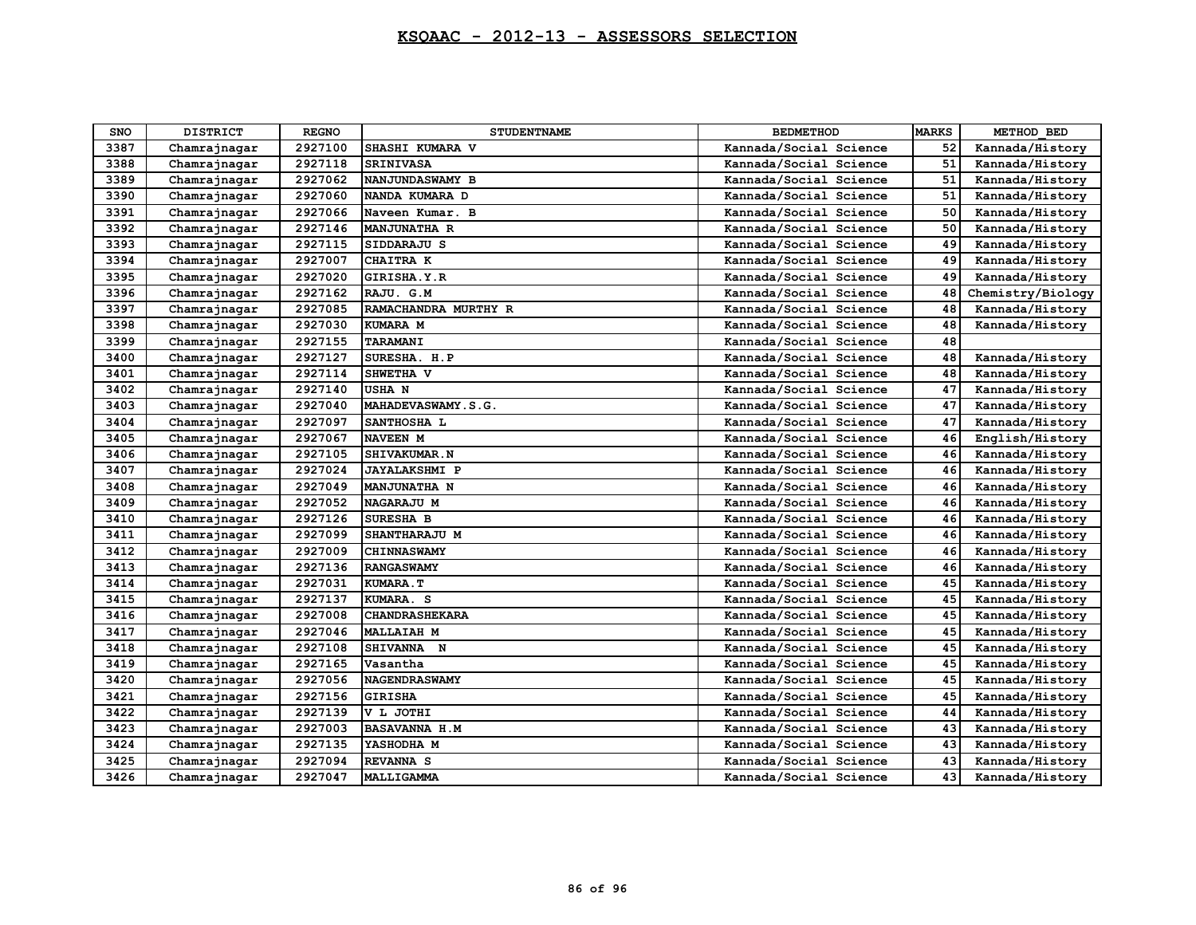| <b>SNO</b> | <b>DISTRICT</b> | <b>REGNO</b> | <b>STUDENTNAME</b>    | <b>BEDMETHOD</b>       | <b>MARKS</b> | METHOD BED        |
|------------|-----------------|--------------|-----------------------|------------------------|--------------|-------------------|
| 3387       | Chamrajnagar    | 2927100      | SHASHI KUMARA V       | Kannada/Social Science | 52           | Kannada/History   |
| 3388       | Chamrajnagar    | 2927118      | <b>SRINIVASA</b>      | Kannada/Social Science | 51           | Kannada/History   |
| 3389       | Chamrajnagar    | 2927062      | NANJUNDASWAMY B       | Kannada/Social Science | 51           | Kannada/History   |
| 3390       | Chamrajnagar    | 2927060      | NANDA KUMARA D        | Kannada/Social Science | 51           | Kannada/History   |
| 3391       | Chamrajnagar    | 2927066      | Naveen Kumar. B       | Kannada/Social Science | 50           | Kannada/History   |
| 3392       | Chamrajnagar    | 2927146      | <b>MANJUNATHA R</b>   | Kannada/Social Science | 50           | Kannada/History   |
| 3393       | Chamrajnagar    | 2927115      | SIDDARAJU S           | Kannada/Social Science | 49           | Kannada/History   |
| 3394       | Chamrajnagar    | 2927007      | CHAITRA K             | Kannada/Social Science | 49           | Kannada/History   |
| 3395       | Chamrajnagar    | 2927020      | GIRISHA.Y.R           | Kannada/Social Science | 49           | Kannada/History   |
| 3396       | Chamrajnagar    | 2927162      | RAJU. G.M             | Kannada/Social Science | 48           | Chemistry/Biology |
| 3397       | Chamrajnagar    | 2927085      | RAMACHANDRA MURTHY R  | Kannada/Social Science | 48           | Kannada/History   |
| 3398       | Chamrajnagar    | 2927030      | KUMARA M              | Kannada/Social Science | 48           | Kannada/History   |
| 3399       | Chamrajnagar    | 2927155      | TARAMANI              | Kannada/Social Science | 48           |                   |
| 3400       | Chamrajnagar    | 2927127      | SURESHA. H.P          | Kannada/Social Science | 48           | Kannada/History   |
| 3401       | Chamrajnagar    | 2927114      | SHWETHA V             | Kannada/Social Science | 48           | Kannada/History   |
| 3402       | Chamrajnagar    | 2927140      | <b>USHAN</b>          | Kannada/Social Science | 47           | Kannada/History   |
| 3403       | Chamrajnagar    | 2927040      | MAHADEVASWAMY.S.G.    | Kannada/Social Science | 47           | Kannada/History   |
| 3404       | Chamrajnagar    | 2927097      | SANTHOSHA L           | Kannada/Social Science | 47           | Kannada/History   |
| 3405       | Chamrajnagar    | 2927067      | <b>NAVEEN M</b>       | Kannada/Social Science | 46           | English/History   |
| 3406       | Chamrajnagar    | 2927105      | SHIVAKUMAR.N          | Kannada/Social Science | 46           | Kannada/History   |
| 3407       | Chamrajnagar    | 2927024      | <b>JAYALAKSHMI P</b>  | Kannada/Social Science | 46           | Kannada/History   |
| 3408       | Chamrajnagar    | 2927049      | <b>MANJUNATHA N</b>   | Kannada/Social Science | 46           | Kannada/History   |
| 3409       | Chamrajnagar    | 2927052      | NAGARAJU M            | Kannada/Social Science | 46           | Kannada/History   |
| 3410       | Chamrajnagar    | 2927126      | SURESHA B             | Kannada/Social Science | 46           | Kannada/History   |
| 3411       | Chamrajnagar    | 2927099      | SHANTHARAJU M         | Kannada/Social Science | 46           | Kannada/History   |
| 3412       | Chamrajnagar    | 2927009      | <b>CHINNASWAMY</b>    | Kannada/Social Science | 46           | Kannada/History   |
| 3413       | Chamrajnagar    | 2927136      | <b>RANGASWAMY</b>     | Kannada/Social Science | 46           | Kannada/History   |
| 3414       | Chamrajnagar    | 2927031      | KUMARA.T              | Kannada/Social Science | 45           | Kannada/History   |
| 3415       | Chamrajnagar    | 2927137      | KUMARA. S             | Kannada/Social Science | 45           | Kannada/History   |
| 3416       | Chamrajnagar    | 2927008      | <b>CHANDRASHEKARA</b> | Kannada/Social Science | 45           | Kannada/History   |
| 3417       | Chamrajnagar    | 2927046      | <b>MALLAIAH M</b>     | Kannada/Social Science | 45           | Kannada/History   |
| 3418       | Chamrajnagar    | 2927108      | SHIVANNA N            | Kannada/Social Science | 45           | Kannada/History   |
| 3419       | Chamrajnagar    | 2927165      | Vasantha              | Kannada/Social Science | 45           | Kannada/History   |
| 3420       | Chamrajnagar    | 2927056      | <b>NAGENDRASWAMY</b>  | Kannada/Social Science | 45           | Kannada/History   |
| 3421       | Chamrajnagar    | 2927156      | <b>GIRISHA</b>        | Kannada/Social Science | 45           | Kannada/History   |
| 3422       | Chamrajnagar    | 2927139      | V L JOTHI             | Kannada/Social Science | 44           | Kannada/History   |
| 3423       | Chamrajnagar    | 2927003      | <b>BASAVANNA H.M</b>  | Kannada/Social Science | 43           | Kannada/History   |
| 3424       | Chamrajnagar    | 2927135      | YASHODHA M            | Kannada/Social Science | 43           | Kannada/History   |
| 3425       | Chamrajnagar    | 2927094      | <b>REVANNA S</b>      | Kannada/Social Science | 43           | Kannada/History   |
| 3426       | Chamrajnagar    | 2927047      | MALLIGAMMA            | Kannada/Social Science | 43           | Kannada/History   |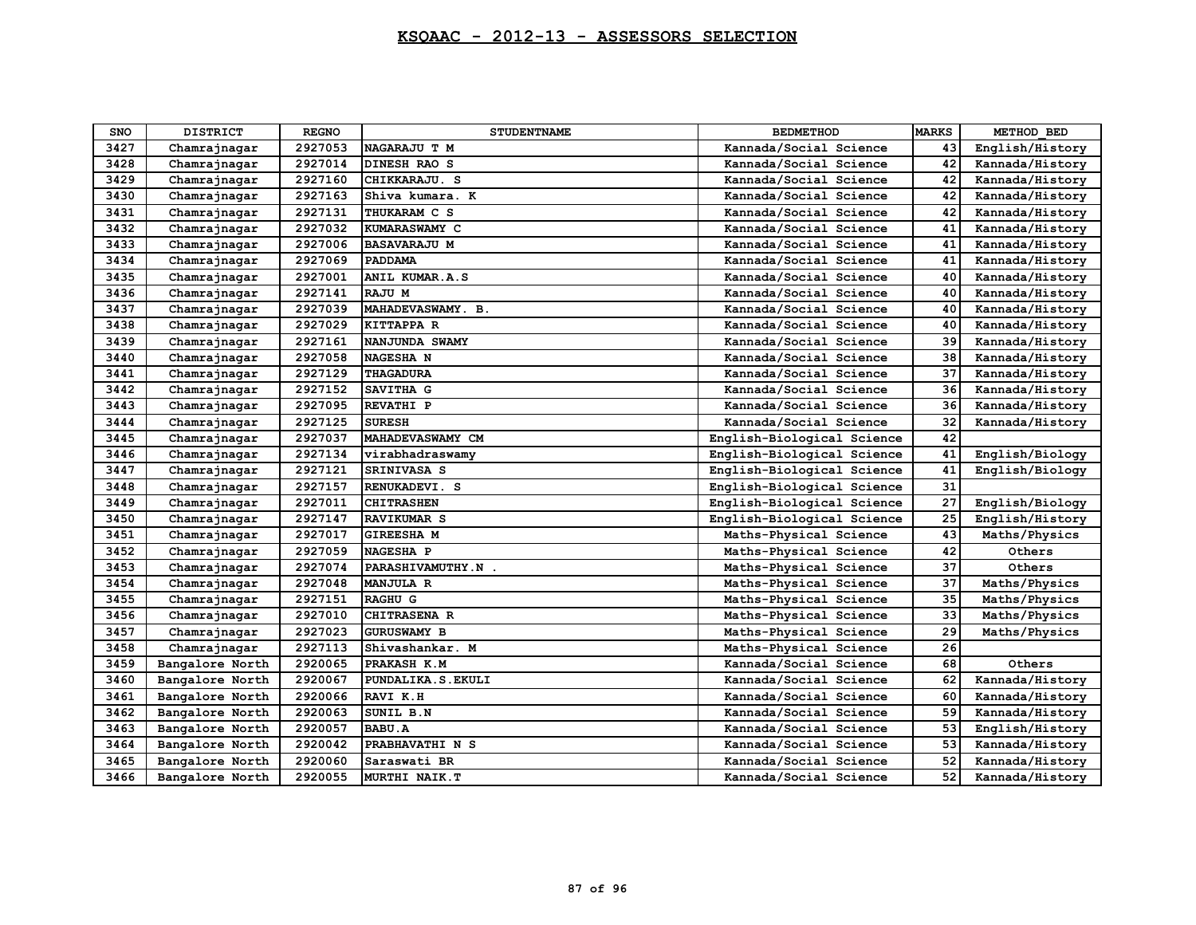| <b>SNO</b> | <b>DISTRICT</b> | <b>REGNO</b> | <b>STUDENTNAME</b>  | <b>BEDMETHOD</b>           | <b>MARKS</b> | METHOD BED      |
|------------|-----------------|--------------|---------------------|----------------------------|--------------|-----------------|
| 3427       | Chamrajnagar    | 2927053      | NAGARAJU T M        | Kannada/Social Science     | 43           | English/History |
| 3428       | Chamrajnagar    | 2927014      | DINESH RAO S        | Kannada/Social Science     | 42           | Kannada/History |
| 3429       | Chamrajnagar    | 2927160      | CHIKKARAJU. S       | Kannada/Social Science     | 42           | Kannada/History |
| 3430       | Chamrajnagar    | 2927163      | Shiva kumara. K     | Kannada/Social Science     | 42           | Kannada/History |
| 3431       | Chamrajnagar    | 2927131      | THUKARAM C S        | Kannada/Social Science     | 42           | Kannada/History |
| 3432       | Chamrajnagar    | 2927032      | KUMARASWAMY C       | Kannada/Social Science     | 41           | Kannada/History |
| 3433       | Chamrajnagar    | 2927006      | <b>BASAVARAJU M</b> | Kannada/Social Science     | 41           | Kannada/History |
| 3434       | Chamrajnagar    | 2927069      | <b>PADDAMA</b>      | Kannada/Social Science     | 41           | Kannada/History |
| 3435       | Chamrajnagar    | 2927001      | ANIL KUMAR.A.S      | Kannada/Social Science     | 40           | Kannada/History |
| 3436       | Chamrajnagar    | 2927141      | RAJU M              | Kannada/Social Science     | 40           | Kannada/History |
| 3437       | Chamrajnagar    | 2927039      | MAHADEVASWAMY. B.   | Kannada/Social Science     | 40           | Kannada/History |
| 3438       | Chamrajnagar    | 2927029      | KITTAPPA R          | Kannada/Social Science     | 40           | Kannada/History |
| 3439       | Chamrajnagar    | 2927161      | NANJUNDA SWAMY      | Kannada/Social Science     | 39           | Kannada/History |
| 3440       | Chamrajnagar    | 2927058      | NAGESHA N           | Kannada/Social Science     | 38           | Kannada/History |
| 3441       | Chamrajnagar    | 2927129      | <b>THAGADURA</b>    | Kannada/Social Science     | 37           | Kannada/History |
| 3442       | Chamrajnagar    | 2927152      | SAVITHA G           | Kannada/Social Science     | 36           | Kannada/History |
| 3443       | Chamrajnagar    | 2927095      | REVATHI P           | Kannada/Social Science     | 36           | Kannada/History |
| 3444       | Chamrajnagar    | 2927125      | <b>SURESH</b>       | Kannada/Social Science     | 32           | Kannada/History |
| 3445       | Chamrajnagar    | 2927037      | MAHADEVASWAMY CM    | English-Biological Science | 42           |                 |
| 3446       | Chamrajnagar    | 2927134      | virabhadraswamy     | English-Biological Science | 41           | English/Biology |
| 3447       | Chamrajnagar    | 2927121      | <b>SRINIVASA S</b>  | English-Biological Science | 41           | English/Biology |
| 3448       | Chamrajnagar    | 2927157      | RENUKADEVI. S       | English-Biological Science | 31           |                 |
| 3449       | Chamrajnagar    | 2927011      | <b>CHITRASHEN</b>   | English-Biological Science | 27           | English/Biology |
| 3450       | Chamrajnagar    | 2927147      | <b>RAVIKUMAR S</b>  | English-Biological Science | 25           | English/History |
| 3451       | Chamrajnagar    | 2927017      | <b>GIREESHA M</b>   | Maths-Physical Science     | 43           | Maths/Physics   |
| 3452       | Chamrajnagar    | 2927059      | <b>NAGESHA P</b>    | Maths-Physical Science     | 42           | Others          |
| 3453       | Chamrajnagar    | 2927074      | PARASHIVAMUTHY.N.   | Maths-Physical Science     | 37           | Others          |
| 3454       | Chamrajnagar    | 2927048      | <b>MANJULA R</b>    | Maths-Physical Science     | 37           | Maths/Physics   |
| 3455       | Chamrajnagar    | 2927151      | <b>RAGHU G</b>      | Maths-Physical Science     | 35           | Maths/Physics   |
| 3456       | Chamrajnagar    | 2927010      | <b>CHITRASENA R</b> | Maths-Physical Science     | 33           | Maths/Physics   |
| 3457       | Chamrajnagar    | 2927023      | <b>GURUSWAMY B</b>  | Maths-Physical Science     | 29           | Maths/Physics   |
| 3458       | Chamrajnagar    | 2927113      | Shivashankar. M     | Maths-Physical Science     | 26           |                 |
| 3459       | Bangalore North | 2920065      | PRAKASH K.M         | Kannada/Social Science     | 68           | Others          |
| 3460       | Bangalore North | 2920067      | PUNDALIKA.S.EKULI   | Kannada/Social Science     | 62           | Kannada/History |
| 3461       | Bangalore North | 2920066      | RAVI K.H            | Kannada/Social Science     | 60           | Kannada/History |
| 3462       | Bangalore North | 2920063      | SUNIL B.N           | Kannada/Social Science     | 59           | Kannada/History |
| 3463       | Bangalore North | 2920057      | <b>BABU.A</b>       | Kannada/Social Science     | 53           | English/History |
| 3464       | Bangalore North | 2920042      | PRABHAVATHI N S     | Kannada/Social Science     | 53           | Kannada/History |
| 3465       | Bangalore North | 2920060      | Saraswati BR        | Kannada/Social Science     | 52           | Kannada/History |
| 3466       | Bangalore North | 2920055      | MURTHI NAIK.T       | Kannada/Social Science     | 52           | Kannada/History |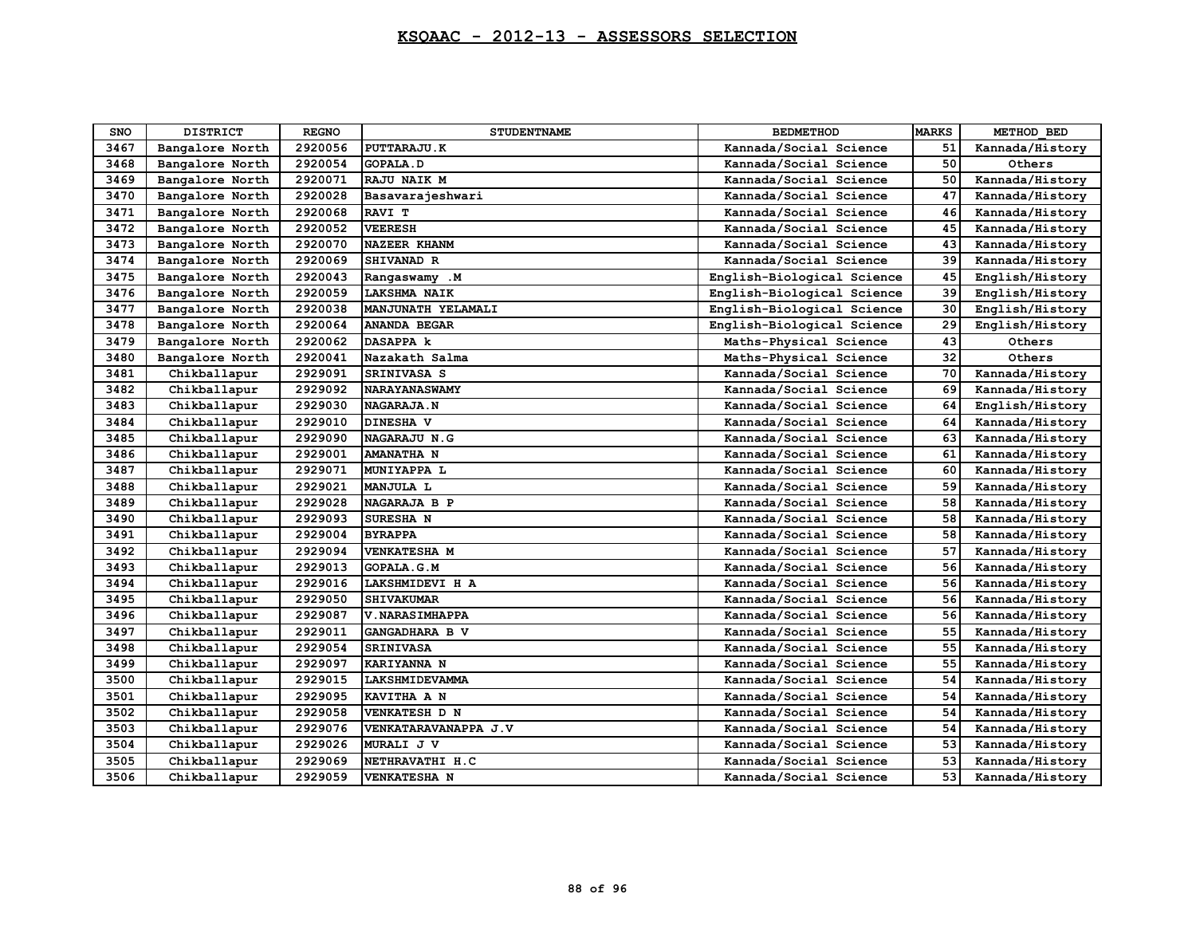| SNO  | <b>DISTRICT</b> | <b>REGNO</b> | <b>STUDENTNAME</b>     | <b>BEDMETHOD</b>           | <b>MARKS</b> | METHOD BED      |
|------|-----------------|--------------|------------------------|----------------------------|--------------|-----------------|
| 3467 | Bangalore North | 2920056      | PUTTARAJU.K            | Kannada/Social Science     | 51           | Kannada/History |
| 3468 | Bangalore North | 2920054      | <b>GOPALA.D</b>        | Kannada/Social Science     | 50           | Others          |
| 3469 | Bangalore North | 2920071      | RAJU NAIK M            | Kannada/Social Science     | 50           | Kannada/History |
| 3470 | Bangalore North | 2920028      | Basavarajeshwari       | Kannada/Social Science     | 47           | Kannada/History |
| 3471 | Bangalore North | 2920068      | RAVI T                 | Kannada/Social Science     | 46           | Kannada/History |
| 3472 | Bangalore North | 2920052      | <b>VEERESH</b>         | Kannada/Social Science     | 45           | Kannada/History |
| 3473 | Bangalore North | 2920070      | <b>NAZEER KHANM</b>    | Kannada/Social Science     | 43           | Kannada/History |
| 3474 | Bangalore North | 2920069      | SHIVANAD R             | Kannada/Social Science     | 39           | Kannada/History |
| 3475 | Bangalore North | 2920043      | Rangaswamy .M          | English-Biological Science | 45           | English/History |
| 3476 | Bangalore North | 2920059      | <b>LAKSHMA NAIK</b>    | English-Biological Science | 39           | English/History |
| 3477 | Bangalore North | 2920038      | MANJUNATH YELAMALI     | English-Biological Science | 30           | English/History |
| 3478 | Bangalore North | 2920064      | <b>ANANDA BEGAR</b>    | English-Biological Science | 29           | English/History |
| 3479 | Bangalore North | 2920062      | <b>DASAPPA k</b>       | Maths-Physical Science     | 43           | Others          |
| 3480 | Bangalore North | 2920041      | Nazakath Salma         | Maths-Physical Science     | 32           | Others          |
| 3481 | Chikballapur    | 2929091      | <b>SRINIVASA S</b>     | Kannada/Social Science     | 70           | Kannada/History |
| 3482 | Chikballapur    | 2929092      | <b>NARAYANASWAMY</b>   | Kannada/Social Science     | 69           | Kannada/History |
| 3483 | Chikballapur    | 2929030      | <b>NAGARAJA.N</b>      | Kannada/Social Science     | 64           | English/History |
| 3484 | Chikballapur    | 2929010      | DINESHA V              | Kannada/Social Science     | 64           | Kannada/History |
| 3485 | Chikballapur    | 2929090      | <b>NAGARAJU N.G</b>    | Kannada/Social Science     | 63           | Kannada/History |
| 3486 | Chikballapur    | 2929001      | <b>AMANATHA N</b>      | Kannada/Social Science     | 61           | Kannada/History |
| 3487 | Chikballapur    | 2929071      | MUNIYAPPA L            | Kannada/Social Science     | 60           | Kannada/History |
| 3488 | Chikballapur    | 2929021      | MANJULA L              | Kannada/Social Science     | 59           | Kannada/History |
| 3489 | Chikballapur    | 2929028      | NAGARAJA B P           | Kannada/Social Science     | 58           | Kannada/History |
| 3490 | Chikballapur    | 2929093      | SURESHA N              | Kannada/Social Science     | 58           | Kannada/History |
| 3491 | Chikballapur    | 2929004      | <b>BYRAPPA</b>         | Kannada/Social Science     | 58           | Kannada/History |
| 3492 | Chikballapur    | 2929094      | VENKATESHA M           | Kannada/Social Science     | 57           | Kannada/History |
| 3493 | Chikballapur    | 2929013      | <b>GOPALA.G.M</b>      | Kannada/Social Science     | 56           | Kannada/History |
| 3494 | Chikballapur    | 2929016      | LAKSHMIDEVI H A        | Kannada/Social Science     | 56           | Kannada/History |
| 3495 | Chikballapur    | 2929050      | <b>SHIVAKUMAR</b>      | Kannada/Social Science     | 56           | Kannada/History |
| 3496 | Chikballapur    | 2929087      | <b>V. NARASIMHAPPA</b> | Kannada/Social Science     | 56           | Kannada/History |
| 3497 | Chikballapur    | 2929011      | GANGADHARA B V         | Kannada/Social Science     | 55           | Kannada/History |
| 3498 | Chikballapur    | 2929054      | <b>SRINIVASA</b>       | Kannada/Social Science     | 55           | Kannada/History |
| 3499 | Chikballapur    | 2929097      | <b>KARIYANNA N</b>     | Kannada/Social Science     | 55           | Kannada/History |
| 3500 | Chikballapur    | 2929015      | LAKSHMIDEVAMMA         | Kannada/Social Science     | 54           | Kannada/History |
| 3501 | Chikballapur    | 2929095      | KAVITHA A N            | Kannada/Social Science     | 54           | Kannada/History |
| 3502 | Chikballapur    | 2929058      | VENKATESH D N          | Kannada/Social Science     | 54           | Kannada/History |
| 3503 | Chikballapur    | 2929076      | VENKATARAVANAPPA J.V   | Kannada/Social Science     | 54           | Kannada/History |
| 3504 | Chikballapur    | 2929026      | MURALI J V             | Kannada/Social Science     | 53           | Kannada/History |
| 3505 | Chikballapur    | 2929069      | NETHRAVATHI H.C        | Kannada/Social Science     | 53           | Kannada/History |
| 3506 | Chikballapur    | 2929059      | <b>VENKATESHA N</b>    | Kannada/Social Science     | 53           | Kannada/History |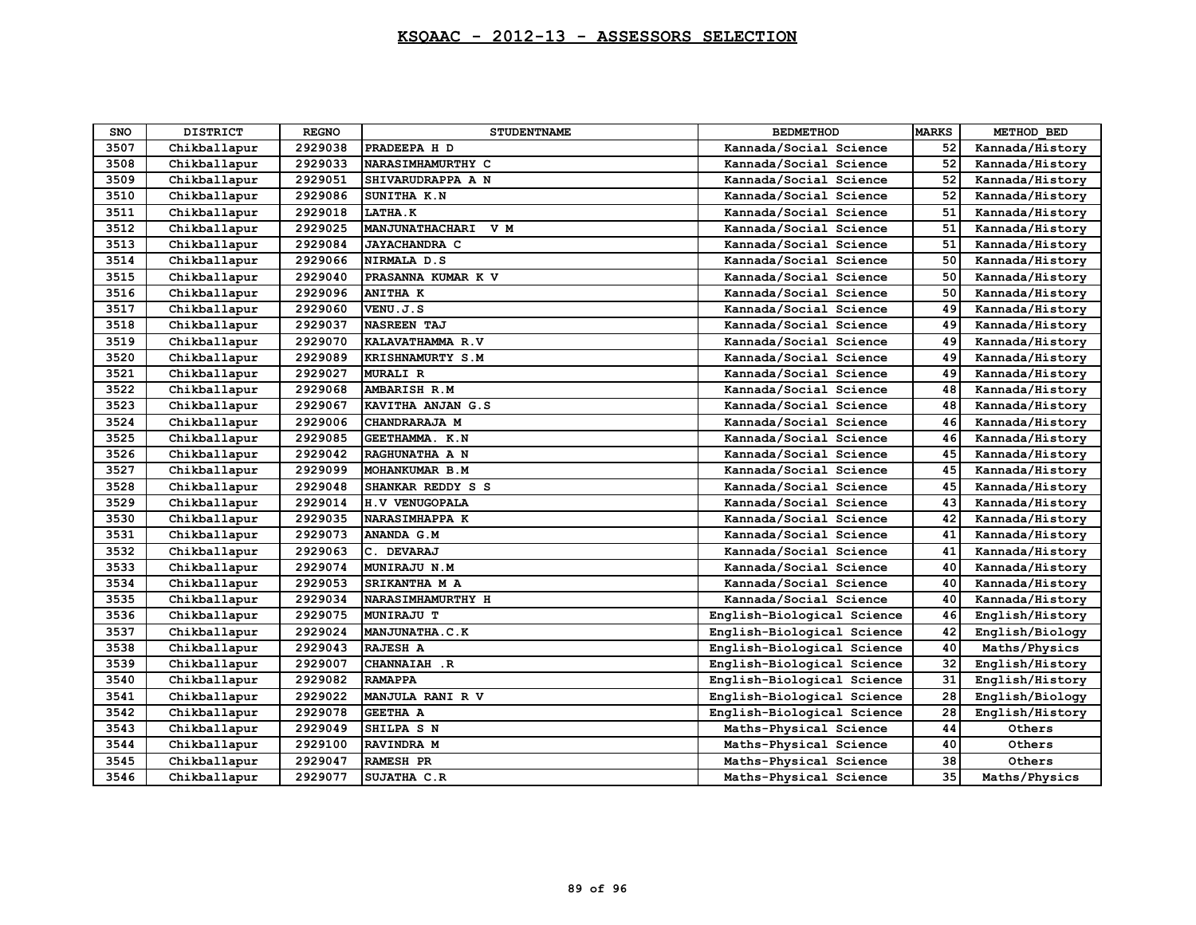| SNO  | <b>DISTRICT</b> | <b>REGNO</b> | <b>STUDENTNAME</b>    | <b>BEDMETHOD</b>           | <b>MARKS</b> | METHOD BED      |
|------|-----------------|--------------|-----------------------|----------------------------|--------------|-----------------|
| 3507 | Chikballapur    | 2929038      | PRADEEPA H D          | Kannada/Social Science     | 52           | Kannada/History |
| 3508 | Chikballapur    | 2929033      | NARASIMHAMURTHY C     | Kannada/Social Science     | 52           | Kannada/History |
| 3509 | Chikballapur    | 2929051      | SHIVARUDRAPPA A N     | Kannada/Social Science     | 52           | Kannada/History |
| 3510 | Chikballapur    | 2929086      | SUNITHA K.N           | Kannada/Social Science     | 52           | Kannada/History |
| 3511 | Chikballapur    | 2929018      | LATHA.K               | Kannada/Social Science     | 51           | Kannada/History |
| 3512 | Chikballapur    | 2929025      | MANJUNATHACHARI V M   | Kannada/Social Science     | 51           | Kannada/History |
| 3513 | Chikballapur    | 2929084      | <b>JAYACHANDRA C</b>  | Kannada/Social Science     | 51           | Kannada/History |
| 3514 | Chikballapur    | 2929066      | NIRMALA D.S           | Kannada/Social Science     | 50           | Kannada/History |
| 3515 | Chikballapur    | 2929040      | PRASANNA KUMAR K V    | Kannada/Social Science     | 50           | Kannada/History |
| 3516 | Chikballapur    | 2929096      | <b>ANITHA K</b>       | Kannada/Social Science     | 50           | Kannada/History |
| 3517 | Chikballapur    | 2929060      | VENU.J.S              | Kannada/Social Science     | 49           | Kannada/History |
| 3518 | Chikballapur    | 2929037      | <b>NASREEN TAJ</b>    | Kannada/Social Science     | 49           | Kannada/History |
| 3519 | Chikballapur    | 2929070      | KALAVATHAMMA R.V      | Kannada/Social Science     | 49           | Kannada/History |
| 3520 | Chikballapur    | 2929089      | KRISHNAMURTY S.M      | Kannada/Social Science     | 49           | Kannada/History |
| 3521 | Chikballapur    | 2929027      | <b>MURALI R</b>       | Kannada/Social Science     | 49           | Kannada/History |
| 3522 | Chikballapur    | 2929068      | <b>AMBARISH R.M</b>   | Kannada/Social Science     | 48           | Kannada/History |
| 3523 | Chikballapur    | 2929067      | KAVITHA ANJAN G.S     | Kannada/Social Science     | 48           | Kannada/History |
| 3524 | Chikballapur    | 2929006      | CHANDRARAJA M         | Kannada/Social Science     | 46           | Kannada/History |
| 3525 | Chikballapur    | 2929085      | GEETHAMMA. K.N        | Kannada/Social Science     | 46           | Kannada/History |
| 3526 | Chikballapur    | 2929042      | RAGHUNATHA A N        | Kannada/Social Science     | 45           | Kannada/History |
| 3527 | Chikballapur    | 2929099      | MOHANKUMAR B.M        | Kannada/Social Science     | 45           | Kannada/History |
| 3528 | Chikballapur    | 2929048      | SHANKAR REDDY S S     | Kannada/Social Science     | 45           | Kannada/History |
| 3529 | Chikballapur    | 2929014      | <b>H.V VENUGOPALA</b> | Kannada/Social Science     | 43           | Kannada/History |
| 3530 | Chikballapur    | 2929035      | NARASIMHAPPA K        | Kannada/Social Science     | 42           | Kannada/History |
| 3531 | Chikballapur    | 2929073      | <b>ANANDA G.M</b>     | Kannada/Social Science     | 41           | Kannada/History |
| 3532 | Chikballapur    | 2929063      | C. DEVARAJ            | Kannada/Social Science     | 41           | Kannada/History |
| 3533 | Chikballapur    | 2929074      | MUNIRAJU N.M          | Kannada/Social Science     | 40           | Kannada/History |
| 3534 | Chikballapur    | 2929053      | SRIKANTHA M A         | Kannada/Social Science     | 40           | Kannada/History |
| 3535 | Chikballapur    | 2929034      | NARASIMHAMURTHY H     | Kannada/Social Science     | 40           | Kannada/History |
| 3536 | Chikballapur    | 2929075      | <b>MUNIRAJU T</b>     | English-Biological Science | 46           | English/History |
| 3537 | Chikballapur    | 2929024      | MANJUNATHA.C.K        | English-Biological Science | 42           | English/Biology |
| 3538 | Chikballapur    | 2929043      | RAJESH A              | English-Biological Science | 40           | Maths/Physics   |
| 3539 | Chikballapur    | 2929007      | CHANNAIAH .R          | English-Biological Science | 32           | English/History |
| 3540 | Chikballapur    | 2929082      | <b>RAMAPPA</b>        | English-Biological Science | 31           | English/History |
| 3541 | Chikballapur    | 2929022      | MANJULA RANI R V      | English-Biological Science | 28           | English/Biology |
| 3542 | Chikballapur    | 2929078      | <b>GEETHA A</b>       | English-Biological Science | 28           | English/History |
| 3543 | Chikballapur    | 2929049      | SHILPA S N            | Maths-Physical Science     | 44           | Others          |
| 3544 | Chikballapur    | 2929100      | RAVINDRA M            | Maths-Physical Science     | 40           | Others          |
| 3545 | Chikballapur    | 2929047      | <b>RAMESH PR</b>      | Maths-Physical Science     | 38           | Others          |
| 3546 | Chikballapur    | 2929077      | SUJATHA C.R           | Maths-Physical Science     | 35           | Maths/Physics   |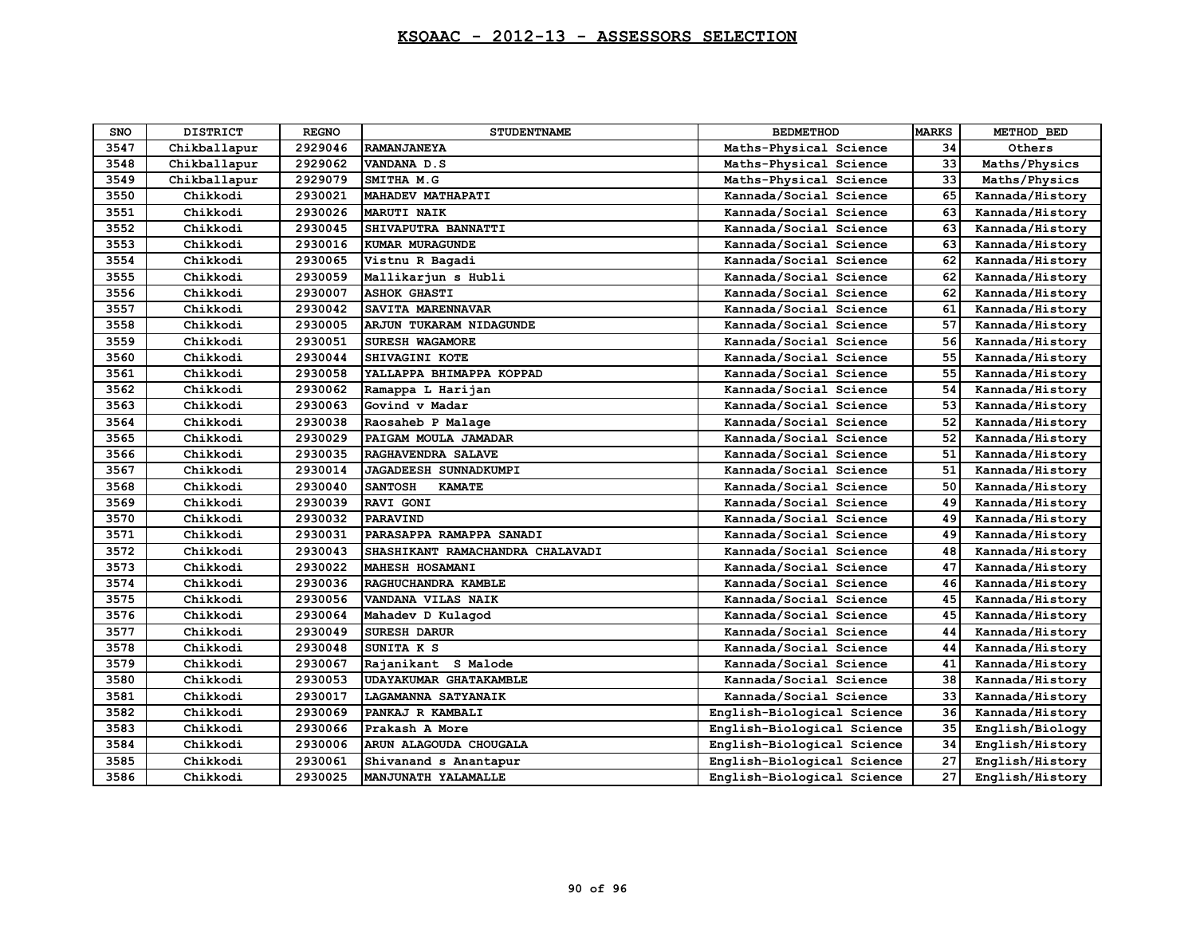| <b>SNO</b> | <b>DISTRICT</b> | <b>REGNO</b> | <b>STUDENTNAME</b>               | <b>BEDMETHOD</b>           | <b>MARKS</b> | METHOD BED      |
|------------|-----------------|--------------|----------------------------------|----------------------------|--------------|-----------------|
| 3547       | Chikballapur    | 2929046      | RAMANJANEYA                      | Maths-Physical Science     | 34           | Others          |
| 3548       | Chikballapur    | 2929062      | VANDANA D.S                      | Maths-Physical Science     | 33           | Maths/Physics   |
| 3549       | Chikballapur    | 2929079      | SMITHA M.G                       | Maths-Physical Science     | 33           | Maths/Physics   |
| 3550       | Chikkodi        | 2930021      | MAHADEV MATHAPATI                | Kannada/Social Science     | 65           | Kannada/History |
| 3551       | Chikkodi        | 2930026      | <b>MARUTI NAIK</b>               | Kannada/Social Science     | 63           | Kannada/History |
| 3552       | Chikkodi        | 2930045      | SHIVAPUTRA BANNATTI              | Kannada/Social Science     | 63           | Kannada/History |
| 3553       | Chikkodi        | 2930016      | KUMAR MURAGUNDE                  | Kannada/Social Science     | 63           | Kannada/History |
| 3554       | Chikkodi        | 2930065      | Vistnu R Bagadi                  | Kannada/Social Science     | 62           | Kannada/History |
| 3555       | Chikkodi        | 2930059      | Mallikarjun s Hubli              | Kannada/Social Science     | 62           | Kannada/History |
| 3556       | Chikkodi        | 2930007      | <b>ASHOK GHASTI</b>              | Kannada/Social Science     | 62           | Kannada/History |
| 3557       | Chikkodi        | 2930042      | SAVITA MARENNAVAR                | Kannada/Social Science     | 61           | Kannada/History |
| 3558       | Chikkodi        | 2930005      | ARJUN TUKARAM NIDAGUNDE          | Kannada/Social Science     | 57           | Kannada/History |
| 3559       | Chikkodi        | 2930051      | <b>SURESH WAGAMORE</b>           | Kannada/Social Science     | 56           | Kannada/History |
| 3560       | Chikkodi        | 2930044      | SHIVAGINI KOTE                   | Kannada/Social Science     | 55           | Kannada/History |
| 3561       | Chikkodi        | 2930058      | YALLAPPA BHIMAPPA KOPPAD         | Kannada/Social Science     | 55           | Kannada/History |
| 3562       | Chikkodi        | 2930062      | Ramappa L Harijan                | Kannada/Social Science     | 54           | Kannada/History |
| 3563       | Chikkodi        | 2930063      | Govind v Madar                   | Kannada/Social Science     | 53           | Kannada/History |
| 3564       | Chikkodi        | 2930038      | Raosaheb P Malage                | Kannada/Social Science     | 52           | Kannada/History |
| 3565       | Chikkodi        | 2930029      | PAIGAM MOULA JAMADAR             | Kannada/Social Science     | 52           | Kannada/History |
| 3566       | Chikkodi        | 2930035      | RAGHAVENDRA SALAVE               | Kannada/Social Science     | 51           | Kannada/History |
| 3567       | Chikkodi        | 2930014      | <b>JAGADEESH SUNNADKUMPI</b>     | Kannada/Social Science     | 51           | Kannada/History |
| 3568       | Chikkodi        | 2930040      | <b>SANTOSH</b><br><b>KAMATE</b>  | Kannada/Social Science     | 50           | Kannada/History |
| 3569       | Chikkodi        | 2930039      | <b>RAVI GONI</b>                 | Kannada/Social Science     | 49           | Kannada/History |
| 3570       | Chikkodi        | 2930032      | PARAVIND                         | Kannada/Social Science     | 49           | Kannada/History |
| 3571       | Chikkodi        | 2930031      | PARASAPPA RAMAPPA SANADI         | Kannada/Social Science     | 49           | Kannada/History |
| 3572       | Chikkodi        | 2930043      | SHASHIKANT RAMACHANDRA CHALAVADI | Kannada/Social Science     | 48           | Kannada/History |
| 3573       | Chikkodi        | 2930022      | MAHESH HOSAMANI                  | Kannada/Social Science     | 47           | Kannada/History |
| 3574       | Chikkodi        | 2930036      | RAGHUCHANDRA KAMBLE              | Kannada/Social Science     | 46           | Kannada/History |
| 3575       | Chikkodi        | 2930056      | VANDANA VILAS NAIK               | Kannada/Social Science     | 45           | Kannada/History |
| 3576       | Chikkodi        | 2930064      | Mahadev D Kulagod                | Kannada/Social Science     | 45           | Kannada/History |
| 3577       | Chikkodi        | 2930049      | <b>SURESH DARUR</b>              | Kannada/Social Science     | 44           | Kannada/History |
| 3578       | Chikkodi        | 2930048      | SUNITA K S                       | Kannada/Social Science     | 44           | Kannada/History |
| 3579       | Chikkodi        | 2930067      | Rajanikant S Malode              | Kannada/Social Science     | 41           | Kannada/History |
| 3580       | Chikkodi        | 2930053      | <b>UDAYAKUMAR GHATAKAMBLE</b>    | Kannada/Social Science     | 38           | Kannada/History |
| 3581       | Chikkodi        | 2930017      | LAGAMANNA SATYANAIK              | Kannada/Social Science     | 33           | Kannada/History |
| 3582       | Chikkodi        | 2930069      | PANKAJ R KAMBALI                 | English-Biological Science | 36           | Kannada/History |
| 3583       | Chikkodi        | 2930066      | Prakash A More                   | English-Biological Science | 35           | English/Biology |
| 3584       | Chikkodi        | 2930006      | ARUN ALAGOUDA CHOUGALA           | English-Biological Science | 34           | English/History |
| 3585       | Chikkodi        | 2930061      | Shivanand s Anantapur            | English-Biological Science | 27           | English/History |
| 3586       | Chikkodi        | 2930025      | MANJUNATH YALAMALLE              | English-Biological Science | 27           | English/History |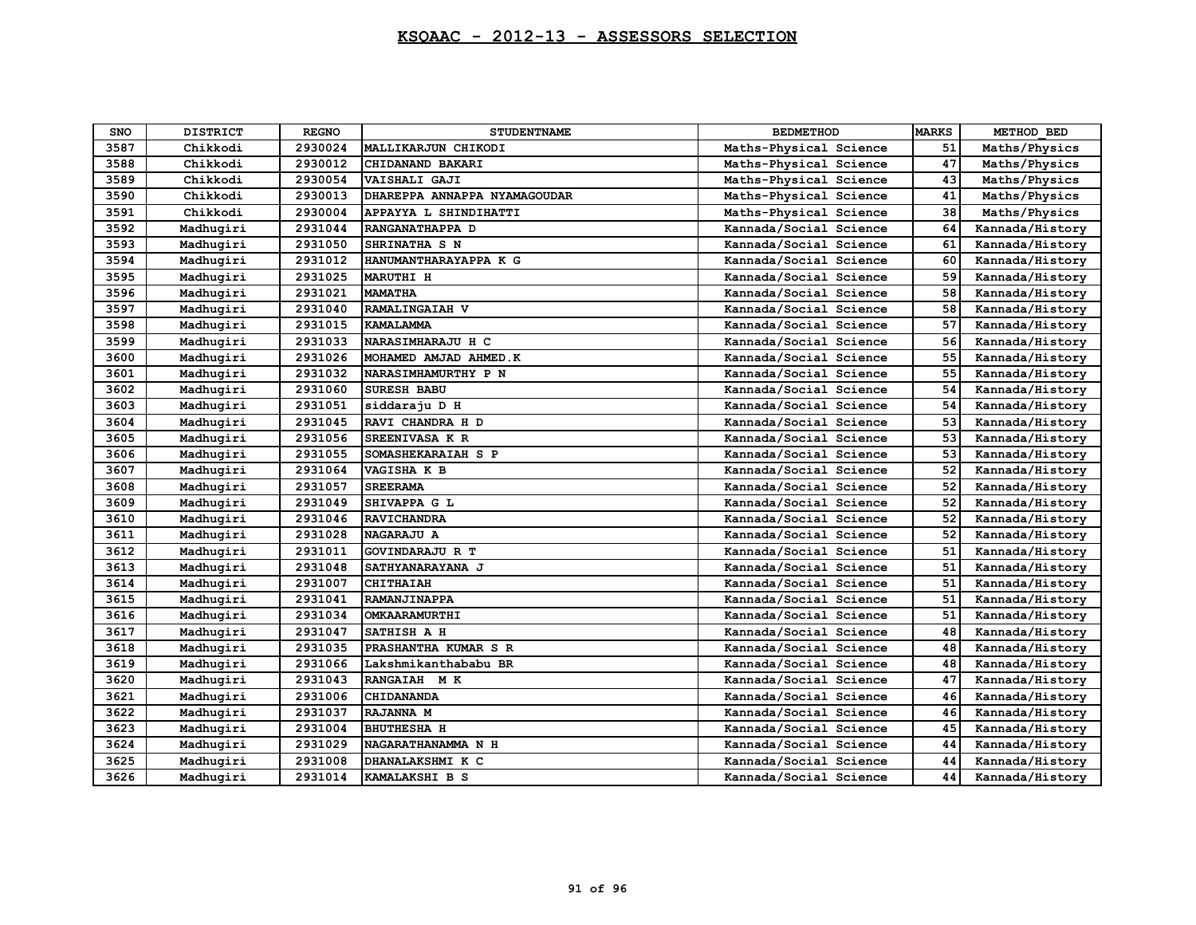| SNO  | <b>DISTRICT</b> | <b>REGNO</b> | <b>STUDENTNAME</b>           | <b>BEDMETHOD</b>       | <b>MARKS</b> | METHOD BED      |
|------|-----------------|--------------|------------------------------|------------------------|--------------|-----------------|
| 3587 | Chikkodi        | 2930024      | MALLIKARJUN CHIKODI          | Maths-Physical Science | 51           | Maths/Physics   |
| 3588 | Chikkodi        | 2930012      | CHIDANAND BAKARI             | Maths-Physical Science | 47           | Maths/Physics   |
| 3589 | Chikkodi        | 2930054      | <b>VAISHALI GAJI</b>         | Maths-Physical Science | 43           | Maths/Physics   |
| 3590 | Chikkodi        | 2930013      | DHAREPPA ANNAPPA NYAMAGOUDAR | Maths-Physical Science | 41           | Maths/Physics   |
| 3591 | Chikkodi        | 2930004      | APPAYYA L SHINDIHATTI        | Maths-Physical Science | 38           | Maths/Physics   |
| 3592 | Madhugiri       | 2931044      | RANGANATHAPPA D              | Kannada/Social Science | 64           | Kannada/History |
| 3593 | Madhugiri       | 2931050      | SHRINATHA S N                | Kannada/Social Science | 61           | Kannada/History |
| 3594 | Madhugiri       | 2931012      | HANUMANTHARAYAPPA K G        | Kannada/Social Science | 60           | Kannada/History |
| 3595 | Madhugiri       | 2931025      | <b>MARUTHI H</b>             | Kannada/Social Science | 59           | Kannada/History |
| 3596 | Madhugiri       | 2931021      | <b>MAMATHA</b>               | Kannada/Social Science | 58           | Kannada/History |
| 3597 | Madhugiri       | 2931040      | RAMALINGAIAH V               | Kannada/Social Science | 58           | Kannada/History |
| 3598 | Madhuqiri       | 2931015      | <b>KAMALAMMA</b>             | Kannada/Social Science | 57           | Kannada/History |
| 3599 | Madhugiri       | 2931033      | NARASIMHARAJU H C            | Kannada/Social Science | 56           | Kannada/History |
| 3600 | Madhugiri       | 2931026      | MOHAMED AMJAD AHMED.K        | Kannada/Social Science | 55           | Kannada/History |
| 3601 | Madhugiri       | 2931032      | NARASIMHAMURTHY P N          | Kannada/Social Science | 55           | Kannada/History |
| 3602 | Madhugiri       | 2931060      | <b>SURESH BABU</b>           | Kannada/Social Science | 54           | Kannada/History |
| 3603 | Madhugiri       | 2931051      | siddaraju D H                | Kannada/Social Science | 54           | Kannada/History |
| 3604 | Madhugiri       | 2931045      | RAVI CHANDRA H D             | Kannada/Social Science | 53           | Kannada/History |
| 3605 | Madhugiri       | 2931056      | <b>SREENIVASA K R</b>        | Kannada/Social Science | 53           | Kannada/History |
| 3606 | Madhugiri       | 2931055      | SOMASHEKARAIAH S P           | Kannada/Social Science | 53           | Kannada/History |
| 3607 | Madhugiri       | 2931064      | VAGISHA K B                  | Kannada/Social Science | 52           | Kannada/History |
| 3608 | Madhuqiri       | 2931057      | <b>SREERAMA</b>              | Kannada/Social Science | 52           | Kannada/History |
| 3609 | Madhugiri       | 2931049      | SHIVAPPA G L                 | Kannada/Social Science | 52           | Kannada/History |
| 3610 | Madhugiri       | 2931046      | <b>RAVICHANDRA</b>           | Kannada/Social Science | 52           | Kannada/History |
| 3611 | Madhugiri       | 2931028      | <b>NAGARAJU A</b>            | Kannada/Social Science | 52           | Kannada/History |
| 3612 | Madhugiri       | 2931011      | GOVINDARAJU R T              | Kannada/Social Science | 51           | Kannada/History |
| 3613 | Madhugiri       | 2931048      | SATHYANARAYANA J             | Kannada/Social Science | 51           | Kannada/History |
| 3614 | Madhugiri       | 2931007      | <b>CHITHAIAH</b>             | Kannada/Social Science | 51           | Kannada/History |
| 3615 | Madhuqiri       | 2931041      | RAMANJINAPPA                 | Kannada/Social Science | 51           | Kannada/History |
| 3616 | Madhugiri       | 2931034      | OMKAARAMURTHI                | Kannada/Social Science | 51           | Kannada/History |
| 3617 | Madhugiri       | 2931047      | SATHISH A H                  | Kannada/Social Science | 48           | Kannada/History |
| 3618 | Madhugiri       | 2931035      | PRASHANTHA KUMAR S R         | Kannada/Social Science | 48           | Kannada/History |
| 3619 | Madhugiri       | 2931066      | Lakshmikanthababu BR         | Kannada/Social Science | 48           | Kannada/History |
| 3620 | Madhugiri       | 2931043      | RANGAIAH M K                 | Kannada/Social Science | 47           | Kannada/History |
| 3621 | Madhugiri       | 2931006      | CHIDANANDA                   | Kannada/Social Science | 46           | Kannada/History |
| 3622 | Madhugiri       | 2931037      | RAJANNA M                    | Kannada/Social Science | 46           | Kannada/History |
| 3623 | Madhugiri       | 2931004      | <b>BHUTHESHA H</b>           | Kannada/Social Science | 45           | Kannada/History |
| 3624 | Madhugiri       | 2931029      | NAGARATHANAMMA N H           | Kannada/Social Science | 44           | Kannada/History |
| 3625 | Madhuqiri       | 2931008      | DHANALAKSHMI K C             | Kannada/Social Science | 44           | Kannada/History |
| 3626 | Madhugiri       | 2931014      | KAMALAKSHI B S               | Kannada/Social Science | 44           | Kannada/History |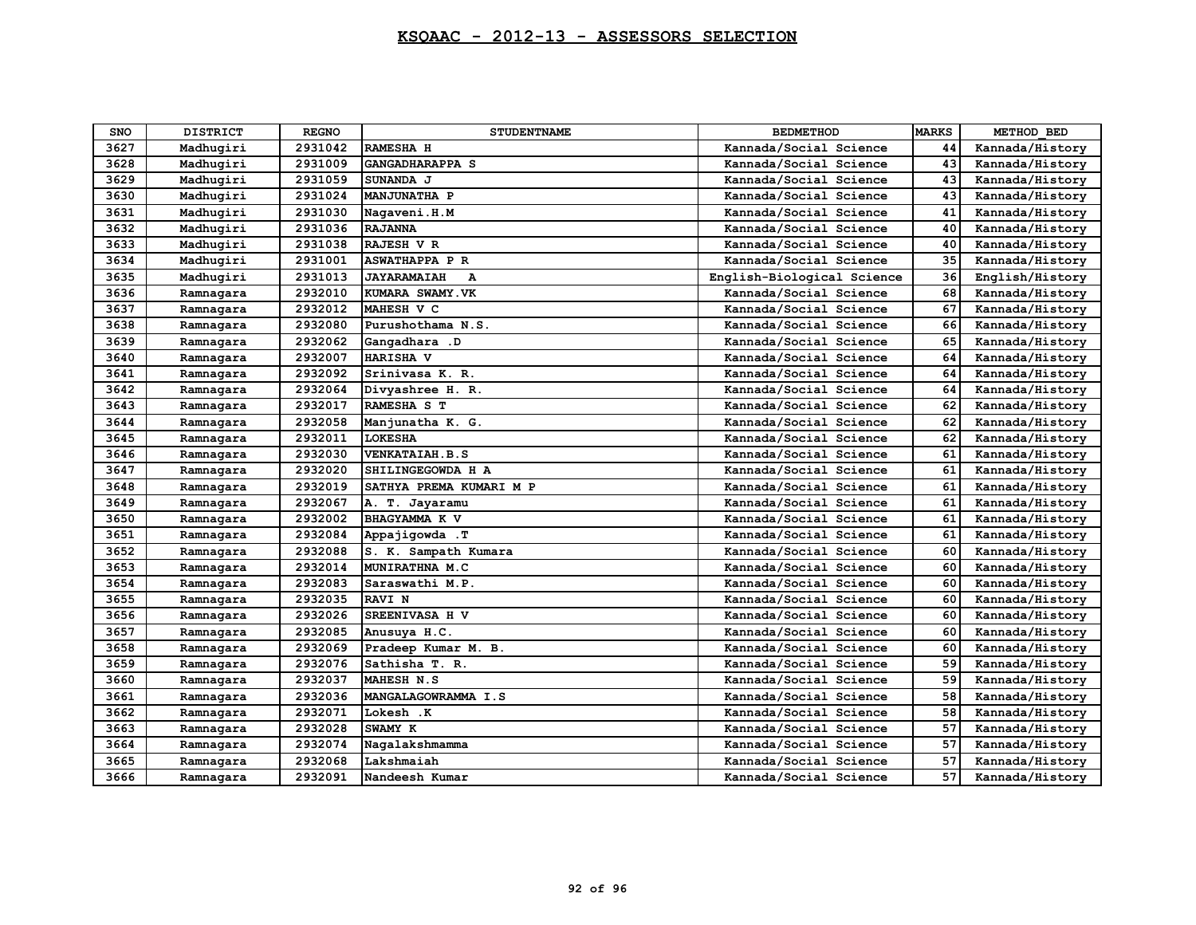| SNO  | <b>DISTRICT</b> | <b>REGNO</b> | <b>STUDENTNAME</b>                 | <b>BEDMETHOD</b>           | <b>MARKS</b> | METHOD BED      |
|------|-----------------|--------------|------------------------------------|----------------------------|--------------|-----------------|
| 3627 | Madhugiri       | 2931042      | <b>RAMESHA H</b>                   | Kannada/Social Science     | 44           | Kannada/History |
| 3628 | Madhugiri       | 2931009      | <b>GANGADHARAPPA S</b>             | Kannada/Social Science     | 43           | Kannada/History |
| 3629 | Madhugiri       | 2931059      | SUNANDA J                          | Kannada/Social Science     | 43           | Kannada/History |
| 3630 | Madhugiri       | 2931024      | <b>MANJUNATHA P</b>                | Kannada/Social Science     | 43           | Kannada/History |
| 3631 | Madhuqiri       | 2931030      | Nagaveni.H.M                       | Kannada/Social Science     | 41           | Kannada/History |
| 3632 | Madhugiri       | 2931036      | <b>RAJANNA</b>                     | Kannada/Social Science     | 40           | Kannada/History |
| 3633 | Madhugiri       | 2931038      | RAJESH V R                         | Kannada/Social Science     | 40           | Kannada/History |
| 3634 | Madhugiri       | 2931001      | <b>ASWATHAPPA P R</b>              | Kannada/Social Science     | 35           | Kannada/History |
| 3635 | Madhugiri       | 2931013      | <b>JAYARAMAIAH</b><br>$\mathbf{A}$ | English-Biological Science | 36           | English/History |
| 3636 | Ramnagara       | 2932010      | KUMARA SWAMY. VK                   | Kannada/Social Science     | 68           | Kannada/History |
| 3637 | Ramnagara       | 2932012      | MAHESH V C                         | Kannada/Social Science     | 67           | Kannada/History |
| 3638 | Ramnagara       | 2932080      | Purushothama N.S.                  | Kannada/Social Science     | 66           | Kannada/History |
| 3639 | Ramnagara       | 2932062      | Gangadhara .D                      | Kannada/Social Science     | 65           | Kannada/History |
| 3640 | Ramnagara       | 2932007      | HARISHA V                          | Kannada/Social Science     | 64           | Kannada/History |
| 3641 | Ramnagara       | 2932092      | Srinivasa K. R.                    | Kannada/Social Science     | 64           | Kannada/History |
| 3642 | Ramnagara       | 2932064      | Divyashree H. R.                   | Kannada/Social Science     | 64           | Kannada/History |
| 3643 | Ramnagara       | 2932017      | RAMESHA S T                        | Kannada/Social Science     | 62           | Kannada/History |
| 3644 | Ramnagara       | 2932058      | Manjunatha K. G.                   | Kannada/Social Science     | 62           | Kannada/History |
| 3645 | Ramnagara       | 2932011      | <b>LOKESHA</b>                     | Kannada/Social Science     | 62           | Kannada/History |
| 3646 | Ramnagara       | 2932030      | VENKATAIAH.B.S                     | Kannada/Social Science     | 61           | Kannada/History |
| 3647 | Ramnagara       | 2932020      | SHILINGEGOWDA H A                  | Kannada/Social Science     | 61           | Kannada/History |
| 3648 | Ramnagara       | 2932019      | SATHYA PREMA KUMARI M P            | Kannada/Social Science     | 61           | Kannada/History |
| 3649 | Ramnagara       | 2932067      | A. T. Jayaramu                     | Kannada/Social Science     | 61           | Kannada/History |
| 3650 | Ramnagara       | 2932002      | BHAGYAMMA K V                      | Kannada/Social Science     | 61           | Kannada/History |
| 3651 | Ramnagara       | 2932084      | Appajigowda .T                     | Kannada/Social Science     | 61           | Kannada/History |
| 3652 | Ramnagara       | 2932088      | S. K. Sampath Kumara               | Kannada/Social Science     | 60           | Kannada/History |
| 3653 | Ramnagara       | 2932014      | MUNIRATHNA M.C                     | Kannada/Social Science     | 60           | Kannada/History |
| 3654 | Ramnagara       | 2932083      | Saraswathi M.P.                    | Kannada/Social Science     | 60           | Kannada/History |
| 3655 | Ramnagara       | 2932035      | <b>RAVI N</b>                      | Kannada/Social Science     | 60           | Kannada/History |
| 3656 | Ramnagara       | 2932026      | SREENIVASA H V                     | Kannada/Social Science     | 60           | Kannada/History |
| 3657 | Ramnagara       | 2932085      | Anusuya H.C.                       | Kannada/Social Science     | 60           | Kannada/History |
| 3658 | Ramnagara       | 2932069      | Pradeep Kumar M. B.                | Kannada/Social Science     | 60           | Kannada/History |
| 3659 | Ramnagara       | 2932076      | Sathisha T. R.                     | Kannada/Social Science     | 59           | Kannada/History |
| 3660 | Ramnagara       | 2932037      | <b>MAHESH N.S</b>                  | Kannada/Social Science     | 59           | Kannada/History |
| 3661 | Ramnagara       | 2932036      | MANGALAGOWRAMMA I.S                | Kannada/Social Science     | 58           | Kannada/History |
| 3662 | Ramnagara       | 2932071      | Lokesh .K                          | Kannada/Social Science     | 58           | Kannada/History |
| 3663 | Ramnagara       | 2932028      | SWAMY K                            | Kannada/Social Science     | 57           | Kannada/History |
| 3664 | Ramnagara       | 2932074      | Nagalakshmamma                     | Kannada/Social Science     | 57           | Kannada/History |
| 3665 | Ramnagara       | 2932068      | Lakshmaiah                         | Kannada/Social Science     | 57           | Kannada/History |
| 3666 | Ramnagara       | 2932091      | Nandeesh Kumar                     | Kannada/Social Science     | 57           | Kannada/History |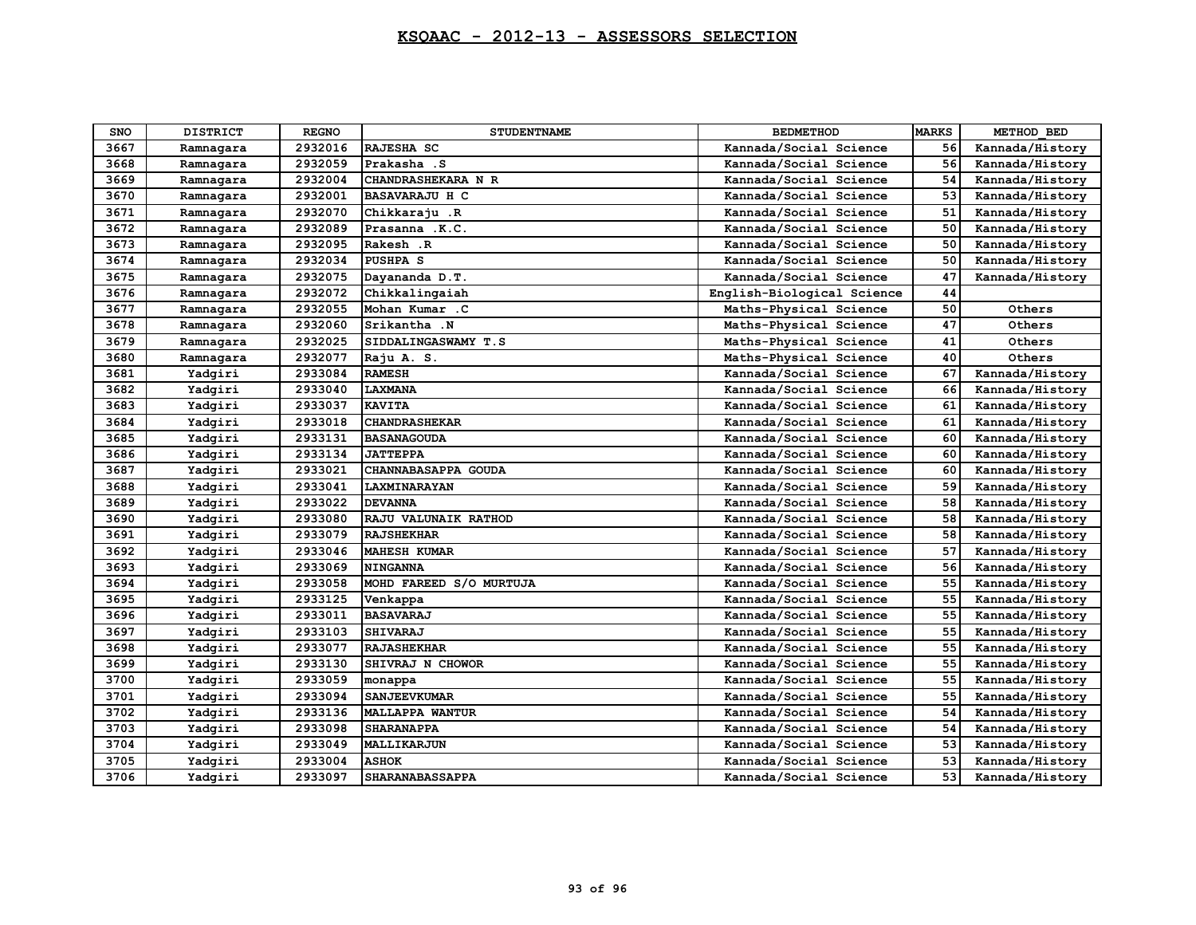| SNO  | <b>DISTRICT</b> | <b>REGNO</b> | <b>STUDENTNAME</b>      | <b>BEDMETHOD</b>           | <b>MARKS</b> | METHOD BED      |
|------|-----------------|--------------|-------------------------|----------------------------|--------------|-----------------|
| 3667 | Ramnagara       | 2932016      | RAJESHA SC              | Kannada/Social Science     | 56           | Kannada/History |
| 3668 | Ramnagara       | 2932059      | Prakasha .S             | Kannada/Social Science     | 56           | Kannada/History |
| 3669 | Ramnagara       | 2932004      | CHANDRASHEKARA N R      | Kannada/Social Science     | 54           | Kannada/History |
| 3670 | Ramnagara       | 2932001      | <b>BASAVARAJU H C</b>   | Kannada/Social Science     | 53           | Kannada/History |
| 3671 | Ramnagara       | 2932070      | Chikkaraju .R           | Kannada/Social Science     | 51           | Kannada/History |
| 3672 | Ramnagara       | 2932089      | Prasanna .K.C.          | Kannada/Social Science     | 50           | Kannada/History |
| 3673 | Ramnagara       | 2932095      | Rakesh .R               | Kannada/Social Science     | 50           | Kannada/History |
| 3674 | Ramnagara       | 2932034      | <b>PUSHPA S</b>         | Kannada/Social Science     | 50           | Kannada/History |
| 3675 | Ramnagara       | 2932075      | Dayananda D.T.          | Kannada/Social Science     | 47           | Kannada/History |
| 3676 | Ramnagara       | 2932072      | Chikkalingaiah          | English-Biological Science | 44           |                 |
| 3677 | Ramnagara       | 2932055      | Mohan Kumar .C          | Maths-Physical Science     | 50           | Others          |
| 3678 | Ramnagara       | 2932060      | Srikantha .N            | Maths-Physical Science     | 47           | Others          |
| 3679 | Ramnagara       | 2932025      | SIDDALINGASWAMY T.S     | Maths-Physical Science     | 41           | Others          |
| 3680 | Ramnagara       | 2932077      | Raju A. S.              | Maths-Physical Science     | 40           | Others          |
| 3681 | Yadqiri         | 2933084      | <b>RAMESH</b>           | Kannada/Social Science     | 67           | Kannada/History |
| 3682 | Yadgiri         | 2933040      | LAXMANA                 | Kannada/Social Science     | 66           | Kannada/History |
| 3683 | Yadqiri         | 2933037      | <b>KAVITA</b>           | Kannada/Social Science     | 61           | Kannada/History |
| 3684 | Yadgiri         | 2933018      | <b>CHANDRASHEKAR</b>    | Kannada/Social Science     | 61           | Kannada/History |
| 3685 | Yadqiri         | 2933131      | <b>BASANAGOUDA</b>      | Kannada/Social Science     | 60           | Kannada/History |
| 3686 | Yadgiri         | 2933134      | <b>JATTEPPA</b>         | Kannada/Social Science     | 60           | Kannada/History |
| 3687 | Yadgiri         | 2933021      | CHANNABASAPPA GOUDA     | Kannada/Social Science     | 60           | Kannada/History |
| 3688 | Yadgiri         | 2933041      | LAXMINARAYAN            | Kannada/Social Science     | 59           | Kannada/History |
| 3689 | Yadgiri         | 2933022      | <b>DEVANNA</b>          | Kannada/Social Science     | 58           | Kannada/History |
| 3690 | Yadgiri         | 2933080      | RAJU VALUNAIK RATHOD    | Kannada/Social Science     | 58           | Kannada/History |
| 3691 | Yadqiri         | 2933079      | <b>RAJSHEKHAR</b>       | Kannada/Social Science     | 58           | Kannada/History |
| 3692 | Yadqiri         | 2933046      | <b>MAHESH KUMAR</b>     | Kannada/Social Science     | 57           | Kannada/History |
| 3693 | Yadqiri         | 2933069      | <b>NINGANNA</b>         | Kannada/Social Science     | 56           | Kannada/History |
| 3694 | Yadgiri         | 2933058      | MOHD FAREED S/O MURTUJA | Kannada/Social Science     | 55           | Kannada/History |
| 3695 | Yadqiri         | 2933125      | Venkappa                | Kannada/Social Science     | 55           | Kannada/History |
| 3696 | Yadgiri         | 2933011      | <b>BASAVARAJ</b>        | Kannada/Social Science     | 55           | Kannada/History |
| 3697 | Yadgiri         | 2933103      | <b>SHIVARAJ</b>         | Kannada/Social Science     | 55           | Kannada/History |
| 3698 | Yadqiri         | 2933077      | <b>RAJASHEKHAR</b>      | Kannada/Social Science     | 55           | Kannada/History |
| 3699 | Yadgiri         | 2933130      | SHIVRAJ N CHOWOR        | Kannada/Social Science     | 55           | Kannada/History |
| 3700 | Yadqiri         | 2933059      | monappa                 | Kannada/Social Science     | 55           | Kannada/History |
| 3701 | Yadqiri         | 2933094      | <b>SANJEEVKUMAR</b>     | Kannada/Social Science     | 55           | Kannada/History |
| 3702 | Yadqiri         | 2933136      | <b>MALLAPPA WANTUR</b>  | Kannada/Social Science     | 54           | Kannada/History |
| 3703 | Yadgiri         | 2933098      | <b>SHARANAPPA</b>       | Kannada/Social Science     | 54           | Kannada/History |
| 3704 | Yadgiri         | 2933049      | MALLIKARJUN             | Kannada/Social Science     | 53           | Kannada/History |
| 3705 | Yadqiri         | 2933004      | <b>ASHOK</b>            | Kannada/Social Science     | 53           | Kannada/History |
| 3706 | Yadqiri         | 2933097      | <b>SHARANABASSAPPA</b>  | Kannada/Social Science     | 53           | Kannada/History |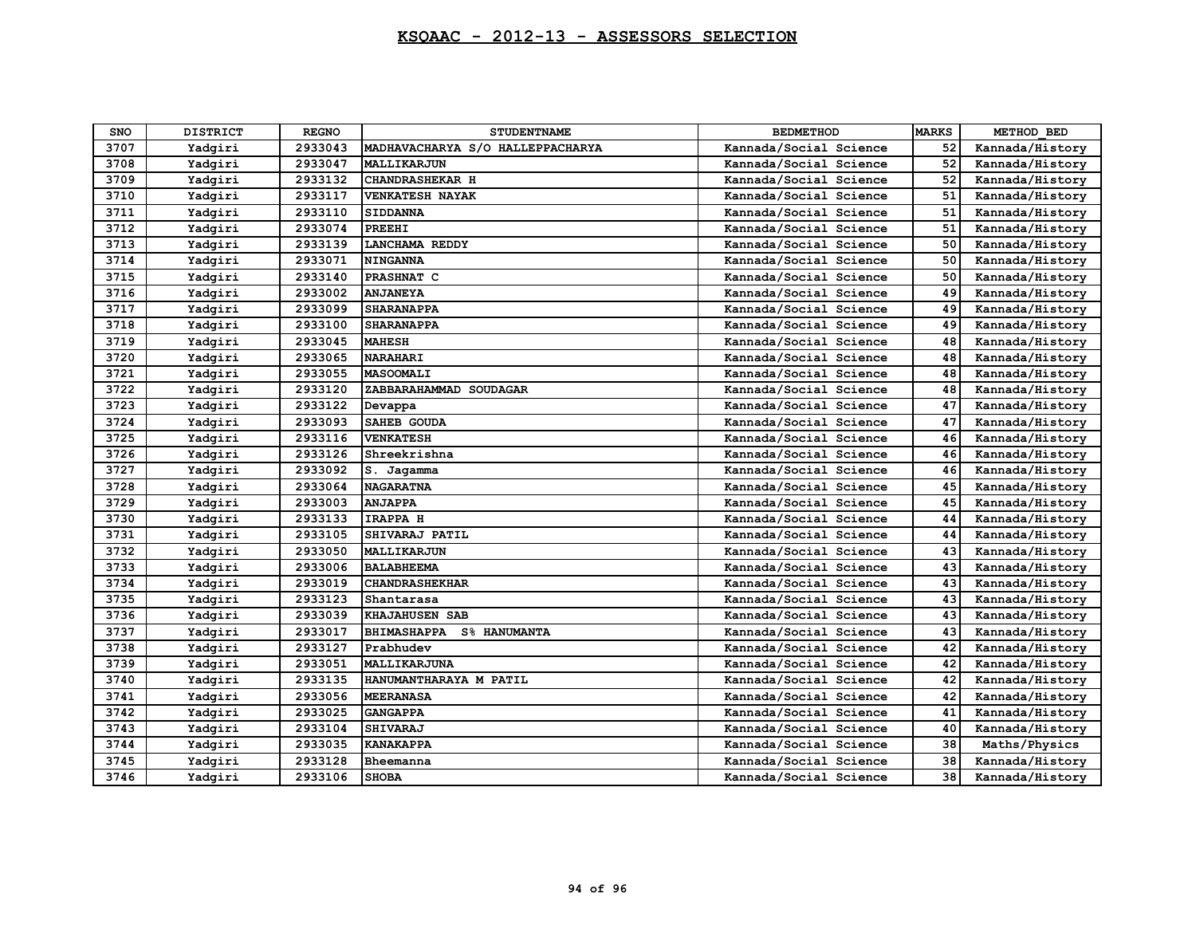| <b>SNO</b> | <b>DISTRICT</b> | <b>REGNO</b> | <b>STUDENTNAME</b>                        | <b>BEDMETHOD</b>       | <b>MARKS</b> | METHOD BED      |
|------------|-----------------|--------------|-------------------------------------------|------------------------|--------------|-----------------|
| 3707       | Yadqiri         | 2933043      | MADHAVACHARYA S/O HALLEPPACHARYA          | Kannada/Social Science | 52           | Kannada/History |
| 3708       | Yadqiri         | 2933047      | <b>MALLIKARJUN</b>                        | Kannada/Social Science | 52           | Kannada/History |
| 3709       | Yadgiri         | 2933132      | <b>CHANDRASHEKAR H</b>                    | Kannada/Social Science | 52           | Kannada/History |
| 3710       | Yadgiri         | 2933117      | <b>VENKATESH NAYAK</b>                    | Kannada/Social Science | 51           | Kannada/History |
| 3711       | Yadqiri         | 2933110      | <b>SIDDANNA</b>                           | Kannada/Social Science | 51           | Kannada/History |
| 3712       | Yadgiri         | 2933074      | <b>PREEHI</b>                             | Kannada/Social Science | 51           | Kannada/History |
| 3713       | Yadgiri         | 2933139      | <b>LANCHAMA REDDY</b>                     | Kannada/Social Science | 50           | Kannada/History |
| 3714       | Yadqiri         | 2933071      | <b>NINGANNA</b>                           | Kannada/Social Science | 50           | Kannada/History |
| 3715       | Yadqiri         | 2933140      | PRASHNAT C                                | Kannada/Social Science | 50           | Kannada/History |
| 3716       | Yadgiri         | 2933002      | <b>ANJANEYA</b>                           | Kannada/Social Science | 49           | Kannada/History |
| 3717       | Yadgiri         | 2933099      | <b>SHARANAPPA</b>                         | Kannada/Social Science | 49           | Kannada/History |
| 3718       | Yadqiri         | 2933100      | <b>SHARANAPPA</b>                         | Kannada/Social Science | 49           | Kannada/History |
| 3719       | Yadgiri         | 2933045      | <b>MAHESH</b>                             | Kannada/Social Science | 48           | Kannada/History |
| 3720       | Yadqiri         | 2933065      | <b>NARAHARI</b>                           | Kannada/Social Science | 48           | Kannada/History |
| 3721       | Yadqiri         | 2933055      | <b>MASOOMALI</b>                          | Kannada/Social Science | 48           | Kannada/History |
| 3722       | Yadqiri         | 2933120      | ZABBARAHAMMAD SOUDAGAR                    | Kannada/Social Science | 48           | Kannada/History |
| 3723       | Yadqiri         | 2933122      | Devappa                                   | Kannada/Social Science | 47           | Kannada/History |
| 3724       | Yadgiri         | 2933093      | <b>SAHEB GOUDA</b>                        | Kannada/Social Science | 47           | Kannada/History |
| 3725       | Yadqiri         | 2933116      | <b>VENKATESH</b>                          | Kannada/Social Science | 46           | Kannada/History |
| 3726       | Yadgiri         | 2933126      | Shreekrishna                              | Kannada/Social Science | 46           | Kannada/History |
| 3727       | Yadgiri         | 2933092      | S. Jagamma                                | Kannada/Social Science | 46           | Kannada/History |
| 3728       | Yadqiri         | 2933064      | <b>NAGARATNA</b>                          | Kannada/Social Science | 45           | Kannada/History |
| 3729       | Yadgiri         | 2933003      | <b>ANJAPPA</b>                            | Kannada/Social Science | 45           | Kannada/History |
| 3730       | Yadgiri         | 2933133      | IRAPPA H                                  | Kannada/Social Science | 44           | Kannada/History |
| 3731       | Yadqiri         | 2933105      | SHIVARAJ PATIL                            | Kannada/Social Science | 44           | Kannada/History |
| 3732       | Yadqiri         | 2933050      | MALLIKARJUN                               | Kannada/Social Science | 43           | Kannada/History |
| 3733       | Yadgiri         | 2933006      | <b>BALABHEEMA</b>                         | Kannada/Social Science | 43           | Kannada/History |
| 3734       | Yadgiri         | 2933019      | <b>CHANDRASHEKHAR</b>                     | Kannada/Social Science | 43           | Kannada/History |
| 3735       | Yadqiri         | 2933123      | IShantarasa                               | Kannada/Social Science | 43           | Kannada/History |
| 3736       | Yadqiri         | 2933039      | <b>KHAJAHUSEN SAB</b>                     | Kannada/Social Science | 43           | Kannada/History |
| 3737       | Yadgiri         | 2933017      | <b>BHIMASHAPPA</b><br><b>S% HANUMANTA</b> | Kannada/Social Science | 43           | Kannada/History |
| 3738       | Yadqiri         | 2933127      | Prabhudev                                 | Kannada/Social Science | 42           | Kannada/History |
| 3739       | Yadgiri         | 2933051      | MALLIKARJUNA                              | Kannada/Social Science | 42           | Kannada/History |
| 3740       | Yadqiri         | 2933135      | HANUMANTHARAYA M PATIL                    | Kannada/Social Science | 42           | Kannada/History |
| 3741       | Yadqiri         | 2933056      | <b>MEERANASA</b>                          | Kannada/Social Science | 42           | Kannada/History |
| 3742       | Yadqiri         | 2933025      | <b>GANGAPPA</b>                           | Kannada/Social Science | 41           | Kannada/History |
| 3743       | Yadgiri         | 2933104      | <b>SHIVARAJ</b>                           | Kannada/Social Science | 40           | Kannada/History |
| 3744       | Yadgiri         | 2933035      | <b>KANAKAPPA</b>                          | Kannada/Social Science | 38           | Maths/Physics   |
| 3745       | Yadgiri         | 2933128      | Bheemanna                                 | Kannada/Social Science | 38           | Kannada/History |
| 3746       | Yadgiri         | 2933106      | <b>SHOBA</b>                              | Kannada/Social Science | 38           | Kannada/History |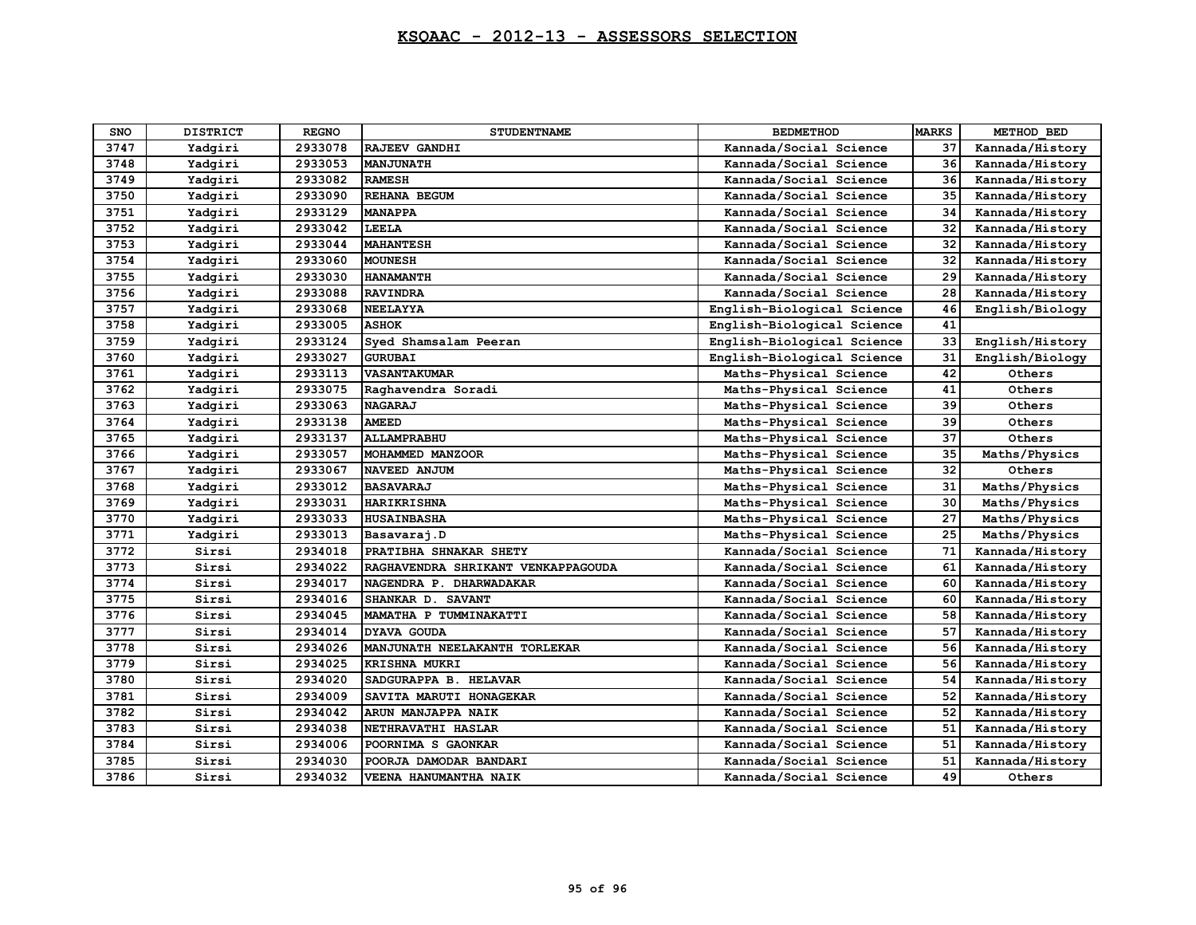| SNO  | <b>DISTRICT</b> | <b>REGNO</b> | <b>STUDENTNAME</b>                 | <b>BEDMETHOD</b>           | <b>MARKS</b> | METHOD BED      |
|------|-----------------|--------------|------------------------------------|----------------------------|--------------|-----------------|
| 3747 | Yadgiri         | 2933078      | RAJEEV GANDHI                      | Kannada/Social Science     | 37           | Kannada/History |
| 3748 | Yadgiri         | 2933053      | <b>MANJUNATH</b>                   | Kannada/Social Science     | 36           | Kannada/History |
| 3749 | Yadgiri         | 2933082      | <b>RAMESH</b>                      | Kannada/Social Science     | 36           | Kannada/History |
| 3750 | Yadqiri         | 2933090      | <b>REHANA BEGUM</b>                | Kannada/Social Science     | 35           | Kannada/History |
| 3751 | Yadqiri         | 2933129      | <b>MANAPPA</b>                     | Kannada/Social Science     | 34           | Kannada/History |
| 3752 | Yadgiri         | 2933042      | LEELA                              | Kannada/Social Science     | 32           | Kannada/History |
| 3753 | Yadqiri         | 2933044      | <b>MAHANTESH</b>                   | Kannada/Social Science     | 32           | Kannada/History |
| 3754 | Yadgiri         | 2933060      | <b>MOUNESH</b>                     | Kannada/Social Science     | 32           | Kannada/History |
| 3755 | Yadgiri         | 2933030      | <b>HANAMANTH</b>                   | Kannada/Social Science     | 29           | Kannada/History |
| 3756 | Yadqiri         | 2933088      | <b>RAVINDRA</b>                    | Kannada/Social Science     | 28           | Kannada/History |
| 3757 | Yadqiri         | 2933068      | <b>NEELAYYA</b>                    | English-Biological Science | 46           | English/Biology |
| 3758 | Yadgiri         | 2933005      | <b>ASHOK</b>                       | English-Biological Science | 41           |                 |
| 3759 | Yadqiri         | 2933124      | Syed Shamsalam Peeran              | English-Biological Science | 33           | English/History |
| 3760 | Yadgiri         | 2933027      | <b>GURUBAI</b>                     | English-Biological Science | 31           | English/Biology |
| 3761 | Yadgiri         | 2933113      | <b>VASANTAKUMAR</b>                | Maths-Physical Science     | 42           | Others          |
| 3762 | Yadqiri         | 2933075      | Raghavendra Soradi                 | Maths-Physical Science     | 41           | Others          |
| 3763 | Yadqiri         | 2933063      | <b>NAGARAJ</b>                     | Maths-Physical Science     | 39           | Others          |
| 3764 | Yadgiri         | 2933138      | <b>AMEED</b>                       | Maths-Physical Science     | 39           | Others          |
| 3765 | Yadqiri         | 2933137      | ALLAMPRABHU                        | Maths-Physical Science     | 37           | Others          |
| 3766 | Yadgiri         | 2933057      | MOHAMMED MANZOOR                   | Maths-Physical Science     | 35           | Maths/Physics   |
| 3767 | Yadgiri         | 2933067      | NAVEED ANJUM                       | Maths-Physical Science     | 32           | Others          |
| 3768 | Yadqiri         | 2933012      | <b>BASAVARAJ</b>                   | Maths-Physical Science     | 31           | Maths/Physics   |
| 3769 | Yadgiri         | 2933031      | <b>HARIKRISHNA</b>                 | Maths-Physical Science     | 30           | Maths/Physics   |
| 3770 | Yadgiri         | 2933033      | <b>HUSAINBASHA</b>                 | Maths-Physical Science     | 27           | Maths/Physics   |
| 3771 | Yadqiri         | 2933013      | Basavaraj.D                        | Maths-Physical Science     | 25           | Maths/Physics   |
| 3772 | Sirsi           | 2934018      | PRATIBHA SHNAKAR SHETY             | Kannada/Social Science     | 71           | Kannada/History |
| 3773 | Sirsi           | 2934022      | RAGHAVENDRA SHRIKANT VENKAPPAGOUDA | Kannada/Social Science     | 61           | Kannada/History |
| 3774 | Sirsi           | 2934017      | NAGENDRA P. DHARWADAKAR            | Kannada/Social Science     | 60           | Kannada/History |
| 3775 | Sirsi           | 2934016      | SHANKAR D. SAVANT                  | Kannada/Social Science     | 60           | Kannada/History |
| 3776 | Sirsi           | 2934045      | MAMATHA P TUMMINAKATTI             | Kannada/Social Science     | 58           | Kannada/History |
| 3777 | Sirsi           | 2934014      | <b>DYAVA GOUDA</b>                 | Kannada/Social Science     | 57           | Kannada/History |
| 3778 | Sirsi           | 2934026      | MANJUNATH NEELAKANTH TORLEKAR      | Kannada/Social Science     | 56           | Kannada/History |
| 3779 | Sirsi           | 2934025      | <b>KRISHNA MUKRI</b>               | Kannada/Social Science     | 56           | Kannada/History |
| 3780 | Sirsi           | 2934020      | SADGURAPPA B. HELAVAR              | Kannada/Social Science     | 54           | Kannada/History |
| 3781 | Sirsi           | 2934009      | SAVITA MARUTI HONAGEKAR            | Kannada/Social Science     | 52           | Kannada/History |
| 3782 | Sirsi           | 2934042      | ARUN MANJAPPA NAIK                 | Kannada/Social Science     | 52           | Kannada/History |
| 3783 | Sirsi           | 2934038      | NETHRAVATHI HASLAR                 | Kannada/Social Science     | 51           | Kannada/History |
| 3784 | Sirsi           | 2934006      | POORNIMA S GAONKAR                 | Kannada/Social Science     | 51           | Kannada/History |
| 3785 | Sirsi           | 2934030      | POORJA DAMODAR BANDARI             | Kannada/Social Science     | 51           | Kannada/History |
| 3786 | Sirsi           | 2934032      | VEENA HANUMANTHA NAIK              | Kannada/Social Science     | 49           | Others          |